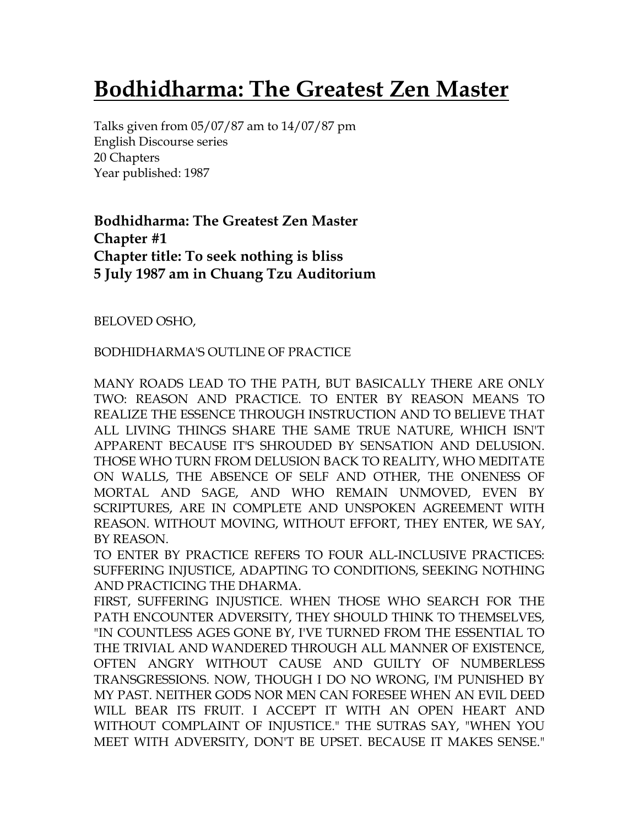## **Bodhidharma: The Greatest Zen Master**

Talks given from 05/07/87 am to 14/07/87 pm English Discourse series 20 Chapters Year published: 1987

**Bodhidharma: The Greatest Zen Master Chapter #1 Chapter title: To seek nothing is bliss 5 July 1987 am in Chuang Tzu Auditorium**

BELOVED OSHO,

BODHIDHARMA'S OUTLINE OF PRACTICE

MANY ROADS LEAD TO THE PATH, BUT BASICALLY THERE ARE ONLY TWO: REASON AND PRACTICE. TO ENTER BY REASON MEANS TO REALIZE THE ESSENCE THROUGH INSTRUCTION AND TO BELIEVE THAT ALL LIVING THINGS SHARE THE SAME TRUE NATURE, WHICH ISN'T APPARENT BECAUSE IT'S SHROUDED BY SENSATION AND DELUSION. THOSE WHO TURN FROM DELUSION BACK TO REALITY, WHO MEDITATE ON WALLS, THE ABSENCE OF SELF AND OTHER, THE ONENESS OF MORTAL AND SAGE, AND WHO REMAIN UNMOVED, EVEN BY SCRIPTURES, ARE IN COMPLETE AND UNSPOKEN AGREEMENT WITH REASON. WITHOUT MOVING, WITHOUT EFFORT, THEY ENTER, WE SAY, BY REASON.

TO ENTER BY PRACTICE REFERS TO FOUR ALL-INCLUSIVE PRACTICES: SUFFERING INJUSTICE, ADAPTING TO CONDITIONS, SEEKING NOTHING AND PRACTICING THE DHARMA.

FIRST, SUFFERING INJUSTICE. WHEN THOSE WHO SEARCH FOR THE PATH ENCOUNTER ADVERSITY, THEY SHOULD THINK TO THEMSELVES, "IN COUNTLESS AGES GONE BY, I'VE TURNED FROM THE ESSENTIAL TO THE TRIVIAL AND WANDERED THROUGH ALL MANNER OF EXISTENCE, OFTEN ANGRY WITHOUT CAUSE AND GUILTY OF NUMBERLESS TRANSGRESSIONS. NOW, THOUGH I DO NO WRONG, I'M PUNISHED BY MY PAST. NEITHER GODS NOR MEN CAN FORESEE WHEN AN EVIL DEED WILL BEAR ITS FRUIT. I ACCEPT IT WITH AN OPEN HEART AND WITHOUT COMPLAINT OF INJUSTICE." THE SUTRAS SAY, "WHEN YOU MEET WITH ADVERSITY, DON'T BE UPSET. BECAUSE IT MAKES SENSE."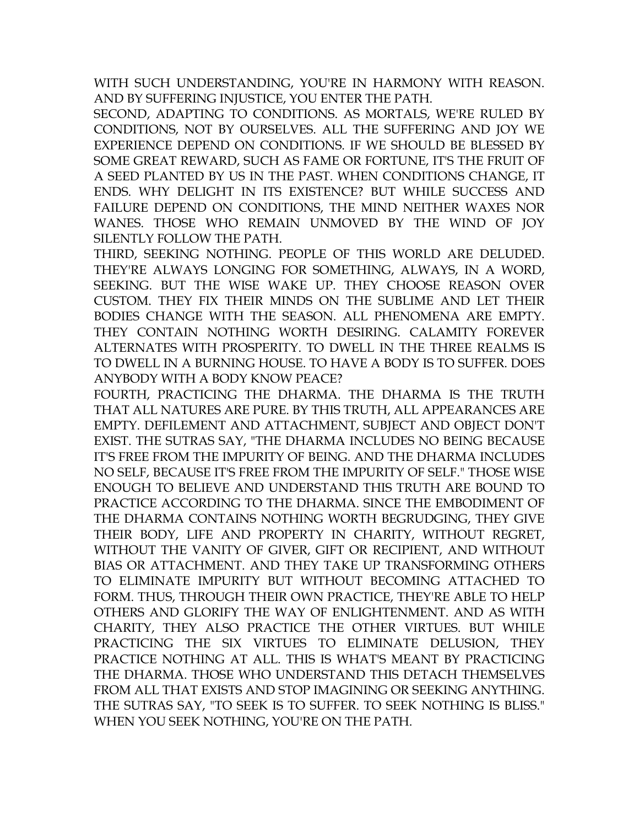WITH SUCH UNDERSTANDING, YOU'RE IN HARMONY WITH REASON. AND BY SUFFERING INJUSTICE, YOU ENTER THE PATH.

SECOND, ADAPTING TO CONDITIONS. AS MORTALS, WE'RE RULED BY CONDITIONS, NOT BY OURSELVES. ALL THE SUFFERING AND JOY WE EXPERIENCE DEPEND ON CONDITIONS. IF WE SHOULD BE BLESSED BY SOME GREAT REWARD, SUCH AS FAME OR FORTUNE, IT'S THE FRUIT OF A SEED PLANTED BY US IN THE PAST. WHEN CONDITIONS CHANGE, IT ENDS. WHY DELIGHT IN ITS EXISTENCE? BUT WHILE SUCCESS AND FAILURE DEPEND ON CONDITIONS, THE MIND NEITHER WAXES NOR WANES. THOSE WHO REMAIN UNMOVED BY THE WIND OF JOY SILENTLY FOLLOW THE PATH.

THIRD, SEEKING NOTHING. PEOPLE OF THIS WORLD ARE DELUDED. THEY'RE ALWAYS LONGING FOR SOMETHING, ALWAYS, IN A WORD, SEEKING. BUT THE WISE WAKE UP. THEY CHOOSE REASON OVER CUSTOM. THEY FIX THEIR MINDS ON THE SUBLIME AND LET THEIR BODIES CHANGE WITH THE SEASON. ALL PHENOMENA ARE EMPTY. THEY CONTAIN NOTHING WORTH DESIRING. CALAMITY FOREVER ALTERNATES WITH PROSPERITY. TO DWELL IN THE THREE REALMS IS TO DWELL IN A BURNING HOUSE. TO HAVE A BODY IS TO SUFFER. DOES ANYBODY WITH A BODY KNOW PEACE?

FOURTH, PRACTICING THE DHARMA. THE DHARMA IS THE TRUTH THAT ALL NATURES ARE PURE. BY THIS TRUTH, ALL APPEARANCES ARE EMPTY. DEFILEMENT AND ATTACHMENT, SUBJECT AND OBJECT DON'T EXIST. THE SUTRAS SAY, "THE DHARMA INCLUDES NO BEING BECAUSE IT'S FREE FROM THE IMPURITY OF BEING. AND THE DHARMA INCLUDES NO SELF, BECAUSE IT'S FREE FROM THE IMPURITY OF SELF." THOSE WISE ENOUGH TO BELIEVE AND UNDERSTAND THIS TRUTH ARE BOUND TO PRACTICE ACCORDING TO THE DHARMA. SINCE THE EMBODIMENT OF THE DHARMA CONTAINS NOTHING WORTH BEGRUDGING, THEY GIVE THEIR BODY, LIFE AND PROPERTY IN CHARITY, WITHOUT REGRET, WITHOUT THE VANITY OF GIVER, GIFT OR RECIPIENT, AND WITHOUT BIAS OR ATTACHMENT. AND THEY TAKE UP TRANSFORMING OTHERS TO ELIMINATE IMPURITY BUT WITHOUT BECOMING ATTACHED TO FORM. THUS, THROUGH THEIR OWN PRACTICE, THEY'RE ABLE TO HELP OTHERS AND GLORIFY THE WAY OF ENLIGHTENMENT. AND AS WITH CHARITY, THEY ALSO PRACTICE THE OTHER VIRTUES. BUT WHILE PRACTICING THE SIX VIRTUES TO ELIMINATE DELUSION, THEY PRACTICE NOTHING AT ALL. THIS IS WHAT'S MEANT BY PRACTICING THE DHARMA. THOSE WHO UNDERSTAND THIS DETACH THEMSELVES FROM ALL THAT EXISTS AND STOP IMAGINING OR SEEKING ANYTHING. THE SUTRAS SAY, "TO SEEK IS TO SUFFER. TO SEEK NOTHING IS BLISS." WHEN YOU SEEK NOTHING, YOU'RE ON THE PATH.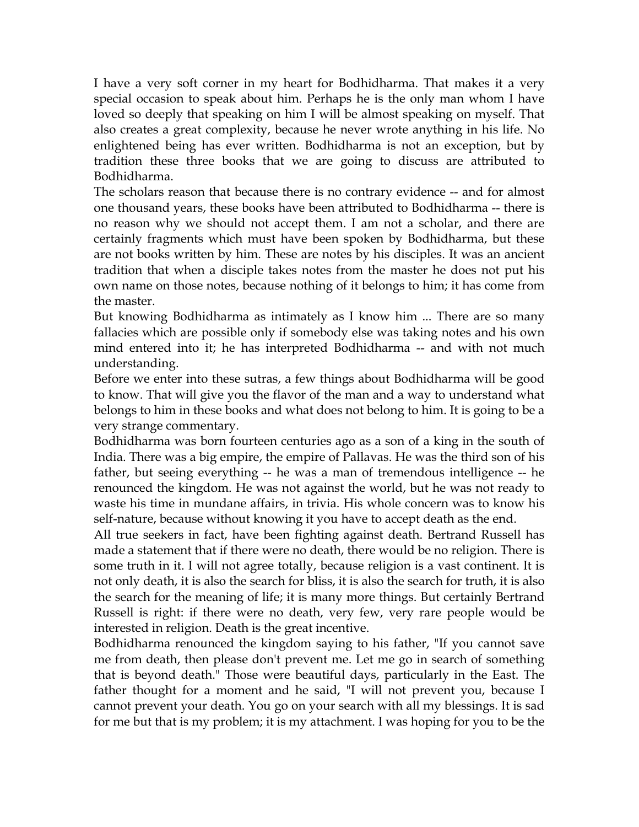I have a very soft corner in my heart for Bodhidharma. That makes it a very special occasion to speak about him. Perhaps he is the only man whom I have loved so deeply that speaking on him I will be almost speaking on myself. That also creates a great complexity, because he never wrote anything in his life. No enlightened being has ever written. Bodhidharma is not an exception, but by tradition these three books that we are going to discuss are attributed to Bodhidharma.

The scholars reason that because there is no contrary evidence -- and for almost one thousand years, these books have been attributed to Bodhidharma -- there is no reason why we should not accept them. I am not a scholar, and there are certainly fragments which must have been spoken by Bodhidharma, but these are not books written by him. These are notes by his disciples. It was an ancient tradition that when a disciple takes notes from the master he does not put his own name on those notes, because nothing of it belongs to him; it has come from the master.

But knowing Bodhidharma as intimately as I know him ... There are so many fallacies which are possible only if somebody else was taking notes and his own mind entered into it; he has interpreted Bodhidharma -- and with not much understanding.

Before we enter into these sutras, a few things about Bodhidharma will be good to know. That will give you the flavor of the man and a way to understand what belongs to him in these books and what does not belong to him. It is going to be a very strange commentary.

Bodhidharma was born fourteen centuries ago as a son of a king in the south of India. There was a big empire, the empire of Pallavas. He was the third son of his father, but seeing everything -- he was a man of tremendous intelligence -- he renounced the kingdom. He was not against the world, but he was not ready to waste his time in mundane affairs, in trivia. His whole concern was to know his self-nature, because without knowing it you have to accept death as the end.

All true seekers in fact, have been fighting against death. Bertrand Russell has made a statement that if there were no death, there would be no religion. There is some truth in it. I will not agree totally, because religion is a vast continent. It is not only death, it is also the search for bliss, it is also the search for truth, it is also the search for the meaning of life; it is many more things. But certainly Bertrand Russell is right: if there were no death, very few, very rare people would be interested in religion. Death is the great incentive.

Bodhidharma renounced the kingdom saying to his father, "If you cannot save me from death, then please don't prevent me. Let me go in search of something that is beyond death." Those were beautiful days, particularly in the East. The father thought for a moment and he said, "I will not prevent you, because I cannot prevent your death. You go on your search with all my blessings. It is sad for me but that is my problem; it is my attachment. I was hoping for you to be the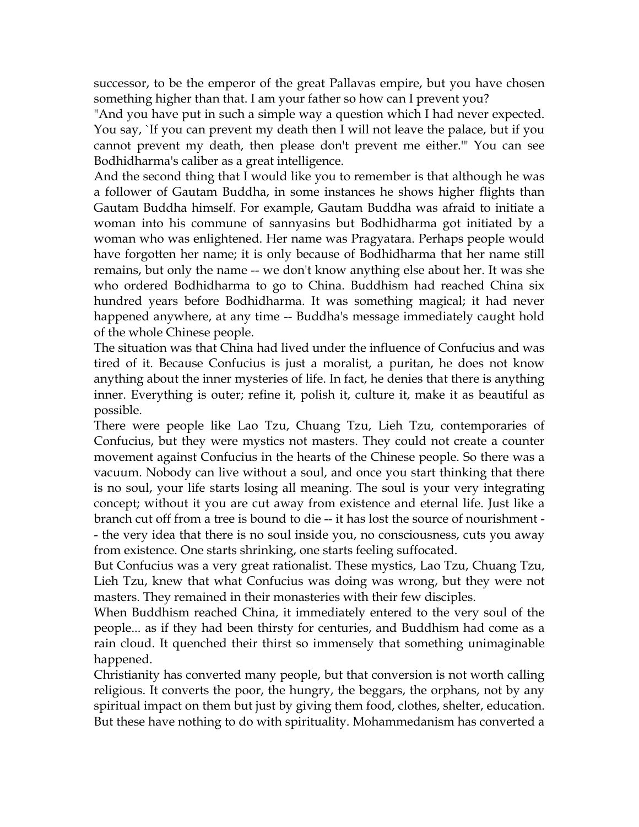successor, to be the emperor of the great Pallavas empire, but you have chosen something higher than that. I am your father so how can I prevent you?

"And you have put in such a simple way a question which I had never expected. You say, `If you can prevent my death then I will not leave the palace, but if you cannot prevent my death, then please don't prevent me either.'" You can see Bodhidharma's caliber as a great intelligence.

And the second thing that I would like you to remember is that although he was a follower of Gautam Buddha, in some instances he shows higher flights than Gautam Buddha himself. For example, Gautam Buddha was afraid to initiate a woman into his commune of sannyasins but Bodhidharma got initiated by a woman who was enlightened. Her name was Pragyatara. Perhaps people would have forgotten her name; it is only because of Bodhidharma that her name still remains, but only the name -- we don't know anything else about her. It was she who ordered Bodhidharma to go to China. Buddhism had reached China six hundred years before Bodhidharma. It was something magical; it had never happened anywhere, at any time -- Buddha's message immediately caught hold of the whole Chinese people.

The situation was that China had lived under the influence of Confucius and was tired of it. Because Confucius is just a moralist, a puritan, he does not know anything about the inner mysteries of life. In fact, he denies that there is anything inner. Everything is outer; refine it, polish it, culture it, make it as beautiful as possible.

There were people like Lao Tzu, Chuang Tzu, Lieh Tzu, contemporaries of Confucius, but they were mystics not masters. They could not create a counter movement against Confucius in the hearts of the Chinese people. So there was a vacuum. Nobody can live without a soul, and once you start thinking that there is no soul, your life starts losing all meaning. The soul is your very integrating concept; without it you are cut away from existence and eternal life. Just like a branch cut off from a tree is bound to die -- it has lost the source of nourishment - - the very idea that there is no soul inside you, no consciousness, cuts you away from existence. One starts shrinking, one starts feeling suffocated.

But Confucius was a very great rationalist. These mystics, Lao Tzu, Chuang Tzu, Lieh Tzu, knew that what Confucius was doing was wrong, but they were not masters. They remained in their monasteries with their few disciples.

When Buddhism reached China, it immediately entered to the very soul of the people... as if they had been thirsty for centuries, and Buddhism had come as a rain cloud. It quenched their thirst so immensely that something unimaginable happened.

Christianity has converted many people, but that conversion is not worth calling religious. It converts the poor, the hungry, the beggars, the orphans, not by any spiritual impact on them but just by giving them food, clothes, shelter, education. But these have nothing to do with spirituality. Mohammedanism has converted a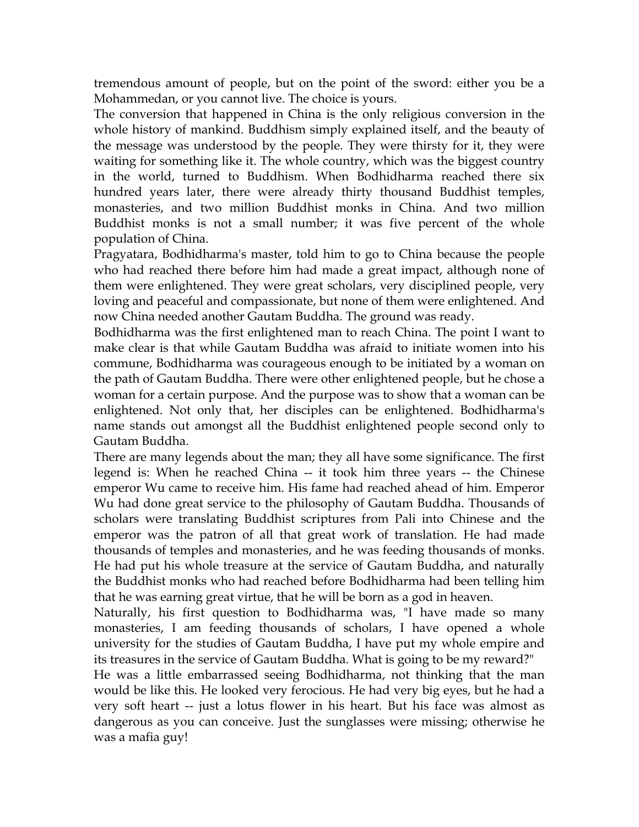tremendous amount of people, but on the point of the sword: either you be a Mohammedan, or you cannot live. The choice is yours.

The conversion that happened in China is the only religious conversion in the whole history of mankind. Buddhism simply explained itself, and the beauty of the message was understood by the people. They were thirsty for it, they were waiting for something like it. The whole country, which was the biggest country in the world, turned to Buddhism. When Bodhidharma reached there six hundred years later, there were already thirty thousand Buddhist temples, monasteries, and two million Buddhist monks in China. And two million Buddhist monks is not a small number; it was five percent of the whole population of China.

Pragyatara, Bodhidharma's master, told him to go to China because the people who had reached there before him had made a great impact, although none of them were enlightened. They were great scholars, very disciplined people, very loving and peaceful and compassionate, but none of them were enlightened. And now China needed another Gautam Buddha. The ground was ready.

Bodhidharma was the first enlightened man to reach China. The point I want to make clear is that while Gautam Buddha was afraid to initiate women into his commune, Bodhidharma was courageous enough to be initiated by a woman on the path of Gautam Buddha. There were other enlightened people, but he chose a woman for a certain purpose. And the purpose was to show that a woman can be enlightened. Not only that, her disciples can be enlightened. Bodhidharma's name stands out amongst all the Buddhist enlightened people second only to Gautam Buddha.

There are many legends about the man; they all have some significance. The first legend is: When he reached China -- it took him three years -- the Chinese emperor Wu came to receive him. His fame had reached ahead of him. Emperor Wu had done great service to the philosophy of Gautam Buddha. Thousands of scholars were translating Buddhist scriptures from Pali into Chinese and the emperor was the patron of all that great work of translation. He had made thousands of temples and monasteries, and he was feeding thousands of monks. He had put his whole treasure at the service of Gautam Buddha, and naturally the Buddhist monks who had reached before Bodhidharma had been telling him that he was earning great virtue, that he will be born as a god in heaven.

Naturally, his first question to Bodhidharma was, "I have made so many monasteries, I am feeding thousands of scholars, I have opened a whole university for the studies of Gautam Buddha, I have put my whole empire and its treasures in the service of Gautam Buddha. What is going to be my reward?"

He was a little embarrassed seeing Bodhidharma, not thinking that the man would be like this. He looked very ferocious. He had very big eyes, but he had a very soft heart -- just a lotus flower in his heart. But his face was almost as dangerous as you can conceive. Just the sunglasses were missing; otherwise he was a mafia guy!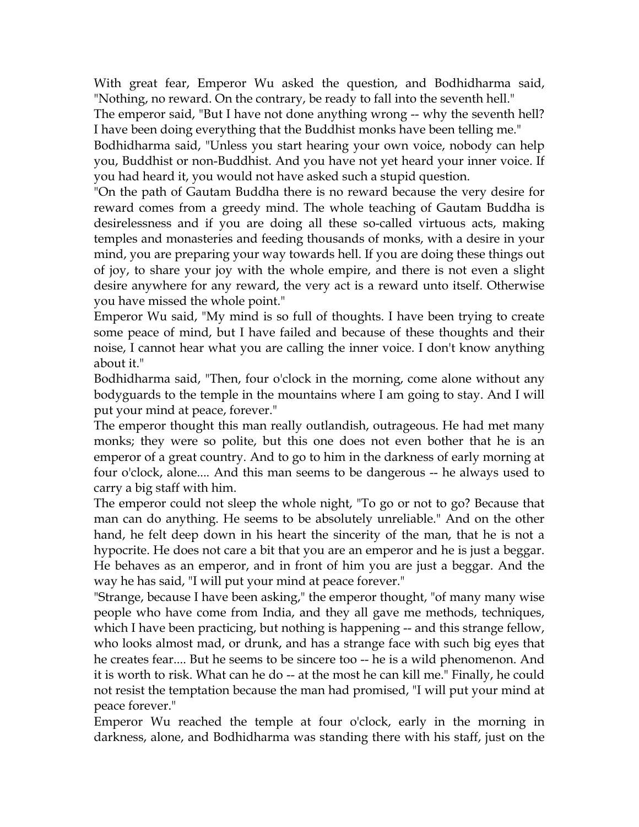With great fear, Emperor Wu asked the question, and Bodhidharma said, "Nothing, no reward. On the contrary, be ready to fall into the seventh hell."

The emperor said, "But I have not done anything wrong -- why the seventh hell? I have been doing everything that the Buddhist monks have been telling me."

Bodhidharma said, "Unless you start hearing your own voice, nobody can help you, Buddhist or non-Buddhist. And you have not yet heard your inner voice. If you had heard it, you would not have asked such a stupid question.

"On the path of Gautam Buddha there is no reward because the very desire for reward comes from a greedy mind. The whole teaching of Gautam Buddha is desirelessness and if you are doing all these so-called virtuous acts, making temples and monasteries and feeding thousands of monks, with a desire in your mind, you are preparing your way towards hell. If you are doing these things out of joy, to share your joy with the whole empire, and there is not even a slight desire anywhere for any reward, the very act is a reward unto itself. Otherwise you have missed the whole point."

Emperor Wu said, "My mind is so full of thoughts. I have been trying to create some peace of mind, but I have failed and because of these thoughts and their noise, I cannot hear what you are calling the inner voice. I don't know anything about it."

Bodhidharma said, "Then, four o'clock in the morning, come alone without any bodyguards to the temple in the mountains where I am going to stay. And I will put your mind at peace, forever."

The emperor thought this man really outlandish, outrageous. He had met many monks; they were so polite, but this one does not even bother that he is an emperor of a great country. And to go to him in the darkness of early morning at four o'clock, alone.... And this man seems to be dangerous -- he always used to carry a big staff with him.

The emperor could not sleep the whole night, "To go or not to go? Because that man can do anything. He seems to be absolutely unreliable." And on the other hand, he felt deep down in his heart the sincerity of the man, that he is not a hypocrite. He does not care a bit that you are an emperor and he is just a beggar. He behaves as an emperor, and in front of him you are just a beggar. And the way he has said, "I will put your mind at peace forever."

"Strange, because I have been asking," the emperor thought, "of many many wise people who have come from India, and they all gave me methods, techniques, which I have been practicing, but nothing is happening -- and this strange fellow, who looks almost mad, or drunk, and has a strange face with such big eyes that he creates fear.... But he seems to be sincere too -- he is a wild phenomenon. And it is worth to risk. What can he do -- at the most he can kill me." Finally, he could not resist the temptation because the man had promised, "I will put your mind at peace forever."

Emperor Wu reached the temple at four o'clock, early in the morning in darkness, alone, and Bodhidharma was standing there with his staff, just on the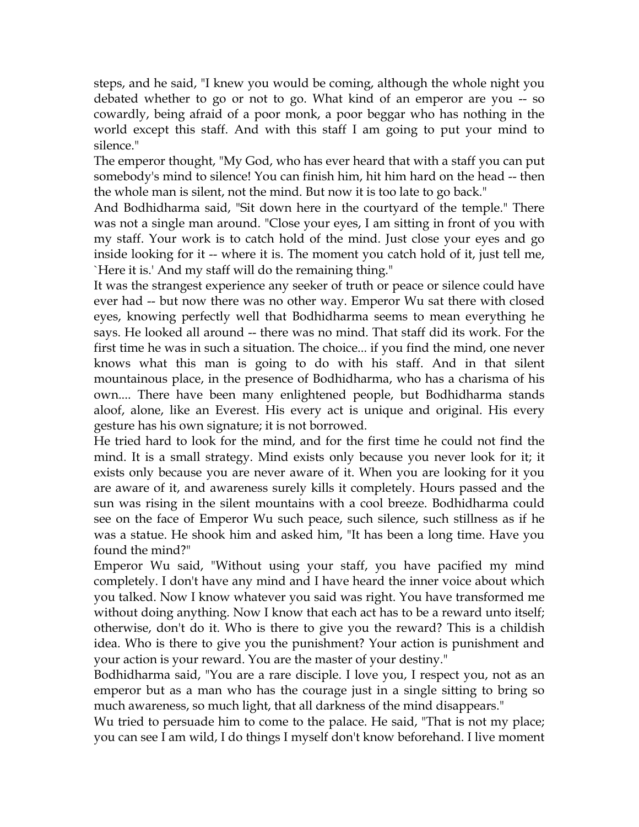steps, and he said, "I knew you would be coming, although the whole night you debated whether to go or not to go. What kind of an emperor are you -- so cowardly, being afraid of a poor monk, a poor beggar who has nothing in the world except this staff. And with this staff I am going to put your mind to silence."

The emperor thought, "My God, who has ever heard that with a staff you can put somebody's mind to silence! You can finish him, hit him hard on the head -- then the whole man is silent, not the mind. But now it is too late to go back."

And Bodhidharma said, "Sit down here in the courtyard of the temple." There was not a single man around. "Close your eyes, I am sitting in front of you with my staff. Your work is to catch hold of the mind. Just close your eyes and go inside looking for it -- where it is. The moment you catch hold of it, just tell me, `Here it is.' And my staff will do the remaining thing."

It was the strangest experience any seeker of truth or peace or silence could have ever had -- but now there was no other way. Emperor Wu sat there with closed eyes, knowing perfectly well that Bodhidharma seems to mean everything he says. He looked all around -- there was no mind. That staff did its work. For the first time he was in such a situation. The choice... if you find the mind, one never knows what this man is going to do with his staff. And in that silent mountainous place, in the presence of Bodhidharma, who has a charisma of his own.... There have been many enlightened people, but Bodhidharma stands aloof, alone, like an Everest. His every act is unique and original. His every gesture has his own signature; it is not borrowed.

He tried hard to look for the mind, and for the first time he could not find the mind. It is a small strategy. Mind exists only because you never look for it; it exists only because you are never aware of it. When you are looking for it you are aware of it, and awareness surely kills it completely. Hours passed and the sun was rising in the silent mountains with a cool breeze. Bodhidharma could see on the face of Emperor Wu such peace, such silence, such stillness as if he was a statue. He shook him and asked him, "It has been a long time. Have you found the mind?"

Emperor Wu said, "Without using your staff, you have pacified my mind completely. I don't have any mind and I have heard the inner voice about which you talked. Now I know whatever you said was right. You have transformed me without doing anything. Now I know that each act has to be a reward unto itself; otherwise, don't do it. Who is there to give you the reward? This is a childish idea. Who is there to give you the punishment? Your action is punishment and your action is your reward. You are the master of your destiny."

Bodhidharma said, "You are a rare disciple. I love you, I respect you, not as an emperor but as a man who has the courage just in a single sitting to bring so much awareness, so much light, that all darkness of the mind disappears."

Wu tried to persuade him to come to the palace. He said, "That is not my place; you can see I am wild, I do things I myself don't know beforehand. I live moment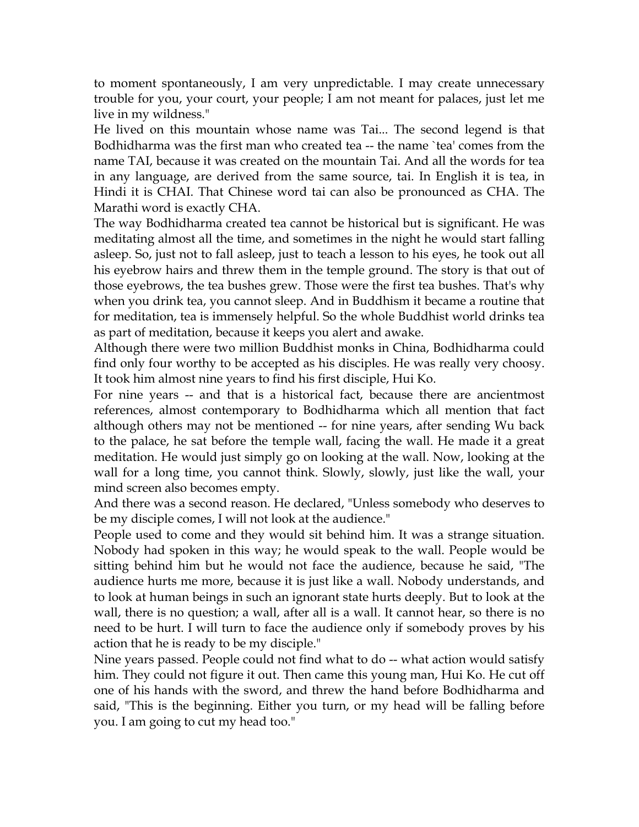to moment spontaneously, I am very unpredictable. I may create unnecessary trouble for you, your court, your people; I am not meant for palaces, just let me live in my wildness."

He lived on this mountain whose name was Tai... The second legend is that Bodhidharma was the first man who created tea -- the name `tea' comes from the name TAI, because it was created on the mountain Tai. And all the words for tea in any language, are derived from the same source, tai. In English it is tea, in Hindi it is CHAI. That Chinese word tai can also be pronounced as CHA. The Marathi word is exactly CHA.

The way Bodhidharma created tea cannot be historical but is significant. He was meditating almost all the time, and sometimes in the night he would start falling asleep. So, just not to fall asleep, just to teach a lesson to his eyes, he took out all his eyebrow hairs and threw them in the temple ground. The story is that out of those eyebrows, the tea bushes grew. Those were the first tea bushes. That's why when you drink tea, you cannot sleep. And in Buddhism it became a routine that for meditation, tea is immensely helpful. So the whole Buddhist world drinks tea as part of meditation, because it keeps you alert and awake.

Although there were two million Buddhist monks in China, Bodhidharma could find only four worthy to be accepted as his disciples. He was really very choosy. It took him almost nine years to find his first disciple, Hui Ko.

For nine years -- and that is a historical fact, because there are ancientmost references, almost contemporary to Bodhidharma which all mention that fact although others may not be mentioned -- for nine years, after sending Wu back to the palace, he sat before the temple wall, facing the wall. He made it a great meditation. He would just simply go on looking at the wall. Now, looking at the wall for a long time, you cannot think. Slowly, slowly, just like the wall, your mind screen also becomes empty.

And there was a second reason. He declared, "Unless somebody who deserves to be my disciple comes, I will not look at the audience."

People used to come and they would sit behind him. It was a strange situation. Nobody had spoken in this way; he would speak to the wall. People would be sitting behind him but he would not face the audience, because he said, "The audience hurts me more, because it is just like a wall. Nobody understands, and to look at human beings in such an ignorant state hurts deeply. But to look at the wall, there is no question; a wall, after all is a wall. It cannot hear, so there is no need to be hurt. I will turn to face the audience only if somebody proves by his action that he is ready to be my disciple."

Nine years passed. People could not find what to do -- what action would satisfy him. They could not figure it out. Then came this young man, Hui Ko. He cut off one of his hands with the sword, and threw the hand before Bodhidharma and said, "This is the beginning. Either you turn, or my head will be falling before you. I am going to cut my head too."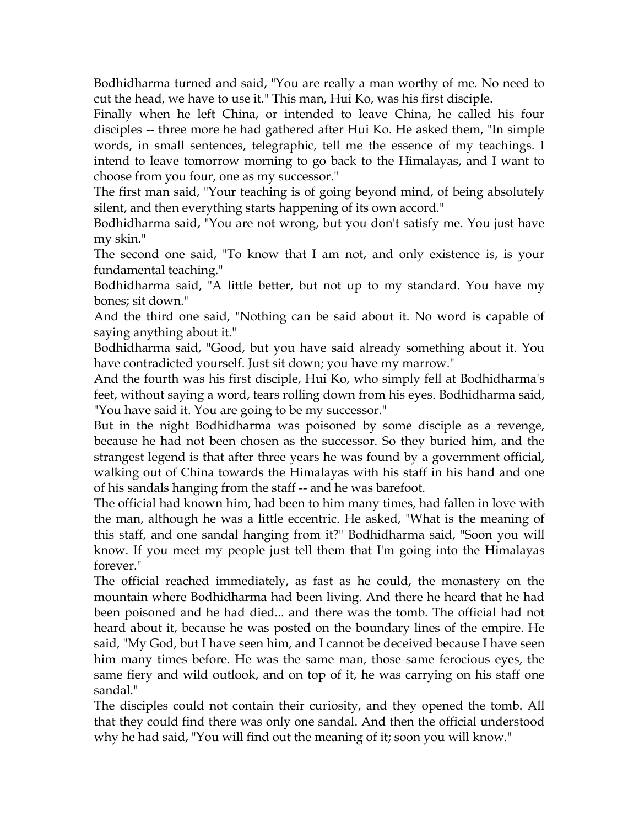Bodhidharma turned and said, "You are really a man worthy of me. No need to cut the head, we have to use it." This man, Hui Ko, was his first disciple.

Finally when he left China, or intended to leave China, he called his four disciples -- three more he had gathered after Hui Ko. He asked them, "In simple words, in small sentences, telegraphic, tell me the essence of my teachings. I intend to leave tomorrow morning to go back to the Himalayas, and I want to choose from you four, one as my successor."

The first man said, "Your teaching is of going beyond mind, of being absolutely silent, and then everything starts happening of its own accord."

Bodhidharma said, "You are not wrong, but you don't satisfy me. You just have my skin."

The second one said, "To know that I am not, and only existence is, is your fundamental teaching."

Bodhidharma said, "A little better, but not up to my standard. You have my bones; sit down."

And the third one said, "Nothing can be said about it. No word is capable of saying anything about it."

Bodhidharma said, "Good, but you have said already something about it. You have contradicted yourself. Just sit down; you have my marrow."

And the fourth was his first disciple, Hui Ko, who simply fell at Bodhidharma's feet, without saying a word, tears rolling down from his eyes. Bodhidharma said, "You have said it. You are going to be my successor."

But in the night Bodhidharma was poisoned by some disciple as a revenge, because he had not been chosen as the successor. So they buried him, and the strangest legend is that after three years he was found by a government official, walking out of China towards the Himalayas with his staff in his hand and one of his sandals hanging from the staff -- and he was barefoot.

The official had known him, had been to him many times, had fallen in love with the man, although he was a little eccentric. He asked, "What is the meaning of this staff, and one sandal hanging from it?" Bodhidharma said, "Soon you will know. If you meet my people just tell them that I'm going into the Himalayas forever."

The official reached immediately, as fast as he could, the monastery on the mountain where Bodhidharma had been living. And there he heard that he had been poisoned and he had died... and there was the tomb. The official had not heard about it, because he was posted on the boundary lines of the empire. He said, "My God, but I have seen him, and I cannot be deceived because I have seen him many times before. He was the same man, those same ferocious eyes, the same fiery and wild outlook, and on top of it, he was carrying on his staff one sandal."

The disciples could not contain their curiosity, and they opened the tomb. All that they could find there was only one sandal. And then the official understood why he had said, "You will find out the meaning of it; soon you will know."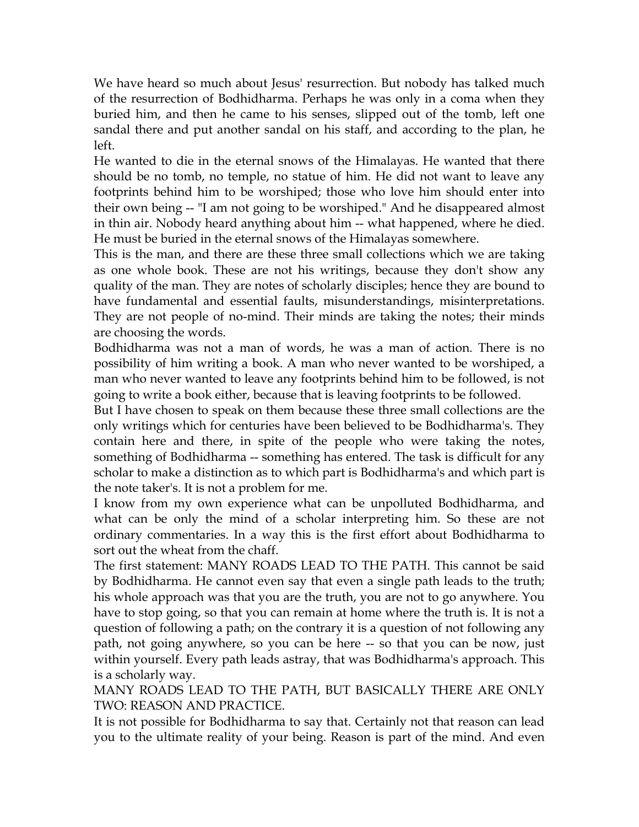We have heard so much about Jesus' resurrection. But nobody has talked much of the resurrection of Bodhidharma. Perhaps he was only in a coma when they buried him, and then he came to his senses, slipped out of the tomb, left one sandal there and put another sandal on his staff, and according to the plan, he left.

He wanted to die in the eternal snows of the Himalayas. He wanted that there should be no tomb, no temple, no statue of him. He did not want to leave any footprints behind him to be worshiped; those who love him should enter into their own being -- "I am not going to be worshiped." And he disappeared almost in thin air. Nobody heard anything about him -- what happened, where he died. He must be buried in the eternal snows of the Himalayas somewhere.

This is the man, and there are these three small collections which we are taking as one whole book. These are not his writings, because they don't show any quality of the man. They are notes of scholarly disciples; hence they are bound to have fundamental and essential faults, misunderstandings, misinterpretations. They are not people of no-mind. Their minds are taking the notes; their minds are choosing the words.

Bodhidharma was not a man of words, he was a man of action. There is no possibility of him writing a book. A man who never wanted to be worshiped, a man who never wanted to leave any footprints behind him to be followed, is not going to write a book either, because that is leaving footprints to be followed.

But I have chosen to speak on them because these three small collections are the only writings which for centuries have been believed to be Bodhidharma's. They contain here and there, in spite of the people who were taking the notes, something of Bodhidharma -- something has entered. The task is difficult for any scholar to make a distinction as to which part is Bodhidharma's and which part is the note taker's. It is not a problem for me.

I know from my own experience what can be unpolluted Bodhidharma, and what can be only the mind of a scholar interpreting him. So these are not ordinary commentaries. In a way this is the first effort about Bodhidharma to sort out the wheat from the chaff.

The first statement: MANY ROADS LEAD TO THE PATH. This cannot be said by Bodhidharma. He cannot even say that even a single path leads to the truth; his whole approach was that you are the truth, you are not to go anywhere. You have to stop going, so that you can remain at home where the truth is. It is not a question of following a path; on the contrary it is a question of not following any path, not going anywhere, so you can be here -- so that you can be now, just within yourself. Every path leads astray, that was Bodhidharma's approach. This is a scholarly way.

MANY ROADS LEAD TO THE PATH, BUT BASICALLY THERE ARE ONLY TWO: REASON AND PRACTICE.

It is not possible for Bodhidharma to say that. Certainly not that reason can lead you to the ultimate reality of your being. Reason is part of the mind. And even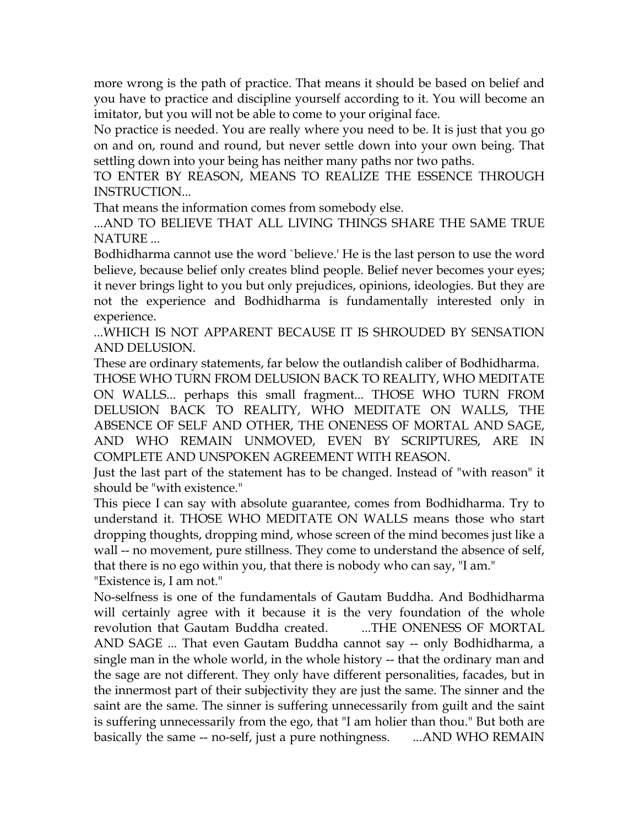more wrong is the path of practice. That means it should be based on belief and you have to practice and discipline yourself according to it. You will become an imitator, but you will not be able to come to your original face.

No practice is needed. You are really where you need to be. It is just that you go on and on, round and round, but never settle down into your own being. That settling down into your being has neither many paths nor two paths.

TO ENTER BY REASON, MEANS TO REALIZE THE ESSENCE THROUGH INSTRUCTION...

That means the information comes from somebody else.

...AND TO BELIEVE THAT ALL LIVING THINGS SHARE THE SAME TRUE NATURE ...

Bodhidharma cannot use the word `believe.' He is the last person to use the word believe, because belief only creates blind people. Belief never becomes your eyes; it never brings light to you but only prejudices, opinions, ideologies. But they are not the experience and Bodhidharma is fundamentally interested only in experience.

...WHICH IS NOT APPARENT BECAUSE IT IS SHROUDED BY SENSATION AND DELUSION.

These are ordinary statements, far below the outlandish caliber of Bodhidharma.

THOSE WHO TURN FROM DELUSION BACK TO REALITY, WHO MEDITATE ON WALLS... perhaps this small fragment... THOSE WHO TURN FROM DELUSION BACK TO REALITY, WHO MEDITATE ON WALLS, THE ABSENCE OF SELF AND OTHER, THE ONENESS OF MORTAL AND SAGE, AND WHO REMAIN UNMOVED, EVEN BY SCRIPTURES, ARE IN COMPLETE AND UNSPOKEN AGREEMENT WITH REASON.

Just the last part of the statement has to be changed. Instead of "with reason" it should be "with existence."

This piece I can say with absolute guarantee, comes from Bodhidharma. Try to understand it. THOSE WHO MEDITATE ON WALLS means those who start dropping thoughts, dropping mind, whose screen of the mind becomes just like a wall -- no movement, pure stillness. They come to understand the absence of self, that there is no ego within you, that there is nobody who can say, "I am."

"Existence is, I am not."

No-selfness is one of the fundamentals of Gautam Buddha. And Bodhidharma will certainly agree with it because it is the very foundation of the whole revolution that Gautam Buddha created. ...THE ONENESS OF MORTAL AND SAGE ... That even Gautam Buddha cannot say -- only Bodhidharma, a single man in the whole world, in the whole history -- that the ordinary man and the sage are not different. They only have different personalities, facades, but in the innermost part of their subjectivity they are just the same. The sinner and the saint are the same. The sinner is suffering unnecessarily from guilt and the saint is suffering unnecessarily from the ego, that "I am holier than thou." But both are basically the same -- no-self, just a pure nothingness. ...AND WHO REMAIN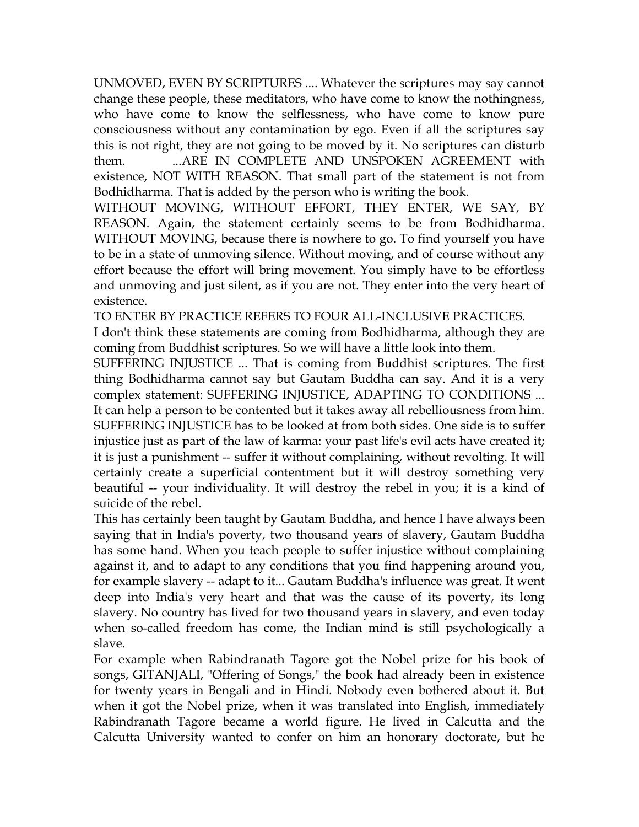UNMOVED, EVEN BY SCRIPTURES .... Whatever the scriptures may say cannot change these people, these meditators, who have come to know the nothingness, who have come to know the selflessness, who have come to know pure consciousness without any contamination by ego. Even if all the scriptures say this is not right, they are not going to be moved by it. No scriptures can disturb them. ...ARE IN COMPLETE AND UNSPOKEN AGREEMENT with existence, NOT WITH REASON. That small part of the statement is not from Bodhidharma. That is added by the person who is writing the book.

WITHOUT MOVING, WITHOUT EFFORT, THEY ENTER, WE SAY, BY REASON. Again, the statement certainly seems to be from Bodhidharma. WITHOUT MOVING, because there is nowhere to go. To find yourself you have to be in a state of unmoving silence. Without moving, and of course without any effort because the effort will bring movement. You simply have to be effortless and unmoving and just silent, as if you are not. They enter into the very heart of existence.

TO ENTER BY PRACTICE REFERS TO FOUR ALL-INCLUSIVE PRACTICES.

I don't think these statements are coming from Bodhidharma, although they are coming from Buddhist scriptures. So we will have a little look into them.

SUFFERING INJUSTICE ... That is coming from Buddhist scriptures. The first thing Bodhidharma cannot say but Gautam Buddha can say. And it is a very complex statement: SUFFERING INJUSTICE, ADAPTING TO CONDITIONS ...

It can help a person to be contented but it takes away all rebelliousness from him. SUFFERING INJUSTICE has to be looked at from both sides. One side is to suffer injustice just as part of the law of karma: your past life's evil acts have created it; it is just a punishment -- suffer it without complaining, without revolting. It will certainly create a superficial contentment but it will destroy something very beautiful -- your individuality. It will destroy the rebel in you; it is a kind of suicide of the rebel.

This has certainly been taught by Gautam Buddha, and hence I have always been saying that in India's poverty, two thousand years of slavery, Gautam Buddha has some hand. When you teach people to suffer injustice without complaining against it, and to adapt to any conditions that you find happening around you, for example slavery -- adapt to it... Gautam Buddha's influence was great. It went deep into India's very heart and that was the cause of its poverty, its long slavery. No country has lived for two thousand years in slavery, and even today when so-called freedom has come, the Indian mind is still psychologically a slave.

For example when Rabindranath Tagore got the Nobel prize for his book of songs, GITANJALI, "Offering of Songs," the book had already been in existence for twenty years in Bengali and in Hindi. Nobody even bothered about it. But when it got the Nobel prize, when it was translated into English, immediately Rabindranath Tagore became a world figure. He lived in Calcutta and the Calcutta University wanted to confer on him an honorary doctorate, but he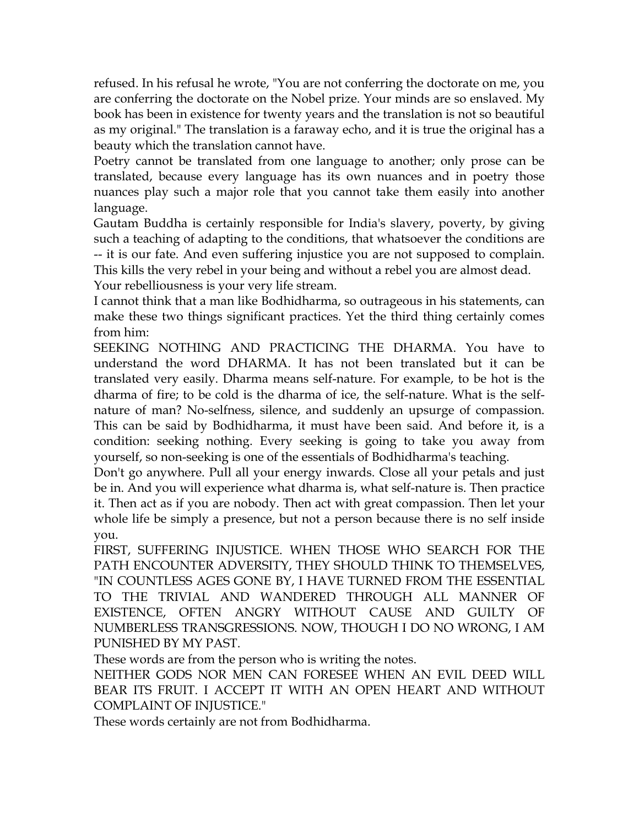refused. In his refusal he wrote, "You are not conferring the doctorate on me, you are conferring the doctorate on the Nobel prize. Your minds are so enslaved. My book has been in existence for twenty years and the translation is not so beautiful as my original." The translation is a faraway echo, and it is true the original has a beauty which the translation cannot have.

Poetry cannot be translated from one language to another; only prose can be translated, because every language has its own nuances and in poetry those nuances play such a major role that you cannot take them easily into another language.

Gautam Buddha is certainly responsible for India's slavery, poverty, by giving such a teaching of adapting to the conditions, that whatsoever the conditions are -- it is our fate. And even suffering injustice you are not supposed to complain. This kills the very rebel in your being and without a rebel you are almost dead.

Your rebelliousness is your very life stream.

I cannot think that a man like Bodhidharma, so outrageous in his statements, can make these two things significant practices. Yet the third thing certainly comes from him:

SEEKING NOTHING AND PRACTICING THE DHARMA. You have to understand the word DHARMA. It has not been translated but it can be translated very easily. Dharma means self-nature. For example, to be hot is the dharma of fire; to be cold is the dharma of ice, the self-nature. What is the selfnature of man? No-selfness, silence, and suddenly an upsurge of compassion. This can be said by Bodhidharma, it must have been said. And before it, is a condition: seeking nothing. Every seeking is going to take you away from yourself, so non-seeking is one of the essentials of Bodhidharma's teaching.

Don't go anywhere. Pull all your energy inwards. Close all your petals and just be in. And you will experience what dharma is, what self-nature is. Then practice it. Then act as if you are nobody. Then act with great compassion. Then let your whole life be simply a presence, but not a person because there is no self inside you.

FIRST, SUFFERING INJUSTICE. WHEN THOSE WHO SEARCH FOR THE PATH ENCOUNTER ADVERSITY, THEY SHOULD THINK TO THEMSELVES, "IN COUNTLESS AGES GONE BY, I HAVE TURNED FROM THE ESSENTIAL TO THE TRIVIAL AND WANDERED THROUGH ALL MANNER OF EXISTENCE, OFTEN ANGRY WITHOUT CAUSE AND GUILTY OF NUMBERLESS TRANSGRESSIONS. NOW, THOUGH I DO NO WRONG, I AM PUNISHED BY MY PAST.

These words are from the person who is writing the notes.

NEITHER GODS NOR MEN CAN FORESEE WHEN AN EVIL DEED WILL BEAR ITS FRUIT. I ACCEPT IT WITH AN OPEN HEART AND WITHOUT COMPLAINT OF INJUSTICE."

These words certainly are not from Bodhidharma.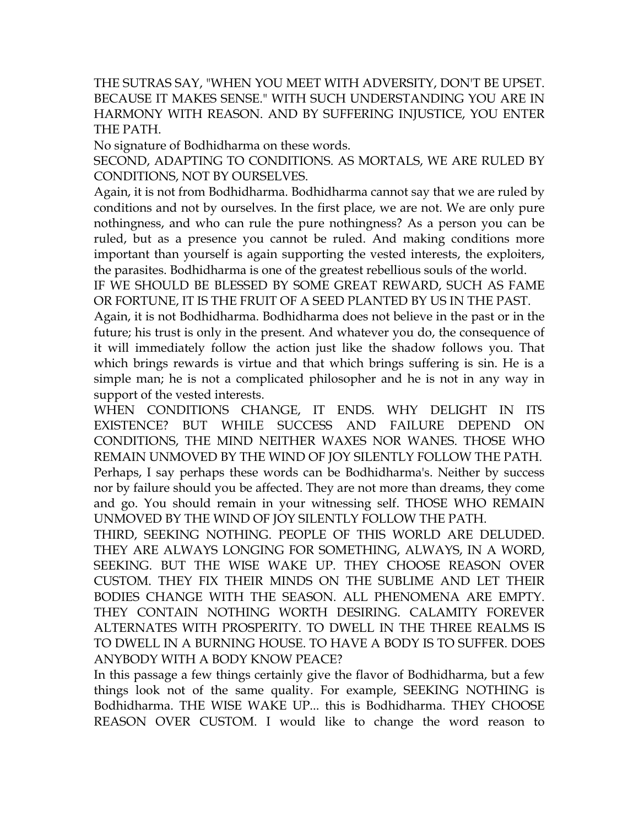THE SUTRAS SAY, "WHEN YOU MEET WITH ADVERSITY, DON'T BE UPSET. BECAUSE IT MAKES SENSE." WITH SUCH UNDERSTANDING YOU ARE IN HARMONY WITH REASON. AND BY SUFFERING INJUSTICE, YOU ENTER THE PATH.

No signature of Bodhidharma on these words.

SECOND, ADAPTING TO CONDITIONS. AS MORTALS, WE ARE RULED BY CONDITIONS, NOT BY OURSELVES.

Again, it is not from Bodhidharma. Bodhidharma cannot say that we are ruled by conditions and not by ourselves. In the first place, we are not. We are only pure nothingness, and who can rule the pure nothingness? As a person you can be ruled, but as a presence you cannot be ruled. And making conditions more important than yourself is again supporting the vested interests, the exploiters, the parasites. Bodhidharma is one of the greatest rebellious souls of the world.

IF WE SHOULD BE BLESSED BY SOME GREAT REWARD, SUCH AS FAME OR FORTUNE, IT IS THE FRUIT OF A SEED PLANTED BY US IN THE PAST.

Again, it is not Bodhidharma. Bodhidharma does not believe in the past or in the future; his trust is only in the present. And whatever you do, the consequence of it will immediately follow the action just like the shadow follows you. That which brings rewards is virtue and that which brings suffering is sin. He is a simple man; he is not a complicated philosopher and he is not in any way in support of the vested interests.

WHEN CONDITIONS CHANGE, IT ENDS. WHY DELIGHT IN ITS EXISTENCE? BUT WHILE SUCCESS AND FAILURE DEPEND ON CONDITIONS, THE MIND NEITHER WAXES NOR WANES. THOSE WHO REMAIN UNMOVED BY THE WIND OF JOY SILENTLY FOLLOW THE PATH. Perhaps, I say perhaps these words can be Bodhidharma's. Neither by success nor by failure should you be affected. They are not more than dreams, they come and go. You should remain in your witnessing self. THOSE WHO REMAIN UNMOVED BY THE WIND OF JOY SILENTLY FOLLOW THE PATH.

THIRD, SEEKING NOTHING. PEOPLE OF THIS WORLD ARE DELUDED. THEY ARE ALWAYS LONGING FOR SOMETHING, ALWAYS, IN A WORD, SEEKING. BUT THE WISE WAKE UP. THEY CHOOSE REASON OVER CUSTOM. THEY FIX THEIR MINDS ON THE SUBLIME AND LET THEIR BODIES CHANGE WITH THE SEASON. ALL PHENOMENA ARE EMPTY. THEY CONTAIN NOTHING WORTH DESIRING. CALAMITY FOREVER ALTERNATES WITH PROSPERITY. TO DWELL IN THE THREE REALMS IS TO DWELL IN A BURNING HOUSE. TO HAVE A BODY IS TO SUFFER. DOES ANYBODY WITH A BODY KNOW PEACE?

In this passage a few things certainly give the flavor of Bodhidharma, but a few things look not of the same quality. For example, SEEKING NOTHING is Bodhidharma. THE WISE WAKE UP... this is Bodhidharma. THEY CHOOSE REASON OVER CUSTOM. I would like to change the word reason to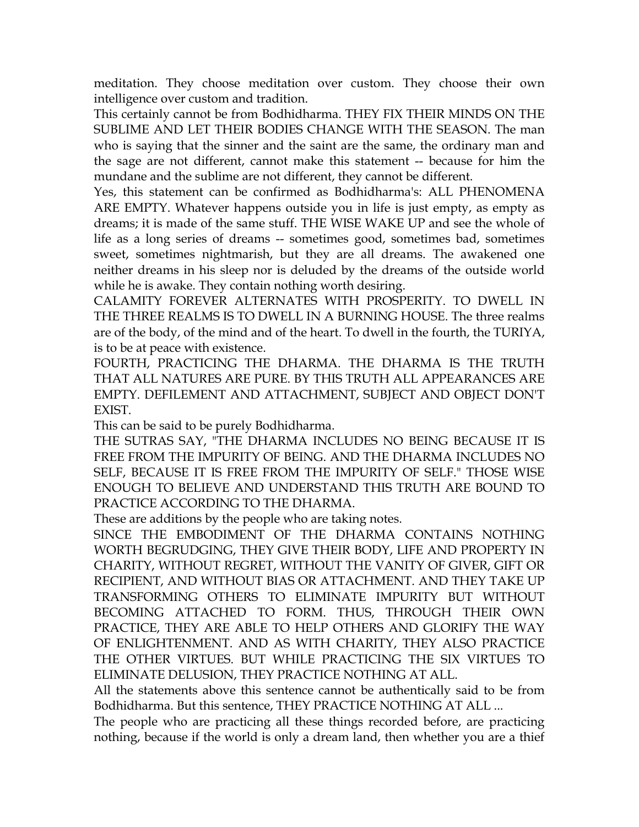meditation. They choose meditation over custom. They choose their own intelligence over custom and tradition.

This certainly cannot be from Bodhidharma. THEY FIX THEIR MINDS ON THE SUBLIME AND LET THEIR BODIES CHANGE WITH THE SEASON. The man who is saying that the sinner and the saint are the same, the ordinary man and the sage are not different, cannot make this statement -- because for him the mundane and the sublime are not different, they cannot be different.

Yes, this statement can be confirmed as Bodhidharma's: ALL PHENOMENA ARE EMPTY. Whatever happens outside you in life is just empty, as empty as dreams; it is made of the same stuff. THE WISE WAKE UP and see the whole of life as a long series of dreams -- sometimes good, sometimes bad, sometimes sweet, sometimes nightmarish, but they are all dreams. The awakened one neither dreams in his sleep nor is deluded by the dreams of the outside world while he is awake. They contain nothing worth desiring.

CALAMITY FOREVER ALTERNATES WITH PROSPERITY. TO DWELL IN THE THREE REALMS IS TO DWELL IN A BURNING HOUSE. The three realms are of the body, of the mind and of the heart. To dwell in the fourth, the TURIYA, is to be at peace with existence.

FOURTH, PRACTICING THE DHARMA. THE DHARMA IS THE TRUTH THAT ALL NATURES ARE PURE. BY THIS TRUTH ALL APPEARANCES ARE EMPTY. DEFILEMENT AND ATTACHMENT, SUBJECT AND OBJECT DON'T EXIST.

This can be said to be purely Bodhidharma.

THE SUTRAS SAY, "THE DHARMA INCLUDES NO BEING BECAUSE IT IS FREE FROM THE IMPURITY OF BEING. AND THE DHARMA INCLUDES NO SELF, BECAUSE IT IS FREE FROM THE IMPURITY OF SELF." THOSE WISE ENOUGH TO BELIEVE AND UNDERSTAND THIS TRUTH ARE BOUND TO PRACTICE ACCORDING TO THE DHARMA.

These are additions by the people who are taking notes.

SINCE THE EMBODIMENT OF THE DHARMA CONTAINS NOTHING WORTH BEGRUDGING, THEY GIVE THEIR BODY, LIFE AND PROPERTY IN CHARITY, WITHOUT REGRET, WITHOUT THE VANITY OF GIVER, GIFT OR RECIPIENT, AND WITHOUT BIAS OR ATTACHMENT. AND THEY TAKE UP TRANSFORMING OTHERS TO ELIMINATE IMPURITY BUT WITHOUT BECOMING ATTACHED TO FORM. THUS, THROUGH THEIR OWN PRACTICE, THEY ARE ABLE TO HELP OTHERS AND GLORIFY THE WAY OF ENLIGHTENMENT. AND AS WITH CHARITY, THEY ALSO PRACTICE THE OTHER VIRTUES. BUT WHILE PRACTICING THE SIX VIRTUES TO ELIMINATE DELUSION, THEY PRACTICE NOTHING AT ALL.

All the statements above this sentence cannot be authentically said to be from Bodhidharma. But this sentence, THEY PRACTICE NOTHING AT ALL ...

The people who are practicing all these things recorded before, are practicing nothing, because if the world is only a dream land, then whether you are a thief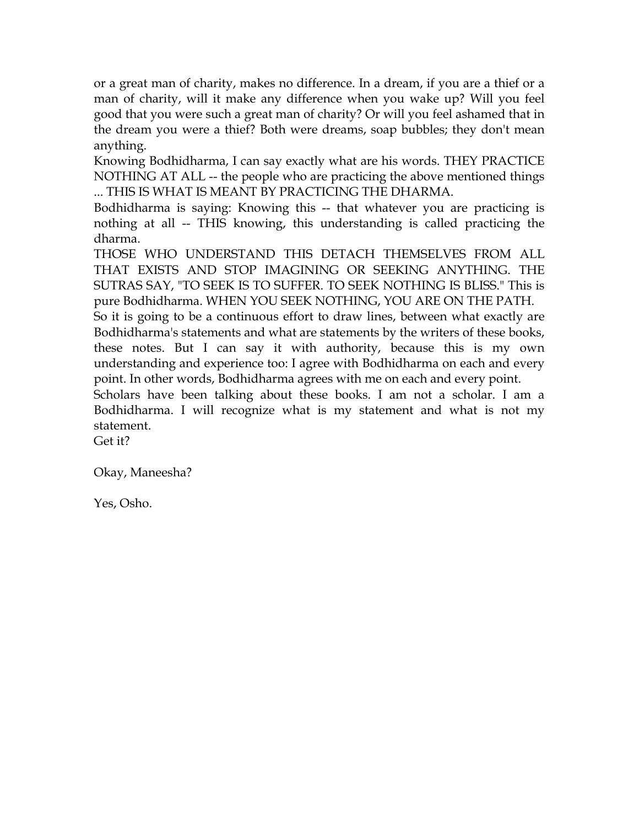or a great man of charity, makes no difference. In a dream, if you are a thief or a man of charity, will it make any difference when you wake up? Will you feel good that you were such a great man of charity? Or will you feel ashamed that in the dream you were a thief? Both were dreams, soap bubbles; they don't mean anything.

Knowing Bodhidharma, I can say exactly what are his words. THEY PRACTICE NOTHING AT ALL -- the people who are practicing the above mentioned things ... THIS IS WHAT IS MEANT BY PRACTICING THE DHARMA.

Bodhidharma is saying: Knowing this -- that whatever you are practicing is nothing at all -- THIS knowing, this understanding is called practicing the dharma.

THOSE WHO UNDERSTAND THIS DETACH THEMSELVES FROM ALL THAT EXISTS AND STOP IMAGINING OR SEEKING ANYTHING. THE SUTRAS SAY, "TO SEEK IS TO SUFFER. TO SEEK NOTHING IS BLISS." This is pure Bodhidharma. WHEN YOU SEEK NOTHING, YOU ARE ON THE PATH.

So it is going to be a continuous effort to draw lines, between what exactly are Bodhidharma's statements and what are statements by the writers of these books, these notes. But I can say it with authority, because this is my own understanding and experience too: I agree with Bodhidharma on each and every point. In other words, Bodhidharma agrees with me on each and every point.

Scholars have been talking about these books. I am not a scholar. I am a Bodhidharma. I will recognize what is my statement and what is not my statement.

Get it?

Okay, Maneesha?

Yes, Osho.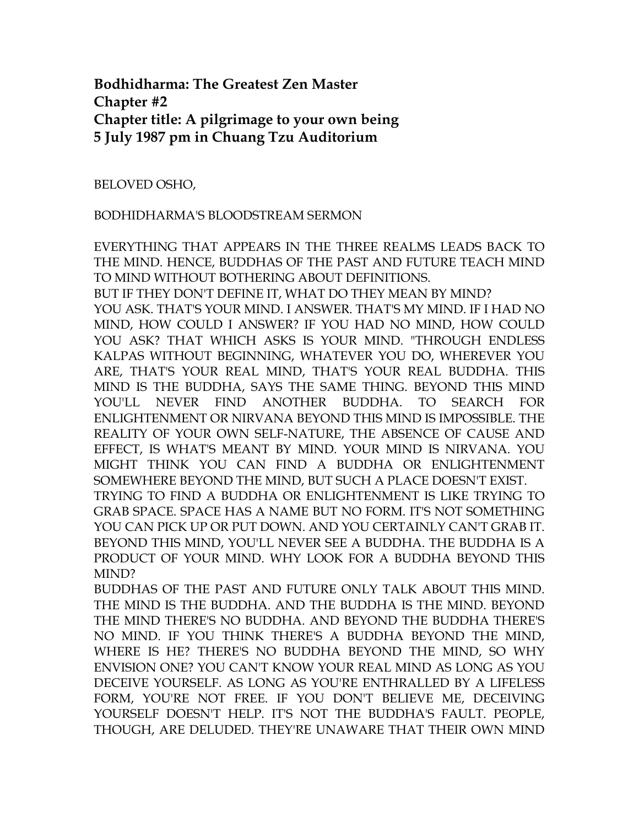## **Bodhidharma: The Greatest Zen Master Chapter #2 Chapter title: A pilgrimage to your own being 5 July 1987 pm in Chuang Tzu Auditorium**

BELOVED OSHO,

BODHIDHARMA'S BLOODSTREAM SERMON

EVERYTHING THAT APPEARS IN THE THREE REALMS LEADS BACK TO THE MIND. HENCE, BUDDHAS OF THE PAST AND FUTURE TEACH MIND TO MIND WITHOUT BOTHERING ABOUT DEFINITIONS.

BUT IF THEY DON'T DEFINE IT, WHAT DO THEY MEAN BY MIND? YOU ASK. THAT'S YOUR MIND. I ANSWER. THAT'S MY MIND. IF I HAD NO MIND, HOW COULD I ANSWER? IF YOU HAD NO MIND, HOW COULD YOU ASK? THAT WHICH ASKS IS YOUR MIND. "THROUGH ENDLESS KALPAS WITHOUT BEGINNING, WHATEVER YOU DO, WHEREVER YOU ARE, THAT'S YOUR REAL MIND, THAT'S YOUR REAL BUDDHA. THIS MIND IS THE BUDDHA, SAYS THE SAME THING. BEYOND THIS MIND YOU'LL NEVER FIND ANOTHER BUDDHA. TO SEARCH FOR ENLIGHTENMENT OR NIRVANA BEYOND THIS MIND IS IMPOSSIBLE. THE REALITY OF YOUR OWN SELF-NATURE, THE ABSENCE OF CAUSE AND EFFECT, IS WHAT'S MEANT BY MIND. YOUR MIND IS NIRVANA. YOU MIGHT THINK YOU CAN FIND A BUDDHA OR ENLIGHTENMENT SOMEWHERE BEYOND THE MIND, BUT SUCH A PLACE DOESN'T EXIST. TRYING TO FIND A BUDDHA OR ENLIGHTENMENT IS LIKE TRYING TO

GRAB SPACE. SPACE HAS A NAME BUT NO FORM. IT'S NOT SOMETHING YOU CAN PICK UP OR PUT DOWN. AND YOU CERTAINLY CAN'T GRAB IT. BEYOND THIS MIND, YOU'LL NEVER SEE A BUDDHA. THE BUDDHA IS A PRODUCT OF YOUR MIND. WHY LOOK FOR A BUDDHA BEYOND THIS MIND?

BUDDHAS OF THE PAST AND FUTURE ONLY TALK ABOUT THIS MIND. THE MIND IS THE BUDDHA. AND THE BUDDHA IS THE MIND. BEYOND THE MIND THERE'S NO BUDDHA. AND BEYOND THE BUDDHA THERE'S NO MIND. IF YOU THINK THERE'S A BUDDHA BEYOND THE MIND, WHERE IS HE? THERE'S NO BUDDHA BEYOND THE MIND, SO WHY ENVISION ONE? YOU CAN'T KNOW YOUR REAL MIND AS LONG AS YOU DECEIVE YOURSELF. AS LONG AS YOU'RE ENTHRALLED BY A LIFELESS FORM, YOU'RE NOT FREE. IF YOU DON'T BELIEVE ME, DECEIVING YOURSELF DOESN'T HELP. IT'S NOT THE BUDDHA'S FAULT. PEOPLE, THOUGH, ARE DELUDED. THEY'RE UNAWARE THAT THEIR OWN MIND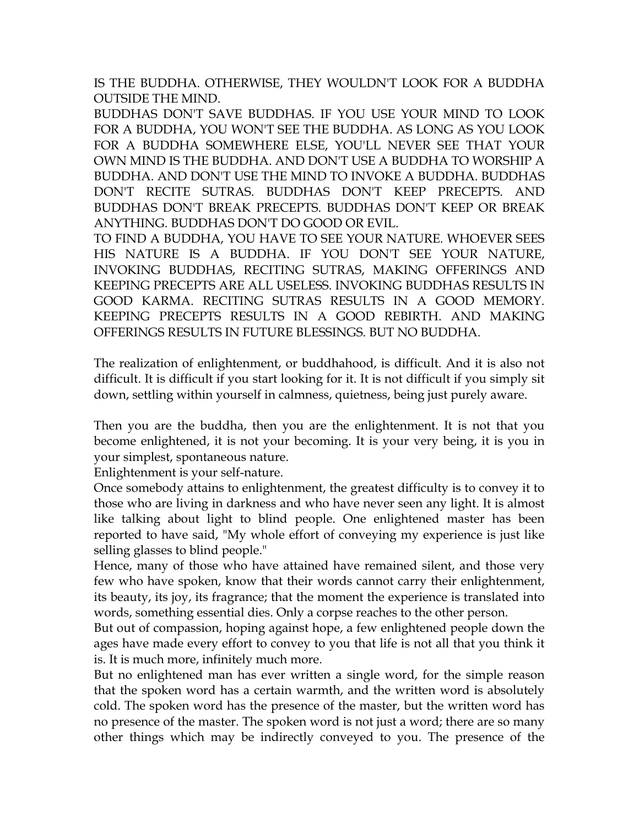IS THE BUDDHA. OTHERWISE, THEY WOULDN'T LOOK FOR A BUDDHA OUTSIDE THE MIND.

BUDDHAS DON'T SAVE BUDDHAS. IF YOU USE YOUR MIND TO LOOK FOR A BUDDHA, YOU WON'T SEE THE BUDDHA. AS LONG AS YOU LOOK FOR A BUDDHA SOMEWHERE ELSE, YOU'LL NEVER SEE THAT YOUR OWN MIND IS THE BUDDHA. AND DON'T USE A BUDDHA TO WORSHIP A BUDDHA. AND DON'T USE THE MIND TO INVOKE A BUDDHA. BUDDHAS DON'T RECITE SUTRAS. BUDDHAS DON'T KEEP PRECEPTS. AND BUDDHAS DON'T BREAK PRECEPTS. BUDDHAS DON'T KEEP OR BREAK ANYTHING. BUDDHAS DON'T DO GOOD OR EVIL.

TO FIND A BUDDHA, YOU HAVE TO SEE YOUR NATURE. WHOEVER SEES HIS NATURE IS A BUDDHA. IF YOU DON'T SEE YOUR NATURE, INVOKING BUDDHAS, RECITING SUTRAS, MAKING OFFERINGS AND KEEPING PRECEPTS ARE ALL USELESS. INVOKING BUDDHAS RESULTS IN GOOD KARMA. RECITING SUTRAS RESULTS IN A GOOD MEMORY. KEEPING PRECEPTS RESULTS IN A GOOD REBIRTH. AND MAKING OFFERINGS RESULTS IN FUTURE BLESSINGS. BUT NO BUDDHA.

The realization of enlightenment, or buddhahood, is difficult. And it is also not difficult. It is difficult if you start looking for it. It is not difficult if you simply sit down, settling within yourself in calmness, quietness, being just purely aware.

Then you are the buddha, then you are the enlightenment. It is not that you become enlightened, it is not your becoming. It is your very being, it is you in your simplest, spontaneous nature.

Enlightenment is your self-nature.

Once somebody attains to enlightenment, the greatest difficulty is to convey it to those who are living in darkness and who have never seen any light. It is almost like talking about light to blind people. One enlightened master has been reported to have said, "My whole effort of conveying my experience is just like selling glasses to blind people."

Hence, many of those who have attained have remained silent, and those very few who have spoken, know that their words cannot carry their enlightenment, its beauty, its joy, its fragrance; that the moment the experience is translated into words, something essential dies. Only a corpse reaches to the other person.

But out of compassion, hoping against hope, a few enlightened people down the ages have made every effort to convey to you that life is not all that you think it is. It is much more, infinitely much more.

But no enlightened man has ever written a single word, for the simple reason that the spoken word has a certain warmth, and the written word is absolutely cold. The spoken word has the presence of the master, but the written word has no presence of the master. The spoken word is not just a word; there are so many other things which may be indirectly conveyed to you. The presence of the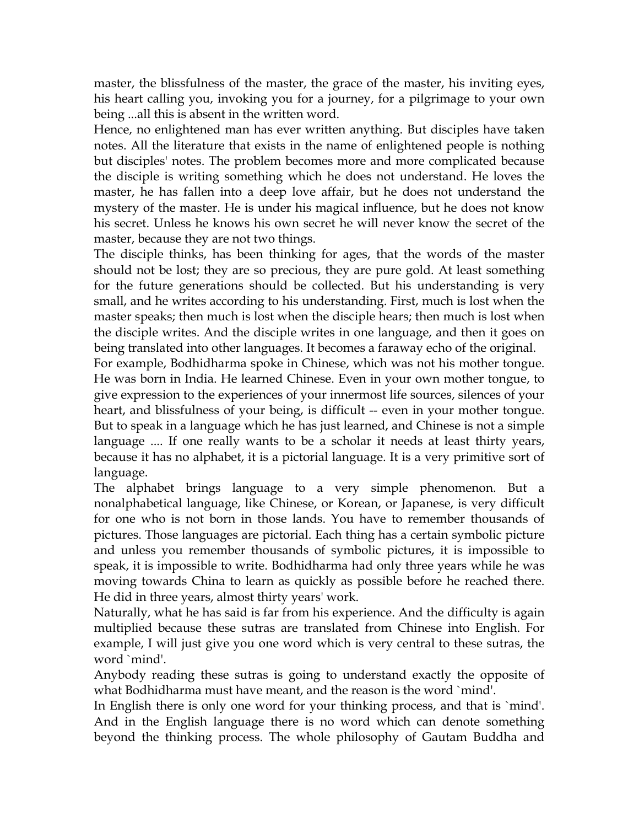master, the blissfulness of the master, the grace of the master, his inviting eyes, his heart calling you, invoking you for a journey, for a pilgrimage to your own being ...all this is absent in the written word.

Hence, no enlightened man has ever written anything. But disciples have taken notes. All the literature that exists in the name of enlightened people is nothing but disciples' notes. The problem becomes more and more complicated because the disciple is writing something which he does not understand. He loves the master, he has fallen into a deep love affair, but he does not understand the mystery of the master. He is under his magical influence, but he does not know his secret. Unless he knows his own secret he will never know the secret of the master, because they are not two things.

The disciple thinks, has been thinking for ages, that the words of the master should not be lost; they are so precious, they are pure gold. At least something for the future generations should be collected. But his understanding is very small, and he writes according to his understanding. First, much is lost when the master speaks; then much is lost when the disciple hears; then much is lost when the disciple writes. And the disciple writes in one language, and then it goes on being translated into other languages. It becomes a faraway echo of the original.

For example, Bodhidharma spoke in Chinese, which was not his mother tongue. He was born in India. He learned Chinese. Even in your own mother tongue, to give expression to the experiences of your innermost life sources, silences of your heart, and blissfulness of your being, is difficult -- even in your mother tongue. But to speak in a language which he has just learned, and Chinese is not a simple language .... If one really wants to be a scholar it needs at least thirty years, because it has no alphabet, it is a pictorial language. It is a very primitive sort of language.

The alphabet brings language to a very simple phenomenon. But a nonalphabetical language, like Chinese, or Korean, or Japanese, is very difficult for one who is not born in those lands. You have to remember thousands of pictures. Those languages are pictorial. Each thing has a certain symbolic picture and unless you remember thousands of symbolic pictures, it is impossible to speak, it is impossible to write. Bodhidharma had only three years while he was moving towards China to learn as quickly as possible before he reached there. He did in three years, almost thirty years' work.

Naturally, what he has said is far from his experience. And the difficulty is again multiplied because these sutras are translated from Chinese into English. For example, I will just give you one word which is very central to these sutras, the word `mind'.

Anybody reading these sutras is going to understand exactly the opposite of what Bodhidharma must have meant, and the reason is the word `mind'.

In English there is only one word for your thinking process, and that is `mind'. And in the English language there is no word which can denote something beyond the thinking process. The whole philosophy of Gautam Buddha and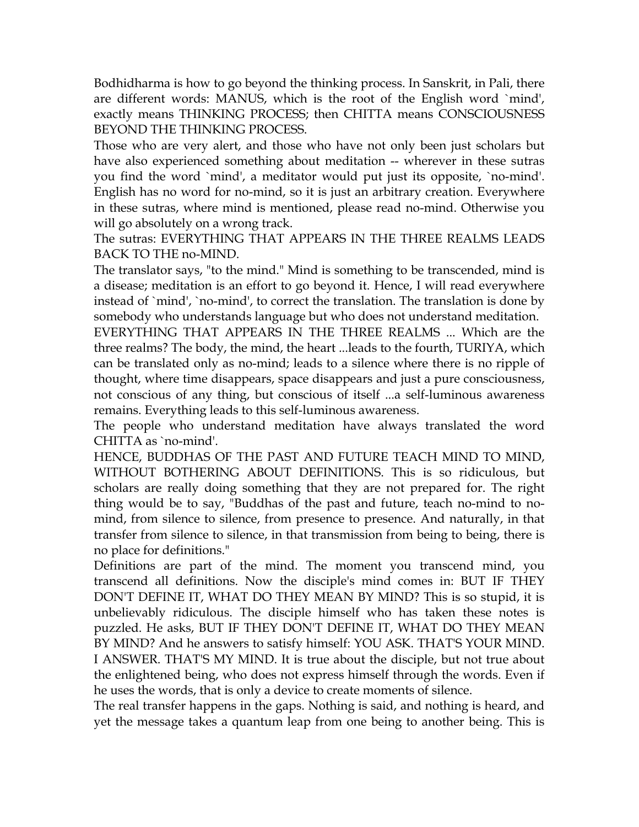Bodhidharma is how to go beyond the thinking process. In Sanskrit, in Pali, there are different words: MANUS, which is the root of the English word `mind', exactly means THINKING PROCESS; then CHITTA means CONSCIOUSNESS BEYOND THE THINKING PROCESS.

Those who are very alert, and those who have not only been just scholars but have also experienced something about meditation -- wherever in these sutras you find the word `mind', a meditator would put just its opposite, `no-mind'. English has no word for no-mind, so it is just an arbitrary creation. Everywhere in these sutras, where mind is mentioned, please read no-mind. Otherwise you will go absolutely on a wrong track.

The sutras: EVERYTHING THAT APPEARS IN THE THREE REALMS LEADS BACK TO THE no-MIND.

The translator says, "to the mind." Mind is something to be transcended, mind is a disease; meditation is an effort to go beyond it. Hence, I will read everywhere instead of `mind', `no-mind', to correct the translation. The translation is done by somebody who understands language but who does not understand meditation.

EVERYTHING THAT APPEARS IN THE THREE REALMS ... Which are the three realms? The body, the mind, the heart ...leads to the fourth, TURIYA, which can be translated only as no-mind; leads to a silence where there is no ripple of thought, where time disappears, space disappears and just a pure consciousness, not conscious of any thing, but conscious of itself ...a self-luminous awareness remains. Everything leads to this self-luminous awareness.

The people who understand meditation have always translated the word CHITTA as `no-mind'.

HENCE, BUDDHAS OF THE PAST AND FUTURE TEACH MIND TO MIND, WITHOUT BOTHERING ABOUT DEFINITIONS. This is so ridiculous, but scholars are really doing something that they are not prepared for. The right thing would be to say, "Buddhas of the past and future, teach no-mind to nomind, from silence to silence, from presence to presence. And naturally, in that transfer from silence to silence, in that transmission from being to being, there is no place for definitions."

Definitions are part of the mind. The moment you transcend mind, you transcend all definitions. Now the disciple's mind comes in: BUT IF THEY DON'T DEFINE IT, WHAT DO THEY MEAN BY MIND? This is so stupid, it is unbelievably ridiculous. The disciple himself who has taken these notes is puzzled. He asks, BUT IF THEY DON'T DEFINE IT, WHAT DO THEY MEAN BY MIND? And he answers to satisfy himself: YOU ASK. THAT'S YOUR MIND. I ANSWER. THAT'S MY MIND. It is true about the disciple, but not true about the enlightened being, who does not express himself through the words. Even if he uses the words, that is only a device to create moments of silence.

The real transfer happens in the gaps. Nothing is said, and nothing is heard, and yet the message takes a quantum leap from one being to another being. This is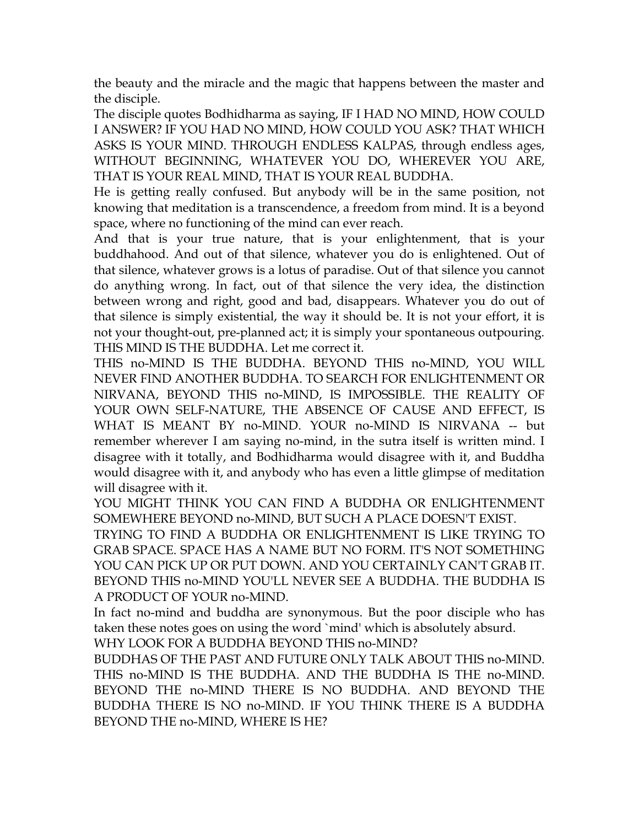the beauty and the miracle and the magic that happens between the master and the disciple.

The disciple quotes Bodhidharma as saying, IF I HAD NO MIND, HOW COULD I ANSWER? IF YOU HAD NO MIND, HOW COULD YOU ASK? THAT WHICH ASKS IS YOUR MIND. THROUGH ENDLESS KALPAS, through endless ages, WITHOUT BEGINNING, WHATEVER YOU DO, WHEREVER YOU ARE, THAT IS YOUR REAL MIND, THAT IS YOUR REAL BUDDHA.

He is getting really confused. But anybody will be in the same position, not knowing that meditation is a transcendence, a freedom from mind. It is a beyond space, where no functioning of the mind can ever reach.

And that is your true nature, that is your enlightenment, that is your buddhahood. And out of that silence, whatever you do is enlightened. Out of that silence, whatever grows is a lotus of paradise. Out of that silence you cannot do anything wrong. In fact, out of that silence the very idea, the distinction between wrong and right, good and bad, disappears. Whatever you do out of that silence is simply existential, the way it should be. It is not your effort, it is not your thought-out, pre-planned act; it is simply your spontaneous outpouring. THIS MIND IS THE BUDDHA. Let me correct it.

THIS no-MIND IS THE BUDDHA. BEYOND THIS no-MIND, YOU WILL NEVER FIND ANOTHER BUDDHA. TO SEARCH FOR ENLIGHTENMENT OR NIRVANA, BEYOND THIS no-MIND, IS IMPOSSIBLE. THE REALITY OF YOUR OWN SELF-NATURE, THE ABSENCE OF CAUSE AND EFFECT, IS WHAT IS MEANT BY no-MIND. YOUR no-MIND IS NIRVANA -- but remember wherever I am saying no-mind, in the sutra itself is written mind. I disagree with it totally, and Bodhidharma would disagree with it, and Buddha would disagree with it, and anybody who has even a little glimpse of meditation will disagree with it.

YOU MIGHT THINK YOU CAN FIND A BUDDHA OR ENLIGHTENMENT SOMEWHERE BEYOND no-MIND, BUT SUCH A PLACE DOESN'T EXIST.

TRYING TO FIND A BUDDHA OR ENLIGHTENMENT IS LIKE TRYING TO GRAB SPACE. SPACE HAS A NAME BUT NO FORM. IT'S NOT SOMETHING YOU CAN PICK UP OR PUT DOWN. AND YOU CERTAINLY CAN'T GRAB IT. BEYOND THIS no-MIND YOU'LL NEVER SEE A BUDDHA. THE BUDDHA IS A PRODUCT OF YOUR no-MIND.

In fact no-mind and buddha are synonymous. But the poor disciple who has taken these notes goes on using the word `mind' which is absolutely absurd.

WHY LOOK FOR A BUDDHA BEYOND THIS no-MIND?

BUDDHAS OF THE PAST AND FUTURE ONLY TALK ABOUT THIS no-MIND. THIS no-MIND IS THE BUDDHA. AND THE BUDDHA IS THE no-MIND. BEYOND THE no-MIND THERE IS NO BUDDHA. AND BEYOND THE BUDDHA THERE IS NO no-MIND. IF YOU THINK THERE IS A BUDDHA BEYOND THE no-MIND, WHERE IS HE?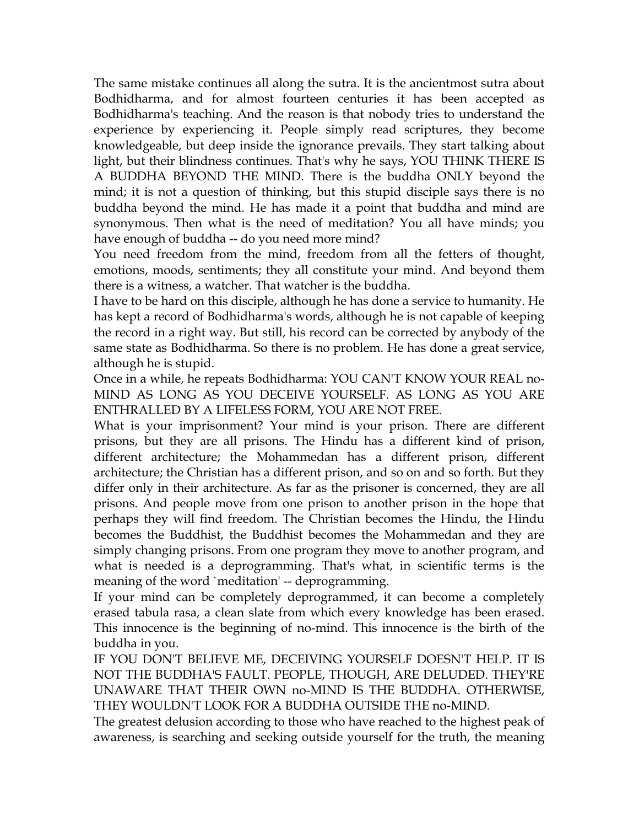The same mistake continues all along the sutra. It is the ancientmost sutra about Bodhidharma, and for almost fourteen centuries it has been accepted as Bodhidharma's teaching. And the reason is that nobody tries to understand the experience by experiencing it. People simply read scriptures, they become knowledgeable, but deep inside the ignorance prevails. They start talking about light, but their blindness continues. That's why he says, YOU THINK THERE IS A BUDDHA BEYOND THE MIND. There is the buddha ONLY beyond the mind; it is not a question of thinking, but this stupid disciple says there is no buddha beyond the mind. He has made it a point that buddha and mind are synonymous. Then what is the need of meditation? You all have minds; you have enough of buddha -- do you need more mind?

You need freedom from the mind, freedom from all the fetters of thought, emotions, moods, sentiments; they all constitute your mind. And beyond them there is a witness, a watcher. That watcher is the buddha.

I have to be hard on this disciple, although he has done a service to humanity. He has kept a record of Bodhidharma's words, although he is not capable of keeping the record in a right way. But still, his record can be corrected by anybody of the same state as Bodhidharma. So there is no problem. He has done a great service, although he is stupid.

Once in a while, he repeats Bodhidharma: YOU CAN'T KNOW YOUR REAL no-MIND AS LONG AS YOU DECEIVE YOURSELF. AS LONG AS YOU ARE ENTHRALLED BY A LIFELESS FORM, YOU ARE NOT FREE.

What is your imprisonment? Your mind is your prison. There are different prisons, but they are all prisons. The Hindu has a different kind of prison, different architecture; the Mohammedan has a different prison, different architecture; the Christian has a different prison, and so on and so forth. But they differ only in their architecture. As far as the prisoner is concerned, they are all prisons. And people move from one prison to another prison in the hope that perhaps they will find freedom. The Christian becomes the Hindu, the Hindu becomes the Buddhist, the Buddhist becomes the Mohammedan and they are simply changing prisons. From one program they move to another program, and what is needed is a deprogramming. That's what, in scientific terms is the meaning of the word `meditation' -- deprogramming.

If your mind can be completely deprogrammed, it can become a completely erased tabula rasa, a clean slate from which every knowledge has been erased. This innocence is the beginning of no-mind. This innocence is the birth of the buddha in you.

IF YOU DON'T BELIEVE ME, DECEIVING YOURSELF DOESN'T HELP. IT IS NOT THE BUDDHA'S FAULT. PEOPLE, THOUGH, ARE DELUDED. THEY'RE UNAWARE THAT THEIR OWN no-MIND IS THE BUDDHA. OTHERWISE, THEY WOULDN'T LOOK FOR A BUDDHA OUTSIDE THE no-MIND.

The greatest delusion according to those who have reached to the highest peak of awareness, is searching and seeking outside yourself for the truth, the meaning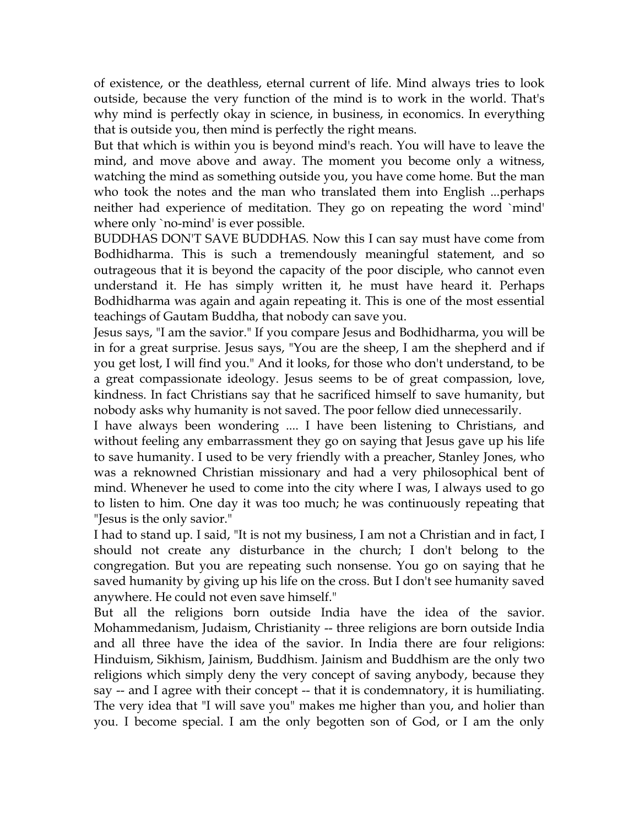of existence, or the deathless, eternal current of life. Mind always tries to look outside, because the very function of the mind is to work in the world. That's why mind is perfectly okay in science, in business, in economics. In everything that is outside you, then mind is perfectly the right means.

But that which is within you is beyond mind's reach. You will have to leave the mind, and move above and away. The moment you become only a witness, watching the mind as something outside you, you have come home. But the man who took the notes and the man who translated them into English ...perhaps neither had experience of meditation. They go on repeating the word `mind' where only `no-mind' is ever possible.

BUDDHAS DON'T SAVE BUDDHAS. Now this I can say must have come from Bodhidharma. This is such a tremendously meaningful statement, and so outrageous that it is beyond the capacity of the poor disciple, who cannot even understand it. He has simply written it, he must have heard it. Perhaps Bodhidharma was again and again repeating it. This is one of the most essential teachings of Gautam Buddha, that nobody can save you.

Jesus says, "I am the savior." If you compare Jesus and Bodhidharma, you will be in for a great surprise. Jesus says, "You are the sheep, I am the shepherd and if you get lost, I will find you." And it looks, for those who don't understand, to be a great compassionate ideology. Jesus seems to be of great compassion, love, kindness. In fact Christians say that he sacrificed himself to save humanity, but nobody asks why humanity is not saved. The poor fellow died unnecessarily.

I have always been wondering .... I have been listening to Christians, and without feeling any embarrassment they go on saying that Jesus gave up his life to save humanity. I used to be very friendly with a preacher, Stanley Jones, who was a reknowned Christian missionary and had a very philosophical bent of mind. Whenever he used to come into the city where I was, I always used to go to listen to him. One day it was too much; he was continuously repeating that "Jesus is the only savior."

I had to stand up. I said, "It is not my business, I am not a Christian and in fact, I should not create any disturbance in the church; I don't belong to the congregation. But you are repeating such nonsense. You go on saying that he saved humanity by giving up his life on the cross. But I don't see humanity saved anywhere. He could not even save himself."

But all the religions born outside India have the idea of the savior. Mohammedanism, Judaism, Christianity -- three religions are born outside India and all three have the idea of the savior. In India there are four religions: Hinduism, Sikhism, Jainism, Buddhism. Jainism and Buddhism are the only two religions which simply deny the very concept of saving anybody, because they say -- and I agree with their concept -- that it is condemnatory, it is humiliating. The very idea that "I will save you" makes me higher than you, and holier than you. I become special. I am the only begotten son of God, or I am the only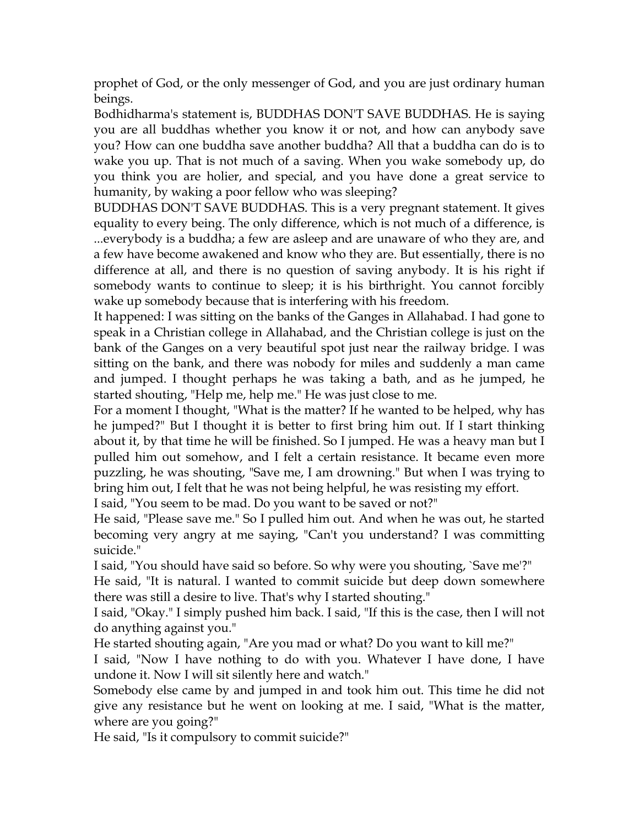prophet of God, or the only messenger of God, and you are just ordinary human beings.

Bodhidharma's statement is, BUDDHAS DON'T SAVE BUDDHAS. He is saying you are all buddhas whether you know it or not, and how can anybody save you? How can one buddha save another buddha? All that a buddha can do is to wake you up. That is not much of a saving. When you wake somebody up, do you think you are holier, and special, and you have done a great service to humanity, by waking a poor fellow who was sleeping?

BUDDHAS DON'T SAVE BUDDHAS. This is a very pregnant statement. It gives equality to every being. The only difference, which is not much of a difference, is ...everybody is a buddha; a few are asleep and are unaware of who they are, and a few have become awakened and know who they are. But essentially, there is no difference at all, and there is no question of saving anybody. It is his right if somebody wants to continue to sleep; it is his birthright. You cannot forcibly wake up somebody because that is interfering with his freedom.

It happened: I was sitting on the banks of the Ganges in Allahabad. I had gone to speak in a Christian college in Allahabad, and the Christian college is just on the bank of the Ganges on a very beautiful spot just near the railway bridge. I was sitting on the bank, and there was nobody for miles and suddenly a man came and jumped. I thought perhaps he was taking a bath, and as he jumped, he started shouting, "Help me, help me." He was just close to me.

For a moment I thought, "What is the matter? If he wanted to be helped, why has he jumped?" But I thought it is better to first bring him out. If I start thinking about it, by that time he will be finished. So I jumped. He was a heavy man but I pulled him out somehow, and I felt a certain resistance. It became even more puzzling, he was shouting, "Save me, I am drowning." But when I was trying to bring him out, I felt that he was not being helpful, he was resisting my effort.

I said, "You seem to be mad. Do you want to be saved or not?"

He said, "Please save me." So I pulled him out. And when he was out, he started becoming very angry at me saying, "Can't you understand? I was committing suicide."

I said, "You should have said so before. So why were you shouting, `Save me'?"

He said, "It is natural. I wanted to commit suicide but deep down somewhere there was still a desire to live. That's why I started shouting."

I said, "Okay." I simply pushed him back. I said, "If this is the case, then I will not do anything against you."

He started shouting again, "Are you mad or what? Do you want to kill me?"

I said, "Now I have nothing to do with you. Whatever I have done, I have undone it. Now I will sit silently here and watch."

Somebody else came by and jumped in and took him out. This time he did not give any resistance but he went on looking at me. I said, "What is the matter, where are you going?"

He said, "Is it compulsory to commit suicide?"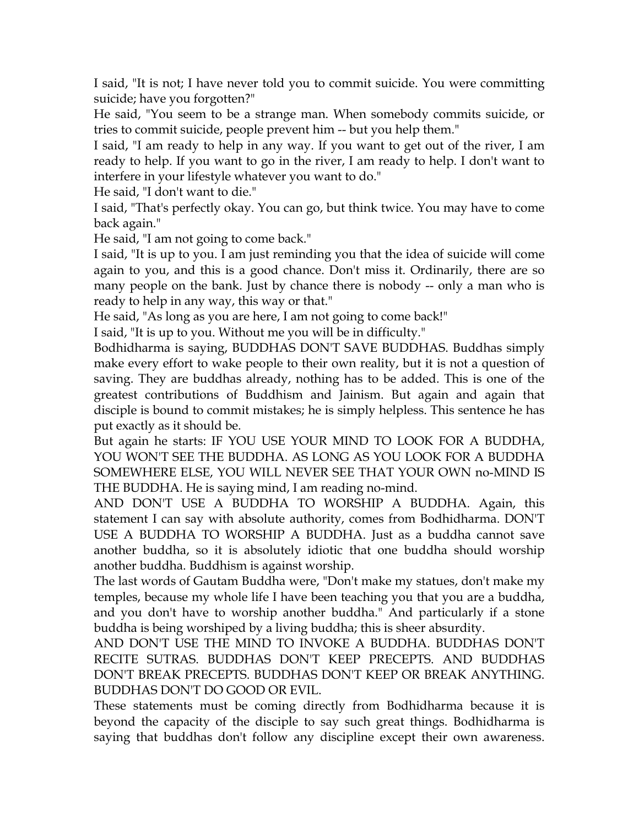I said, "It is not; I have never told you to commit suicide. You were committing suicide; have you forgotten?"

He said, "You seem to be a strange man. When somebody commits suicide, or tries to commit suicide, people prevent him -- but you help them."

I said, "I am ready to help in any way. If you want to get out of the river, I am ready to help. If you want to go in the river, I am ready to help. I don't want to interfere in your lifestyle whatever you want to do."

He said, "I don't want to die."

I said, "That's perfectly okay. You can go, but think twice. You may have to come back again."

He said, "I am not going to come back."

I said, "It is up to you. I am just reminding you that the idea of suicide will come again to you, and this is a good chance. Don't miss it. Ordinarily, there are so many people on the bank. Just by chance there is nobody -- only a man who is ready to help in any way, this way or that."

He said, "As long as you are here, I am not going to come back!"

I said, "It is up to you. Without me you will be in difficulty."

Bodhidharma is saying, BUDDHAS DON'T SAVE BUDDHAS. Buddhas simply make every effort to wake people to their own reality, but it is not a question of saving. They are buddhas already, nothing has to be added. This is one of the greatest contributions of Buddhism and Jainism. But again and again that disciple is bound to commit mistakes; he is simply helpless. This sentence he has put exactly as it should be.

But again he starts: IF YOU USE YOUR MIND TO LOOK FOR A BUDDHA, YOU WON'T SEE THE BUDDHA. AS LONG AS YOU LOOK FOR A BUDDHA SOMEWHERE ELSE, YOU WILL NEVER SEE THAT YOUR OWN no-MIND IS THE BUDDHA. He is saying mind, I am reading no-mind.

AND DON'T USE A BUDDHA TO WORSHIP A BUDDHA. Again, this statement I can say with absolute authority, comes from Bodhidharma. DON'T USE A BUDDHA TO WORSHIP A BUDDHA. Just as a buddha cannot save another buddha, so it is absolutely idiotic that one buddha should worship another buddha. Buddhism is against worship.

The last words of Gautam Buddha were, "Don't make my statues, don't make my temples, because my whole life I have been teaching you that you are a buddha, and you don't have to worship another buddha." And particularly if a stone buddha is being worshiped by a living buddha; this is sheer absurdity.

AND DON'T USE THE MIND TO INVOKE A BUDDHA. BUDDHAS DON'T RECITE SUTRAS. BUDDHAS DON'T KEEP PRECEPTS. AND BUDDHAS DON'T BREAK PRECEPTS. BUDDHAS DON'T KEEP OR BREAK ANYTHING. BUDDHAS DON'T DO GOOD OR EVIL.

These statements must be coming directly from Bodhidharma because it is beyond the capacity of the disciple to say such great things. Bodhidharma is saying that buddhas don't follow any discipline except their own awareness.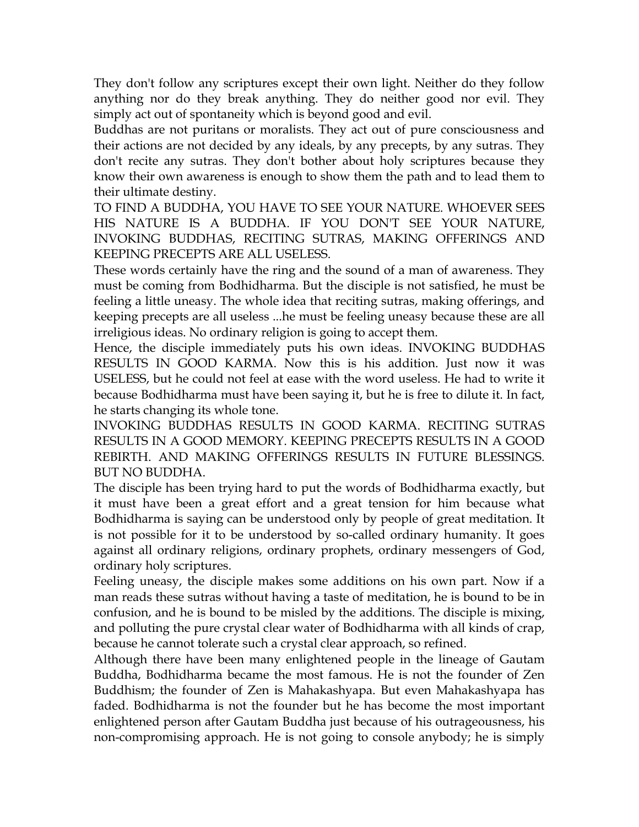They don't follow any scriptures except their own light. Neither do they follow anything nor do they break anything. They do neither good nor evil. They simply act out of spontaneity which is beyond good and evil.

Buddhas are not puritans or moralists. They act out of pure consciousness and their actions are not decided by any ideals, by any precepts, by any sutras. They don't recite any sutras. They don't bother about holy scriptures because they know their own awareness is enough to show them the path and to lead them to their ultimate destiny.

TO FIND A BUDDHA, YOU HAVE TO SEE YOUR NATURE. WHOEVER SEES HIS NATURE IS A BUDDHA. IF YOU DON'T SEE YOUR NATURE, INVOKING BUDDHAS, RECITING SUTRAS, MAKING OFFERINGS AND KEEPING PRECEPTS ARE ALL USELESS.

These words certainly have the ring and the sound of a man of awareness. They must be coming from Bodhidharma. But the disciple is not satisfied, he must be feeling a little uneasy. The whole idea that reciting sutras, making offerings, and keeping precepts are all useless ...he must be feeling uneasy because these are all irreligious ideas. No ordinary religion is going to accept them.

Hence, the disciple immediately puts his own ideas. INVOKING BUDDHAS RESULTS IN GOOD KARMA. Now this is his addition. Just now it was USELESS, but he could not feel at ease with the word useless. He had to write it because Bodhidharma must have been saying it, but he is free to dilute it. In fact, he starts changing its whole tone.

INVOKING BUDDHAS RESULTS IN GOOD KARMA. RECITING SUTRAS RESULTS IN A GOOD MEMORY. KEEPING PRECEPTS RESULTS IN A GOOD REBIRTH. AND MAKING OFFERINGS RESULTS IN FUTURE BLESSINGS. BUT NO BUDDHA.

The disciple has been trying hard to put the words of Bodhidharma exactly, but it must have been a great effort and a great tension for him because what Bodhidharma is saying can be understood only by people of great meditation. It is not possible for it to be understood by so-called ordinary humanity. It goes against all ordinary religions, ordinary prophets, ordinary messengers of God, ordinary holy scriptures.

Feeling uneasy, the disciple makes some additions on his own part. Now if a man reads these sutras without having a taste of meditation, he is bound to be in confusion, and he is bound to be misled by the additions. The disciple is mixing, and polluting the pure crystal clear water of Bodhidharma with all kinds of crap, because he cannot tolerate such a crystal clear approach, so refined.

Although there have been many enlightened people in the lineage of Gautam Buddha, Bodhidharma became the most famous. He is not the founder of Zen Buddhism; the founder of Zen is Mahakashyapa. But even Mahakashyapa has faded. Bodhidharma is not the founder but he has become the most important enlightened person after Gautam Buddha just because of his outrageousness, his non-compromising approach. He is not going to console anybody; he is simply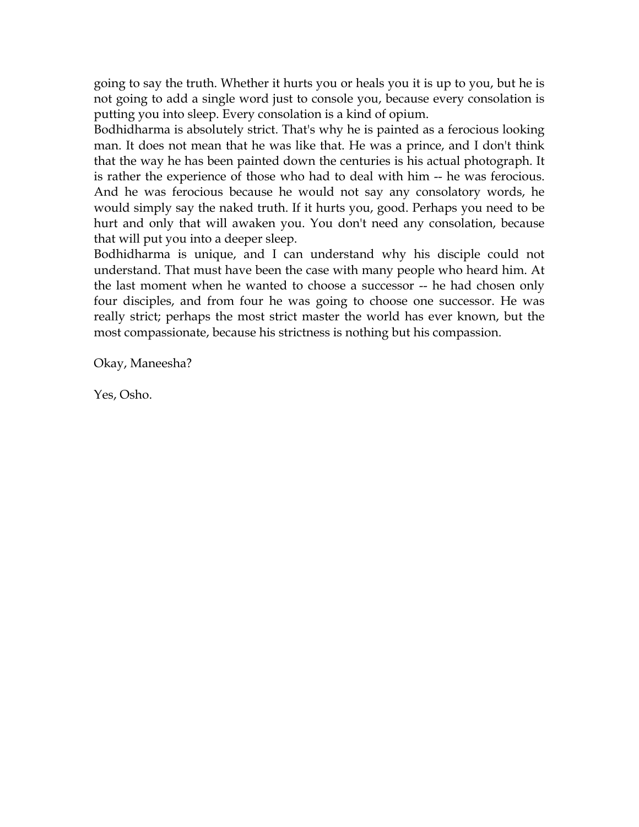going to say the truth. Whether it hurts you or heals you it is up to you, but he is not going to add a single word just to console you, because every consolation is putting you into sleep. Every consolation is a kind of opium.

Bodhidharma is absolutely strict. That's why he is painted as a ferocious looking man. It does not mean that he was like that. He was a prince, and I don't think that the way he has been painted down the centuries is his actual photograph. It is rather the experience of those who had to deal with him -- he was ferocious. And he was ferocious because he would not say any consolatory words, he would simply say the naked truth. If it hurts you, good. Perhaps you need to be hurt and only that will awaken you. You don't need any consolation, because that will put you into a deeper sleep.

Bodhidharma is unique, and I can understand why his disciple could not understand. That must have been the case with many people who heard him. At the last moment when he wanted to choose a successor -- he had chosen only four disciples, and from four he was going to choose one successor. He was really strict; perhaps the most strict master the world has ever known, but the most compassionate, because his strictness is nothing but his compassion.

Okay, Maneesha?

Yes, Osho.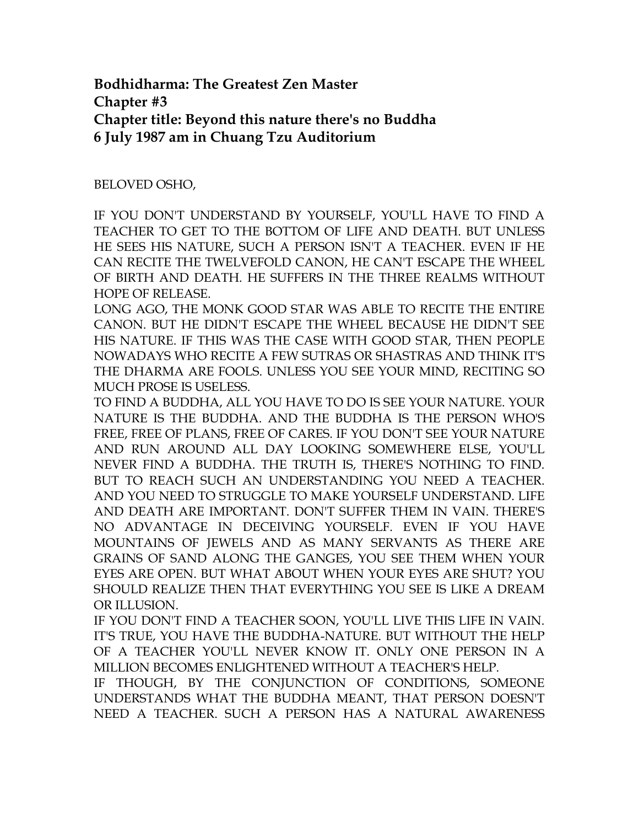## **Bodhidharma: The Greatest Zen Master Chapter #3 Chapter title: Beyond this nature there's no Buddha 6 July 1987 am in Chuang Tzu Auditorium**

## BELOVED OSHO,

IF YOU DON'T UNDERSTAND BY YOURSELF, YOU'LL HAVE TO FIND A TEACHER TO GET TO THE BOTTOM OF LIFE AND DEATH. BUT UNLESS HE SEES HIS NATURE, SUCH A PERSON ISN'T A TEACHER. EVEN IF HE CAN RECITE THE TWELVEFOLD CANON, HE CAN'T ESCAPE THE WHEEL OF BIRTH AND DEATH. HE SUFFERS IN THE THREE REALMS WITHOUT HOPE OF RELEASE.

LONG AGO, THE MONK GOOD STAR WAS ABLE TO RECITE THE ENTIRE CANON. BUT HE DIDN'T ESCAPE THE WHEEL BECAUSE HE DIDN'T SEE HIS NATURE. IF THIS WAS THE CASE WITH GOOD STAR, THEN PEOPLE NOWADAYS WHO RECITE A FEW SUTRAS OR SHASTRAS AND THINK IT'S THE DHARMA ARE FOOLS. UNLESS YOU SEE YOUR MIND, RECITING SO MUCH PROSE IS USELESS.

TO FIND A BUDDHA, ALL YOU HAVE TO DO IS SEE YOUR NATURE. YOUR NATURE IS THE BUDDHA. AND THE BUDDHA IS THE PERSON WHO'S FREE, FREE OF PLANS, FREE OF CARES. IF YOU DON'T SEE YOUR NATURE AND RUN AROUND ALL DAY LOOKING SOMEWHERE ELSE, YOU'LL NEVER FIND A BUDDHA. THE TRUTH IS, THERE'S NOTHING TO FIND. BUT TO REACH SUCH AN UNDERSTANDING YOU NEED A TEACHER. AND YOU NEED TO STRUGGLE TO MAKE YOURSELF UNDERSTAND. LIFE AND DEATH ARE IMPORTANT. DON'T SUFFER THEM IN VAIN. THERE'S NO ADVANTAGE IN DECEIVING YOURSELF. EVEN IF YOU HAVE MOUNTAINS OF JEWELS AND AS MANY SERVANTS AS THERE ARE GRAINS OF SAND ALONG THE GANGES, YOU SEE THEM WHEN YOUR EYES ARE OPEN. BUT WHAT ABOUT WHEN YOUR EYES ARE SHUT? YOU SHOULD REALIZE THEN THAT EVERYTHING YOU SEE IS LIKE A DREAM OR ILLUSION.

IF YOU DON'T FIND A TEACHER SOON, YOU'LL LIVE THIS LIFE IN VAIN. IT'S TRUE, YOU HAVE THE BUDDHA-NATURE. BUT WITHOUT THE HELP OF A TEACHER YOU'LL NEVER KNOW IT. ONLY ONE PERSON IN A MILLION BECOMES ENLIGHTENED WITHOUT A TEACHER'S HELP.

IF THOUGH, BY THE CONJUNCTION OF CONDITIONS, SOMEONE UNDERSTANDS WHAT THE BUDDHA MEANT, THAT PERSON DOESN'T NEED A TEACHER. SUCH A PERSON HAS A NATURAL AWARENESS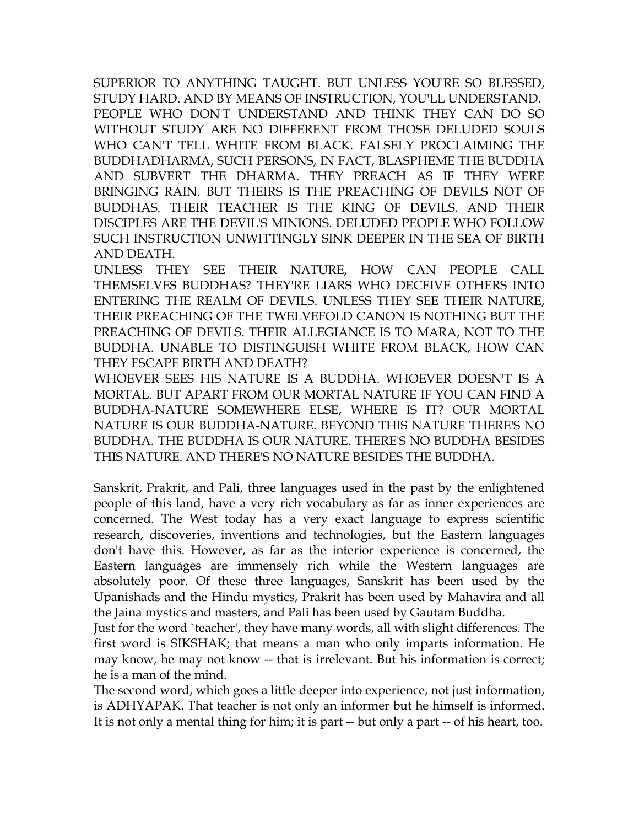SUPERIOR TO ANYTHING TAUGHT. BUT UNLESS YOU'RE SO BLESSED, STUDY HARD. AND BY MEANS OF INSTRUCTION, YOU'LL UNDERSTAND. PEOPLE WHO DON'T UNDERSTAND AND THINK THEY CAN DO SO WITHOUT STUDY ARE NO DIFFERENT FROM THOSE DELUDED SOULS WHO CAN'T TELL WHITE FROM BLACK. FALSELY PROCLAIMING THE BUDDHADHARMA, SUCH PERSONS, IN FACT, BLASPHEME THE BUDDHA AND SUBVERT THE DHARMA. THEY PREACH AS IF THEY WERE BRINGING RAIN. BUT THEIRS IS THE PREACHING OF DEVILS NOT OF BUDDHAS. THEIR TEACHER IS THE KING OF DEVILS. AND THEIR DISCIPLES ARE THE DEVIL'S MINIONS. DELUDED PEOPLE WHO FOLLOW SUCH INSTRUCTION UNWITTINGLY SINK DEEPER IN THE SEA OF BIRTH AND DEATH.

UNLESS THEY SEE THEIR NATURE, HOW CAN PEOPLE CALL THEMSELVES BUDDHAS? THEY'RE LIARS WHO DECEIVE OTHERS INTO ENTERING THE REALM OF DEVILS. UNLESS THEY SEE THEIR NATURE, THEIR PREACHING OF THE TWELVEFOLD CANON IS NOTHING BUT THE PREACHING OF DEVILS. THEIR ALLEGIANCE IS TO MARA, NOT TO THE BUDDHA. UNABLE TO DISTINGUISH WHITE FROM BLACK, HOW CAN THEY ESCAPE BIRTH AND DEATH?

WHOEVER SEES HIS NATURE IS A BUDDHA. WHOEVER DOESN'T IS A MORTAL. BUT APART FROM OUR MORTAL NATURE IF YOU CAN FIND A BUDDHA-NATURE SOMEWHERE ELSE, WHERE IS IT? OUR MORTAL NATURE IS OUR BUDDHA-NATURE. BEYOND THIS NATURE THERE'S NO BUDDHA. THE BUDDHA IS OUR NATURE. THERE'S NO BUDDHA BESIDES THIS NATURE. AND THERE'S NO NATURE BESIDES THE BUDDHA.

Sanskrit, Prakrit, and Pali, three languages used in the past by the enlightened people of this land, have a very rich vocabulary as far as inner experiences are concerned. The West today has a very exact language to express scientific research, discoveries, inventions and technologies, but the Eastern languages don't have this. However, as far as the interior experience is concerned, the Eastern languages are immensely rich while the Western languages are absolutely poor. Of these three languages, Sanskrit has been used by the Upanishads and the Hindu mystics, Prakrit has been used by Mahavira and all the Jaina mystics and masters, and Pali has been used by Gautam Buddha.

Just for the word `teacher', they have many words, all with slight differences. The first word is SIKSHAK; that means a man who only imparts information. He may know, he may not know -- that is irrelevant. But his information is correct; he is a man of the mind.

The second word, which goes a little deeper into experience, not just information, is ADHYAPAK. That teacher is not only an informer but he himself is informed. It is not only a mental thing for him; it is part -- but only a part -- of his heart, too.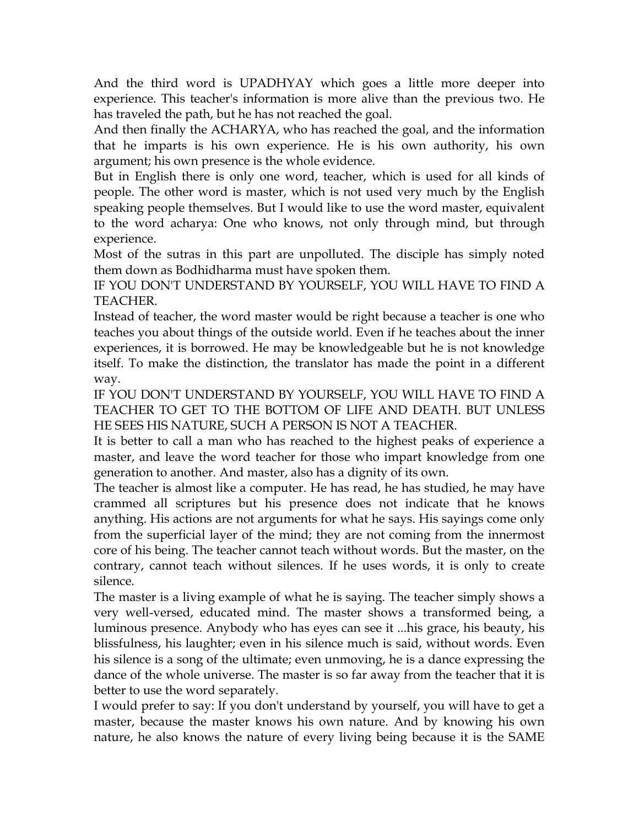And the third word is UPADHYAY which goes a little more deeper into experience. This teacher's information is more alive than the previous two. He has traveled the path, but he has not reached the goal.

And then finally the ACHARYA, who has reached the goal, and the information that he imparts is his own experience. He is his own authority, his own argument; his own presence is the whole evidence.

But in English there is only one word, teacher, which is used for all kinds of people. The other word is master, which is not used very much by the English speaking people themselves. But I would like to use the word master, equivalent to the word acharya: One who knows, not only through mind, but through experience.

Most of the sutras in this part are unpolluted. The disciple has simply noted them down as Bodhidharma must have spoken them.

IF YOU DON'T UNDERSTAND BY YOURSELF, YOU WILL HAVE TO FIND A TEACHER.

Instead of teacher, the word master would be right because a teacher is one who teaches you about things of the outside world. Even if he teaches about the inner experiences, it is borrowed. He may be knowledgeable but he is not knowledge itself. To make the distinction, the translator has made the point in a different way.

IF YOU DON'T UNDERSTAND BY YOURSELF, YOU WILL HAVE TO FIND A TEACHER TO GET TO THE BOTTOM OF LIFE AND DEATH. BUT UNLESS HE SEES HIS NATURE, SUCH A PERSON IS NOT A TEACHER.

It is better to call a man who has reached to the highest peaks of experience a master, and leave the word teacher for those who impart knowledge from one generation to another. And master, also has a dignity of its own.

The teacher is almost like a computer. He has read, he has studied, he may have crammed all scriptures but his presence does not indicate that he knows anything. His actions are not arguments for what he says. His sayings come only from the superficial layer of the mind; they are not coming from the innermost core of his being. The teacher cannot teach without words. But the master, on the contrary, cannot teach without silences. If he uses words, it is only to create silence.

The master is a living example of what he is saying. The teacher simply shows a very well-versed, educated mind. The master shows a transformed being, a luminous presence. Anybody who has eyes can see it ...his grace, his beauty, his blissfulness, his laughter; even in his silence much is said, without words. Even his silence is a song of the ultimate; even unmoving, he is a dance expressing the dance of the whole universe. The master is so far away from the teacher that it is better to use the word separately.

I would prefer to say: If you don't understand by yourself, you will have to get a master, because the master knows his own nature. And by knowing his own nature, he also knows the nature of every living being because it is the SAME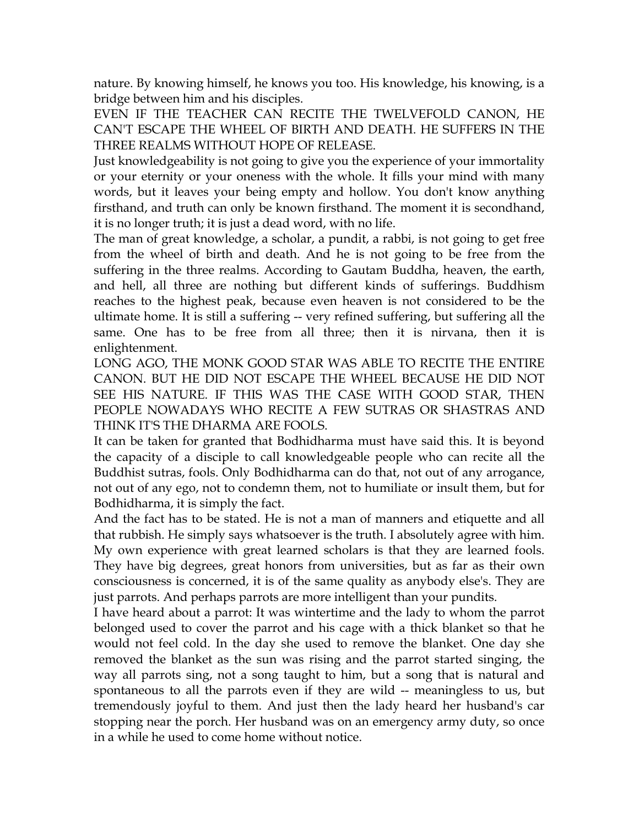nature. By knowing himself, he knows you too. His knowledge, his knowing, is a bridge between him and his disciples.

EVEN IF THE TEACHER CAN RECITE THE TWELVEFOLD CANON, HE CAN'T ESCAPE THE WHEEL OF BIRTH AND DEATH. HE SUFFERS IN THE THREE REALMS WITHOUT HOPE OF RELEASE.

Just knowledgeability is not going to give you the experience of your immortality or your eternity or your oneness with the whole. It fills your mind with many words, but it leaves your being empty and hollow. You don't know anything firsthand, and truth can only be known firsthand. The moment it is secondhand, it is no longer truth; it is just a dead word, with no life.

The man of great knowledge, a scholar, a pundit, a rabbi, is not going to get free from the wheel of birth and death. And he is not going to be free from the suffering in the three realms. According to Gautam Buddha, heaven, the earth, and hell, all three are nothing but different kinds of sufferings. Buddhism reaches to the highest peak, because even heaven is not considered to be the ultimate home. It is still a suffering -- very refined suffering, but suffering all the same. One has to be free from all three; then it is nirvana, then it is enlightenment.

LONG AGO, THE MONK GOOD STAR WAS ABLE TO RECITE THE ENTIRE CANON. BUT HE DID NOT ESCAPE THE WHEEL BECAUSE HE DID NOT SEE HIS NATURE. IF THIS WAS THE CASE WITH GOOD STAR, THEN PEOPLE NOWADAYS WHO RECITE A FEW SUTRAS OR SHASTRAS AND THINK IT'S THE DHARMA ARE FOOLS.

It can be taken for granted that Bodhidharma must have said this. It is beyond the capacity of a disciple to call knowledgeable people who can recite all the Buddhist sutras, fools. Only Bodhidharma can do that, not out of any arrogance, not out of any ego, not to condemn them, not to humiliate or insult them, but for Bodhidharma, it is simply the fact.

And the fact has to be stated. He is not a man of manners and etiquette and all that rubbish. He simply says whatsoever is the truth. I absolutely agree with him. My own experience with great learned scholars is that they are learned fools. They have big degrees, great honors from universities, but as far as their own consciousness is concerned, it is of the same quality as anybody else's. They are just parrots. And perhaps parrots are more intelligent than your pundits.

I have heard about a parrot: It was wintertime and the lady to whom the parrot belonged used to cover the parrot and his cage with a thick blanket so that he would not feel cold. In the day she used to remove the blanket. One day she removed the blanket as the sun was rising and the parrot started singing, the way all parrots sing, not a song taught to him, but a song that is natural and spontaneous to all the parrots even if they are wild -- meaningless to us, but tremendously joyful to them. And just then the lady heard her husband's car stopping near the porch. Her husband was on an emergency army duty, so once in a while he used to come home without notice.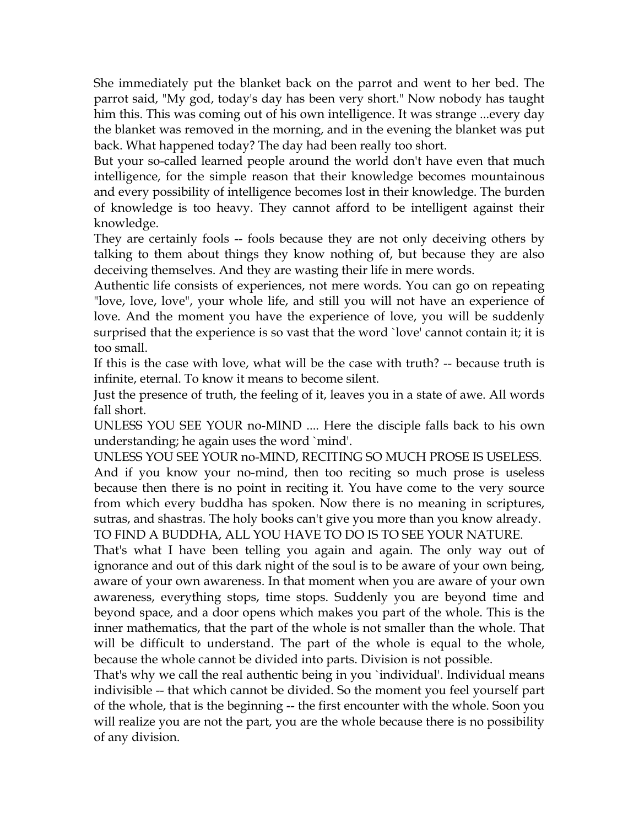She immediately put the blanket back on the parrot and went to her bed. The parrot said, "My god, today's day has been very short." Now nobody has taught him this. This was coming out of his own intelligence. It was strange ...every day the blanket was removed in the morning, and in the evening the blanket was put back. What happened today? The day had been really too short.

But your so-called learned people around the world don't have even that much intelligence, for the simple reason that their knowledge becomes mountainous and every possibility of intelligence becomes lost in their knowledge. The burden of knowledge is too heavy. They cannot afford to be intelligent against their knowledge.

They are certainly fools -- fools because they are not only deceiving others by talking to them about things they know nothing of, but because they are also deceiving themselves. And they are wasting their life in mere words.

Authentic life consists of experiences, not mere words. You can go on repeating "love, love, love", your whole life, and still you will not have an experience of love. And the moment you have the experience of love, you will be suddenly surprised that the experience is so vast that the word `love' cannot contain it; it is too small.

If this is the case with love, what will be the case with truth? -- because truth is infinite, eternal. To know it means to become silent.

Just the presence of truth, the feeling of it, leaves you in a state of awe. All words fall short.

UNLESS YOU SEE YOUR no-MIND .... Here the disciple falls back to his own understanding; he again uses the word `mind'.

UNLESS YOU SEE YOUR no-MIND, RECITING SO MUCH PROSE IS USELESS. And if you know your no-mind, then too reciting so much prose is useless because then there is no point in reciting it. You have come to the very source from which every buddha has spoken. Now there is no meaning in scriptures, sutras, and shastras. The holy books can't give you more than you know already. TO FIND A BUDDHA, ALL YOU HAVE TO DO IS TO SEE YOUR NATURE.

That's what I have been telling you again and again. The only way out of ignorance and out of this dark night of the soul is to be aware of your own being, aware of your own awareness. In that moment when you are aware of your own awareness, everything stops, time stops. Suddenly you are beyond time and beyond space, and a door opens which makes you part of the whole. This is the inner mathematics, that the part of the whole is not smaller than the whole. That will be difficult to understand. The part of the whole is equal to the whole, because the whole cannot be divided into parts. Division is not possible.

That's why we call the real authentic being in you `individual'. Individual means indivisible -- that which cannot be divided. So the moment you feel yourself part of the whole, that is the beginning -- the first encounter with the whole. Soon you will realize you are not the part, you are the whole because there is no possibility of any division.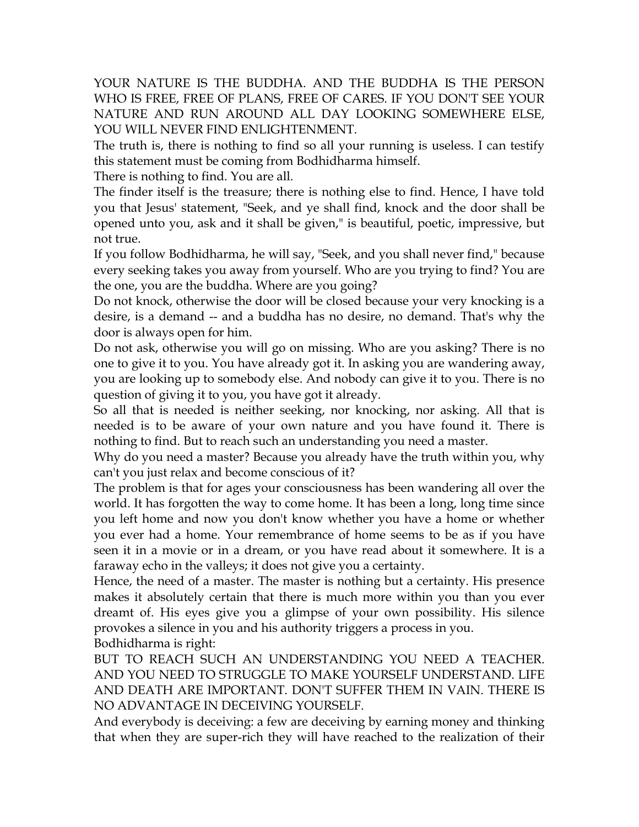YOUR NATURE IS THE BUDDHA. AND THE BUDDHA IS THE PERSON WHO IS FREE, FREE OF PLANS, FREE OF CARES. IF YOU DON'T SEE YOUR NATURE AND RUN AROUND ALL DAY LOOKING SOMEWHERE ELSE, YOU WILL NEVER FIND ENLIGHTENMENT.

The truth is, there is nothing to find so all your running is useless. I can testify this statement must be coming from Bodhidharma himself.

There is nothing to find. You are all.

The finder itself is the treasure; there is nothing else to find. Hence, I have told you that Jesus' statement, "Seek, and ye shall find, knock and the door shall be opened unto you, ask and it shall be given," is beautiful, poetic, impressive, but not true.

If you follow Bodhidharma, he will say, "Seek, and you shall never find," because every seeking takes you away from yourself. Who are you trying to find? You are the one, you are the buddha. Where are you going?

Do not knock, otherwise the door will be closed because your very knocking is a desire, is a demand -- and a buddha has no desire, no demand. That's why the door is always open for him.

Do not ask, otherwise you will go on missing. Who are you asking? There is no one to give it to you. You have already got it. In asking you are wandering away, you are looking up to somebody else. And nobody can give it to you. There is no question of giving it to you, you have got it already.

So all that is needed is neither seeking, nor knocking, nor asking. All that is needed is to be aware of your own nature and you have found it. There is nothing to find. But to reach such an understanding you need a master.

Why do you need a master? Because you already have the truth within you, why can't you just relax and become conscious of it?

The problem is that for ages your consciousness has been wandering all over the world. It has forgotten the way to come home. It has been a long, long time since you left home and now you don't know whether you have a home or whether you ever had a home. Your remembrance of home seems to be as if you have seen it in a movie or in a dream, or you have read about it somewhere. It is a faraway echo in the valleys; it does not give you a certainty.

Hence, the need of a master. The master is nothing but a certainty. His presence makes it absolutely certain that there is much more within you than you ever dreamt of. His eyes give you a glimpse of your own possibility. His silence provokes a silence in you and his authority triggers a process in you.

Bodhidharma is right:

BUT TO REACH SUCH AN UNDERSTANDING YOU NEED A TEACHER. AND YOU NEED TO STRUGGLE TO MAKE YOURSELF UNDERSTAND. LIFE AND DEATH ARE IMPORTANT. DON'T SUFFER THEM IN VAIN. THERE IS NO ADVANTAGE IN DECEIVING YOURSELF.

And everybody is deceiving: a few are deceiving by earning money and thinking that when they are super-rich they will have reached to the realization of their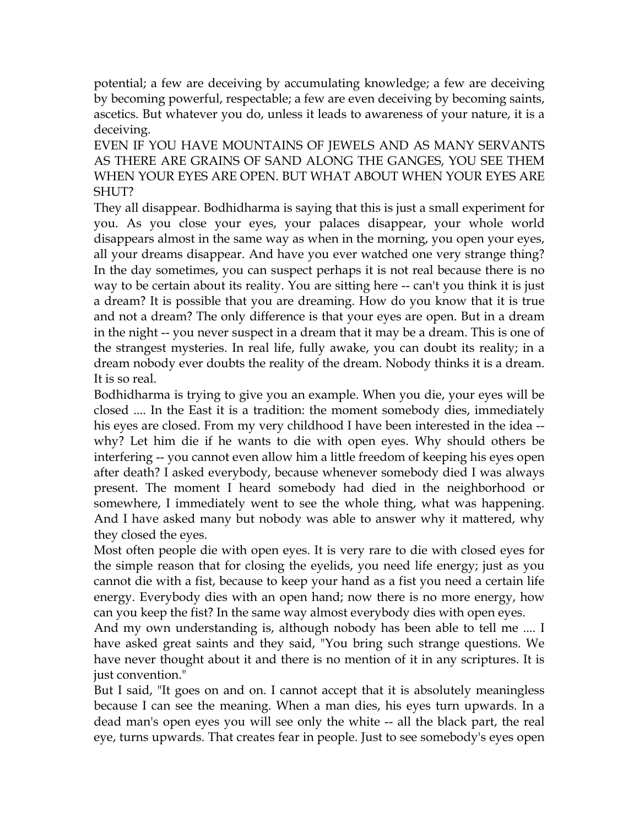potential; a few are deceiving by accumulating knowledge; a few are deceiving by becoming powerful, respectable; a few are even deceiving by becoming saints, ascetics. But whatever you do, unless it leads to awareness of your nature, it is a deceiving.

EVEN IF YOU HAVE MOUNTAINS OF JEWELS AND AS MANY SERVANTS AS THERE ARE GRAINS OF SAND ALONG THE GANGES, YOU SEE THEM WHEN YOUR EYES ARE OPEN. BUT WHAT ABOUT WHEN YOUR EYES ARE SHUT?

They all disappear. Bodhidharma is saying that this is just a small experiment for you. As you close your eyes, your palaces disappear, your whole world disappears almost in the same way as when in the morning, you open your eyes, all your dreams disappear. And have you ever watched one very strange thing? In the day sometimes, you can suspect perhaps it is not real because there is no way to be certain about its reality. You are sitting here -- can't you think it is just a dream? It is possible that you are dreaming. How do you know that it is true and not a dream? The only difference is that your eyes are open. But in a dream in the night -- you never suspect in a dream that it may be a dream. This is one of the strangest mysteries. In real life, fully awake, you can doubt its reality; in a dream nobody ever doubts the reality of the dream. Nobody thinks it is a dream. It is so real.

Bodhidharma is trying to give you an example. When you die, your eyes will be closed .... In the East it is a tradition: the moment somebody dies, immediately his eyes are closed. From my very childhood I have been interested in the idea - why? Let him die if he wants to die with open eyes. Why should others be interfering -- you cannot even allow him a little freedom of keeping his eyes open after death? I asked everybody, because whenever somebody died I was always present. The moment I heard somebody had died in the neighborhood or somewhere, I immediately went to see the whole thing, what was happening. And I have asked many but nobody was able to answer why it mattered, why they closed the eyes.

Most often people die with open eyes. It is very rare to die with closed eyes for the simple reason that for closing the eyelids, you need life energy; just as you cannot die with a fist, because to keep your hand as a fist you need a certain life energy. Everybody dies with an open hand; now there is no more energy, how can you keep the fist? In the same way almost everybody dies with open eyes.

And my own understanding is, although nobody has been able to tell me .... I have asked great saints and they said, "You bring such strange questions. We have never thought about it and there is no mention of it in any scriptures. It is just convention."

But I said, "It goes on and on. I cannot accept that it is absolutely meaningless because I can see the meaning. When a man dies, his eyes turn upwards. In a dead man's open eyes you will see only the white -- all the black part, the real eye, turns upwards. That creates fear in people. Just to see somebody's eyes open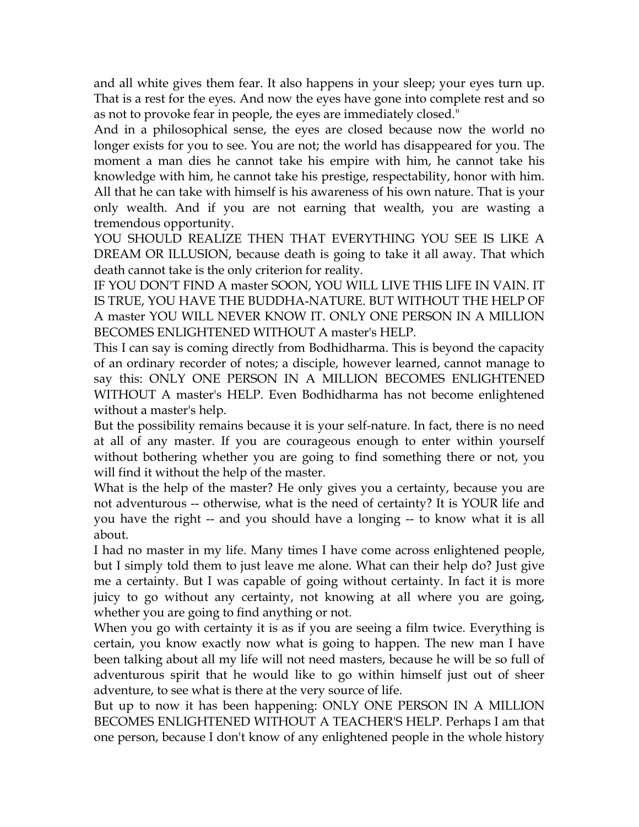and all white gives them fear. It also happens in your sleep; your eyes turn up. That is a rest for the eyes. And now the eyes have gone into complete rest and so as not to provoke fear in people, the eyes are immediately closed."

And in a philosophical sense, the eyes are closed because now the world no longer exists for you to see. You are not; the world has disappeared for you. The moment a man dies he cannot take his empire with him, he cannot take his knowledge with him, he cannot take his prestige, respectability, honor with him. All that he can take with himself is his awareness of his own nature. That is your only wealth. And if you are not earning that wealth, you are wasting a tremendous opportunity.

YOU SHOULD REALIZE THEN THAT EVERYTHING YOU SEE IS LIKE A DREAM OR ILLUSION, because death is going to take it all away. That which death cannot take is the only criterion for reality.

IF YOU DON'T FIND A master SOON, YOU WILL LIVE THIS LIFE IN VAIN. IT IS TRUE, YOU HAVE THE BUDDHA-NATURE. BUT WITHOUT THE HELP OF A master YOU WILL NEVER KNOW IT. ONLY ONE PERSON IN A MILLION BECOMES ENLIGHTENED WITHOUT A master's HELP.

This I can say is coming directly from Bodhidharma. This is beyond the capacity of an ordinary recorder of notes; a disciple, however learned, cannot manage to say this: ONLY ONE PERSON IN A MILLION BECOMES ENLIGHTENED WITHOUT A master's HELP. Even Bodhidharma has not become enlightened without a master's help.

But the possibility remains because it is your self-nature. In fact, there is no need at all of any master. If you are courageous enough to enter within yourself without bothering whether you are going to find something there or not, you will find it without the help of the master.

What is the help of the master? He only gives you a certainty, because you are not adventurous -- otherwise, what is the need of certainty? It is YOUR life and you have the right -- and you should have a longing -- to know what it is all about.

I had no master in my life. Many times I have come across enlightened people, but I simply told them to just leave me alone. What can their help do? Just give me a certainty. But I was capable of going without certainty. In fact it is more juicy to go without any certainty, not knowing at all where you are going, whether you are going to find anything or not.

When you go with certainty it is as if you are seeing a film twice. Everything is certain, you know exactly now what is going to happen. The new man I have been talking about all my life will not need masters, because he will be so full of adventurous spirit that he would like to go within himself just out of sheer adventure, to see what is there at the very source of life.

But up to now it has been happening: ONLY ONE PERSON IN A MILLION BECOMES ENLIGHTENED WITHOUT A TEACHER'S HELP. Perhaps I am that one person, because I don't know of any enlightened people in the whole history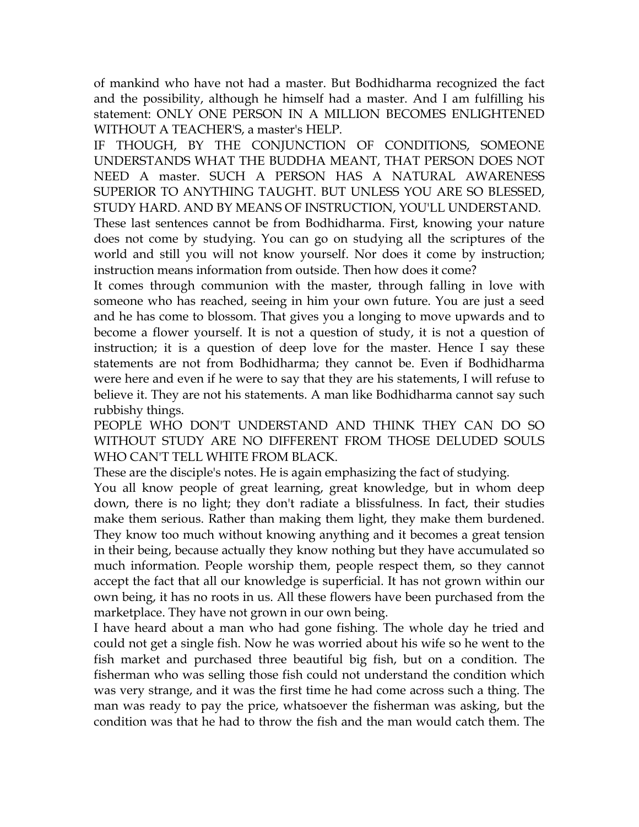of mankind who have not had a master. But Bodhidharma recognized the fact and the possibility, although he himself had a master. And I am fulfilling his statement: ONLY ONE PERSON IN A MILLION BECOMES ENLIGHTENED WITHOUT A TEACHER'S, a master's HELP.

IF THOUGH, BY THE CONJUNCTION OF CONDITIONS, SOMEONE UNDERSTANDS WHAT THE BUDDHA MEANT, THAT PERSON DOES NOT NEED A master. SUCH A PERSON HAS A NATURAL AWARENESS SUPERIOR TO ANYTHING TAUGHT. BUT UNLESS YOU ARE SO BLESSED, STUDY HARD. AND BY MEANS OF INSTRUCTION, YOU'LL UNDERSTAND.

These last sentences cannot be from Bodhidharma. First, knowing your nature does not come by studying. You can go on studying all the scriptures of the world and still you will not know yourself. Nor does it come by instruction; instruction means information from outside. Then how does it come?

It comes through communion with the master, through falling in love with someone who has reached, seeing in him your own future. You are just a seed and he has come to blossom. That gives you a longing to move upwards and to become a flower yourself. It is not a question of study, it is not a question of instruction; it is a question of deep love for the master. Hence I say these statements are not from Bodhidharma; they cannot be. Even if Bodhidharma were here and even if he were to say that they are his statements, I will refuse to believe it. They are not his statements. A man like Bodhidharma cannot say such rubbishy things.

PEOPLE WHO DON'T UNDERSTAND AND THINK THEY CAN DO SO WITHOUT STUDY ARE NO DIFFERENT FROM THOSE DELUDED SOULS WHO CAN'T TELL WHITE FROM BLACK.

These are the disciple's notes. He is again emphasizing the fact of studying.

You all know people of great learning, great knowledge, but in whom deep down, there is no light; they don't radiate a blissfulness. In fact, their studies make them serious. Rather than making them light, they make them burdened. They know too much without knowing anything and it becomes a great tension in their being, because actually they know nothing but they have accumulated so much information. People worship them, people respect them, so they cannot accept the fact that all our knowledge is superficial. It has not grown within our own being, it has no roots in us. All these flowers have been purchased from the marketplace. They have not grown in our own being.

I have heard about a man who had gone fishing. The whole day he tried and could not get a single fish. Now he was worried about his wife so he went to the fish market and purchased three beautiful big fish, but on a condition. The fisherman who was selling those fish could not understand the condition which was very strange, and it was the first time he had come across such a thing. The man was ready to pay the price, whatsoever the fisherman was asking, but the condition was that he had to throw the fish and the man would catch them. The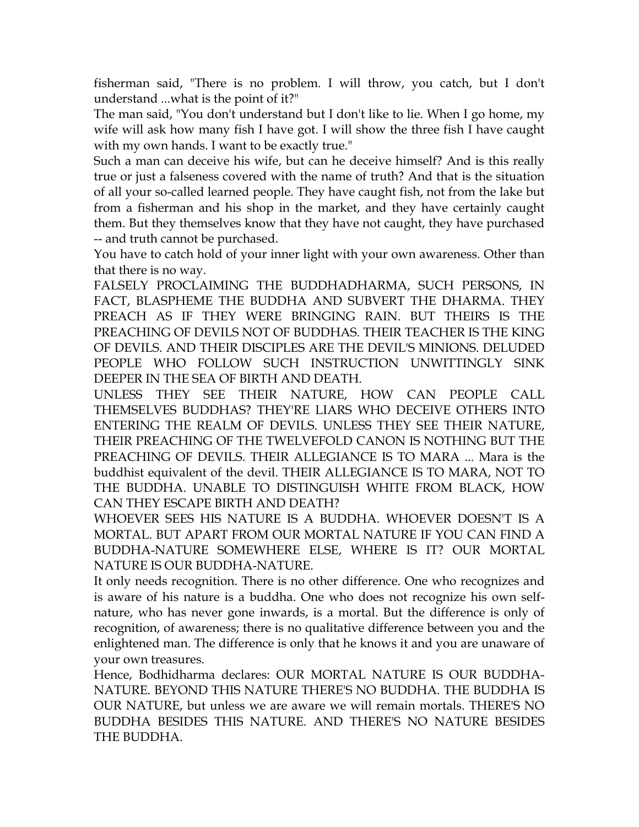fisherman said, "There is no problem. I will throw, you catch, but I don't understand ...what is the point of it?"

The man said, "You don't understand but I don't like to lie. When I go home, my wife will ask how many fish I have got. I will show the three fish I have caught with my own hands. I want to be exactly true."

Such a man can deceive his wife, but can he deceive himself? And is this really true or just a falseness covered with the name of truth? And that is the situation of all your so-called learned people. They have caught fish, not from the lake but from a fisherman and his shop in the market, and they have certainly caught them. But they themselves know that they have not caught, they have purchased -- and truth cannot be purchased.

You have to catch hold of your inner light with your own awareness. Other than that there is no way.

FALSELY PROCLAIMING THE BUDDHADHARMA, SUCH PERSONS, IN FACT, BLASPHEME THE BUDDHA AND SUBVERT THE DHARMA. THEY PREACH AS IF THEY WERE BRINGING RAIN. BUT THEIRS IS THE PREACHING OF DEVILS NOT OF BUDDHAS. THEIR TEACHER IS THE KING OF DEVILS. AND THEIR DISCIPLES ARE THE DEVIL'S MINIONS. DELUDED PEOPLE WHO FOLLOW SUCH INSTRUCTION UNWITTINGLY SINK DEEPER IN THE SEA OF BIRTH AND DEATH.

UNLESS THEY SEE THEIR NATURE, HOW CAN PEOPLE CALL THEMSELVES BUDDHAS? THEY'RE LIARS WHO DECEIVE OTHERS INTO ENTERING THE REALM OF DEVILS. UNLESS THEY SEE THEIR NATURE, THEIR PREACHING OF THE TWELVEFOLD CANON IS NOTHING BUT THE PREACHING OF DEVILS. THEIR ALLEGIANCE IS TO MARA ... Mara is the buddhist equivalent of the devil. THEIR ALLEGIANCE IS TO MARA, NOT TO THE BUDDHA. UNABLE TO DISTINGUISH WHITE FROM BLACK, HOW CAN THEY ESCAPE BIRTH AND DEATH?

WHOEVER SEES HIS NATURE IS A BUDDHA. WHOEVER DOESN'T IS A MORTAL. BUT APART FROM OUR MORTAL NATURE IF YOU CAN FIND A BUDDHA-NATURE SOMEWHERE ELSE, WHERE IS IT? OUR MORTAL NATURE IS OUR BUDDHA-NATURE.

It only needs recognition. There is no other difference. One who recognizes and is aware of his nature is a buddha. One who does not recognize his own selfnature, who has never gone inwards, is a mortal. But the difference is only of recognition, of awareness; there is no qualitative difference between you and the enlightened man. The difference is only that he knows it and you are unaware of your own treasures.

Hence, Bodhidharma declares: OUR MORTAL NATURE IS OUR BUDDHA-NATURE. BEYOND THIS NATURE THERE'S NO BUDDHA. THE BUDDHA IS OUR NATURE, but unless we are aware we will remain mortals. THERE'S NO BUDDHA BESIDES THIS NATURE. AND THERE'S NO NATURE BESIDES THE BUDDHA.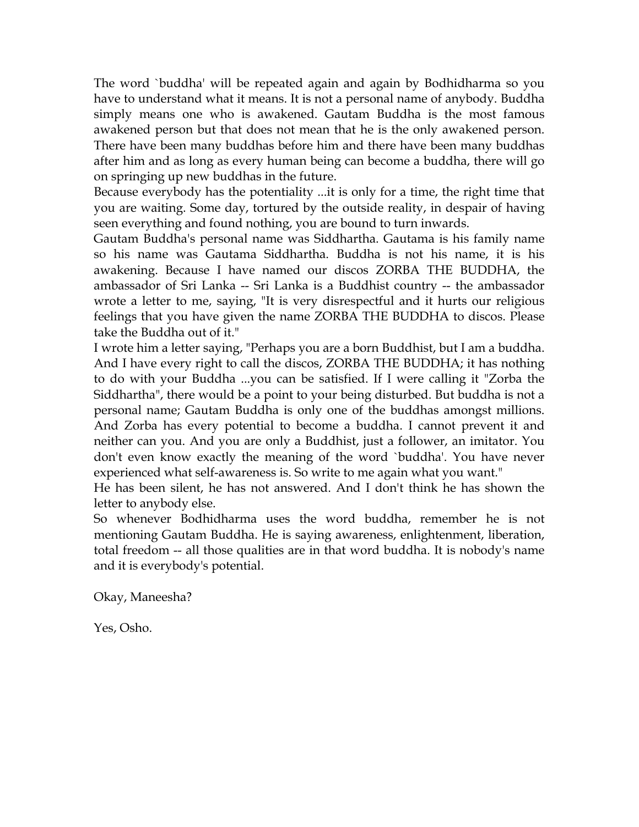The word `buddha' will be repeated again and again by Bodhidharma so you have to understand what it means. It is not a personal name of anybody. Buddha simply means one who is awakened. Gautam Buddha is the most famous awakened person but that does not mean that he is the only awakened person. There have been many buddhas before him and there have been many buddhas after him and as long as every human being can become a buddha, there will go on springing up new buddhas in the future.

Because everybody has the potentiality ...it is only for a time, the right time that you are waiting. Some day, tortured by the outside reality, in despair of having seen everything and found nothing, you are bound to turn inwards.

Gautam Buddha's personal name was Siddhartha. Gautama is his family name so his name was Gautama Siddhartha. Buddha is not his name, it is his awakening. Because I have named our discos ZORBA THE BUDDHA, the ambassador of Sri Lanka -- Sri Lanka is a Buddhist country -- the ambassador wrote a letter to me, saying, "It is very disrespectful and it hurts our religious feelings that you have given the name ZORBA THE BUDDHA to discos. Please take the Buddha out of it."

I wrote him a letter saying, "Perhaps you are a born Buddhist, but I am a buddha. And I have every right to call the discos, ZORBA THE BUDDHA; it has nothing to do with your Buddha ...you can be satisfied. If I were calling it "Zorba the Siddhartha", there would be a point to your being disturbed. But buddha is not a personal name; Gautam Buddha is only one of the buddhas amongst millions. And Zorba has every potential to become a buddha. I cannot prevent it and neither can you. And you are only a Buddhist, just a follower, an imitator. You don't even know exactly the meaning of the word `buddha'. You have never experienced what self-awareness is. So write to me again what you want."

He has been silent, he has not answered. And I don't think he has shown the letter to anybody else.

So whenever Bodhidharma uses the word buddha, remember he is not mentioning Gautam Buddha. He is saying awareness, enlightenment, liberation, total freedom -- all those qualities are in that word buddha. It is nobody's name and it is everybody's potential.

Okay, Maneesha?

Yes, Osho.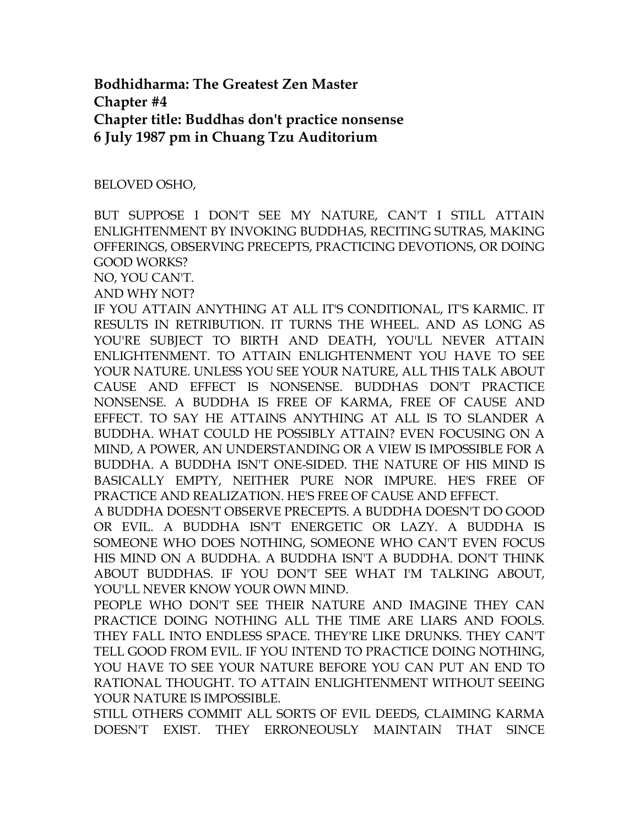# **Bodhidharma: The Greatest Zen Master Chapter #4 Chapter title: Buddhas don't practice nonsense 6 July 1987 pm in Chuang Tzu Auditorium**

#### BELOVED OSHO,

BUT SUPPOSE I DON'T SEE MY NATURE, CAN'T I STILL ATTAIN ENLIGHTENMENT BY INVOKING BUDDHAS, RECITING SUTRAS, MAKING OFFERINGS, OBSERVING PRECEPTS, PRACTICING DEVOTIONS, OR DOING GOOD WORKS?

NO, YOU CAN'T.

AND WHY NOT?

IF YOU ATTAIN ANYTHING AT ALL IT'S CONDITIONAL, IT'S KARMIC. IT RESULTS IN RETRIBUTION. IT TURNS THE WHEEL. AND AS LONG AS YOU'RE SUBJECT TO BIRTH AND DEATH, YOU'LL NEVER ATTAIN ENLIGHTENMENT. TO ATTAIN ENLIGHTENMENT YOU HAVE TO SEE YOUR NATURE. UNLESS YOU SEE YOUR NATURE, ALL THIS TALK ABOUT CAUSE AND EFFECT IS NONSENSE. BUDDHAS DON'T PRACTICE NONSENSE. A BUDDHA IS FREE OF KARMA, FREE OF CAUSE AND EFFECT. TO SAY HE ATTAINS ANYTHING AT ALL IS TO SLANDER A BUDDHA. WHAT COULD HE POSSIBLY ATTAIN? EVEN FOCUSING ON A MIND, A POWER, AN UNDERSTANDING OR A VIEW IS IMPOSSIBLE FOR A BUDDHA. A BUDDHA ISN'T ONE-SIDED. THE NATURE OF HIS MIND IS BASICALLY EMPTY, NEITHER PURE NOR IMPURE. HE'S FREE OF PRACTICE AND REALIZATION. HE'S FREE OF CAUSE AND EFFECT.

A BUDDHA DOESN'T OBSERVE PRECEPTS. A BUDDHA DOESN'T DO GOOD OR EVIL. A BUDDHA ISN'T ENERGETIC OR LAZY. A BUDDHA IS SOMEONE WHO DOES NOTHING, SOMEONE WHO CAN'T EVEN FOCUS HIS MIND ON A BUDDHA. A BUDDHA ISN'T A BUDDHA. DON'T THINK ABOUT BUDDHAS. IF YOU DON'T SEE WHAT I'M TALKING ABOUT, YOU'LL NEVER KNOW YOUR OWN MIND.

PEOPLE WHO DON'T SEE THEIR NATURE AND IMAGINE THEY CAN PRACTICE DOING NOTHING ALL THE TIME ARE LIARS AND FOOLS. THEY FALL INTO ENDLESS SPACE. THEY'RE LIKE DRUNKS. THEY CAN'T TELL GOOD FROM EVIL. IF YOU INTEND TO PRACTICE DOING NOTHING, YOU HAVE TO SEE YOUR NATURE BEFORE YOU CAN PUT AN END TO RATIONAL THOUGHT. TO ATTAIN ENLIGHTENMENT WITHOUT SEEING YOUR NATURE IS IMPOSSIBLE.

STILL OTHERS COMMIT ALL SORTS OF EVIL DEEDS, CLAIMING KARMA DOESN'T EXIST. THEY ERRONEOUSLY MAINTAIN THAT SINCE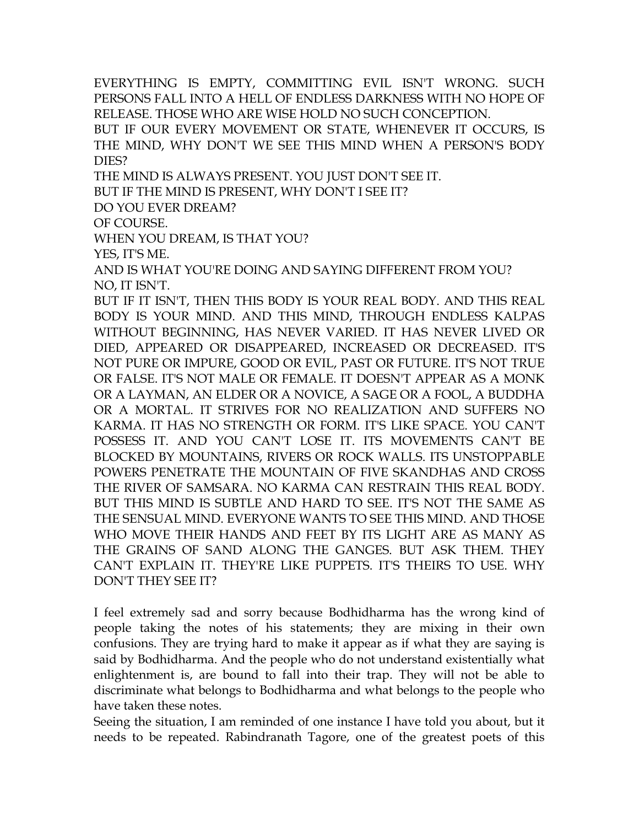EVERYTHING IS EMPTY, COMMITTING EVIL ISN'T WRONG. SUCH PERSONS FALL INTO A HELL OF ENDLESS DARKNESS WITH NO HOPE OF RELEASE. THOSE WHO ARE WISE HOLD NO SUCH CONCEPTION.

BUT IF OUR EVERY MOVEMENT OR STATE, WHENEVER IT OCCURS, IS THE MIND, WHY DON'T WE SEE THIS MIND WHEN A PERSON'S BODY DIES?

THE MIND IS ALWAYS PRESENT. YOU JUST DON'T SEE IT.

BUT IF THE MIND IS PRESENT, WHY DON'T I SEE IT?

DO YOU EVER DREAM?

OF COURSE.

WHEN YOU DREAM, IS THAT YOU?

YES, IT'S ME.

AND IS WHAT YOU'RE DOING AND SAYING DIFFERENT FROM YOU? NO, IT ISN'T.

BUT IF IT ISN'T, THEN THIS BODY IS YOUR REAL BODY. AND THIS REAL BODY IS YOUR MIND. AND THIS MIND, THROUGH ENDLESS KALPAS WITHOUT BEGINNING, HAS NEVER VARIED. IT HAS NEVER LIVED OR DIED, APPEARED OR DISAPPEARED, INCREASED OR DECREASED. IT'S NOT PURE OR IMPURE, GOOD OR EVIL, PAST OR FUTURE. IT'S NOT TRUE OR FALSE. IT'S NOT MALE OR FEMALE. IT DOESN'T APPEAR AS A MONK OR A LAYMAN, AN ELDER OR A NOVICE, A SAGE OR A FOOL, A BUDDHA OR A MORTAL. IT STRIVES FOR NO REALIZATION AND SUFFERS NO KARMA. IT HAS NO STRENGTH OR FORM. IT'S LIKE SPACE. YOU CAN'T POSSESS IT. AND YOU CAN'T LOSE IT. ITS MOVEMENTS CAN'T BE BLOCKED BY MOUNTAINS, RIVERS OR ROCK WALLS. ITS UNSTOPPABLE POWERS PENETRATE THE MOUNTAIN OF FIVE SKANDHAS AND CROSS THE RIVER OF SAMSARA. NO KARMA CAN RESTRAIN THIS REAL BODY. BUT THIS MIND IS SUBTLE AND HARD TO SEE. IT'S NOT THE SAME AS THE SENSUAL MIND. EVERYONE WANTS TO SEE THIS MIND. AND THOSE WHO MOVE THEIR HANDS AND FEET BY ITS LIGHT ARE AS MANY AS THE GRAINS OF SAND ALONG THE GANGES. BUT ASK THEM. THEY CAN'T EXPLAIN IT. THEY'RE LIKE PUPPETS. IT'S THEIRS TO USE. WHY DON'T THEY SEE IT?

I feel extremely sad and sorry because Bodhidharma has the wrong kind of people taking the notes of his statements; they are mixing in their own confusions. They are trying hard to make it appear as if what they are saying is said by Bodhidharma. And the people who do not understand existentially what enlightenment is, are bound to fall into their trap. They will not be able to discriminate what belongs to Bodhidharma and what belongs to the people who have taken these notes.

Seeing the situation, I am reminded of one instance I have told you about, but it needs to be repeated. Rabindranath Tagore, one of the greatest poets of this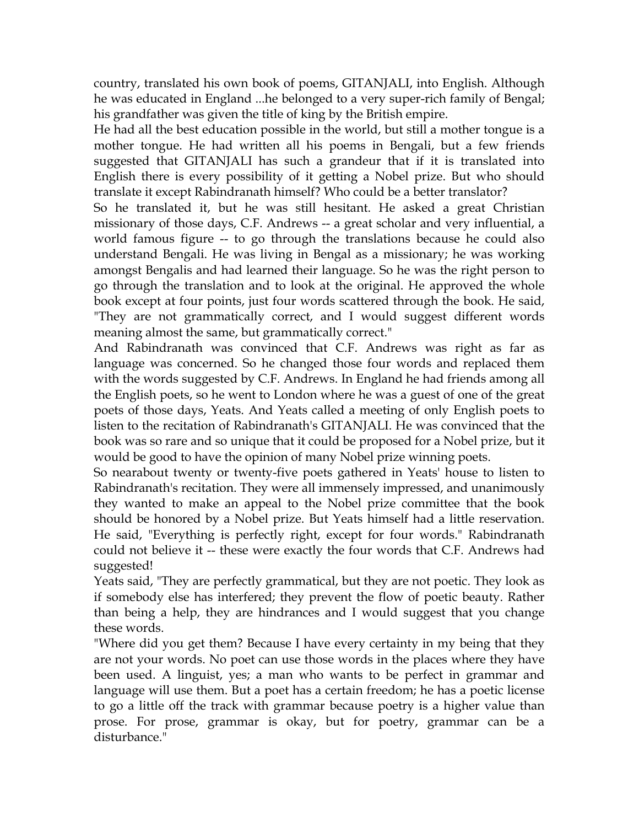country, translated his own book of poems, GITANJALI, into English. Although he was educated in England ...he belonged to a very super-rich family of Bengal; his grandfather was given the title of king by the British empire.

He had all the best education possible in the world, but still a mother tongue is a mother tongue. He had written all his poems in Bengali, but a few friends suggested that GITANJALI has such a grandeur that if it is translated into English there is every possibility of it getting a Nobel prize. But who should translate it except Rabindranath himself? Who could be a better translator?

So he translated it, but he was still hesitant. He asked a great Christian missionary of those days, C.F. Andrews -- a great scholar and very influential, a world famous figure -- to go through the translations because he could also understand Bengali. He was living in Bengal as a missionary; he was working amongst Bengalis and had learned their language. So he was the right person to go through the translation and to look at the original. He approved the whole book except at four points, just four words scattered through the book. He said, "They are not grammatically correct, and I would suggest different words meaning almost the same, but grammatically correct."

And Rabindranath was convinced that C.F. Andrews was right as far as language was concerned. So he changed those four words and replaced them with the words suggested by C.F. Andrews. In England he had friends among all the English poets, so he went to London where he was a guest of one of the great poets of those days, Yeats. And Yeats called a meeting of only English poets to listen to the recitation of Rabindranath's GITANJALI. He was convinced that the book was so rare and so unique that it could be proposed for a Nobel prize, but it would be good to have the opinion of many Nobel prize winning poets.

So nearabout twenty or twenty-five poets gathered in Yeats' house to listen to Rabindranath's recitation. They were all immensely impressed, and unanimously they wanted to make an appeal to the Nobel prize committee that the book should be honored by a Nobel prize. But Yeats himself had a little reservation. He said, "Everything is perfectly right, except for four words." Rabindranath could not believe it -- these were exactly the four words that C.F. Andrews had suggested!

Yeats said, "They are perfectly grammatical, but they are not poetic. They look as if somebody else has interfered; they prevent the flow of poetic beauty. Rather than being a help, they are hindrances and I would suggest that you change these words.

"Where did you get them? Because I have every certainty in my being that they are not your words. No poet can use those words in the places where they have been used. A linguist, yes; a man who wants to be perfect in grammar and language will use them. But a poet has a certain freedom; he has a poetic license to go a little off the track with grammar because poetry is a higher value than prose. For prose, grammar is okay, but for poetry, grammar can be a disturbance."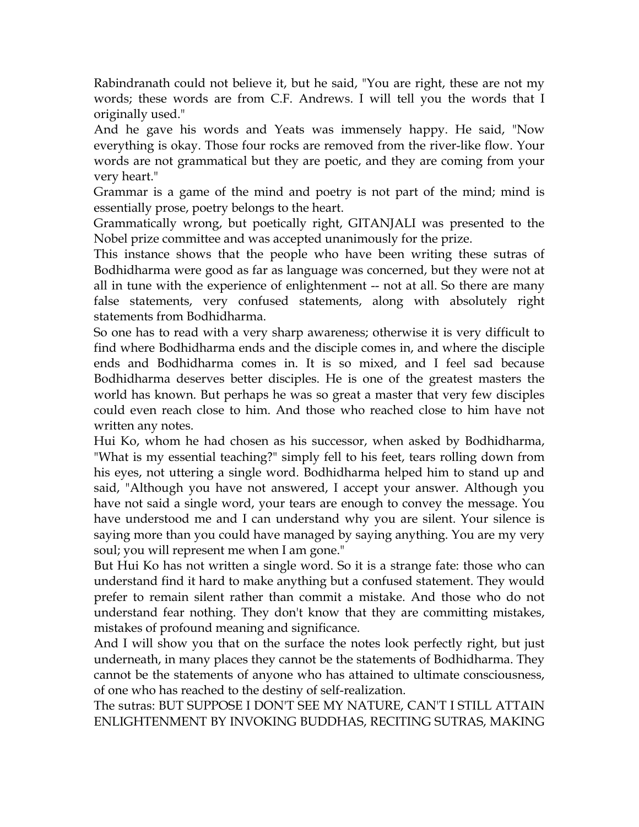Rabindranath could not believe it, but he said, "You are right, these are not my words; these words are from C.F. Andrews. I will tell you the words that I originally used."

And he gave his words and Yeats was immensely happy. He said, "Now everything is okay. Those four rocks are removed from the river-like flow. Your words are not grammatical but they are poetic, and they are coming from your very heart."

Grammar is a game of the mind and poetry is not part of the mind; mind is essentially prose, poetry belongs to the heart.

Grammatically wrong, but poetically right, GITANJALI was presented to the Nobel prize committee and was accepted unanimously for the prize.

This instance shows that the people who have been writing these sutras of Bodhidharma were good as far as language was concerned, but they were not at all in tune with the experience of enlightenment -- not at all. So there are many false statements, very confused statements, along with absolutely right statements from Bodhidharma.

So one has to read with a very sharp awareness; otherwise it is very difficult to find where Bodhidharma ends and the disciple comes in, and where the disciple ends and Bodhidharma comes in. It is so mixed, and I feel sad because Bodhidharma deserves better disciples. He is one of the greatest masters the world has known. But perhaps he was so great a master that very few disciples could even reach close to him. And those who reached close to him have not written any notes.

Hui Ko, whom he had chosen as his successor, when asked by Bodhidharma, "What is my essential teaching?" simply fell to his feet, tears rolling down from his eyes, not uttering a single word. Bodhidharma helped him to stand up and said, "Although you have not answered, I accept your answer. Although you have not said a single word, your tears are enough to convey the message. You have understood me and I can understand why you are silent. Your silence is saying more than you could have managed by saying anything. You are my very soul; you will represent me when I am gone."

But Hui Ko has not written a single word. So it is a strange fate: those who can understand find it hard to make anything but a confused statement. They would prefer to remain silent rather than commit a mistake. And those who do not understand fear nothing. They don't know that they are committing mistakes, mistakes of profound meaning and significance.

And I will show you that on the surface the notes look perfectly right, but just underneath, in many places they cannot be the statements of Bodhidharma. They cannot be the statements of anyone who has attained to ultimate consciousness, of one who has reached to the destiny of self-realization.

The sutras: BUT SUPPOSE I DON'T SEE MY NATURE, CAN'T I STILL ATTAIN ENLIGHTENMENT BY INVOKING BUDDHAS, RECITING SUTRAS, MAKING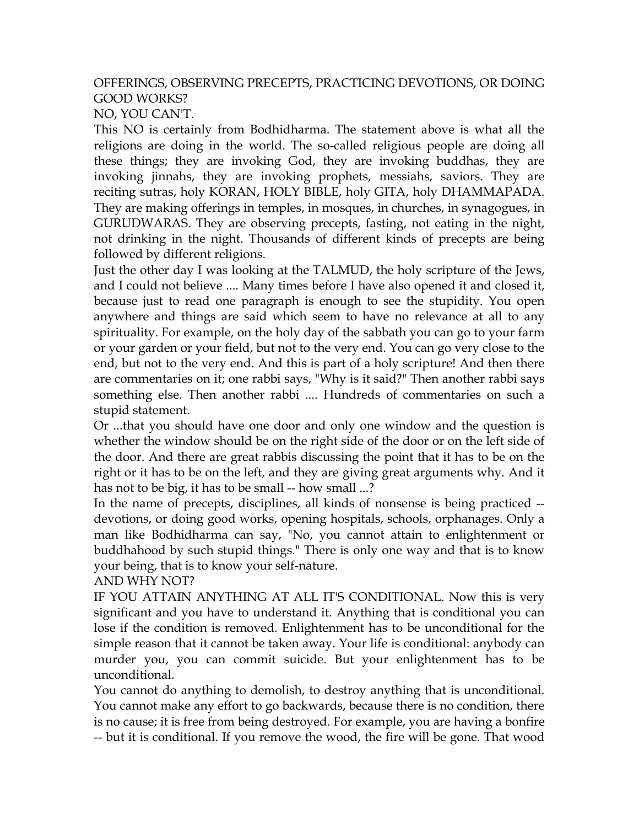### OFFERINGS, OBSERVING PRECEPTS, PRACTICING DEVOTIONS, OR DOING GOOD WORKS?

NO, YOU CAN'T.

This NO is certainly from Bodhidharma. The statement above is what all the religions are doing in the world. The so-called religious people are doing all these things; they are invoking God, they are invoking buddhas, they are invoking jinnahs, they are invoking prophets, messiahs, saviors. They are reciting sutras, holy KORAN, HOLY BIBLE, holy GITA, holy DHAMMAPADA. They are making offerings in temples, in mosques, in churches, in synagogues, in GURUDWARAS. They are observing precepts, fasting, not eating in the night, not drinking in the night. Thousands of different kinds of precepts are being followed by different religions.

Just the other day I was looking at the TALMUD, the holy scripture of the Jews, and I could not believe .... Many times before I have also opened it and closed it, because just to read one paragraph is enough to see the stupidity. You open anywhere and things are said which seem to have no relevance at all to any spirituality. For example, on the holy day of the sabbath you can go to your farm or your garden or your field, but not to the very end. You can go very close to the end, but not to the very end. And this is part of a holy scripture! And then there are commentaries on it; one rabbi says, "Why is it said?" Then another rabbi says something else. Then another rabbi .... Hundreds of commentaries on such a stupid statement.

Or ...that you should have one door and only one window and the question is whether the window should be on the right side of the door or on the left side of the door. And there are great rabbis discussing the point that it has to be on the right or it has to be on the left, and they are giving great arguments why. And it has not to be big, it has to be small -- how small ...?

In the name of precepts, disciplines, all kinds of nonsense is being practiced - devotions, or doing good works, opening hospitals, schools, orphanages. Only a man like Bodhidharma can say, "No, you cannot attain to enlightenment or buddhahood by such stupid things." There is only one way and that is to know your being, that is to know your self-nature.

AND WHY NOT?

IF YOU ATTAIN ANYTHING AT ALL IT'S CONDITIONAL. Now this is very significant and you have to understand it. Anything that is conditional you can lose if the condition is removed. Enlightenment has to be unconditional for the simple reason that it cannot be taken away. Your life is conditional: anybody can murder you, you can commit suicide. But your enlightenment has to be unconditional.

You cannot do anything to demolish, to destroy anything that is unconditional. You cannot make any effort to go backwards, because there is no condition, there is no cause; it is free from being destroyed. For example, you are having a bonfire -- but it is conditional. If you remove the wood, the fire will be gone. That wood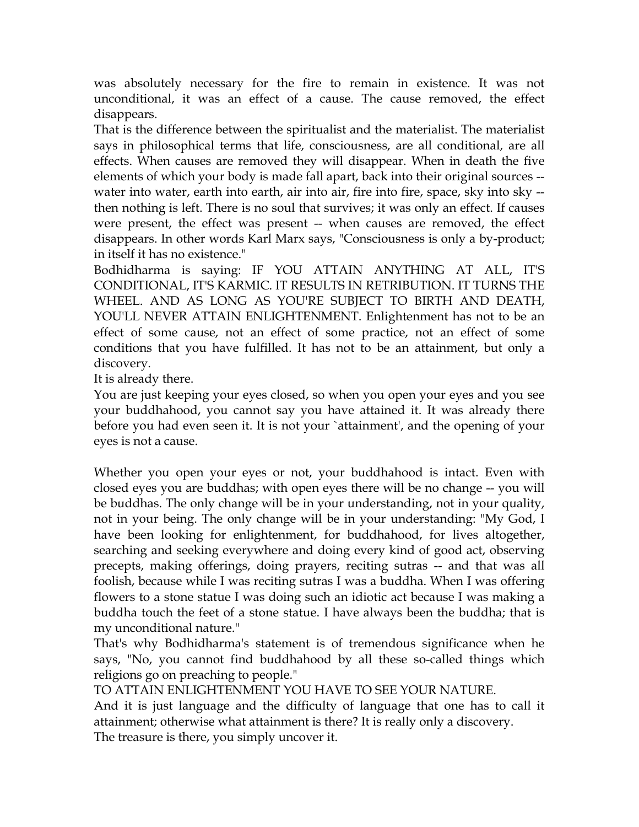was absolutely necessary for the fire to remain in existence. It was not unconditional, it was an effect of a cause. The cause removed, the effect disappears.

That is the difference between the spiritualist and the materialist. The materialist says in philosophical terms that life, consciousness, are all conditional, are all effects. When causes are removed they will disappear. When in death the five elements of which your body is made fall apart, back into their original sources - water into water, earth into earth, air into air, fire into fire, space, sky into sky - then nothing is left. There is no soul that survives; it was only an effect. If causes were present, the effect was present -- when causes are removed, the effect disappears. In other words Karl Marx says, "Consciousness is only a by-product; in itself it has no existence."

Bodhidharma is saying: IF YOU ATTAIN ANYTHING AT ALL, IT'S CONDITIONAL, IT'S KARMIC. IT RESULTS IN RETRIBUTION. IT TURNS THE WHEEL. AND AS LONG AS YOU'RE SUBJECT TO BIRTH AND DEATH, YOU'LL NEVER ATTAIN ENLIGHTENMENT. Enlightenment has not to be an effect of some cause, not an effect of some practice, not an effect of some conditions that you have fulfilled. It has not to be an attainment, but only a discovery.

It is already there.

You are just keeping your eyes closed, so when you open your eyes and you see your buddhahood, you cannot say you have attained it. It was already there before you had even seen it. It is not your `attainment', and the opening of your eyes is not a cause.

Whether you open your eyes or not, your buddhahood is intact. Even with closed eyes you are buddhas; with open eyes there will be no change -- you will be buddhas. The only change will be in your understanding, not in your quality, not in your being. The only change will be in your understanding: "My God, I have been looking for enlightenment, for buddhahood, for lives altogether, searching and seeking everywhere and doing every kind of good act, observing precepts, making offerings, doing prayers, reciting sutras -- and that was all foolish, because while I was reciting sutras I was a buddha. When I was offering flowers to a stone statue I was doing such an idiotic act because I was making a buddha touch the feet of a stone statue. I have always been the buddha; that is my unconditional nature."

That's why Bodhidharma's statement is of tremendous significance when he says, "No, you cannot find buddhahood by all these so-called things which religions go on preaching to people."

TO ATTAIN ENLIGHTENMENT YOU HAVE TO SEE YOUR NATURE.

And it is just language and the difficulty of language that one has to call it attainment; otherwise what attainment is there? It is really only a discovery. The treasure is there, you simply uncover it.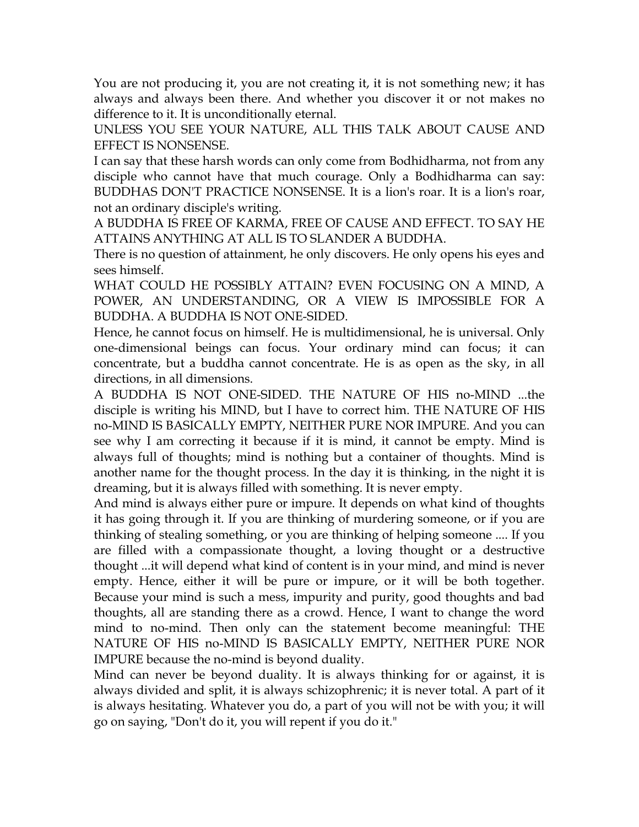You are not producing it, you are not creating it, it is not something new; it has always and always been there. And whether you discover it or not makes no difference to it. It is unconditionally eternal.

UNLESS YOU SEE YOUR NATURE, ALL THIS TALK ABOUT CAUSE AND EFFECT IS NONSENSE.

I can say that these harsh words can only come from Bodhidharma, not from any disciple who cannot have that much courage. Only a Bodhidharma can say: BUDDHAS DON'T PRACTICE NONSENSE. It is a lion's roar. It is a lion's roar, not an ordinary disciple's writing.

A BUDDHA IS FREE OF KARMA, FREE OF CAUSE AND EFFECT. TO SAY HE ATTAINS ANYTHING AT ALL IS TO SLANDER A BUDDHA.

There is no question of attainment, he only discovers. He only opens his eyes and sees himself.

WHAT COULD HE POSSIBLY ATTAIN? EVEN FOCUSING ON A MIND, A POWER, AN UNDERSTANDING, OR A VIEW IS IMPOSSIBLE FOR A BUDDHA. A BUDDHA IS NOT ONE-SIDED.

Hence, he cannot focus on himself. He is multidimensional, he is universal. Only one-dimensional beings can focus. Your ordinary mind can focus; it can concentrate, but a buddha cannot concentrate. He is as open as the sky, in all directions, in all dimensions.

A BUDDHA IS NOT ONE-SIDED. THE NATURE OF HIS no-MIND ...the disciple is writing his MIND, but I have to correct him. THE NATURE OF HIS no-MIND IS BASICALLY EMPTY, NEITHER PURE NOR IMPURE. And you can see why I am correcting it because if it is mind, it cannot be empty. Mind is always full of thoughts; mind is nothing but a container of thoughts. Mind is another name for the thought process. In the day it is thinking, in the night it is dreaming, but it is always filled with something. It is never empty.

And mind is always either pure or impure. It depends on what kind of thoughts it has going through it. If you are thinking of murdering someone, or if you are thinking of stealing something, or you are thinking of helping someone .... If you are filled with a compassionate thought, a loving thought or a destructive thought ...it will depend what kind of content is in your mind, and mind is never empty. Hence, either it will be pure or impure, or it will be both together. Because your mind is such a mess, impurity and purity, good thoughts and bad thoughts, all are standing there as a crowd. Hence, I want to change the word mind to no-mind. Then only can the statement become meaningful: THE NATURE OF HIS no-MIND IS BASICALLY EMPTY, NEITHER PURE NOR IMPURE because the no-mind is beyond duality.

Mind can never be beyond duality. It is always thinking for or against, it is always divided and split, it is always schizophrenic; it is never total. A part of it is always hesitating. Whatever you do, a part of you will not be with you; it will go on saying, "Don't do it, you will repent if you do it."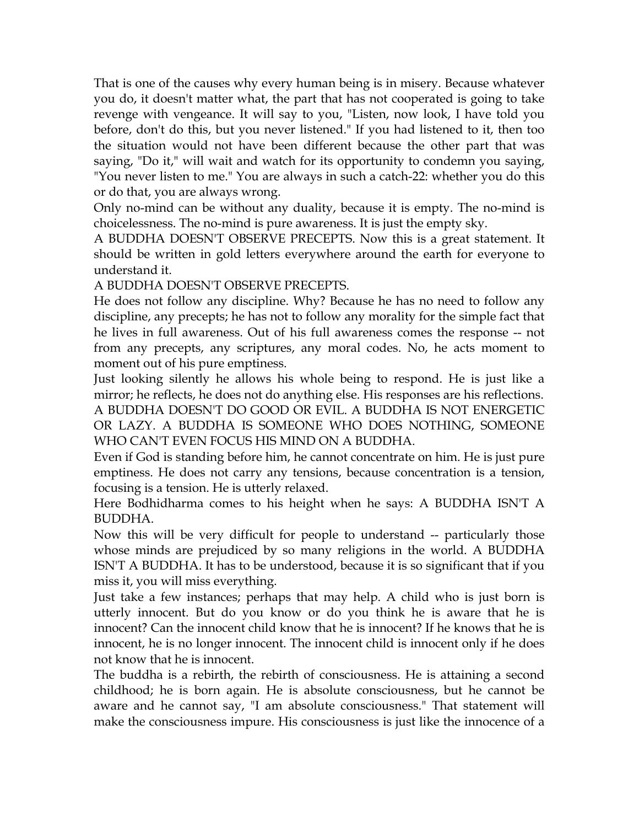That is one of the causes why every human being is in misery. Because whatever you do, it doesn't matter what, the part that has not cooperated is going to take revenge with vengeance. It will say to you, "Listen, now look, I have told you before, don't do this, but you never listened." If you had listened to it, then too the situation would not have been different because the other part that was saying, "Do it," will wait and watch for its opportunity to condemn you saying, "You never listen to me." You are always in such a catch-22: whether you do this or do that, you are always wrong.

Only no-mind can be without any duality, because it is empty. The no-mind is choicelessness. The no-mind is pure awareness. It is just the empty sky.

A BUDDHA DOESN'T OBSERVE PRECEPTS. Now this is a great statement. It should be written in gold letters everywhere around the earth for everyone to understand it.

A BUDDHA DOESN'T OBSERVE PRECEPTS.

He does not follow any discipline. Why? Because he has no need to follow any discipline, any precepts; he has not to follow any morality for the simple fact that he lives in full awareness. Out of his full awareness comes the response -- not from any precepts, any scriptures, any moral codes. No, he acts moment to moment out of his pure emptiness.

Just looking silently he allows his whole being to respond. He is just like a mirror; he reflects, he does not do anything else. His responses are his reflections. A BUDDHA DOESN'T DO GOOD OR EVIL. A BUDDHA IS NOT ENERGETIC OR LAZY. A BUDDHA IS SOMEONE WHO DOES NOTHING, SOMEONE WHO CAN'T EVEN FOCUS HIS MIND ON A BUDDHA.

Even if God is standing before him, he cannot concentrate on him. He is just pure emptiness. He does not carry any tensions, because concentration is a tension, focusing is a tension. He is utterly relaxed.

Here Bodhidharma comes to his height when he says: A BUDDHA ISN'T A BUDDHA.

Now this will be very difficult for people to understand -- particularly those whose minds are prejudiced by so many religions in the world. A BUDDHA ISN'T A BUDDHA. It has to be understood, because it is so significant that if you miss it, you will miss everything.

Just take a few instances; perhaps that may help. A child who is just born is utterly innocent. But do you know or do you think he is aware that he is innocent? Can the innocent child know that he is innocent? If he knows that he is innocent, he is no longer innocent. The innocent child is innocent only if he does not know that he is innocent.

The buddha is a rebirth, the rebirth of consciousness. He is attaining a second childhood; he is born again. He is absolute consciousness, but he cannot be aware and he cannot say, "I am absolute consciousness." That statement will make the consciousness impure. His consciousness is just like the innocence of a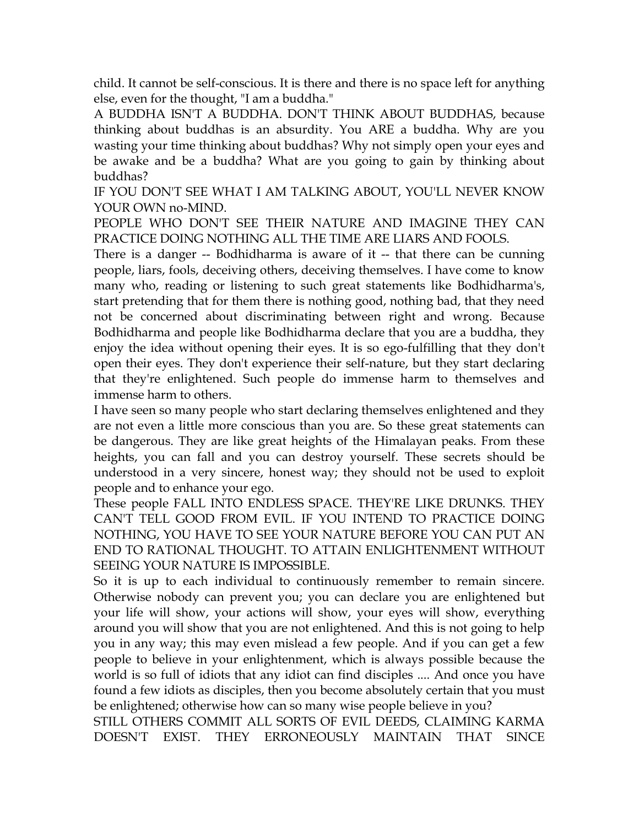child. It cannot be self-conscious. It is there and there is no space left for anything else, even for the thought, "I am a buddha."

A BUDDHA ISN'T A BUDDHA. DON'T THINK ABOUT BUDDHAS, because thinking about buddhas is an absurdity. You ARE a buddha. Why are you wasting your time thinking about buddhas? Why not simply open your eyes and be awake and be a buddha? What are you going to gain by thinking about buddhas?

IF YOU DON'T SEE WHAT I AM TALKING ABOUT, YOU'LL NEVER KNOW YOUR OWN no-MIND.

PEOPLE WHO DON'T SEE THEIR NATURE AND IMAGINE THEY CAN PRACTICE DOING NOTHING ALL THE TIME ARE LIARS AND FOOLS.

There is a danger -- Bodhidharma is aware of it -- that there can be cunning people, liars, fools, deceiving others, deceiving themselves. I have come to know many who, reading or listening to such great statements like Bodhidharma's, start pretending that for them there is nothing good, nothing bad, that they need not be concerned about discriminating between right and wrong. Because Bodhidharma and people like Bodhidharma declare that you are a buddha, they enjoy the idea without opening their eyes. It is so ego-fulfilling that they don't open their eyes. They don't experience their self-nature, but they start declaring that they're enlightened. Such people do immense harm to themselves and immense harm to others.

I have seen so many people who start declaring themselves enlightened and they are not even a little more conscious than you are. So these great statements can be dangerous. They are like great heights of the Himalayan peaks. From these heights, you can fall and you can destroy yourself. These secrets should be understood in a very sincere, honest way; they should not be used to exploit people and to enhance your ego.

These people FALL INTO ENDLESS SPACE. THEY'RE LIKE DRUNKS. THEY CAN'T TELL GOOD FROM EVIL. IF YOU INTEND TO PRACTICE DOING NOTHING, YOU HAVE TO SEE YOUR NATURE BEFORE YOU CAN PUT AN END TO RATIONAL THOUGHT. TO ATTAIN ENLIGHTENMENT WITHOUT SEEING YOUR NATURE IS IMPOSSIBLE.

So it is up to each individual to continuously remember to remain sincere. Otherwise nobody can prevent you; you can declare you are enlightened but your life will show, your actions will show, your eyes will show, everything around you will show that you are not enlightened. And this is not going to help you in any way; this may even mislead a few people. And if you can get a few people to believe in your enlightenment, which is always possible because the world is so full of idiots that any idiot can find disciples .... And once you have found a few idiots as disciples, then you become absolutely certain that you must be enlightened; otherwise how can so many wise people believe in you?

STILL OTHERS COMMIT ALL SORTS OF EVIL DEEDS, CLAIMING KARMA DOESN'T EXIST. THEY ERRONEOUSLY MAINTAIN THAT SINCE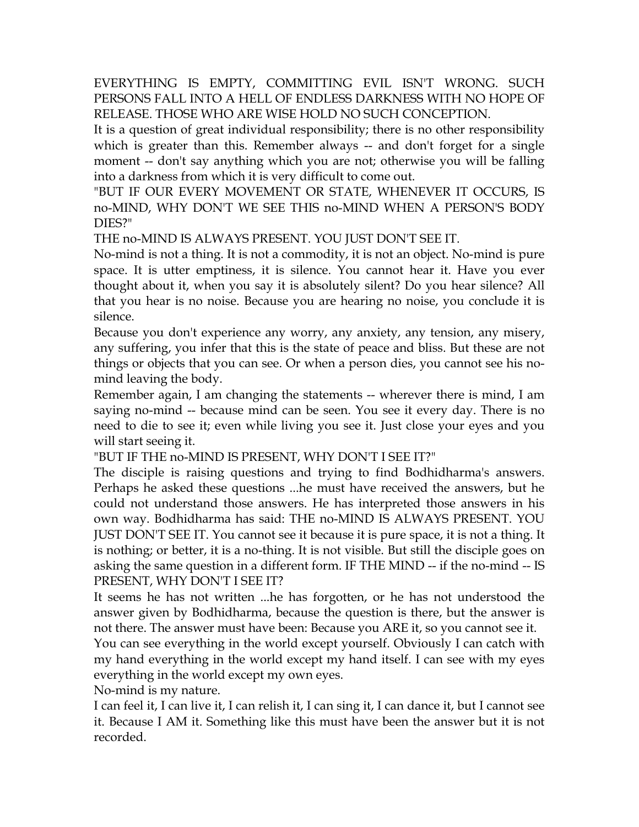EVERYTHING IS EMPTY, COMMITTING EVIL ISN'T WRONG. SUCH PERSONS FALL INTO A HELL OF ENDLESS DARKNESS WITH NO HOPE OF RELEASE. THOSE WHO ARE WISE HOLD NO SUCH CONCEPTION.

It is a question of great individual responsibility; there is no other responsibility which is greater than this. Remember always -- and don't forget for a single moment -- don't say anything which you are not; otherwise you will be falling into a darkness from which it is very difficult to come out.

"BUT IF OUR EVERY MOVEMENT OR STATE, WHENEVER IT OCCURS, IS no-MIND, WHY DON'T WE SEE THIS no-MIND WHEN A PERSON'S BODY DIES?"

THE no-MIND IS ALWAYS PRESENT. YOU JUST DON'T SEE IT.

No-mind is not a thing. It is not a commodity, it is not an object. No-mind is pure space. It is utter emptiness, it is silence. You cannot hear it. Have you ever thought about it, when you say it is absolutely silent? Do you hear silence? All that you hear is no noise. Because you are hearing no noise, you conclude it is silence.

Because you don't experience any worry, any anxiety, any tension, any misery, any suffering, you infer that this is the state of peace and bliss. But these are not things or objects that you can see. Or when a person dies, you cannot see his nomind leaving the body.

Remember again, I am changing the statements -- wherever there is mind, I am saying no-mind -- because mind can be seen. You see it every day. There is no need to die to see it; even while living you see it. Just close your eyes and you will start seeing it.

"BUT IF THE no-MIND IS PRESENT, WHY DON'T I SEE IT?"

The disciple is raising questions and trying to find Bodhidharma's answers. Perhaps he asked these questions ...he must have received the answers, but he could not understand those answers. He has interpreted those answers in his own way. Bodhidharma has said: THE no-MIND IS ALWAYS PRESENT. YOU JUST DON'T SEE IT. You cannot see it because it is pure space, it is not a thing. It is nothing; or better, it is a no-thing. It is not visible. But still the disciple goes on asking the same question in a different form. IF THE MIND -- if the no-mind -- IS PRESENT, WHY DON'T I SEE IT?

It seems he has not written ...he has forgotten, or he has not understood the answer given by Bodhidharma, because the question is there, but the answer is not there. The answer must have been: Because you ARE it, so you cannot see it.

You can see everything in the world except yourself. Obviously I can catch with my hand everything in the world except my hand itself. I can see with my eyes everything in the world except my own eyes.

No-mind is my nature.

I can feel it, I can live it, I can relish it, I can sing it, I can dance it, but I cannot see it. Because I AM it. Something like this must have been the answer but it is not recorded.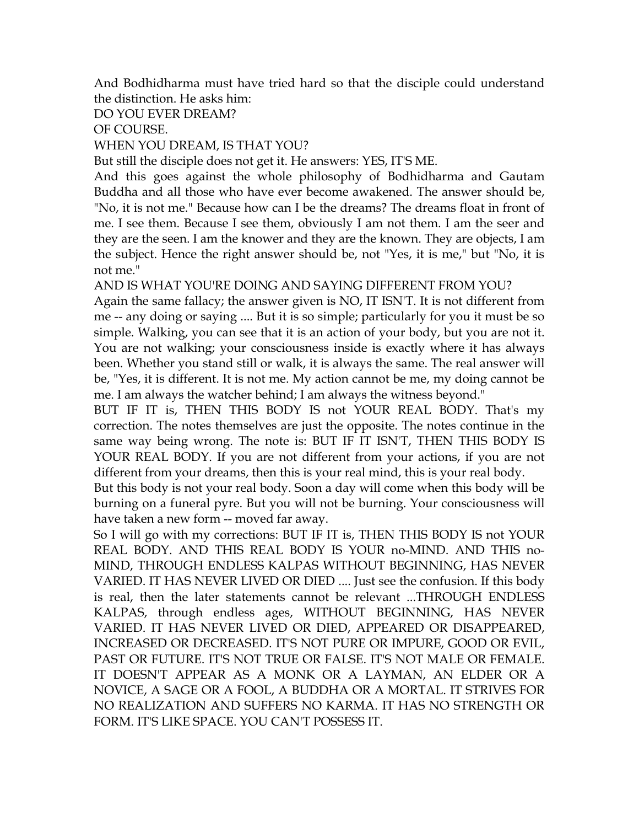And Bodhidharma must have tried hard so that the disciple could understand the distinction. He asks him:

### DO YOU EVER DREAM?

OF COURSE.

#### WHEN YOU DREAM, IS THAT YOU?

But still the disciple does not get it. He answers: YES, IT'S ME.

And this goes against the whole philosophy of Bodhidharma and Gautam Buddha and all those who have ever become awakened. The answer should be, "No, it is not me." Because how can I be the dreams? The dreams float in front of me. I see them. Because I see them, obviously I am not them. I am the seer and they are the seen. I am the knower and they are the known. They are objects, I am the subject. Hence the right answer should be, not "Yes, it is me," but "No, it is not me."

AND IS WHAT YOU'RE DOING AND SAYING DIFFERENT FROM YOU?

Again the same fallacy; the answer given is NO, IT ISN'T. It is not different from me -- any doing or saying .... But it is so simple; particularly for you it must be so simple. Walking, you can see that it is an action of your body, but you are not it. You are not walking; your consciousness inside is exactly where it has always been. Whether you stand still or walk, it is always the same. The real answer will be, "Yes, it is different. It is not me. My action cannot be me, my doing cannot be me. I am always the watcher behind; I am always the witness beyond."

BUT IF IT is, THEN THIS BODY IS not YOUR REAL BODY. That's my correction. The notes themselves are just the opposite. The notes continue in the same way being wrong. The note is: BUT IF IT ISN'T, THEN THIS BODY IS YOUR REAL BODY. If you are not different from your actions, if you are not different from your dreams, then this is your real mind, this is your real body.

But this body is not your real body. Soon a day will come when this body will be burning on a funeral pyre. But you will not be burning. Your consciousness will have taken a new form -- moved far away.

So I will go with my corrections: BUT IF IT is, THEN THIS BODY IS not YOUR REAL BODY. AND THIS REAL BODY IS YOUR no-MIND. AND THIS no-MIND, THROUGH ENDLESS KALPAS WITHOUT BEGINNING, HAS NEVER VARIED. IT HAS NEVER LIVED OR DIED .... Just see the confusion. If this body is real, then the later statements cannot be relevant ...THROUGH ENDLESS KALPAS, through endless ages, WITHOUT BEGINNING, HAS NEVER VARIED. IT HAS NEVER LIVED OR DIED, APPEARED OR DISAPPEARED, INCREASED OR DECREASED. IT'S NOT PURE OR IMPURE, GOOD OR EVIL, PAST OR FUTURE. IT'S NOT TRUE OR FALSE. IT'S NOT MALE OR FEMALE. IT DOESN'T APPEAR AS A MONK OR A LAYMAN, AN ELDER OR A NOVICE, A SAGE OR A FOOL, A BUDDHA OR A MORTAL. IT STRIVES FOR NO REALIZATION AND SUFFERS NO KARMA. IT HAS NO STRENGTH OR FORM. IT'S LIKE SPACE. YOU CAN'T POSSESS IT.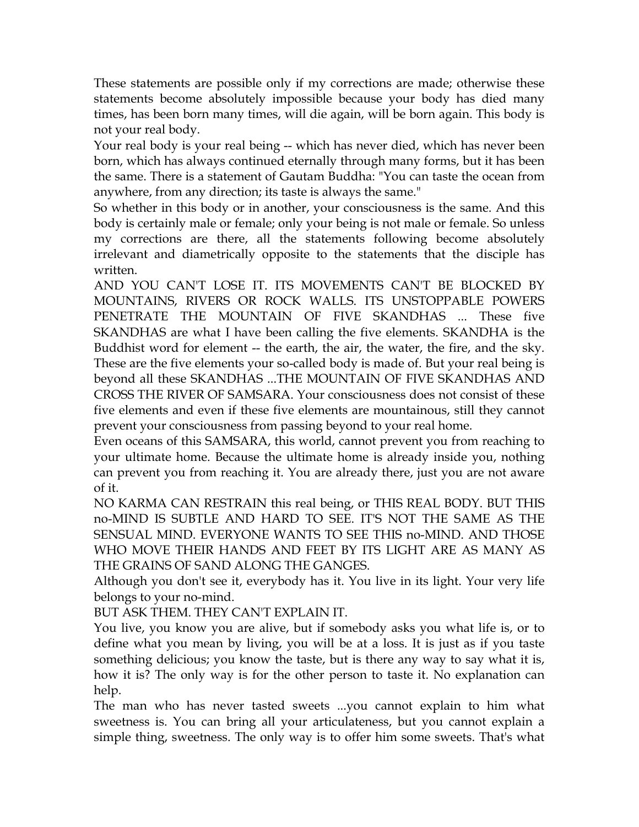These statements are possible only if my corrections are made; otherwise these statements become absolutely impossible because your body has died many times, has been born many times, will die again, will be born again. This body is not your real body.

Your real body is your real being -- which has never died, which has never been born, which has always continued eternally through many forms, but it has been the same. There is a statement of Gautam Buddha: "You can taste the ocean from anywhere, from any direction; its taste is always the same."

So whether in this body or in another, your consciousness is the same. And this body is certainly male or female; only your being is not male or female. So unless my corrections are there, all the statements following become absolutely irrelevant and diametrically opposite to the statements that the disciple has written.

AND YOU CAN'T LOSE IT. ITS MOVEMENTS CAN'T BE BLOCKED BY MOUNTAINS, RIVERS OR ROCK WALLS. ITS UNSTOPPABLE POWERS PENETRATE THE MOUNTAIN OF FIVE SKANDHAS ... These five SKANDHAS are what I have been calling the five elements. SKANDHA is the Buddhist word for element -- the earth, the air, the water, the fire, and the sky. These are the five elements your so-called body is made of. But your real being is beyond all these SKANDHAS ...THE MOUNTAIN OF FIVE SKANDHAS AND CROSS THE RIVER OF SAMSARA. Your consciousness does not consist of these five elements and even if these five elements are mountainous, still they cannot prevent your consciousness from passing beyond to your real home.

Even oceans of this SAMSARA, this world, cannot prevent you from reaching to your ultimate home. Because the ultimate home is already inside you, nothing can prevent you from reaching it. You are already there, just you are not aware of it.

NO KARMA CAN RESTRAIN this real being, or THIS REAL BODY. BUT THIS no-MIND IS SUBTLE AND HARD TO SEE. IT'S NOT THE SAME AS THE SENSUAL MIND. EVERYONE WANTS TO SEE THIS no-MIND. AND THOSE WHO MOVE THEIR HANDS AND FEET BY ITS LIGHT ARE AS MANY AS THE GRAINS OF SAND ALONG THE GANGES.

Although you don't see it, everybody has it. You live in its light. Your very life belongs to your no-mind.

BUT ASK THEM. THEY CAN'T EXPLAIN IT.

You live, you know you are alive, but if somebody asks you what life is, or to define what you mean by living, you will be at a loss. It is just as if you taste something delicious; you know the taste, but is there any way to say what it is, how it is? The only way is for the other person to taste it. No explanation can help.

The man who has never tasted sweets ...you cannot explain to him what sweetness is. You can bring all your articulateness, but you cannot explain a simple thing, sweetness. The only way is to offer him some sweets. That's what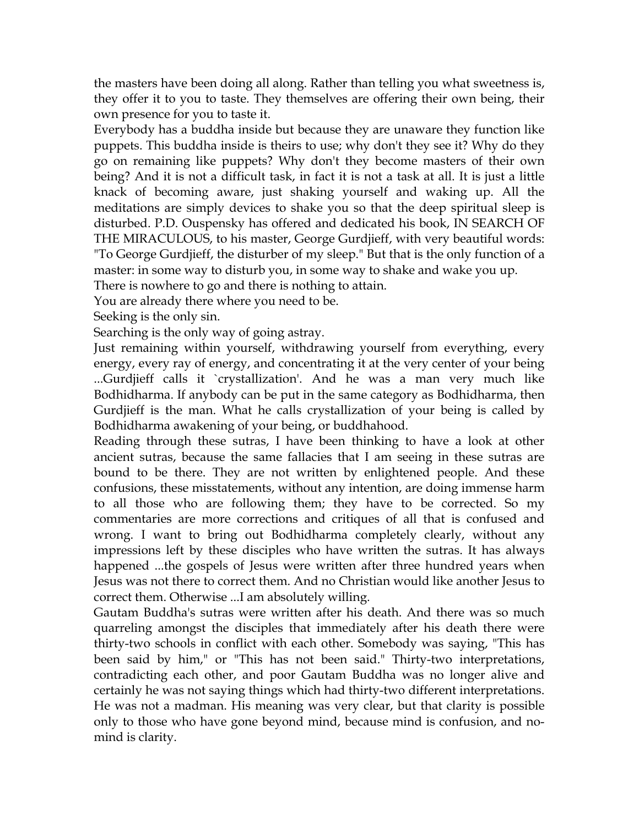the masters have been doing all along. Rather than telling you what sweetness is, they offer it to you to taste. They themselves are offering their own being, their own presence for you to taste it.

Everybody has a buddha inside but because they are unaware they function like puppets. This buddha inside is theirs to use; why don't they see it? Why do they go on remaining like puppets? Why don't they become masters of their own being? And it is not a difficult task, in fact it is not a task at all. It is just a little knack of becoming aware, just shaking yourself and waking up. All the meditations are simply devices to shake you so that the deep spiritual sleep is disturbed. P.D. Ouspensky has offered and dedicated his book, IN SEARCH OF THE MIRACULOUS, to his master, George Gurdjieff, with very beautiful words: "To George Gurdjieff, the disturber of my sleep." But that is the only function of a master: in some way to disturb you, in some way to shake and wake you up.

There is nowhere to go and there is nothing to attain.

You are already there where you need to be.

Seeking is the only sin.

Searching is the only way of going astray.

Just remaining within yourself, withdrawing yourself from everything, every energy, every ray of energy, and concentrating it at the very center of your being ...Gurdjieff calls it `crystallization'. And he was a man very much like Bodhidharma. If anybody can be put in the same category as Bodhidharma, then Gurdjieff is the man. What he calls crystallization of your being is called by Bodhidharma awakening of your being, or buddhahood.

Reading through these sutras, I have been thinking to have a look at other ancient sutras, because the same fallacies that I am seeing in these sutras are bound to be there. They are not written by enlightened people. And these confusions, these misstatements, without any intention, are doing immense harm to all those who are following them; they have to be corrected. So my commentaries are more corrections and critiques of all that is confused and wrong. I want to bring out Bodhidharma completely clearly, without any impressions left by these disciples who have written the sutras. It has always happened ...the gospels of Jesus were written after three hundred years when Jesus was not there to correct them. And no Christian would like another Jesus to correct them. Otherwise ...I am absolutely willing.

Gautam Buddha's sutras were written after his death. And there was so much quarreling amongst the disciples that immediately after his death there were thirty-two schools in conflict with each other. Somebody was saying, "This has been said by him," or "This has not been said." Thirty-two interpretations, contradicting each other, and poor Gautam Buddha was no longer alive and certainly he was not saying things which had thirty-two different interpretations. He was not a madman. His meaning was very clear, but that clarity is possible only to those who have gone beyond mind, because mind is confusion, and nomind is clarity.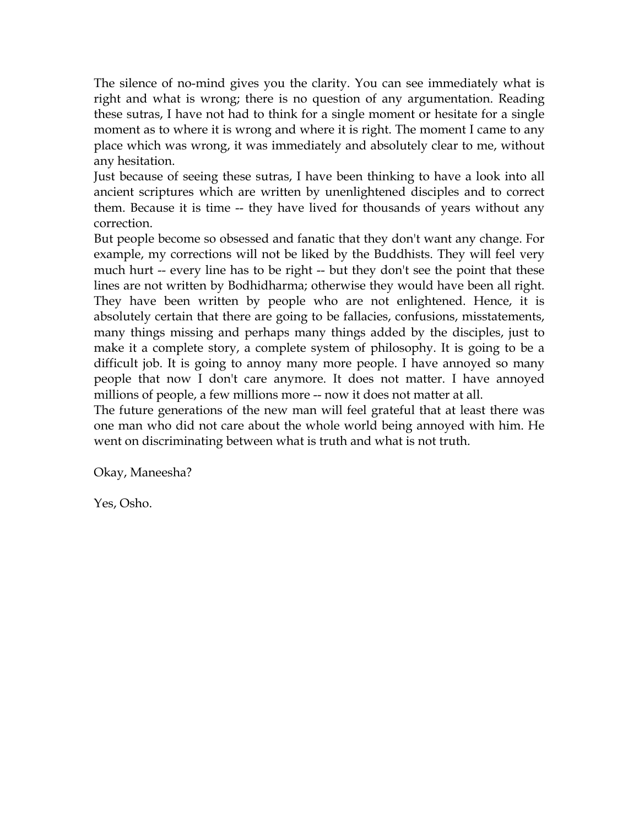The silence of no-mind gives you the clarity. You can see immediately what is right and what is wrong; there is no question of any argumentation. Reading these sutras, I have not had to think for a single moment or hesitate for a single moment as to where it is wrong and where it is right. The moment I came to any place which was wrong, it was immediately and absolutely clear to me, without any hesitation.

Just because of seeing these sutras, I have been thinking to have a look into all ancient scriptures which are written by unenlightened disciples and to correct them. Because it is time -- they have lived for thousands of years without any correction.

But people become so obsessed and fanatic that they don't want any change. For example, my corrections will not be liked by the Buddhists. They will feel very much hurt -- every line has to be right -- but they don't see the point that these lines are not written by Bodhidharma; otherwise they would have been all right. They have been written by people who are not enlightened. Hence, it is absolutely certain that there are going to be fallacies, confusions, misstatements, many things missing and perhaps many things added by the disciples, just to make it a complete story, a complete system of philosophy. It is going to be a difficult job. It is going to annoy many more people. I have annoyed so many people that now I don't care anymore. It does not matter. I have annoyed millions of people, a few millions more -- now it does not matter at all.

The future generations of the new man will feel grateful that at least there was one man who did not care about the whole world being annoyed with him. He went on discriminating between what is truth and what is not truth.

Okay, Maneesha?

Yes, Osho.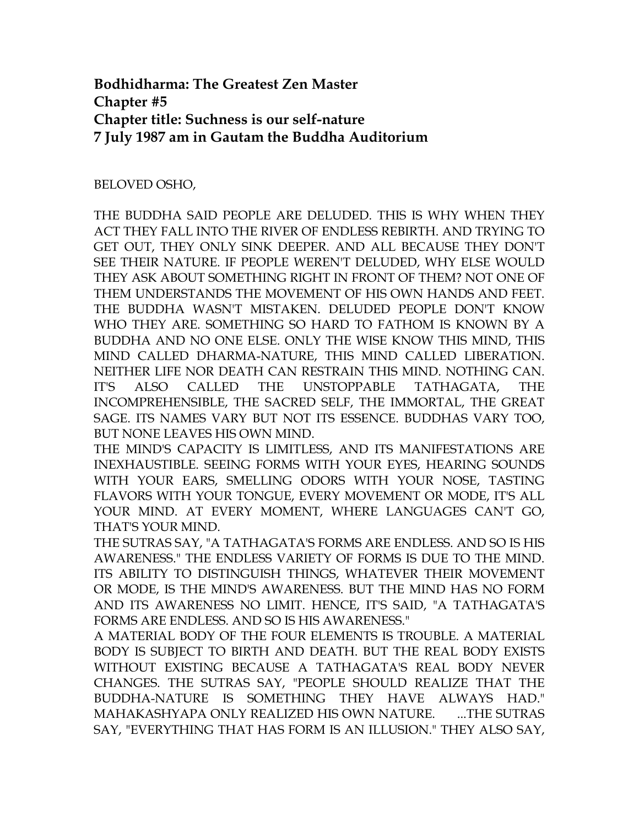# **Bodhidharma: The Greatest Zen Master Chapter #5 Chapter title: Suchness is our self-nature 7 July 1987 am in Gautam the Buddha Auditorium**

#### BELOVED OSHO,

THE BUDDHA SAID PEOPLE ARE DELUDED. THIS IS WHY WHEN THEY ACT THEY FALL INTO THE RIVER OF ENDLESS REBIRTH. AND TRYING TO GET OUT, THEY ONLY SINK DEEPER. AND ALL BECAUSE THEY DON'T SEE THEIR NATURE. IF PEOPLE WEREN'T DELUDED, WHY ELSE WOULD THEY ASK ABOUT SOMETHING RIGHT IN FRONT OF THEM? NOT ONE OF THEM UNDERSTANDS THE MOVEMENT OF HIS OWN HANDS AND FEET. THE BUDDHA WASN'T MISTAKEN. DELUDED PEOPLE DON'T KNOW WHO THEY ARE. SOMETHING SO HARD TO FATHOM IS KNOWN BY A BUDDHA AND NO ONE ELSE. ONLY THE WISE KNOW THIS MIND, THIS MIND CALLED DHARMA-NATURE, THIS MIND CALLED LIBERATION. NEITHER LIFE NOR DEATH CAN RESTRAIN THIS MIND. NOTHING CAN. IT'S ALSO CALLED THE UNSTOPPABLE TATHAGATA, THE INCOMPREHENSIBLE, THE SACRED SELF, THE IMMORTAL, THE GREAT SAGE. ITS NAMES VARY BUT NOT ITS ESSENCE. BUDDHAS VARY TOO, BUT NONE LEAVES HIS OWN MIND.

THE MIND'S CAPACITY IS LIMITLESS, AND ITS MANIFESTATIONS ARE INEXHAUSTIBLE. SEEING FORMS WITH YOUR EYES, HEARING SOUNDS WITH YOUR EARS, SMELLING ODORS WITH YOUR NOSE, TASTING FLAVORS WITH YOUR TONGUE, EVERY MOVEMENT OR MODE, IT'S ALL YOUR MIND. AT EVERY MOMENT, WHERE LANGUAGES CAN'T GO, THAT'S YOUR MIND.

THE SUTRAS SAY, "A TATHAGATA'S FORMS ARE ENDLESS. AND SO IS HIS AWARENESS." THE ENDLESS VARIETY OF FORMS IS DUE TO THE MIND. ITS ABILITY TO DISTINGUISH THINGS, WHATEVER THEIR MOVEMENT OR MODE, IS THE MIND'S AWARENESS. BUT THE MIND HAS NO FORM AND ITS AWARENESS NO LIMIT. HENCE, IT'S SAID, "A TATHAGATA'S FORMS ARE ENDLESS. AND SO IS HIS AWARENESS."

A MATERIAL BODY OF THE FOUR ELEMENTS IS TROUBLE. A MATERIAL BODY IS SUBJECT TO BIRTH AND DEATH. BUT THE REAL BODY EXISTS WITHOUT EXISTING BECAUSE A TATHAGATA'S REAL BODY NEVER CHANGES. THE SUTRAS SAY, "PEOPLE SHOULD REALIZE THAT THE BUDDHA-NATURE IS SOMETHING THEY HAVE ALWAYS HAD." MAHAKASHYAPA ONLY REALIZED HIS OWN NATURE. ...THE SUTRAS SAY, "EVERYTHING THAT HAS FORM IS AN ILLUSION." THEY ALSO SAY,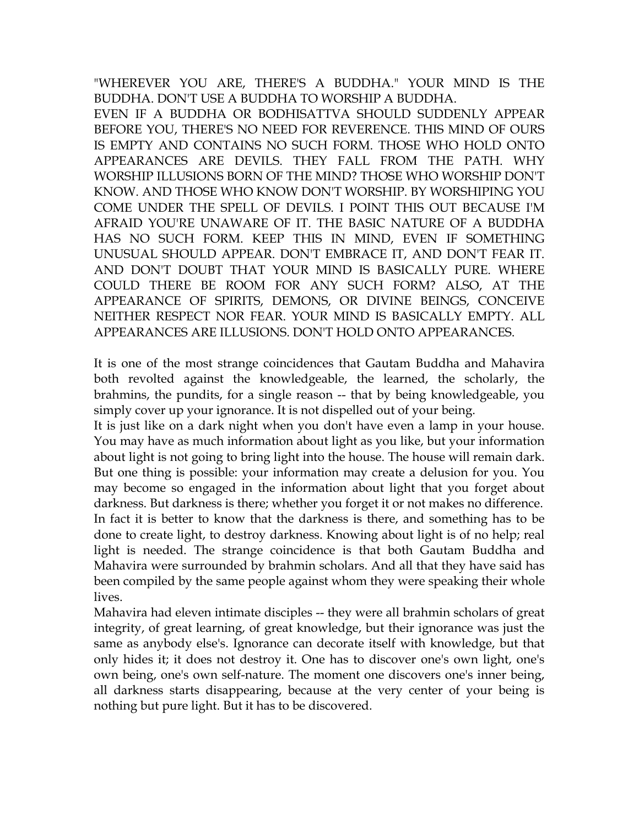"WHEREVER YOU ARE, THERE'S A BUDDHA." YOUR MIND IS THE BUDDHA. DON'T USE A BUDDHA TO WORSHIP A BUDDHA.

EVEN IF A BUDDHA OR BODHISATTVA SHOULD SUDDENLY APPEAR BEFORE YOU, THERE'S NO NEED FOR REVERENCE. THIS MIND OF OURS IS EMPTY AND CONTAINS NO SUCH FORM. THOSE WHO HOLD ONTO APPEARANCES ARE DEVILS. THEY FALL FROM THE PATH. WHY WORSHIP ILLUSIONS BORN OF THE MIND? THOSE WHO WORSHIP DON'T KNOW. AND THOSE WHO KNOW DON'T WORSHIP. BY WORSHIPING YOU COME UNDER THE SPELL OF DEVILS. I POINT THIS OUT BECAUSE I'M AFRAID YOU'RE UNAWARE OF IT. THE BASIC NATURE OF A BUDDHA HAS NO SUCH FORM. KEEP THIS IN MIND, EVEN IF SOMETHING UNUSUAL SHOULD APPEAR. DON'T EMBRACE IT, AND DON'T FEAR IT. AND DON'T DOUBT THAT YOUR MIND IS BASICALLY PURE. WHERE COULD THERE BE ROOM FOR ANY SUCH FORM? ALSO, AT THE APPEARANCE OF SPIRITS, DEMONS, OR DIVINE BEINGS, CONCEIVE NEITHER RESPECT NOR FEAR. YOUR MIND IS BASICALLY EMPTY. ALL APPEARANCES ARE ILLUSIONS. DON'T HOLD ONTO APPEARANCES.

It is one of the most strange coincidences that Gautam Buddha and Mahavira both revolted against the knowledgeable, the learned, the scholarly, the brahmins, the pundits, for a single reason -- that by being knowledgeable, you simply cover up your ignorance. It is not dispelled out of your being.

It is just like on a dark night when you don't have even a lamp in your house. You may have as much information about light as you like, but your information about light is not going to bring light into the house. The house will remain dark. But one thing is possible: your information may create a delusion for you. You may become so engaged in the information about light that you forget about darkness. But darkness is there; whether you forget it or not makes no difference. In fact it is better to know that the darkness is there, and something has to be done to create light, to destroy darkness. Knowing about light is of no help; real light is needed. The strange coincidence is that both Gautam Buddha and Mahavira were surrounded by brahmin scholars. And all that they have said has been compiled by the same people against whom they were speaking their whole lives.

Mahavira had eleven intimate disciples -- they were all brahmin scholars of great integrity, of great learning, of great knowledge, but their ignorance was just the same as anybody else's. Ignorance can decorate itself with knowledge, but that only hides it; it does not destroy it. One has to discover one's own light, one's own being, one's own self-nature. The moment one discovers one's inner being, all darkness starts disappearing, because at the very center of your being is nothing but pure light. But it has to be discovered.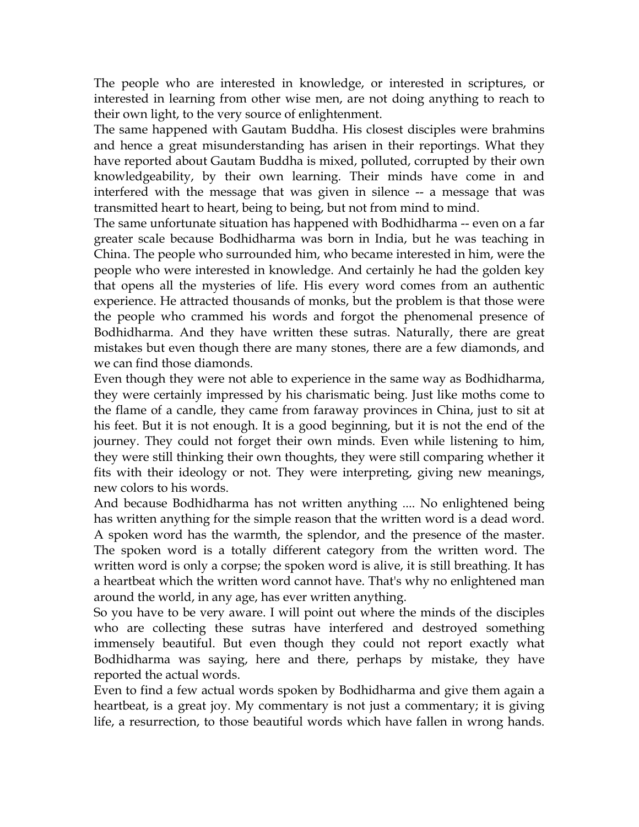The people who are interested in knowledge, or interested in scriptures, or interested in learning from other wise men, are not doing anything to reach to their own light, to the very source of enlightenment.

The same happened with Gautam Buddha. His closest disciples were brahmins and hence a great misunderstanding has arisen in their reportings. What they have reported about Gautam Buddha is mixed, polluted, corrupted by their own knowledgeability, by their own learning. Their minds have come in and interfered with the message that was given in silence -- a message that was transmitted heart to heart, being to being, but not from mind to mind.

The same unfortunate situation has happened with Bodhidharma -- even on a far greater scale because Bodhidharma was born in India, but he was teaching in China. The people who surrounded him, who became interested in him, were the people who were interested in knowledge. And certainly he had the golden key that opens all the mysteries of life. His every word comes from an authentic experience. He attracted thousands of monks, but the problem is that those were the people who crammed his words and forgot the phenomenal presence of Bodhidharma. And they have written these sutras. Naturally, there are great mistakes but even though there are many stones, there are a few diamonds, and we can find those diamonds.

Even though they were not able to experience in the same way as Bodhidharma, they were certainly impressed by his charismatic being. Just like moths come to the flame of a candle, they came from faraway provinces in China, just to sit at his feet. But it is not enough. It is a good beginning, but it is not the end of the journey. They could not forget their own minds. Even while listening to him, they were still thinking their own thoughts, they were still comparing whether it fits with their ideology or not. They were interpreting, giving new meanings, new colors to his words.

And because Bodhidharma has not written anything .... No enlightened being has written anything for the simple reason that the written word is a dead word. A spoken word has the warmth, the splendor, and the presence of the master. The spoken word is a totally different category from the written word. The written word is only a corpse; the spoken word is alive, it is still breathing. It has a heartbeat which the written word cannot have. That's why no enlightened man around the world, in any age, has ever written anything.

So you have to be very aware. I will point out where the minds of the disciples who are collecting these sutras have interfered and destroyed something immensely beautiful. But even though they could not report exactly what Bodhidharma was saying, here and there, perhaps by mistake, they have reported the actual words.

Even to find a few actual words spoken by Bodhidharma and give them again a heartbeat, is a great joy. My commentary is not just a commentary; it is giving life, a resurrection, to those beautiful words which have fallen in wrong hands.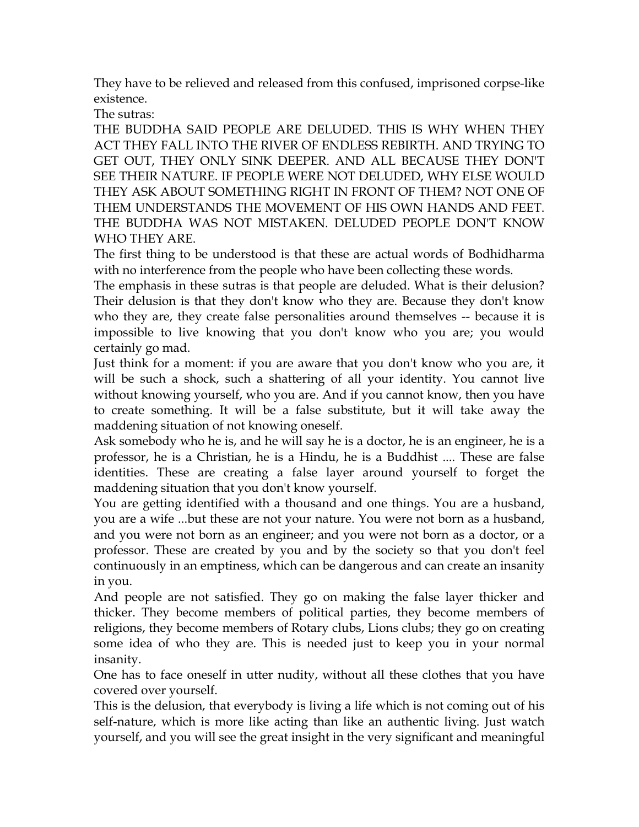They have to be relieved and released from this confused, imprisoned corpse-like existence.

The sutras:

THE BUDDHA SAID PEOPLE ARE DELUDED. THIS IS WHY WHEN THEY ACT THEY FALL INTO THE RIVER OF ENDLESS REBIRTH. AND TRYING TO GET OUT, THEY ONLY SINK DEEPER. AND ALL BECAUSE THEY DON'T SEE THEIR NATURE. IF PEOPLE WERE NOT DELUDED, WHY ELSE WOULD THEY ASK ABOUT SOMETHING RIGHT IN FRONT OF THEM? NOT ONE OF THEM UNDERSTANDS THE MOVEMENT OF HIS OWN HANDS AND FEET. THE BUDDHA WAS NOT MISTAKEN. DELUDED PEOPLE DON'T KNOW WHO THEY ARE.

The first thing to be understood is that these are actual words of Bodhidharma with no interference from the people who have been collecting these words.

The emphasis in these sutras is that people are deluded. What is their delusion? Their delusion is that they don't know who they are. Because they don't know who they are, they create false personalities around themselves -- because it is impossible to live knowing that you don't know who you are; you would certainly go mad.

Just think for a moment: if you are aware that you don't know who you are, it will be such a shock, such a shattering of all your identity. You cannot live without knowing yourself, who you are. And if you cannot know, then you have to create something. It will be a false substitute, but it will take away the maddening situation of not knowing oneself.

Ask somebody who he is, and he will say he is a doctor, he is an engineer, he is a professor, he is a Christian, he is a Hindu, he is a Buddhist .... These are false identities. These are creating a false layer around yourself to forget the maddening situation that you don't know yourself.

You are getting identified with a thousand and one things. You are a husband, you are a wife ...but these are not your nature. You were not born as a husband, and you were not born as an engineer; and you were not born as a doctor, or a professor. These are created by you and by the society so that you don't feel continuously in an emptiness, which can be dangerous and can create an insanity in you.

And people are not satisfied. They go on making the false layer thicker and thicker. They become members of political parties, they become members of religions, they become members of Rotary clubs, Lions clubs; they go on creating some idea of who they are. This is needed just to keep you in your normal insanity.

One has to face oneself in utter nudity, without all these clothes that you have covered over yourself.

This is the delusion, that everybody is living a life which is not coming out of his self-nature, which is more like acting than like an authentic living. Just watch yourself, and you will see the great insight in the very significant and meaningful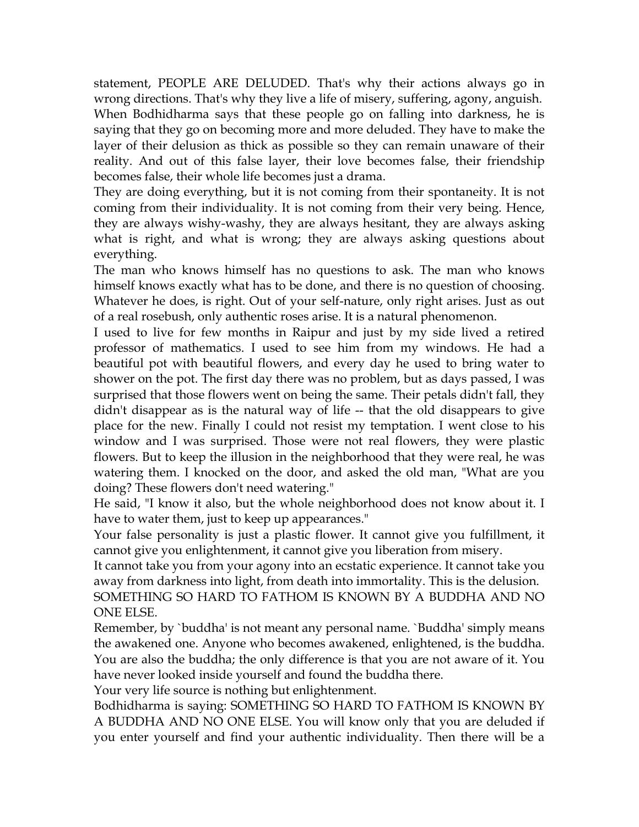statement, PEOPLE ARE DELUDED. That's why their actions always go in wrong directions. That's why they live a life of misery, suffering, agony, anguish. When Bodhidharma says that these people go on falling into darkness, he is saying that they go on becoming more and more deluded. They have to make the layer of their delusion as thick as possible so they can remain unaware of their reality. And out of this false layer, their love becomes false, their friendship becomes false, their whole life becomes just a drama.

They are doing everything, but it is not coming from their spontaneity. It is not coming from their individuality. It is not coming from their very being. Hence, they are always wishy-washy, they are always hesitant, they are always asking what is right, and what is wrong; they are always asking questions about everything.

The man who knows himself has no questions to ask. The man who knows himself knows exactly what has to be done, and there is no question of choosing. Whatever he does, is right. Out of your self-nature, only right arises. Just as out of a real rosebush, only authentic roses arise. It is a natural phenomenon.

I used to live for few months in Raipur and just by my side lived a retired professor of mathematics. I used to see him from my windows. He had a beautiful pot with beautiful flowers, and every day he used to bring water to shower on the pot. The first day there was no problem, but as days passed, I was surprised that those flowers went on being the same. Their petals didn't fall, they didn't disappear as is the natural way of life -- that the old disappears to give place for the new. Finally I could not resist my temptation. I went close to his window and I was surprised. Those were not real flowers, they were plastic flowers. But to keep the illusion in the neighborhood that they were real, he was watering them. I knocked on the door, and asked the old man, "What are you doing? These flowers don't need watering."

He said, "I know it also, but the whole neighborhood does not know about it. I have to water them, just to keep up appearances."

Your false personality is just a plastic flower. It cannot give you fulfillment, it cannot give you enlightenment, it cannot give you liberation from misery.

It cannot take you from your agony into an ecstatic experience. It cannot take you away from darkness into light, from death into immortality. This is the delusion.

SOMETHING SO HARD TO FATHOM IS KNOWN BY A BUDDHA AND NO ONE ELSE.

Remember, by `buddha' is not meant any personal name. `Buddha' simply means the awakened one. Anyone who becomes awakened, enlightened, is the buddha. You are also the buddha; the only difference is that you are not aware of it. You have never looked inside yourself and found the buddha there.

Your very life source is nothing but enlightenment.

Bodhidharma is saying: SOMETHING SO HARD TO FATHOM IS KNOWN BY A BUDDHA AND NO ONE ELSE. You will know only that you are deluded if you enter yourself and find your authentic individuality. Then there will be a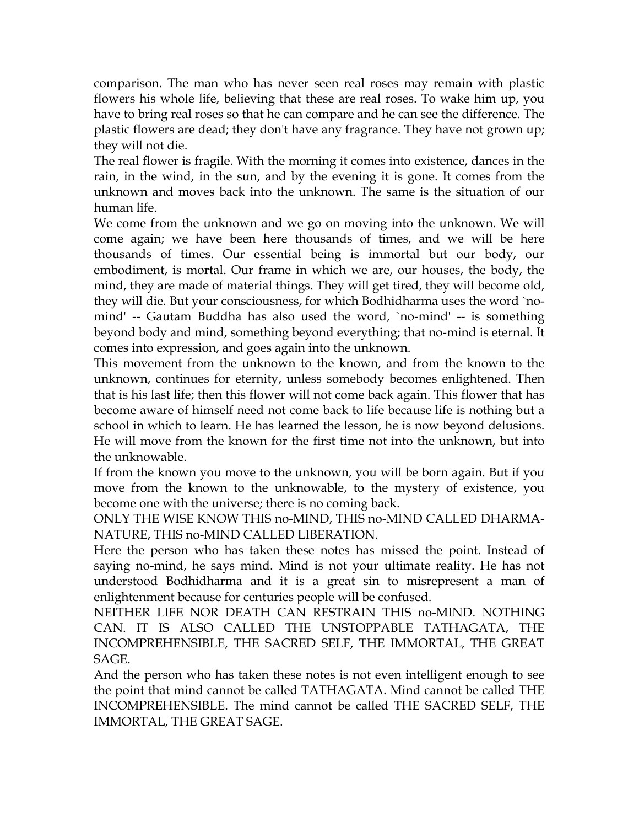comparison. The man who has never seen real roses may remain with plastic flowers his whole life, believing that these are real roses. To wake him up, you have to bring real roses so that he can compare and he can see the difference. The plastic flowers are dead; they don't have any fragrance. They have not grown up; they will not die.

The real flower is fragile. With the morning it comes into existence, dances in the rain, in the wind, in the sun, and by the evening it is gone. It comes from the unknown and moves back into the unknown. The same is the situation of our human life.

We come from the unknown and we go on moving into the unknown. We will come again; we have been here thousands of times, and we will be here thousands of times. Our essential being is immortal but our body, our embodiment, is mortal. Our frame in which we are, our houses, the body, the mind, they are made of material things. They will get tired, they will become old, they will die. But your consciousness, for which Bodhidharma uses the word `nomind' -- Gautam Buddha has also used the word, `no-mind' -- is something beyond body and mind, something beyond everything; that no-mind is eternal. It comes into expression, and goes again into the unknown.

This movement from the unknown to the known, and from the known to the unknown, continues for eternity, unless somebody becomes enlightened. Then that is his last life; then this flower will not come back again. This flower that has become aware of himself need not come back to life because life is nothing but a school in which to learn. He has learned the lesson, he is now beyond delusions. He will move from the known for the first time not into the unknown, but into the unknowable.

If from the known you move to the unknown, you will be born again. But if you move from the known to the unknowable, to the mystery of existence, you become one with the universe; there is no coming back.

ONLY THE WISE KNOW THIS no-MIND, THIS no-MIND CALLED DHARMA-NATURE, THIS no-MIND CALLED LIBERATION.

Here the person who has taken these notes has missed the point. Instead of saying no-mind, he says mind. Mind is not your ultimate reality. He has not understood Bodhidharma and it is a great sin to misrepresent a man of enlightenment because for centuries people will be confused.

NEITHER LIFE NOR DEATH CAN RESTRAIN THIS no-MIND. NOTHING CAN. IT IS ALSO CALLED THE UNSTOPPABLE TATHAGATA, THE INCOMPREHENSIBLE, THE SACRED SELF, THE IMMORTAL, THE GREAT SAGE.

And the person who has taken these notes is not even intelligent enough to see the point that mind cannot be called TATHAGATA. Mind cannot be called THE INCOMPREHENSIBLE. The mind cannot be called THE SACRED SELF, THE IMMORTAL, THE GREAT SAGE.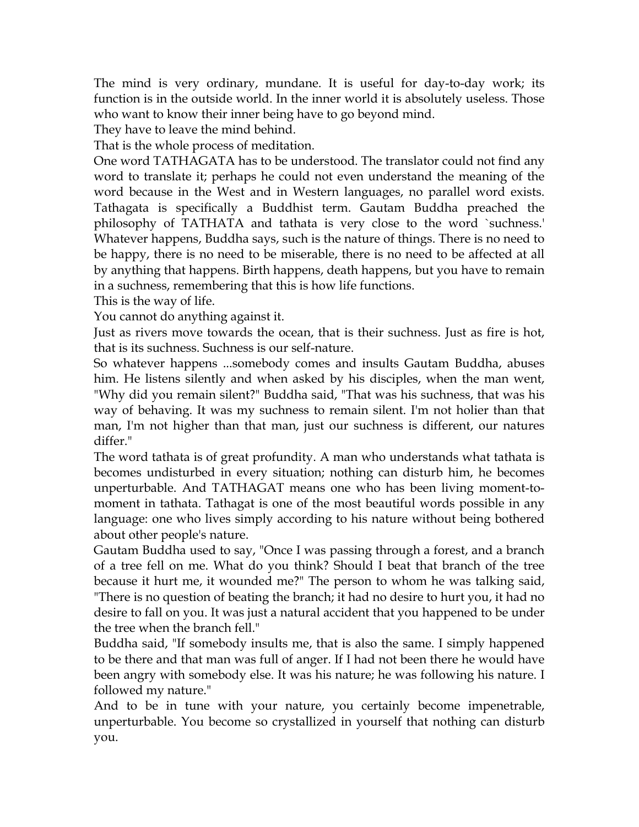The mind is very ordinary, mundane. It is useful for day-to-day work; its function is in the outside world. In the inner world it is absolutely useless. Those who want to know their inner being have to go beyond mind.

They have to leave the mind behind.

That is the whole process of meditation.

One word TATHAGATA has to be understood. The translator could not find any word to translate it; perhaps he could not even understand the meaning of the word because in the West and in Western languages, no parallel word exists. Tathagata is specifically a Buddhist term. Gautam Buddha preached the philosophy of TATHATA and tathata is very close to the word `suchness.' Whatever happens, Buddha says, such is the nature of things. There is no need to be happy, there is no need to be miserable, there is no need to be affected at all by anything that happens. Birth happens, death happens, but you have to remain in a suchness, remembering that this is how life functions.

This is the way of life.

You cannot do anything against it.

Just as rivers move towards the ocean, that is their suchness. Just as fire is hot, that is its suchness. Suchness is our self-nature.

So whatever happens ...somebody comes and insults Gautam Buddha, abuses him. He listens silently and when asked by his disciples, when the man went, "Why did you remain silent?" Buddha said, "That was his suchness, that was his way of behaving. It was my suchness to remain silent. I'm not holier than that man, I'm not higher than that man, just our suchness is different, our natures differ."

The word tathata is of great profundity. A man who understands what tathata is becomes undisturbed in every situation; nothing can disturb him, he becomes unperturbable. And TATHAGAT means one who has been living moment-tomoment in tathata. Tathagat is one of the most beautiful words possible in any language: one who lives simply according to his nature without being bothered about other people's nature.

Gautam Buddha used to say, "Once I was passing through a forest, and a branch of a tree fell on me. What do you think? Should I beat that branch of the tree because it hurt me, it wounded me?" The person to whom he was talking said, "There is no question of beating the branch; it had no desire to hurt you, it had no desire to fall on you. It was just a natural accident that you happened to be under the tree when the branch fell."

Buddha said, "If somebody insults me, that is also the same. I simply happened to be there and that man was full of anger. If I had not been there he would have been angry with somebody else. It was his nature; he was following his nature. I followed my nature."

And to be in tune with your nature, you certainly become impenetrable, unperturbable. You become so crystallized in yourself that nothing can disturb you.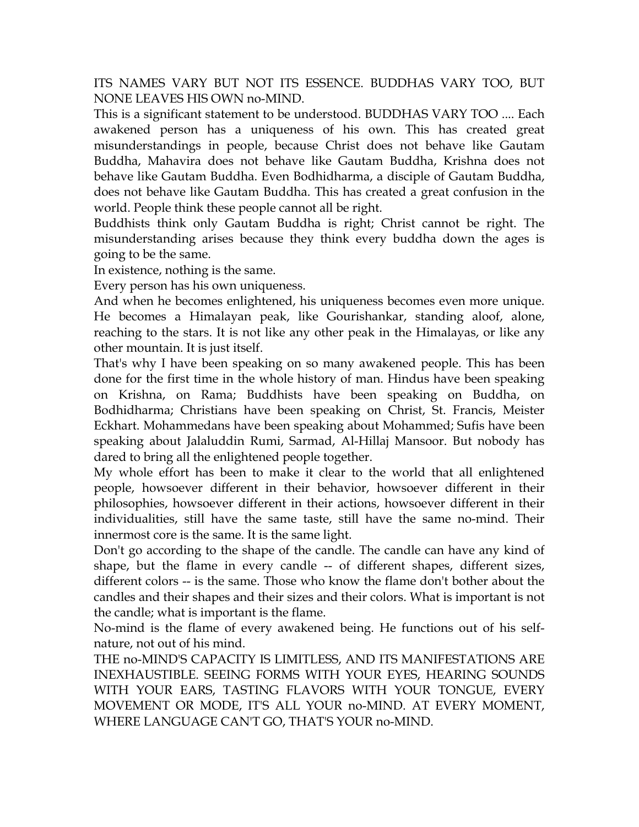ITS NAMES VARY BUT NOT ITS ESSENCE. BUDDHAS VARY TOO, BUT NONE LEAVES HIS OWN no-MIND.

This is a significant statement to be understood. BUDDHAS VARY TOO .... Each awakened person has a uniqueness of his own. This has created great misunderstandings in people, because Christ does not behave like Gautam Buddha, Mahavira does not behave like Gautam Buddha, Krishna does not behave like Gautam Buddha. Even Bodhidharma, a disciple of Gautam Buddha, does not behave like Gautam Buddha. This has created a great confusion in the world. People think these people cannot all be right.

Buddhists think only Gautam Buddha is right; Christ cannot be right. The misunderstanding arises because they think every buddha down the ages is going to be the same.

In existence, nothing is the same.

Every person has his own uniqueness.

And when he becomes enlightened, his uniqueness becomes even more unique. He becomes a Himalayan peak, like Gourishankar, standing aloof, alone, reaching to the stars. It is not like any other peak in the Himalayas, or like any other mountain. It is just itself.

That's why I have been speaking on so many awakened people. This has been done for the first time in the whole history of man. Hindus have been speaking on Krishna, on Rama; Buddhists have been speaking on Buddha, on Bodhidharma; Christians have been speaking on Christ, St. Francis, Meister Eckhart. Mohammedans have been speaking about Mohammed; Sufis have been speaking about Jalaluddin Rumi, Sarmad, Al-Hillaj Mansoor. But nobody has dared to bring all the enlightened people together.

My whole effort has been to make it clear to the world that all enlightened people, howsoever different in their behavior, howsoever different in their philosophies, howsoever different in their actions, howsoever different in their individualities, still have the same taste, still have the same no-mind. Their innermost core is the same. It is the same light.

Don't go according to the shape of the candle. The candle can have any kind of shape, but the flame in every candle -- of different shapes, different sizes, different colors -- is the same. Those who know the flame don't bother about the candles and their shapes and their sizes and their colors. What is important is not the candle; what is important is the flame.

No-mind is the flame of every awakened being. He functions out of his selfnature, not out of his mind.

THE no-MIND'S CAPACITY IS LIMITLESS, AND ITS MANIFESTATIONS ARE INEXHAUSTIBLE. SEEING FORMS WITH YOUR EYES, HEARING SOUNDS WITH YOUR EARS, TASTING FLAVORS WITH YOUR TONGUE, EVERY MOVEMENT OR MODE, IT'S ALL YOUR no-MIND. AT EVERY MOMENT, WHERE LANGUAGE CAN'T GO, THAT'S YOUR no-MIND.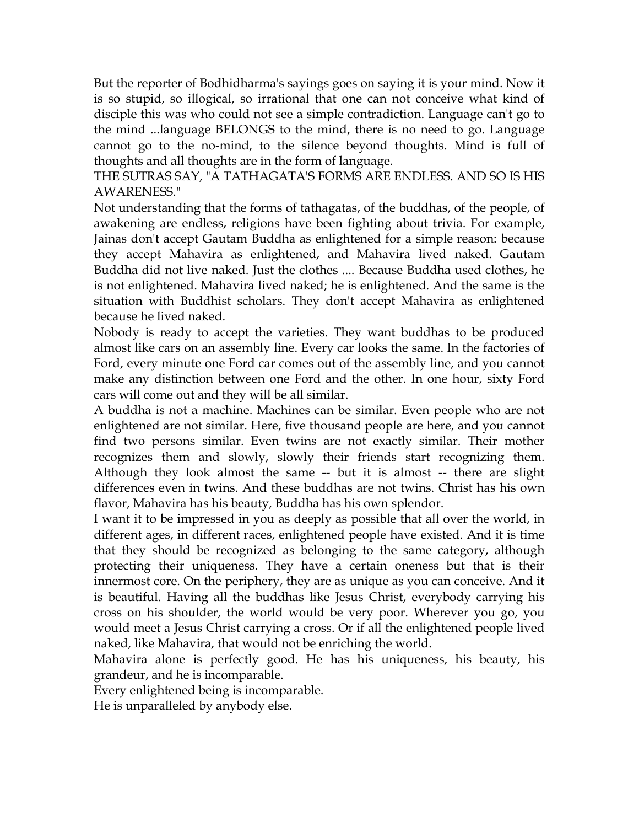But the reporter of Bodhidharma's sayings goes on saying it is your mind. Now it is so stupid, so illogical, so irrational that one can not conceive what kind of disciple this was who could not see a simple contradiction. Language can't go to the mind ...language BELONGS to the mind, there is no need to go. Language cannot go to the no-mind, to the silence beyond thoughts. Mind is full of thoughts and all thoughts are in the form of language.

THE SUTRAS SAY, "A TATHAGATA'S FORMS ARE ENDLESS. AND SO IS HIS AWARENESS."

Not understanding that the forms of tathagatas, of the buddhas, of the people, of awakening are endless, religions have been fighting about trivia. For example, Jainas don't accept Gautam Buddha as enlightened for a simple reason: because they accept Mahavira as enlightened, and Mahavira lived naked. Gautam Buddha did not live naked. Just the clothes .... Because Buddha used clothes, he is not enlightened. Mahavira lived naked; he is enlightened. And the same is the situation with Buddhist scholars. They don't accept Mahavira as enlightened because he lived naked.

Nobody is ready to accept the varieties. They want buddhas to be produced almost like cars on an assembly line. Every car looks the same. In the factories of Ford, every minute one Ford car comes out of the assembly line, and you cannot make any distinction between one Ford and the other. In one hour, sixty Ford cars will come out and they will be all similar.

A buddha is not a machine. Machines can be similar. Even people who are not enlightened are not similar. Here, five thousand people are here, and you cannot find two persons similar. Even twins are not exactly similar. Their mother recognizes them and slowly, slowly their friends start recognizing them. Although they look almost the same -- but it is almost -- there are slight differences even in twins. And these buddhas are not twins. Christ has his own flavor, Mahavira has his beauty, Buddha has his own splendor.

I want it to be impressed in you as deeply as possible that all over the world, in different ages, in different races, enlightened people have existed. And it is time that they should be recognized as belonging to the same category, although protecting their uniqueness. They have a certain oneness but that is their innermost core. On the periphery, they are as unique as you can conceive. And it is beautiful. Having all the buddhas like Jesus Christ, everybody carrying his cross on his shoulder, the world would be very poor. Wherever you go, you would meet a Jesus Christ carrying a cross. Or if all the enlightened people lived naked, like Mahavira, that would not be enriching the world.

Mahavira alone is perfectly good. He has his uniqueness, his beauty, his grandeur, and he is incomparable.

Every enlightened being is incomparable.

He is unparalleled by anybody else.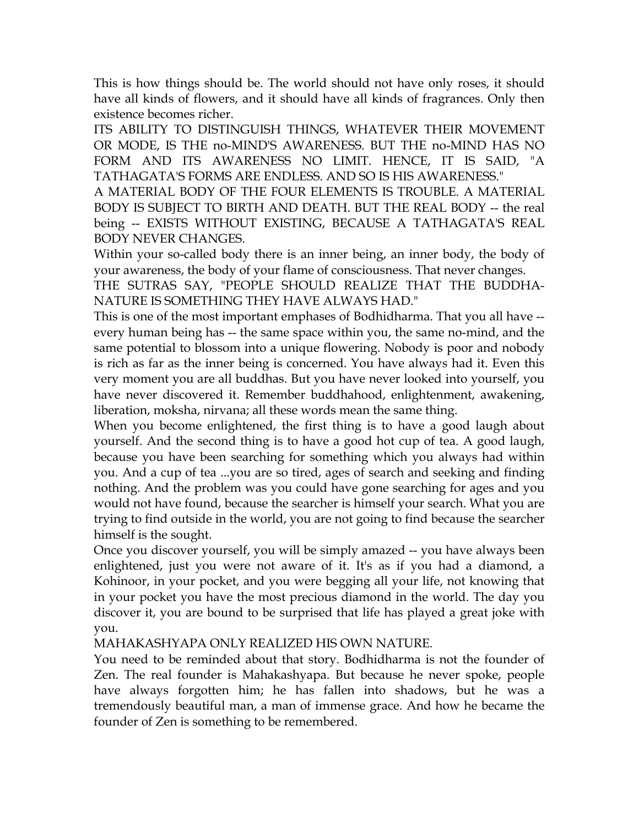This is how things should be. The world should not have only roses, it should have all kinds of flowers, and it should have all kinds of fragrances. Only then existence becomes richer.

ITS ABILITY TO DISTINGUISH THINGS, WHATEVER THEIR MOVEMENT OR MODE, IS THE no-MIND'S AWARENESS. BUT THE no-MIND HAS NO FORM AND ITS AWARENESS NO LIMIT. HENCE, IT IS SAID, "A TATHAGATA'S FORMS ARE ENDLESS. AND SO IS HIS AWARENESS."

A MATERIAL BODY OF THE FOUR ELEMENTS IS TROUBLE. A MATERIAL BODY IS SUBJECT TO BIRTH AND DEATH. BUT THE REAL BODY -- the real being -- EXISTS WITHOUT EXISTING, BECAUSE A TATHAGATA'S REAL BODY NEVER CHANGES.

Within your so-called body there is an inner being, an inner body, the body of your awareness, the body of your flame of consciousness. That never changes.

THE SUTRAS SAY, "PEOPLE SHOULD REALIZE THAT THE BUDDHA-NATURE IS SOMETHING THEY HAVE ALWAYS HAD."

This is one of the most important emphases of Bodhidharma. That you all have - every human being has -- the same space within you, the same no-mind, and the same potential to blossom into a unique flowering. Nobody is poor and nobody is rich as far as the inner being is concerned. You have always had it. Even this very moment you are all buddhas. But you have never looked into yourself, you have never discovered it. Remember buddhahood, enlightenment, awakening, liberation, moksha, nirvana; all these words mean the same thing.

When you become enlightened, the first thing is to have a good laugh about yourself. And the second thing is to have a good hot cup of tea. A good laugh, because you have been searching for something which you always had within you. And a cup of tea ...you are so tired, ages of search and seeking and finding nothing. And the problem was you could have gone searching for ages and you would not have found, because the searcher is himself your search. What you are trying to find outside in the world, you are not going to find because the searcher himself is the sought.

Once you discover yourself, you will be simply amazed -- you have always been enlightened, just you were not aware of it. It's as if you had a diamond, a Kohinoor, in your pocket, and you were begging all your life, not knowing that in your pocket you have the most precious diamond in the world. The day you discover it, you are bound to be surprised that life has played a great joke with you.

MAHAKASHYAPA ONLY REALIZED HIS OWN NATURE.

You need to be reminded about that story. Bodhidharma is not the founder of Zen. The real founder is Mahakashyapa. But because he never spoke, people have always forgotten him; he has fallen into shadows, but he was a tremendously beautiful man, a man of immense grace. And how he became the founder of Zen is something to be remembered.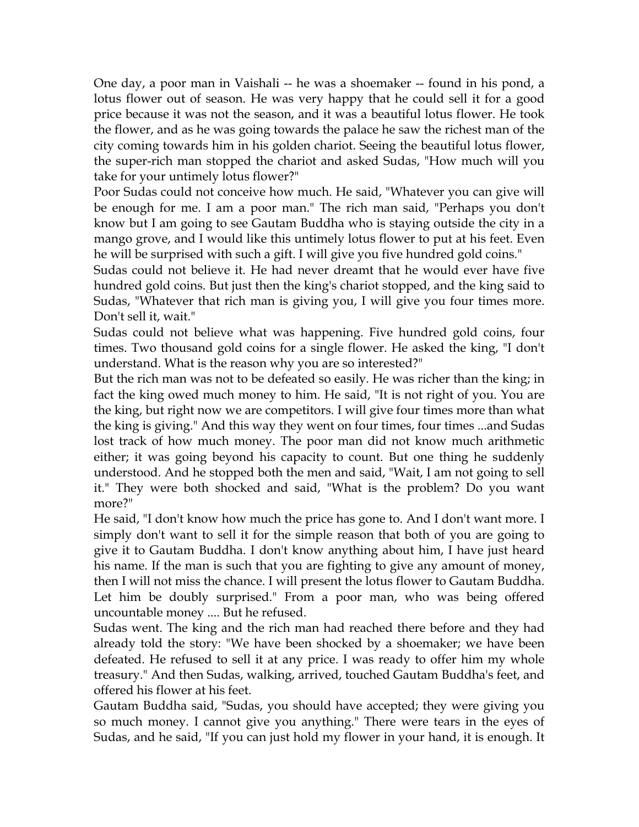One day, a poor man in Vaishali -- he was a shoemaker -- found in his pond, a lotus flower out of season. He was very happy that he could sell it for a good price because it was not the season, and it was a beautiful lotus flower. He took the flower, and as he was going towards the palace he saw the richest man of the city coming towards him in his golden chariot. Seeing the beautiful lotus flower, the super-rich man stopped the chariot and asked Sudas, "How much will you take for your untimely lotus flower?"

Poor Sudas could not conceive how much. He said, "Whatever you can give will be enough for me. I am a poor man." The rich man said, "Perhaps you don't know but I am going to see Gautam Buddha who is staying outside the city in a mango grove, and I would like this untimely lotus flower to put at his feet. Even he will be surprised with such a gift. I will give you five hundred gold coins."

Sudas could not believe it. He had never dreamt that he would ever have five hundred gold coins. But just then the king's chariot stopped, and the king said to Sudas, "Whatever that rich man is giving you, I will give you four times more. Don't sell it, wait."

Sudas could not believe what was happening. Five hundred gold coins, four times. Two thousand gold coins for a single flower. He asked the king, "I don't understand. What is the reason why you are so interested?"

But the rich man was not to be defeated so easily. He was richer than the king; in fact the king owed much money to him. He said, "It is not right of you. You are the king, but right now we are competitors. I will give four times more than what the king is giving." And this way they went on four times, four times ...and Sudas lost track of how much money. The poor man did not know much arithmetic either; it was going beyond his capacity to count. But one thing he suddenly understood. And he stopped both the men and said, "Wait, I am not going to sell it." They were both shocked and said, "What is the problem? Do you want more?"

He said, "I don't know how much the price has gone to. And I don't want more. I simply don't want to sell it for the simple reason that both of you are going to give it to Gautam Buddha. I don't know anything about him, I have just heard his name. If the man is such that you are fighting to give any amount of money, then I will not miss the chance. I will present the lotus flower to Gautam Buddha. Let him be doubly surprised." From a poor man, who was being offered uncountable money .... But he refused.

Sudas went. The king and the rich man had reached there before and they had already told the story: "We have been shocked by a shoemaker; we have been defeated. He refused to sell it at any price. I was ready to offer him my whole treasury." And then Sudas, walking, arrived, touched Gautam Buddha's feet, and offered his flower at his feet.

Gautam Buddha said, "Sudas, you should have accepted; they were giving you so much money. I cannot give you anything." There were tears in the eyes of Sudas, and he said, "If you can just hold my flower in your hand, it is enough. It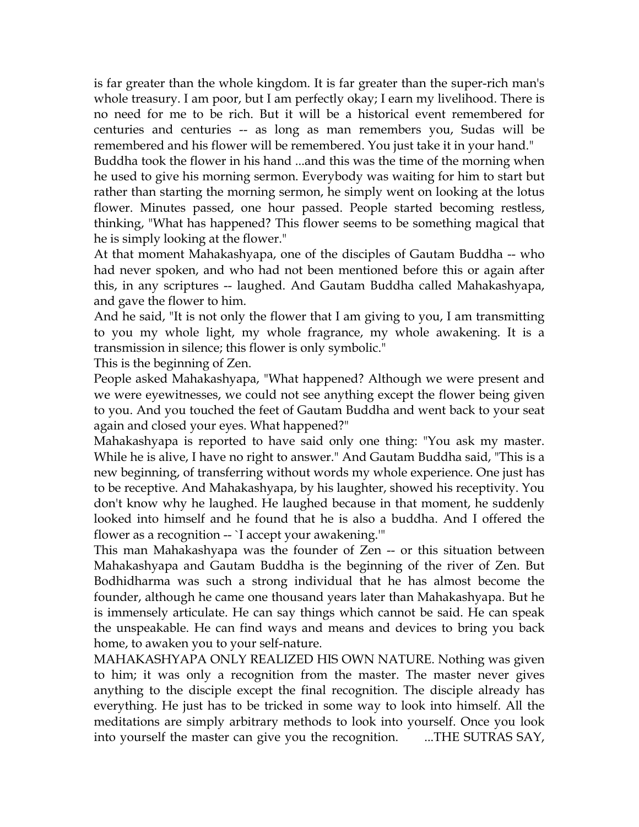is far greater than the whole kingdom. It is far greater than the super-rich man's whole treasury. I am poor, but I am perfectly okay; I earn my livelihood. There is no need for me to be rich. But it will be a historical event remembered for centuries and centuries -- as long as man remembers you, Sudas will be remembered and his flower will be remembered. You just take it in your hand."

Buddha took the flower in his hand ...and this was the time of the morning when he used to give his morning sermon. Everybody was waiting for him to start but rather than starting the morning sermon, he simply went on looking at the lotus flower. Minutes passed, one hour passed. People started becoming restless, thinking, "What has happened? This flower seems to be something magical that he is simply looking at the flower."

At that moment Mahakashyapa, one of the disciples of Gautam Buddha -- who had never spoken, and who had not been mentioned before this or again after this, in any scriptures -- laughed. And Gautam Buddha called Mahakashyapa, and gave the flower to him.

And he said, "It is not only the flower that I am giving to you, I am transmitting to you my whole light, my whole fragrance, my whole awakening. It is a transmission in silence; this flower is only symbolic."

This is the beginning of Zen.

People asked Mahakashyapa, "What happened? Although we were present and we were eyewitnesses, we could not see anything except the flower being given to you. And you touched the feet of Gautam Buddha and went back to your seat again and closed your eyes. What happened?"

Mahakashyapa is reported to have said only one thing: "You ask my master. While he is alive, I have no right to answer." And Gautam Buddha said, "This is a new beginning, of transferring without words my whole experience. One just has to be receptive. And Mahakashyapa, by his laughter, showed his receptivity. You don't know why he laughed. He laughed because in that moment, he suddenly looked into himself and he found that he is also a buddha. And I offered the flower as a recognition -- `I accept your awakening.'"

This man Mahakashyapa was the founder of Zen -- or this situation between Mahakashyapa and Gautam Buddha is the beginning of the river of Zen. But Bodhidharma was such a strong individual that he has almost become the founder, although he came one thousand years later than Mahakashyapa. But he is immensely articulate. He can say things which cannot be said. He can speak the unspeakable. He can find ways and means and devices to bring you back home, to awaken you to your self-nature.

MAHAKASHYAPA ONLY REALIZED HIS OWN NATURE. Nothing was given to him; it was only a recognition from the master. The master never gives anything to the disciple except the final recognition. The disciple already has everything. He just has to be tricked in some way to look into himself. All the meditations are simply arbitrary methods to look into yourself. Once you look into yourself the master can give you the recognition. ...THE SUTRAS SAY,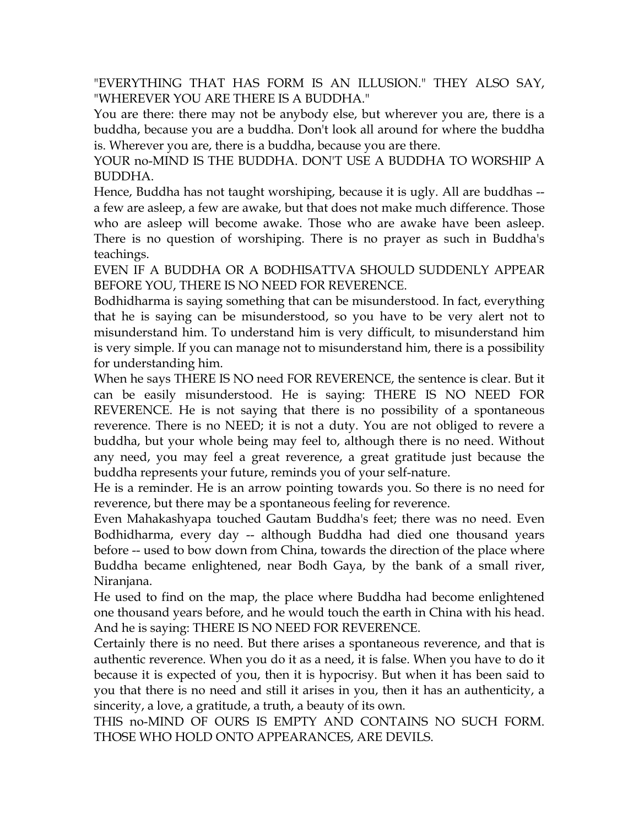"EVERYTHING THAT HAS FORM IS AN ILLUSION." THEY ALSO SAY, "WHEREVER YOU ARE THERE IS A BUDDHA."

You are there: there may not be anybody else, but wherever you are, there is a buddha, because you are a buddha. Don't look all around for where the buddha is. Wherever you are, there is a buddha, because you are there.

YOUR no-MIND IS THE BUDDHA. DON'T USE A BUDDHA TO WORSHIP A BUDDHA.

Hence, Buddha has not taught worshiping, because it is ugly. All are buddhas - a few are asleep, a few are awake, but that does not make much difference. Those who are asleep will become awake. Those who are awake have been asleep. There is no question of worshiping. There is no prayer as such in Buddha's teachings.

EVEN IF A BUDDHA OR A BODHISATTVA SHOULD SUDDENLY APPEAR BEFORE YOU, THERE IS NO NEED FOR REVERENCE.

Bodhidharma is saying something that can be misunderstood. In fact, everything that he is saying can be misunderstood, so you have to be very alert not to misunderstand him. To understand him is very difficult, to misunderstand him is very simple. If you can manage not to misunderstand him, there is a possibility for understanding him.

When he says THERE IS NO need FOR REVERENCE, the sentence is clear. But it can be easily misunderstood. He is saying: THERE IS NO NEED FOR REVERENCE. He is not saying that there is no possibility of a spontaneous reverence. There is no NEED; it is not a duty. You are not obliged to revere a buddha, but your whole being may feel to, although there is no need. Without any need, you may feel a great reverence, a great gratitude just because the buddha represents your future, reminds you of your self-nature.

He is a reminder. He is an arrow pointing towards you. So there is no need for reverence, but there may be a spontaneous feeling for reverence.

Even Mahakashyapa touched Gautam Buddha's feet; there was no need. Even Bodhidharma, every day -- although Buddha had died one thousand years before -- used to bow down from China, towards the direction of the place where Buddha became enlightened, near Bodh Gaya, by the bank of a small river, Niranjana.

He used to find on the map, the place where Buddha had become enlightened one thousand years before, and he would touch the earth in China with his head. And he is saying: THERE IS NO NEED FOR REVERENCE.

Certainly there is no need. But there arises a spontaneous reverence, and that is authentic reverence. When you do it as a need, it is false. When you have to do it because it is expected of you, then it is hypocrisy. But when it has been said to you that there is no need and still it arises in you, then it has an authenticity, a sincerity, a love, a gratitude, a truth, a beauty of its own.

THIS no-MIND OF OURS IS EMPTY AND CONTAINS NO SUCH FORM. THOSE WHO HOLD ONTO APPEARANCES, ARE DEVILS.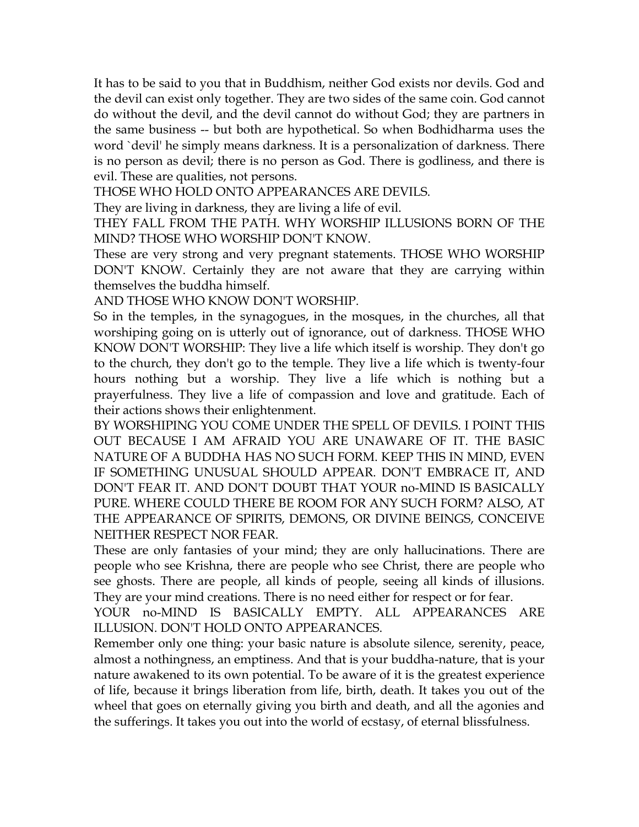It has to be said to you that in Buddhism, neither God exists nor devils. God and the devil can exist only together. They are two sides of the same coin. God cannot do without the devil, and the devil cannot do without God; they are partners in the same business -- but both are hypothetical. So when Bodhidharma uses the word `devil' he simply means darkness. It is a personalization of darkness. There is no person as devil; there is no person as God. There is godliness, and there is evil. These are qualities, not persons.

THOSE WHO HOLD ONTO APPEARANCES ARE DEVILS.

They are living in darkness, they are living a life of evil.

THEY FALL FROM THE PATH. WHY WORSHIP ILLUSIONS BORN OF THE MIND? THOSE WHO WORSHIP DON'T KNOW.

These are very strong and very pregnant statements. THOSE WHO WORSHIP DON'T KNOW. Certainly they are not aware that they are carrying within themselves the buddha himself.

AND THOSE WHO KNOW DON'T WORSHIP.

So in the temples, in the synagogues, in the mosques, in the churches, all that worshiping going on is utterly out of ignorance, out of darkness. THOSE WHO KNOW DON'T WORSHIP: They live a life which itself is worship. They don't go to the church, they don't go to the temple. They live a life which is twenty-four hours nothing but a worship. They live a life which is nothing but a prayerfulness. They live a life of compassion and love and gratitude. Each of their actions shows their enlightenment.

BY WORSHIPING YOU COME UNDER THE SPELL OF DEVILS. I POINT THIS OUT BECAUSE I AM AFRAID YOU ARE UNAWARE OF IT. THE BASIC NATURE OF A BUDDHA HAS NO SUCH FORM. KEEP THIS IN MIND, EVEN IF SOMETHING UNUSUAL SHOULD APPEAR. DON'T EMBRACE IT, AND DON'T FEAR IT. AND DON'T DOUBT THAT YOUR no-MIND IS BASICALLY PURE. WHERE COULD THERE BE ROOM FOR ANY SUCH FORM? ALSO, AT THE APPEARANCE OF SPIRITS, DEMONS, OR DIVINE BEINGS, CONCEIVE NEITHER RESPECT NOR FEAR.

These are only fantasies of your mind; they are only hallucinations. There are people who see Krishna, there are people who see Christ, there are people who see ghosts. There are people, all kinds of people, seeing all kinds of illusions. They are your mind creations. There is no need either for respect or for fear.

YOUR no-MIND IS BASICALLY EMPTY. ALL APPEARANCES ARE ILLUSION. DON'T HOLD ONTO APPEARANCES.

Remember only one thing: your basic nature is absolute silence, serenity, peace, almost a nothingness, an emptiness. And that is your buddha-nature, that is your nature awakened to its own potential. To be aware of it is the greatest experience of life, because it brings liberation from life, birth, death. It takes you out of the wheel that goes on eternally giving you birth and death, and all the agonies and the sufferings. It takes you out into the world of ecstasy, of eternal blissfulness.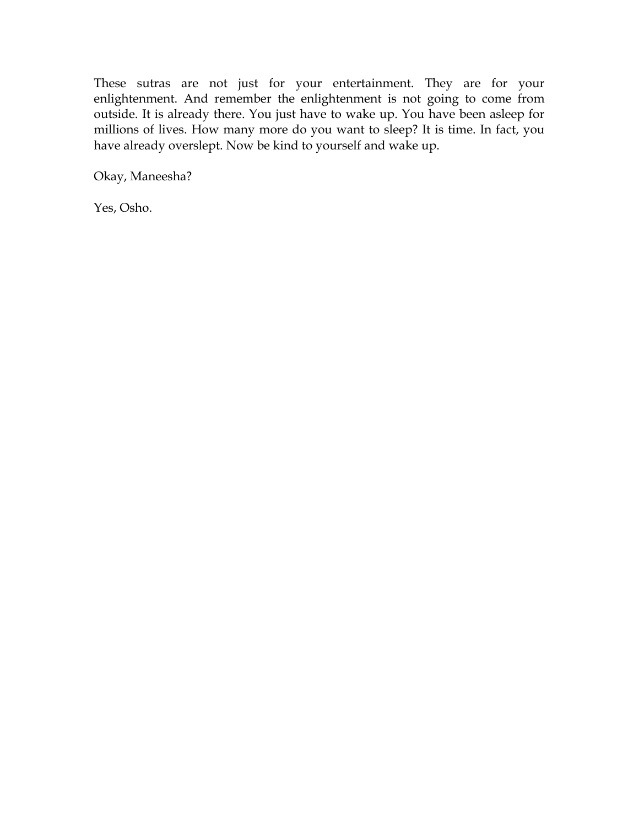These sutras are not just for your entertainment. They are for your enlightenment. And remember the enlightenment is not going to come from outside. It is already there. You just have to wake up. You have been asleep for millions of lives. How many more do you want to sleep? It is time. In fact, you have already overslept. Now be kind to yourself and wake up.

Okay, Maneesha?

Yes, Osho.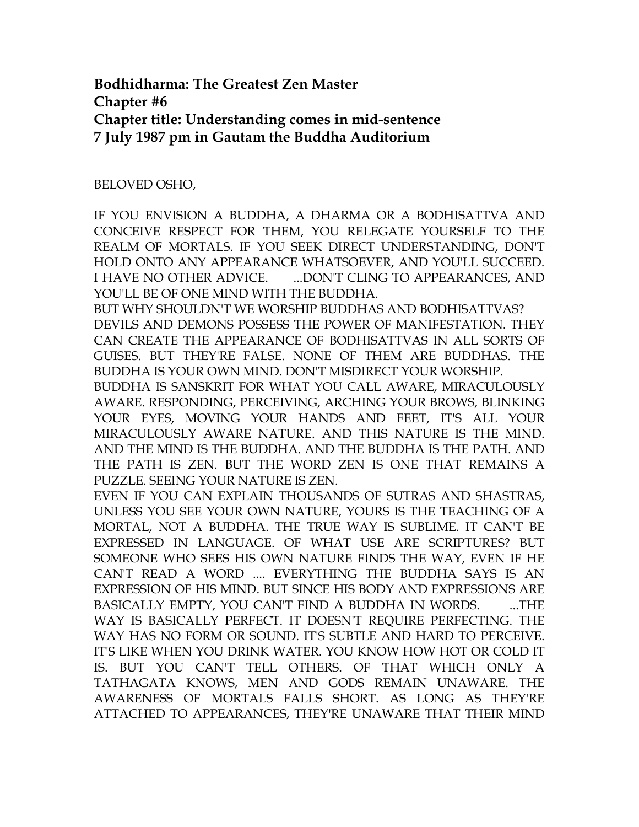# **Bodhidharma: The Greatest Zen Master Chapter #6 Chapter title: Understanding comes in mid-sentence 7 July 1987 pm in Gautam the Buddha Auditorium**

### BELOVED OSHO,

IF YOU ENVISION A BUDDHA, A DHARMA OR A BODHISATTVA AND CONCEIVE RESPECT FOR THEM, YOU RELEGATE YOURSELF TO THE REALM OF MORTALS. IF YOU SEEK DIRECT UNDERSTANDING, DON'T HOLD ONTO ANY APPEARANCE WHATSOEVER, AND YOU'LL SUCCEED. I HAVE NO OTHER ADVICE. ...DON'T CLING TO APPEARANCES, AND YOU'LL BE OF ONE MIND WITH THE BUDDHA.

BUT WHY SHOULDN'T WE WORSHIP BUDDHAS AND BODHISATTVAS? DEVILS AND DEMONS POSSESS THE POWER OF MANIFESTATION. THEY CAN CREATE THE APPEARANCE OF BODHISATTVAS IN ALL SORTS OF GUISES. BUT THEY'RE FALSE. NONE OF THEM ARE BUDDHAS. THE BUDDHA IS YOUR OWN MIND. DON'T MISDIRECT YOUR WORSHIP.

BUDDHA IS SANSKRIT FOR WHAT YOU CALL AWARE, MIRACULOUSLY AWARE. RESPONDING, PERCEIVING, ARCHING YOUR BROWS, BLINKING YOUR EYES, MOVING YOUR HANDS AND FEET, IT'S ALL YOUR MIRACULOUSLY AWARE NATURE. AND THIS NATURE IS THE MIND. AND THE MIND IS THE BUDDHA. AND THE BUDDHA IS THE PATH. AND THE PATH IS ZEN. BUT THE WORD ZEN IS ONE THAT REMAINS A PUZZLE. SEEING YOUR NATURE IS ZEN.

EVEN IF YOU CAN EXPLAIN THOUSANDS OF SUTRAS AND SHASTRAS, UNLESS YOU SEE YOUR OWN NATURE, YOURS IS THE TEACHING OF A MORTAL, NOT A BUDDHA. THE TRUE WAY IS SUBLIME. IT CAN'T BE EXPRESSED IN LANGUAGE. OF WHAT USE ARE SCRIPTURES? BUT SOMEONE WHO SEES HIS OWN NATURE FINDS THE WAY, EVEN IF HE CAN'T READ A WORD .... EVERYTHING THE BUDDHA SAYS IS AN EXPRESSION OF HIS MIND. BUT SINCE HIS BODY AND EXPRESSIONS ARE BASICALLY EMPTY, YOU CAN'T FIND A BUDDHA IN WORDS. ...THE WAY IS BASICALLY PERFECT. IT DOESN'T REQUIRE PERFECTING. THE WAY HAS NO FORM OR SOUND. IT'S SUBTLE AND HARD TO PERCEIVE. IT'S LIKE WHEN YOU DRINK WATER. YOU KNOW HOW HOT OR COLD IT IS. BUT YOU CAN'T TELL OTHERS. OF THAT WHICH ONLY A TATHAGATA KNOWS, MEN AND GODS REMAIN UNAWARE. THE AWARENESS OF MORTALS FALLS SHORT. AS LONG AS THEY'RE ATTACHED TO APPEARANCES, THEY'RE UNAWARE THAT THEIR MIND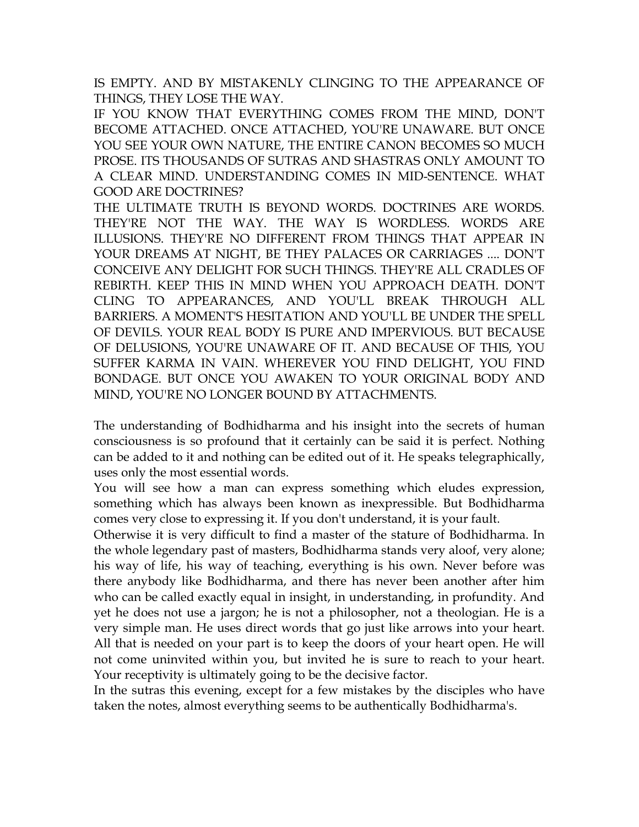IS EMPTY. AND BY MISTAKENLY CLINGING TO THE APPEARANCE OF THINGS, THEY LOSE THE WAY.

IF YOU KNOW THAT EVERYTHING COMES FROM THE MIND, DON'T BECOME ATTACHED. ONCE ATTACHED, YOU'RE UNAWARE. BUT ONCE YOU SEE YOUR OWN NATURE, THE ENTIRE CANON BECOMES SO MUCH PROSE. ITS THOUSANDS OF SUTRAS AND SHASTRAS ONLY AMOUNT TO A CLEAR MIND. UNDERSTANDING COMES IN MID-SENTENCE. WHAT GOOD ARE DOCTRINES?

THE ULTIMATE TRUTH IS BEYOND WORDS. DOCTRINES ARE WORDS. THEY'RE NOT THE WAY. THE WAY IS WORDLESS. WORDS ARE ILLUSIONS. THEY'RE NO DIFFERENT FROM THINGS THAT APPEAR IN YOUR DREAMS AT NIGHT, BE THEY PALACES OR CARRIAGES .... DON'T CONCEIVE ANY DELIGHT FOR SUCH THINGS. THEY'RE ALL CRADLES OF REBIRTH. KEEP THIS IN MIND WHEN YOU APPROACH DEATH. DON'T CLING TO APPEARANCES, AND YOU'LL BREAK THROUGH ALL BARRIERS. A MOMENT'S HESITATION AND YOU'LL BE UNDER THE SPELL OF DEVILS. YOUR REAL BODY IS PURE AND IMPERVIOUS. BUT BECAUSE OF DELUSIONS, YOU'RE UNAWARE OF IT. AND BECAUSE OF THIS, YOU SUFFER KARMA IN VAIN. WHEREVER YOU FIND DELIGHT, YOU FIND BONDAGE. BUT ONCE YOU AWAKEN TO YOUR ORIGINAL BODY AND MIND, YOU'RE NO LONGER BOUND BY ATTACHMENTS.

The understanding of Bodhidharma and his insight into the secrets of human consciousness is so profound that it certainly can be said it is perfect. Nothing can be added to it and nothing can be edited out of it. He speaks telegraphically, uses only the most essential words.

You will see how a man can express something which eludes expression, something which has always been known as inexpressible. But Bodhidharma comes very close to expressing it. If you don't understand, it is your fault.

Otherwise it is very difficult to find a master of the stature of Bodhidharma. In the whole legendary past of masters, Bodhidharma stands very aloof, very alone; his way of life, his way of teaching, everything is his own. Never before was there anybody like Bodhidharma, and there has never been another after him who can be called exactly equal in insight, in understanding, in profundity. And yet he does not use a jargon; he is not a philosopher, not a theologian. He is a very simple man. He uses direct words that go just like arrows into your heart. All that is needed on your part is to keep the doors of your heart open. He will not come uninvited within you, but invited he is sure to reach to your heart. Your receptivity is ultimately going to be the decisive factor.

In the sutras this evening, except for a few mistakes by the disciples who have taken the notes, almost everything seems to be authentically Bodhidharma's.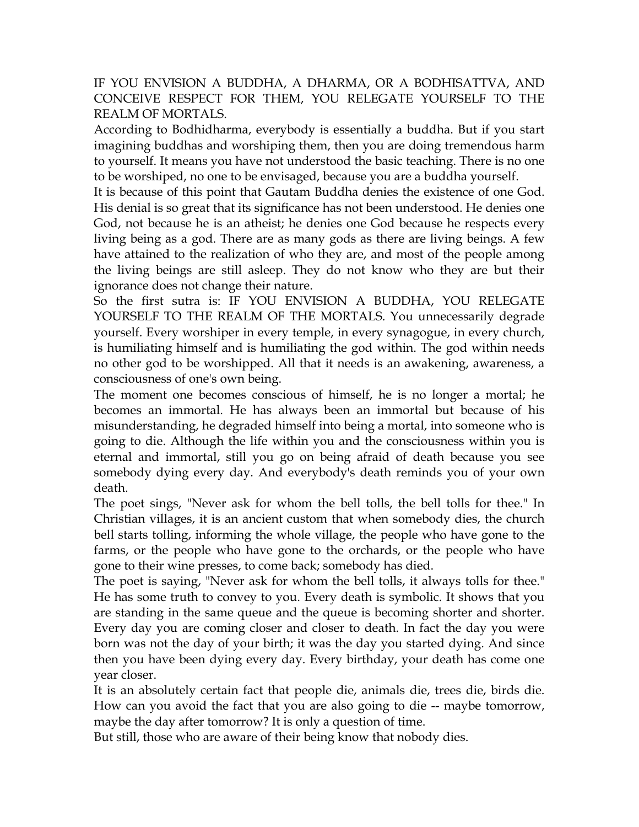IF YOU ENVISION A BUDDHA, A DHARMA, OR A BODHISATTVA, AND CONCEIVE RESPECT FOR THEM, YOU RELEGATE YOURSELF TO THE REALM OF MORTALS.

According to Bodhidharma, everybody is essentially a buddha. But if you start imagining buddhas and worshiping them, then you are doing tremendous harm to yourself. It means you have not understood the basic teaching. There is no one to be worshiped, no one to be envisaged, because you are a buddha yourself.

It is because of this point that Gautam Buddha denies the existence of one God. His denial is so great that its significance has not been understood. He denies one God, not because he is an atheist; he denies one God because he respects every living being as a god. There are as many gods as there are living beings. A few have attained to the realization of who they are, and most of the people among the living beings are still asleep. They do not know who they are but their ignorance does not change their nature.

So the first sutra is: IF YOU ENVISION A BUDDHA, YOU RELEGATE YOURSELF TO THE REALM OF THE MORTALS. You unnecessarily degrade yourself. Every worshiper in every temple, in every synagogue, in every church, is humiliating himself and is humiliating the god within. The god within needs no other god to be worshipped. All that it needs is an awakening, awareness, a consciousness of one's own being.

The moment one becomes conscious of himself, he is no longer a mortal; he becomes an immortal. He has always been an immortal but because of his misunderstanding, he degraded himself into being a mortal, into someone who is going to die. Although the life within you and the consciousness within you is eternal and immortal, still you go on being afraid of death because you see somebody dying every day. And everybody's death reminds you of your own death.

The poet sings, "Never ask for whom the bell tolls, the bell tolls for thee." In Christian villages, it is an ancient custom that when somebody dies, the church bell starts tolling, informing the whole village, the people who have gone to the farms, or the people who have gone to the orchards, or the people who have gone to their wine presses, to come back; somebody has died.

The poet is saying, "Never ask for whom the bell tolls, it always tolls for thee." He has some truth to convey to you. Every death is symbolic. It shows that you are standing in the same queue and the queue is becoming shorter and shorter. Every day you are coming closer and closer to death. In fact the day you were born was not the day of your birth; it was the day you started dying. And since then you have been dying every day. Every birthday, your death has come one year closer.

It is an absolutely certain fact that people die, animals die, trees die, birds die. How can you avoid the fact that you are also going to die -- maybe tomorrow, maybe the day after tomorrow? It is only a question of time.

But still, those who are aware of their being know that nobody dies.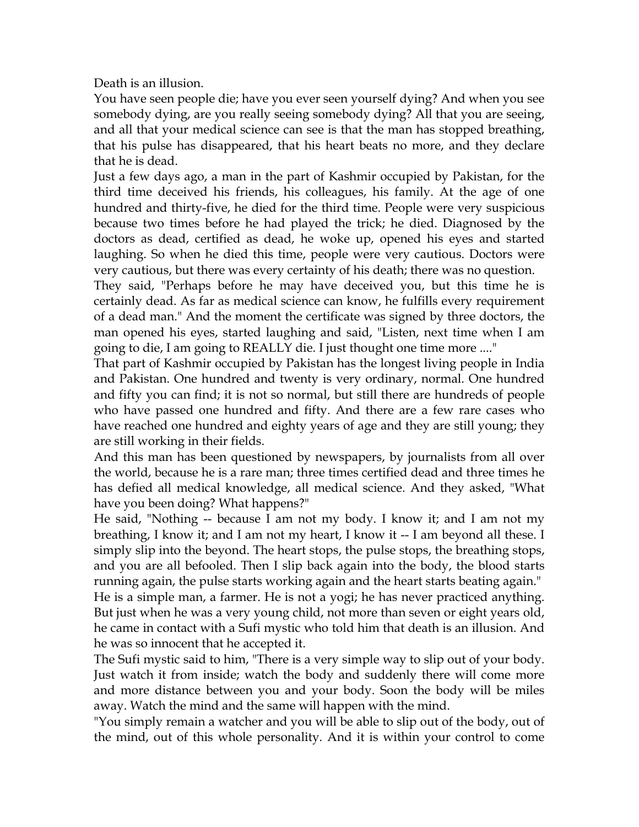Death is an illusion.

You have seen people die; have you ever seen yourself dying? And when you see somebody dying, are you really seeing somebody dying? All that you are seeing, and all that your medical science can see is that the man has stopped breathing, that his pulse has disappeared, that his heart beats no more, and they declare that he is dead.

Just a few days ago, a man in the part of Kashmir occupied by Pakistan, for the third time deceived his friends, his colleagues, his family. At the age of one hundred and thirty-five, he died for the third time. People were very suspicious because two times before he had played the trick; he died. Diagnosed by the doctors as dead, certified as dead, he woke up, opened his eyes and started laughing. So when he died this time, people were very cautious. Doctors were very cautious, but there was every certainty of his death; there was no question.

They said, "Perhaps before he may have deceived you, but this time he is certainly dead. As far as medical science can know, he fulfills every requirement of a dead man." And the moment the certificate was signed by three doctors, the man opened his eyes, started laughing and said, "Listen, next time when I am going to die, I am going to REALLY die. I just thought one time more ...."

That part of Kashmir occupied by Pakistan has the longest living people in India and Pakistan. One hundred and twenty is very ordinary, normal. One hundred and fifty you can find; it is not so normal, but still there are hundreds of people who have passed one hundred and fifty. And there are a few rare cases who have reached one hundred and eighty years of age and they are still young; they are still working in their fields.

And this man has been questioned by newspapers, by journalists from all over the world, because he is a rare man; three times certified dead and three times he has defied all medical knowledge, all medical science. And they asked, "What have you been doing? What happens?"

He said, "Nothing -- because I am not my body. I know it; and I am not my breathing, I know it; and I am not my heart, I know it -- I am beyond all these. I simply slip into the beyond. The heart stops, the pulse stops, the breathing stops, and you are all befooled. Then I slip back again into the body, the blood starts running again, the pulse starts working again and the heart starts beating again." He is a simple man, a farmer. He is not a yogi; he has never practiced anything. But just when he was a very young child, not more than seven or eight years old, he came in contact with a Sufi mystic who told him that death is an illusion. And he was so innocent that he accepted it.

The Sufi mystic said to him, "There is a very simple way to slip out of your body. Just watch it from inside; watch the body and suddenly there will come more and more distance between you and your body. Soon the body will be miles away. Watch the mind and the same will happen with the mind.

"You simply remain a watcher and you will be able to slip out of the body, out of the mind, out of this whole personality. And it is within your control to come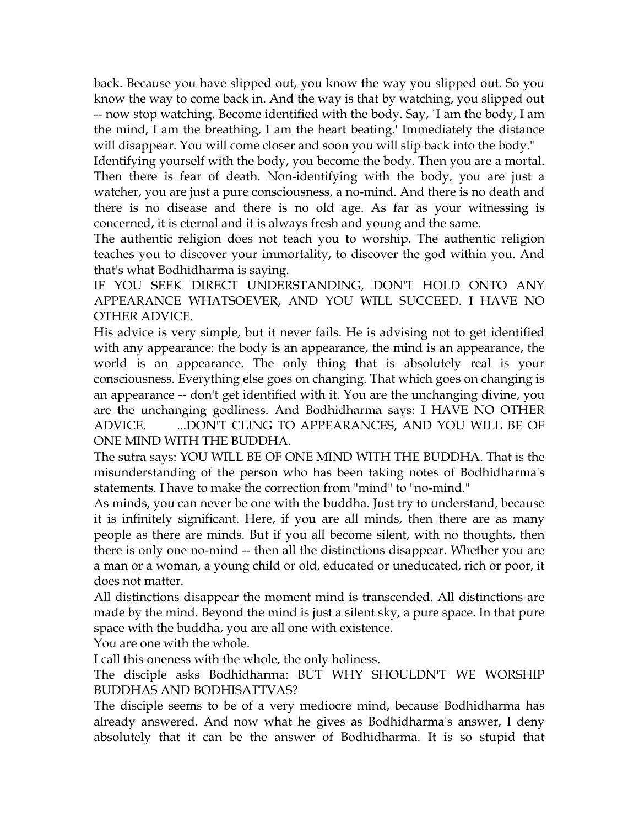back. Because you have slipped out, you know the way you slipped out. So you know the way to come back in. And the way is that by watching, you slipped out -- now stop watching. Become identified with the body. Say, `I am the body, I am the mind, I am the breathing, I am the heart beating.' Immediately the distance will disappear. You will come closer and soon you will slip back into the body."

Identifying yourself with the body, you become the body. Then you are a mortal. Then there is fear of death. Non-identifying with the body, you are just a watcher, you are just a pure consciousness, a no-mind. And there is no death and there is no disease and there is no old age. As far as your witnessing is concerned, it is eternal and it is always fresh and young and the same.

The authentic religion does not teach you to worship. The authentic religion teaches you to discover your immortality, to discover the god within you. And that's what Bodhidharma is saying.

IF YOU SEEK DIRECT UNDERSTANDING, DON'T HOLD ONTO ANY APPEARANCE WHATSOEVER, AND YOU WILL SUCCEED. I HAVE NO OTHER ADVICE.

His advice is very simple, but it never fails. He is advising not to get identified with any appearance: the body is an appearance, the mind is an appearance, the world is an appearance. The only thing that is absolutely real is your consciousness. Everything else goes on changing. That which goes on changing is an appearance -- don't get identified with it. You are the unchanging divine, you are the unchanging godliness. And Bodhidharma says: I HAVE NO OTHER ADVICE. ...DON'T CLING TO APPEARANCES, AND YOU WILL BE OF ONE MIND WITH THE BUDDHA.

The sutra says: YOU WILL BE OF ONE MIND WITH THE BUDDHA. That is the misunderstanding of the person who has been taking notes of Bodhidharma's statements. I have to make the correction from "mind" to "no-mind."

As minds, you can never be one with the buddha. Just try to understand, because it is infinitely significant. Here, if you are all minds, then there are as many people as there are minds. But if you all become silent, with no thoughts, then there is only one no-mind -- then all the distinctions disappear. Whether you are a man or a woman, a young child or old, educated or uneducated, rich or poor, it does not matter.

All distinctions disappear the moment mind is transcended. All distinctions are made by the mind. Beyond the mind is just a silent sky, a pure space. In that pure space with the buddha, you are all one with existence.

You are one with the whole.

I call this oneness with the whole, the only holiness.

The disciple asks Bodhidharma: BUT WHY SHOULDN'T WE WORSHIP BUDDHAS AND BODHISATTVAS?

The disciple seems to be of a very mediocre mind, because Bodhidharma has already answered. And now what he gives as Bodhidharma's answer, I deny absolutely that it can be the answer of Bodhidharma. It is so stupid that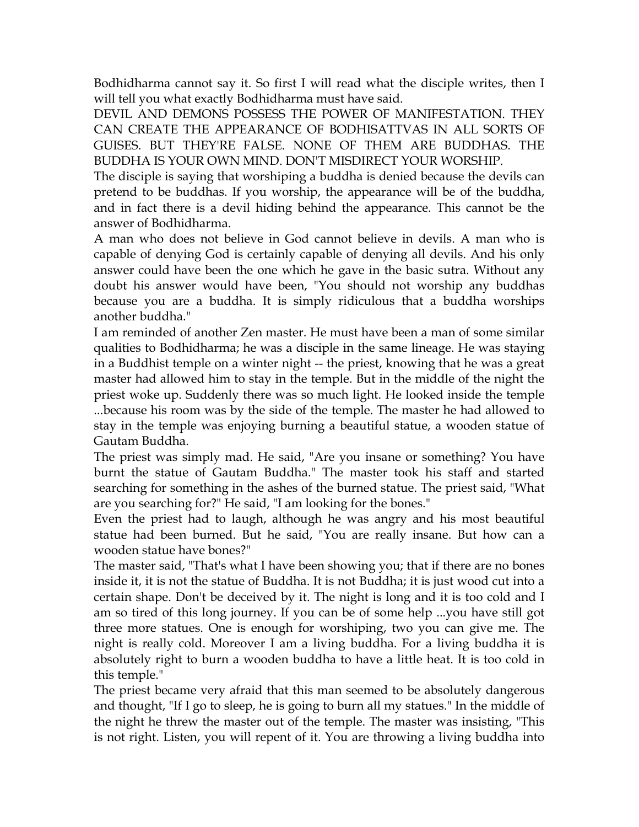Bodhidharma cannot say it. So first I will read what the disciple writes, then I will tell you what exactly Bodhidharma must have said.

DEVIL AND DEMONS POSSESS THE POWER OF MANIFESTATION. THEY CAN CREATE THE APPEARANCE OF BODHISATTVAS IN ALL SORTS OF GUISES. BUT THEY'RE FALSE. NONE OF THEM ARE BUDDHAS. THE BUDDHA IS YOUR OWN MIND. DON'T MISDIRECT YOUR WORSHIP.

The disciple is saying that worshiping a buddha is denied because the devils can pretend to be buddhas. If you worship, the appearance will be of the buddha, and in fact there is a devil hiding behind the appearance. This cannot be the answer of Bodhidharma.

A man who does not believe in God cannot believe in devils. A man who is capable of denying God is certainly capable of denying all devils. And his only answer could have been the one which he gave in the basic sutra. Without any doubt his answer would have been, "You should not worship any buddhas because you are a buddha. It is simply ridiculous that a buddha worships another buddha."

I am reminded of another Zen master. He must have been a man of some similar qualities to Bodhidharma; he was a disciple in the same lineage. He was staying in a Buddhist temple on a winter night -- the priest, knowing that he was a great master had allowed him to stay in the temple. But in the middle of the night the priest woke up. Suddenly there was so much light. He looked inside the temple ...because his room was by the side of the temple. The master he had allowed to stay in the temple was enjoying burning a beautiful statue, a wooden statue of Gautam Buddha.

The priest was simply mad. He said, "Are you insane or something? You have burnt the statue of Gautam Buddha." The master took his staff and started searching for something in the ashes of the burned statue. The priest said, "What are you searching for?" He said, "I am looking for the bones."

Even the priest had to laugh, although he was angry and his most beautiful statue had been burned. But he said, "You are really insane. But how can a wooden statue have bones?"

The master said, "That's what I have been showing you; that if there are no bones inside it, it is not the statue of Buddha. It is not Buddha; it is just wood cut into a certain shape. Don't be deceived by it. The night is long and it is too cold and I am so tired of this long journey. If you can be of some help ...you have still got three more statues. One is enough for worshiping, two you can give me. The night is really cold. Moreover I am a living buddha. For a living buddha it is absolutely right to burn a wooden buddha to have a little heat. It is too cold in this temple."

The priest became very afraid that this man seemed to be absolutely dangerous and thought, "If I go to sleep, he is going to burn all my statues." In the middle of the night he threw the master out of the temple. The master was insisting, "This is not right. Listen, you will repent of it. You are throwing a living buddha into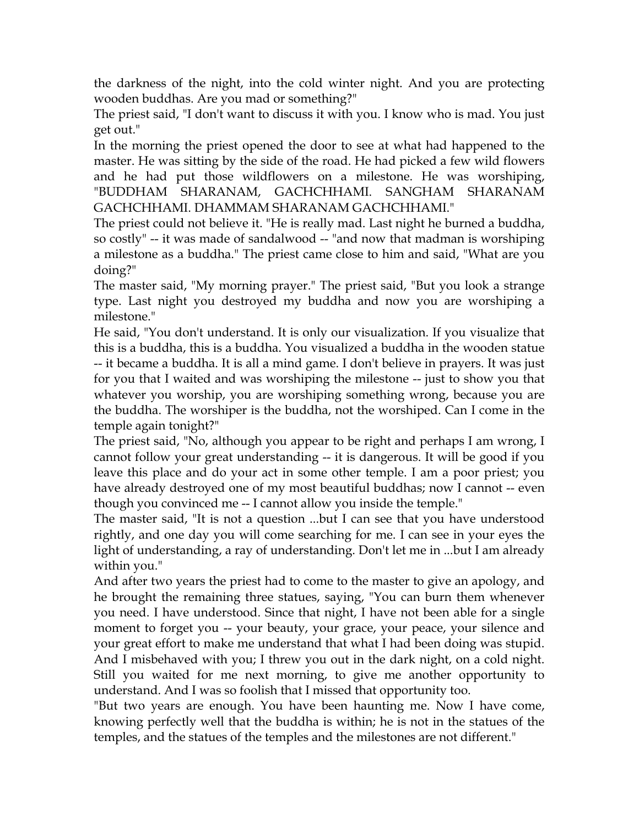the darkness of the night, into the cold winter night. And you are protecting wooden buddhas. Are you mad or something?"

The priest said, "I don't want to discuss it with you. I know who is mad. You just get out."

In the morning the priest opened the door to see at what had happened to the master. He was sitting by the side of the road. He had picked a few wild flowers and he had put those wildflowers on a milestone. He was worshiping, "BUDDHAM SHARANAM, GACHCHHAMI. SANGHAM SHARANAM GACHCHHAMI. DHAMMAM SHARANAM GACHCHHAMI."

The priest could not believe it. "He is really mad. Last night he burned a buddha, so costly" -- it was made of sandalwood -- "and now that madman is worshiping a milestone as a buddha." The priest came close to him and said, "What are you doing?"

The master said, "My morning prayer." The priest said, "But you look a strange type. Last night you destroyed my buddha and now you are worshiping a milestone."

He said, "You don't understand. It is only our visualization. If you visualize that this is a buddha, this is a buddha. You visualized a buddha in the wooden statue -- it became a buddha. It is all a mind game. I don't believe in prayers. It was just for you that I waited and was worshiping the milestone -- just to show you that whatever you worship, you are worshiping something wrong, because you are the buddha. The worshiper is the buddha, not the worshiped. Can I come in the temple again tonight?"

The priest said, "No, although you appear to be right and perhaps I am wrong, I cannot follow your great understanding -- it is dangerous. It will be good if you leave this place and do your act in some other temple. I am a poor priest; you have already destroyed one of my most beautiful buddhas; now I cannot -- even though you convinced me -- I cannot allow you inside the temple."

The master said, "It is not a question ...but I can see that you have understood rightly, and one day you will come searching for me. I can see in your eyes the light of understanding, a ray of understanding. Don't let me in ...but I am already within you."

And after two years the priest had to come to the master to give an apology, and he brought the remaining three statues, saying, "You can burn them whenever you need. I have understood. Since that night, I have not been able for a single moment to forget you -- your beauty, your grace, your peace, your silence and your great effort to make me understand that what I had been doing was stupid. And I misbehaved with you; I threw you out in the dark night, on a cold night. Still you waited for me next morning, to give me another opportunity to understand. And I was so foolish that I missed that opportunity too.

"But two years are enough. You have been haunting me. Now I have come, knowing perfectly well that the buddha is within; he is not in the statues of the temples, and the statues of the temples and the milestones are not different."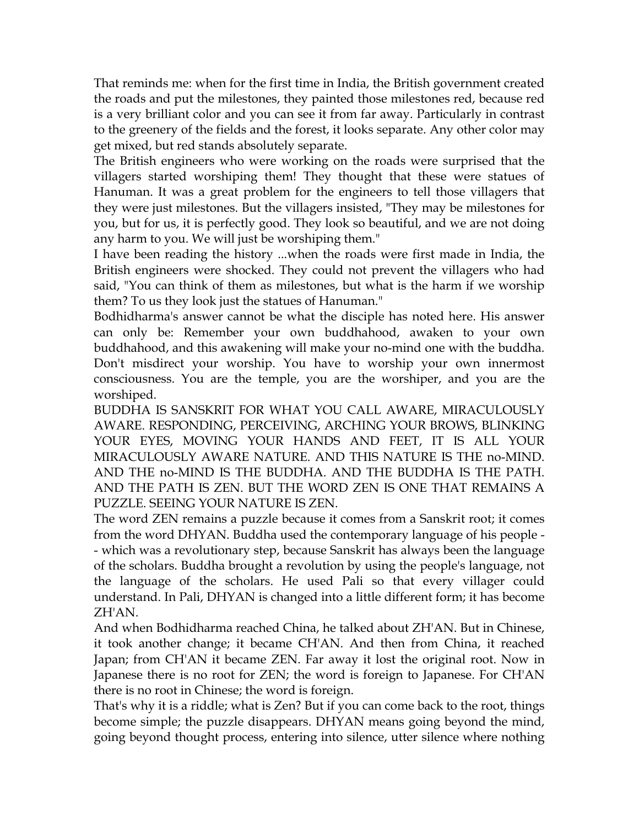That reminds me: when for the first time in India, the British government created the roads and put the milestones, they painted those milestones red, because red is a very brilliant color and you can see it from far away. Particularly in contrast to the greenery of the fields and the forest, it looks separate. Any other color may get mixed, but red stands absolutely separate.

The British engineers who were working on the roads were surprised that the villagers started worshiping them! They thought that these were statues of Hanuman. It was a great problem for the engineers to tell those villagers that they were just milestones. But the villagers insisted, "They may be milestones for you, but for us, it is perfectly good. They look so beautiful, and we are not doing any harm to you. We will just be worshiping them."

I have been reading the history ...when the roads were first made in India, the British engineers were shocked. They could not prevent the villagers who had said, "You can think of them as milestones, but what is the harm if we worship them? To us they look just the statues of Hanuman."

Bodhidharma's answer cannot be what the disciple has noted here. His answer can only be: Remember your own buddhahood, awaken to your own buddhahood, and this awakening will make your no-mind one with the buddha. Don't misdirect your worship. You have to worship your own innermost consciousness. You are the temple, you are the worshiper, and you are the worshiped.

BUDDHA IS SANSKRIT FOR WHAT YOU CALL AWARE, MIRACULOUSLY AWARE. RESPONDING, PERCEIVING, ARCHING YOUR BROWS, BLINKING YOUR EYES, MOVING YOUR HANDS AND FEET, IT IS ALL YOUR MIRACULOUSLY AWARE NATURE. AND THIS NATURE IS THE no-MIND. AND THE no-MIND IS THE BUDDHA. AND THE BUDDHA IS THE PATH. AND THE PATH IS ZEN. BUT THE WORD ZEN IS ONE THAT REMAINS A PUZZLE. SEEING YOUR NATURE IS ZEN.

The word ZEN remains a puzzle because it comes from a Sanskrit root; it comes from the word DHYAN. Buddha used the contemporary language of his people - - which was a revolutionary step, because Sanskrit has always been the language of the scholars. Buddha brought a revolution by using the people's language, not the language of the scholars. He used Pali so that every villager could understand. In Pali, DHYAN is changed into a little different form; it has become ZH'AN.

And when Bodhidharma reached China, he talked about ZH'AN. But in Chinese, it took another change; it became CH'AN. And then from China, it reached Japan; from CH'AN it became ZEN. Far away it lost the original root. Now in Japanese there is no root for ZEN; the word is foreign to Japanese. For CH'AN there is no root in Chinese; the word is foreign.

That's why it is a riddle; what is Zen? But if you can come back to the root, things become simple; the puzzle disappears. DHYAN means going beyond the mind, going beyond thought process, entering into silence, utter silence where nothing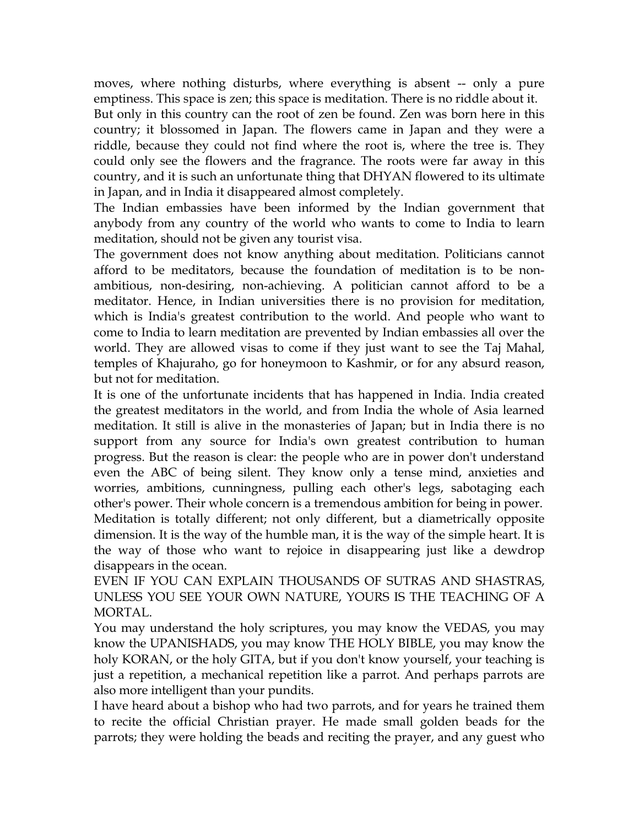moves, where nothing disturbs, where everything is absent -- only a pure emptiness. This space is zen; this space is meditation. There is no riddle about it. But only in this country can the root of zen be found. Zen was born here in this country; it blossomed in Japan. The flowers came in Japan and they were a riddle, because they could not find where the root is, where the tree is. They could only see the flowers and the fragrance. The roots were far away in this country, and it is such an unfortunate thing that DHYAN flowered to its ultimate in Japan, and in India it disappeared almost completely.

The Indian embassies have been informed by the Indian government that anybody from any country of the world who wants to come to India to learn meditation, should not be given any tourist visa.

The government does not know anything about meditation. Politicians cannot afford to be meditators, because the foundation of meditation is to be nonambitious, non-desiring, non-achieving. A politician cannot afford to be a meditator. Hence, in Indian universities there is no provision for meditation, which is India's greatest contribution to the world. And people who want to come to India to learn meditation are prevented by Indian embassies all over the world. They are allowed visas to come if they just want to see the Taj Mahal, temples of Khajuraho, go for honeymoon to Kashmir, or for any absurd reason, but not for meditation.

It is one of the unfortunate incidents that has happened in India. India created the greatest meditators in the world, and from India the whole of Asia learned meditation. It still is alive in the monasteries of Japan; but in India there is no support from any source for India's own greatest contribution to human progress. But the reason is clear: the people who are in power don't understand even the ABC of being silent. They know only a tense mind, anxieties and worries, ambitions, cunningness, pulling each other's legs, sabotaging each other's power. Their whole concern is a tremendous ambition for being in power. Meditation is totally different; not only different, but a diametrically opposite dimension. It is the way of the humble man, it is the way of the simple heart. It is the way of those who want to rejoice in disappearing just like a dewdrop disappears in the ocean.

EVEN IF YOU CAN EXPLAIN THOUSANDS OF SUTRAS AND SHASTRAS, UNLESS YOU SEE YOUR OWN NATURE, YOURS IS THE TEACHING OF A MORTAL.

You may understand the holy scriptures, you may know the VEDAS, you may know the UPANISHADS, you may know THE HOLY BIBLE, you may know the holy KORAN, or the holy GITA, but if you don't know yourself, your teaching is just a repetition, a mechanical repetition like a parrot. And perhaps parrots are also more intelligent than your pundits.

I have heard about a bishop who had two parrots, and for years he trained them to recite the official Christian prayer. He made small golden beads for the parrots; they were holding the beads and reciting the prayer, and any guest who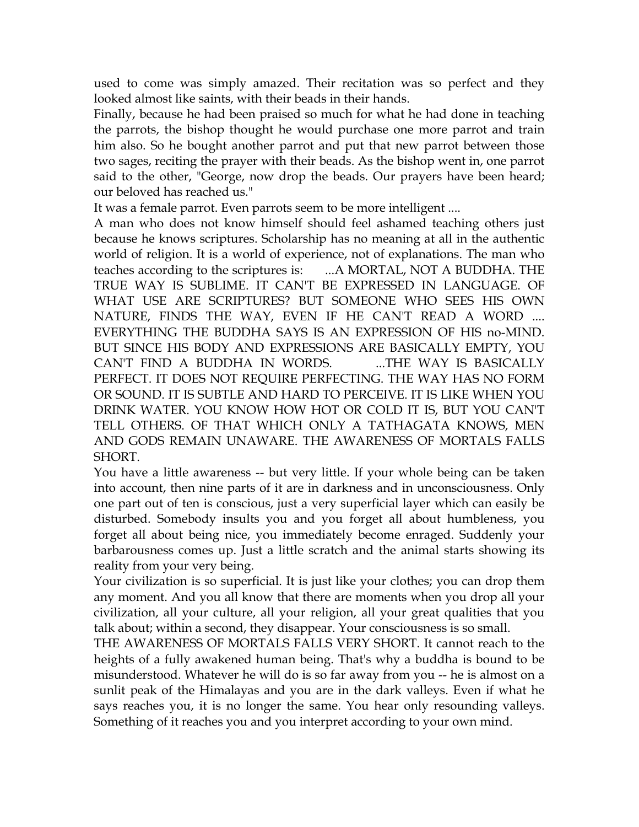used to come was simply amazed. Their recitation was so perfect and they looked almost like saints, with their beads in their hands.

Finally, because he had been praised so much for what he had done in teaching the parrots, the bishop thought he would purchase one more parrot and train him also. So he bought another parrot and put that new parrot between those two sages, reciting the prayer with their beads. As the bishop went in, one parrot said to the other, "George, now drop the beads. Our prayers have been heard; our beloved has reached us."

It was a female parrot. Even parrots seem to be more intelligent ....

A man who does not know himself should feel ashamed teaching others just because he knows scriptures. Scholarship has no meaning at all in the authentic world of religion. It is a world of experience, not of explanations. The man who teaches according to the scriptures is: ...A MORTAL, NOT A BUDDHA. THE TRUE WAY IS SUBLIME. IT CAN'T BE EXPRESSED IN LANGUAGE. OF WHAT USE ARE SCRIPTURES? BUT SOMEONE WHO SEES HIS OWN NATURE, FINDS THE WAY, EVEN IF HE CAN'T READ A WORD .... EVERYTHING THE BUDDHA SAYS IS AN EXPRESSION OF HIS no-MIND. BUT SINCE HIS BODY AND EXPRESSIONS ARE BASICALLY EMPTY, YOU CAN'T FIND A BUDDHA IN WORDS. ....THE WAY IS BASICALLY PERFECT. IT DOES NOT REQUIRE PERFECTING. THE WAY HAS NO FORM OR SOUND. IT IS SUBTLE AND HARD TO PERCEIVE. IT IS LIKE WHEN YOU DRINK WATER. YOU KNOW HOW HOT OR COLD IT IS, BUT YOU CAN'T TELL OTHERS. OF THAT WHICH ONLY A TATHAGATA KNOWS, MEN AND GODS REMAIN UNAWARE. THE AWARENESS OF MORTALS FALLS SHORT.

You have a little awareness -- but very little. If your whole being can be taken into account, then nine parts of it are in darkness and in unconsciousness. Only one part out of ten is conscious, just a very superficial layer which can easily be disturbed. Somebody insults you and you forget all about humbleness, you forget all about being nice, you immediately become enraged. Suddenly your barbarousness comes up. Just a little scratch and the animal starts showing its reality from your very being.

Your civilization is so superficial. It is just like your clothes; you can drop them any moment. And you all know that there are moments when you drop all your civilization, all your culture, all your religion, all your great qualities that you talk about; within a second, they disappear. Your consciousness is so small.

THE AWARENESS OF MORTALS FALLS VERY SHORT. It cannot reach to the heights of a fully awakened human being. That's why a buddha is bound to be misunderstood. Whatever he will do is so far away from you -- he is almost on a sunlit peak of the Himalayas and you are in the dark valleys. Even if what he says reaches you, it is no longer the same. You hear only resounding valleys. Something of it reaches you and you interpret according to your own mind.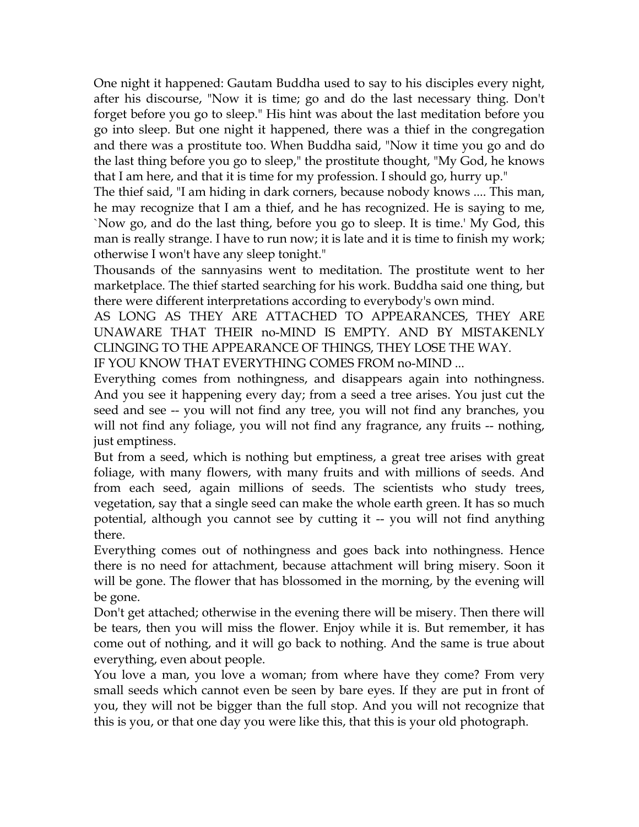One night it happened: Gautam Buddha used to say to his disciples every night, after his discourse, "Now it is time; go and do the last necessary thing. Don't forget before you go to sleep." His hint was about the last meditation before you go into sleep. But one night it happened, there was a thief in the congregation and there was a prostitute too. When Buddha said, "Now it time you go and do the last thing before you go to sleep," the prostitute thought, "My God, he knows that I am here, and that it is time for my profession. I should go, hurry up."

The thief said, "I am hiding in dark corners, because nobody knows .... This man, he may recognize that I am a thief, and he has recognized. He is saying to me, `Now go, and do the last thing, before you go to sleep. It is time.' My God, this man is really strange. I have to run now; it is late and it is time to finish my work; otherwise I won't have any sleep tonight."

Thousands of the sannyasins went to meditation. The prostitute went to her marketplace. The thief started searching for his work. Buddha said one thing, but there were different interpretations according to everybody's own mind.

AS LONG AS THEY ARE ATTACHED TO APPEARANCES, THEY ARE UNAWARE THAT THEIR no-MIND IS EMPTY. AND BY MISTAKENLY CLINGING TO THE APPEARANCE OF THINGS, THEY LOSE THE WAY.

IF YOU KNOW THAT EVERYTHING COMES FROM no-MIND ...

Everything comes from nothingness, and disappears again into nothingness. And you see it happening every day; from a seed a tree arises. You just cut the seed and see -- you will not find any tree, you will not find any branches, you will not find any foliage, you will not find any fragrance, any fruits -- nothing, just emptiness.

But from a seed, which is nothing but emptiness, a great tree arises with great foliage, with many flowers, with many fruits and with millions of seeds. And from each seed, again millions of seeds. The scientists who study trees, vegetation, say that a single seed can make the whole earth green. It has so much potential, although you cannot see by cutting it -- you will not find anything there.

Everything comes out of nothingness and goes back into nothingness. Hence there is no need for attachment, because attachment will bring misery. Soon it will be gone. The flower that has blossomed in the morning, by the evening will be gone.

Don't get attached; otherwise in the evening there will be misery. Then there will be tears, then you will miss the flower. Enjoy while it is. But remember, it has come out of nothing, and it will go back to nothing. And the same is true about everything, even about people.

You love a man, you love a woman; from where have they come? From very small seeds which cannot even be seen by bare eyes. If they are put in front of you, they will not be bigger than the full stop. And you will not recognize that this is you, or that one day you were like this, that this is your old photograph.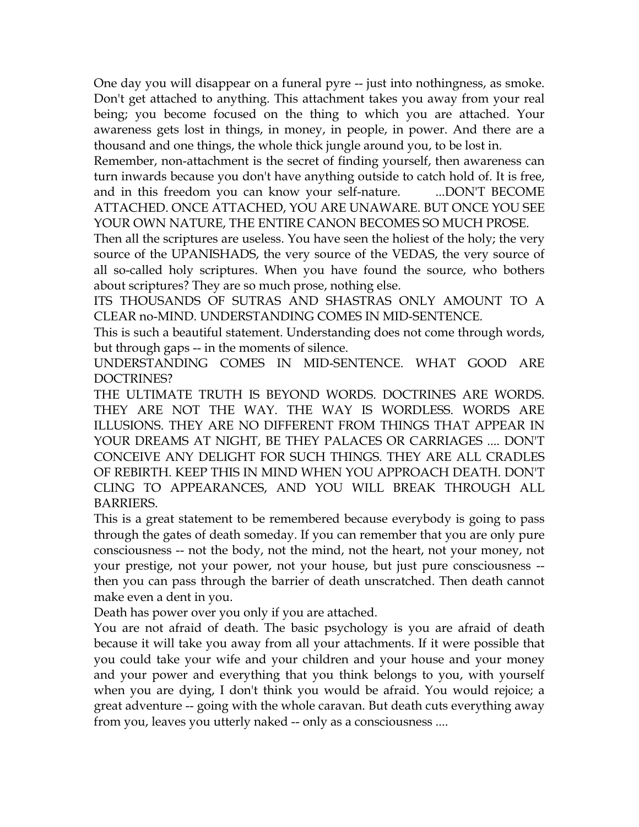One day you will disappear on a funeral pyre -- just into nothingness, as smoke. Don't get attached to anything. This attachment takes you away from your real being; you become focused on the thing to which you are attached. Your awareness gets lost in things, in money, in people, in power. And there are a thousand and one things, the whole thick jungle around you, to be lost in.

Remember, non-attachment is the secret of finding yourself, then awareness can turn inwards because you don't have anything outside to catch hold of. It is free, and in this freedom you can know your self-nature. ...DON'T BECOME ATTACHED. ONCE ATTACHED, YOU ARE UNAWARE. BUT ONCE YOU SEE YOUR OWN NATURE, THE ENTIRE CANON BECOMES SO MUCH PROSE.

Then all the scriptures are useless. You have seen the holiest of the holy; the very source of the UPANISHADS, the very source of the VEDAS, the very source of all so-called holy scriptures. When you have found the source, who bothers about scriptures? They are so much prose, nothing else.

ITS THOUSANDS OF SUTRAS AND SHASTRAS ONLY AMOUNT TO A CLEAR no-MIND. UNDERSTANDING COMES IN MID-SENTENCE.

This is such a beautiful statement. Understanding does not come through words, but through gaps -- in the moments of silence.

UNDERSTANDING COMES IN MID-SENTENCE. WHAT GOOD ARE DOCTRINES?

THE ULTIMATE TRUTH IS BEYOND WORDS. DOCTRINES ARE WORDS. THEY ARE NOT THE WAY. THE WAY IS WORDLESS. WORDS ARE ILLUSIONS. THEY ARE NO DIFFERENT FROM THINGS THAT APPEAR IN YOUR DREAMS AT NIGHT, BE THEY PALACES OR CARRIAGES .... DON'T CONCEIVE ANY DELIGHT FOR SUCH THINGS. THEY ARE ALL CRADLES OF REBIRTH. KEEP THIS IN MIND WHEN YOU APPROACH DEATH. DON'T CLING TO APPEARANCES, AND YOU WILL BREAK THROUGH ALL BARRIERS.

This is a great statement to be remembered because everybody is going to pass through the gates of death someday. If you can remember that you are only pure consciousness -- not the body, not the mind, not the heart, not your money, not your prestige, not your power, not your house, but just pure consciousness - then you can pass through the barrier of death unscratched. Then death cannot make even a dent in you.

Death has power over you only if you are attached.

You are not afraid of death. The basic psychology is you are afraid of death because it will take you away from all your attachments. If it were possible that you could take your wife and your children and your house and your money and your power and everything that you think belongs to you, with yourself when you are dying, I don't think you would be afraid. You would rejoice; a great adventure -- going with the whole caravan. But death cuts everything away from you, leaves you utterly naked -- only as a consciousness ....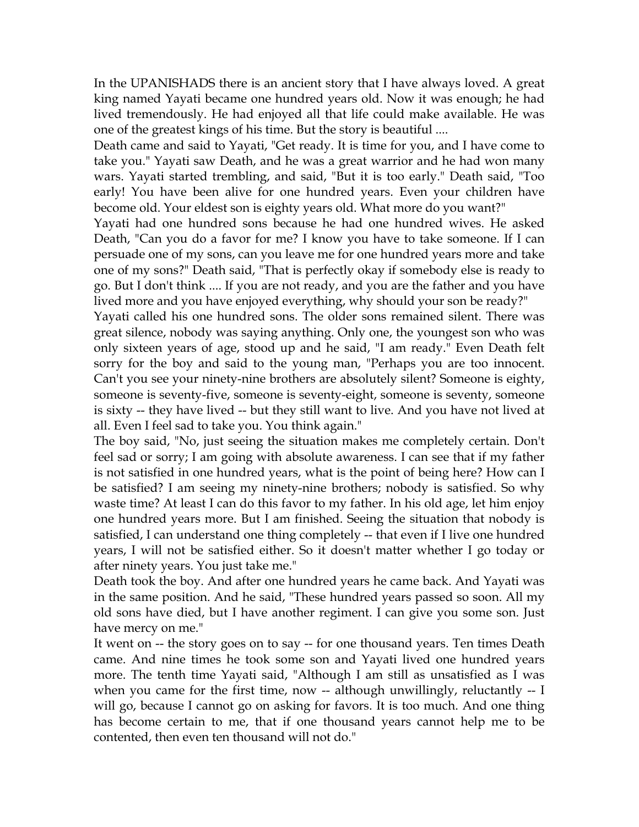In the UPANISHADS there is an ancient story that I have always loved. A great king named Yayati became one hundred years old. Now it was enough; he had lived tremendously. He had enjoyed all that life could make available. He was one of the greatest kings of his time. But the story is beautiful ....

Death came and said to Yayati, "Get ready. It is time for you, and I have come to take you." Yayati saw Death, and he was a great warrior and he had won many wars. Yayati started trembling, and said, "But it is too early." Death said, "Too early! You have been alive for one hundred years. Even your children have become old. Your eldest son is eighty years old. What more do you want?"

Yayati had one hundred sons because he had one hundred wives. He asked Death, "Can you do a favor for me? I know you have to take someone. If I can persuade one of my sons, can you leave me for one hundred years more and take one of my sons?" Death said, "That is perfectly okay if somebody else is ready to go. But I don't think .... If you are not ready, and you are the father and you have lived more and you have enjoyed everything, why should your son be ready?"

Yayati called his one hundred sons. The older sons remained silent. There was great silence, nobody was saying anything. Only one, the youngest son who was only sixteen years of age, stood up and he said, "I am ready." Even Death felt sorry for the boy and said to the young man, "Perhaps you are too innocent. Can't you see your ninety-nine brothers are absolutely silent? Someone is eighty, someone is seventy-five, someone is seventy-eight, someone is seventy, someone is sixty -- they have lived -- but they still want to live. And you have not lived at all. Even I feel sad to take you. You think again."

The boy said, "No, just seeing the situation makes me completely certain. Don't feel sad or sorry; I am going with absolute awareness. I can see that if my father is not satisfied in one hundred years, what is the point of being here? How can I be satisfied? I am seeing my ninety-nine brothers; nobody is satisfied. So why waste time? At least I can do this favor to my father. In his old age, let him enjoy one hundred years more. But I am finished. Seeing the situation that nobody is satisfied, I can understand one thing completely -- that even if I live one hundred years, I will not be satisfied either. So it doesn't matter whether I go today or after ninety years. You just take me."

Death took the boy. And after one hundred years he came back. And Yayati was in the same position. And he said, "These hundred years passed so soon. All my old sons have died, but I have another regiment. I can give you some son. Just have mercy on me."

It went on -- the story goes on to say -- for one thousand years. Ten times Death came. And nine times he took some son and Yayati lived one hundred years more. The tenth time Yayati said, "Although I am still as unsatisfied as I was when you came for the first time, now -- although unwillingly, reluctantly -- I will go, because I cannot go on asking for favors. It is too much. And one thing has become certain to me, that if one thousand years cannot help me to be contented, then even ten thousand will not do."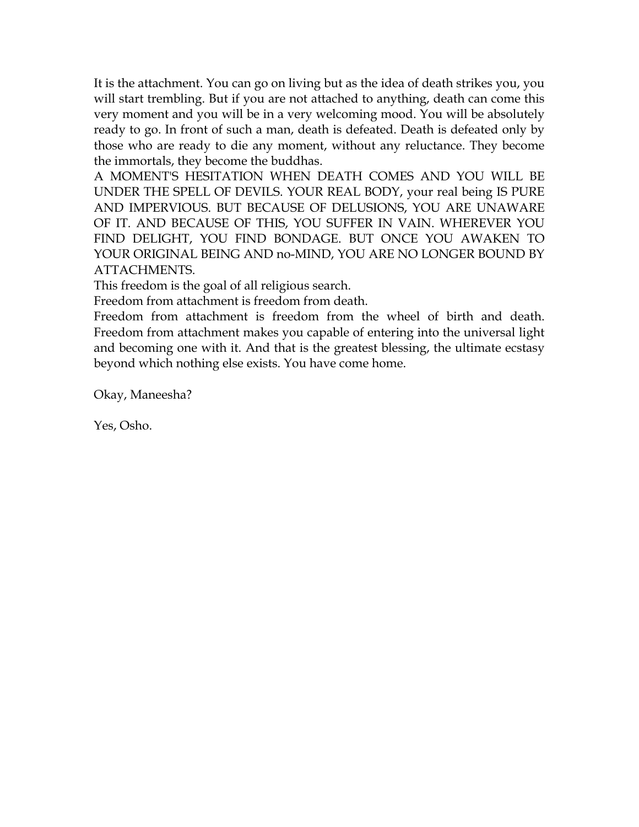It is the attachment. You can go on living but as the idea of death strikes you, you will start trembling. But if you are not attached to anything, death can come this very moment and you will be in a very welcoming mood. You will be absolutely ready to go. In front of such a man, death is defeated. Death is defeated only by those who are ready to die any moment, without any reluctance. They become the immortals, they become the buddhas.

A MOMENT'S HESITATION WHEN DEATH COMES AND YOU WILL BE UNDER THE SPELL OF DEVILS. YOUR REAL BODY, your real being IS PURE AND IMPERVIOUS. BUT BECAUSE OF DELUSIONS, YOU ARE UNAWARE OF IT. AND BECAUSE OF THIS, YOU SUFFER IN VAIN. WHEREVER YOU FIND DELIGHT, YOU FIND BONDAGE. BUT ONCE YOU AWAKEN TO YOUR ORIGINAL BEING AND no-MIND, YOU ARE NO LONGER BOUND BY ATTACHMENTS.

This freedom is the goal of all religious search.

Freedom from attachment is freedom from death.

Freedom from attachment is freedom from the wheel of birth and death. Freedom from attachment makes you capable of entering into the universal light and becoming one with it. And that is the greatest blessing, the ultimate ecstasy beyond which nothing else exists. You have come home.

Okay, Maneesha?

Yes, Osho.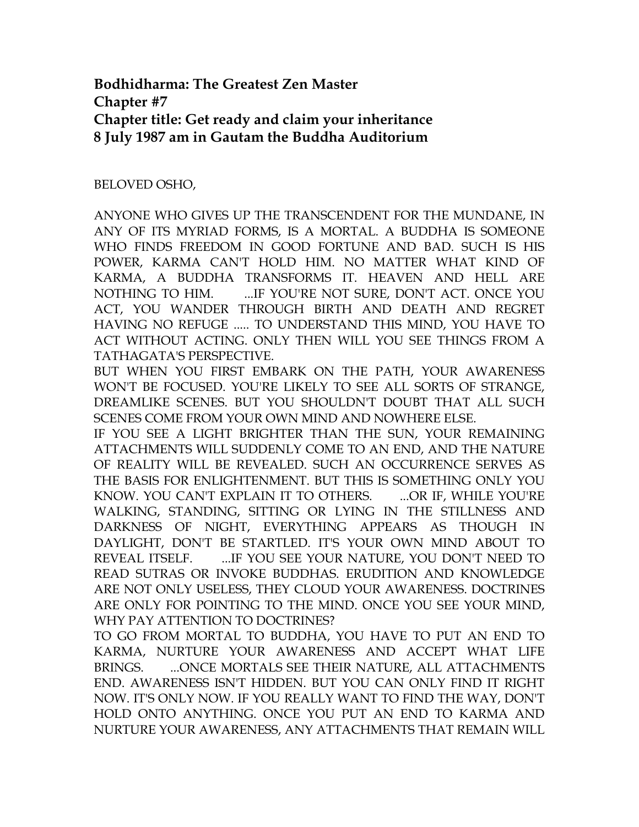# **Bodhidharma: The Greatest Zen Master Chapter #7 Chapter title: Get ready and claim your inheritance 8 July 1987 am in Gautam the Buddha Auditorium**

### BELOVED OSHO,

ANYONE WHO GIVES UP THE TRANSCENDENT FOR THE MUNDANE, IN ANY OF ITS MYRIAD FORMS, IS A MORTAL. A BUDDHA IS SOMEONE WHO FINDS FREEDOM IN GOOD FORTUNE AND BAD. SUCH IS HIS POWER, KARMA CAN'T HOLD HIM. NO MATTER WHAT KIND OF KARMA, A BUDDHA TRANSFORMS IT. HEAVEN AND HELL ARE NOTHING TO HIM. ... IF YOU'RE NOT SURE, DON'T ACT. ONCE YOU ACT, YOU WANDER THROUGH BIRTH AND DEATH AND REGRET HAVING NO REFUGE ..... TO UNDERSTAND THIS MIND, YOU HAVE TO ACT WITHOUT ACTING. ONLY THEN WILL YOU SEE THINGS FROM A TATHAGATA'S PERSPECTIVE.

BUT WHEN YOU FIRST EMBARK ON THE PATH, YOUR AWARENESS WON'T BE FOCUSED. YOU'RE LIKELY TO SEE ALL SORTS OF STRANGE, DREAMLIKE SCENES. BUT YOU SHOULDN'T DOUBT THAT ALL SUCH SCENES COME FROM YOUR OWN MIND AND NOWHERE ELSE.

IF YOU SEE A LIGHT BRIGHTER THAN THE SUN, YOUR REMAINING ATTACHMENTS WILL SUDDENLY COME TO AN END, AND THE NATURE OF REALITY WILL BE REVEALED. SUCH AN OCCURRENCE SERVES AS THE BASIS FOR ENLIGHTENMENT. BUT THIS IS SOMETHING ONLY YOU KNOW. YOU CAN'T EXPLAIN IT TO OTHERS. ...OR IF, WHILE YOU'RE WALKING, STANDING, SITTING OR LYING IN THE STILLNESS AND DARKNESS OF NIGHT, EVERYTHING APPEARS AS THOUGH IN DAYLIGHT, DON'T BE STARTLED. IT'S YOUR OWN MIND ABOUT TO REVEAL ITSELF. ...IF YOU SEE YOUR NATURE, YOU DON'T NEED TO READ SUTRAS OR INVOKE BUDDHAS. ERUDITION AND KNOWLEDGE ARE NOT ONLY USELESS, THEY CLOUD YOUR AWARENESS. DOCTRINES ARE ONLY FOR POINTING TO THE MIND. ONCE YOU SEE YOUR MIND, WHY PAY ATTENTION TO DOCTRINES?

TO GO FROM MORTAL TO BUDDHA, YOU HAVE TO PUT AN END TO KARMA, NURTURE YOUR AWARENESS AND ACCEPT WHAT LIFE BRINGS. ...ONCE MORTALS SEE THEIR NATURE, ALL ATTACHMENTS END. AWARENESS ISN'T HIDDEN. BUT YOU CAN ONLY FIND IT RIGHT NOW. IT'S ONLY NOW. IF YOU REALLY WANT TO FIND THE WAY, DON'T HOLD ONTO ANYTHING. ONCE YOU PUT AN END TO KARMA AND NURTURE YOUR AWARENESS, ANY ATTACHMENTS THAT REMAIN WILL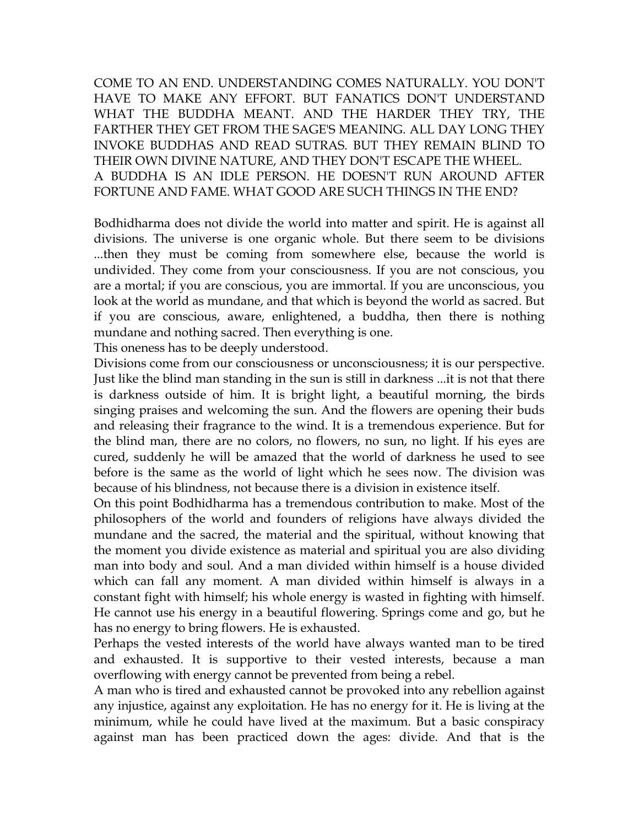COME TO AN END. UNDERSTANDING COMES NATURALLY. YOU DON'T HAVE TO MAKE ANY EFFORT. BUT FANATICS DON'T UNDERSTAND WHAT THE BUDDHA MEANT. AND THE HARDER THEY TRY, THE FARTHER THEY GET FROM THE SAGE'S MEANING. ALL DAY LONG THEY INVOKE BUDDHAS AND READ SUTRAS. BUT THEY REMAIN BLIND TO THEIR OWN DIVINE NATURE, AND THEY DON'T ESCAPE THE WHEEL. A BUDDHA IS AN IDLE PERSON. HE DOESN'T RUN AROUND AFTER FORTUNE AND FAME. WHAT GOOD ARE SUCH THINGS IN THE END?

Bodhidharma does not divide the world into matter and spirit. He is against all divisions. The universe is one organic whole. But there seem to be divisions ...then they must be coming from somewhere else, because the world is undivided. They come from your consciousness. If you are not conscious, you are a mortal; if you are conscious, you are immortal. If you are unconscious, you look at the world as mundane, and that which is beyond the world as sacred. But if you are conscious, aware, enlightened, a buddha, then there is nothing mundane and nothing sacred. Then everything is one.

This oneness has to be deeply understood.

Divisions come from our consciousness or unconsciousness; it is our perspective. Just like the blind man standing in the sun is still in darkness ...it is not that there is darkness outside of him. It is bright light, a beautiful morning, the birds singing praises and welcoming the sun. And the flowers are opening their buds and releasing their fragrance to the wind. It is a tremendous experience. But for the blind man, there are no colors, no flowers, no sun, no light. If his eyes are cured, suddenly he will be amazed that the world of darkness he used to see before is the same as the world of light which he sees now. The division was because of his blindness, not because there is a division in existence itself.

On this point Bodhidharma has a tremendous contribution to make. Most of the philosophers of the world and founders of religions have always divided the mundane and the sacred, the material and the spiritual, without knowing that the moment you divide existence as material and spiritual you are also dividing man into body and soul. And a man divided within himself is a house divided which can fall any moment. A man divided within himself is always in a constant fight with himself; his whole energy is wasted in fighting with himself. He cannot use his energy in a beautiful flowering. Springs come and go, but he has no energy to bring flowers. He is exhausted.

Perhaps the vested interests of the world have always wanted man to be tired and exhausted. It is supportive to their vested interests, because a man overflowing with energy cannot be prevented from being a rebel.

A man who is tired and exhausted cannot be provoked into any rebellion against any injustice, against any exploitation. He has no energy for it. He is living at the minimum, while he could have lived at the maximum. But a basic conspiracy against man has been practiced down the ages: divide. And that is the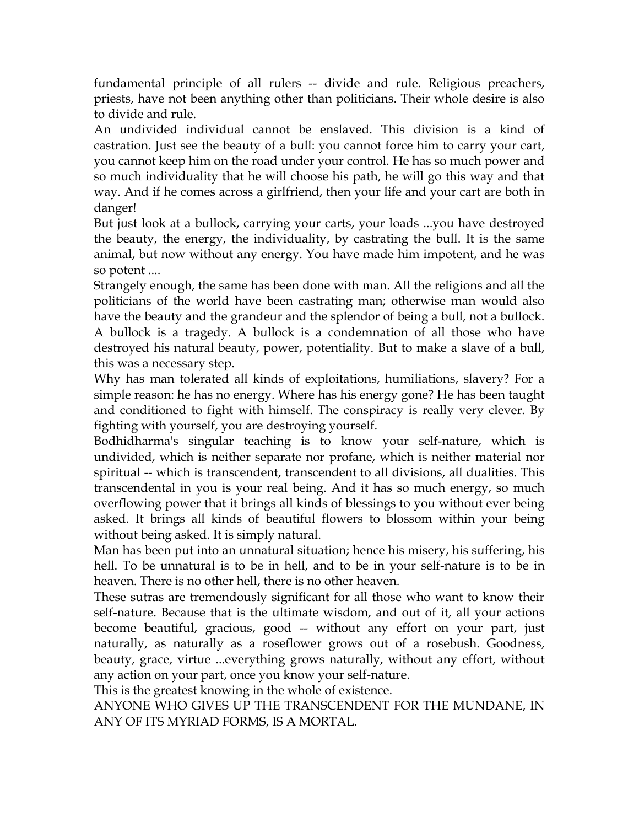fundamental principle of all rulers -- divide and rule. Religious preachers, priests, have not been anything other than politicians. Their whole desire is also to divide and rule.

An undivided individual cannot be enslaved. This division is a kind of castration. Just see the beauty of a bull: you cannot force him to carry your cart, you cannot keep him on the road under your control. He has so much power and so much individuality that he will choose his path, he will go this way and that way. And if he comes across a girlfriend, then your life and your cart are both in danger!

But just look at a bullock, carrying your carts, your loads ...you have destroyed the beauty, the energy, the individuality, by castrating the bull. It is the same animal, but now without any energy. You have made him impotent, and he was so potent ....

Strangely enough, the same has been done with man. All the religions and all the politicians of the world have been castrating man; otherwise man would also have the beauty and the grandeur and the splendor of being a bull, not a bullock. A bullock is a tragedy. A bullock is a condemnation of all those who have destroyed his natural beauty, power, potentiality. But to make a slave of a bull, this was a necessary step.

Why has man tolerated all kinds of exploitations, humiliations, slavery? For a simple reason: he has no energy. Where has his energy gone? He has been taught and conditioned to fight with himself. The conspiracy is really very clever. By fighting with yourself, you are destroying yourself.

Bodhidharma's singular teaching is to know your self-nature, which is undivided, which is neither separate nor profane, which is neither material nor spiritual -- which is transcendent, transcendent to all divisions, all dualities. This transcendental in you is your real being. And it has so much energy, so much overflowing power that it brings all kinds of blessings to you without ever being asked. It brings all kinds of beautiful flowers to blossom within your being without being asked. It is simply natural.

Man has been put into an unnatural situation; hence his misery, his suffering, his hell. To be unnatural is to be in hell, and to be in your self-nature is to be in heaven. There is no other hell, there is no other heaven.

These sutras are tremendously significant for all those who want to know their self-nature. Because that is the ultimate wisdom, and out of it, all your actions become beautiful, gracious, good -- without any effort on your part, just naturally, as naturally as a roseflower grows out of a rosebush. Goodness, beauty, grace, virtue ...everything grows naturally, without any effort, without any action on your part, once you know your self-nature.

This is the greatest knowing in the whole of existence.

ANYONE WHO GIVES UP THE TRANSCENDENT FOR THE MUNDANE, IN ANY OF ITS MYRIAD FORMS, IS A MORTAL.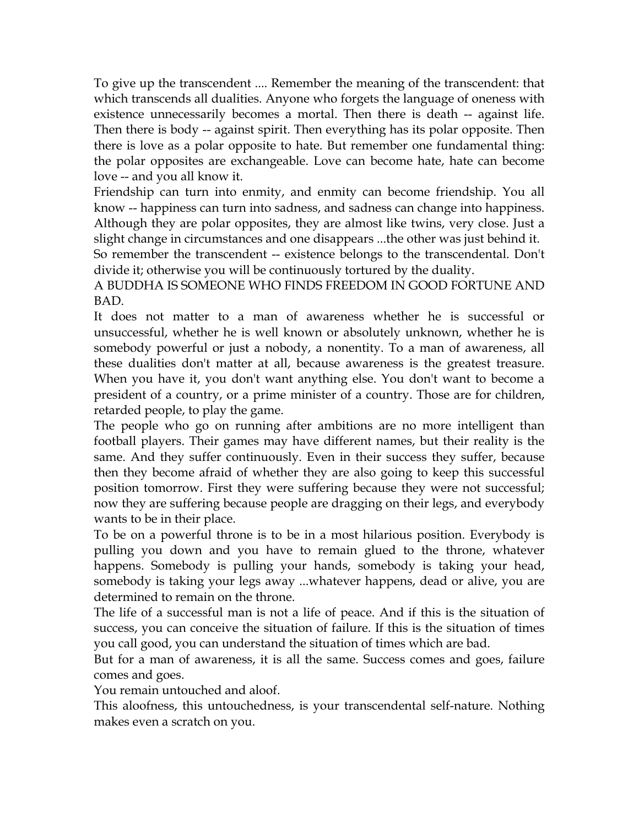To give up the transcendent .... Remember the meaning of the transcendent: that which transcends all dualities. Anyone who forgets the language of oneness with existence unnecessarily becomes a mortal. Then there is death -- against life. Then there is body -- against spirit. Then everything has its polar opposite. Then there is love as a polar opposite to hate. But remember one fundamental thing: the polar opposites are exchangeable. Love can become hate, hate can become love -- and you all know it.

Friendship can turn into enmity, and enmity can become friendship. You all know -- happiness can turn into sadness, and sadness can change into happiness. Although they are polar opposites, they are almost like twins, very close. Just a slight change in circumstances and one disappears ...the other was just behind it. So remember the transcendent -- existence belongs to the transcendental. Don't divide it; otherwise you will be continuously tortured by the duality.

A BUDDHA IS SOMEONE WHO FINDS FREEDOM IN GOOD FORTUNE AND BAD.

It does not matter to a man of awareness whether he is successful or unsuccessful, whether he is well known or absolutely unknown, whether he is somebody powerful or just a nobody, a nonentity. To a man of awareness, all these dualities don't matter at all, because awareness is the greatest treasure. When you have it, you don't want anything else. You don't want to become a president of a country, or a prime minister of a country. Those are for children, retarded people, to play the game.

The people who go on running after ambitions are no more intelligent than football players. Their games may have different names, but their reality is the same. And they suffer continuously. Even in their success they suffer, because then they become afraid of whether they are also going to keep this successful position tomorrow. First they were suffering because they were not successful; now they are suffering because people are dragging on their legs, and everybody wants to be in their place.

To be on a powerful throne is to be in a most hilarious position. Everybody is pulling you down and you have to remain glued to the throne, whatever happens. Somebody is pulling your hands, somebody is taking your head, somebody is taking your legs away ...whatever happens, dead or alive, you are determined to remain on the throne.

The life of a successful man is not a life of peace. And if this is the situation of success, you can conceive the situation of failure. If this is the situation of times you call good, you can understand the situation of times which are bad.

But for a man of awareness, it is all the same. Success comes and goes, failure comes and goes.

You remain untouched and aloof.

This aloofness, this untouchedness, is your transcendental self-nature. Nothing makes even a scratch on you.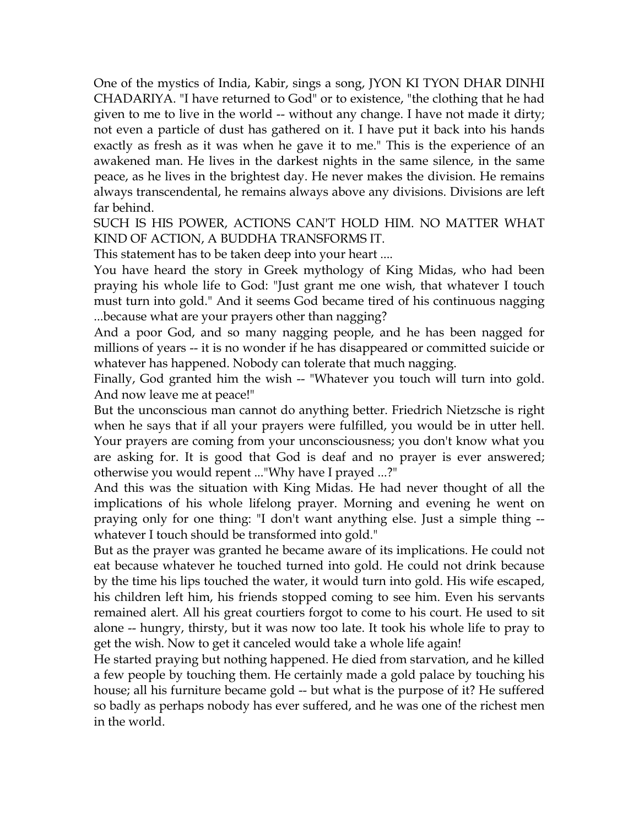One of the mystics of India, Kabir, sings a song, JYON KI TYON DHAR DINHI CHADARIYA. "I have returned to God" or to existence, "the clothing that he had given to me to live in the world -- without any change. I have not made it dirty; not even a particle of dust has gathered on it. I have put it back into his hands exactly as fresh as it was when he gave it to me." This is the experience of an awakened man. He lives in the darkest nights in the same silence, in the same peace, as he lives in the brightest day. He never makes the division. He remains always transcendental, he remains always above any divisions. Divisions are left far behind.

SUCH IS HIS POWER, ACTIONS CAN'T HOLD HIM. NO MATTER WHAT KIND OF ACTION, A BUDDHA TRANSFORMS IT.

This statement has to be taken deep into your heart ....

You have heard the story in Greek mythology of King Midas, who had been praying his whole life to God: "Just grant me one wish, that whatever I touch must turn into gold." And it seems God became tired of his continuous nagging ...because what are your prayers other than nagging?

And a poor God, and so many nagging people, and he has been nagged for millions of years -- it is no wonder if he has disappeared or committed suicide or whatever has happened. Nobody can tolerate that much nagging.

Finally, God granted him the wish -- "Whatever you touch will turn into gold. And now leave me at peace!"

But the unconscious man cannot do anything better. Friedrich Nietzsche is right when he says that if all your prayers were fulfilled, you would be in utter hell. Your prayers are coming from your unconsciousness; you don't know what you are asking for. It is good that God is deaf and no prayer is ever answered; otherwise you would repent ..."Why have I prayed ...?"

And this was the situation with King Midas. He had never thought of all the implications of his whole lifelong prayer. Morning and evening he went on praying only for one thing: "I don't want anything else. Just a simple thing - whatever I touch should be transformed into gold."

But as the prayer was granted he became aware of its implications. He could not eat because whatever he touched turned into gold. He could not drink because by the time his lips touched the water, it would turn into gold. His wife escaped, his children left him, his friends stopped coming to see him. Even his servants remained alert. All his great courtiers forgot to come to his court. He used to sit alone -- hungry, thirsty, but it was now too late. It took his whole life to pray to get the wish. Now to get it canceled would take a whole life again!

He started praying but nothing happened. He died from starvation, and he killed a few people by touching them. He certainly made a gold palace by touching his house; all his furniture became gold -- but what is the purpose of it? He suffered so badly as perhaps nobody has ever suffered, and he was one of the richest men in the world.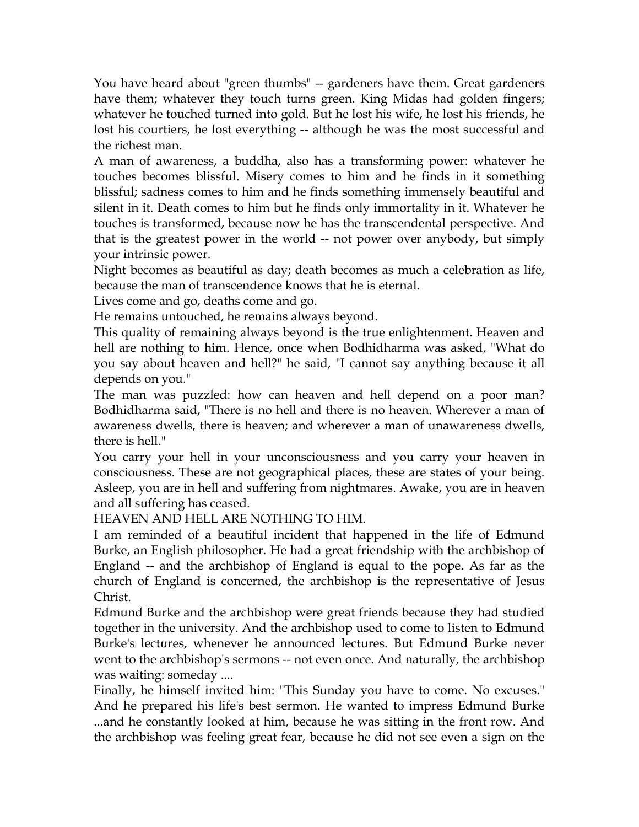You have heard about "green thumbs" -- gardeners have them. Great gardeners have them; whatever they touch turns green. King Midas had golden fingers; whatever he touched turned into gold. But he lost his wife, he lost his friends, he lost his courtiers, he lost everything -- although he was the most successful and the richest man.

A man of awareness, a buddha, also has a transforming power: whatever he touches becomes blissful. Misery comes to him and he finds in it something blissful; sadness comes to him and he finds something immensely beautiful and silent in it. Death comes to him but he finds only immortality in it. Whatever he touches is transformed, because now he has the transcendental perspective. And that is the greatest power in the world -- not power over anybody, but simply your intrinsic power.

Night becomes as beautiful as day; death becomes as much a celebration as life, because the man of transcendence knows that he is eternal.

Lives come and go, deaths come and go.

He remains untouched, he remains always beyond.

This quality of remaining always beyond is the true enlightenment. Heaven and hell are nothing to him. Hence, once when Bodhidharma was asked, "What do you say about heaven and hell?" he said, "I cannot say anything because it all depends on you."

The man was puzzled: how can heaven and hell depend on a poor man? Bodhidharma said, "There is no hell and there is no heaven. Wherever a man of awareness dwells, there is heaven; and wherever a man of unawareness dwells, there is hell."

You carry your hell in your unconsciousness and you carry your heaven in consciousness. These are not geographical places, these are states of your being. Asleep, you are in hell and suffering from nightmares. Awake, you are in heaven and all suffering has ceased.

HEAVEN AND HELL ARE NOTHING TO HIM.

I am reminded of a beautiful incident that happened in the life of Edmund Burke, an English philosopher. He had a great friendship with the archbishop of England -- and the archbishop of England is equal to the pope. As far as the church of England is concerned, the archbishop is the representative of Jesus Christ.

Edmund Burke and the archbishop were great friends because they had studied together in the university. And the archbishop used to come to listen to Edmund Burke's lectures, whenever he announced lectures. But Edmund Burke never went to the archbishop's sermons -- not even once. And naturally, the archbishop was waiting: someday ....

Finally, he himself invited him: "This Sunday you have to come. No excuses." And he prepared his life's best sermon. He wanted to impress Edmund Burke ...and he constantly looked at him, because he was sitting in the front row. And the archbishop was feeling great fear, because he did not see even a sign on the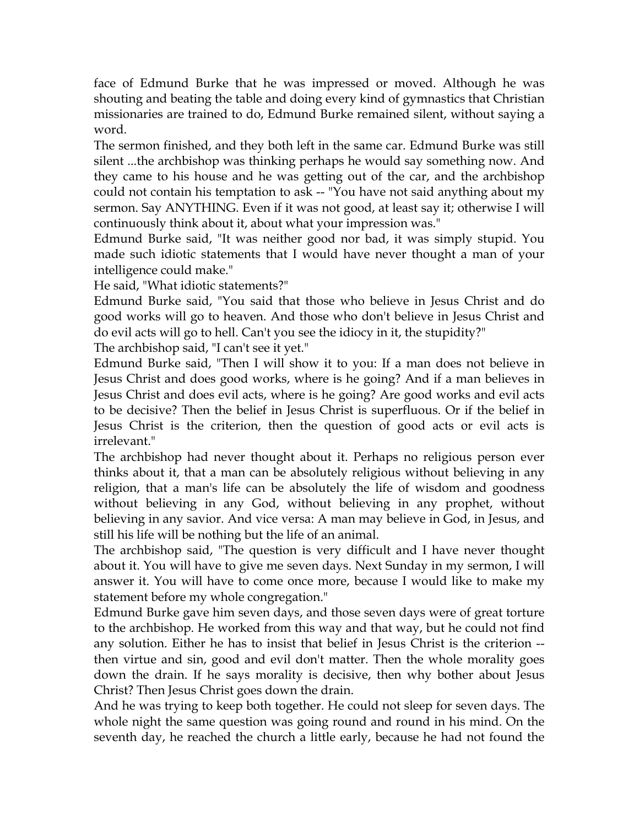face of Edmund Burke that he was impressed or moved. Although he was shouting and beating the table and doing every kind of gymnastics that Christian missionaries are trained to do, Edmund Burke remained silent, without saying a word.

The sermon finished, and they both left in the same car. Edmund Burke was still silent ...the archbishop was thinking perhaps he would say something now. And they came to his house and he was getting out of the car, and the archbishop could not contain his temptation to ask -- "You have not said anything about my sermon. Say ANYTHING. Even if it was not good, at least say it; otherwise I will continuously think about it, about what your impression was."

Edmund Burke said, "It was neither good nor bad, it was simply stupid. You made such idiotic statements that I would have never thought a man of your intelligence could make."

He said, "What idiotic statements?"

Edmund Burke said, "You said that those who believe in Jesus Christ and do good works will go to heaven. And those who don't believe in Jesus Christ and do evil acts will go to hell. Can't you see the idiocy in it, the stupidity?"

The archbishop said, "I can't see it yet."

Edmund Burke said, "Then I will show it to you: If a man does not believe in Jesus Christ and does good works, where is he going? And if a man believes in Jesus Christ and does evil acts, where is he going? Are good works and evil acts to be decisive? Then the belief in Jesus Christ is superfluous. Or if the belief in Jesus Christ is the criterion, then the question of good acts or evil acts is irrelevant."

The archbishop had never thought about it. Perhaps no religious person ever thinks about it, that a man can be absolutely religious without believing in any religion, that a man's life can be absolutely the life of wisdom and goodness without believing in any God, without believing in any prophet, without believing in any savior. And vice versa: A man may believe in God, in Jesus, and still his life will be nothing but the life of an animal.

The archbishop said, "The question is very difficult and I have never thought about it. You will have to give me seven days. Next Sunday in my sermon, I will answer it. You will have to come once more, because I would like to make my statement before my whole congregation."

Edmund Burke gave him seven days, and those seven days were of great torture to the archbishop. He worked from this way and that way, but he could not find any solution. Either he has to insist that belief in Jesus Christ is the criterion - then virtue and sin, good and evil don't matter. Then the whole morality goes down the drain. If he says morality is decisive, then why bother about Jesus Christ? Then Jesus Christ goes down the drain.

And he was trying to keep both together. He could not sleep for seven days. The whole night the same question was going round and round in his mind. On the seventh day, he reached the church a little early, because he had not found the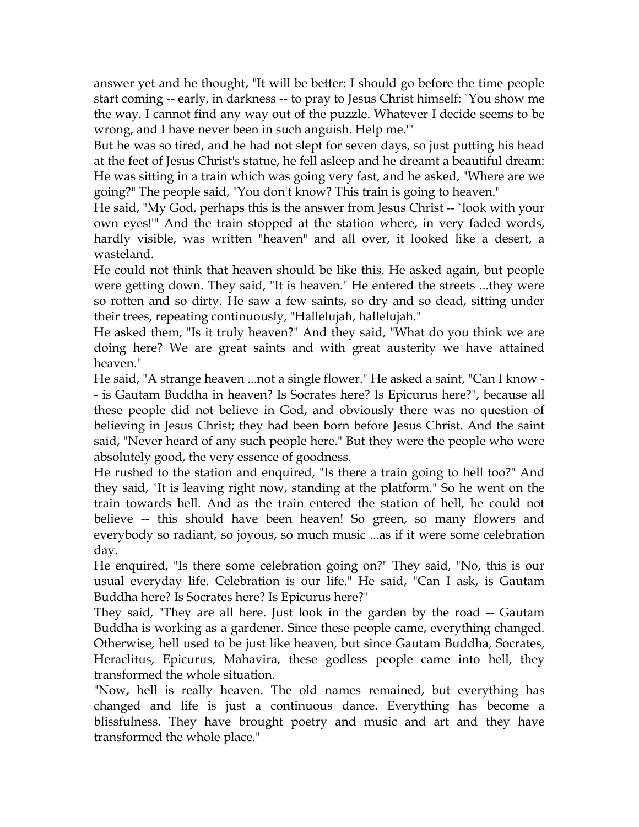answer yet and he thought, "It will be better: I should go before the time people start coming -- early, in darkness -- to pray to Jesus Christ himself: `You show me the way. I cannot find any way out of the puzzle. Whatever I decide seems to be wrong, and I have never been in such anguish. Help me.'"

But he was so tired, and he had not slept for seven days, so just putting his head at the feet of Jesus Christ's statue, he fell asleep and he dreamt a beautiful dream: He was sitting in a train which was going very fast, and he asked, "Where are we going?" The people said, "You don't know? This train is going to heaven."

He said, "My God, perhaps this is the answer from Jesus Christ -- `look with your own eyes!'" And the train stopped at the station where, in very faded words, hardly visible, was written "heaven" and all over, it looked like a desert, a wasteland.

He could not think that heaven should be like this. He asked again, but people were getting down. They said, "It is heaven." He entered the streets ...they were so rotten and so dirty. He saw a few saints, so dry and so dead, sitting under their trees, repeating continuously, "Hallelujah, hallelujah."

He asked them, "Is it truly heaven?" And they said, "What do you think we are doing here? We are great saints and with great austerity we have attained heaven."

He said, "A strange heaven ...not a single flower." He asked a saint, "Can I know - - is Gautam Buddha in heaven? Is Socrates here? Is Epicurus here?", because all these people did not believe in God, and obviously there was no question of believing in Jesus Christ; they had been born before Jesus Christ. And the saint said, "Never heard of any such people here." But they were the people who were absolutely good, the very essence of goodness.

He rushed to the station and enquired, "Is there a train going to hell too?" And they said, "It is leaving right now, standing at the platform." So he went on the train towards hell. And as the train entered the station of hell, he could not believe -- this should have been heaven! So green, so many flowers and everybody so radiant, so joyous, so much music ...as if it were some celebration day.

He enquired, "Is there some celebration going on?" They said, "No, this is our usual everyday life. Celebration is our life." He said, "Can I ask, is Gautam Buddha here? Is Socrates here? Is Epicurus here?"

They said, "They are all here. Just look in the garden by the road -- Gautam Buddha is working as a gardener. Since these people came, everything changed. Otherwise, hell used to be just like heaven, but since Gautam Buddha, Socrates, Heraclitus, Epicurus, Mahavira, these godless people came into hell, they transformed the whole situation.

"Now, hell is really heaven. The old names remained, but everything has changed and life is just a continuous dance. Everything has become a blissfulness. They have brought poetry and music and art and they have transformed the whole place."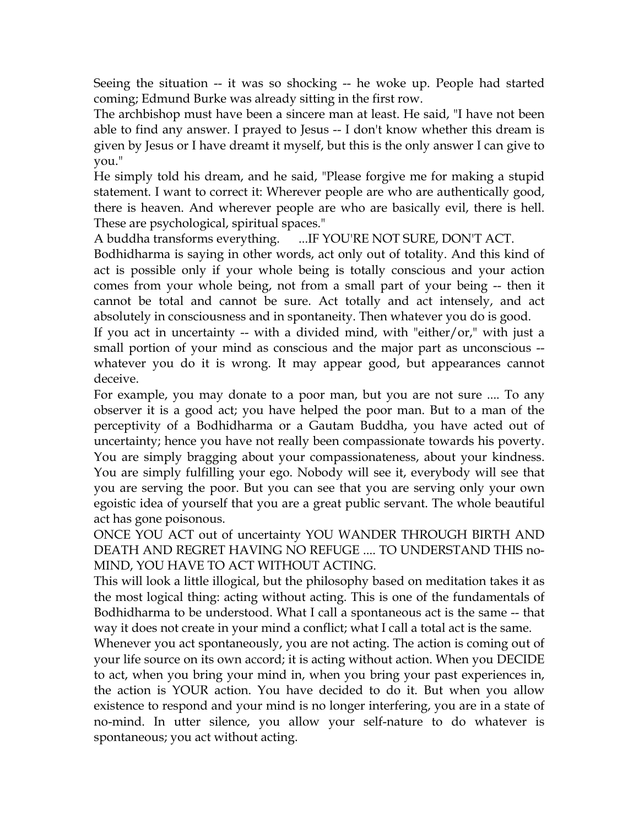Seeing the situation -- it was so shocking -- he woke up. People had started coming; Edmund Burke was already sitting in the first row.

The archbishop must have been a sincere man at least. He said, "I have not been able to find any answer. I prayed to Jesus -- I don't know whether this dream is given by Jesus or I have dreamt it myself, but this is the only answer I can give to you."

He simply told his dream, and he said, "Please forgive me for making a stupid statement. I want to correct it: Wherever people are who are authentically good, there is heaven. And wherever people are who are basically evil, there is hell. These are psychological, spiritual spaces."

A buddha transforms everything. ...IF YOU'RE NOT SURE, DON'T ACT.

Bodhidharma is saying in other words, act only out of totality. And this kind of act is possible only if your whole being is totally conscious and your action comes from your whole being, not from a small part of your being -- then it cannot be total and cannot be sure. Act totally and act intensely, and act absolutely in consciousness and in spontaneity. Then whatever you do is good.

If you act in uncertainty -- with a divided mind, with "either/or," with just a small portion of your mind as conscious and the major part as unconscious - whatever you do it is wrong. It may appear good, but appearances cannot deceive.

For example, you may donate to a poor man, but you are not sure .... To any observer it is a good act; you have helped the poor man. But to a man of the perceptivity of a Bodhidharma or a Gautam Buddha, you have acted out of uncertainty; hence you have not really been compassionate towards his poverty. You are simply bragging about your compassionateness, about your kindness. You are simply fulfilling your ego. Nobody will see it, everybody will see that you are serving the poor. But you can see that you are serving only your own egoistic idea of yourself that you are a great public servant. The whole beautiful act has gone poisonous.

ONCE YOU ACT out of uncertainty YOU WANDER THROUGH BIRTH AND DEATH AND REGRET HAVING NO REFUGE .... TO UNDERSTAND THIS no-MIND, YOU HAVE TO ACT WITHOUT ACTING.

This will look a little illogical, but the philosophy based on meditation takes it as the most logical thing: acting without acting. This is one of the fundamentals of Bodhidharma to be understood. What I call a spontaneous act is the same -- that way it does not create in your mind a conflict; what I call a total act is the same.

Whenever you act spontaneously, you are not acting. The action is coming out of your life source on its own accord; it is acting without action. When you DECIDE to act, when you bring your mind in, when you bring your past experiences in, the action is YOUR action. You have decided to do it. But when you allow existence to respond and your mind is no longer interfering, you are in a state of no-mind. In utter silence, you allow your self-nature to do whatever is spontaneous; you act without acting.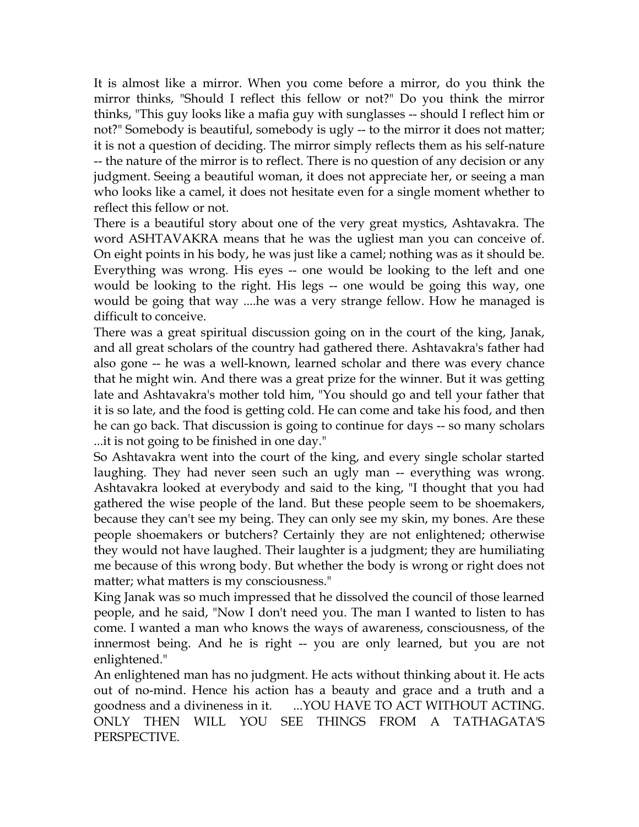It is almost like a mirror. When you come before a mirror, do you think the mirror thinks, "Should I reflect this fellow or not?" Do you think the mirror thinks, "This guy looks like a mafia guy with sunglasses -- should I reflect him or not?" Somebody is beautiful, somebody is ugly -- to the mirror it does not matter; it is not a question of deciding. The mirror simply reflects them as his self-nature -- the nature of the mirror is to reflect. There is no question of any decision or any judgment. Seeing a beautiful woman, it does not appreciate her, or seeing a man who looks like a camel, it does not hesitate even for a single moment whether to reflect this fellow or not.

There is a beautiful story about one of the very great mystics, Ashtavakra. The word ASHTAVAKRA means that he was the ugliest man you can conceive of. On eight points in his body, he was just like a camel; nothing was as it should be. Everything was wrong. His eyes -- one would be looking to the left and one would be looking to the right. His legs -- one would be going this way, one would be going that way ....he was a very strange fellow. How he managed is difficult to conceive.

There was a great spiritual discussion going on in the court of the king, Janak, and all great scholars of the country had gathered there. Ashtavakra's father had also gone -- he was a well-known, learned scholar and there was every chance that he might win. And there was a great prize for the winner. But it was getting late and Ashtavakra's mother told him, "You should go and tell your father that it is so late, and the food is getting cold. He can come and take his food, and then he can go back. That discussion is going to continue for days -- so many scholars ...it is not going to be finished in one day."

So Ashtavakra went into the court of the king, and every single scholar started laughing. They had never seen such an ugly man -- everything was wrong. Ashtavakra looked at everybody and said to the king, "I thought that you had gathered the wise people of the land. But these people seem to be shoemakers, because they can't see my being. They can only see my skin, my bones. Are these people shoemakers or butchers? Certainly they are not enlightened; otherwise they would not have laughed. Their laughter is a judgment; they are humiliating me because of this wrong body. But whether the body is wrong or right does not matter; what matters is my consciousness."

King Janak was so much impressed that he dissolved the council of those learned people, and he said, "Now I don't need you. The man I wanted to listen to has come. I wanted a man who knows the ways of awareness, consciousness, of the innermost being. And he is right -- you are only learned, but you are not enlightened."

An enlightened man has no judgment. He acts without thinking about it. He acts out of no-mind. Hence his action has a beauty and grace and a truth and a goodness and a divineness in it. ...YOU HAVE TO ACT WITHOUT ACTING. ONLY THEN WILL YOU SEE THINGS FROM A TATHAGATA'S PERSPECTIVE.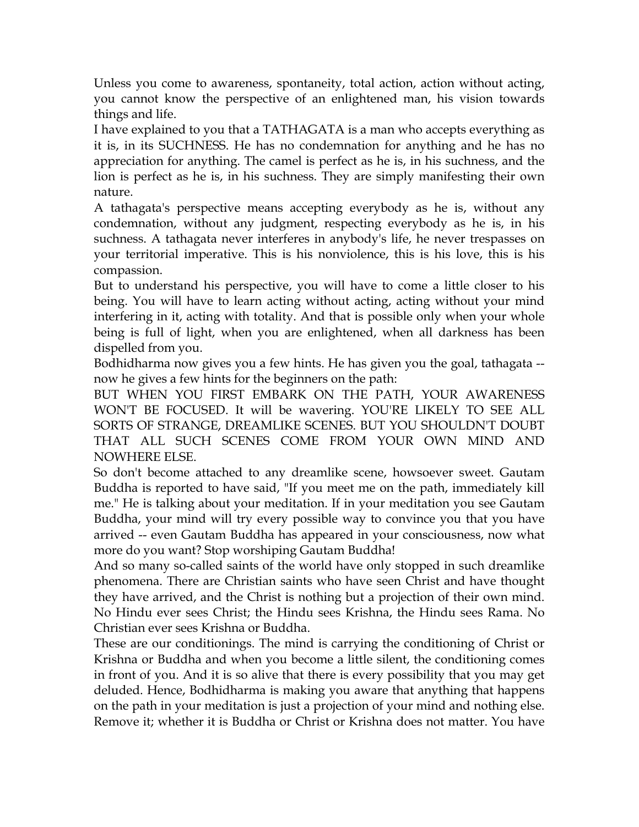Unless you come to awareness, spontaneity, total action, action without acting, you cannot know the perspective of an enlightened man, his vision towards things and life.

I have explained to you that a TATHAGATA is a man who accepts everything as it is, in its SUCHNESS. He has no condemnation for anything and he has no appreciation for anything. The camel is perfect as he is, in his suchness, and the lion is perfect as he is, in his suchness. They are simply manifesting their own nature.

A tathagata's perspective means accepting everybody as he is, without any condemnation, without any judgment, respecting everybody as he is, in his suchness. A tathagata never interferes in anybody's life, he never trespasses on your territorial imperative. This is his nonviolence, this is his love, this is his compassion.

But to understand his perspective, you will have to come a little closer to his being. You will have to learn acting without acting, acting without your mind interfering in it, acting with totality. And that is possible only when your whole being is full of light, when you are enlightened, when all darkness has been dispelled from you.

Bodhidharma now gives you a few hints. He has given you the goal, tathagata - now he gives a few hints for the beginners on the path:

BUT WHEN YOU FIRST EMBARK ON THE PATH, YOUR AWARENESS WON'T BE FOCUSED. It will be wavering. YOU'RE LIKELY TO SEE ALL SORTS OF STRANGE, DREAMLIKE SCENES. BUT YOU SHOULDN'T DOUBT THAT ALL SUCH SCENES COME FROM YOUR OWN MIND AND NOWHERE ELSE.

So don't become attached to any dreamlike scene, howsoever sweet. Gautam Buddha is reported to have said, "If you meet me on the path, immediately kill me." He is talking about your meditation. If in your meditation you see Gautam Buddha, your mind will try every possible way to convince you that you have arrived -- even Gautam Buddha has appeared in your consciousness, now what more do you want? Stop worshiping Gautam Buddha!

And so many so-called saints of the world have only stopped in such dreamlike phenomena. There are Christian saints who have seen Christ and have thought they have arrived, and the Christ is nothing but a projection of their own mind. No Hindu ever sees Christ; the Hindu sees Krishna, the Hindu sees Rama. No Christian ever sees Krishna or Buddha.

These are our conditionings. The mind is carrying the conditioning of Christ or Krishna or Buddha and when you become a little silent, the conditioning comes in front of you. And it is so alive that there is every possibility that you may get deluded. Hence, Bodhidharma is making you aware that anything that happens on the path in your meditation is just a projection of your mind and nothing else. Remove it; whether it is Buddha or Christ or Krishna does not matter. You have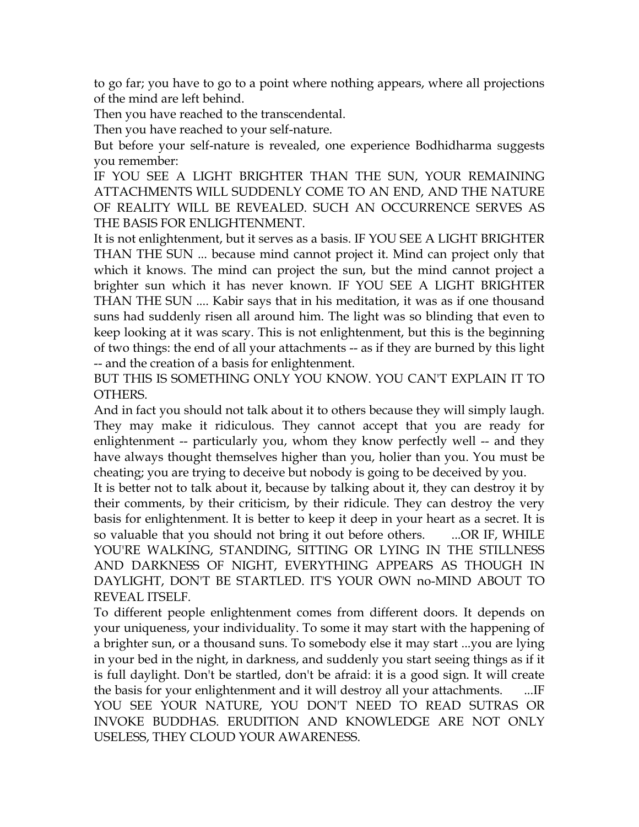to go far; you have to go to a point where nothing appears, where all projections of the mind are left behind.

Then you have reached to the transcendental.

Then you have reached to your self-nature.

But before your self-nature is revealed, one experience Bodhidharma suggests you remember:

IF YOU SEE A LIGHT BRIGHTER THAN THE SUN, YOUR REMAINING ATTACHMENTS WILL SUDDENLY COME TO AN END, AND THE NATURE OF REALITY WILL BE REVEALED. SUCH AN OCCURRENCE SERVES AS THE BASIS FOR ENLIGHTENMENT.

It is not enlightenment, but it serves as a basis. IF YOU SEE A LIGHT BRIGHTER THAN THE SUN ... because mind cannot project it. Mind can project only that which it knows. The mind can project the sun, but the mind cannot project a brighter sun which it has never known. IF YOU SEE A LIGHT BRIGHTER THAN THE SUN .... Kabir says that in his meditation, it was as if one thousand suns had suddenly risen all around him. The light was so blinding that even to keep looking at it was scary. This is not enlightenment, but this is the beginning of two things: the end of all your attachments -- as if they are burned by this light -- and the creation of a basis for enlightenment.

BUT THIS IS SOMETHING ONLY YOU KNOW. YOU CAN'T EXPLAIN IT TO OTHERS.

And in fact you should not talk about it to others because they will simply laugh. They may make it ridiculous. They cannot accept that you are ready for enlightenment -- particularly you, whom they know perfectly well -- and they have always thought themselves higher than you, holier than you. You must be cheating; you are trying to deceive but nobody is going to be deceived by you.

It is better not to talk about it, because by talking about it, they can destroy it by their comments, by their criticism, by their ridicule. They can destroy the very basis for enlightenment. It is better to keep it deep in your heart as a secret. It is so valuable that you should not bring it out before others. ....OR IF, WHILE YOU'RE WALKING, STANDING, SITTING OR LYING IN THE STILLNESS AND DARKNESS OF NIGHT, EVERYTHING APPEARS AS THOUGH IN DAYLIGHT, DON'T BE STARTLED. IT'S YOUR OWN no-MIND ABOUT TO REVEAL ITSELF.

To different people enlightenment comes from different doors. It depends on your uniqueness, your individuality. To some it may start with the happening of a brighter sun, or a thousand suns. To somebody else it may start ...you are lying in your bed in the night, in darkness, and suddenly you start seeing things as if it is full daylight. Don't be startled, don't be afraid: it is a good sign. It will create the basis for your enlightenment and it will destroy all your attachments. ...IF YOU SEE YOUR NATURE, YOU DON'T NEED TO READ SUTRAS OR INVOKE BUDDHAS. ERUDITION AND KNOWLEDGE ARE NOT ONLY USELESS, THEY CLOUD YOUR AWARENESS.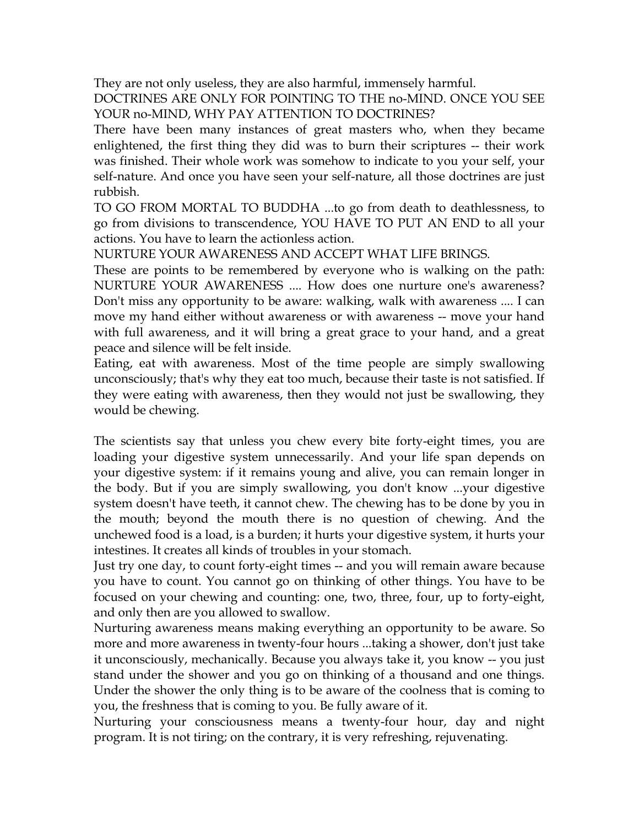They are not only useless, they are also harmful, immensely harmful.

DOCTRINES ARE ONLY FOR POINTING TO THE no-MIND. ONCE YOU SEE YOUR no-MIND, WHY PAY ATTENTION TO DOCTRINES?

There have been many instances of great masters who, when they became enlightened, the first thing they did was to burn their scriptures -- their work was finished. Their whole work was somehow to indicate to you your self, your self-nature. And once you have seen your self-nature, all those doctrines are just rubbish.

TO GO FROM MORTAL TO BUDDHA ...to go from death to deathlessness, to go from divisions to transcendence, YOU HAVE TO PUT AN END to all your actions. You have to learn the actionless action.

NURTURE YOUR AWARENESS AND ACCEPT WHAT LIFE BRINGS.

These are points to be remembered by everyone who is walking on the path: NURTURE YOUR AWARENESS .... How does one nurture one's awareness? Don't miss any opportunity to be aware: walking, walk with awareness .... I can move my hand either without awareness or with awareness -- move your hand with full awareness, and it will bring a great grace to your hand, and a great peace and silence will be felt inside.

Eating, eat with awareness. Most of the time people are simply swallowing unconsciously; that's why they eat too much, because their taste is not satisfied. If they were eating with awareness, then they would not just be swallowing, they would be chewing.

The scientists say that unless you chew every bite forty-eight times, you are loading your digestive system unnecessarily. And your life span depends on your digestive system: if it remains young and alive, you can remain longer in the body. But if you are simply swallowing, you don't know ...your digestive system doesn't have teeth, it cannot chew. The chewing has to be done by you in the mouth; beyond the mouth there is no question of chewing. And the unchewed food is a load, is a burden; it hurts your digestive system, it hurts your intestines. It creates all kinds of troubles in your stomach.

Just try one day, to count forty-eight times -- and you will remain aware because you have to count. You cannot go on thinking of other things. You have to be focused on your chewing and counting: one, two, three, four, up to forty-eight, and only then are you allowed to swallow.

Nurturing awareness means making everything an opportunity to be aware. So more and more awareness in twenty-four hours ...taking a shower, don't just take it unconsciously, mechanically. Because you always take it, you know -- you just stand under the shower and you go on thinking of a thousand and one things. Under the shower the only thing is to be aware of the coolness that is coming to you, the freshness that is coming to you. Be fully aware of it.

Nurturing your consciousness means a twenty-four hour, day and night program. It is not tiring; on the contrary, it is very refreshing, rejuvenating.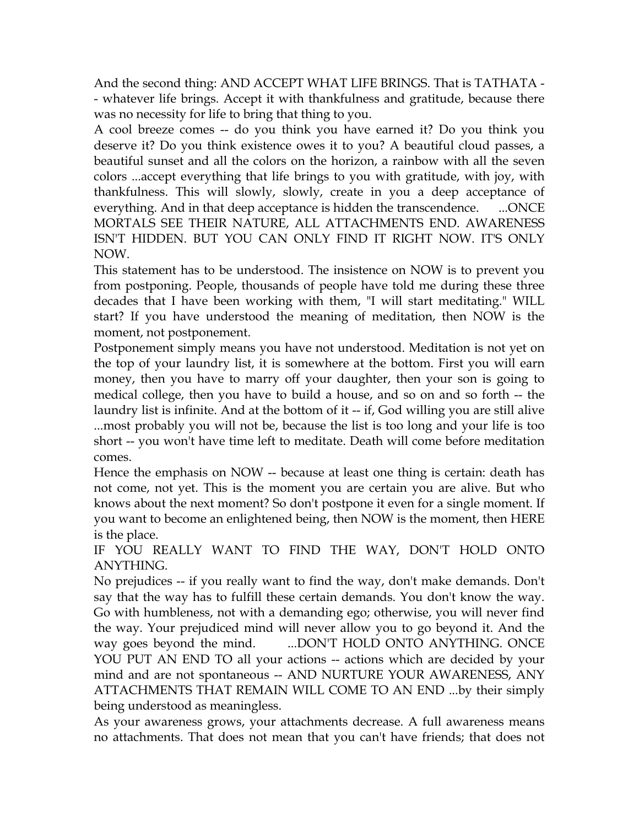And the second thing: AND ACCEPT WHAT LIFE BRINGS. That is TATHATA - - whatever life brings. Accept it with thankfulness and gratitude, because there was no necessity for life to bring that thing to you.

A cool breeze comes -- do you think you have earned it? Do you think you deserve it? Do you think existence owes it to you? A beautiful cloud passes, a beautiful sunset and all the colors on the horizon, a rainbow with all the seven colors ...accept everything that life brings to you with gratitude, with joy, with thankfulness. This will slowly, slowly, create in you a deep acceptance of everything. And in that deep acceptance is hidden the transcendence. ...ONCE MORTALS SEE THEIR NATURE, ALL ATTACHMENTS END. AWARENESS ISN'T HIDDEN. BUT YOU CAN ONLY FIND IT RIGHT NOW. IT'S ONLY NOW.

This statement has to be understood. The insistence on NOW is to prevent you from postponing. People, thousands of people have told me during these three decades that I have been working with them, "I will start meditating." WILL start? If you have understood the meaning of meditation, then NOW is the moment, not postponement.

Postponement simply means you have not understood. Meditation is not yet on the top of your laundry list, it is somewhere at the bottom. First you will earn money, then you have to marry off your daughter, then your son is going to medical college, then you have to build a house, and so on and so forth -- the laundry list is infinite. And at the bottom of it -- if, God willing you are still alive ...most probably you will not be, because the list is too long and your life is too short -- you won't have time left to meditate. Death will come before meditation comes.

Hence the emphasis on NOW -- because at least one thing is certain: death has not come, not yet. This is the moment you are certain you are alive. But who knows about the next moment? So don't postpone it even for a single moment. If you want to become an enlightened being, then NOW is the moment, then HERE is the place.

IF YOU REALLY WANT TO FIND THE WAY, DON'T HOLD ONTO ANYTHING.

No prejudices -- if you really want to find the way, don't make demands. Don't say that the way has to fulfill these certain demands. You don't know the way. Go with humbleness, not with a demanding ego; otherwise, you will never find the way. Your prejudiced mind will never allow you to go beyond it. And the way goes beyond the mind. ...DON'T HOLD ONTO ANYTHING. ONCE YOU PUT AN END TO all your actions -- actions which are decided by your mind and are not spontaneous -- AND NURTURE YOUR AWARENESS, ANY ATTACHMENTS THAT REMAIN WILL COME TO AN END ...by their simply being understood as meaningless.

As your awareness grows, your attachments decrease. A full awareness means no attachments. That does not mean that you can't have friends; that does not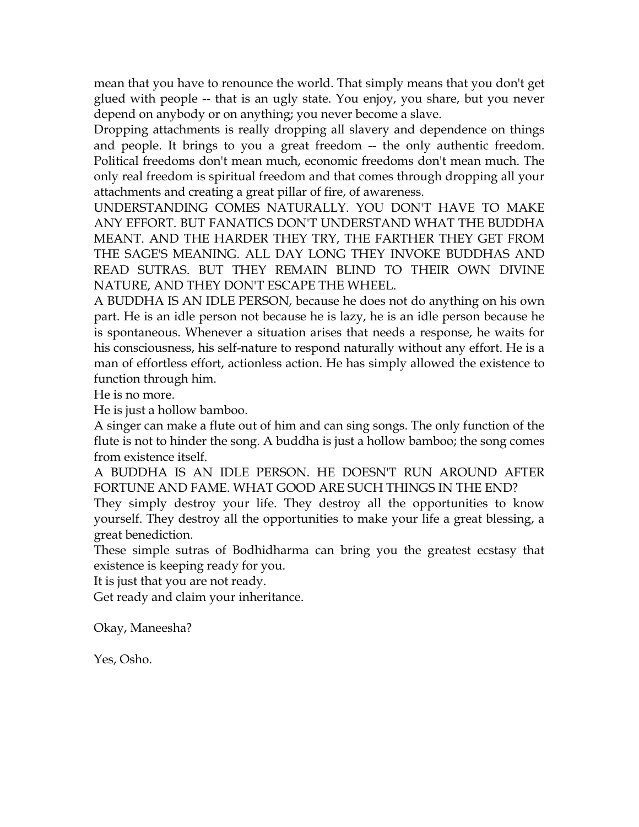mean that you have to renounce the world. That simply means that you don't get glued with people -- that is an ugly state. You enjoy, you share, but you never depend on anybody or on anything; you never become a slave.

Dropping attachments is really dropping all slavery and dependence on things and people. It brings to you a great freedom -- the only authentic freedom. Political freedoms don't mean much, economic freedoms don't mean much. The only real freedom is spiritual freedom and that comes through dropping all your attachments and creating a great pillar of fire, of awareness.

UNDERSTANDING COMES NATURALLY. YOU DON'T HAVE TO MAKE ANY EFFORT. BUT FANATICS DON'T UNDERSTAND WHAT THE BUDDHA MEANT. AND THE HARDER THEY TRY, THE FARTHER THEY GET FROM THE SAGE'S MEANING. ALL DAY LONG THEY INVOKE BUDDHAS AND READ SUTRAS. BUT THEY REMAIN BLIND TO THEIR OWN DIVINE NATURE, AND THEY DON'T ESCAPE THE WHEEL.

A BUDDHA IS AN IDLE PERSON, because he does not do anything on his own part. He is an idle person not because he is lazy, he is an idle person because he is spontaneous. Whenever a situation arises that needs a response, he waits for his consciousness, his self-nature to respond naturally without any effort. He is a man of effortless effort, actionless action. He has simply allowed the existence to function through him.

He is no more.

He is just a hollow bamboo.

A singer can make a flute out of him and can sing songs. The only function of the flute is not to hinder the song. A buddha is just a hollow bamboo; the song comes from existence itself.

A BUDDHA IS AN IDLE PERSON. HE DOESN'T RUN AROUND AFTER FORTUNE AND FAME. WHAT GOOD ARE SUCH THINGS IN THE END?

They simply destroy your life. They destroy all the opportunities to know yourself. They destroy all the opportunities to make your life a great blessing, a great benediction.

These simple sutras of Bodhidharma can bring you the greatest ecstasy that existence is keeping ready for you.

It is just that you are not ready.

Get ready and claim your inheritance.

Okay, Maneesha?

Yes, Osho.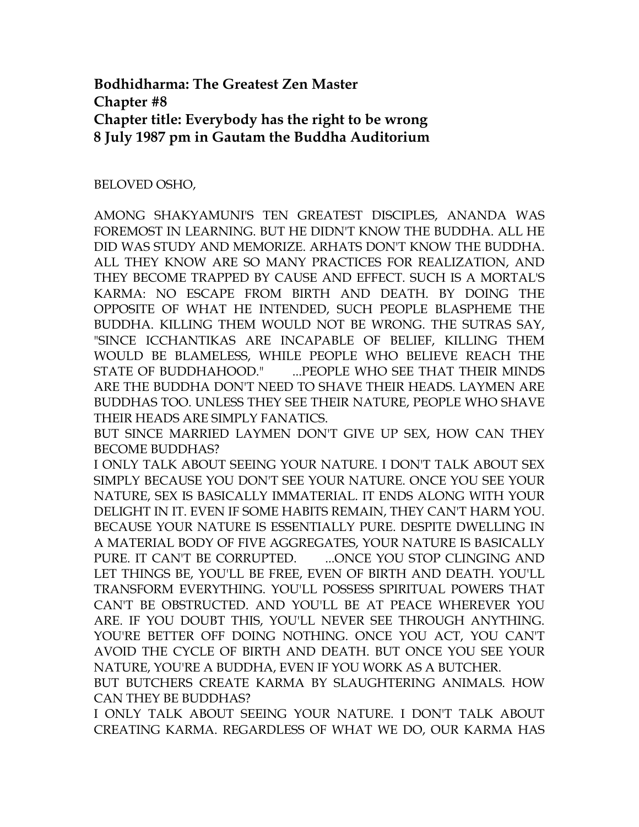## **Bodhidharma: The Greatest Zen Master Chapter #8 Chapter title: Everybody has the right to be wrong 8 July 1987 pm in Gautam the Buddha Auditorium**

#### BELOVED OSHO,

AMONG SHAKYAMUNI'S TEN GREATEST DISCIPLES, ANANDA WAS FOREMOST IN LEARNING. BUT HE DIDN'T KNOW THE BUDDHA. ALL HE DID WAS STUDY AND MEMORIZE. ARHATS DON'T KNOW THE BUDDHA. ALL THEY KNOW ARE SO MANY PRACTICES FOR REALIZATION, AND THEY BECOME TRAPPED BY CAUSE AND EFFECT. SUCH IS A MORTAL'S KARMA: NO ESCAPE FROM BIRTH AND DEATH. BY DOING THE OPPOSITE OF WHAT HE INTENDED, SUCH PEOPLE BLASPHEME THE BUDDHA. KILLING THEM WOULD NOT BE WRONG. THE SUTRAS SAY, "SINCE ICCHANTIKAS ARE INCAPABLE OF BELIEF, KILLING THEM WOULD BE BLAMELESS, WHILE PEOPLE WHO BELIEVE REACH THE STATE OF BUDDHAHOOD." ...PEOPLE WHO SEE THAT THEIR MINDS ARE THE BUDDHA DON'T NEED TO SHAVE THEIR HEADS. LAYMEN ARE BUDDHAS TOO. UNLESS THEY SEE THEIR NATURE, PEOPLE WHO SHAVE THEIR HEADS ARE SIMPLY FANATICS.

BUT SINCE MARRIED LAYMEN DON'T GIVE UP SEX, HOW CAN THEY BECOME BUDDHAS?

I ONLY TALK ABOUT SEEING YOUR NATURE. I DON'T TALK ABOUT SEX SIMPLY BECAUSE YOU DON'T SEE YOUR NATURE. ONCE YOU SEE YOUR NATURE, SEX IS BASICALLY IMMATERIAL. IT ENDS ALONG WITH YOUR DELIGHT IN IT. EVEN IF SOME HABITS REMAIN, THEY CAN'T HARM YOU. BECAUSE YOUR NATURE IS ESSENTIALLY PURE. DESPITE DWELLING IN A MATERIAL BODY OF FIVE AGGREGATES, YOUR NATURE IS BASICALLY PURE. IT CAN'T BE CORRUPTED. ...ONCE YOU STOP CLINGING AND LET THINGS BE, YOU'LL BE FREE, EVEN OF BIRTH AND DEATH. YOU'LL TRANSFORM EVERYTHING. YOU'LL POSSESS SPIRITUAL POWERS THAT CAN'T BE OBSTRUCTED. AND YOU'LL BE AT PEACE WHEREVER YOU ARE. IF YOU DOUBT THIS, YOU'LL NEVER SEE THROUGH ANYTHING. YOU'RE BETTER OFF DOING NOTHING. ONCE YOU ACT, YOU CAN'T AVOID THE CYCLE OF BIRTH AND DEATH. BUT ONCE YOU SEE YOUR NATURE, YOU'RE A BUDDHA, EVEN IF YOU WORK AS A BUTCHER.

BUT BUTCHERS CREATE KARMA BY SLAUGHTERING ANIMALS. HOW CAN THEY BE BUDDHAS?

I ONLY TALK ABOUT SEEING YOUR NATURE. I DON'T TALK ABOUT CREATING KARMA. REGARDLESS OF WHAT WE DO, OUR KARMA HAS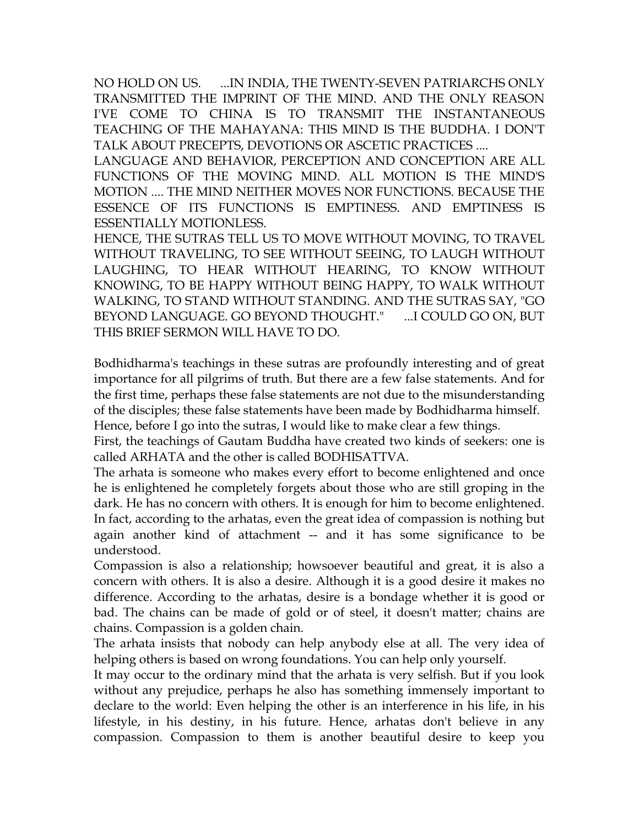NO HOLD ON US. ...IN INDIA, THE TWENTY-SEVEN PATRIARCHS ONLY TRANSMITTED THE IMPRINT OF THE MIND. AND THE ONLY REASON I'VE COME TO CHINA IS TO TRANSMIT THE INSTANTANEOUS TEACHING OF THE MAHAYANA: THIS MIND IS THE BUDDHA. I DON'T TALK ABOUT PRECEPTS, DEVOTIONS OR ASCETIC PRACTICES ....

LANGUAGE AND BEHAVIOR, PERCEPTION AND CONCEPTION ARE ALL FUNCTIONS OF THE MOVING MIND. ALL MOTION IS THE MIND'S MOTION .... THE MIND NEITHER MOVES NOR FUNCTIONS. BECAUSE THE ESSENCE OF ITS FUNCTIONS IS EMPTINESS. AND EMPTINESS IS ESSENTIALLY MOTIONLESS.

HENCE, THE SUTRAS TELL US TO MOVE WITHOUT MOVING, TO TRAVEL WITHOUT TRAVELING, TO SEE WITHOUT SEEING, TO LAUGH WITHOUT LAUGHING, TO HEAR WITHOUT HEARING, TO KNOW WITHOUT KNOWING, TO BE HAPPY WITHOUT BEING HAPPY, TO WALK WITHOUT WALKING, TO STAND WITHOUT STANDING. AND THE SUTRAS SAY, "GO BEYOND LANGUAGE. GO BEYOND THOUGHT." ...I COULD GO ON, BUT THIS BRIEF SERMON WILL HAVE TO DO.

Bodhidharma's teachings in these sutras are profoundly interesting and of great importance for all pilgrims of truth. But there are a few false statements. And for the first time, perhaps these false statements are not due to the misunderstanding of the disciples; these false statements have been made by Bodhidharma himself. Hence, before I go into the sutras, I would like to make clear a few things.

First, the teachings of Gautam Buddha have created two kinds of seekers: one is called ARHATA and the other is called BODHISATTVA.

The arhata is someone who makes every effort to become enlightened and once he is enlightened he completely forgets about those who are still groping in the dark. He has no concern with others. It is enough for him to become enlightened. In fact, according to the arhatas, even the great idea of compassion is nothing but again another kind of attachment -- and it has some significance to be understood.

Compassion is also a relationship; howsoever beautiful and great, it is also a concern with others. It is also a desire. Although it is a good desire it makes no difference. According to the arhatas, desire is a bondage whether it is good or bad. The chains can be made of gold or of steel, it doesn't matter; chains are chains. Compassion is a golden chain.

The arhata insists that nobody can help anybody else at all. The very idea of helping others is based on wrong foundations. You can help only yourself.

It may occur to the ordinary mind that the arhata is very selfish. But if you look without any prejudice, perhaps he also has something immensely important to declare to the world: Even helping the other is an interference in his life, in his lifestyle, in his destiny, in his future. Hence, arhatas don't believe in any compassion. Compassion to them is another beautiful desire to keep you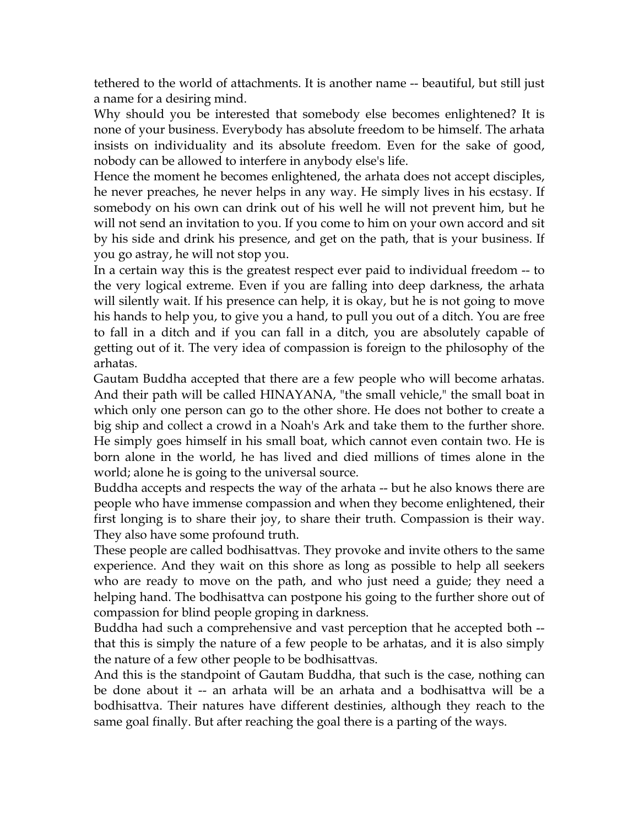tethered to the world of attachments. It is another name -- beautiful, but still just a name for a desiring mind.

Why should you be interested that somebody else becomes enlightened? It is none of your business. Everybody has absolute freedom to be himself. The arhata insists on individuality and its absolute freedom. Even for the sake of good, nobody can be allowed to interfere in anybody else's life.

Hence the moment he becomes enlightened, the arhata does not accept disciples, he never preaches, he never helps in any way. He simply lives in his ecstasy. If somebody on his own can drink out of his well he will not prevent him, but he will not send an invitation to you. If you come to him on your own accord and sit by his side and drink his presence, and get on the path, that is your business. If you go astray, he will not stop you.

In a certain way this is the greatest respect ever paid to individual freedom -- to the very logical extreme. Even if you are falling into deep darkness, the arhata will silently wait. If his presence can help, it is okay, but he is not going to move his hands to help you, to give you a hand, to pull you out of a ditch. You are free to fall in a ditch and if you can fall in a ditch, you are absolutely capable of getting out of it. The very idea of compassion is foreign to the philosophy of the arhatas.

Gautam Buddha accepted that there are a few people who will become arhatas. And their path will be called HINAYANA, "the small vehicle," the small boat in which only one person can go to the other shore. He does not bother to create a big ship and collect a crowd in a Noah's Ark and take them to the further shore. He simply goes himself in his small boat, which cannot even contain two. He is born alone in the world, he has lived and died millions of times alone in the world; alone he is going to the universal source.

Buddha accepts and respects the way of the arhata -- but he also knows there are people who have immense compassion and when they become enlightened, their first longing is to share their joy, to share their truth. Compassion is their way. They also have some profound truth.

These people are called bodhisattvas. They provoke and invite others to the same experience. And they wait on this shore as long as possible to help all seekers who are ready to move on the path, and who just need a guide; they need a helping hand. The bodhisattva can postpone his going to the further shore out of compassion for blind people groping in darkness.

Buddha had such a comprehensive and vast perception that he accepted both - that this is simply the nature of a few people to be arhatas, and it is also simply the nature of a few other people to be bodhisattvas.

And this is the standpoint of Gautam Buddha, that such is the case, nothing can be done about it -- an arhata will be an arhata and a bodhisattva will be a bodhisattva. Their natures have different destinies, although they reach to the same goal finally. But after reaching the goal there is a parting of the ways.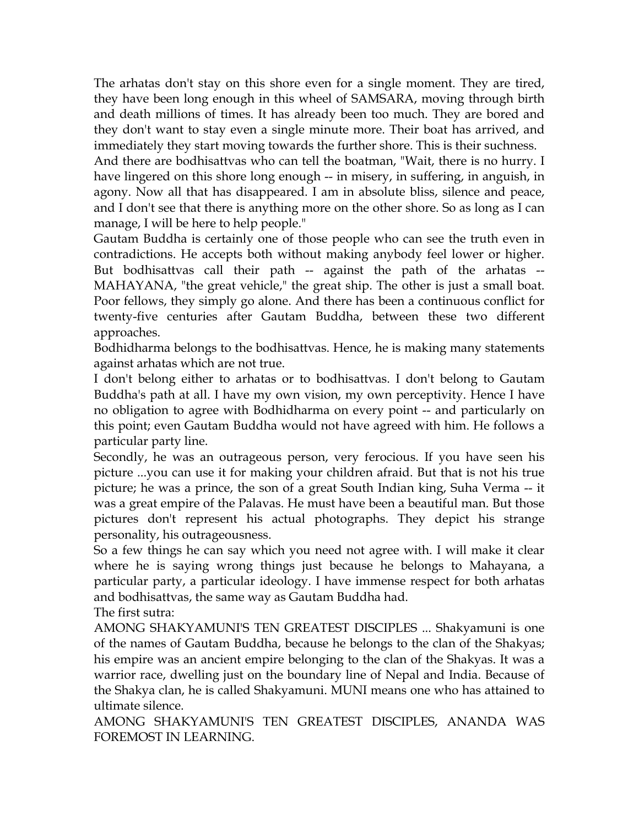The arhatas don't stay on this shore even for a single moment. They are tired, they have been long enough in this wheel of SAMSARA, moving through birth and death millions of times. It has already been too much. They are bored and they don't want to stay even a single minute more. Their boat has arrived, and immediately they start moving towards the further shore. This is their suchness.

And there are bodhisattvas who can tell the boatman, "Wait, there is no hurry. I have lingered on this shore long enough -- in misery, in suffering, in anguish, in agony. Now all that has disappeared. I am in absolute bliss, silence and peace, and I don't see that there is anything more on the other shore. So as long as I can manage, I will be here to help people."

Gautam Buddha is certainly one of those people who can see the truth even in contradictions. He accepts both without making anybody feel lower or higher. But bodhisattvas call their path -- against the path of the arhatas -- MAHAYANA, "the great vehicle," the great ship. The other is just a small boat. Poor fellows, they simply go alone. And there has been a continuous conflict for twenty-five centuries after Gautam Buddha, between these two different approaches.

Bodhidharma belongs to the bodhisattvas. Hence, he is making many statements against arhatas which are not true.

I don't belong either to arhatas or to bodhisattvas. I don't belong to Gautam Buddha's path at all. I have my own vision, my own perceptivity. Hence I have no obligation to agree with Bodhidharma on every point -- and particularly on this point; even Gautam Buddha would not have agreed with him. He follows a particular party line.

Secondly, he was an outrageous person, very ferocious. If you have seen his picture ...you can use it for making your children afraid. But that is not his true picture; he was a prince, the son of a great South Indian king, Suha Verma -- it was a great empire of the Palavas. He must have been a beautiful man. But those pictures don't represent his actual photographs. They depict his strange personality, his outrageousness.

So a few things he can say which you need not agree with. I will make it clear where he is saying wrong things just because he belongs to Mahayana, a particular party, a particular ideology. I have immense respect for both arhatas and bodhisattvas, the same way as Gautam Buddha had.

The first sutra:

AMONG SHAKYAMUNI'S TEN GREATEST DISCIPLES ... Shakyamuni is one of the names of Gautam Buddha, because he belongs to the clan of the Shakyas; his empire was an ancient empire belonging to the clan of the Shakyas. It was a warrior race, dwelling just on the boundary line of Nepal and India. Because of the Shakya clan, he is called Shakyamuni. MUNI means one who has attained to ultimate silence.

AMONG SHAKYAMUNI'S TEN GREATEST DISCIPLES, ANANDA WAS FOREMOST IN LEARNING.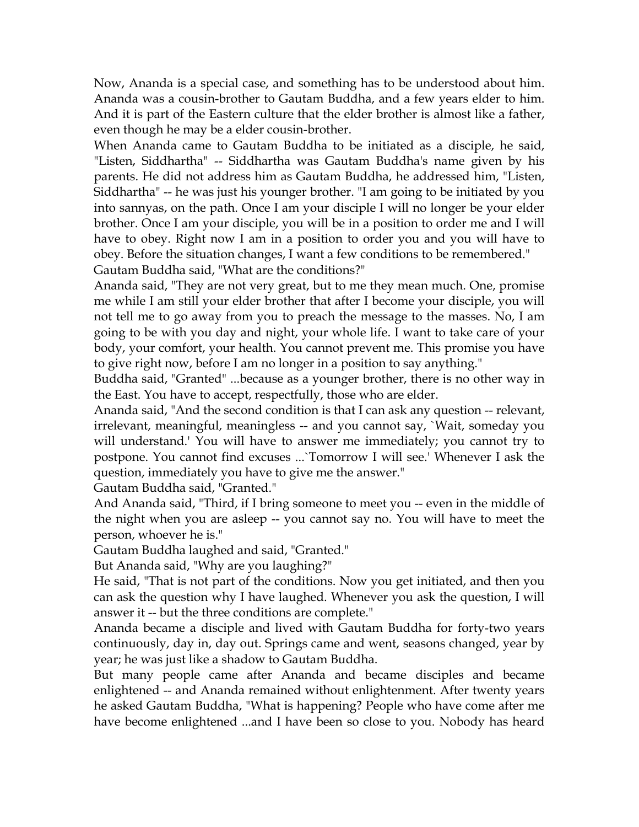Now, Ananda is a special case, and something has to be understood about him. Ananda was a cousin-brother to Gautam Buddha, and a few years elder to him. And it is part of the Eastern culture that the elder brother is almost like a father, even though he may be a elder cousin-brother.

When Ananda came to Gautam Buddha to be initiated as a disciple, he said, "Listen, Siddhartha" -- Siddhartha was Gautam Buddha's name given by his parents. He did not address him as Gautam Buddha, he addressed him, "Listen, Siddhartha" -- he was just his younger brother. "I am going to be initiated by you into sannyas, on the path. Once I am your disciple I will no longer be your elder brother. Once I am your disciple, you will be in a position to order me and I will have to obey. Right now I am in a position to order you and you will have to obey. Before the situation changes, I want a few conditions to be remembered." Gautam Buddha said, "What are the conditions?"

Ananda said, "They are not very great, but to me they mean much. One, promise me while I am still your elder brother that after I become your disciple, you will not tell me to go away from you to preach the message to the masses. No, I am going to be with you day and night, your whole life. I want to take care of your body, your comfort, your health. You cannot prevent me. This promise you have to give right now, before I am no longer in a position to say anything."

Buddha said, "Granted" ...because as a younger brother, there is no other way in the East. You have to accept, respectfully, those who are elder.

Ananda said, "And the second condition is that I can ask any question -- relevant, irrelevant, meaningful, meaningless -- and you cannot say, `Wait, someday you will understand.' You will have to answer me immediately; you cannot try to postpone. You cannot find excuses ...`Tomorrow I will see.' Whenever I ask the question, immediately you have to give me the answer."

Gautam Buddha said, "Granted."

And Ananda said, "Third, if I bring someone to meet you -- even in the middle of the night when you are asleep -- you cannot say no. You will have to meet the person, whoever he is."

Gautam Buddha laughed and said, "Granted."

But Ananda said, "Why are you laughing?"

He said, "That is not part of the conditions. Now you get initiated, and then you can ask the question why I have laughed. Whenever you ask the question, I will answer it -- but the three conditions are complete."

Ananda became a disciple and lived with Gautam Buddha for forty-two years continuously, day in, day out. Springs came and went, seasons changed, year by year; he was just like a shadow to Gautam Buddha.

But many people came after Ananda and became disciples and became enlightened -- and Ananda remained without enlightenment. After twenty years he asked Gautam Buddha, "What is happening? People who have come after me have become enlightened ...and I have been so close to you. Nobody has heard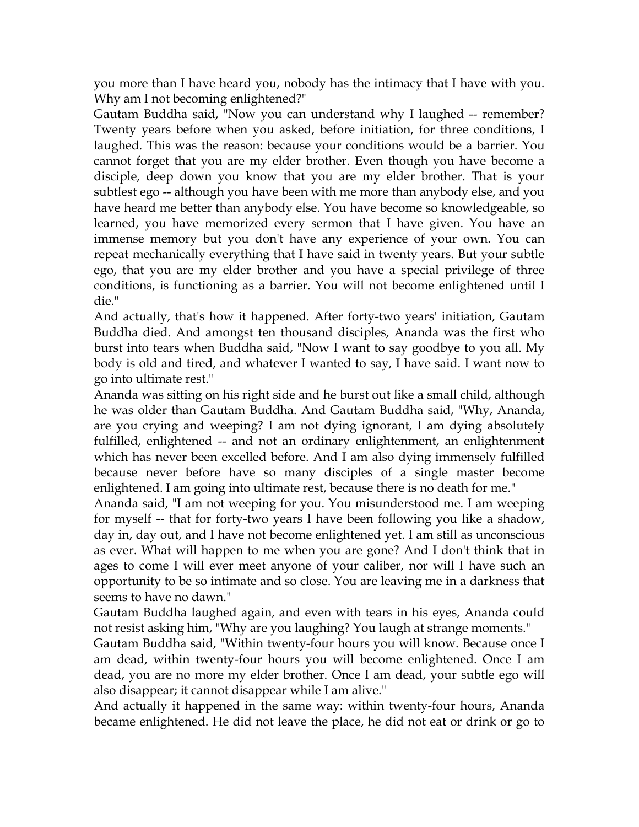you more than I have heard you, nobody has the intimacy that I have with you. Why am I not becoming enlightened?"

Gautam Buddha said, "Now you can understand why I laughed -- remember? Twenty years before when you asked, before initiation, for three conditions, I laughed. This was the reason: because your conditions would be a barrier. You cannot forget that you are my elder brother. Even though you have become a disciple, deep down you know that you are my elder brother. That is your subtlest ego -- although you have been with me more than anybody else, and you have heard me better than anybody else. You have become so knowledgeable, so learned, you have memorized every sermon that I have given. You have an immense memory but you don't have any experience of your own. You can repeat mechanically everything that I have said in twenty years. But your subtle ego, that you are my elder brother and you have a special privilege of three conditions, is functioning as a barrier. You will not become enlightened until I die."

And actually, that's how it happened. After forty-two years' initiation, Gautam Buddha died. And amongst ten thousand disciples, Ananda was the first who burst into tears when Buddha said, "Now I want to say goodbye to you all. My body is old and tired, and whatever I wanted to say, I have said. I want now to go into ultimate rest."

Ananda was sitting on his right side and he burst out like a small child, although he was older than Gautam Buddha. And Gautam Buddha said, "Why, Ananda, are you crying and weeping? I am not dying ignorant, I am dying absolutely fulfilled, enlightened -- and not an ordinary enlightenment, an enlightenment which has never been excelled before. And I am also dying immensely fulfilled because never before have so many disciples of a single master become enlightened. I am going into ultimate rest, because there is no death for me."

Ananda said, "I am not weeping for you. You misunderstood me. I am weeping for myself -- that for forty-two years I have been following you like a shadow, day in, day out, and I have not become enlightened yet. I am still as unconscious as ever. What will happen to me when you are gone? And I don't think that in ages to come I will ever meet anyone of your caliber, nor will I have such an opportunity to be so intimate and so close. You are leaving me in a darkness that seems to have no dawn."

Gautam Buddha laughed again, and even with tears in his eyes, Ananda could not resist asking him, "Why are you laughing? You laugh at strange moments."

Gautam Buddha said, "Within twenty-four hours you will know. Because once I am dead, within twenty-four hours you will become enlightened. Once I am dead, you are no more my elder brother. Once I am dead, your subtle ego will also disappear; it cannot disappear while I am alive."

And actually it happened in the same way: within twenty-four hours, Ananda became enlightened. He did not leave the place, he did not eat or drink or go to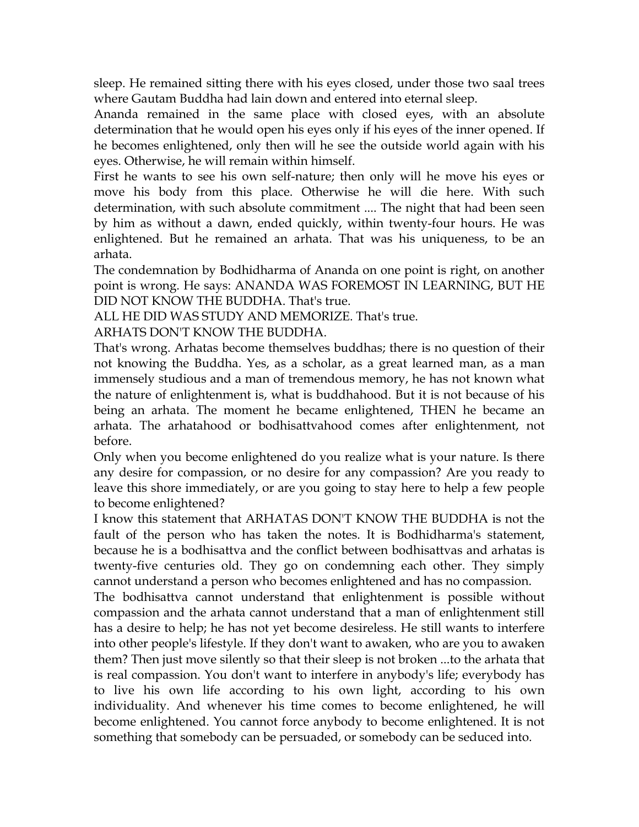sleep. He remained sitting there with his eyes closed, under those two saal trees where Gautam Buddha had lain down and entered into eternal sleep.

Ananda remained in the same place with closed eyes, with an absolute determination that he would open his eyes only if his eyes of the inner opened. If he becomes enlightened, only then will he see the outside world again with his eyes. Otherwise, he will remain within himself.

First he wants to see his own self-nature; then only will he move his eyes or move his body from this place. Otherwise he will die here. With such determination, with such absolute commitment .... The night that had been seen by him as without a dawn, ended quickly, within twenty-four hours. He was enlightened. But he remained an arhata. That was his uniqueness, to be an arhata.

The condemnation by Bodhidharma of Ananda on one point is right, on another point is wrong. He says: ANANDA WAS FOREMOST IN LEARNING, BUT HE DID NOT KNOW THE BUDDHA. That's true.

ALL HE DID WAS STUDY AND MEMORIZE. That's true.

ARHATS DON'T KNOW THE BUDDHA.

That's wrong. Arhatas become themselves buddhas; there is no question of their not knowing the Buddha. Yes, as a scholar, as a great learned man, as a man immensely studious and a man of tremendous memory, he has not known what the nature of enlightenment is, what is buddhahood. But it is not because of his being an arhata. The moment he became enlightened, THEN he became an arhata. The arhatahood or bodhisattvahood comes after enlightenment, not before.

Only when you become enlightened do you realize what is your nature. Is there any desire for compassion, or no desire for any compassion? Are you ready to leave this shore immediately, or are you going to stay here to help a few people to become enlightened?

I know this statement that ARHATAS DON'T KNOW THE BUDDHA is not the fault of the person who has taken the notes. It is Bodhidharma's statement, because he is a bodhisattva and the conflict between bodhisattvas and arhatas is twenty-five centuries old. They go on condemning each other. They simply cannot understand a person who becomes enlightened and has no compassion.

The bodhisattva cannot understand that enlightenment is possible without compassion and the arhata cannot understand that a man of enlightenment still has a desire to help; he has not yet become desireless. He still wants to interfere into other people's lifestyle. If they don't want to awaken, who are you to awaken them? Then just move silently so that their sleep is not broken ...to the arhata that is real compassion. You don't want to interfere in anybody's life; everybody has to live his own life according to his own light, according to his own individuality. And whenever his time comes to become enlightened, he will become enlightened. You cannot force anybody to become enlightened. It is not something that somebody can be persuaded, or somebody can be seduced into.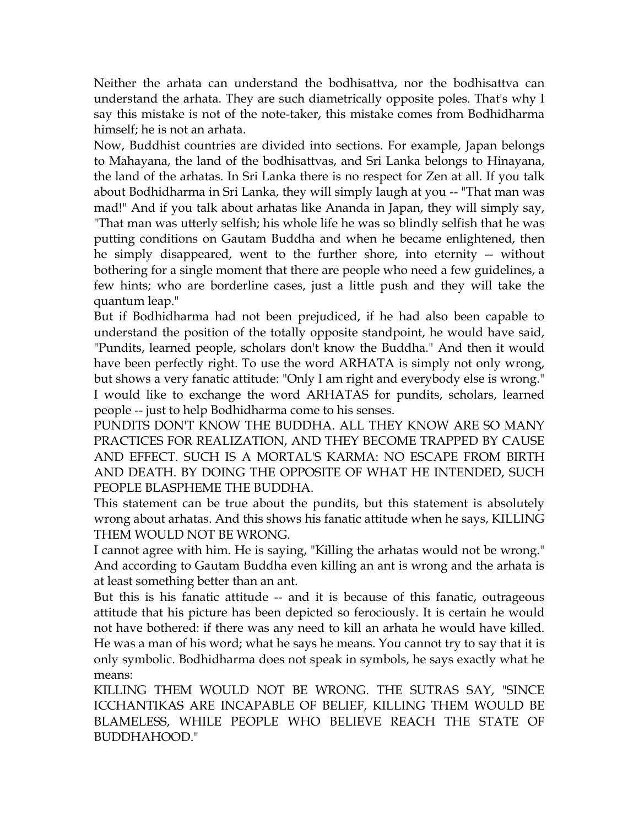Neither the arhata can understand the bodhisattva, nor the bodhisattva can understand the arhata. They are such diametrically opposite poles. That's why I say this mistake is not of the note-taker, this mistake comes from Bodhidharma himself; he is not an arhata.

Now, Buddhist countries are divided into sections. For example, Japan belongs to Mahayana, the land of the bodhisattvas, and Sri Lanka belongs to Hinayana, the land of the arhatas. In Sri Lanka there is no respect for Zen at all. If you talk about Bodhidharma in Sri Lanka, they will simply laugh at you -- "That man was mad!" And if you talk about arhatas like Ananda in Japan, they will simply say, "That man was utterly selfish; his whole life he was so blindly selfish that he was putting conditions on Gautam Buddha and when he became enlightened, then he simply disappeared, went to the further shore, into eternity -- without bothering for a single moment that there are people who need a few guidelines, a few hints; who are borderline cases, just a little push and they will take the quantum leap."

But if Bodhidharma had not been prejudiced, if he had also been capable to understand the position of the totally opposite standpoint, he would have said, "Pundits, learned people, scholars don't know the Buddha." And then it would have been perfectly right. To use the word ARHATA is simply not only wrong, but shows a very fanatic attitude: "Only I am right and everybody else is wrong." I would like to exchange the word ARHATAS for pundits, scholars, learned people -- just to help Bodhidharma come to his senses.

PUNDITS DON'T KNOW THE BUDDHA. ALL THEY KNOW ARE SO MANY PRACTICES FOR REALIZATION, AND THEY BECOME TRAPPED BY CAUSE AND EFFECT. SUCH IS A MORTAL'S KARMA: NO ESCAPE FROM BIRTH AND DEATH. BY DOING THE OPPOSITE OF WHAT HE INTENDED, SUCH PEOPLE BLASPHEME THE BUDDHA.

This statement can be true about the pundits, but this statement is absolutely wrong about arhatas. And this shows his fanatic attitude when he says, KILLING THEM WOULD NOT BE WRONG.

I cannot agree with him. He is saying, "Killing the arhatas would not be wrong." And according to Gautam Buddha even killing an ant is wrong and the arhata is at least something better than an ant.

But this is his fanatic attitude -- and it is because of this fanatic, outrageous attitude that his picture has been depicted so ferociously. It is certain he would not have bothered: if there was any need to kill an arhata he would have killed. He was a man of his word; what he says he means. You cannot try to say that it is only symbolic. Bodhidharma does not speak in symbols, he says exactly what he means:

KILLING THEM WOULD NOT BE WRONG. THE SUTRAS SAY, "SINCE ICCHANTIKAS ARE INCAPABLE OF BELIEF, KILLING THEM WOULD BE BLAMELESS, WHILE PEOPLE WHO BELIEVE REACH THE STATE OF BUDDHAHOOD."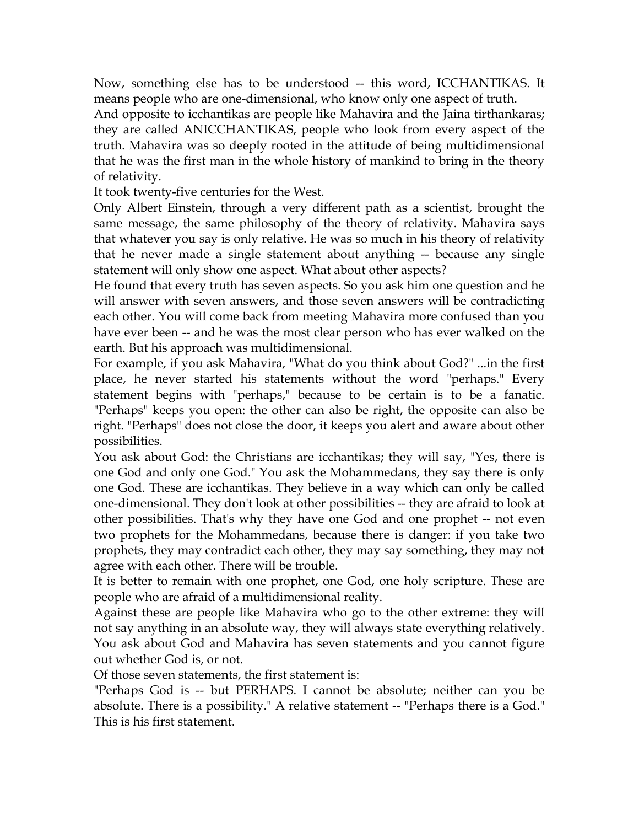Now, something else has to be understood -- this word, ICCHANTIKAS. It means people who are one-dimensional, who know only one aspect of truth.

And opposite to icchantikas are people like Mahavira and the Jaina tirthankaras; they are called ANICCHANTIKAS, people who look from every aspect of the truth. Mahavira was so deeply rooted in the attitude of being multidimensional that he was the first man in the whole history of mankind to bring in the theory of relativity.

It took twenty-five centuries for the West.

Only Albert Einstein, through a very different path as a scientist, brought the same message, the same philosophy of the theory of relativity. Mahavira says that whatever you say is only relative. He was so much in his theory of relativity that he never made a single statement about anything -- because any single statement will only show one aspect. What about other aspects?

He found that every truth has seven aspects. So you ask him one question and he will answer with seven answers, and those seven answers will be contradicting each other. You will come back from meeting Mahavira more confused than you have ever been -- and he was the most clear person who has ever walked on the earth. But his approach was multidimensional.

For example, if you ask Mahavira, "What do you think about God?" ...in the first place, he never started his statements without the word "perhaps." Every statement begins with "perhaps," because to be certain is to be a fanatic. "Perhaps" keeps you open: the other can also be right, the opposite can also be right. "Perhaps" does not close the door, it keeps you alert and aware about other possibilities.

You ask about God: the Christians are icchantikas; they will say, "Yes, there is one God and only one God." You ask the Mohammedans, they say there is only one God. These are icchantikas. They believe in a way which can only be called one-dimensional. They don't look at other possibilities -- they are afraid to look at other possibilities. That's why they have one God and one prophet -- not even two prophets for the Mohammedans, because there is danger: if you take two prophets, they may contradict each other, they may say something, they may not agree with each other. There will be trouble.

It is better to remain with one prophet, one God, one holy scripture. These are people who are afraid of a multidimensional reality.

Against these are people like Mahavira who go to the other extreme: they will not say anything in an absolute way, they will always state everything relatively. You ask about God and Mahavira has seven statements and you cannot figure out whether God is, or not.

Of those seven statements, the first statement is:

"Perhaps God is -- but PERHAPS. I cannot be absolute; neither can you be absolute. There is a possibility." A relative statement -- "Perhaps there is a God." This is his first statement.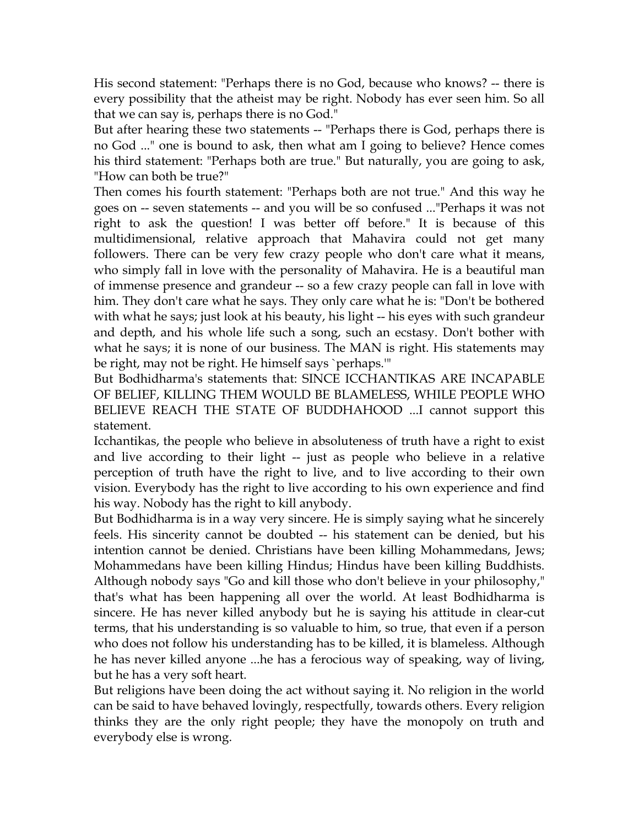His second statement: "Perhaps there is no God, because who knows? -- there is every possibility that the atheist may be right. Nobody has ever seen him. So all that we can say is, perhaps there is no God."

But after hearing these two statements -- "Perhaps there is God, perhaps there is no God ..." one is bound to ask, then what am I going to believe? Hence comes his third statement: "Perhaps both are true." But naturally, you are going to ask, "How can both be true?"

Then comes his fourth statement: "Perhaps both are not true." And this way he goes on -- seven statements -- and you will be so confused ..."Perhaps it was not right to ask the question! I was better off before." It is because of this multidimensional, relative approach that Mahavira could not get many followers. There can be very few crazy people who don't care what it means, who simply fall in love with the personality of Mahavira. He is a beautiful man of immense presence and grandeur -- so a few crazy people can fall in love with him. They don't care what he says. They only care what he is: "Don't be bothered with what he says; just look at his beauty, his light -- his eyes with such grandeur and depth, and his whole life such a song, such an ecstasy. Don't bother with what he says; it is none of our business. The MAN is right. His statements may be right, may not be right. He himself says `perhaps.'"

But Bodhidharma's statements that: SINCE ICCHANTIKAS ARE INCAPABLE OF BELIEF, KILLING THEM WOULD BE BLAMELESS, WHILE PEOPLE WHO BELIEVE REACH THE STATE OF BUDDHAHOOD ...I cannot support this statement.

Icchantikas, the people who believe in absoluteness of truth have a right to exist and live according to their light -- just as people who believe in a relative perception of truth have the right to live, and to live according to their own vision. Everybody has the right to live according to his own experience and find his way. Nobody has the right to kill anybody.

But Bodhidharma is in a way very sincere. He is simply saying what he sincerely feels. His sincerity cannot be doubted -- his statement can be denied, but his intention cannot be denied. Christians have been killing Mohammedans, Jews; Mohammedans have been killing Hindus; Hindus have been killing Buddhists. Although nobody says "Go and kill those who don't believe in your philosophy," that's what has been happening all over the world. At least Bodhidharma is sincere. He has never killed anybody but he is saying his attitude in clear-cut terms, that his understanding is so valuable to him, so true, that even if a person who does not follow his understanding has to be killed, it is blameless. Although he has never killed anyone ...he has a ferocious way of speaking, way of living, but he has a very soft heart.

But religions have been doing the act without saying it. No religion in the world can be said to have behaved lovingly, respectfully, towards others. Every religion thinks they are the only right people; they have the monopoly on truth and everybody else is wrong.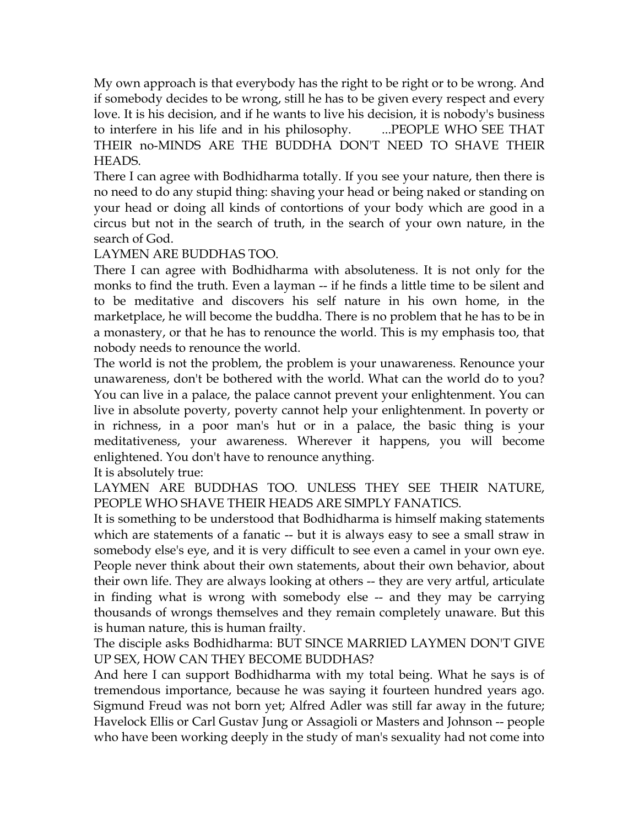My own approach is that everybody has the right to be right or to be wrong. And if somebody decides to be wrong, still he has to be given every respect and every love. It is his decision, and if he wants to live his decision, it is nobody's business to interfere in his life and in his philosophy. ... ... PEOPLE WHO SEE THAT THEIR no-MINDS ARE THE BUDDHA DON'T NEED TO SHAVE THEIR HEADS.

There I can agree with Bodhidharma totally. If you see your nature, then there is no need to do any stupid thing: shaving your head or being naked or standing on your head or doing all kinds of contortions of your body which are good in a circus but not in the search of truth, in the search of your own nature, in the search of God.

### LAYMEN ARE BUDDHAS TOO.

There I can agree with Bodhidharma with absoluteness. It is not only for the monks to find the truth. Even a layman -- if he finds a little time to be silent and to be meditative and discovers his self nature in his own home, in the marketplace, he will become the buddha. There is no problem that he has to be in a monastery, or that he has to renounce the world. This is my emphasis too, that nobody needs to renounce the world.

The world is not the problem, the problem is your unawareness. Renounce your unawareness, don't be bothered with the world. What can the world do to you? You can live in a palace, the palace cannot prevent your enlightenment. You can live in absolute poverty, poverty cannot help your enlightenment. In poverty or in richness, in a poor man's hut or in a palace, the basic thing is your meditativeness, your awareness. Wherever it happens, you will become enlightened. You don't have to renounce anything.

It is absolutely true:

LAYMEN ARE BUDDHAS TOO. UNLESS THEY SEE THEIR NATURE, PEOPLE WHO SHAVE THEIR HEADS ARE SIMPLY FANATICS.

It is something to be understood that Bodhidharma is himself making statements which are statements of a fanatic -- but it is always easy to see a small straw in somebody else's eye, and it is very difficult to see even a camel in your own eye. People never think about their own statements, about their own behavior, about their own life. They are always looking at others -- they are very artful, articulate in finding what is wrong with somebody else -- and they may be carrying thousands of wrongs themselves and they remain completely unaware. But this is human nature, this is human frailty.

The disciple asks Bodhidharma: BUT SINCE MARRIED LAYMEN DON'T GIVE UP SEX, HOW CAN THEY BECOME BUDDHAS?

And here I can support Bodhidharma with my total being. What he says is of tremendous importance, because he was saying it fourteen hundred years ago. Sigmund Freud was not born yet; Alfred Adler was still far away in the future; Havelock Ellis or Carl Gustav Jung or Assagioli or Masters and Johnson -- people who have been working deeply in the study of man's sexuality had not come into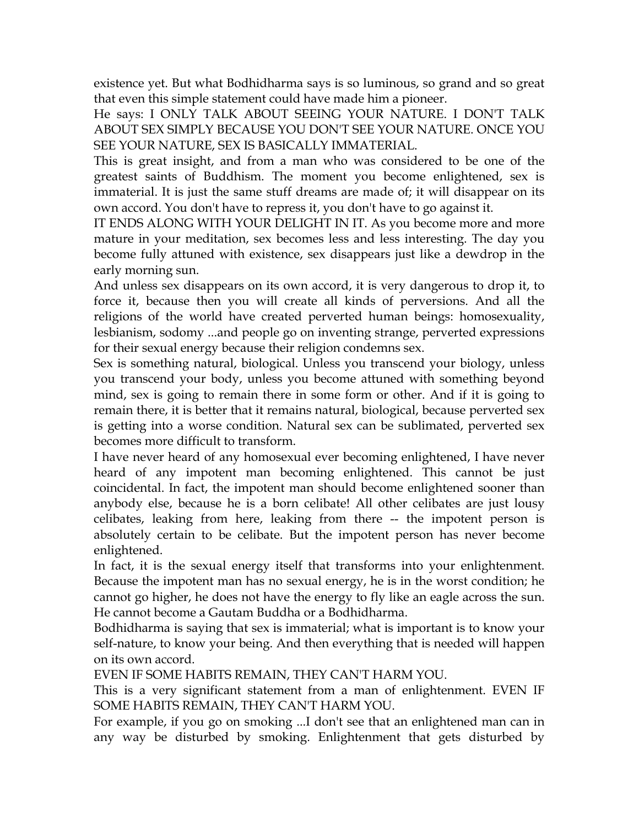existence yet. But what Bodhidharma says is so luminous, so grand and so great that even this simple statement could have made him a pioneer.

He says: I ONLY TALK ABOUT SEEING YOUR NATURE. I DON'T TALK ABOUT SEX SIMPLY BECAUSE YOU DON'T SEE YOUR NATURE. ONCE YOU SEE YOUR NATURE, SEX IS BASICALLY IMMATERIAL.

This is great insight, and from a man who was considered to be one of the greatest saints of Buddhism. The moment you become enlightened, sex is immaterial. It is just the same stuff dreams are made of; it will disappear on its own accord. You don't have to repress it, you don't have to go against it.

IT ENDS ALONG WITH YOUR DELIGHT IN IT. As you become more and more mature in your meditation, sex becomes less and less interesting. The day you become fully attuned with existence, sex disappears just like a dewdrop in the early morning sun.

And unless sex disappears on its own accord, it is very dangerous to drop it, to force it, because then you will create all kinds of perversions. And all the religions of the world have created perverted human beings: homosexuality, lesbianism, sodomy ...and people go on inventing strange, perverted expressions for their sexual energy because their religion condemns sex.

Sex is something natural, biological. Unless you transcend your biology, unless you transcend your body, unless you become attuned with something beyond mind, sex is going to remain there in some form or other. And if it is going to remain there, it is better that it remains natural, biological, because perverted sex is getting into a worse condition. Natural sex can be sublimated, perverted sex becomes more difficult to transform.

I have never heard of any homosexual ever becoming enlightened, I have never heard of any impotent man becoming enlightened. This cannot be just coincidental. In fact, the impotent man should become enlightened sooner than anybody else, because he is a born celibate! All other celibates are just lousy celibates, leaking from here, leaking from there -- the impotent person is absolutely certain to be celibate. But the impotent person has never become enlightened.

In fact, it is the sexual energy itself that transforms into your enlightenment. Because the impotent man has no sexual energy, he is in the worst condition; he cannot go higher, he does not have the energy to fly like an eagle across the sun. He cannot become a Gautam Buddha or a Bodhidharma.

Bodhidharma is saying that sex is immaterial; what is important is to know your self-nature, to know your being. And then everything that is needed will happen on its own accord.

EVEN IF SOME HABITS REMAIN, THEY CAN'T HARM YOU.

This is a very significant statement from a man of enlightenment. EVEN IF SOME HABITS REMAIN, THEY CAN'T HARM YOU.

For example, if you go on smoking ...I don't see that an enlightened man can in any way be disturbed by smoking. Enlightenment that gets disturbed by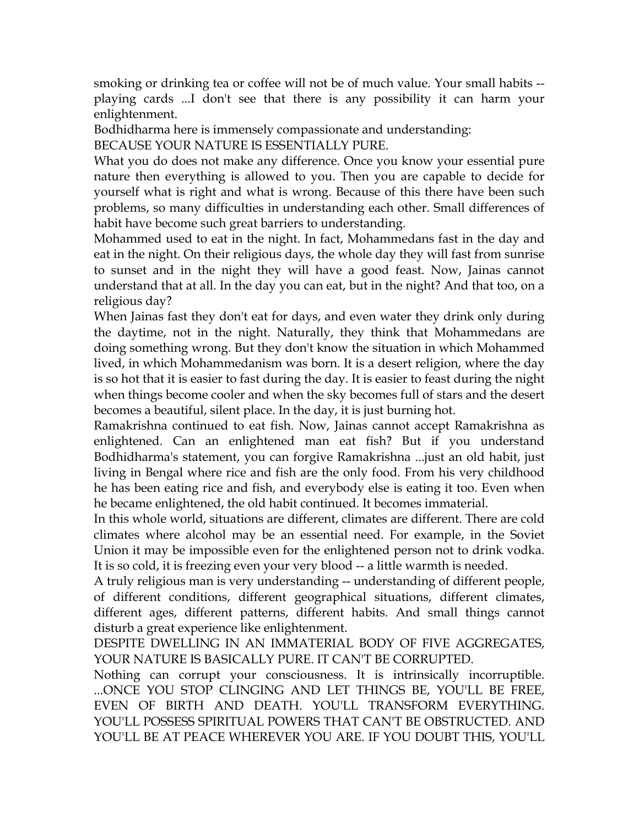smoking or drinking tea or coffee will not be of much value. Your small habits - playing cards ...I don't see that there is any possibility it can harm your enlightenment.

Bodhidharma here is immensely compassionate and understanding:

BECAUSE YOUR NATURE IS ESSENTIALLY PURE.

What you do does not make any difference. Once you know your essential pure nature then everything is allowed to you. Then you are capable to decide for yourself what is right and what is wrong. Because of this there have been such problems, so many difficulties in understanding each other. Small differences of habit have become such great barriers to understanding.

Mohammed used to eat in the night. In fact, Mohammedans fast in the day and eat in the night. On their religious days, the whole day they will fast from sunrise to sunset and in the night they will have a good feast. Now, Jainas cannot understand that at all. In the day you can eat, but in the night? And that too, on a religious day?

When Jainas fast they don't eat for days, and even water they drink only during the daytime, not in the night. Naturally, they think that Mohammedans are doing something wrong. But they don't know the situation in which Mohammed lived, in which Mohammedanism was born. It is a desert religion, where the day is so hot that it is easier to fast during the day. It is easier to feast during the night when things become cooler and when the sky becomes full of stars and the desert becomes a beautiful, silent place. In the day, it is just burning hot.

Ramakrishna continued to eat fish. Now, Jainas cannot accept Ramakrishna as enlightened. Can an enlightened man eat fish? But if you understand Bodhidharma's statement, you can forgive Ramakrishna ...just an old habit, just living in Bengal where rice and fish are the only food. From his very childhood he has been eating rice and fish, and everybody else is eating it too. Even when he became enlightened, the old habit continued. It becomes immaterial.

In this whole world, situations are different, climates are different. There are cold climates where alcohol may be an essential need. For example, in the Soviet Union it may be impossible even for the enlightened person not to drink vodka. It is so cold, it is freezing even your very blood -- a little warmth is needed.

A truly religious man is very understanding -- understanding of different people, of different conditions, different geographical situations, different climates, different ages, different patterns, different habits. And small things cannot disturb a great experience like enlightenment.

DESPITE DWELLING IN AN IMMATERIAL BODY OF FIVE AGGREGATES, YOUR NATURE IS BASICALLY PURE. IT CAN'T BE CORRUPTED.

Nothing can corrupt your consciousness. It is intrinsically incorruptible. ...ONCE YOU STOP CLINGING AND LET THINGS BE, YOU'LL BE FREE, EVEN OF BIRTH AND DEATH. YOU'LL TRANSFORM EVERYTHING. YOU'LL POSSESS SPIRITUAL POWERS THAT CAN'T BE OBSTRUCTED. AND YOU'LL BE AT PEACE WHEREVER YOU ARE. IF YOU DOUBT THIS, YOU'LL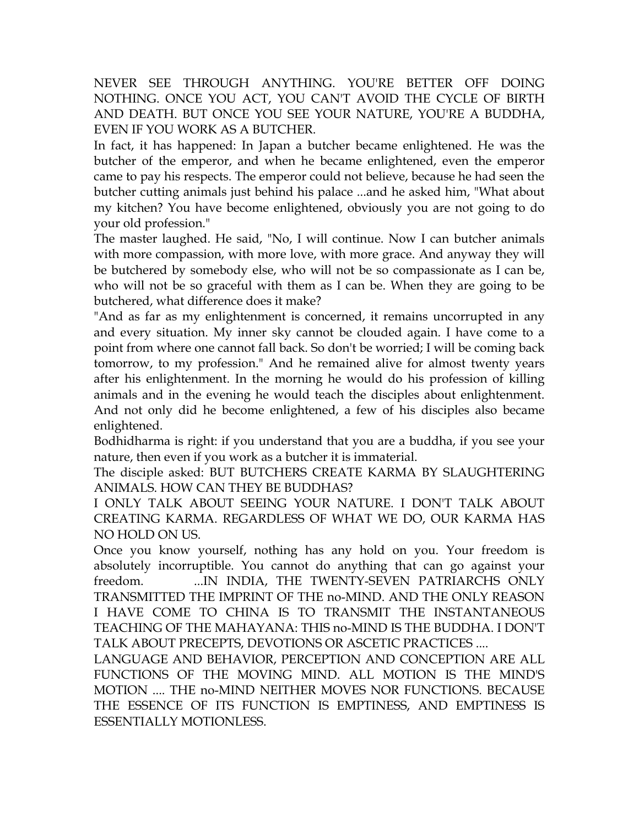NEVER SEE THROUGH ANYTHING. YOU'RE BETTER OFF DOING NOTHING. ONCE YOU ACT, YOU CAN'T AVOID THE CYCLE OF BIRTH AND DEATH. BUT ONCE YOU SEE YOUR NATURE, YOU'RE A BUDDHA, EVEN IF YOU WORK AS A BUTCHER.

In fact, it has happened: In Japan a butcher became enlightened. He was the butcher of the emperor, and when he became enlightened, even the emperor came to pay his respects. The emperor could not believe, because he had seen the butcher cutting animals just behind his palace ...and he asked him, "What about my kitchen? You have become enlightened, obviously you are not going to do your old profession."

The master laughed. He said, "No, I will continue. Now I can butcher animals with more compassion, with more love, with more grace. And anyway they will be butchered by somebody else, who will not be so compassionate as I can be, who will not be so graceful with them as I can be. When they are going to be butchered, what difference does it make?

"And as far as my enlightenment is concerned, it remains uncorrupted in any and every situation. My inner sky cannot be clouded again. I have come to a point from where one cannot fall back. So don't be worried; I will be coming back tomorrow, to my profession." And he remained alive for almost twenty years after his enlightenment. In the morning he would do his profession of killing animals and in the evening he would teach the disciples about enlightenment. And not only did he become enlightened, a few of his disciples also became enlightened.

Bodhidharma is right: if you understand that you are a buddha, if you see your nature, then even if you work as a butcher it is immaterial.

The disciple asked: BUT BUTCHERS CREATE KARMA BY SLAUGHTERING ANIMALS. HOW CAN THEY BE BUDDHAS?

I ONLY TALK ABOUT SEEING YOUR NATURE. I DON'T TALK ABOUT CREATING KARMA. REGARDLESS OF WHAT WE DO, OUR KARMA HAS NO HOLD ON US.

Once you know yourself, nothing has any hold on you. Your freedom is absolutely incorruptible. You cannot do anything that can go against your freedom. ...IN INDIA, THE TWENTY-SEVEN PATRIARCHS ONLY TRANSMITTED THE IMPRINT OF THE no-MIND. AND THE ONLY REASON I HAVE COME TO CHINA IS TO TRANSMIT THE INSTANTANEOUS TEACHING OF THE MAHAYANA: THIS no-MIND IS THE BUDDHA. I DON'T TALK ABOUT PRECEPTS, DEVOTIONS OR ASCETIC PRACTICES ....

LANGUAGE AND BEHAVIOR, PERCEPTION AND CONCEPTION ARE ALL FUNCTIONS OF THE MOVING MIND. ALL MOTION IS THE MIND'S MOTION .... THE no-MIND NEITHER MOVES NOR FUNCTIONS. BECAUSE THE ESSENCE OF ITS FUNCTION IS EMPTINESS, AND EMPTINESS IS ESSENTIALLY MOTIONLESS.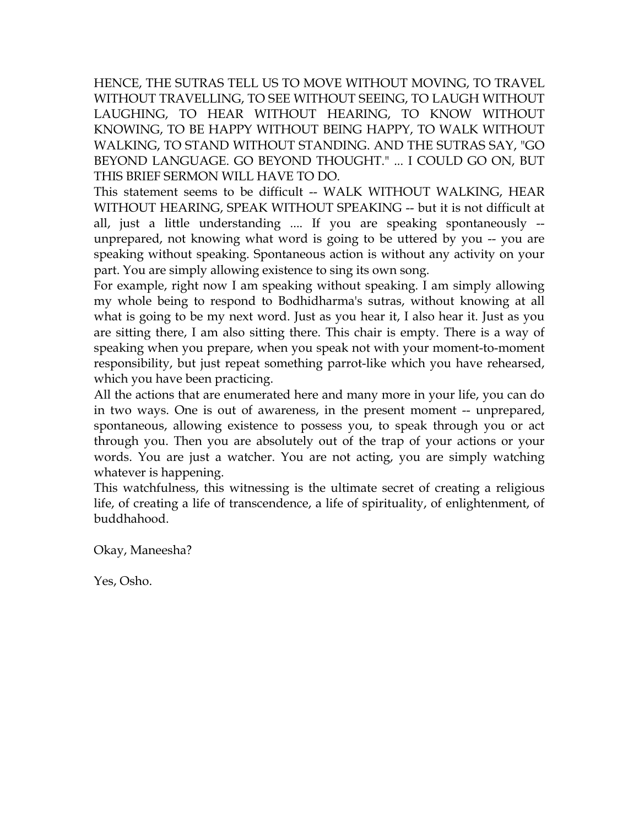HENCE, THE SUTRAS TELL US TO MOVE WITHOUT MOVING, TO TRAVEL WITHOUT TRAVELLING, TO SEE WITHOUT SEEING, TO LAUGH WITHOUT LAUGHING, TO HEAR WITHOUT HEARING, TO KNOW WITHOUT KNOWING, TO BE HAPPY WITHOUT BEING HAPPY, TO WALK WITHOUT WALKING, TO STAND WITHOUT STANDING. AND THE SUTRAS SAY, "GO BEYOND LANGUAGE. GO BEYOND THOUGHT." ... I COULD GO ON, BUT THIS BRIEF SERMON WILL HAVE TO DO.

This statement seems to be difficult -- WALK WITHOUT WALKING, HEAR WITHOUT HEARING, SPEAK WITHOUT SPEAKING -- but it is not difficult at all, just a little understanding .... If you are speaking spontaneously - unprepared, not knowing what word is going to be uttered by you -- you are speaking without speaking. Spontaneous action is without any activity on your part. You are simply allowing existence to sing its own song.

For example, right now I am speaking without speaking. I am simply allowing my whole being to respond to Bodhidharma's sutras, without knowing at all what is going to be my next word. Just as you hear it, I also hear it. Just as you are sitting there, I am also sitting there. This chair is empty. There is a way of speaking when you prepare, when you speak not with your moment-to-moment responsibility, but just repeat something parrot-like which you have rehearsed, which you have been practicing.

All the actions that are enumerated here and many more in your life, you can do in two ways. One is out of awareness, in the present moment -- unprepared, spontaneous, allowing existence to possess you, to speak through you or act through you. Then you are absolutely out of the trap of your actions or your words. You are just a watcher. You are not acting, you are simply watching whatever is happening.

This watchfulness, this witnessing is the ultimate secret of creating a religious life, of creating a life of transcendence, a life of spirituality, of enlightenment, of buddhahood.

Okay, Maneesha?

Yes, Osho.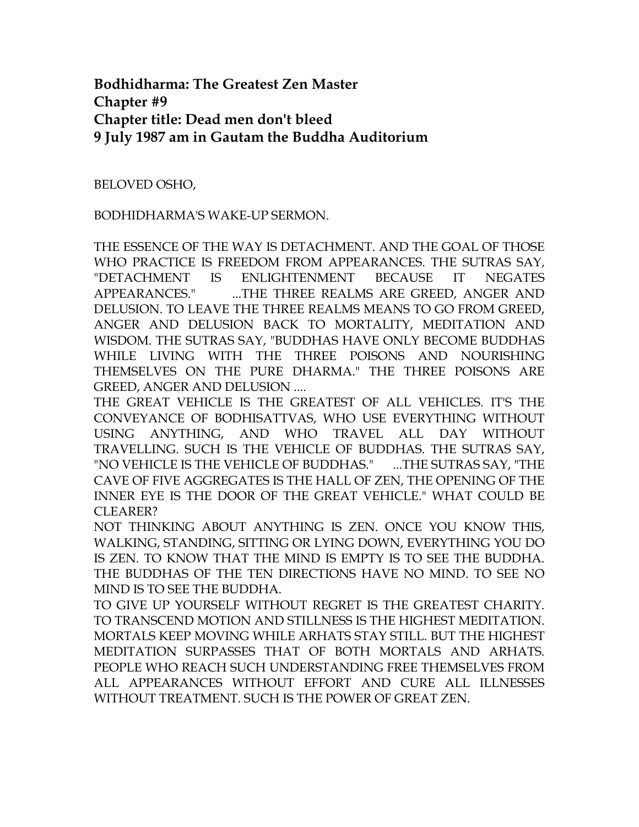### **Bodhidharma: The Greatest Zen Master Chapter #9 Chapter title: Dead men don't bleed 9 July 1987 am in Gautam the Buddha Auditorium**

#### BELOVED OSHO,

### BODHIDHARMA'S WAKE-UP SERMON.

THE ESSENCE OF THE WAY IS DETACHMENT. AND THE GOAL OF THOSE WHO PRACTICE IS FREEDOM FROM APPEARANCES. THE SUTRAS SAY, "DETACHMENT IS ENLIGHTENMENT BECAUSE IT NEGATES APPEARANCES." ...THE THREE REALMS ARE GREED, ANGER AND DELUSION. TO LEAVE THE THREE REALMS MEANS TO GO FROM GREED, ANGER AND DELUSION BACK TO MORTALITY, MEDITATION AND WISDOM. THE SUTRAS SAY, "BUDDHAS HAVE ONLY BECOME BUDDHAS WHILE LIVING WITH THE THREE POISONS AND NOURISHING THEMSELVES ON THE PURE DHARMA." THE THREE POISONS ARE GREED, ANGER AND DELUSION ....

THE GREAT VEHICLE IS THE GREATEST OF ALL VEHICLES. IT'S THE CONVEYANCE OF BODHISATTVAS, WHO USE EVERYTHING WITHOUT USING ANYTHING, AND WHO TRAVEL ALL DAY WITHOUT TRAVELLING. SUCH IS THE VEHICLE OF BUDDHAS. THE SUTRAS SAY, "NO VEHICLE IS THE VEHICLE OF BUDDHAS." ...THE SUTRAS SAY, "THE CAVE OF FIVE AGGREGATES IS THE HALL OF ZEN, THE OPENING OF THE INNER EYE IS THE DOOR OF THE GREAT VEHICLE." WHAT COULD BE CLEARER?

NOT THINKING ABOUT ANYTHING IS ZEN. ONCE YOU KNOW THIS, WALKING, STANDING, SITTING OR LYING DOWN, EVERYTHING YOU DO IS ZEN. TO KNOW THAT THE MIND IS EMPTY IS TO SEE THE BUDDHA. THE BUDDHAS OF THE TEN DIRECTIONS HAVE NO MIND. TO SEE NO MIND IS TO SEE THE BUDDHA.

TO GIVE UP YOURSELF WITHOUT REGRET IS THE GREATEST CHARITY. TO TRANSCEND MOTION AND STILLNESS IS THE HIGHEST MEDITATION. MORTALS KEEP MOVING WHILE ARHATS STAY STILL. BUT THE HIGHEST MEDITATION SURPASSES THAT OF BOTH MORTALS AND ARHATS. PEOPLE WHO REACH SUCH UNDERSTANDING FREE THEMSELVES FROM ALL APPEARANCES WITHOUT EFFORT AND CURE ALL ILLNESSES WITHOUT TREATMENT. SUCH IS THE POWER OF GREAT ZEN.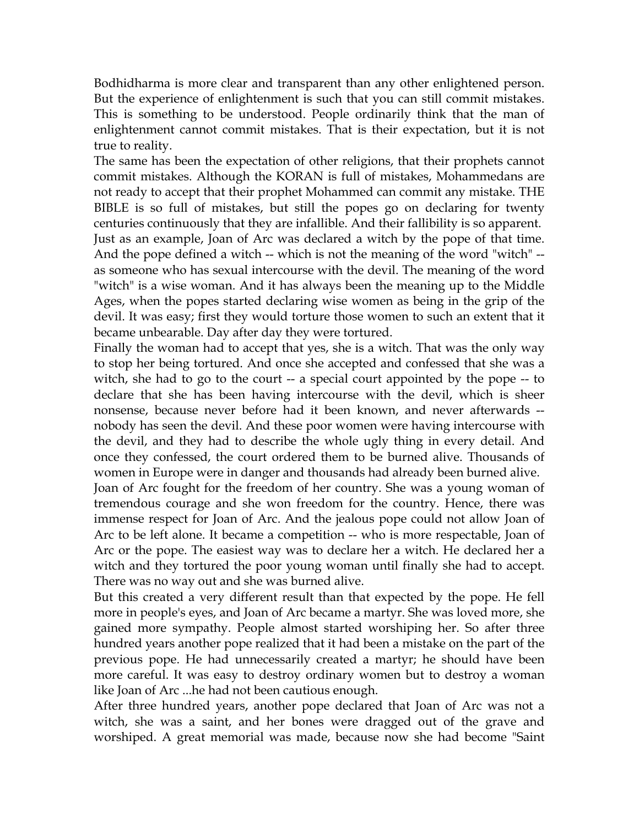Bodhidharma is more clear and transparent than any other enlightened person. But the experience of enlightenment is such that you can still commit mistakes. This is something to be understood. People ordinarily think that the man of enlightenment cannot commit mistakes. That is their expectation, but it is not true to reality.

The same has been the expectation of other religions, that their prophets cannot commit mistakes. Although the KORAN is full of mistakes, Mohammedans are not ready to accept that their prophet Mohammed can commit any mistake. THE BIBLE is so full of mistakes, but still the popes go on declaring for twenty centuries continuously that they are infallible. And their fallibility is so apparent. Just as an example, Joan of Arc was declared a witch by the pope of that time. And the pope defined a witch -- which is not the meaning of the word "witch" -as someone who has sexual intercourse with the devil. The meaning of the word "witch" is a wise woman. And it has always been the meaning up to the Middle Ages, when the popes started declaring wise women as being in the grip of the devil. It was easy; first they would torture those women to such an extent that it became unbearable. Day after day they were tortured.

Finally the woman had to accept that yes, she is a witch. That was the only way to stop her being tortured. And once she accepted and confessed that she was a witch, she had to go to the court -- a special court appointed by the pope -- to declare that she has been having intercourse with the devil, which is sheer nonsense, because never before had it been known, and never afterwards - nobody has seen the devil. And these poor women were having intercourse with the devil, and they had to describe the whole ugly thing in every detail. And once they confessed, the court ordered them to be burned alive. Thousands of women in Europe were in danger and thousands had already been burned alive.

Joan of Arc fought for the freedom of her country. She was a young woman of tremendous courage and she won freedom for the country. Hence, there was immense respect for Joan of Arc. And the jealous pope could not allow Joan of Arc to be left alone. It became a competition -- who is more respectable, Joan of Arc or the pope. The easiest way was to declare her a witch. He declared her a witch and they tortured the poor young woman until finally she had to accept. There was no way out and she was burned alive.

But this created a very different result than that expected by the pope. He fell more in people's eyes, and Joan of Arc became a martyr. She was loved more, she gained more sympathy. People almost started worshiping her. So after three hundred years another pope realized that it had been a mistake on the part of the previous pope. He had unnecessarily created a martyr; he should have been more careful. It was easy to destroy ordinary women but to destroy a woman like Joan of Arc ...he had not been cautious enough.

After three hundred years, another pope declared that Joan of Arc was not a witch, she was a saint, and her bones were dragged out of the grave and worshiped. A great memorial was made, because now she had become "Saint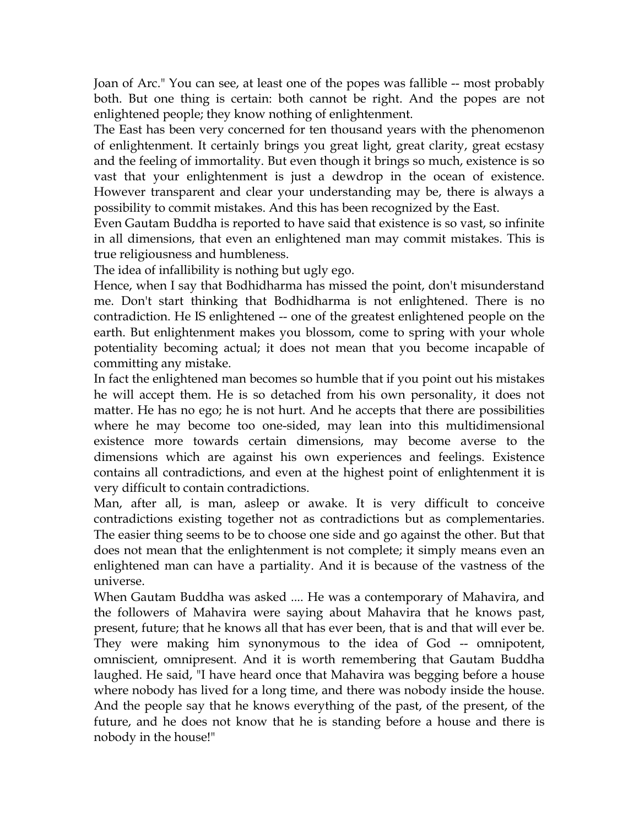Joan of Arc." You can see, at least one of the popes was fallible -- most probably both. But one thing is certain: both cannot be right. And the popes are not enlightened people; they know nothing of enlightenment.

The East has been very concerned for ten thousand years with the phenomenon of enlightenment. It certainly brings you great light, great clarity, great ecstasy and the feeling of immortality. But even though it brings so much, existence is so vast that your enlightenment is just a dewdrop in the ocean of existence. However transparent and clear your understanding may be, there is always a possibility to commit mistakes. And this has been recognized by the East.

Even Gautam Buddha is reported to have said that existence is so vast, so infinite in all dimensions, that even an enlightened man may commit mistakes. This is true religiousness and humbleness.

The idea of infallibility is nothing but ugly ego.

Hence, when I say that Bodhidharma has missed the point, don't misunderstand me. Don't start thinking that Bodhidharma is not enlightened. There is no contradiction. He IS enlightened -- one of the greatest enlightened people on the earth. But enlightenment makes you blossom, come to spring with your whole potentiality becoming actual; it does not mean that you become incapable of committing any mistake.

In fact the enlightened man becomes so humble that if you point out his mistakes he will accept them. He is so detached from his own personality, it does not matter. He has no ego; he is not hurt. And he accepts that there are possibilities where he may become too one-sided, may lean into this multidimensional existence more towards certain dimensions, may become averse to the dimensions which are against his own experiences and feelings. Existence contains all contradictions, and even at the highest point of enlightenment it is very difficult to contain contradictions.

Man, after all, is man, asleep or awake. It is very difficult to conceive contradictions existing together not as contradictions but as complementaries. The easier thing seems to be to choose one side and go against the other. But that does not mean that the enlightenment is not complete; it simply means even an enlightened man can have a partiality. And it is because of the vastness of the universe.

When Gautam Buddha was asked .... He was a contemporary of Mahavira, and the followers of Mahavira were saying about Mahavira that he knows past, present, future; that he knows all that has ever been, that is and that will ever be. They were making him synonymous to the idea of God -- omnipotent, omniscient, omnipresent. And it is worth remembering that Gautam Buddha laughed. He said, "I have heard once that Mahavira was begging before a house where nobody has lived for a long time, and there was nobody inside the house. And the people say that he knows everything of the past, of the present, of the future, and he does not know that he is standing before a house and there is nobody in the house!"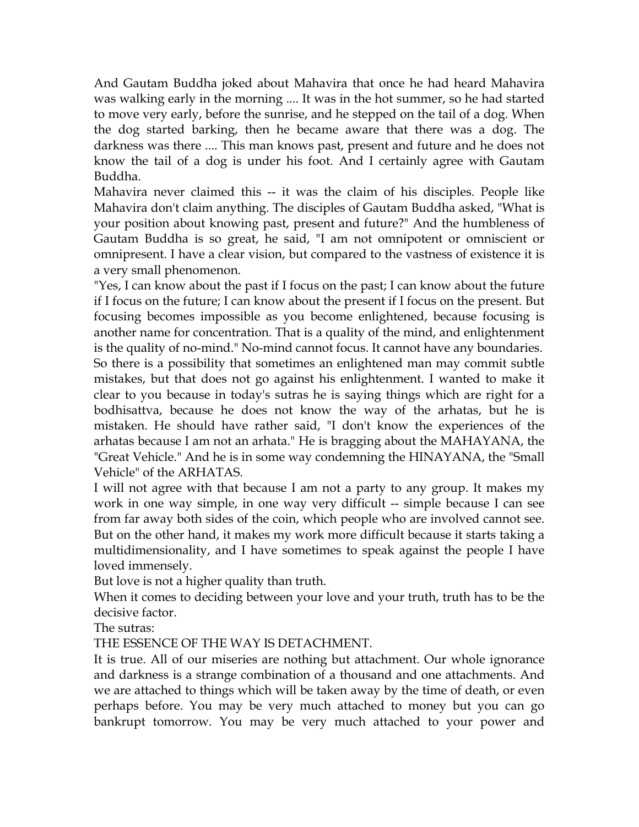And Gautam Buddha joked about Mahavira that once he had heard Mahavira was walking early in the morning .... It was in the hot summer, so he had started to move very early, before the sunrise, and he stepped on the tail of a dog. When the dog started barking, then he became aware that there was a dog. The darkness was there .... This man knows past, present and future and he does not know the tail of a dog is under his foot. And I certainly agree with Gautam Buddha.

Mahavira never claimed this -- it was the claim of his disciples. People like Mahavira don't claim anything. The disciples of Gautam Buddha asked, "What is your position about knowing past, present and future?" And the humbleness of Gautam Buddha is so great, he said, "I am not omnipotent or omniscient or omnipresent. I have a clear vision, but compared to the vastness of existence it is a very small phenomenon.

"Yes, I can know about the past if I focus on the past; I can know about the future if I focus on the future; I can know about the present if I focus on the present. But focusing becomes impossible as you become enlightened, because focusing is another name for concentration. That is a quality of the mind, and enlightenment is the quality of no-mind." No-mind cannot focus. It cannot have any boundaries. So there is a possibility that sometimes an enlightened man may commit subtle mistakes, but that does not go against his enlightenment. I wanted to make it clear to you because in today's sutras he is saying things which are right for a bodhisattva, because he does not know the way of the arhatas, but he is mistaken. He should have rather said, "I don't know the experiences of the arhatas because I am not an arhata." He is bragging about the MAHAYANA, the "Great Vehicle." And he is in some way condemning the HINAYANA, the "Small Vehicle" of the ARHATAS.

I will not agree with that because I am not a party to any group. It makes my work in one way simple, in one way very difficult -- simple because I can see from far away both sides of the coin, which people who are involved cannot see. But on the other hand, it makes my work more difficult because it starts taking a multidimensionality, and I have sometimes to speak against the people I have loved immensely.

But love is not a higher quality than truth.

When it comes to deciding between your love and your truth, truth has to be the decisive factor.

The sutras:

THE ESSENCE OF THE WAY IS DETACHMENT.

It is true. All of our miseries are nothing but attachment. Our whole ignorance and darkness is a strange combination of a thousand and one attachments. And we are attached to things which will be taken away by the time of death, or even perhaps before. You may be very much attached to money but you can go bankrupt tomorrow. You may be very much attached to your power and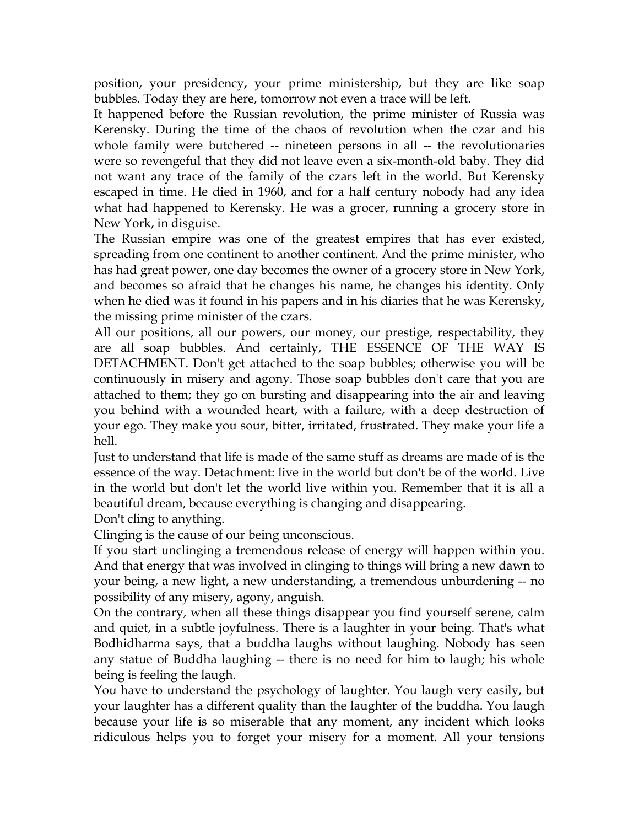position, your presidency, your prime ministership, but they are like soap bubbles. Today they are here, tomorrow not even a trace will be left.

It happened before the Russian revolution, the prime minister of Russia was Kerensky. During the time of the chaos of revolution when the czar and his whole family were butchered -- nineteen persons in all -- the revolutionaries were so revengeful that they did not leave even a six-month-old baby. They did not want any trace of the family of the czars left in the world. But Kerensky escaped in time. He died in 1960, and for a half century nobody had any idea what had happened to Kerensky. He was a grocer, running a grocery store in New York, in disguise.

The Russian empire was one of the greatest empires that has ever existed, spreading from one continent to another continent. And the prime minister, who has had great power, one day becomes the owner of a grocery store in New York, and becomes so afraid that he changes his name, he changes his identity. Only when he died was it found in his papers and in his diaries that he was Kerensky, the missing prime minister of the czars.

All our positions, all our powers, our money, our prestige, respectability, they are all soap bubbles. And certainly, THE ESSENCE OF THE WAY IS DETACHMENT. Don't get attached to the soap bubbles; otherwise you will be continuously in misery and agony. Those soap bubbles don't care that you are attached to them; they go on bursting and disappearing into the air and leaving you behind with a wounded heart, with a failure, with a deep destruction of your ego. They make you sour, bitter, irritated, frustrated. They make your life a hell.

Just to understand that life is made of the same stuff as dreams are made of is the essence of the way. Detachment: live in the world but don't be of the world. Live in the world but don't let the world live within you. Remember that it is all a beautiful dream, because everything is changing and disappearing.

Don't cling to anything.

Clinging is the cause of our being unconscious.

If you start unclinging a tremendous release of energy will happen within you. And that energy that was involved in clinging to things will bring a new dawn to your being, a new light, a new understanding, a tremendous unburdening -- no possibility of any misery, agony, anguish.

On the contrary, when all these things disappear you find yourself serene, calm and quiet, in a subtle joyfulness. There is a laughter in your being. That's what Bodhidharma says, that a buddha laughs without laughing. Nobody has seen any statue of Buddha laughing -- there is no need for him to laugh; his whole being is feeling the laugh.

You have to understand the psychology of laughter. You laugh very easily, but your laughter has a different quality than the laughter of the buddha. You laugh because your life is so miserable that any moment, any incident which looks ridiculous helps you to forget your misery for a moment. All your tensions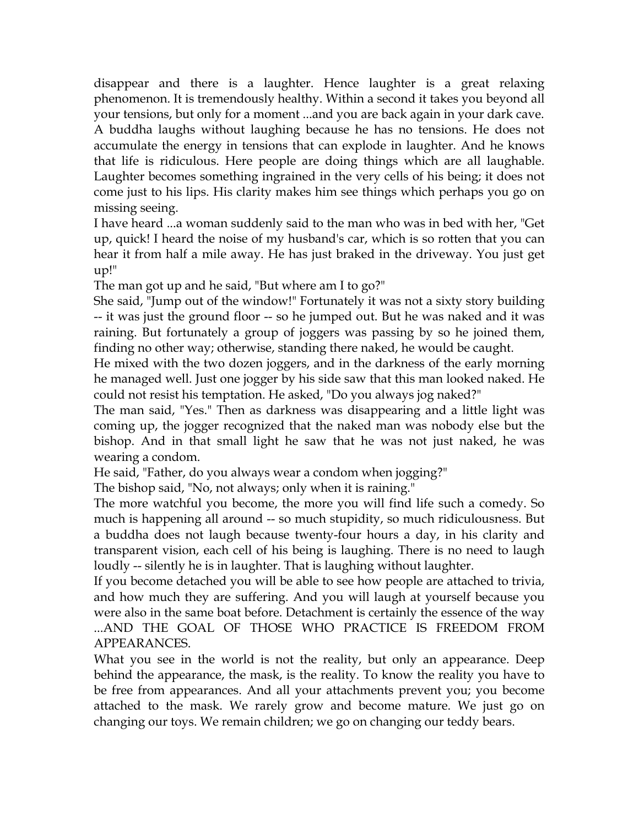disappear and there is a laughter. Hence laughter is a great relaxing phenomenon. It is tremendously healthy. Within a second it takes you beyond all your tensions, but only for a moment ...and you are back again in your dark cave. A buddha laughs without laughing because he has no tensions. He does not accumulate the energy in tensions that can explode in laughter. And he knows that life is ridiculous. Here people are doing things which are all laughable. Laughter becomes something ingrained in the very cells of his being; it does not come just to his lips. His clarity makes him see things which perhaps you go on missing seeing.

I have heard ...a woman suddenly said to the man who was in bed with her, "Get up, quick! I heard the noise of my husband's car, which is so rotten that you can hear it from half a mile away. He has just braked in the driveway. You just get up!"

The man got up and he said, "But where am I to go?"

She said, "Jump out of the window!" Fortunately it was not a sixty story building -- it was just the ground floor -- so he jumped out. But he was naked and it was raining. But fortunately a group of joggers was passing by so he joined them, finding no other way; otherwise, standing there naked, he would be caught.

He mixed with the two dozen joggers, and in the darkness of the early morning he managed well. Just one jogger by his side saw that this man looked naked. He could not resist his temptation. He asked, "Do you always jog naked?"

The man said, "Yes." Then as darkness was disappearing and a little light was coming up, the jogger recognized that the naked man was nobody else but the bishop. And in that small light he saw that he was not just naked, he was wearing a condom.

He said, "Father, do you always wear a condom when jogging?"

The bishop said, "No, not always; only when it is raining."

The more watchful you become, the more you will find life such a comedy. So much is happening all around -- so much stupidity, so much ridiculousness. But a buddha does not laugh because twenty-four hours a day, in his clarity and transparent vision, each cell of his being is laughing. There is no need to laugh loudly -- silently he is in laughter. That is laughing without laughter.

If you become detached you will be able to see how people are attached to trivia, and how much they are suffering. And you will laugh at yourself because you were also in the same boat before. Detachment is certainly the essence of the way ...AND THE GOAL OF THOSE WHO PRACTICE IS FREEDOM FROM APPEARANCES.

What you see in the world is not the reality, but only an appearance. Deep behind the appearance, the mask, is the reality. To know the reality you have to be free from appearances. And all your attachments prevent you; you become attached to the mask. We rarely grow and become mature. We just go on changing our toys. We remain children; we go on changing our teddy bears.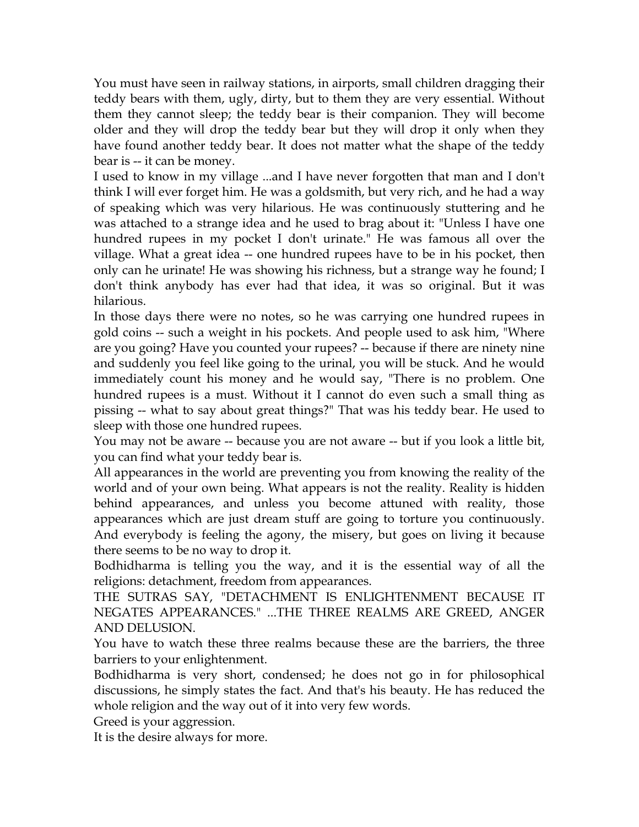You must have seen in railway stations, in airports, small children dragging their teddy bears with them, ugly, dirty, but to them they are very essential. Without them they cannot sleep; the teddy bear is their companion. They will become older and they will drop the teddy bear but they will drop it only when they have found another teddy bear. It does not matter what the shape of the teddy bear is -- it can be money.

I used to know in my village ...and I have never forgotten that man and I don't think I will ever forget him. He was a goldsmith, but very rich, and he had a way of speaking which was very hilarious. He was continuously stuttering and he was attached to a strange idea and he used to brag about it: "Unless I have one hundred rupees in my pocket I don't urinate." He was famous all over the village. What a great idea -- one hundred rupees have to be in his pocket, then only can he urinate! He was showing his richness, but a strange way he found; I don't think anybody has ever had that idea, it was so original. But it was hilarious.

In those days there were no notes, so he was carrying one hundred rupees in gold coins -- such a weight in his pockets. And people used to ask him, "Where are you going? Have you counted your rupees? -- because if there are ninety nine and suddenly you feel like going to the urinal, you will be stuck. And he would immediately count his money and he would say, "There is no problem. One hundred rupees is a must. Without it I cannot do even such a small thing as pissing -- what to say about great things?" That was his teddy bear. He used to sleep with those one hundred rupees.

You may not be aware -- because you are not aware -- but if you look a little bit, you can find what your teddy bear is.

All appearances in the world are preventing you from knowing the reality of the world and of your own being. What appears is not the reality. Reality is hidden behind appearances, and unless you become attuned with reality, those appearances which are just dream stuff are going to torture you continuously. And everybody is feeling the agony, the misery, but goes on living it because there seems to be no way to drop it.

Bodhidharma is telling you the way, and it is the essential way of all the religions: detachment, freedom from appearances.

THE SUTRAS SAY, "DETACHMENT IS ENLIGHTENMENT BECAUSE IT NEGATES APPEARANCES." ...THE THREE REALMS ARE GREED, ANGER AND DELUSION.

You have to watch these three realms because these are the barriers, the three barriers to your enlightenment.

Bodhidharma is very short, condensed; he does not go in for philosophical discussions, he simply states the fact. And that's his beauty. He has reduced the whole religion and the way out of it into very few words.

Greed is your aggression.

It is the desire always for more.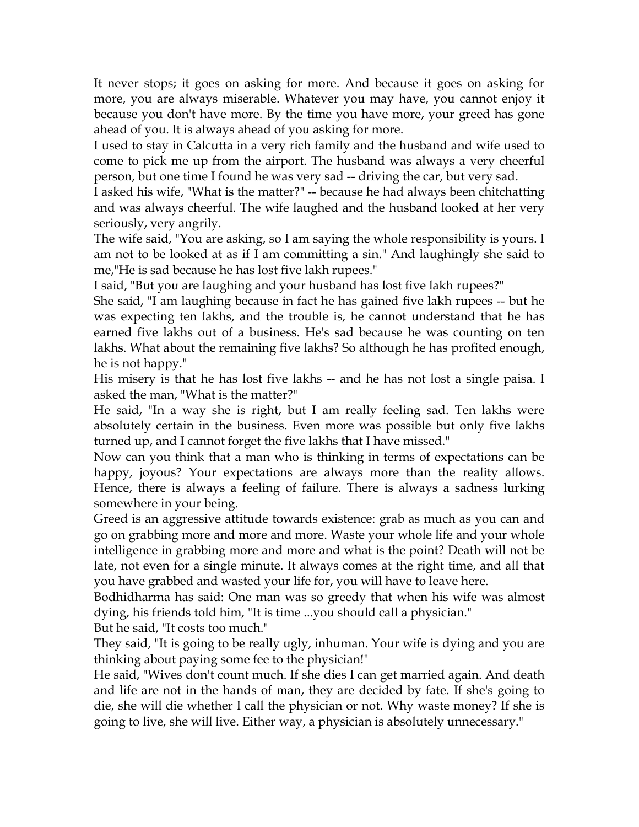It never stops; it goes on asking for more. And because it goes on asking for more, you are always miserable. Whatever you may have, you cannot enjoy it because you don't have more. By the time you have more, your greed has gone ahead of you. It is always ahead of you asking for more.

I used to stay in Calcutta in a very rich family and the husband and wife used to come to pick me up from the airport. The husband was always a very cheerful person, but one time I found he was very sad -- driving the car, but very sad.

I asked his wife, "What is the matter?" -- because he had always been chitchatting and was always cheerful. The wife laughed and the husband looked at her very seriously, very angrily.

The wife said, "You are asking, so I am saying the whole responsibility is yours. I am not to be looked at as if I am committing a sin." And laughingly she said to me,"He is sad because he has lost five lakh rupees."

I said, "But you are laughing and your husband has lost five lakh rupees?"

She said, "I am laughing because in fact he has gained five lakh rupees -- but he was expecting ten lakhs, and the trouble is, he cannot understand that he has earned five lakhs out of a business. He's sad because he was counting on ten lakhs. What about the remaining five lakhs? So although he has profited enough, he is not happy."

His misery is that he has lost five lakhs -- and he has not lost a single paisa. I asked the man, "What is the matter?"

He said, "In a way she is right, but I am really feeling sad. Ten lakhs were absolutely certain in the business. Even more was possible but only five lakhs turned up, and I cannot forget the five lakhs that I have missed."

Now can you think that a man who is thinking in terms of expectations can be happy, joyous? Your expectations are always more than the reality allows. Hence, there is always a feeling of failure. There is always a sadness lurking somewhere in your being.

Greed is an aggressive attitude towards existence: grab as much as you can and go on grabbing more and more and more. Waste your whole life and your whole intelligence in grabbing more and more and what is the point? Death will not be late, not even for a single minute. It always comes at the right time, and all that you have grabbed and wasted your life for, you will have to leave here.

Bodhidharma has said: One man was so greedy that when his wife was almost dying, his friends told him, "It is time ...you should call a physician."

But he said, "It costs too much."

They said, "It is going to be really ugly, inhuman. Your wife is dying and you are thinking about paying some fee to the physician!"

He said, "Wives don't count much. If she dies I can get married again. And death and life are not in the hands of man, they are decided by fate. If she's going to die, she will die whether I call the physician or not. Why waste money? If she is going to live, she will live. Either way, a physician is absolutely unnecessary."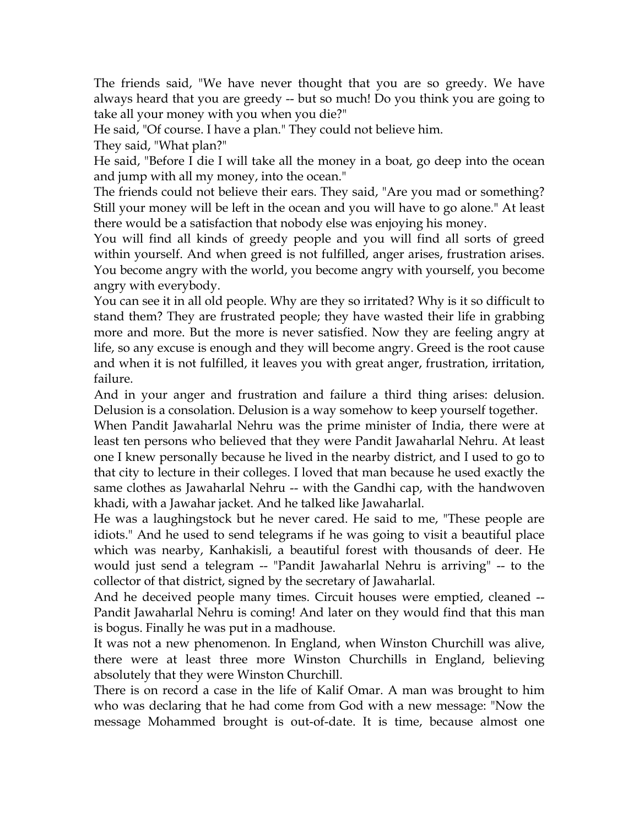The friends said, "We have never thought that you are so greedy. We have always heard that you are greedy -- but so much! Do you think you are going to take all your money with you when you die?"

He said, "Of course. I have a plan." They could not believe him.

They said, "What plan?"

He said, "Before I die I will take all the money in a boat, go deep into the ocean and jump with all my money, into the ocean."

The friends could not believe their ears. They said, "Are you mad or something? Still your money will be left in the ocean and you will have to go alone." At least there would be a satisfaction that nobody else was enjoying his money.

You will find all kinds of greedy people and you will find all sorts of greed within yourself. And when greed is not fulfilled, anger arises, frustration arises. You become angry with the world, you become angry with yourself, you become angry with everybody.

You can see it in all old people. Why are they so irritated? Why is it so difficult to stand them? They are frustrated people; they have wasted their life in grabbing more and more. But the more is never satisfied. Now they are feeling angry at life, so any excuse is enough and they will become angry. Greed is the root cause and when it is not fulfilled, it leaves you with great anger, frustration, irritation, failure.

And in your anger and frustration and failure a third thing arises: delusion. Delusion is a consolation. Delusion is a way somehow to keep yourself together.

When Pandit Jawaharlal Nehru was the prime minister of India, there were at least ten persons who believed that they were Pandit Jawaharlal Nehru. At least one I knew personally because he lived in the nearby district, and I used to go to that city to lecture in their colleges. I loved that man because he used exactly the same clothes as Jawaharlal Nehru -- with the Gandhi cap, with the handwoven khadi, with a Jawahar jacket. And he talked like Jawaharlal.

He was a laughingstock but he never cared. He said to me, "These people are idiots." And he used to send telegrams if he was going to visit a beautiful place which was nearby, Kanhakisli, a beautiful forest with thousands of deer. He would just send a telegram -- "Pandit Jawaharlal Nehru is arriving" -- to the collector of that district, signed by the secretary of Jawaharlal.

And he deceived people many times. Circuit houses were emptied, cleaned -- Pandit Jawaharlal Nehru is coming! And later on they would find that this man is bogus. Finally he was put in a madhouse.

It was not a new phenomenon. In England, when Winston Churchill was alive, there were at least three more Winston Churchills in England, believing absolutely that they were Winston Churchill.

There is on record a case in the life of Kalif Omar. A man was brought to him who was declaring that he had come from God with a new message: "Now the message Mohammed brought is out-of-date. It is time, because almost one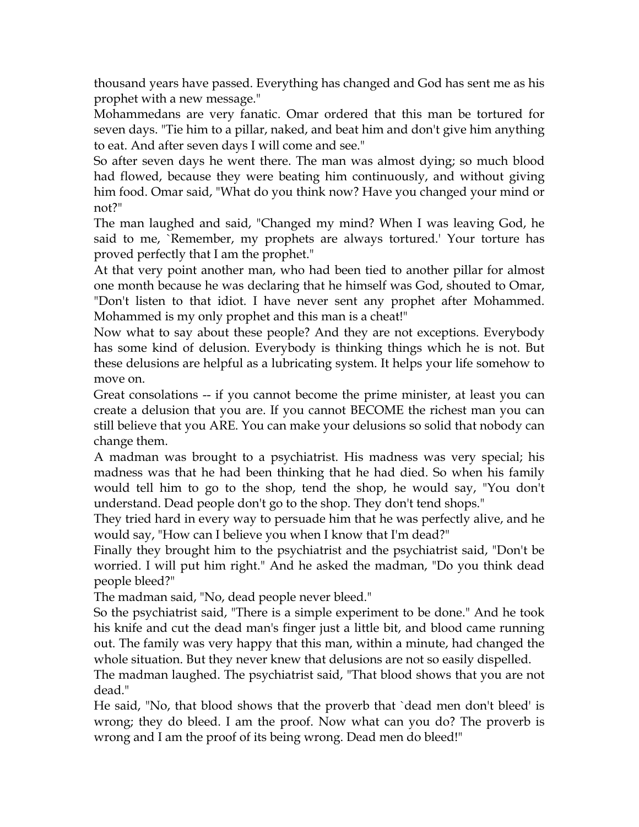thousand years have passed. Everything has changed and God has sent me as his prophet with a new message."

Mohammedans are very fanatic. Omar ordered that this man be tortured for seven days. "Tie him to a pillar, naked, and beat him and don't give him anything to eat. And after seven days I will come and see."

So after seven days he went there. The man was almost dying; so much blood had flowed, because they were beating him continuously, and without giving him food. Omar said, "What do you think now? Have you changed your mind or not?"

The man laughed and said, "Changed my mind? When I was leaving God, he said to me, `Remember, my prophets are always tortured.' Your torture has proved perfectly that I am the prophet."

At that very point another man, who had been tied to another pillar for almost one month because he was declaring that he himself was God, shouted to Omar, "Don't listen to that idiot. I have never sent any prophet after Mohammed. Mohammed is my only prophet and this man is a cheat!"

Now what to say about these people? And they are not exceptions. Everybody has some kind of delusion. Everybody is thinking things which he is not. But these delusions are helpful as a lubricating system. It helps your life somehow to move on.

Great consolations -- if you cannot become the prime minister, at least you can create a delusion that you are. If you cannot BECOME the richest man you can still believe that you ARE. You can make your delusions so solid that nobody can change them.

A madman was brought to a psychiatrist. His madness was very special; his madness was that he had been thinking that he had died. So when his family would tell him to go to the shop, tend the shop, he would say, "You don't understand. Dead people don't go to the shop. They don't tend shops."

They tried hard in every way to persuade him that he was perfectly alive, and he would say, "How can I believe you when I know that I'm dead?"

Finally they brought him to the psychiatrist and the psychiatrist said, "Don't be worried. I will put him right." And he asked the madman, "Do you think dead people bleed?"

The madman said, "No, dead people never bleed."

So the psychiatrist said, "There is a simple experiment to be done." And he took his knife and cut the dead man's finger just a little bit, and blood came running out. The family was very happy that this man, within a minute, had changed the whole situation. But they never knew that delusions are not so easily dispelled.

The madman laughed. The psychiatrist said, "That blood shows that you are not dead."

He said, "No, that blood shows that the proverb that `dead men don't bleed' is wrong; they do bleed. I am the proof. Now what can you do? The proverb is wrong and I am the proof of its being wrong. Dead men do bleed!"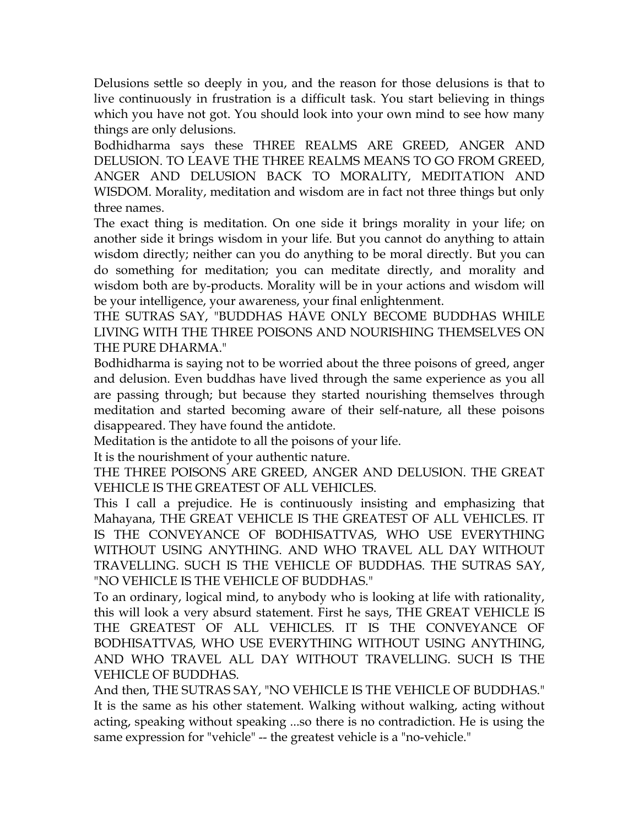Delusions settle so deeply in you, and the reason for those delusions is that to live continuously in frustration is a difficult task. You start believing in things which you have not got. You should look into your own mind to see how many things are only delusions.

Bodhidharma says these THREE REALMS ARE GREED, ANGER AND DELUSION. TO LEAVE THE THREE REALMS MEANS TO GO FROM GREED, ANGER AND DELUSION BACK TO MORALITY, MEDITATION AND WISDOM. Morality, meditation and wisdom are in fact not three things but only three names.

The exact thing is meditation. On one side it brings morality in your life; on another side it brings wisdom in your life. But you cannot do anything to attain wisdom directly; neither can you do anything to be moral directly. But you can do something for meditation; you can meditate directly, and morality and wisdom both are by-products. Morality will be in your actions and wisdom will be your intelligence, your awareness, your final enlightenment.

THE SUTRAS SAY, "BUDDHAS HAVE ONLY BECOME BUDDHAS WHILE LIVING WITH THE THREE POISONS AND NOURISHING THEMSELVES ON THE PURE DHARMA."

Bodhidharma is saying not to be worried about the three poisons of greed, anger and delusion. Even buddhas have lived through the same experience as you all are passing through; but because they started nourishing themselves through meditation and started becoming aware of their self-nature, all these poisons disappeared. They have found the antidote.

Meditation is the antidote to all the poisons of your life.

It is the nourishment of your authentic nature.

THE THREE POISONS ARE GREED, ANGER AND DELUSION. THE GREAT VEHICLE IS THE GREATEST OF ALL VEHICLES.

This I call a prejudice. He is continuously insisting and emphasizing that Mahayana, THE GREAT VEHICLE IS THE GREATEST OF ALL VEHICLES. IT IS THE CONVEYANCE OF BODHISATTVAS, WHO USE EVERYTHING WITHOUT USING ANYTHING. AND WHO TRAVEL ALL DAY WITHOUT TRAVELLING. SUCH IS THE VEHICLE OF BUDDHAS. THE SUTRAS SAY, "NO VEHICLE IS THE VEHICLE OF BUDDHAS."

To an ordinary, logical mind, to anybody who is looking at life with rationality, this will look a very absurd statement. First he says, THE GREAT VEHICLE IS THE GREATEST OF ALL VEHICLES. IT IS THE CONVEYANCE OF BODHISATTVAS, WHO USE EVERYTHING WITHOUT USING ANYTHING, AND WHO TRAVEL ALL DAY WITHOUT TRAVELLING. SUCH IS THE VEHICLE OF BUDDHAS.

And then, THE SUTRAS SAY, "NO VEHICLE IS THE VEHICLE OF BUDDHAS." It is the same as his other statement. Walking without walking, acting without acting, speaking without speaking ...so there is no contradiction. He is using the same expression for "vehicle" -- the greatest vehicle is a "no-vehicle."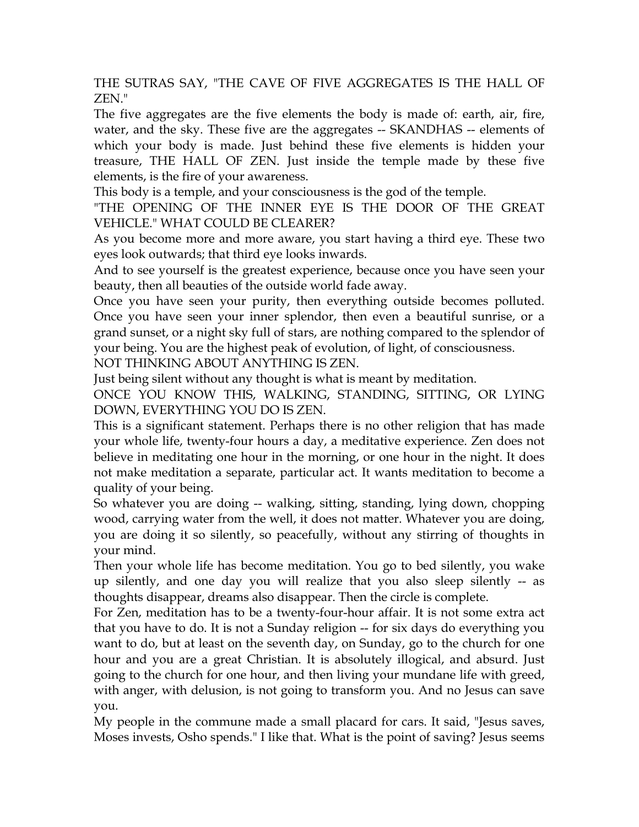THE SUTRAS SAY, "THE CAVE OF FIVE AGGREGATES IS THE HALL OF ZEN."

The five aggregates are the five elements the body is made of: earth, air, fire, water, and the sky. These five are the aggregates -- SKANDHAS -- elements of which your body is made. Just behind these five elements is hidden your treasure, THE HALL OF ZEN. Just inside the temple made by these five elements, is the fire of your awareness.

This body is a temple, and your consciousness is the god of the temple.

"THE OPENING OF THE INNER EYE IS THE DOOR OF THE GREAT VEHICLE." WHAT COULD BE CLEARER?

As you become more and more aware, you start having a third eye. These two eyes look outwards; that third eye looks inwards.

And to see yourself is the greatest experience, because once you have seen your beauty, then all beauties of the outside world fade away.

Once you have seen your purity, then everything outside becomes polluted. Once you have seen your inner splendor, then even a beautiful sunrise, or a grand sunset, or a night sky full of stars, are nothing compared to the splendor of your being. You are the highest peak of evolution, of light, of consciousness.

NOT THINKING ABOUT ANYTHING IS ZEN.

Just being silent without any thought is what is meant by meditation.

ONCE YOU KNOW THIS, WALKING, STANDING, SITTING, OR LYING DOWN, EVERYTHING YOU DO IS ZEN.

This is a significant statement. Perhaps there is no other religion that has made your whole life, twenty-four hours a day, a meditative experience. Zen does not believe in meditating one hour in the morning, or one hour in the night. It does not make meditation a separate, particular act. It wants meditation to become a quality of your being.

So whatever you are doing -- walking, sitting, standing, lying down, chopping wood, carrying water from the well, it does not matter. Whatever you are doing, you are doing it so silently, so peacefully, without any stirring of thoughts in your mind.

Then your whole life has become meditation. You go to bed silently, you wake up silently, and one day you will realize that you also sleep silently -- as thoughts disappear, dreams also disappear. Then the circle is complete.

For Zen, meditation has to be a twenty-four-hour affair. It is not some extra act that you have to do. It is not a Sunday religion -- for six days do everything you want to do, but at least on the seventh day, on Sunday, go to the church for one hour and you are a great Christian. It is absolutely illogical, and absurd. Just going to the church for one hour, and then living your mundane life with greed, with anger, with delusion, is not going to transform you. And no Jesus can save you.

My people in the commune made a small placard for cars. It said, "Jesus saves, Moses invests, Osho spends." I like that. What is the point of saving? Jesus seems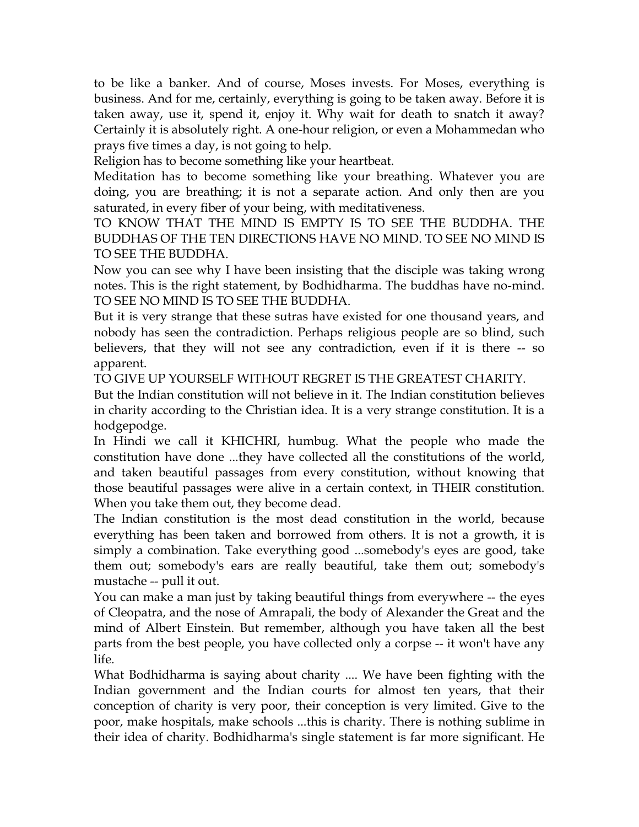to be like a banker. And of course, Moses invests. For Moses, everything is business. And for me, certainly, everything is going to be taken away. Before it is taken away, use it, spend it, enjoy it. Why wait for death to snatch it away? Certainly it is absolutely right. A one-hour religion, or even a Mohammedan who prays five times a day, is not going to help.

Religion has to become something like your heartbeat.

Meditation has to become something like your breathing. Whatever you are doing, you are breathing; it is not a separate action. And only then are you saturated, in every fiber of your being, with meditativeness.

TO KNOW THAT THE MIND IS EMPTY IS TO SEE THE BUDDHA. THE BUDDHAS OF THE TEN DIRECTIONS HAVE NO MIND. TO SEE NO MIND IS TO SEE THE BUDDHA.

Now you can see why I have been insisting that the disciple was taking wrong notes. This is the right statement, by Bodhidharma. The buddhas have no-mind. TO SEE NO MIND IS TO SEE THE BUDDHA.

But it is very strange that these sutras have existed for one thousand years, and nobody has seen the contradiction. Perhaps religious people are so blind, such believers, that they will not see any contradiction, even if it is there -- so apparent.

TO GIVE UP YOURSELF WITHOUT REGRET IS THE GREATEST CHARITY.

But the Indian constitution will not believe in it. The Indian constitution believes in charity according to the Christian idea. It is a very strange constitution. It is a hodgepodge.

In Hindi we call it KHICHRI, humbug. What the people who made the constitution have done ...they have collected all the constitutions of the world, and taken beautiful passages from every constitution, without knowing that those beautiful passages were alive in a certain context, in THEIR constitution. When you take them out, they become dead.

The Indian constitution is the most dead constitution in the world, because everything has been taken and borrowed from others. It is not a growth, it is simply a combination. Take everything good ...somebody's eyes are good, take them out; somebody's ears are really beautiful, take them out; somebody's mustache -- pull it out.

You can make a man just by taking beautiful things from everywhere -- the eyes of Cleopatra, and the nose of Amrapali, the body of Alexander the Great and the mind of Albert Einstein. But remember, although you have taken all the best parts from the best people, you have collected only a corpse -- it won't have any life.

What Bodhidharma is saying about charity .... We have been fighting with the Indian government and the Indian courts for almost ten years, that their conception of charity is very poor, their conception is very limited. Give to the poor, make hospitals, make schools ...this is charity. There is nothing sublime in their idea of charity. Bodhidharma's single statement is far more significant. He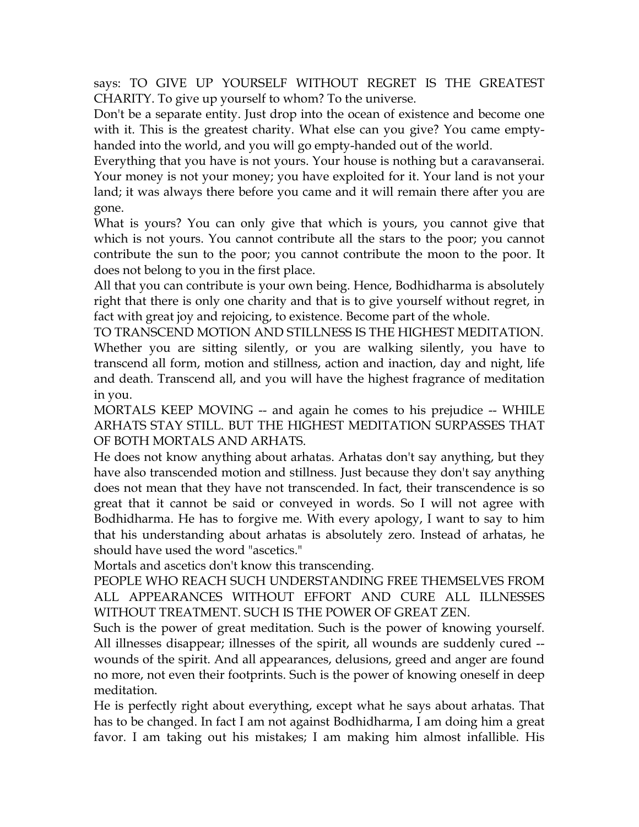says: TO GIVE UP YOURSELF WITHOUT REGRET IS THE GREATEST CHARITY. To give up yourself to whom? To the universe.

Don't be a separate entity. Just drop into the ocean of existence and become one with it. This is the greatest charity. What else can you give? You came emptyhanded into the world, and you will go empty-handed out of the world.

Everything that you have is not yours. Your house is nothing but a caravanserai. Your money is not your money; you have exploited for it. Your land is not your land; it was always there before you came and it will remain there after you are gone.

What is yours? You can only give that which is yours, you cannot give that which is not yours. You cannot contribute all the stars to the poor; you cannot contribute the sun to the poor; you cannot contribute the moon to the poor. It does not belong to you in the first place.

All that you can contribute is your own being. Hence, Bodhidharma is absolutely right that there is only one charity and that is to give yourself without regret, in fact with great joy and rejoicing, to existence. Become part of the whole.

TO TRANSCEND MOTION AND STILLNESS IS THE HIGHEST MEDITATION. Whether you are sitting silently, or you are walking silently, you have to transcend all form, motion and stillness, action and inaction, day and night, life and death. Transcend all, and you will have the highest fragrance of meditation in you.

MORTALS KEEP MOVING -- and again he comes to his prejudice -- WHILE ARHATS STAY STILL. BUT THE HIGHEST MEDITATION SURPASSES THAT OF BOTH MORTALS AND ARHATS.

He does not know anything about arhatas. Arhatas don't say anything, but they have also transcended motion and stillness. Just because they don't say anything does not mean that they have not transcended. In fact, their transcendence is so great that it cannot be said or conveyed in words. So I will not agree with Bodhidharma. He has to forgive me. With every apology, I want to say to him that his understanding about arhatas is absolutely zero. Instead of arhatas, he should have used the word "ascetics."

Mortals and ascetics don't know this transcending.

PEOPLE WHO REACH SUCH UNDERSTANDING FREE THEMSELVES FROM ALL APPEARANCES WITHOUT EFFORT AND CURE ALL ILLNESSES WITHOUT TREATMENT. SUCH IS THE POWER OF GREAT ZEN.

Such is the power of great meditation. Such is the power of knowing yourself. All illnesses disappear; illnesses of the spirit, all wounds are suddenly cured - wounds of the spirit. And all appearances, delusions, greed and anger are found no more, not even their footprints. Such is the power of knowing oneself in deep meditation.

He is perfectly right about everything, except what he says about arhatas. That has to be changed. In fact I am not against Bodhidharma, I am doing him a great favor. I am taking out his mistakes; I am making him almost infallible. His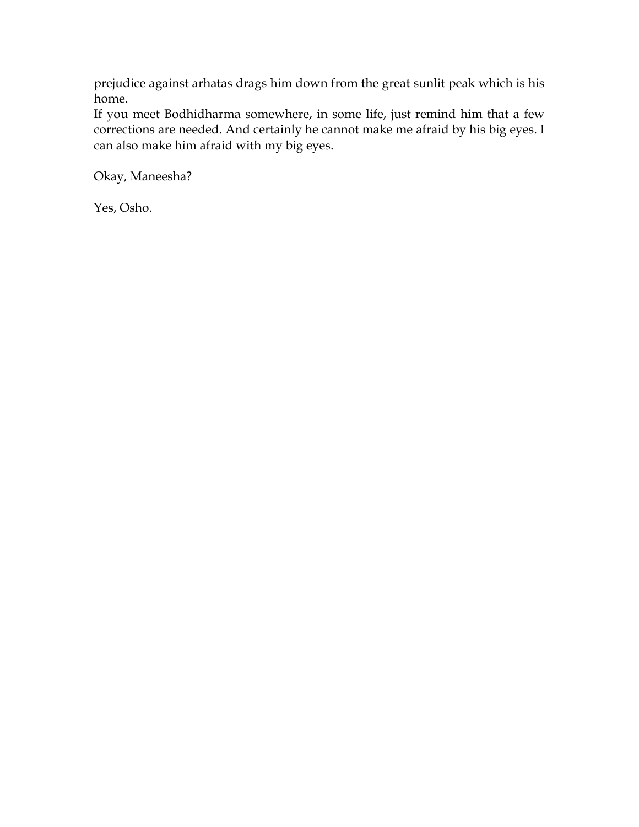prejudice against arhatas drags him down from the great sunlit peak which is his home.

If you meet Bodhidharma somewhere, in some life, just remind him that a few corrections are needed. And certainly he cannot make me afraid by his big eyes. I can also make him afraid with my big eyes.

Okay, Maneesha?

Yes, Osho.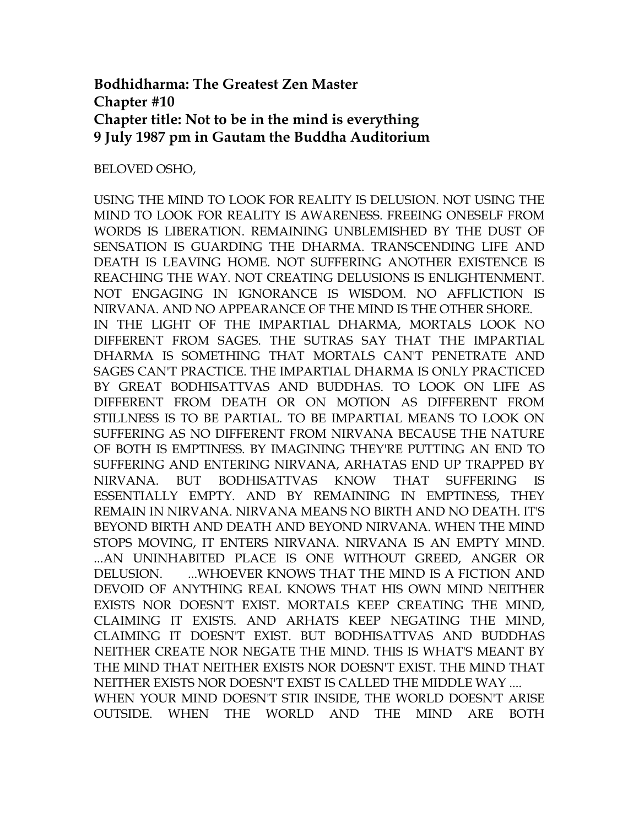# **Bodhidharma: The Greatest Zen Master Chapter #10 Chapter title: Not to be in the mind is everything 9 July 1987 pm in Gautam the Buddha Auditorium**

BELOVED OSHO,

USING THE MIND TO LOOK FOR REALITY IS DELUSION. NOT USING THE MIND TO LOOK FOR REALITY IS AWARENESS. FREEING ONESELF FROM WORDS IS LIBERATION. REMAINING UNBLEMISHED BY THE DUST OF SENSATION IS GUARDING THE DHARMA. TRANSCENDING LIFE AND DEATH IS LEAVING HOME. NOT SUFFERING ANOTHER EXISTENCE IS REACHING THE WAY. NOT CREATING DELUSIONS IS ENLIGHTENMENT. NOT ENGAGING IN IGNORANCE IS WISDOM. NO AFFLICTION IS NIRVANA. AND NO APPEARANCE OF THE MIND IS THE OTHER SHORE. IN THE LIGHT OF THE IMPARTIAL DHARMA, MORTALS LOOK NO DIFFERENT FROM SAGES. THE SUTRAS SAY THAT THE IMPARTIAL DHARMA IS SOMETHING THAT MORTALS CAN'T PENETRATE AND SAGES CAN'T PRACTICE. THE IMPARTIAL DHARMA IS ONLY PRACTICED BY GREAT BODHISATTVAS AND BUDDHAS. TO LOOK ON LIFE AS DIFFERENT FROM DEATH OR ON MOTION AS DIFFERENT FROM STILLNESS IS TO BE PARTIAL. TO BE IMPARTIAL MEANS TO LOOK ON SUFFERING AS NO DIFFERENT FROM NIRVANA BECAUSE THE NATURE OF BOTH IS EMPTINESS. BY IMAGINING THEY'RE PUTTING AN END TO SUFFERING AND ENTERING NIRVANA, ARHATAS END UP TRAPPED BY NIRVANA. BUT BODHISATTVAS KNOW THAT SUFFERING IS ESSENTIALLY EMPTY. AND BY REMAINING IN EMPTINESS, THEY REMAIN IN NIRVANA. NIRVANA MEANS NO BIRTH AND NO DEATH. IT'S BEYOND BIRTH AND DEATH AND BEYOND NIRVANA. WHEN THE MIND STOPS MOVING, IT ENTERS NIRVANA. NIRVANA IS AN EMPTY MIND. ...AN UNINHABITED PLACE IS ONE WITHOUT GREED, ANGER OR DELUSION. ...WHOEVER KNOWS THAT THE MIND IS A FICTION AND DEVOID OF ANYTHING REAL KNOWS THAT HIS OWN MIND NEITHER EXISTS NOR DOESN'T EXIST. MORTALS KEEP CREATING THE MIND, CLAIMING IT EXISTS. AND ARHATS KEEP NEGATING THE MIND, CLAIMING IT DOESN'T EXIST. BUT BODHISATTVAS AND BUDDHAS NEITHER CREATE NOR NEGATE THE MIND. THIS IS WHAT'S MEANT BY THE MIND THAT NEITHER EXISTS NOR DOESN'T EXIST. THE MIND THAT NEITHER EXISTS NOR DOESN'T EXIST IS CALLED THE MIDDLE WAY .... WHEN YOUR MIND DOESN'T STIR INSIDE, THE WORLD DOESN'T ARISE OUTSIDE. WHEN THE WORLD AND THE MIND ARE BOTH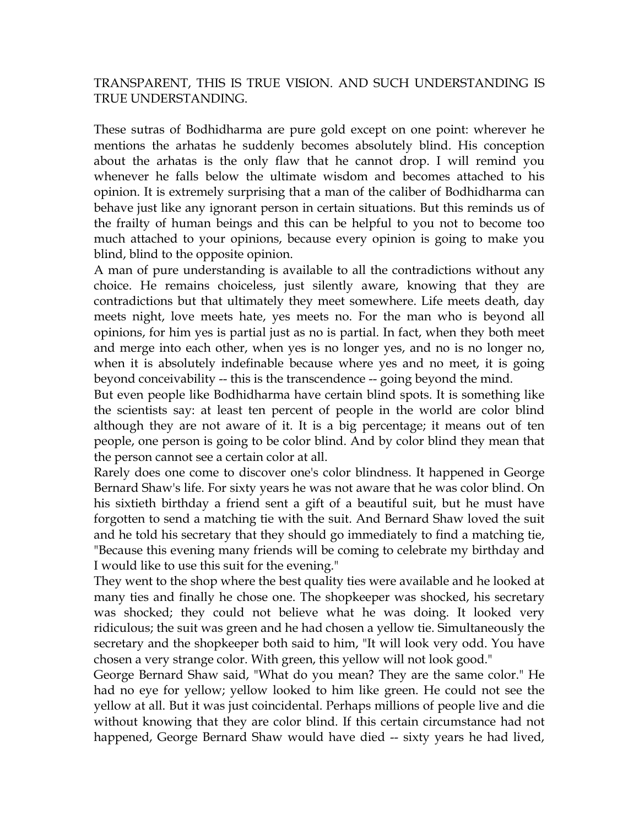TRANSPARENT, THIS IS TRUE VISION. AND SUCH UNDERSTANDING IS TRUE UNDERSTANDING.

These sutras of Bodhidharma are pure gold except on one point: wherever he mentions the arhatas he suddenly becomes absolutely blind. His conception about the arhatas is the only flaw that he cannot drop. I will remind you whenever he falls below the ultimate wisdom and becomes attached to his opinion. It is extremely surprising that a man of the caliber of Bodhidharma can behave just like any ignorant person in certain situations. But this reminds us of the frailty of human beings and this can be helpful to you not to become too much attached to your opinions, because every opinion is going to make you blind, blind to the opposite opinion.

A man of pure understanding is available to all the contradictions without any choice. He remains choiceless, just silently aware, knowing that they are contradictions but that ultimately they meet somewhere. Life meets death, day meets night, love meets hate, yes meets no. For the man who is beyond all opinions, for him yes is partial just as no is partial. In fact, when they both meet and merge into each other, when yes is no longer yes, and no is no longer no, when it is absolutely indefinable because where yes and no meet, it is going beyond conceivability -- this is the transcendence -- going beyond the mind.

But even people like Bodhidharma have certain blind spots. It is something like the scientists say: at least ten percent of people in the world are color blind although they are not aware of it. It is a big percentage; it means out of ten people, one person is going to be color blind. And by color blind they mean that the person cannot see a certain color at all.

Rarely does one come to discover one's color blindness. It happened in George Bernard Shaw's life. For sixty years he was not aware that he was color blind. On his sixtieth birthday a friend sent a gift of a beautiful suit, but he must have forgotten to send a matching tie with the suit. And Bernard Shaw loved the suit and he told his secretary that they should go immediately to find a matching tie, "Because this evening many friends will be coming to celebrate my birthday and I would like to use this suit for the evening."

They went to the shop where the best quality ties were available and he looked at many ties and finally he chose one. The shopkeeper was shocked, his secretary was shocked; they could not believe what he was doing. It looked very ridiculous; the suit was green and he had chosen a yellow tie. Simultaneously the secretary and the shopkeeper both said to him, "It will look very odd. You have chosen a very strange color. With green, this yellow will not look good."

George Bernard Shaw said, "What do you mean? They are the same color." He had no eye for yellow; yellow looked to him like green. He could not see the yellow at all. But it was just coincidental. Perhaps millions of people live and die without knowing that they are color blind. If this certain circumstance had not happened, George Bernard Shaw would have died -- sixty years he had lived,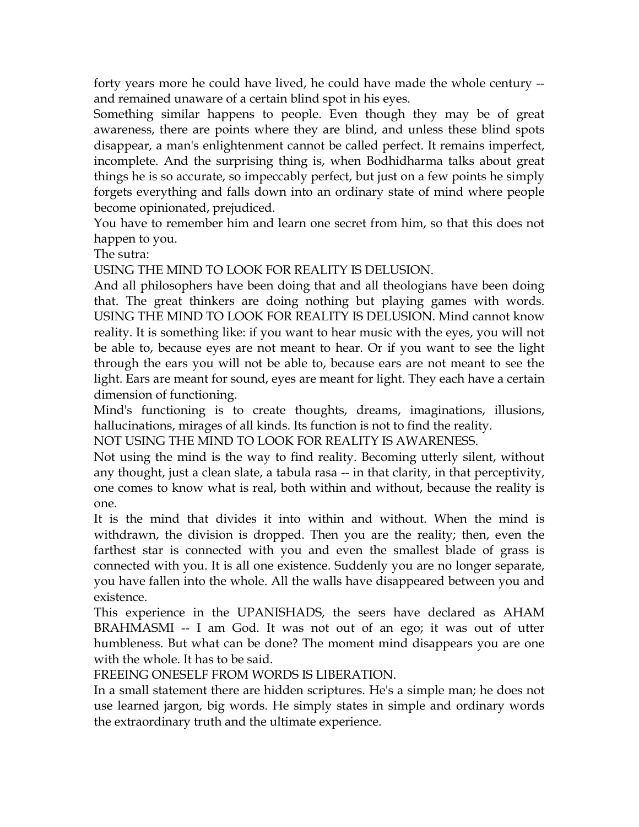forty years more he could have lived, he could have made the whole century - and remained unaware of a certain blind spot in his eyes.

Something similar happens to people. Even though they may be of great awareness, there are points where they are blind, and unless these blind spots disappear, a man's enlightenment cannot be called perfect. It remains imperfect, incomplete. And the surprising thing is, when Bodhidharma talks about great things he is so accurate, so impeccably perfect, but just on a few points he simply forgets everything and falls down into an ordinary state of mind where people become opinionated, prejudiced.

You have to remember him and learn one secret from him, so that this does not happen to you.

The sutra:

USING THE MIND TO LOOK FOR REALITY IS DELUSION.

And all philosophers have been doing that and all theologians have been doing that. The great thinkers are doing nothing but playing games with words. USING THE MIND TO LOOK FOR REALITY IS DELUSION. Mind cannot know reality. It is something like: if you want to hear music with the eyes, you will not be able to, because eyes are not meant to hear. Or if you want to see the light through the ears you will not be able to, because ears are not meant to see the light. Ears are meant for sound, eyes are meant for light. They each have a certain dimension of functioning.

Mind's functioning is to create thoughts, dreams, imaginations, illusions, hallucinations, mirages of all kinds. Its function is not to find the reality.

NOT USING THE MIND TO LOOK FOR REALITY IS AWARENESS.

Not using the mind is the way to find reality. Becoming utterly silent, without any thought, just a clean slate, a tabula rasa -- in that clarity, in that perceptivity, one comes to know what is real, both within and without, because the reality is one.

It is the mind that divides it into within and without. When the mind is withdrawn, the division is dropped. Then you are the reality; then, even the farthest star is connected with you and even the smallest blade of grass is connected with you. It is all one existence. Suddenly you are no longer separate, you have fallen into the whole. All the walls have disappeared between you and existence.

This experience in the UPANISHADS, the seers have declared as AHAM BRAHMASMI -- I am God. It was not out of an ego; it was out of utter humbleness. But what can be done? The moment mind disappears you are one with the whole. It has to be said.

FREEING ONESELF FROM WORDS IS LIBERATION.

In a small statement there are hidden scriptures. He's a simple man; he does not use learned jargon, big words. He simply states in simple and ordinary words the extraordinary truth and the ultimate experience.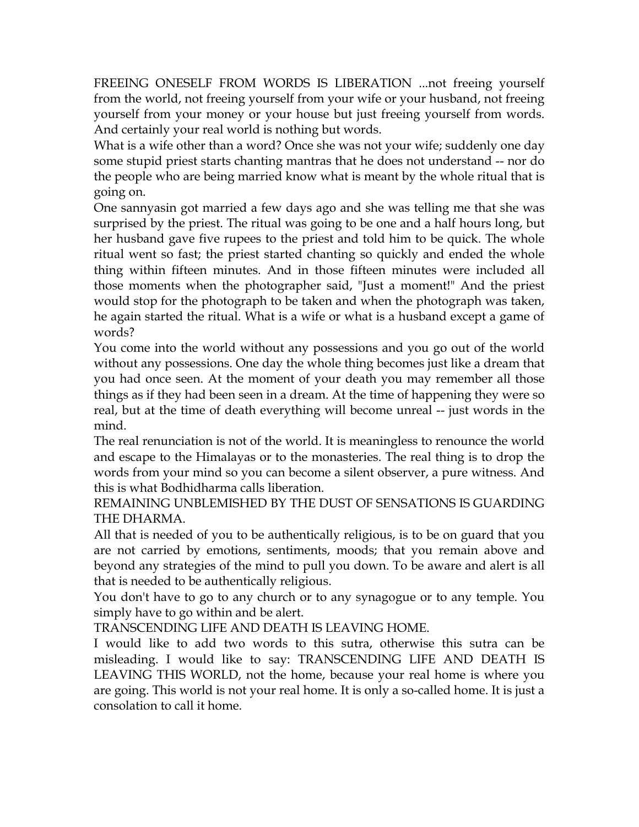FREEING ONESELF FROM WORDS IS LIBERATION ...not freeing yourself from the world, not freeing yourself from your wife or your husband, not freeing yourself from your money or your house but just freeing yourself from words. And certainly your real world is nothing but words.

What is a wife other than a word? Once she was not your wife; suddenly one day some stupid priest starts chanting mantras that he does not understand -- nor do the people who are being married know what is meant by the whole ritual that is going on.

One sannyasin got married a few days ago and she was telling me that she was surprised by the priest. The ritual was going to be one and a half hours long, but her husband gave five rupees to the priest and told him to be quick. The whole ritual went so fast; the priest started chanting so quickly and ended the whole thing within fifteen minutes. And in those fifteen minutes were included all those moments when the photographer said, "Just a moment!" And the priest would stop for the photograph to be taken and when the photograph was taken, he again started the ritual. What is a wife or what is a husband except a game of words?

You come into the world without any possessions and you go out of the world without any possessions. One day the whole thing becomes just like a dream that you had once seen. At the moment of your death you may remember all those things as if they had been seen in a dream. At the time of happening they were so real, but at the time of death everything will become unreal -- just words in the mind.

The real renunciation is not of the world. It is meaningless to renounce the world and escape to the Himalayas or to the monasteries. The real thing is to drop the words from your mind so you can become a silent observer, a pure witness. And this is what Bodhidharma calls liberation.

REMAINING UNBLEMISHED BY THE DUST OF SENSATIONS IS GUARDING THE DHARMA.

All that is needed of you to be authentically religious, is to be on guard that you are not carried by emotions, sentiments, moods; that you remain above and beyond any strategies of the mind to pull you down. To be aware and alert is all that is needed to be authentically religious.

You don't have to go to any church or to any synagogue or to any temple. You simply have to go within and be alert.

TRANSCENDING LIFE AND DEATH IS LEAVING HOME.

I would like to add two words to this sutra, otherwise this sutra can be misleading. I would like to say: TRANSCENDING LIFE AND DEATH IS LEAVING THIS WORLD, not the home, because your real home is where you are going. This world is not your real home. It is only a so-called home. It is just a consolation to call it home.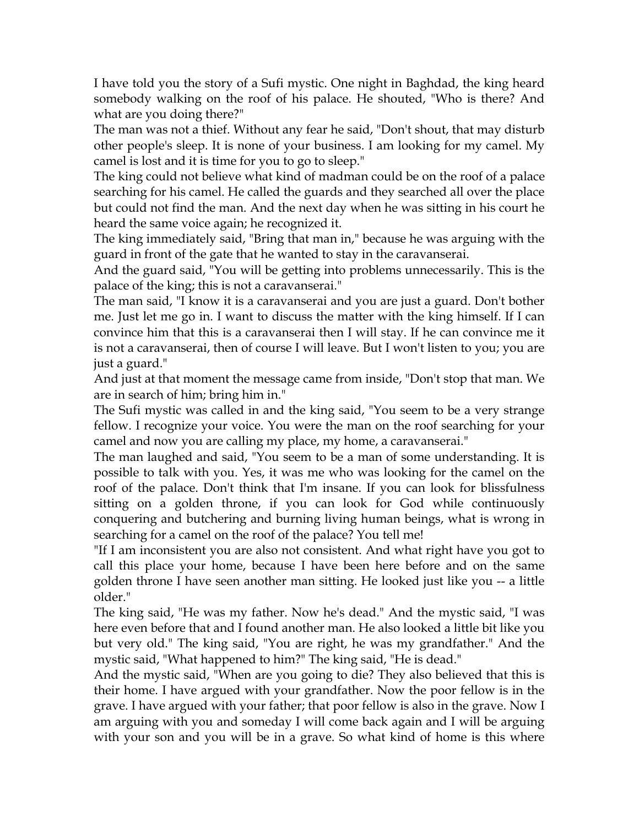I have told you the story of a Sufi mystic. One night in Baghdad, the king heard somebody walking on the roof of his palace. He shouted, "Who is there? And what are you doing there?"

The man was not a thief. Without any fear he said, "Don't shout, that may disturb other people's sleep. It is none of your business. I am looking for my camel. My camel is lost and it is time for you to go to sleep."

The king could not believe what kind of madman could be on the roof of a palace searching for his camel. He called the guards and they searched all over the place but could not find the man. And the next day when he was sitting in his court he heard the same voice again; he recognized it.

The king immediately said, "Bring that man in," because he was arguing with the guard in front of the gate that he wanted to stay in the caravanserai.

And the guard said, "You will be getting into problems unnecessarily. This is the palace of the king; this is not a caravanserai."

The man said, "I know it is a caravanserai and you are just a guard. Don't bother me. Just let me go in. I want to discuss the matter with the king himself. If I can convince him that this is a caravanserai then I will stay. If he can convince me it is not a caravanserai, then of course I will leave. But I won't listen to you; you are just a guard."

And just at that moment the message came from inside, "Don't stop that man. We are in search of him; bring him in."

The Sufi mystic was called in and the king said, "You seem to be a very strange fellow. I recognize your voice. You were the man on the roof searching for your camel and now you are calling my place, my home, a caravanserai."

The man laughed and said, "You seem to be a man of some understanding. It is possible to talk with you. Yes, it was me who was looking for the camel on the roof of the palace. Don't think that I'm insane. If you can look for blissfulness sitting on a golden throne, if you can look for God while continuously conquering and butchering and burning living human beings, what is wrong in searching for a camel on the roof of the palace? You tell me!

"If I am inconsistent you are also not consistent. And what right have you got to call this place your home, because I have been here before and on the same golden throne I have seen another man sitting. He looked just like you -- a little older."

The king said, "He was my father. Now he's dead." And the mystic said, "I was here even before that and I found another man. He also looked a little bit like you but very old." The king said, "You are right, he was my grandfather." And the mystic said, "What happened to him?" The king said, "He is dead."

And the mystic said, "When are you going to die? They also believed that this is their home. I have argued with your grandfather. Now the poor fellow is in the grave. I have argued with your father; that poor fellow is also in the grave. Now I am arguing with you and someday I will come back again and I will be arguing with your son and you will be in a grave. So what kind of home is this where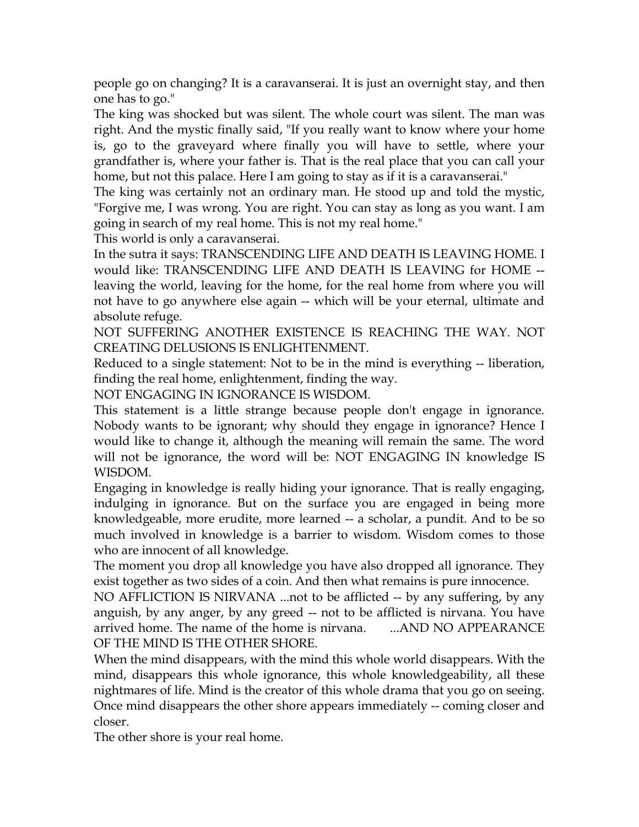people go on changing? It is a caravanserai. It is just an overnight stay, and then one has to go."

The king was shocked but was silent. The whole court was silent. The man was right. And the mystic finally said, "If you really want to know where your home is, go to the graveyard where finally you will have to settle, where your grandfather is, where your father is. That is the real place that you can call your home, but not this palace. Here I am going to stay as if it is a caravanserai."

The king was certainly not an ordinary man. He stood up and told the mystic, "Forgive me, I was wrong. You are right. You can stay as long as you want. I am going in search of my real home. This is not my real home."

This world is only a caravanserai.

In the sutra it says: TRANSCENDING LIFE AND DEATH IS LEAVING HOME. I would like: TRANSCENDING LIFE AND DEATH IS LEAVING for HOME - leaving the world, leaving for the home, for the real home from where you will not have to go anywhere else again -- which will be your eternal, ultimate and absolute refuge.

NOT SUFFERING ANOTHER EXISTENCE IS REACHING THE WAY. NOT CREATING DELUSIONS IS ENLIGHTENMENT.

Reduced to a single statement: Not to be in the mind is everything -- liberation, finding the real home, enlightenment, finding the way.

NOT ENGAGING IN IGNORANCE IS WISDOM.

This statement is a little strange because people don't engage in ignorance. Nobody wants to be ignorant; why should they engage in ignorance? Hence I would like to change it, although the meaning will remain the same. The word will not be ignorance, the word will be: NOT ENGAGING IN knowledge IS WISDOM.

Engaging in knowledge is really hiding your ignorance. That is really engaging, indulging in ignorance. But on the surface you are engaged in being more knowledgeable, more erudite, more learned -- a scholar, a pundit. And to be so much involved in knowledge is a barrier to wisdom. Wisdom comes to those who are innocent of all knowledge.

The moment you drop all knowledge you have also dropped all ignorance. They exist together as two sides of a coin. And then what remains is pure innocence.

NO AFFLICTION IS NIRVANA ...not to be afflicted -- by any suffering, by any anguish, by any anger, by any greed -- not to be afflicted is nirvana. You have arrived home. The name of the home is nirvana. ...AND NO APPEARANCE OF THE MIND IS THE OTHER SHORE.

When the mind disappears, with the mind this whole world disappears. With the mind, disappears this whole ignorance, this whole knowledgeability, all these nightmares of life. Mind is the creator of this whole drama that you go on seeing. Once mind disappears the other shore appears immediately -- coming closer and closer.

The other shore is your real home.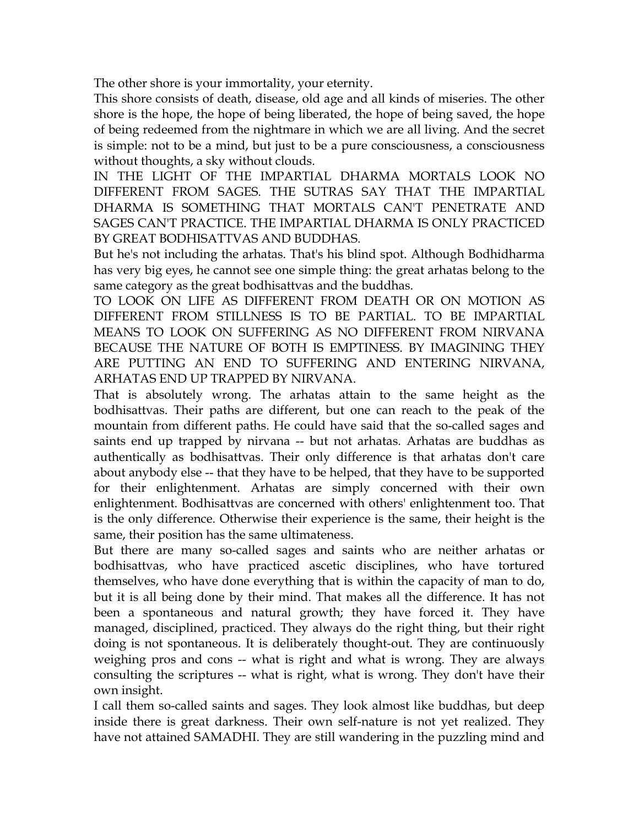The other shore is your immortality, your eternity.

This shore consists of death, disease, old age and all kinds of miseries. The other shore is the hope, the hope of being liberated, the hope of being saved, the hope of being redeemed from the nightmare in which we are all living. And the secret is simple: not to be a mind, but just to be a pure consciousness, a consciousness without thoughts, a sky without clouds.

IN THE LIGHT OF THE IMPARTIAL DHARMA MORTALS LOOK NO DIFFERENT FROM SAGES. THE SUTRAS SAY THAT THE IMPARTIAL DHARMA IS SOMETHING THAT MORTALS CAN'T PENETRATE AND SAGES CAN'T PRACTICE. THE IMPARTIAL DHARMA IS ONLY PRACTICED BY GREAT BODHISATTVAS AND BUDDHAS.

But he's not including the arhatas. That's his blind spot. Although Bodhidharma has very big eyes, he cannot see one simple thing: the great arhatas belong to the same category as the great bodhisattvas and the buddhas.

TO LOOK ON LIFE AS DIFFERENT FROM DEATH OR ON MOTION AS DIFFERENT FROM STILLNESS IS TO BE PARTIAL. TO BE IMPARTIAL MEANS TO LOOK ON SUFFERING AS NO DIFFERENT FROM NIRVANA BECAUSE THE NATURE OF BOTH IS EMPTINESS. BY IMAGINING THEY ARE PUTTING AN END TO SUFFERING AND ENTERING NIRVANA, ARHATAS END UP TRAPPED BY NIRVANA.

That is absolutely wrong. The arhatas attain to the same height as the bodhisattvas. Their paths are different, but one can reach to the peak of the mountain from different paths. He could have said that the so-called sages and saints end up trapped by nirvana -- but not arhatas. Arhatas are buddhas as authentically as bodhisattvas. Their only difference is that arhatas don't care about anybody else -- that they have to be helped, that they have to be supported for their enlightenment. Arhatas are simply concerned with their own enlightenment. Bodhisattvas are concerned with others' enlightenment too. That is the only difference. Otherwise their experience is the same, their height is the same, their position has the same ultimateness.

But there are many so-called sages and saints who are neither arhatas or bodhisattvas, who have practiced ascetic disciplines, who have tortured themselves, who have done everything that is within the capacity of man to do, but it is all being done by their mind. That makes all the difference. It has not been a spontaneous and natural growth; they have forced it. They have managed, disciplined, practiced. They always do the right thing, but their right doing is not spontaneous. It is deliberately thought-out. They are continuously weighing pros and cons -- what is right and what is wrong. They are always consulting the scriptures -- what is right, what is wrong. They don't have their own insight.

I call them so-called saints and sages. They look almost like buddhas, but deep inside there is great darkness. Their own self-nature is not yet realized. They have not attained SAMADHI. They are still wandering in the puzzling mind and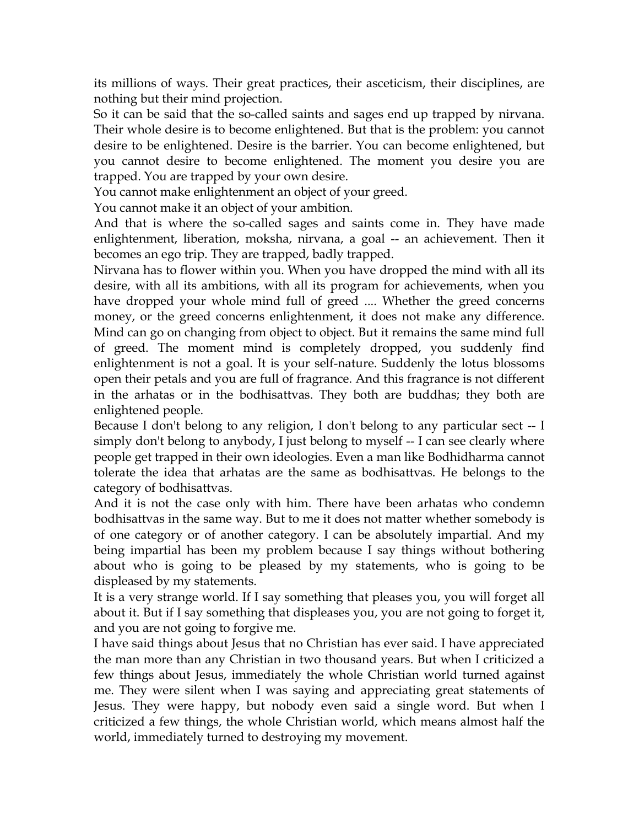its millions of ways. Their great practices, their asceticism, their disciplines, are nothing but their mind projection.

So it can be said that the so-called saints and sages end up trapped by nirvana. Their whole desire is to become enlightened. But that is the problem: you cannot desire to be enlightened. Desire is the barrier. You can become enlightened, but you cannot desire to become enlightened. The moment you desire you are trapped. You are trapped by your own desire.

You cannot make enlightenment an object of your greed.

You cannot make it an object of your ambition.

And that is where the so-called sages and saints come in. They have made enlightenment, liberation, moksha, nirvana, a goal -- an achievement. Then it becomes an ego trip. They are trapped, badly trapped.

Nirvana has to flower within you. When you have dropped the mind with all its desire, with all its ambitions, with all its program for achievements, when you have dropped your whole mind full of greed .... Whether the greed concerns money, or the greed concerns enlightenment, it does not make any difference. Mind can go on changing from object to object. But it remains the same mind full of greed. The moment mind is completely dropped, you suddenly find enlightenment is not a goal. It is your self-nature. Suddenly the lotus blossoms open their petals and you are full of fragrance. And this fragrance is not different in the arhatas or in the bodhisattvas. They both are buddhas; they both are enlightened people.

Because I don't belong to any religion, I don't belong to any particular sect -- I simply don't belong to anybody, I just belong to myself -- I can see clearly where people get trapped in their own ideologies. Even a man like Bodhidharma cannot tolerate the idea that arhatas are the same as bodhisattvas. He belongs to the category of bodhisattvas.

And it is not the case only with him. There have been arhatas who condemn bodhisattvas in the same way. But to me it does not matter whether somebody is of one category or of another category. I can be absolutely impartial. And my being impartial has been my problem because I say things without bothering about who is going to be pleased by my statements, who is going to be displeased by my statements.

It is a very strange world. If I say something that pleases you, you will forget all about it. But if I say something that displeases you, you are not going to forget it, and you are not going to forgive me.

I have said things about Jesus that no Christian has ever said. I have appreciated the man more than any Christian in two thousand years. But when I criticized a few things about Jesus, immediately the whole Christian world turned against me. They were silent when I was saying and appreciating great statements of Jesus. They were happy, but nobody even said a single word. But when I criticized a few things, the whole Christian world, which means almost half the world, immediately turned to destroying my movement.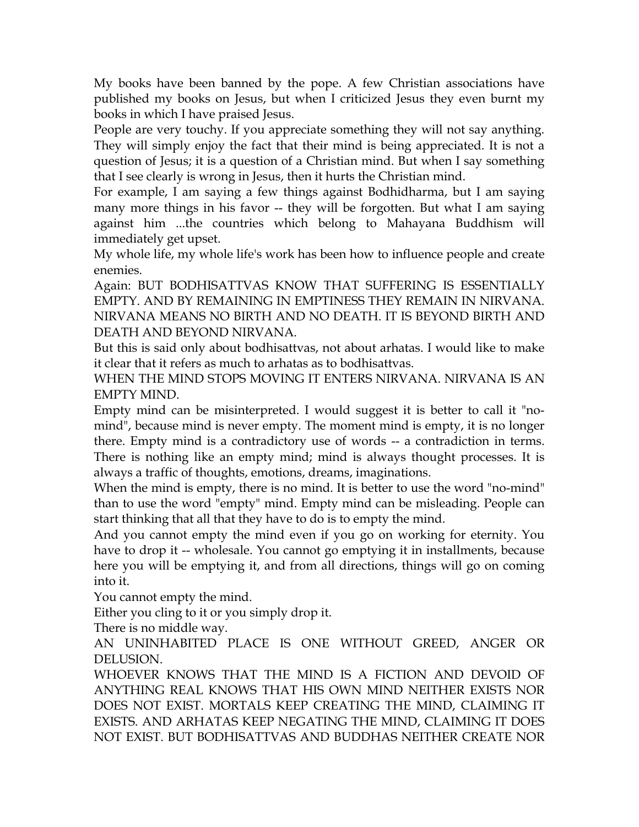My books have been banned by the pope. A few Christian associations have published my books on Jesus, but when I criticized Jesus they even burnt my books in which I have praised Jesus.

People are very touchy. If you appreciate something they will not say anything. They will simply enjoy the fact that their mind is being appreciated. It is not a question of Jesus; it is a question of a Christian mind. But when I say something that I see clearly is wrong in Jesus, then it hurts the Christian mind.

For example, I am saying a few things against Bodhidharma, but I am saying many more things in his favor -- they will be forgotten. But what I am saying against him ...the countries which belong to Mahayana Buddhism will immediately get upset.

My whole life, my whole life's work has been how to influence people and create enemies.

Again: BUT BODHISATTVAS KNOW THAT SUFFERING IS ESSENTIALLY EMPTY. AND BY REMAINING IN EMPTINESS THEY REMAIN IN NIRVANA. NIRVANA MEANS NO BIRTH AND NO DEATH. IT IS BEYOND BIRTH AND DEATH AND BEYOND NIRVANA.

But this is said only about bodhisattvas, not about arhatas. I would like to make it clear that it refers as much to arhatas as to bodhisattvas.

WHEN THE MIND STOPS MOVING IT ENTERS NIRVANA. NIRVANA IS AN EMPTY MIND.

Empty mind can be misinterpreted. I would suggest it is better to call it "nomind", because mind is never empty. The moment mind is empty, it is no longer there. Empty mind is a contradictory use of words -- a contradiction in terms. There is nothing like an empty mind; mind is always thought processes. It is always a traffic of thoughts, emotions, dreams, imaginations.

When the mind is empty, there is no mind. It is better to use the word "no-mind" than to use the word "empty" mind. Empty mind can be misleading. People can start thinking that all that they have to do is to empty the mind.

And you cannot empty the mind even if you go on working for eternity. You have to drop it -- wholesale. You cannot go emptying it in installments, because here you will be emptying it, and from all directions, things will go on coming into it.

You cannot empty the mind.

Either you cling to it or you simply drop it.

There is no middle way.

AN UNINHABITED PLACE IS ONE WITHOUT GREED, ANGER OR DELUSION.

WHOEVER KNOWS THAT THE MIND IS A FICTION AND DEVOID OF ANYTHING REAL KNOWS THAT HIS OWN MIND NEITHER EXISTS NOR DOES NOT EXIST. MORTALS KEEP CREATING THE MIND, CLAIMING IT EXISTS. AND ARHATAS KEEP NEGATING THE MIND, CLAIMING IT DOES NOT EXIST. BUT BODHISATTVAS AND BUDDHAS NEITHER CREATE NOR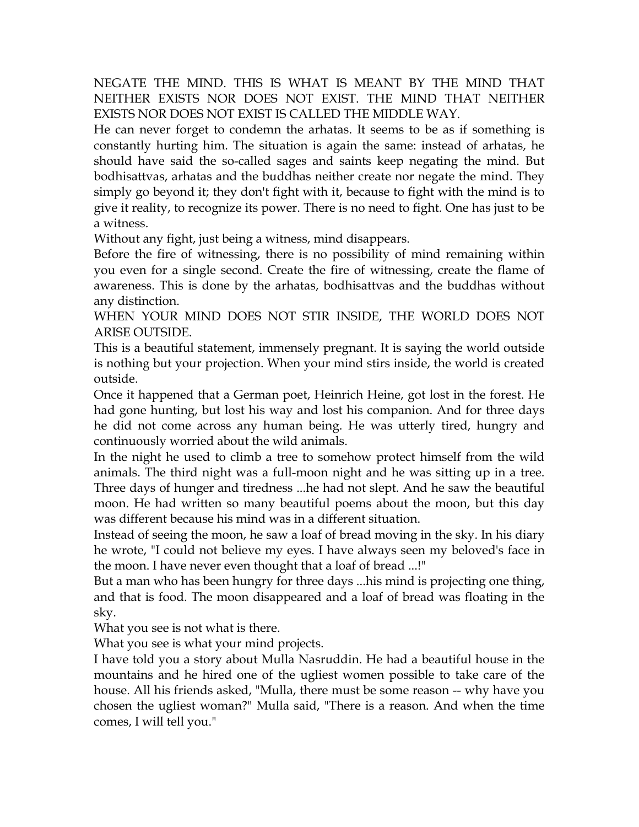NEGATE THE MIND. THIS IS WHAT IS MEANT BY THE MIND THAT NEITHER EXISTS NOR DOES NOT EXIST. THE MIND THAT NEITHER EXISTS NOR DOES NOT EXIST IS CALLED THE MIDDLE WAY.

He can never forget to condemn the arhatas. It seems to be as if something is constantly hurting him. The situation is again the same: instead of arhatas, he should have said the so-called sages and saints keep negating the mind. But bodhisattvas, arhatas and the buddhas neither create nor negate the mind. They simply go beyond it; they don't fight with it, because to fight with the mind is to give it reality, to recognize its power. There is no need to fight. One has just to be a witness.

Without any fight, just being a witness, mind disappears.

Before the fire of witnessing, there is no possibility of mind remaining within you even for a single second. Create the fire of witnessing, create the flame of awareness. This is done by the arhatas, bodhisattvas and the buddhas without any distinction.

WHEN YOUR MIND DOES NOT STIR INSIDE, THE WORLD DOES NOT ARISE OUTSIDE.

This is a beautiful statement, immensely pregnant. It is saying the world outside is nothing but your projection. When your mind stirs inside, the world is created outside.

Once it happened that a German poet, Heinrich Heine, got lost in the forest. He had gone hunting, but lost his way and lost his companion. And for three days he did not come across any human being. He was utterly tired, hungry and continuously worried about the wild animals.

In the night he used to climb a tree to somehow protect himself from the wild animals. The third night was a full-moon night and he was sitting up in a tree. Three days of hunger and tiredness ...he had not slept. And he saw the beautiful moon. He had written so many beautiful poems about the moon, but this day was different because his mind was in a different situation.

Instead of seeing the moon, he saw a loaf of bread moving in the sky. In his diary he wrote, "I could not believe my eyes. I have always seen my beloved's face in the moon. I have never even thought that a loaf of bread ...!"

But a man who has been hungry for three days ...his mind is projecting one thing, and that is food. The moon disappeared and a loaf of bread was floating in the sky.

What you see is not what is there.

What you see is what your mind projects.

I have told you a story about Mulla Nasruddin. He had a beautiful house in the mountains and he hired one of the ugliest women possible to take care of the house. All his friends asked, "Mulla, there must be some reason -- why have you chosen the ugliest woman?" Mulla said, "There is a reason. And when the time comes, I will tell you."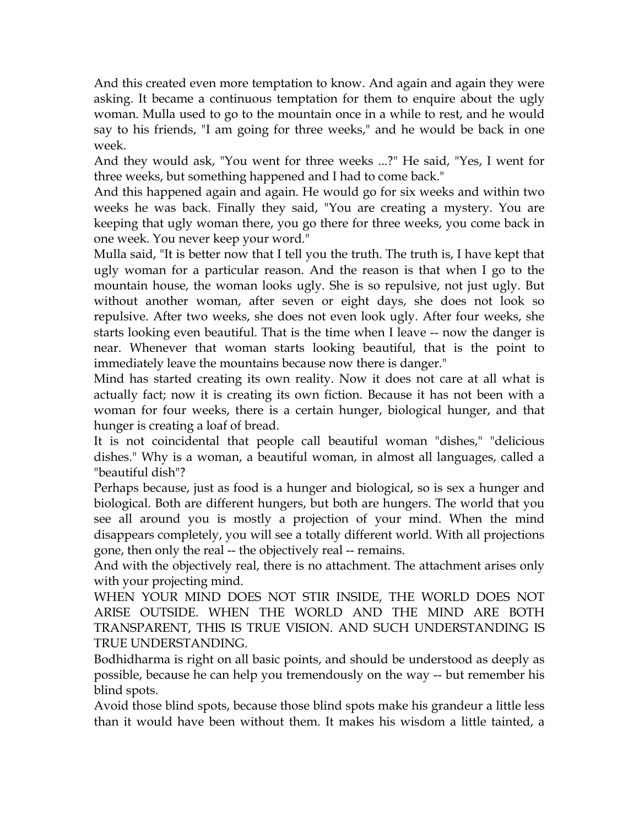And this created even more temptation to know. And again and again they were asking. It became a continuous temptation for them to enquire about the ugly woman. Mulla used to go to the mountain once in a while to rest, and he would say to his friends, "I am going for three weeks," and he would be back in one week.

And they would ask, "You went for three weeks ...?" He said, "Yes, I went for three weeks, but something happened and I had to come back."

And this happened again and again. He would go for six weeks and within two weeks he was back. Finally they said, "You are creating a mystery. You are keeping that ugly woman there, you go there for three weeks, you come back in one week. You never keep your word."

Mulla said, "It is better now that I tell you the truth. The truth is, I have kept that ugly woman for a particular reason. And the reason is that when I go to the mountain house, the woman looks ugly. She is so repulsive, not just ugly. But without another woman, after seven or eight days, she does not look so repulsive. After two weeks, she does not even look ugly. After four weeks, she starts looking even beautiful. That is the time when I leave -- now the danger is near. Whenever that woman starts looking beautiful, that is the point to immediately leave the mountains because now there is danger."

Mind has started creating its own reality. Now it does not care at all what is actually fact; now it is creating its own fiction. Because it has not been with a woman for four weeks, there is a certain hunger, biological hunger, and that hunger is creating a loaf of bread.

It is not coincidental that people call beautiful woman "dishes," "delicious dishes." Why is a woman, a beautiful woman, in almost all languages, called a "beautiful dish"?

Perhaps because, just as food is a hunger and biological, so is sex a hunger and biological. Both are different hungers, but both are hungers. The world that you see all around you is mostly a projection of your mind. When the mind disappears completely, you will see a totally different world. With all projections gone, then only the real -- the objectively real -- remains.

And with the objectively real, there is no attachment. The attachment arises only with your projecting mind.

WHEN YOUR MIND DOES NOT STIR INSIDE, THE WORLD DOES NOT ARISE OUTSIDE. WHEN THE WORLD AND THE MIND ARE BOTH TRANSPARENT, THIS IS TRUE VISION. AND SUCH UNDERSTANDING IS TRUE UNDERSTANDING.

Bodhidharma is right on all basic points, and should be understood as deeply as possible, because he can help you tremendously on the way -- but remember his blind spots.

Avoid those blind spots, because those blind spots make his grandeur a little less than it would have been without them. It makes his wisdom a little tainted, a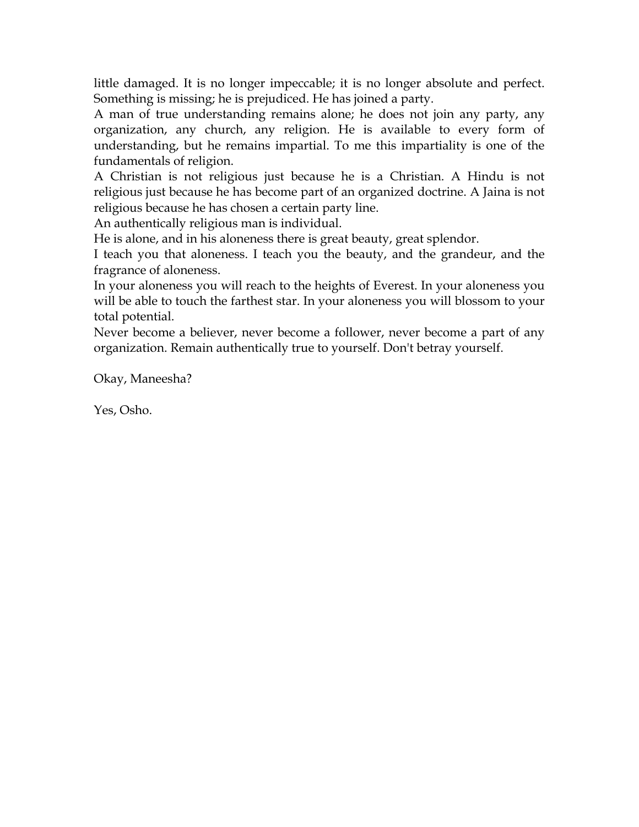little damaged. It is no longer impeccable; it is no longer absolute and perfect. Something is missing; he is prejudiced. He has joined a party.

A man of true understanding remains alone; he does not join any party, any organization, any church, any religion. He is available to every form of understanding, but he remains impartial. To me this impartiality is one of the fundamentals of religion.

A Christian is not religious just because he is a Christian. A Hindu is not religious just because he has become part of an organized doctrine. A Jaina is not religious because he has chosen a certain party line.

An authentically religious man is individual.

He is alone, and in his aloneness there is great beauty, great splendor.

I teach you that aloneness. I teach you the beauty, and the grandeur, and the fragrance of aloneness.

In your aloneness you will reach to the heights of Everest. In your aloneness you will be able to touch the farthest star. In your aloneness you will blossom to your total potential.

Never become a believer, never become a follower, never become a part of any organization. Remain authentically true to yourself. Don't betray yourself.

Okay, Maneesha?

Yes, Osho.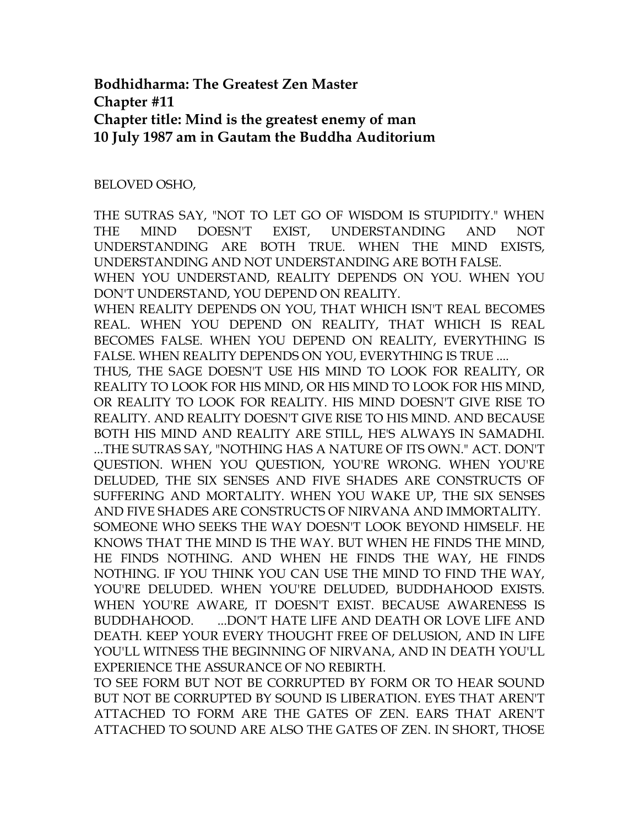# **Bodhidharma: The Greatest Zen Master Chapter #11 Chapter title: Mind is the greatest enemy of man 10 July 1987 am in Gautam the Buddha Auditorium**

BELOVED OSHO,

THE SUTRAS SAY, "NOT TO LET GO OF WISDOM IS STUPIDITY." WHEN THE MIND DOESN'T EXIST, UNDERSTANDING AND NOT UNDERSTANDING ARE BOTH TRUE. WHEN THE MIND EXISTS, UNDERSTANDING AND NOT UNDERSTANDING ARE BOTH FALSE.

WHEN YOU UNDERSTAND, REALITY DEPENDS ON YOU. WHEN YOU DON'T UNDERSTAND, YOU DEPEND ON REALITY.

WHEN REALITY DEPENDS ON YOU, THAT WHICH ISN'T REAL BECOMES REAL. WHEN YOU DEPEND ON REALITY, THAT WHICH IS REAL BECOMES FALSE. WHEN YOU DEPEND ON REALITY, EVERYTHING IS FALSE. WHEN REALITY DEPENDS ON YOU, EVERYTHING IS TRUE ....

THUS, THE SAGE DOESN'T USE HIS MIND TO LOOK FOR REALITY, OR REALITY TO LOOK FOR HIS MIND, OR HIS MIND TO LOOK FOR HIS MIND, OR REALITY TO LOOK FOR REALITY. HIS MIND DOESN'T GIVE RISE TO REALITY. AND REALITY DOESN'T GIVE RISE TO HIS MIND. AND BECAUSE BOTH HIS MIND AND REALITY ARE STILL, HE'S ALWAYS IN SAMADHI. ...THE SUTRAS SAY, "NOTHING HAS A NATURE OF ITS OWN." ACT. DON'T QUESTION. WHEN YOU QUESTION, YOU'RE WRONG. WHEN YOU'RE DELUDED, THE SIX SENSES AND FIVE SHADES ARE CONSTRUCTS OF SUFFERING AND MORTALITY. WHEN YOU WAKE UP, THE SIX SENSES AND FIVE SHADES ARE CONSTRUCTS OF NIRVANA AND IMMORTALITY. SOMEONE WHO SEEKS THE WAY DOESN'T LOOK BEYOND HIMSELF. HE KNOWS THAT THE MIND IS THE WAY. BUT WHEN HE FINDS THE MIND, HE FINDS NOTHING. AND WHEN HE FINDS THE WAY, HE FINDS NOTHING. IF YOU THINK YOU CAN USE THE MIND TO FIND THE WAY, YOU'RE DELUDED. WHEN YOU'RE DELUDED, BUDDHAHOOD EXISTS. WHEN YOU'RE AWARE, IT DOESN'T EXIST. BECAUSE AWARENESS IS BUDDHAHOOD. ...DON'T HATE LIFE AND DEATH OR LOVE LIFE AND DEATH. KEEP YOUR EVERY THOUGHT FREE OF DELUSION, AND IN LIFE YOU'LL WITNESS THE BEGINNING OF NIRVANA, AND IN DEATH YOU'LL EXPERIENCE THE ASSURANCE OF NO REBIRTH.

TO SEE FORM BUT NOT BE CORRUPTED BY FORM OR TO HEAR SOUND BUT NOT BE CORRUPTED BY SOUND IS LIBERATION. EYES THAT AREN'T ATTACHED TO FORM ARE THE GATES OF ZEN. EARS THAT AREN'T ATTACHED TO SOUND ARE ALSO THE GATES OF ZEN. IN SHORT, THOSE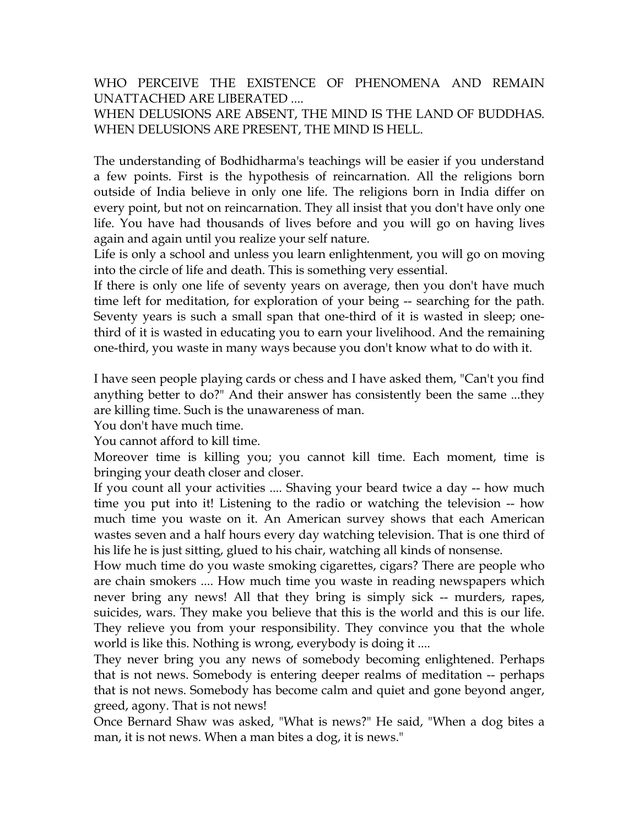WHO PERCEIVE THE EXISTENCE OF PHENOMENA AND REMAIN UNATTACHED ARE LIBERATED ....

WHEN DELUSIONS ARE ABSENT, THE MIND IS THE LAND OF BUDDHAS. WHEN DELUSIONS ARE PRESENT, THE MIND IS HELL.

The understanding of Bodhidharma's teachings will be easier if you understand a few points. First is the hypothesis of reincarnation. All the religions born outside of India believe in only one life. The religions born in India differ on every point, but not on reincarnation. They all insist that you don't have only one life. You have had thousands of lives before and you will go on having lives again and again until you realize your self nature.

Life is only a school and unless you learn enlightenment, you will go on moving into the circle of life and death. This is something very essential.

If there is only one life of seventy years on average, then you don't have much time left for meditation, for exploration of your being -- searching for the path. Seventy years is such a small span that one-third of it is wasted in sleep; onethird of it is wasted in educating you to earn your livelihood. And the remaining one-third, you waste in many ways because you don't know what to do with it.

I have seen people playing cards or chess and I have asked them, "Can't you find anything better to do?" And their answer has consistently been the same ...they are killing time. Such is the unawareness of man.

You don't have much time.

You cannot afford to kill time.

Moreover time is killing you; you cannot kill time. Each moment, time is bringing your death closer and closer.

If you count all your activities .... Shaving your beard twice a day -- how much time you put into it! Listening to the radio or watching the television -- how much time you waste on it. An American survey shows that each American wastes seven and a half hours every day watching television. That is one third of his life he is just sitting, glued to his chair, watching all kinds of nonsense.

How much time do you waste smoking cigarettes, cigars? There are people who are chain smokers .... How much time you waste in reading newspapers which never bring any news! All that they bring is simply sick -- murders, rapes, suicides, wars. They make you believe that this is the world and this is our life. They relieve you from your responsibility. They convince you that the whole world is like this. Nothing is wrong, everybody is doing it ....

They never bring you any news of somebody becoming enlightened. Perhaps that is not news. Somebody is entering deeper realms of meditation -- perhaps that is not news. Somebody has become calm and quiet and gone beyond anger, greed, agony. That is not news!

Once Bernard Shaw was asked, "What is news?" He said, "When a dog bites a man, it is not news. When a man bites a dog, it is news."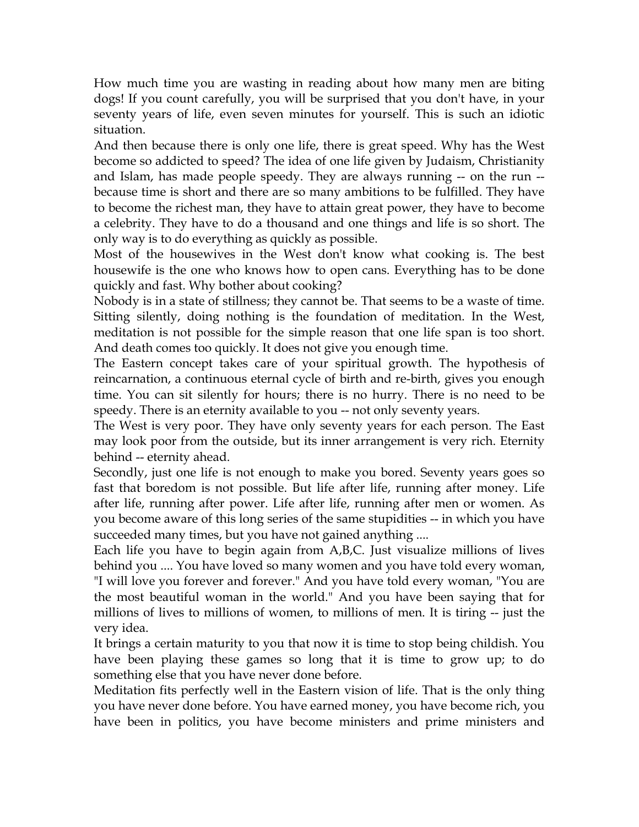How much time you are wasting in reading about how many men are biting dogs! If you count carefully, you will be surprised that you don't have, in your seventy years of life, even seven minutes for yourself. This is such an idiotic situation.

And then because there is only one life, there is great speed. Why has the West become so addicted to speed? The idea of one life given by Judaism, Christianity and Islam, has made people speedy. They are always running -- on the run - because time is short and there are so many ambitions to be fulfilled. They have to become the richest man, they have to attain great power, they have to become a celebrity. They have to do a thousand and one things and life is so short. The only way is to do everything as quickly as possible.

Most of the housewives in the West don't know what cooking is. The best housewife is the one who knows how to open cans. Everything has to be done quickly and fast. Why bother about cooking?

Nobody is in a state of stillness; they cannot be. That seems to be a waste of time. Sitting silently, doing nothing is the foundation of meditation. In the West, meditation is not possible for the simple reason that one life span is too short. And death comes too quickly. It does not give you enough time.

The Eastern concept takes care of your spiritual growth. The hypothesis of reincarnation, a continuous eternal cycle of birth and re-birth, gives you enough time. You can sit silently for hours; there is no hurry. There is no need to be speedy. There is an eternity available to you -- not only seventy years.

The West is very poor. They have only seventy years for each person. The East may look poor from the outside, but its inner arrangement is very rich. Eternity behind -- eternity ahead.

Secondly, just one life is not enough to make you bored. Seventy years goes so fast that boredom is not possible. But life after life, running after money. Life after life, running after power. Life after life, running after men or women. As you become aware of this long series of the same stupidities -- in which you have succeeded many times, but you have not gained anything ....

Each life you have to begin again from A,B,C. Just visualize millions of lives behind you .... You have loved so many women and you have told every woman, "I will love you forever and forever." And you have told every woman, "You are the most beautiful woman in the world." And you have been saying that for millions of lives to millions of women, to millions of men. It is tiring -- just the very idea.

It brings a certain maturity to you that now it is time to stop being childish. You have been playing these games so long that it is time to grow up; to do something else that you have never done before.

Meditation fits perfectly well in the Eastern vision of life. That is the only thing you have never done before. You have earned money, you have become rich, you have been in politics, you have become ministers and prime ministers and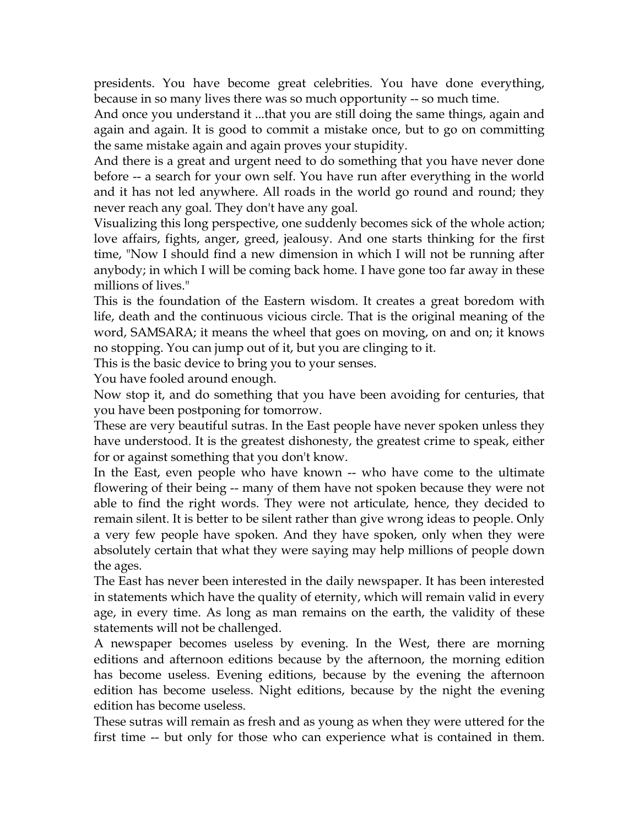presidents. You have become great celebrities. You have done everything, because in so many lives there was so much opportunity -- so much time.

And once you understand it ...that you are still doing the same things, again and again and again. It is good to commit a mistake once, but to go on committing the same mistake again and again proves your stupidity.

And there is a great and urgent need to do something that you have never done before -- a search for your own self. You have run after everything in the world and it has not led anywhere. All roads in the world go round and round; they never reach any goal. They don't have any goal.

Visualizing this long perspective, one suddenly becomes sick of the whole action; love affairs, fights, anger, greed, jealousy. And one starts thinking for the first time, "Now I should find a new dimension in which I will not be running after anybody; in which I will be coming back home. I have gone too far away in these millions of lives."

This is the foundation of the Eastern wisdom. It creates a great boredom with life, death and the continuous vicious circle. That is the original meaning of the word, SAMSARA; it means the wheel that goes on moving, on and on; it knows no stopping. You can jump out of it, but you are clinging to it.

This is the basic device to bring you to your senses.

You have fooled around enough.

Now stop it, and do something that you have been avoiding for centuries, that you have been postponing for tomorrow.

These are very beautiful sutras. In the East people have never spoken unless they have understood. It is the greatest dishonesty, the greatest crime to speak, either for or against something that you don't know.

In the East, even people who have known -- who have come to the ultimate flowering of their being -- many of them have not spoken because they were not able to find the right words. They were not articulate, hence, they decided to remain silent. It is better to be silent rather than give wrong ideas to people. Only a very few people have spoken. And they have spoken, only when they were absolutely certain that what they were saying may help millions of people down the ages.

The East has never been interested in the daily newspaper. It has been interested in statements which have the quality of eternity, which will remain valid in every age, in every time. As long as man remains on the earth, the validity of these statements will not be challenged.

A newspaper becomes useless by evening. In the West, there are morning editions and afternoon editions because by the afternoon, the morning edition has become useless. Evening editions, because by the evening the afternoon edition has become useless. Night editions, because by the night the evening edition has become useless.

These sutras will remain as fresh and as young as when they were uttered for the first time -- but only for those who can experience what is contained in them.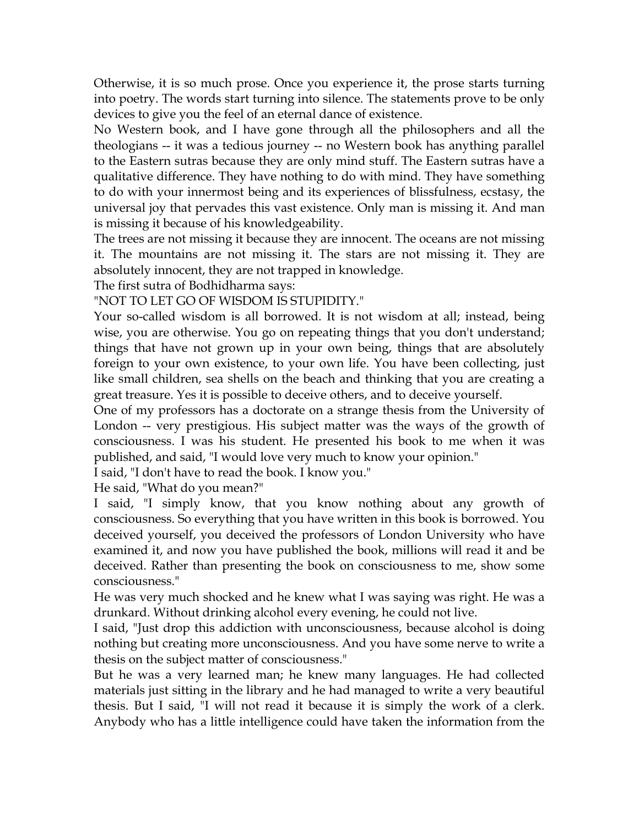Otherwise, it is so much prose. Once you experience it, the prose starts turning into poetry. The words start turning into silence. The statements prove to be only devices to give you the feel of an eternal dance of existence.

No Western book, and I have gone through all the philosophers and all the theologians -- it was a tedious journey -- no Western book has anything parallel to the Eastern sutras because they are only mind stuff. The Eastern sutras have a qualitative difference. They have nothing to do with mind. They have something to do with your innermost being and its experiences of blissfulness, ecstasy, the universal joy that pervades this vast existence. Only man is missing it. And man is missing it because of his knowledgeability.

The trees are not missing it because they are innocent. The oceans are not missing it. The mountains are not missing it. The stars are not missing it. They are absolutely innocent, they are not trapped in knowledge.

The first sutra of Bodhidharma says:

"NOT TO LET GO OF WISDOM IS STUPIDITY."

Your so-called wisdom is all borrowed. It is not wisdom at all; instead, being wise, you are otherwise. You go on repeating things that you don't understand; things that have not grown up in your own being, things that are absolutely foreign to your own existence, to your own life. You have been collecting, just like small children, sea shells on the beach and thinking that you are creating a great treasure. Yes it is possible to deceive others, and to deceive yourself.

One of my professors has a doctorate on a strange thesis from the University of London -- very prestigious. His subject matter was the ways of the growth of consciousness. I was his student. He presented his book to me when it was published, and said, "I would love very much to know your opinion."

I said, "I don't have to read the book. I know you."

He said, "What do you mean?"

I said, "I simply know, that you know nothing about any growth of consciousness. So everything that you have written in this book is borrowed. You deceived yourself, you deceived the professors of London University who have examined it, and now you have published the book, millions will read it and be deceived. Rather than presenting the book on consciousness to me, show some consciousness."

He was very much shocked and he knew what I was saying was right. He was a drunkard. Without drinking alcohol every evening, he could not live.

I said, "Just drop this addiction with unconsciousness, because alcohol is doing nothing but creating more unconsciousness. And you have some nerve to write a thesis on the subject matter of consciousness."

But he was a very learned man; he knew many languages. He had collected materials just sitting in the library and he had managed to write a very beautiful thesis. But I said, "I will not read it because it is simply the work of a clerk. Anybody who has a little intelligence could have taken the information from the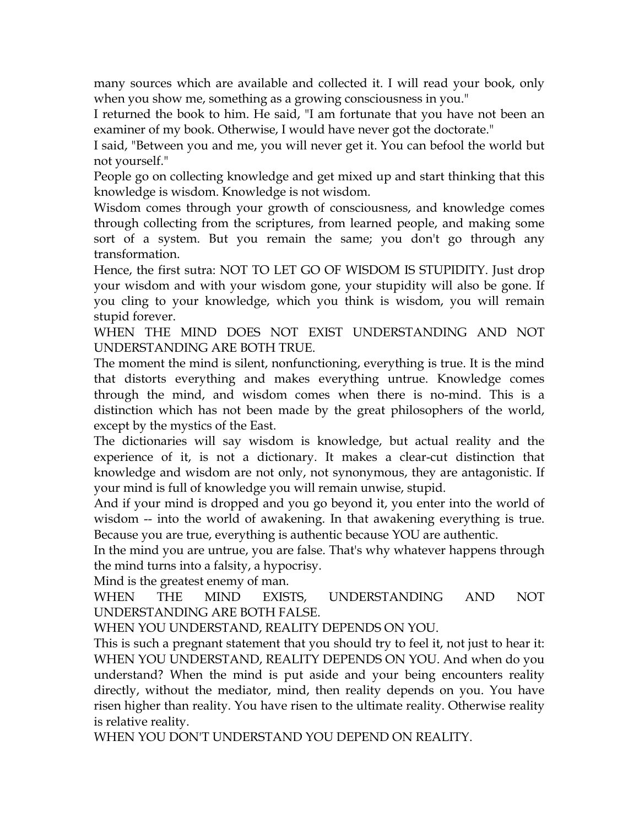many sources which are available and collected it. I will read your book, only when you show me, something as a growing consciousness in you."

I returned the book to him. He said, "I am fortunate that you have not been an examiner of my book. Otherwise, I would have never got the doctorate."

I said, "Between you and me, you will never get it. You can befool the world but not yourself."

People go on collecting knowledge and get mixed up and start thinking that this knowledge is wisdom. Knowledge is not wisdom.

Wisdom comes through your growth of consciousness, and knowledge comes through collecting from the scriptures, from learned people, and making some sort of a system. But you remain the same; you don't go through any transformation.

Hence, the first sutra: NOT TO LET GO OF WISDOM IS STUPIDITY. Just drop your wisdom and with your wisdom gone, your stupidity will also be gone. If you cling to your knowledge, which you think is wisdom, you will remain stupid forever.

WHEN THE MIND DOES NOT EXIST UNDERSTANDING AND NOT UNDERSTANDING ARE BOTH TRUE.

The moment the mind is silent, nonfunctioning, everything is true. It is the mind that distorts everything and makes everything untrue. Knowledge comes through the mind, and wisdom comes when there is no-mind. This is a distinction which has not been made by the great philosophers of the world, except by the mystics of the East.

The dictionaries will say wisdom is knowledge, but actual reality and the experience of it, is not a dictionary. It makes a clear-cut distinction that knowledge and wisdom are not only, not synonymous, they are antagonistic. If your mind is full of knowledge you will remain unwise, stupid.

And if your mind is dropped and you go beyond it, you enter into the world of wisdom -- into the world of awakening. In that awakening everything is true. Because you are true, everything is authentic because YOU are authentic.

In the mind you are untrue, you are false. That's why whatever happens through the mind turns into a falsity, a hypocrisy.

Mind is the greatest enemy of man.

WHEN THE MIND EXISTS, UNDERSTANDING AND NOT UNDERSTANDING ARE BOTH FALSE.

WHEN YOU UNDERSTAND, REALITY DEPENDS ON YOU.

This is such a pregnant statement that you should try to feel it, not just to hear it: WHEN YOU UNDERSTAND, REALITY DEPENDS ON YOU. And when do you understand? When the mind is put aside and your being encounters reality directly, without the mediator, mind, then reality depends on you. You have risen higher than reality. You have risen to the ultimate reality. Otherwise reality is relative reality.

WHEN YOU DON'T UNDERSTAND YOU DEPEND ON REALITY.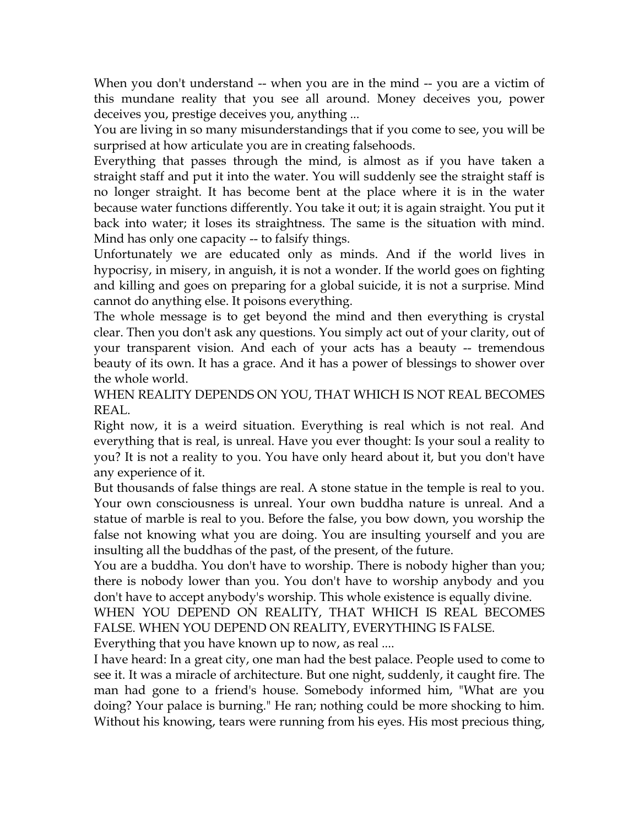When you don't understand -- when you are in the mind -- you are a victim of this mundane reality that you see all around. Money deceives you, power deceives you, prestige deceives you, anything ...

You are living in so many misunderstandings that if you come to see, you will be surprised at how articulate you are in creating falsehoods.

Everything that passes through the mind, is almost as if you have taken a straight staff and put it into the water. You will suddenly see the straight staff is no longer straight. It has become bent at the place where it is in the water because water functions differently. You take it out; it is again straight. You put it back into water; it loses its straightness. The same is the situation with mind. Mind has only one capacity -- to falsify things.

Unfortunately we are educated only as minds. And if the world lives in hypocrisy, in misery, in anguish, it is not a wonder. If the world goes on fighting and killing and goes on preparing for a global suicide, it is not a surprise. Mind cannot do anything else. It poisons everything.

The whole message is to get beyond the mind and then everything is crystal clear. Then you don't ask any questions. You simply act out of your clarity, out of your transparent vision. And each of your acts has a beauty -- tremendous beauty of its own. It has a grace. And it has a power of blessings to shower over the whole world.

WHEN REALITY DEPENDS ON YOU, THAT WHICH IS NOT REAL BECOMES REAL.

Right now, it is a weird situation. Everything is real which is not real. And everything that is real, is unreal. Have you ever thought: Is your soul a reality to you? It is not a reality to you. You have only heard about it, but you don't have any experience of it.

But thousands of false things are real. A stone statue in the temple is real to you. Your own consciousness is unreal. Your own buddha nature is unreal. And a statue of marble is real to you. Before the false, you bow down, you worship the false not knowing what you are doing. You are insulting yourself and you are insulting all the buddhas of the past, of the present, of the future.

You are a buddha. You don't have to worship. There is nobody higher than you; there is nobody lower than you. You don't have to worship anybody and you don't have to accept anybody's worship. This whole existence is equally divine.

WHEN YOU DEPEND ON REALITY, THAT WHICH IS REAL BECOMES FALSE. WHEN YOU DEPEND ON REALITY, EVERYTHING IS FALSE.

Everything that you have known up to now, as real ....

I have heard: In a great city, one man had the best palace. People used to come to see it. It was a miracle of architecture. But one night, suddenly, it caught fire. The man had gone to a friend's house. Somebody informed him, "What are you doing? Your palace is burning." He ran; nothing could be more shocking to him. Without his knowing, tears were running from his eyes. His most precious thing,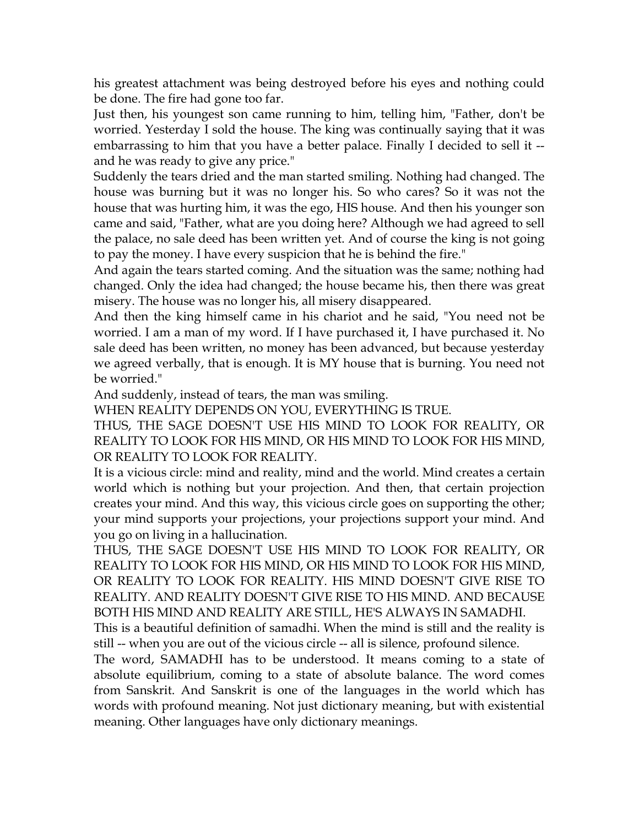his greatest attachment was being destroyed before his eyes and nothing could be done. The fire had gone too far.

Just then, his youngest son came running to him, telling him, "Father, don't be worried. Yesterday I sold the house. The king was continually saying that it was embarrassing to him that you have a better palace. Finally I decided to sell it - and he was ready to give any price."

Suddenly the tears dried and the man started smiling. Nothing had changed. The house was burning but it was no longer his. So who cares? So it was not the house that was hurting him, it was the ego, HIS house. And then his younger son came and said, "Father, what are you doing here? Although we had agreed to sell the palace, no sale deed has been written yet. And of course the king is not going to pay the money. I have every suspicion that he is behind the fire."

And again the tears started coming. And the situation was the same; nothing had changed. Only the idea had changed; the house became his, then there was great misery. The house was no longer his, all misery disappeared.

And then the king himself came in his chariot and he said, "You need not be worried. I am a man of my word. If I have purchased it, I have purchased it. No sale deed has been written, no money has been advanced, but because yesterday we agreed verbally, that is enough. It is MY house that is burning. You need not be worried."

And suddenly, instead of tears, the man was smiling.

WHEN REALITY DEPENDS ON YOU, EVERYTHING IS TRUE.

THUS, THE SAGE DOESN'T USE HIS MIND TO LOOK FOR REALITY, OR REALITY TO LOOK FOR HIS MIND, OR HIS MIND TO LOOK FOR HIS MIND, OR REALITY TO LOOK FOR REALITY.

It is a vicious circle: mind and reality, mind and the world. Mind creates a certain world which is nothing but your projection. And then, that certain projection creates your mind. And this way, this vicious circle goes on supporting the other; your mind supports your projections, your projections support your mind. And you go on living in a hallucination.

THUS, THE SAGE DOESN'T USE HIS MIND TO LOOK FOR REALITY, OR REALITY TO LOOK FOR HIS MIND, OR HIS MIND TO LOOK FOR HIS MIND, OR REALITY TO LOOK FOR REALITY. HIS MIND DOESN'T GIVE RISE TO REALITY. AND REALITY DOESN'T GIVE RISE TO HIS MIND. AND BECAUSE BOTH HIS MIND AND REALITY ARE STILL, HE'S ALWAYS IN SAMADHI.

This is a beautiful definition of samadhi. When the mind is still and the reality is still -- when you are out of the vicious circle -- all is silence, profound silence.

The word, SAMADHI has to be understood. It means coming to a state of absolute equilibrium, coming to a state of absolute balance. The word comes from Sanskrit. And Sanskrit is one of the languages in the world which has words with profound meaning. Not just dictionary meaning, but with existential meaning. Other languages have only dictionary meanings.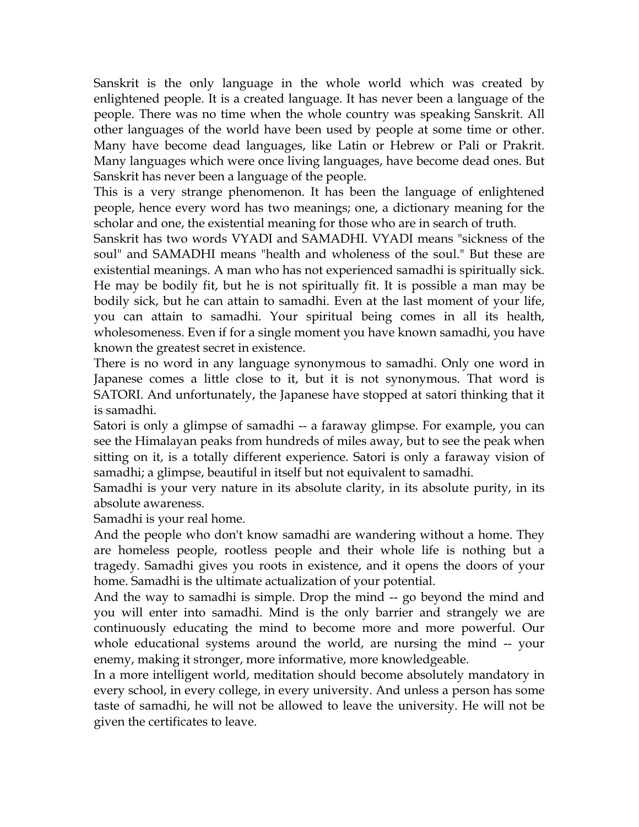Sanskrit is the only language in the whole world which was created by enlightened people. It is a created language. It has never been a language of the people. There was no time when the whole country was speaking Sanskrit. All other languages of the world have been used by people at some time or other. Many have become dead languages, like Latin or Hebrew or Pali or Prakrit. Many languages which were once living languages, have become dead ones. But Sanskrit has never been a language of the people.

This is a very strange phenomenon. It has been the language of enlightened people, hence every word has two meanings; one, a dictionary meaning for the scholar and one, the existential meaning for those who are in search of truth.

Sanskrit has two words VYADI and SAMADHI. VYADI means "sickness of the soul" and SAMADHI means "health and wholeness of the soul." But these are existential meanings. A man who has not experienced samadhi is spiritually sick. He may be bodily fit, but he is not spiritually fit. It is possible a man may be bodily sick, but he can attain to samadhi. Even at the last moment of your life, you can attain to samadhi. Your spiritual being comes in all its health, wholesomeness. Even if for a single moment you have known samadhi, you have known the greatest secret in existence.

There is no word in any language synonymous to samadhi. Only one word in Japanese comes a little close to it, but it is not synonymous. That word is SATORI. And unfortunately, the Japanese have stopped at satori thinking that it is samadhi.

Satori is only a glimpse of samadhi -- a faraway glimpse. For example, you can see the Himalayan peaks from hundreds of miles away, but to see the peak when sitting on it, is a totally different experience. Satori is only a faraway vision of samadhi; a glimpse, beautiful in itself but not equivalent to samadhi.

Samadhi is your very nature in its absolute clarity, in its absolute purity, in its absolute awareness.

Samadhi is your real home.

And the people who don't know samadhi are wandering without a home. They are homeless people, rootless people and their whole life is nothing but a tragedy. Samadhi gives you roots in existence, and it opens the doors of your home. Samadhi is the ultimate actualization of your potential.

And the way to samadhi is simple. Drop the mind -- go beyond the mind and you will enter into samadhi. Mind is the only barrier and strangely we are continuously educating the mind to become more and more powerful. Our whole educational systems around the world, are nursing the mind -- your enemy, making it stronger, more informative, more knowledgeable.

In a more intelligent world, meditation should become absolutely mandatory in every school, in every college, in every university. And unless a person has some taste of samadhi, he will not be allowed to leave the university. He will not be given the certificates to leave.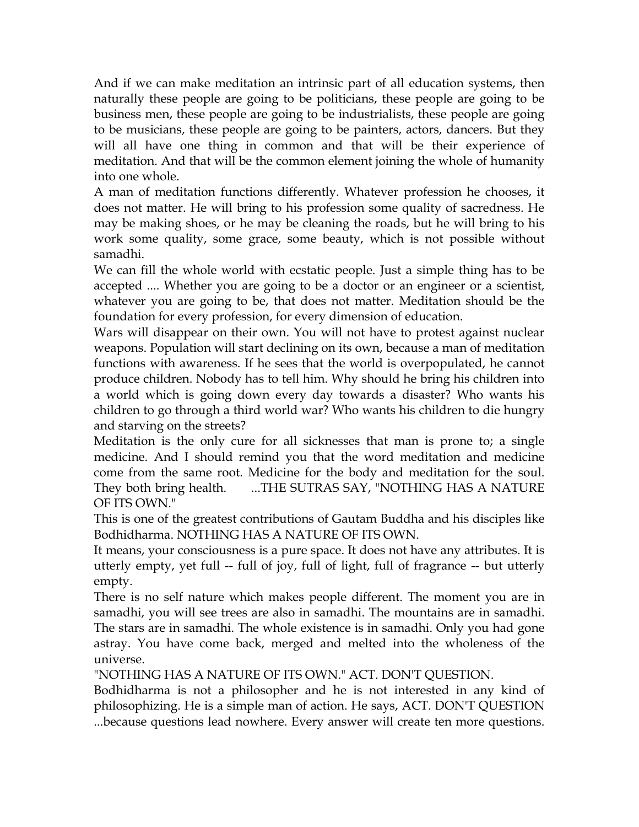And if we can make meditation an intrinsic part of all education systems, then naturally these people are going to be politicians, these people are going to be business men, these people are going to be industrialists, these people are going to be musicians, these people are going to be painters, actors, dancers. But they will all have one thing in common and that will be their experience of meditation. And that will be the common element joining the whole of humanity into one whole.

A man of meditation functions differently. Whatever profession he chooses, it does not matter. He will bring to his profession some quality of sacredness. He may be making shoes, or he may be cleaning the roads, but he will bring to his work some quality, some grace, some beauty, which is not possible without samadhi.

We can fill the whole world with ecstatic people. Just a simple thing has to be accepted .... Whether you are going to be a doctor or an engineer or a scientist, whatever you are going to be, that does not matter. Meditation should be the foundation for every profession, for every dimension of education.

Wars will disappear on their own. You will not have to protest against nuclear weapons. Population will start declining on its own, because a man of meditation functions with awareness. If he sees that the world is overpopulated, he cannot produce children. Nobody has to tell him. Why should he bring his children into a world which is going down every day towards a disaster? Who wants his children to go through a third world war? Who wants his children to die hungry and starving on the streets?

Meditation is the only cure for all sicknesses that man is prone to; a single medicine. And I should remind you that the word meditation and medicine come from the same root. Medicine for the body and meditation for the soul. They both bring health. ...THE SUTRAS SAY, "NOTHING HAS A NATURE OF ITS OWN."

This is one of the greatest contributions of Gautam Buddha and his disciples like Bodhidharma. NOTHING HAS A NATURE OF ITS OWN.

It means, your consciousness is a pure space. It does not have any attributes. It is utterly empty, yet full -- full of joy, full of light, full of fragrance -- but utterly empty.

There is no self nature which makes people different. The moment you are in samadhi, you will see trees are also in samadhi. The mountains are in samadhi. The stars are in samadhi. The whole existence is in samadhi. Only you had gone astray. You have come back, merged and melted into the wholeness of the universe.

"NOTHING HAS A NATURE OF ITS OWN." ACT. DON'T QUESTION.

Bodhidharma is not a philosopher and he is not interested in any kind of philosophizing. He is a simple man of action. He says, ACT. DON'T QUESTION ...because questions lead nowhere. Every answer will create ten more questions.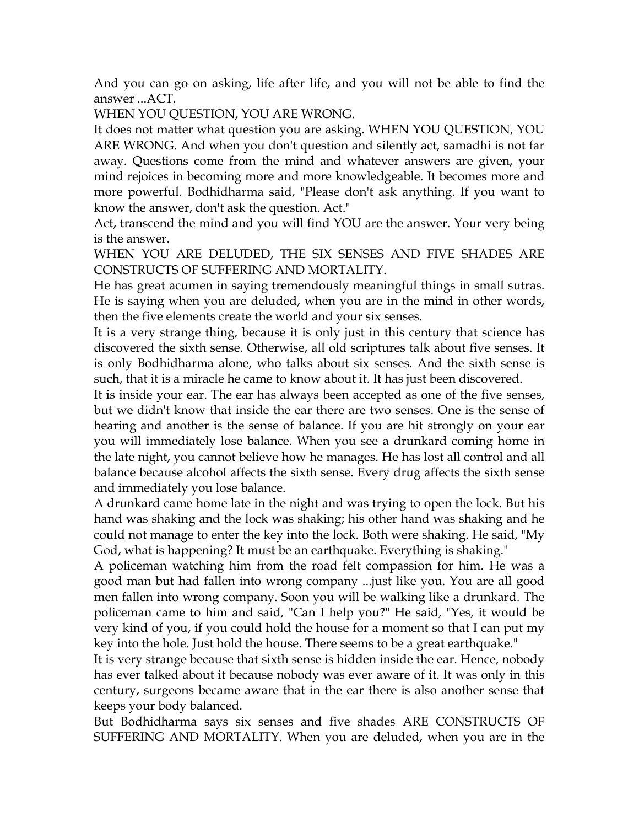And you can go on asking, life after life, and you will not be able to find the answer ...ACT.

WHEN YOU QUESTION, YOU ARE WRONG.

It does not matter what question you are asking. WHEN YOU QUESTION, YOU ARE WRONG. And when you don't question and silently act, samadhi is not far away. Questions come from the mind and whatever answers are given, your mind rejoices in becoming more and more knowledgeable. It becomes more and more powerful. Bodhidharma said, "Please don't ask anything. If you want to know the answer, don't ask the question. Act."

Act, transcend the mind and you will find YOU are the answer. Your very being is the answer.

WHEN YOU ARE DELUDED, THE SIX SENSES AND FIVE SHADES ARE CONSTRUCTS OF SUFFERING AND MORTALITY.

He has great acumen in saying tremendously meaningful things in small sutras. He is saying when you are deluded, when you are in the mind in other words, then the five elements create the world and your six senses.

It is a very strange thing, because it is only just in this century that science has discovered the sixth sense. Otherwise, all old scriptures talk about five senses. It is only Bodhidharma alone, who talks about six senses. And the sixth sense is such, that it is a miracle he came to know about it. It has just been discovered.

It is inside your ear. The ear has always been accepted as one of the five senses, but we didn't know that inside the ear there are two senses. One is the sense of hearing and another is the sense of balance. If you are hit strongly on your ear you will immediately lose balance. When you see a drunkard coming home in the late night, you cannot believe how he manages. He has lost all control and all balance because alcohol affects the sixth sense. Every drug affects the sixth sense and immediately you lose balance.

A drunkard came home late in the night and was trying to open the lock. But his hand was shaking and the lock was shaking; his other hand was shaking and he could not manage to enter the key into the lock. Both were shaking. He said, "My God, what is happening? It must be an earthquake. Everything is shaking."

A policeman watching him from the road felt compassion for him. He was a good man but had fallen into wrong company ...just like you. You are all good men fallen into wrong company. Soon you will be walking like a drunkard. The policeman came to him and said, "Can I help you?" He said, "Yes, it would be very kind of you, if you could hold the house for a moment so that I can put my key into the hole. Just hold the house. There seems to be a great earthquake."

It is very strange because that sixth sense is hidden inside the ear. Hence, nobody has ever talked about it because nobody was ever aware of it. It was only in this century, surgeons became aware that in the ear there is also another sense that keeps your body balanced.

But Bodhidharma says six senses and five shades ARE CONSTRUCTS OF SUFFERING AND MORTALITY. When you are deluded, when you are in the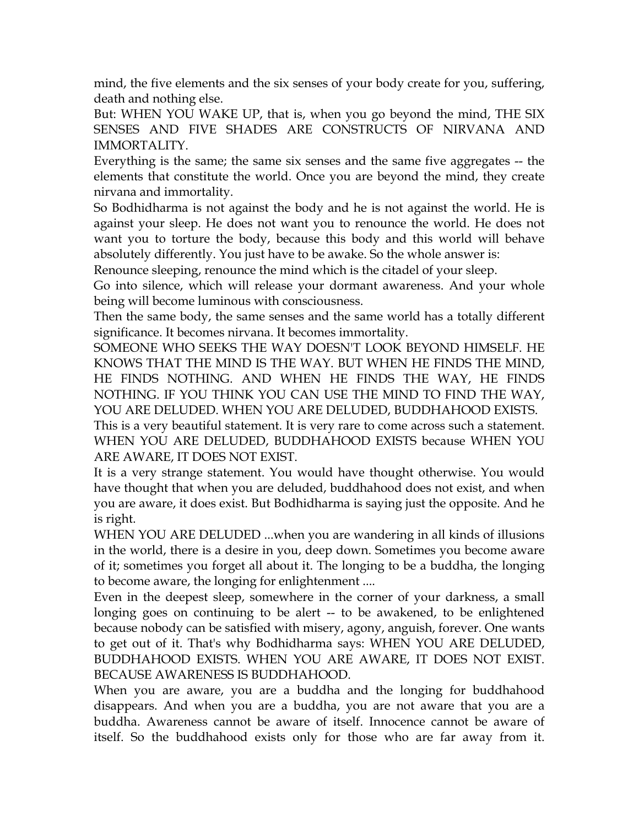mind, the five elements and the six senses of your body create for you, suffering, death and nothing else.

But: WHEN YOU WAKE UP, that is, when you go beyond the mind, THE SIX SENSES AND FIVE SHADES ARE CONSTRUCTS OF NIRVANA AND IMMORTALITY.

Everything is the same; the same six senses and the same five aggregates -- the elements that constitute the world. Once you are beyond the mind, they create nirvana and immortality.

So Bodhidharma is not against the body and he is not against the world. He is against your sleep. He does not want you to renounce the world. He does not want you to torture the body, because this body and this world will behave absolutely differently. You just have to be awake. So the whole answer is:

Renounce sleeping, renounce the mind which is the citadel of your sleep.

Go into silence, which will release your dormant awareness. And your whole being will become luminous with consciousness.

Then the same body, the same senses and the same world has a totally different significance. It becomes nirvana. It becomes immortality.

SOMEONE WHO SEEKS THE WAY DOESN'T LOOK BEYOND HIMSELF. HE KNOWS THAT THE MIND IS THE WAY. BUT WHEN HE FINDS THE MIND, HE FINDS NOTHING. AND WHEN HE FINDS THE WAY, HE FINDS NOTHING. IF YOU THINK YOU CAN USE THE MIND TO FIND THE WAY, YOU ARE DELUDED. WHEN YOU ARE DELUDED, BUDDHAHOOD EXISTS.

This is a very beautiful statement. It is very rare to come across such a statement. WHEN YOU ARE DELUDED, BUDDHAHOOD EXISTS because WHEN YOU ARE AWARE, IT DOES NOT EXIST.

It is a very strange statement. You would have thought otherwise. You would have thought that when you are deluded, buddhahood does not exist, and when you are aware, it does exist. But Bodhidharma is saying just the opposite. And he is right.

WHEN YOU ARE DELUDED ...when you are wandering in all kinds of illusions in the world, there is a desire in you, deep down. Sometimes you become aware of it; sometimes you forget all about it. The longing to be a buddha, the longing to become aware, the longing for enlightenment ....

Even in the deepest sleep, somewhere in the corner of your darkness, a small longing goes on continuing to be alert -- to be awakened, to be enlightened because nobody can be satisfied with misery, agony, anguish, forever. One wants to get out of it. That's why Bodhidharma says: WHEN YOU ARE DELUDED, BUDDHAHOOD EXISTS. WHEN YOU ARE AWARE, IT DOES NOT EXIST. BECAUSE AWARENESS IS BUDDHAHOOD.

When you are aware, you are a buddha and the longing for buddhahood disappears. And when you are a buddha, you are not aware that you are a buddha. Awareness cannot be aware of itself. Innocence cannot be aware of itself. So the buddhahood exists only for those who are far away from it.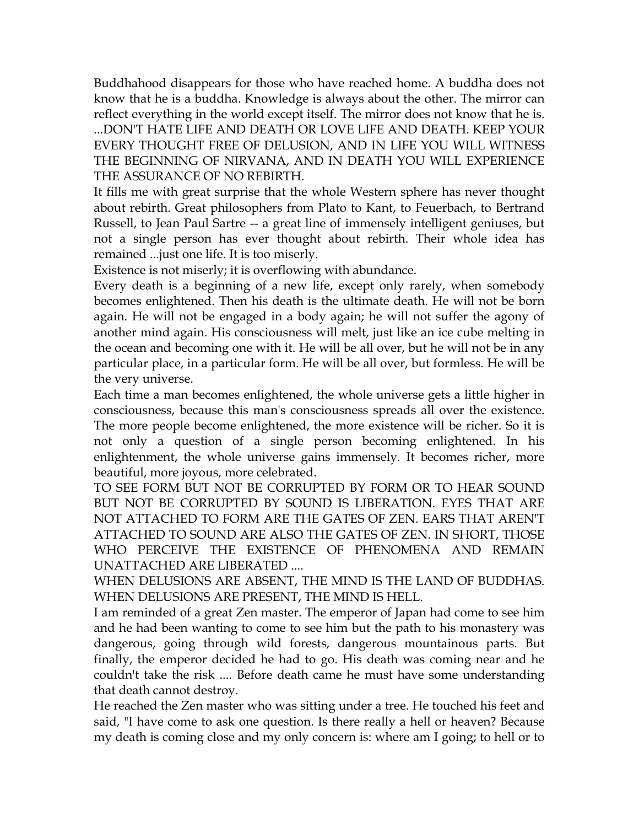Buddhahood disappears for those who have reached home. A buddha does not know that he is a buddha. Knowledge is always about the other. The mirror can reflect everything in the world except itself. The mirror does not know that he is. ...DON'T HATE LIFE AND DEATH OR LOVE LIFE AND DEATH. KEEP YOUR EVERY THOUGHT FREE OF DELUSION, AND IN LIFE YOU WILL WITNESS THE BEGINNING OF NIRVANA, AND IN DEATH YOU WILL EXPERIENCE THE ASSURANCE OF NO REBIRTH.

It fills me with great surprise that the whole Western sphere has never thought about rebirth. Great philosophers from Plato to Kant, to Feuerbach, to Bertrand Russell, to Jean Paul Sartre -- a great line of immensely intelligent geniuses, but not a single person has ever thought about rebirth. Their whole idea has remained ...just one life. It is too miserly.

Existence is not miserly; it is overflowing with abundance.

Every death is a beginning of a new life, except only rarely, when somebody becomes enlightened. Then his death is the ultimate death. He will not be born again. He will not be engaged in a body again; he will not suffer the agony of another mind again. His consciousness will melt, just like an ice cube melting in the ocean and becoming one with it. He will be all over, but he will not be in any particular place, in a particular form. He will be all over, but formless. He will be the very universe.

Each time a man becomes enlightened, the whole universe gets a little higher in consciousness, because this man's consciousness spreads all over the existence. The more people become enlightened, the more existence will be richer. So it is not only a question of a single person becoming enlightened. In his enlightenment, the whole universe gains immensely. It becomes richer, more beautiful, more joyous, more celebrated.

TO SEE FORM BUT NOT BE CORRUPTED BY FORM OR TO HEAR SOUND BUT NOT BE CORRUPTED BY SOUND IS LIBERATION. EYES THAT ARE NOT ATTACHED TO FORM ARE THE GATES OF ZEN. EARS THAT AREN'T ATTACHED TO SOUND ARE ALSO THE GATES OF ZEN. IN SHORT, THOSE WHO PERCEIVE THE EXISTENCE OF PHENOMENA AND REMAIN UNATTACHED ARE LIBERATED ....

WHEN DELUSIONS ARE ABSENT, THE MIND IS THE LAND OF BUDDHAS. WHEN DELUSIONS ARE PRESENT, THE MIND IS HELL.

I am reminded of a great Zen master. The emperor of Japan had come to see him and he had been wanting to come to see him but the path to his monastery was dangerous, going through wild forests, dangerous mountainous parts. But finally, the emperor decided he had to go. His death was coming near and he couldn't take the risk .... Before death came he must have some understanding that death cannot destroy.

He reached the Zen master who was sitting under a tree. He touched his feet and said, "I have come to ask one question. Is there really a hell or heaven? Because my death is coming close and my only concern is: where am I going; to hell or to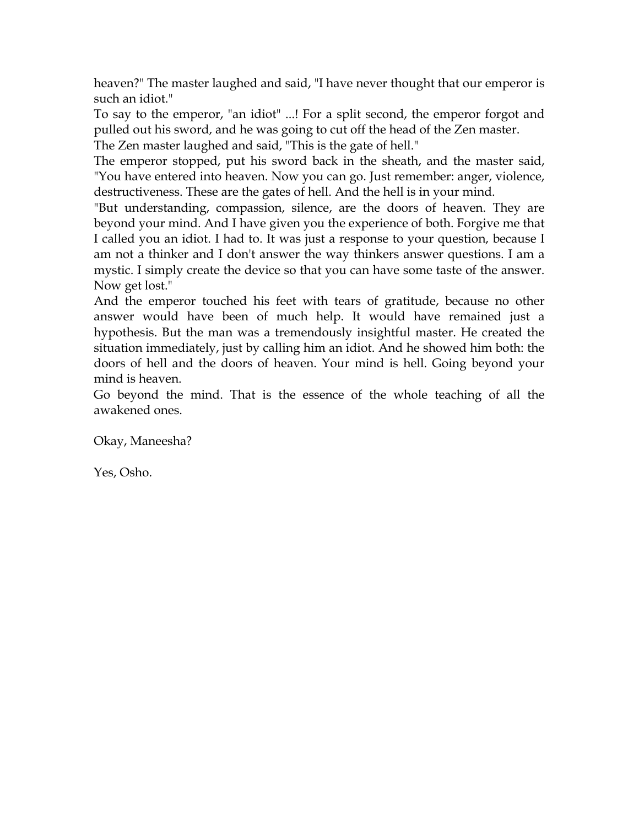heaven?" The master laughed and said, "I have never thought that our emperor is such an idiot."

To say to the emperor, "an idiot" ...! For a split second, the emperor forgot and pulled out his sword, and he was going to cut off the head of the Zen master.

The Zen master laughed and said, "This is the gate of hell."

The emperor stopped, put his sword back in the sheath, and the master said, "You have entered into heaven. Now you can go. Just remember: anger, violence, destructiveness. These are the gates of hell. And the hell is in your mind.

"But understanding, compassion, silence, are the doors of heaven. They are beyond your mind. And I have given you the experience of both. Forgive me that I called you an idiot. I had to. It was just a response to your question, because I am not a thinker and I don't answer the way thinkers answer questions. I am a mystic. I simply create the device so that you can have some taste of the answer. Now get lost."

And the emperor touched his feet with tears of gratitude, because no other answer would have been of much help. It would have remained just a hypothesis. But the man was a tremendously insightful master. He created the situation immediately, just by calling him an idiot. And he showed him both: the doors of hell and the doors of heaven. Your mind is hell. Going beyond your mind is heaven.

Go beyond the mind. That is the essence of the whole teaching of all the awakened ones.

Okay, Maneesha?

Yes, Osho.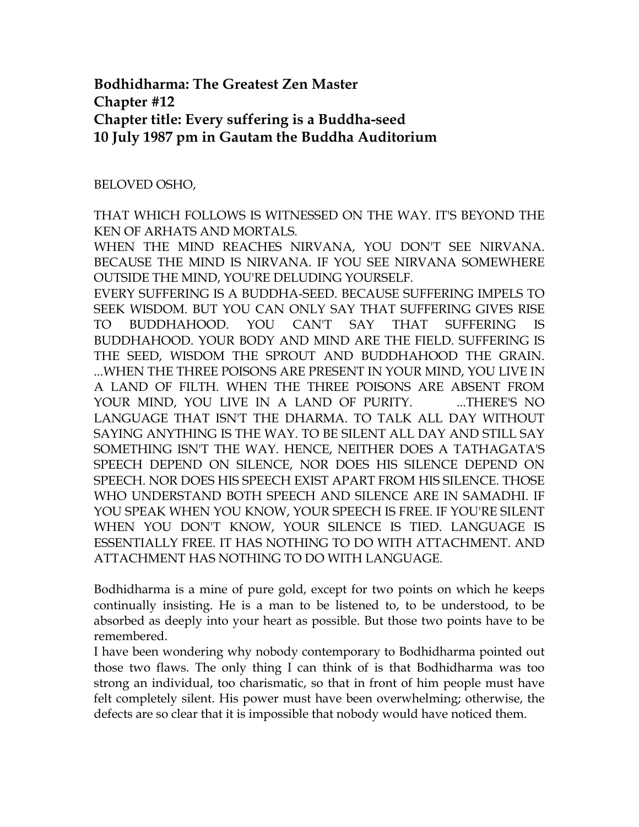# **Bodhidharma: The Greatest Zen Master Chapter #12 Chapter title: Every suffering is a Buddha-seed 10 July 1987 pm in Gautam the Buddha Auditorium**

### BELOVED OSHO,

THAT WHICH FOLLOWS IS WITNESSED ON THE WAY. IT'S BEYOND THE KEN OF ARHATS AND MORTALS.

WHEN THE MIND REACHES NIRVANA, YOU DON'T SEE NIRVANA. BECAUSE THE MIND IS NIRVANA. IF YOU SEE NIRVANA SOMEWHERE OUTSIDE THE MIND, YOU'RE DELUDING YOURSELF.

EVERY SUFFERING IS A BUDDHA-SEED. BECAUSE SUFFERING IMPELS TO SEEK WISDOM. BUT YOU CAN ONLY SAY THAT SUFFERING GIVES RISE TO BUDDHAHOOD. YOU CAN'T SAY THAT SUFFERING IS BUDDHAHOOD. YOUR BODY AND MIND ARE THE FIELD. SUFFERING IS THE SEED, WISDOM THE SPROUT AND BUDDHAHOOD THE GRAIN. ...WHEN THE THREE POISONS ARE PRESENT IN YOUR MIND, YOU LIVE IN A LAND OF FILTH. WHEN THE THREE POISONS ARE ABSENT FROM YOUR MIND, YOU LIVE IN A LAND OF PURITY. ...THERE'S NO LANGUAGE THAT ISN'T THE DHARMA. TO TALK ALL DAY WITHOUT SAYING ANYTHING IS THE WAY. TO BE SILENT ALL DAY AND STILL SAY SOMETHING ISN'T THE WAY. HENCE, NEITHER DOES A TATHAGATA'S SPEECH DEPEND ON SILENCE, NOR DOES HIS SILENCE DEPEND ON SPEECH. NOR DOES HIS SPEECH EXIST APART FROM HIS SILENCE. THOSE WHO UNDERSTAND BOTH SPEECH AND SILENCE ARE IN SAMADHI. IF YOU SPEAK WHEN YOU KNOW, YOUR SPEECH IS FREE. IF YOU'RE SILENT WHEN YOU DON'T KNOW, YOUR SILENCE IS TIED. LANGUAGE IS ESSENTIALLY FREE. IT HAS NOTHING TO DO WITH ATTACHMENT. AND ATTACHMENT HAS NOTHING TO DO WITH LANGUAGE.

Bodhidharma is a mine of pure gold, except for two points on which he keeps continually insisting. He is a man to be listened to, to be understood, to be absorbed as deeply into your heart as possible. But those two points have to be remembered.

I have been wondering why nobody contemporary to Bodhidharma pointed out those two flaws. The only thing I can think of is that Bodhidharma was too strong an individual, too charismatic, so that in front of him people must have felt completely silent. His power must have been overwhelming; otherwise, the defects are so clear that it is impossible that nobody would have noticed them.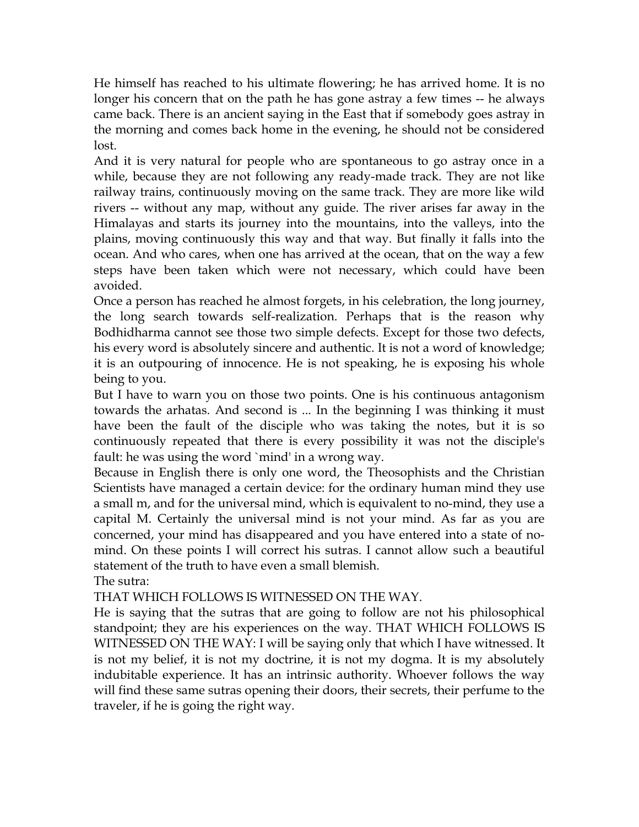He himself has reached to his ultimate flowering; he has arrived home. It is no longer his concern that on the path he has gone astray a few times -- he always came back. There is an ancient saying in the East that if somebody goes astray in the morning and comes back home in the evening, he should not be considered lost.

And it is very natural for people who are spontaneous to go astray once in a while, because they are not following any ready-made track. They are not like railway trains, continuously moving on the same track. They are more like wild rivers -- without any map, without any guide. The river arises far away in the Himalayas and starts its journey into the mountains, into the valleys, into the plains, moving continuously this way and that way. But finally it falls into the ocean. And who cares, when one has arrived at the ocean, that on the way a few steps have been taken which were not necessary, which could have been avoided.

Once a person has reached he almost forgets, in his celebration, the long journey, the long search towards self-realization. Perhaps that is the reason why Bodhidharma cannot see those two simple defects. Except for those two defects, his every word is absolutely sincere and authentic. It is not a word of knowledge; it is an outpouring of innocence. He is not speaking, he is exposing his whole being to you.

But I have to warn you on those two points. One is his continuous antagonism towards the arhatas. And second is ... In the beginning I was thinking it must have been the fault of the disciple who was taking the notes, but it is so continuously repeated that there is every possibility it was not the disciple's fault: he was using the word `mind' in a wrong way.

Because in English there is only one word, the Theosophists and the Christian Scientists have managed a certain device: for the ordinary human mind they use a small m, and for the universal mind, which is equivalent to no-mind, they use a capital M. Certainly the universal mind is not your mind. As far as you are concerned, your mind has disappeared and you have entered into a state of nomind. On these points I will correct his sutras. I cannot allow such a beautiful statement of the truth to have even a small blemish.

The sutra:

THAT WHICH FOLLOWS IS WITNESSED ON THE WAY.

He is saying that the sutras that are going to follow are not his philosophical standpoint; they are his experiences on the way. THAT WHICH FOLLOWS IS WITNESSED ON THE WAY: I will be saying only that which I have witnessed. It is not my belief, it is not my doctrine, it is not my dogma. It is my absolutely indubitable experience. It has an intrinsic authority. Whoever follows the way will find these same sutras opening their doors, their secrets, their perfume to the traveler, if he is going the right way.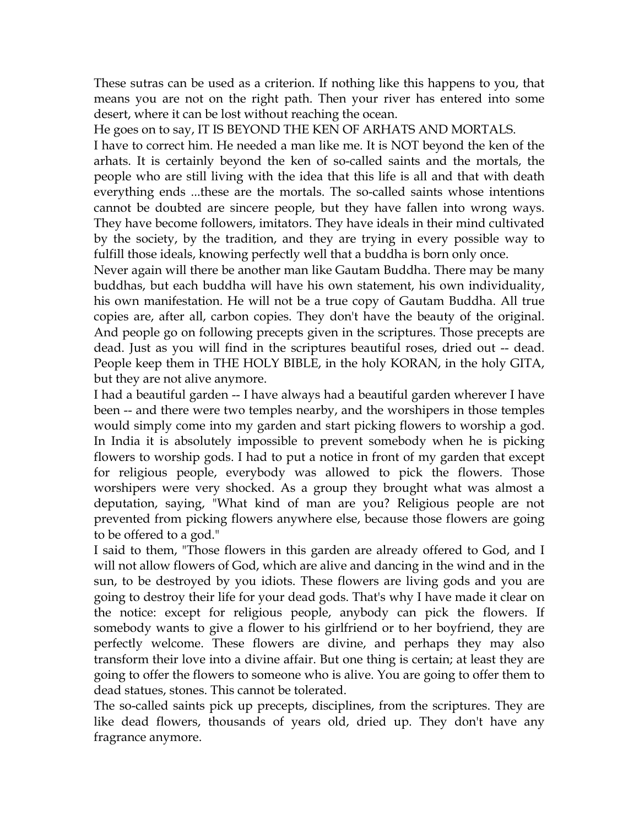These sutras can be used as a criterion. If nothing like this happens to you, that means you are not on the right path. Then your river has entered into some desert, where it can be lost without reaching the ocean.

He goes on to say, IT IS BEYOND THE KEN OF ARHATS AND MORTALS.

I have to correct him. He needed a man like me. It is NOT beyond the ken of the arhats. It is certainly beyond the ken of so-called saints and the mortals, the people who are still living with the idea that this life is all and that with death everything ends ...these are the mortals. The so-called saints whose intentions cannot be doubted are sincere people, but they have fallen into wrong ways. They have become followers, imitators. They have ideals in their mind cultivated by the society, by the tradition, and they are trying in every possible way to fulfill those ideals, knowing perfectly well that a buddha is born only once.

Never again will there be another man like Gautam Buddha. There may be many buddhas, but each buddha will have his own statement, his own individuality, his own manifestation. He will not be a true copy of Gautam Buddha. All true copies are, after all, carbon copies. They don't have the beauty of the original. And people go on following precepts given in the scriptures. Those precepts are dead. Just as you will find in the scriptures beautiful roses, dried out -- dead. People keep them in THE HOLY BIBLE, in the holy KORAN, in the holy GITA, but they are not alive anymore.

I had a beautiful garden -- I have always had a beautiful garden wherever I have been -- and there were two temples nearby, and the worshipers in those temples would simply come into my garden and start picking flowers to worship a god. In India it is absolutely impossible to prevent somebody when he is picking flowers to worship gods. I had to put a notice in front of my garden that except for religious people, everybody was allowed to pick the flowers. Those worshipers were very shocked. As a group they brought what was almost a deputation, saying, "What kind of man are you? Religious people are not prevented from picking flowers anywhere else, because those flowers are going to be offered to a god."

I said to them, "Those flowers in this garden are already offered to God, and I will not allow flowers of God, which are alive and dancing in the wind and in the sun, to be destroyed by you idiots. These flowers are living gods and you are going to destroy their life for your dead gods. That's why I have made it clear on the notice: except for religious people, anybody can pick the flowers. If somebody wants to give a flower to his girlfriend or to her boyfriend, they are perfectly welcome. These flowers are divine, and perhaps they may also transform their love into a divine affair. But one thing is certain; at least they are going to offer the flowers to someone who is alive. You are going to offer them to dead statues, stones. This cannot be tolerated.

The so-called saints pick up precepts, disciplines, from the scriptures. They are like dead flowers, thousands of years old, dried up. They don't have any fragrance anymore.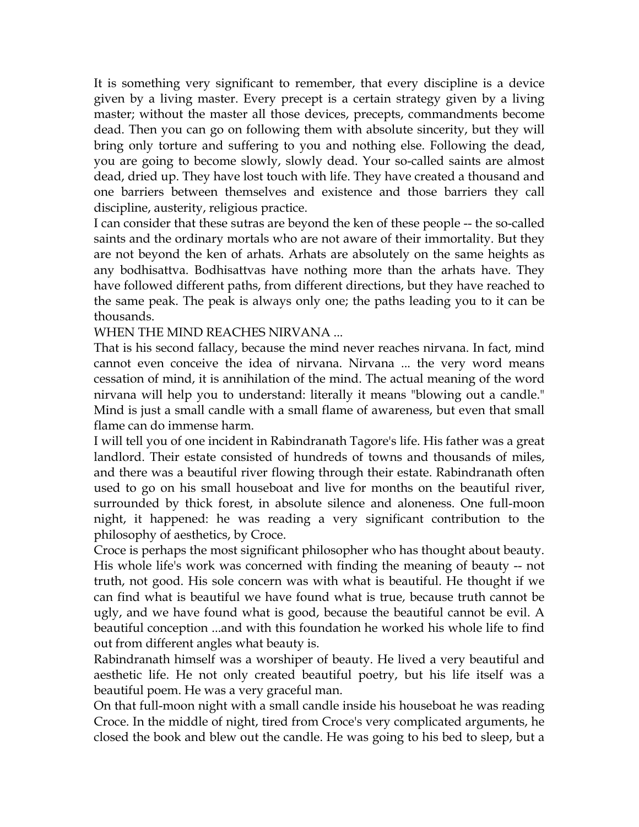It is something very significant to remember, that every discipline is a device given by a living master. Every precept is a certain strategy given by a living master; without the master all those devices, precepts, commandments become dead. Then you can go on following them with absolute sincerity, but they will bring only torture and suffering to you and nothing else. Following the dead, you are going to become slowly, slowly dead. Your so-called saints are almost dead, dried up. They have lost touch with life. They have created a thousand and one barriers between themselves and existence and those barriers they call discipline, austerity, religious practice.

I can consider that these sutras are beyond the ken of these people -- the so-called saints and the ordinary mortals who are not aware of their immortality. But they are not beyond the ken of arhats. Arhats are absolutely on the same heights as any bodhisattva. Bodhisattvas have nothing more than the arhats have. They have followed different paths, from different directions, but they have reached to the same peak. The peak is always only one; the paths leading you to it can be thousands.

WHEN THE MIND REACHES NIRVANA ...

That is his second fallacy, because the mind never reaches nirvana. In fact, mind cannot even conceive the idea of nirvana. Nirvana ... the very word means cessation of mind, it is annihilation of the mind. The actual meaning of the word nirvana will help you to understand: literally it means "blowing out a candle." Mind is just a small candle with a small flame of awareness, but even that small flame can do immense harm.

I will tell you of one incident in Rabindranath Tagore's life. His father was a great landlord. Their estate consisted of hundreds of towns and thousands of miles, and there was a beautiful river flowing through their estate. Rabindranath often used to go on his small houseboat and live for months on the beautiful river, surrounded by thick forest, in absolute silence and aloneness. One full-moon night, it happened: he was reading a very significant contribution to the philosophy of aesthetics, by Croce.

Croce is perhaps the most significant philosopher who has thought about beauty. His whole life's work was concerned with finding the meaning of beauty -- not truth, not good. His sole concern was with what is beautiful. He thought if we can find what is beautiful we have found what is true, because truth cannot be ugly, and we have found what is good, because the beautiful cannot be evil. A beautiful conception ...and with this foundation he worked his whole life to find out from different angles what beauty is.

Rabindranath himself was a worshiper of beauty. He lived a very beautiful and aesthetic life. He not only created beautiful poetry, but his life itself was a beautiful poem. He was a very graceful man.

On that full-moon night with a small candle inside his houseboat he was reading Croce. In the middle of night, tired from Croce's very complicated arguments, he closed the book and blew out the candle. He was going to his bed to sleep, but a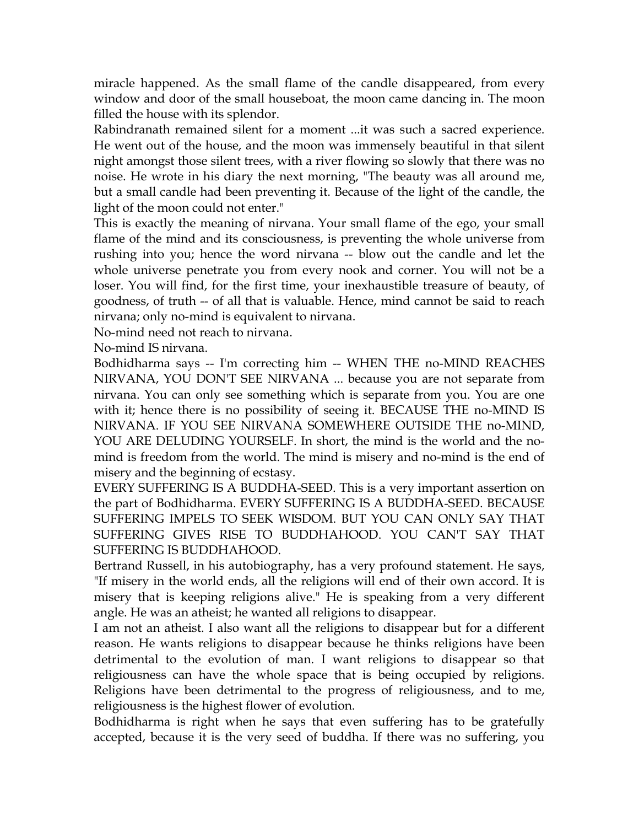miracle happened. As the small flame of the candle disappeared, from every window and door of the small houseboat, the moon came dancing in. The moon filled the house with its splendor.

Rabindranath remained silent for a moment ...it was such a sacred experience. He went out of the house, and the moon was immensely beautiful in that silent night amongst those silent trees, with a river flowing so slowly that there was no noise. He wrote in his diary the next morning, "The beauty was all around me, but a small candle had been preventing it. Because of the light of the candle, the light of the moon could not enter."

This is exactly the meaning of nirvana. Your small flame of the ego, your small flame of the mind and its consciousness, is preventing the whole universe from rushing into you; hence the word nirvana -- blow out the candle and let the whole universe penetrate you from every nook and corner. You will not be a loser. You will find, for the first time, your inexhaustible treasure of beauty, of goodness, of truth -- of all that is valuable. Hence, mind cannot be said to reach nirvana; only no-mind is equivalent to nirvana.

No-mind need not reach to nirvana.

No-mind IS nirvana.

Bodhidharma says -- I'm correcting him -- WHEN THE no-MIND REACHES NIRVANA, YOU DON'T SEE NIRVANA ... because you are not separate from nirvana. You can only see something which is separate from you. You are one with it; hence there is no possibility of seeing it. BECAUSE THE no-MIND IS NIRVANA. IF YOU SEE NIRVANA SOMEWHERE OUTSIDE THE no-MIND, YOU ARE DELUDING YOURSELF. In short, the mind is the world and the nomind is freedom from the world. The mind is misery and no-mind is the end of misery and the beginning of ecstasy.

EVERY SUFFERING IS A BUDDHA-SEED. This is a very important assertion on the part of Bodhidharma. EVERY SUFFERING IS A BUDDHA-SEED. BECAUSE SUFFERING IMPELS TO SEEK WISDOM. BUT YOU CAN ONLY SAY THAT SUFFERING GIVES RISE TO BUDDHAHOOD. YOU CAN'T SAY THAT SUFFERING IS BUDDHAHOOD.

Bertrand Russell, in his autobiography, has a very profound statement. He says, "If misery in the world ends, all the religions will end of their own accord. It is misery that is keeping religions alive." He is speaking from a very different angle. He was an atheist; he wanted all religions to disappear.

I am not an atheist. I also want all the religions to disappear but for a different reason. He wants religions to disappear because he thinks religions have been detrimental to the evolution of man. I want religions to disappear so that religiousness can have the whole space that is being occupied by religions. Religions have been detrimental to the progress of religiousness, and to me, religiousness is the highest flower of evolution.

Bodhidharma is right when he says that even suffering has to be gratefully accepted, because it is the very seed of buddha. If there was no suffering, you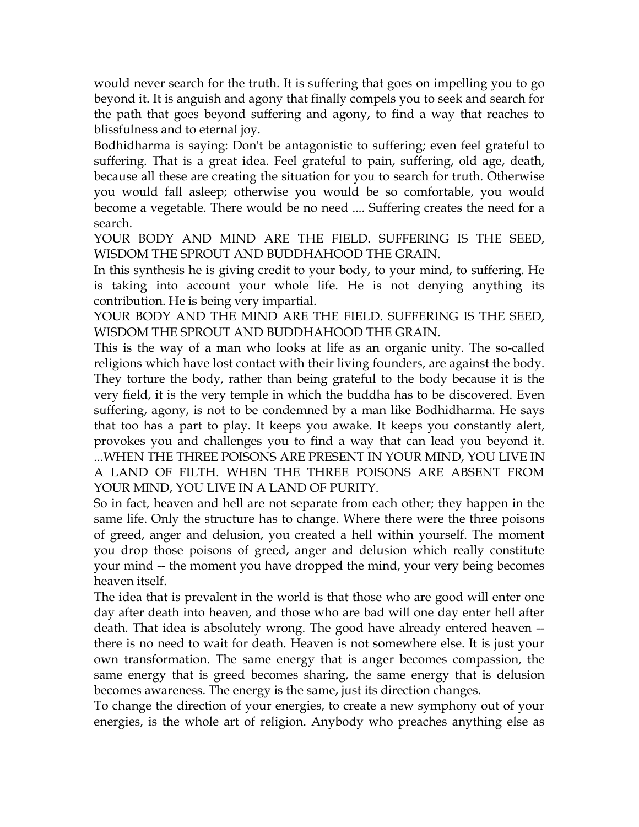would never search for the truth. It is suffering that goes on impelling you to go beyond it. It is anguish and agony that finally compels you to seek and search for the path that goes beyond suffering and agony, to find a way that reaches to blissfulness and to eternal joy.

Bodhidharma is saying: Don't be antagonistic to suffering; even feel grateful to suffering. That is a great idea. Feel grateful to pain, suffering, old age, death, because all these are creating the situation for you to search for truth. Otherwise you would fall asleep; otherwise you would be so comfortable, you would become a vegetable. There would be no need .... Suffering creates the need for a search.

YOUR BODY AND MIND ARE THE FIELD. SUFFERING IS THE SEED, WISDOM THE SPROUT AND BUDDHAHOOD THE GRAIN.

In this synthesis he is giving credit to your body, to your mind, to suffering. He is taking into account your whole life. He is not denying anything its contribution. He is being very impartial.

YOUR BODY AND THE MIND ARE THE FIELD. SUFFERING IS THE SEED, WISDOM THE SPROUT AND BUDDHAHOOD THE GRAIN.

This is the way of a man who looks at life as an organic unity. The so-called religions which have lost contact with their living founders, are against the body. They torture the body, rather than being grateful to the body because it is the very field, it is the very temple in which the buddha has to be discovered. Even suffering, agony, is not to be condemned by a man like Bodhidharma. He says that too has a part to play. It keeps you awake. It keeps you constantly alert, provokes you and challenges you to find a way that can lead you beyond it. ...WHEN THE THREE POISONS ARE PRESENT IN YOUR MIND, YOU LIVE IN A LAND OF FILTH. WHEN THE THREE POISONS ARE ABSENT FROM YOUR MIND, YOU LIVE IN A LAND OF PURITY.

So in fact, heaven and hell are not separate from each other; they happen in the same life. Only the structure has to change. Where there were the three poisons of greed, anger and delusion, you created a hell within yourself. The moment you drop those poisons of greed, anger and delusion which really constitute your mind -- the moment you have dropped the mind, your very being becomes heaven itself.

The idea that is prevalent in the world is that those who are good will enter one day after death into heaven, and those who are bad will one day enter hell after death. That idea is absolutely wrong. The good have already entered heaven - there is no need to wait for death. Heaven is not somewhere else. It is just your own transformation. The same energy that is anger becomes compassion, the same energy that is greed becomes sharing, the same energy that is delusion becomes awareness. The energy is the same, just its direction changes.

To change the direction of your energies, to create a new symphony out of your energies, is the whole art of religion. Anybody who preaches anything else as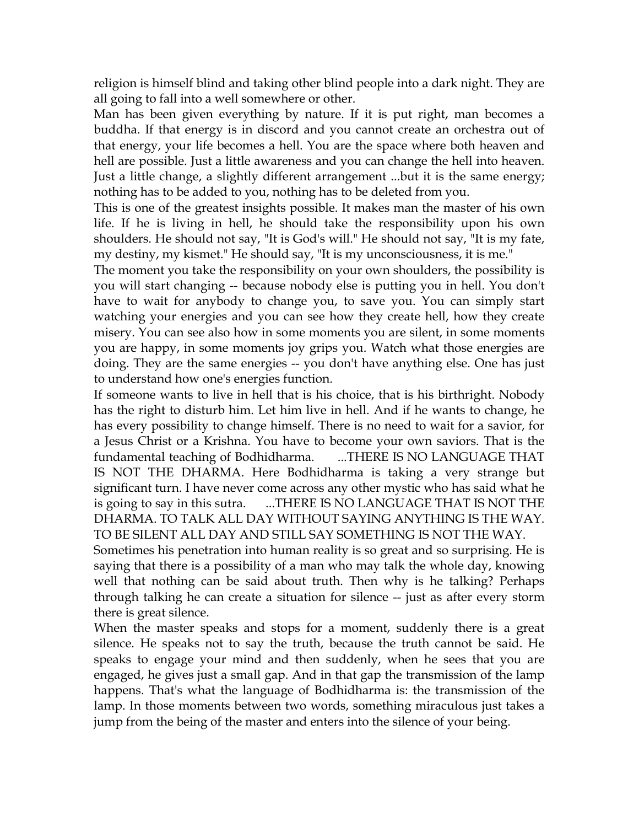religion is himself blind and taking other blind people into a dark night. They are all going to fall into a well somewhere or other.

Man has been given everything by nature. If it is put right, man becomes a buddha. If that energy is in discord and you cannot create an orchestra out of that energy, your life becomes a hell. You are the space where both heaven and hell are possible. Just a little awareness and you can change the hell into heaven. Just a little change, a slightly different arrangement ...but it is the same energy; nothing has to be added to you, nothing has to be deleted from you.

This is one of the greatest insights possible. It makes man the master of his own life. If he is living in hell, he should take the responsibility upon his own shoulders. He should not say, "It is God's will." He should not say, "It is my fate, my destiny, my kismet." He should say, "It is my unconsciousness, it is me."

The moment you take the responsibility on your own shoulders, the possibility is you will start changing -- because nobody else is putting you in hell. You don't have to wait for anybody to change you, to save you. You can simply start watching your energies and you can see how they create hell, how they create misery. You can see also how in some moments you are silent, in some moments you are happy, in some moments joy grips you. Watch what those energies are doing. They are the same energies -- you don't have anything else. One has just to understand how one's energies function.

If someone wants to live in hell that is his choice, that is his birthright. Nobody has the right to disturb him. Let him live in hell. And if he wants to change, he has every possibility to change himself. There is no need to wait for a savior, for a Jesus Christ or a Krishna. You have to become your own saviors. That is the fundamental teaching of Bodhidharma. ...THERE IS NO LANGUAGE THAT IS NOT THE DHARMA. Here Bodhidharma is taking a very strange but significant turn. I have never come across any other mystic who has said what he is going to say in this sutra. ...THERE IS NO LANGUAGE THAT IS NOT THE DHARMA. TO TALK ALL DAY WITHOUT SAYING ANYTHING IS THE WAY. TO BE SILENT ALL DAY AND STILL SAY SOMETHING IS NOT THE WAY.

Sometimes his penetration into human reality is so great and so surprising. He is saying that there is a possibility of a man who may talk the whole day, knowing well that nothing can be said about truth. Then why is he talking? Perhaps through talking he can create a situation for silence -- just as after every storm there is great silence.

When the master speaks and stops for a moment, suddenly there is a great silence. He speaks not to say the truth, because the truth cannot be said. He speaks to engage your mind and then suddenly, when he sees that you are engaged, he gives just a small gap. And in that gap the transmission of the lamp happens. That's what the language of Bodhidharma is: the transmission of the lamp. In those moments between two words, something miraculous just takes a jump from the being of the master and enters into the silence of your being.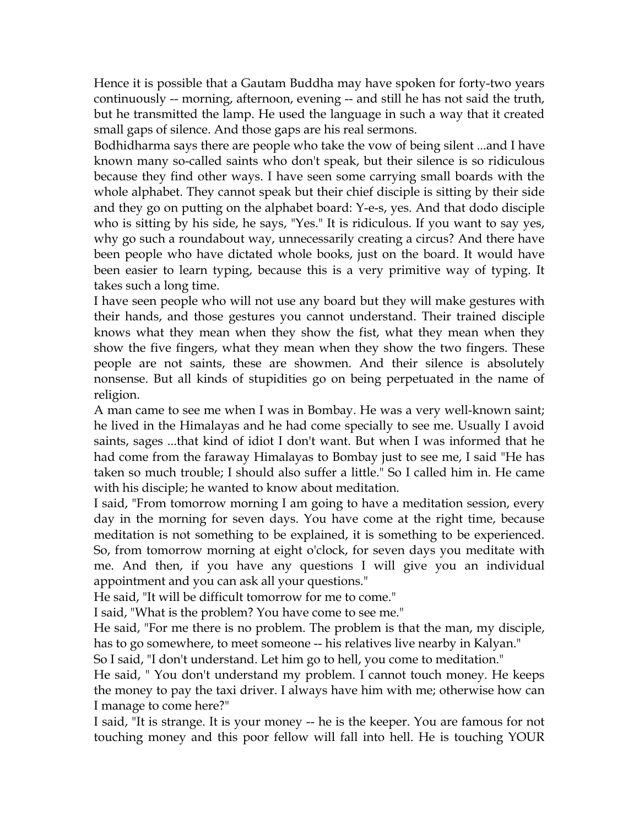Hence it is possible that a Gautam Buddha may have spoken for forty-two years continuously -- morning, afternoon, evening -- and still he has not said the truth, but he transmitted the lamp. He used the language in such a way that it created small gaps of silence. And those gaps are his real sermons.

Bodhidharma says there are people who take the vow of being silent ...and I have known many so-called saints who don't speak, but their silence is so ridiculous because they find other ways. I have seen some carrying small boards with the whole alphabet. They cannot speak but their chief disciple is sitting by their side and they go on putting on the alphabet board: Y-e-s, yes. And that dodo disciple who is sitting by his side, he says, "Yes." It is ridiculous. If you want to say yes, why go such a roundabout way, unnecessarily creating a circus? And there have been people who have dictated whole books, just on the board. It would have been easier to learn typing, because this is a very primitive way of typing. It takes such a long time.

I have seen people who will not use any board but they will make gestures with their hands, and those gestures you cannot understand. Their trained disciple knows what they mean when they show the fist, what they mean when they show the five fingers, what they mean when they show the two fingers. These people are not saints, these are showmen. And their silence is absolutely nonsense. But all kinds of stupidities go on being perpetuated in the name of religion.

A man came to see me when I was in Bombay. He was a very well-known saint; he lived in the Himalayas and he had come specially to see me. Usually I avoid saints, sages ...that kind of idiot I don't want. But when I was informed that he had come from the faraway Himalayas to Bombay just to see me, I said "He has taken so much trouble; I should also suffer a little." So I called him in. He came with his disciple; he wanted to know about meditation.

I said, "From tomorrow morning I am going to have a meditation session, every day in the morning for seven days. You have come at the right time, because meditation is not something to be explained, it is something to be experienced. So, from tomorrow morning at eight o'clock, for seven days you meditate with me. And then, if you have any questions I will give you an individual appointment and you can ask all your questions."

He said, "It will be difficult tomorrow for me to come."

I said, "What is the problem? You have come to see me."

He said, "For me there is no problem. The problem is that the man, my disciple, has to go somewhere, to meet someone -- his relatives live nearby in Kalyan."

So I said, "I don't understand. Let him go to hell, you come to meditation."

He said, " You don't understand my problem. I cannot touch money. He keeps the money to pay the taxi driver. I always have him with me; otherwise how can I manage to come here?"

I said, "It is strange. It is your money -- he is the keeper. You are famous for not touching money and this poor fellow will fall into hell. He is touching YOUR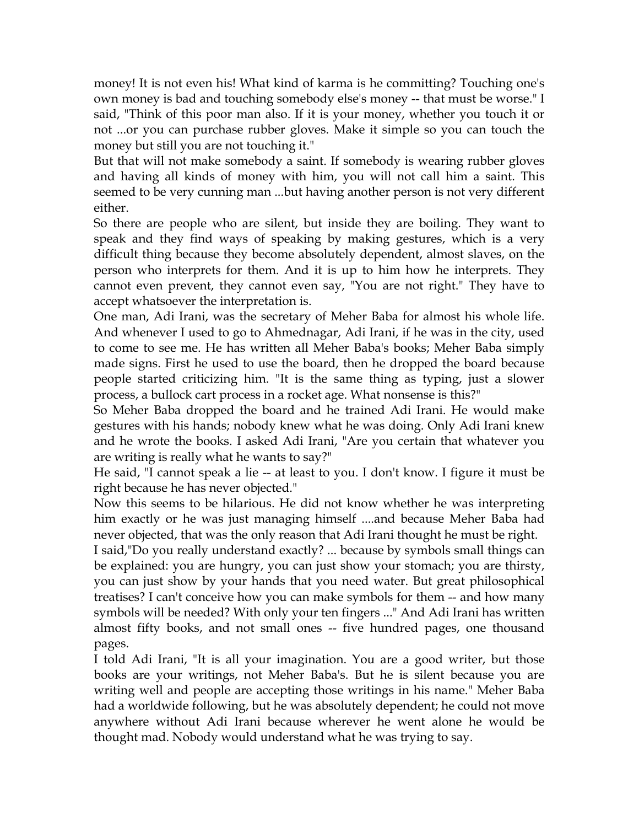money! It is not even his! What kind of karma is he committing? Touching one's own money is bad and touching somebody else's money -- that must be worse." I said, "Think of this poor man also. If it is your money, whether you touch it or not ...or you can purchase rubber gloves. Make it simple so you can touch the money but still you are not touching it."

But that will not make somebody a saint. If somebody is wearing rubber gloves and having all kinds of money with him, you will not call him a saint. This seemed to be very cunning man ...but having another person is not very different either.

So there are people who are silent, but inside they are boiling. They want to speak and they find ways of speaking by making gestures, which is a very difficult thing because they become absolutely dependent, almost slaves, on the person who interprets for them. And it is up to him how he interprets. They cannot even prevent, they cannot even say, "You are not right." They have to accept whatsoever the interpretation is.

One man, Adi Irani, was the secretary of Meher Baba for almost his whole life. And whenever I used to go to Ahmednagar, Adi Irani, if he was in the city, used to come to see me. He has written all Meher Baba's books; Meher Baba simply made signs. First he used to use the board, then he dropped the board because people started criticizing him. "It is the same thing as typing, just a slower process, a bullock cart process in a rocket age. What nonsense is this?"

So Meher Baba dropped the board and he trained Adi Irani. He would make gestures with his hands; nobody knew what he was doing. Only Adi Irani knew and he wrote the books. I asked Adi Irani, "Are you certain that whatever you are writing is really what he wants to say?"

He said, "I cannot speak a lie -- at least to you. I don't know. I figure it must be right because he has never objected."

Now this seems to be hilarious. He did not know whether he was interpreting him exactly or he was just managing himself ....and because Meher Baba had never objected, that was the only reason that Adi Irani thought he must be right.

I said,"Do you really understand exactly? ... because by symbols small things can be explained: you are hungry, you can just show your stomach; you are thirsty, you can just show by your hands that you need water. But great philosophical treatises? I can't conceive how you can make symbols for them -- and how many symbols will be needed? With only your ten fingers ..." And Adi Irani has written almost fifty books, and not small ones -- five hundred pages, one thousand pages.

I told Adi Irani, "It is all your imagination. You are a good writer, but those books are your writings, not Meher Baba's. But he is silent because you are writing well and people are accepting those writings in his name." Meher Baba had a worldwide following, but he was absolutely dependent; he could not move anywhere without Adi Irani because wherever he went alone he would be thought mad. Nobody would understand what he was trying to say.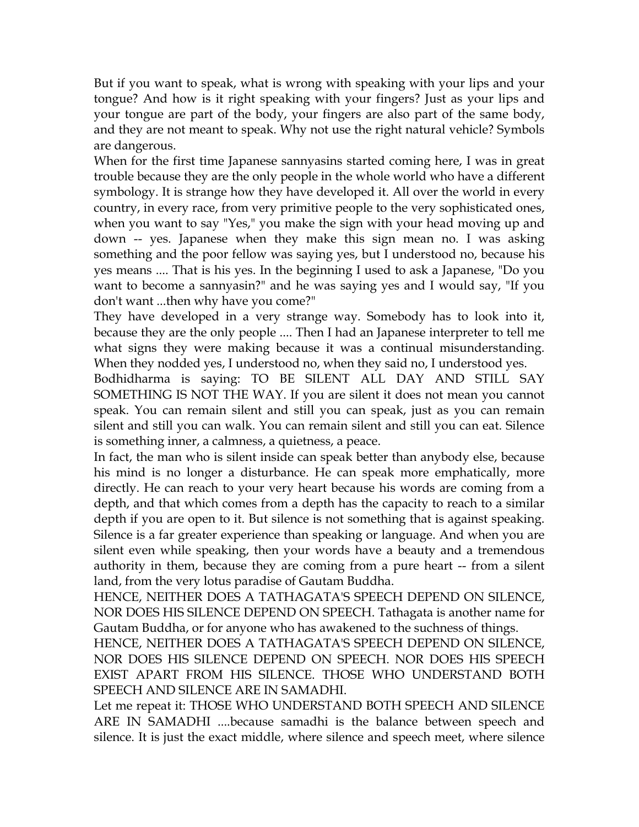But if you want to speak, what is wrong with speaking with your lips and your tongue? And how is it right speaking with your fingers? Just as your lips and your tongue are part of the body, your fingers are also part of the same body, and they are not meant to speak. Why not use the right natural vehicle? Symbols are dangerous.

When for the first time Japanese sannyasins started coming here, I was in great trouble because they are the only people in the whole world who have a different symbology. It is strange how they have developed it. All over the world in every country, in every race, from very primitive people to the very sophisticated ones, when you want to say "Yes," you make the sign with your head moving up and down -- yes. Japanese when they make this sign mean no. I was asking something and the poor fellow was saying yes, but I understood no, because his yes means .... That is his yes. In the beginning I used to ask a Japanese, "Do you want to become a sannyasin?" and he was saying yes and I would say, "If you don't want ...then why have you come?"

They have developed in a very strange way. Somebody has to look into it, because they are the only people .... Then I had an Japanese interpreter to tell me what signs they were making because it was a continual misunderstanding. When they nodded yes, I understood no, when they said no, I understood yes.

Bodhidharma is saying: TO BE SILENT ALL DAY AND STILL SAY SOMETHING IS NOT THE WAY. If you are silent it does not mean you cannot speak. You can remain silent and still you can speak, just as you can remain silent and still you can walk. You can remain silent and still you can eat. Silence is something inner, a calmness, a quietness, a peace.

In fact, the man who is silent inside can speak better than anybody else, because his mind is no longer a disturbance. He can speak more emphatically, more directly. He can reach to your very heart because his words are coming from a depth, and that which comes from a depth has the capacity to reach to a similar depth if you are open to it. But silence is not something that is against speaking. Silence is a far greater experience than speaking or language. And when you are silent even while speaking, then your words have a beauty and a tremendous authority in them, because they are coming from a pure heart -- from a silent land, from the very lotus paradise of Gautam Buddha.

HENCE, NEITHER DOES A TATHAGATA'S SPEECH DEPEND ON SILENCE, NOR DOES HIS SILENCE DEPEND ON SPEECH. Tathagata is another name for Gautam Buddha, or for anyone who has awakened to the suchness of things.

HENCE, NEITHER DOES A TATHAGATA'S SPEECH DEPEND ON SILENCE, NOR DOES HIS SILENCE DEPEND ON SPEECH. NOR DOES HIS SPEECH EXIST APART FROM HIS SILENCE. THOSE WHO UNDERSTAND BOTH SPEECH AND SILENCE ARE IN SAMADHI.

Let me repeat it: THOSE WHO UNDERSTAND BOTH SPEECH AND SILENCE ARE IN SAMADHI ....because samadhi is the balance between speech and silence. It is just the exact middle, where silence and speech meet, where silence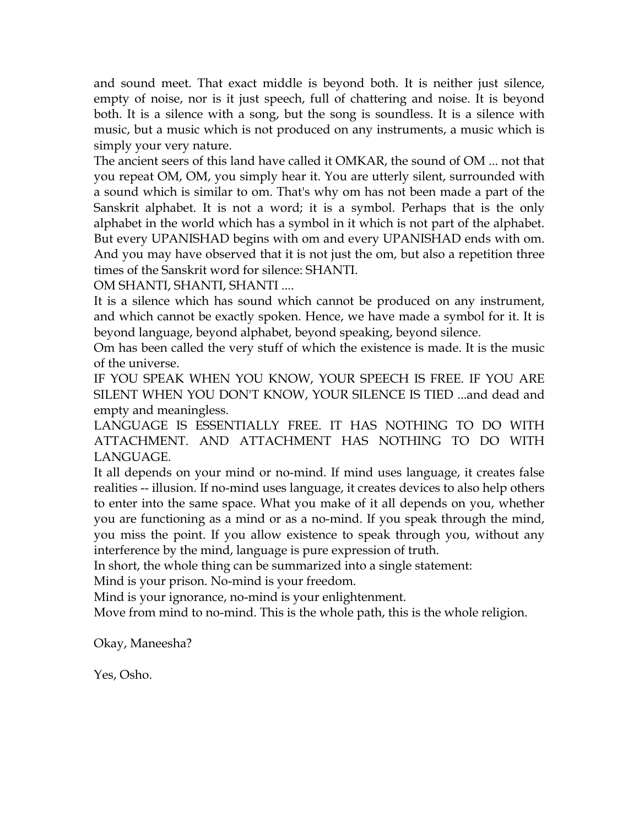and sound meet. That exact middle is beyond both. It is neither just silence, empty of noise, nor is it just speech, full of chattering and noise. It is beyond both. It is a silence with a song, but the song is soundless. It is a silence with music, but a music which is not produced on any instruments, a music which is simply your very nature.

The ancient seers of this land have called it OMKAR, the sound of OM ... not that you repeat OM, OM, you simply hear it. You are utterly silent, surrounded with a sound which is similar to om. That's why om has not been made a part of the Sanskrit alphabet. It is not a word; it is a symbol. Perhaps that is the only alphabet in the world which has a symbol in it which is not part of the alphabet. But every UPANISHAD begins with om and every UPANISHAD ends with om. And you may have observed that it is not just the om, but also a repetition three times of the Sanskrit word for silence: SHANTI.

OM SHANTI, SHANTI, SHANTI ....

It is a silence which has sound which cannot be produced on any instrument, and which cannot be exactly spoken. Hence, we have made a symbol for it. It is beyond language, beyond alphabet, beyond speaking, beyond silence.

Om has been called the very stuff of which the existence is made. It is the music of the universe.

IF YOU SPEAK WHEN YOU KNOW, YOUR SPEECH IS FREE. IF YOU ARE SILENT WHEN YOU DON'T KNOW, YOUR SILENCE IS TIED ...and dead and empty and meaningless.

LANGUAGE IS ESSENTIALLY FREE. IT HAS NOTHING TO DO WITH ATTACHMENT. AND ATTACHMENT HAS NOTHING TO DO WITH LANGUAGE.

It all depends on your mind or no-mind. If mind uses language, it creates false realities -- illusion. If no-mind uses language, it creates devices to also help others to enter into the same space. What you make of it all depends on you, whether you are functioning as a mind or as a no-mind. If you speak through the mind, you miss the point. If you allow existence to speak through you, without any interference by the mind, language is pure expression of truth.

In short, the whole thing can be summarized into a single statement:

Mind is your prison. No-mind is your freedom.

Mind is your ignorance, no-mind is your enlightenment.

Move from mind to no-mind. This is the whole path, this is the whole religion.

Okay, Maneesha?

Yes, Osho.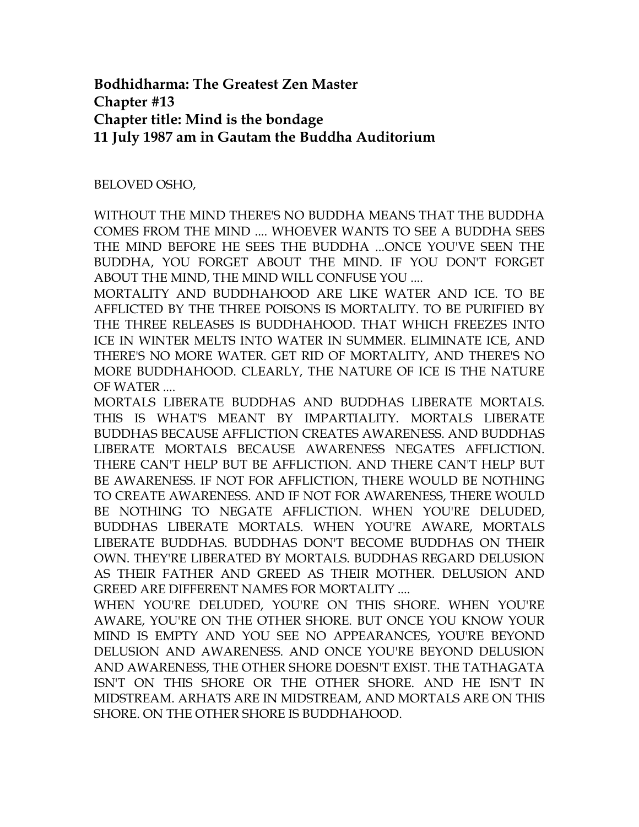### **Bodhidharma: The Greatest Zen Master Chapter #13 Chapter title: Mind is the bondage 11 July 1987 am in Gautam the Buddha Auditorium**

#### BELOVED OSHO,

WITHOUT THE MIND THERE'S NO BUDDHA MEANS THAT THE BUDDHA COMES FROM THE MIND .... WHOEVER WANTS TO SEE A BUDDHA SEES THE MIND BEFORE HE SEES THE BUDDHA ...ONCE YOU'VE SEEN THE BUDDHA, YOU FORGET ABOUT THE MIND. IF YOU DON'T FORGET ABOUT THE MIND, THE MIND WILL CONFUSE YOU ....

MORTALITY AND BUDDHAHOOD ARE LIKE WATER AND ICE. TO BE AFFLICTED BY THE THREE POISONS IS MORTALITY. TO BE PURIFIED BY THE THREE RELEASES IS BUDDHAHOOD. THAT WHICH FREEZES INTO ICE IN WINTER MELTS INTO WATER IN SUMMER. ELIMINATE ICE, AND THERE'S NO MORE WATER. GET RID OF MORTALITY, AND THERE'S NO MORE BUDDHAHOOD. CLEARLY, THE NATURE OF ICE IS THE NATURE OF WATER ....

MORTALS LIBERATE BUDDHAS AND BUDDHAS LIBERATE MORTALS. THIS IS WHAT'S MEANT BY IMPARTIALITY. MORTALS LIBERATE BUDDHAS BECAUSE AFFLICTION CREATES AWARENESS. AND BUDDHAS LIBERATE MORTALS BECAUSE AWARENESS NEGATES AFFLICTION. THERE CAN'T HELP BUT BE AFFLICTION. AND THERE CAN'T HELP BUT BE AWARENESS. IF NOT FOR AFFLICTION, THERE WOULD BE NOTHING TO CREATE AWARENESS. AND IF NOT FOR AWARENESS, THERE WOULD BE NOTHING TO NEGATE AFFLICTION. WHEN YOU'RE DELUDED, BUDDHAS LIBERATE MORTALS. WHEN YOU'RE AWARE, MORTALS LIBERATE BUDDHAS. BUDDHAS DON'T BECOME BUDDHAS ON THEIR OWN. THEY'RE LIBERATED BY MORTALS. BUDDHAS REGARD DELUSION AS THEIR FATHER AND GREED AS THEIR MOTHER. DELUSION AND GREED ARE DIFFERENT NAMES FOR MORTALITY ....

WHEN YOU'RE DELUDED, YOU'RE ON THIS SHORE. WHEN YOU'RE AWARE, YOU'RE ON THE OTHER SHORE. BUT ONCE YOU KNOW YOUR MIND IS EMPTY AND YOU SEE NO APPEARANCES, YOU'RE BEYOND DELUSION AND AWARENESS. AND ONCE YOU'RE BEYOND DELUSION AND AWARENESS, THE OTHER SHORE DOESN'T EXIST. THE TATHAGATA ISN'T ON THIS SHORE OR THE OTHER SHORE. AND HE ISN'T IN MIDSTREAM. ARHATS ARE IN MIDSTREAM, AND MORTALS ARE ON THIS SHORE. ON THE OTHER SHORE IS BUDDHAHOOD.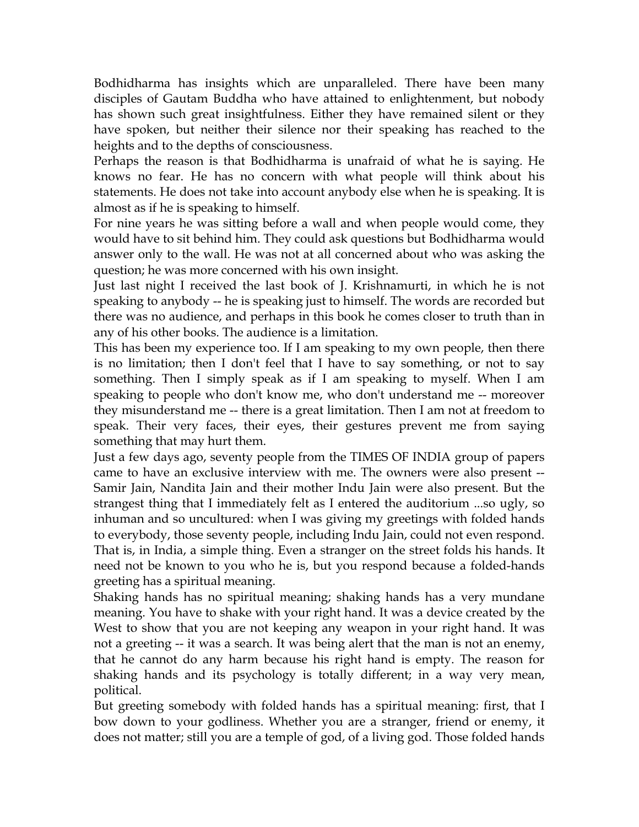Bodhidharma has insights which are unparalleled. There have been many disciples of Gautam Buddha who have attained to enlightenment, but nobody has shown such great insightfulness. Either they have remained silent or they have spoken, but neither their silence nor their speaking has reached to the heights and to the depths of consciousness.

Perhaps the reason is that Bodhidharma is unafraid of what he is saying. He knows no fear. He has no concern with what people will think about his statements. He does not take into account anybody else when he is speaking. It is almost as if he is speaking to himself.

For nine years he was sitting before a wall and when people would come, they would have to sit behind him. They could ask questions but Bodhidharma would answer only to the wall. He was not at all concerned about who was asking the question; he was more concerned with his own insight.

Just last night I received the last book of J. Krishnamurti, in which he is not speaking to anybody -- he is speaking just to himself. The words are recorded but there was no audience, and perhaps in this book he comes closer to truth than in any of his other books. The audience is a limitation.

This has been my experience too. If I am speaking to my own people, then there is no limitation; then I don't feel that I have to say something, or not to say something. Then I simply speak as if I am speaking to myself. When I am speaking to people who don't know me, who don't understand me -- moreover they misunderstand me -- there is a great limitation. Then I am not at freedom to speak. Their very faces, their eyes, their gestures prevent me from saying something that may hurt them.

Just a few days ago, seventy people from the TIMES OF INDIA group of papers came to have an exclusive interview with me. The owners were also present -- Samir Jain, Nandita Jain and their mother Indu Jain were also present. But the strangest thing that I immediately felt as I entered the auditorium ...so ugly, so inhuman and so uncultured: when I was giving my greetings with folded hands to everybody, those seventy people, including Indu Jain, could not even respond. That is, in India, a simple thing. Even a stranger on the street folds his hands. It need not be known to you who he is, but you respond because a folded-hands greeting has a spiritual meaning.

Shaking hands has no spiritual meaning; shaking hands has a very mundane meaning. You have to shake with your right hand. It was a device created by the West to show that you are not keeping any weapon in your right hand. It was not a greeting -- it was a search. It was being alert that the man is not an enemy, that he cannot do any harm because his right hand is empty. The reason for shaking hands and its psychology is totally different; in a way very mean, political.

But greeting somebody with folded hands has a spiritual meaning: first, that I bow down to your godliness. Whether you are a stranger, friend or enemy, it does not matter; still you are a temple of god, of a living god. Those folded hands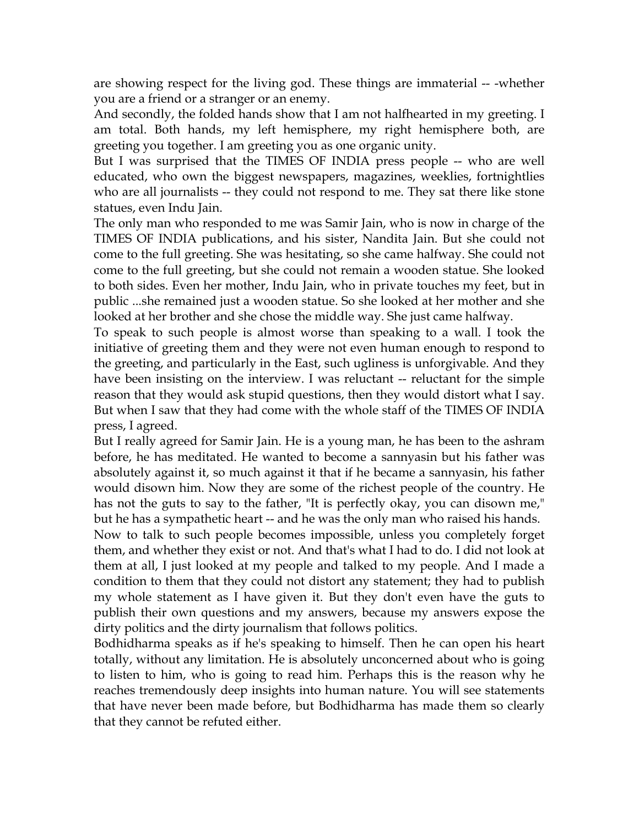are showing respect for the living god. These things are immaterial -- -whether you are a friend or a stranger or an enemy.

And secondly, the folded hands show that I am not halfhearted in my greeting. I am total. Both hands, my left hemisphere, my right hemisphere both, are greeting you together. I am greeting you as one organic unity.

But I was surprised that the TIMES OF INDIA press people -- who are well educated, who own the biggest newspapers, magazines, weeklies, fortnightlies who are all journalists -- they could not respond to me. They sat there like stone statues, even Indu Jain.

The only man who responded to me was Samir Jain, who is now in charge of the TIMES OF INDIA publications, and his sister, Nandita Jain. But she could not come to the full greeting. She was hesitating, so she came halfway. She could not come to the full greeting, but she could not remain a wooden statue. She looked to both sides. Even her mother, Indu Jain, who in private touches my feet, but in public ...she remained just a wooden statue. So she looked at her mother and she looked at her brother and she chose the middle way. She just came halfway.

To speak to such people is almost worse than speaking to a wall. I took the initiative of greeting them and they were not even human enough to respond to the greeting, and particularly in the East, such ugliness is unforgivable. And they have been insisting on the interview. I was reluctant -- reluctant for the simple reason that they would ask stupid questions, then they would distort what I say. But when I saw that they had come with the whole staff of the TIMES OF INDIA press, I agreed.

But I really agreed for Samir Jain. He is a young man, he has been to the ashram before, he has meditated. He wanted to become a sannyasin but his father was absolutely against it, so much against it that if he became a sannyasin, his father would disown him. Now they are some of the richest people of the country. He has not the guts to say to the father, "It is perfectly okay, you can disown me," but he has a sympathetic heart -- and he was the only man who raised his hands.

Now to talk to such people becomes impossible, unless you completely forget them, and whether they exist or not. And that's what I had to do. I did not look at them at all, I just looked at my people and talked to my people. And I made a condition to them that they could not distort any statement; they had to publish my whole statement as I have given it. But they don't even have the guts to publish their own questions and my answers, because my answers expose the dirty politics and the dirty journalism that follows politics.

Bodhidharma speaks as if he's speaking to himself. Then he can open his heart totally, without any limitation. He is absolutely unconcerned about who is going to listen to him, who is going to read him. Perhaps this is the reason why he reaches tremendously deep insights into human nature. You will see statements that have never been made before, but Bodhidharma has made them so clearly that they cannot be refuted either.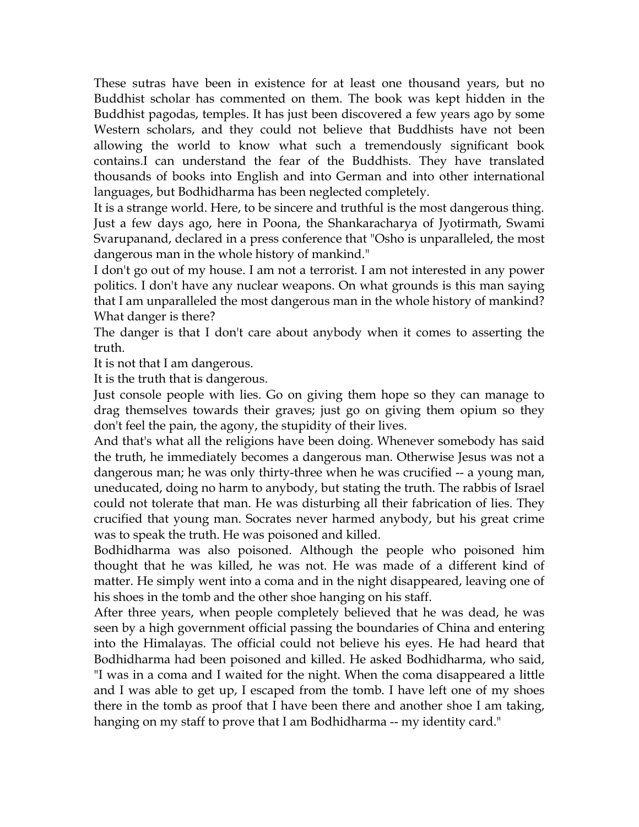These sutras have been in existence for at least one thousand years, but no Buddhist scholar has commented on them. The book was kept hidden in the Buddhist pagodas, temples. It has just been discovered a few years ago by some Western scholars, and they could not believe that Buddhists have not been allowing the world to know what such a tremendously significant book contains.I can understand the fear of the Buddhists. They have translated thousands of books into English and into German and into other international languages, but Bodhidharma has been neglected completely.

It is a strange world. Here, to be sincere and truthful is the most dangerous thing. Just a few days ago, here in Poona, the Shankaracharya of Jyotirmath, Swami Svarupanand, declared in a press conference that "Osho is unparalleled, the most dangerous man in the whole history of mankind."

I don't go out of my house. I am not a terrorist. I am not interested in any power politics. I don't have any nuclear weapons. On what grounds is this man saying that I am unparalleled the most dangerous man in the whole history of mankind? What danger is there?

The danger is that I don't care about anybody when it comes to asserting the truth.

It is not that I am dangerous.

It is the truth that is dangerous.

Just console people with lies. Go on giving them hope so they can manage to drag themselves towards their graves; just go on giving them opium so they don't feel the pain, the agony, the stupidity of their lives.

And that's what all the religions have been doing. Whenever somebody has said the truth, he immediately becomes a dangerous man. Otherwise Jesus was not a dangerous man; he was only thirty-three when he was crucified -- a young man, uneducated, doing no harm to anybody, but stating the truth. The rabbis of Israel could not tolerate that man. He was disturbing all their fabrication of lies. They crucified that young man. Socrates never harmed anybody, but his great crime was to speak the truth. He was poisoned and killed.

Bodhidharma was also poisoned. Although the people who poisoned him thought that he was killed, he was not. He was made of a different kind of matter. He simply went into a coma and in the night disappeared, leaving one of his shoes in the tomb and the other shoe hanging on his staff.

After three years, when people completely believed that he was dead, he was seen by a high government official passing the boundaries of China and entering into the Himalayas. The official could not believe his eyes. He had heard that Bodhidharma had been poisoned and killed. He asked Bodhidharma, who said, "I was in a coma and I waited for the night. When the coma disappeared a little and I was able to get up, I escaped from the tomb. I have left one of my shoes there in the tomb as proof that I have been there and another shoe I am taking, hanging on my staff to prove that I am Bodhidharma -- my identity card."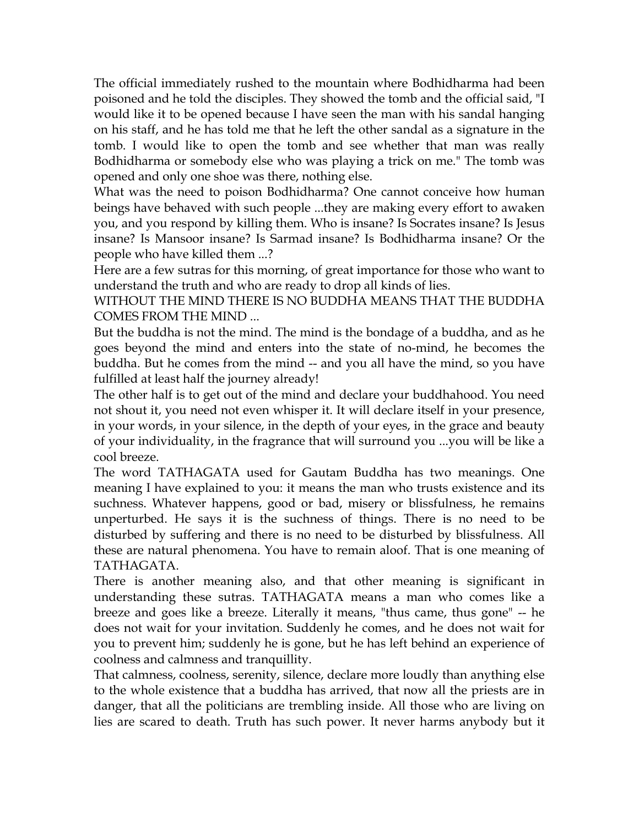The official immediately rushed to the mountain where Bodhidharma had been poisoned and he told the disciples. They showed the tomb and the official said, "I would like it to be opened because I have seen the man with his sandal hanging on his staff, and he has told me that he left the other sandal as a signature in the tomb. I would like to open the tomb and see whether that man was really Bodhidharma or somebody else who was playing a trick on me." The tomb was opened and only one shoe was there, nothing else.

What was the need to poison Bodhidharma? One cannot conceive how human beings have behaved with such people ...they are making every effort to awaken you, and you respond by killing them. Who is insane? Is Socrates insane? Is Jesus insane? Is Mansoor insane? Is Sarmad insane? Is Bodhidharma insane? Or the people who have killed them ...?

Here are a few sutras for this morning, of great importance for those who want to understand the truth and who are ready to drop all kinds of lies.

WITHOUT THE MIND THERE IS NO BUDDHA MEANS THAT THE BUDDHA COMES FROM THE MIND ...

But the buddha is not the mind. The mind is the bondage of a buddha, and as he goes beyond the mind and enters into the state of no-mind, he becomes the buddha. But he comes from the mind -- and you all have the mind, so you have fulfilled at least half the journey already!

The other half is to get out of the mind and declare your buddhahood. You need not shout it, you need not even whisper it. It will declare itself in your presence, in your words, in your silence, in the depth of your eyes, in the grace and beauty of your individuality, in the fragrance that will surround you ...you will be like a cool breeze.

The word TATHAGATA used for Gautam Buddha has two meanings. One meaning I have explained to you: it means the man who trusts existence and its suchness. Whatever happens, good or bad, misery or blissfulness, he remains unperturbed. He says it is the suchness of things. There is no need to be disturbed by suffering and there is no need to be disturbed by blissfulness. All these are natural phenomena. You have to remain aloof. That is one meaning of TATHAGATA.

There is another meaning also, and that other meaning is significant in understanding these sutras. TATHAGATA means a man who comes like a breeze and goes like a breeze. Literally it means, "thus came, thus gone" -- he does not wait for your invitation. Suddenly he comes, and he does not wait for you to prevent him; suddenly he is gone, but he has left behind an experience of coolness and calmness and tranquillity.

That calmness, coolness, serenity, silence, declare more loudly than anything else to the whole existence that a buddha has arrived, that now all the priests are in danger, that all the politicians are trembling inside. All those who are living on lies are scared to death. Truth has such power. It never harms anybody but it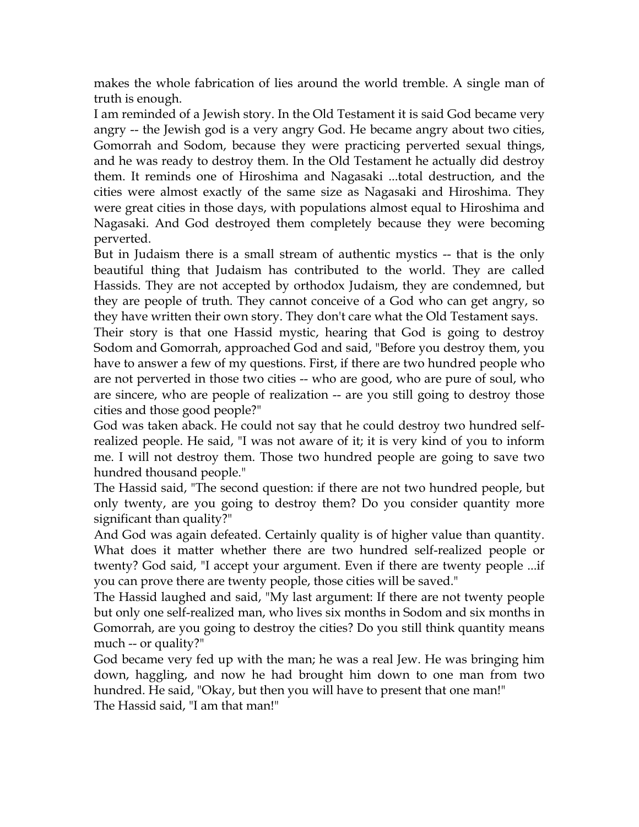makes the whole fabrication of lies around the world tremble. A single man of truth is enough.

I am reminded of a Jewish story. In the Old Testament it is said God became very angry -- the Jewish god is a very angry God. He became angry about two cities, Gomorrah and Sodom, because they were practicing perverted sexual things, and he was ready to destroy them. In the Old Testament he actually did destroy them. It reminds one of Hiroshima and Nagasaki ...total destruction, and the cities were almost exactly of the same size as Nagasaki and Hiroshima. They were great cities in those days, with populations almost equal to Hiroshima and Nagasaki. And God destroyed them completely because they were becoming perverted.

But in Judaism there is a small stream of authentic mystics -- that is the only beautiful thing that Judaism has contributed to the world. They are called Hassids. They are not accepted by orthodox Judaism, they are condemned, but they are people of truth. They cannot conceive of a God who can get angry, so they have written their own story. They don't care what the Old Testament says.

Their story is that one Hassid mystic, hearing that God is going to destroy Sodom and Gomorrah, approached God and said, "Before you destroy them, you have to answer a few of my questions. First, if there are two hundred people who are not perverted in those two cities -- who are good, who are pure of soul, who are sincere, who are people of realization -- are you still going to destroy those cities and those good people?"

God was taken aback. He could not say that he could destroy two hundred selfrealized people. He said, "I was not aware of it; it is very kind of you to inform me. I will not destroy them. Those two hundred people are going to save two hundred thousand people."

The Hassid said, "The second question: if there are not two hundred people, but only twenty, are you going to destroy them? Do you consider quantity more significant than quality?"

And God was again defeated. Certainly quality is of higher value than quantity. What does it matter whether there are two hundred self-realized people or twenty? God said, "I accept your argument. Even if there are twenty people ...if you can prove there are twenty people, those cities will be saved."

The Hassid laughed and said, "My last argument: If there are not twenty people but only one self-realized man, who lives six months in Sodom and six months in Gomorrah, are you going to destroy the cities? Do you still think quantity means much -- or quality?"

God became very fed up with the man; he was a real Jew. He was bringing him down, haggling, and now he had brought him down to one man from two hundred. He said, "Okay, but then you will have to present that one man!" The Hassid said, "I am that man!"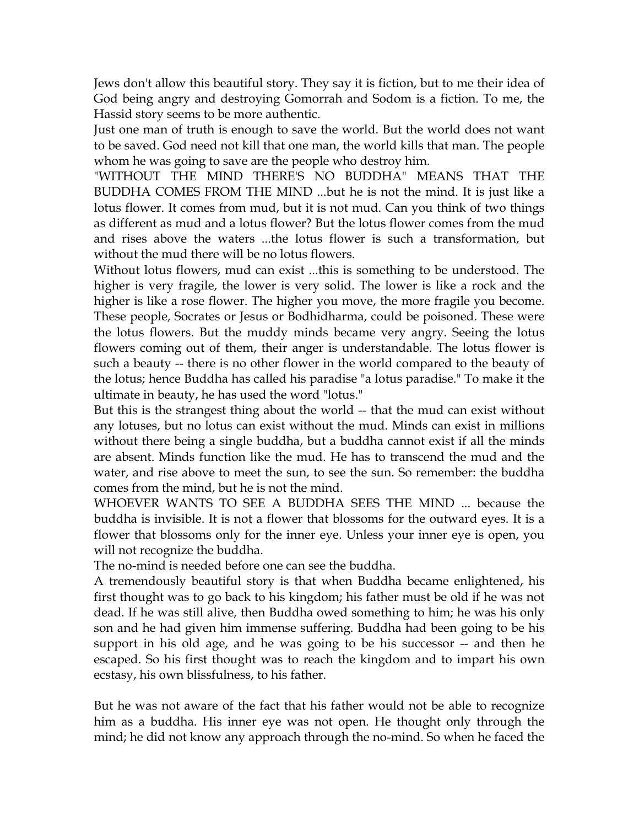Jews don't allow this beautiful story. They say it is fiction, but to me their idea of God being angry and destroying Gomorrah and Sodom is a fiction. To me, the Hassid story seems to be more authentic.

Just one man of truth is enough to save the world. But the world does not want to be saved. God need not kill that one man, the world kills that man. The people whom he was going to save are the people who destroy him.

"WITHOUT THE MIND THERE'S NO BUDDHA" MEANS THAT THE BUDDHA COMES FROM THE MIND ...but he is not the mind. It is just like a lotus flower. It comes from mud, but it is not mud. Can you think of two things as different as mud and a lotus flower? But the lotus flower comes from the mud and rises above the waters ...the lotus flower is such a transformation, but without the mud there will be no lotus flowers.

Without lotus flowers, mud can exist ...this is something to be understood. The higher is very fragile, the lower is very solid. The lower is like a rock and the higher is like a rose flower. The higher you move, the more fragile you become. These people, Socrates or Jesus or Bodhidharma, could be poisoned. These were the lotus flowers. But the muddy minds became very angry. Seeing the lotus flowers coming out of them, their anger is understandable. The lotus flower is such a beauty -- there is no other flower in the world compared to the beauty of the lotus; hence Buddha has called his paradise "a lotus paradise." To make it the ultimate in beauty, he has used the word "lotus."

But this is the strangest thing about the world -- that the mud can exist without any lotuses, but no lotus can exist without the mud. Minds can exist in millions without there being a single buddha, but a buddha cannot exist if all the minds are absent. Minds function like the mud. He has to transcend the mud and the water, and rise above to meet the sun, to see the sun. So remember: the buddha comes from the mind, but he is not the mind.

WHOEVER WANTS TO SEE A BUDDHA SEES THE MIND ... because the buddha is invisible. It is not a flower that blossoms for the outward eyes. It is a flower that blossoms only for the inner eye. Unless your inner eye is open, you will not recognize the buddha.

The no-mind is needed before one can see the buddha.

A tremendously beautiful story is that when Buddha became enlightened, his first thought was to go back to his kingdom; his father must be old if he was not dead. If he was still alive, then Buddha owed something to him; he was his only son and he had given him immense suffering. Buddha had been going to be his support in his old age, and he was going to be his successor -- and then he escaped. So his first thought was to reach the kingdom and to impart his own ecstasy, his own blissfulness, to his father.

But he was not aware of the fact that his father would not be able to recognize him as a buddha. His inner eye was not open. He thought only through the mind; he did not know any approach through the no-mind. So when he faced the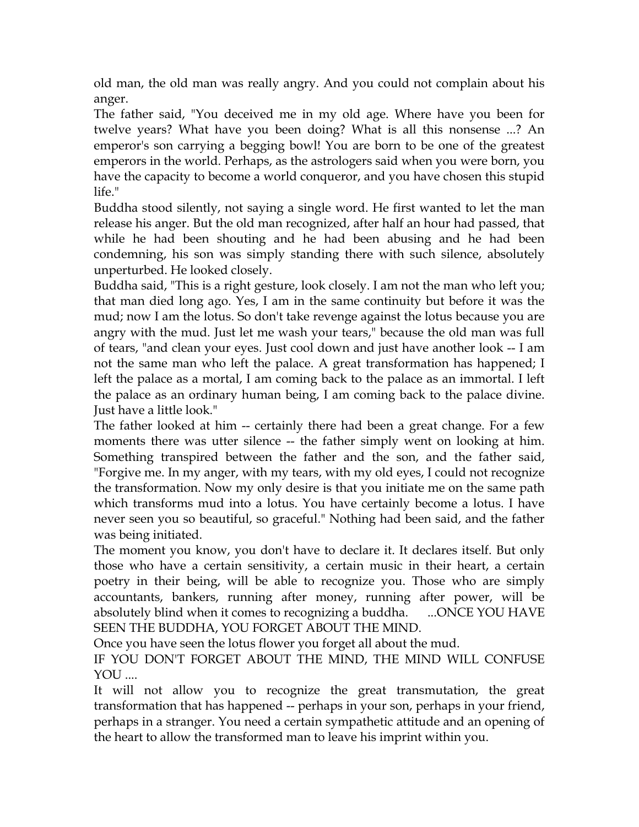old man, the old man was really angry. And you could not complain about his anger.

The father said, "You deceived me in my old age. Where have you been for twelve years? What have you been doing? What is all this nonsense ...? An emperor's son carrying a begging bowl! You are born to be one of the greatest emperors in the world. Perhaps, as the astrologers said when you were born, you have the capacity to become a world conqueror, and you have chosen this stupid life."

Buddha stood silently, not saying a single word. He first wanted to let the man release his anger. But the old man recognized, after half an hour had passed, that while he had been shouting and he had been abusing and he had been condemning, his son was simply standing there with such silence, absolutely unperturbed. He looked closely.

Buddha said, "This is a right gesture, look closely. I am not the man who left you; that man died long ago. Yes, I am in the same continuity but before it was the mud; now I am the lotus. So don't take revenge against the lotus because you are angry with the mud. Just let me wash your tears," because the old man was full of tears, "and clean your eyes. Just cool down and just have another look -- I am not the same man who left the palace. A great transformation has happened; I left the palace as a mortal, I am coming back to the palace as an immortal. I left the palace as an ordinary human being, I am coming back to the palace divine. Just have a little look."

The father looked at him -- certainly there had been a great change. For a few moments there was utter silence -- the father simply went on looking at him. Something transpired between the father and the son, and the father said, "Forgive me. In my anger, with my tears, with my old eyes, I could not recognize the transformation. Now my only desire is that you initiate me on the same path which transforms mud into a lotus. You have certainly become a lotus. I have never seen you so beautiful, so graceful." Nothing had been said, and the father was being initiated.

The moment you know, you don't have to declare it. It declares itself. But only those who have a certain sensitivity, a certain music in their heart, a certain poetry in their being, will be able to recognize you. Those who are simply accountants, bankers, running after money, running after power, will be absolutely blind when it comes to recognizing a buddha. ...ONCE YOU HAVE SEEN THE BUDDHA, YOU FORGET ABOUT THE MIND.

Once you have seen the lotus flower you forget all about the mud.

IF YOU DON'T FORGET ABOUT THE MIND, THE MIND WILL CONFUSE YOU ....

It will not allow you to recognize the great transmutation, the great transformation that has happened -- perhaps in your son, perhaps in your friend, perhaps in a stranger. You need a certain sympathetic attitude and an opening of the heart to allow the transformed man to leave his imprint within you.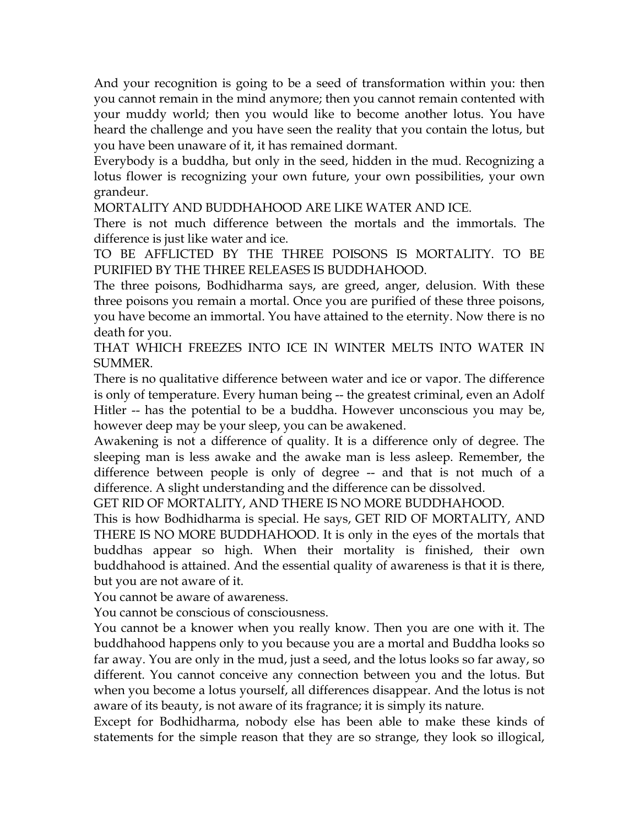And your recognition is going to be a seed of transformation within you: then you cannot remain in the mind anymore; then you cannot remain contented with your muddy world; then you would like to become another lotus. You have heard the challenge and you have seen the reality that you contain the lotus, but you have been unaware of it, it has remained dormant.

Everybody is a buddha, but only in the seed, hidden in the mud. Recognizing a lotus flower is recognizing your own future, your own possibilities, your own grandeur.

MORTALITY AND BUDDHAHOOD ARE LIKE WATER AND ICE.

There is not much difference between the mortals and the immortals. The difference is just like water and ice.

TO BE AFFLICTED BY THE THREE POISONS IS MORTALITY. TO BE PURIFIED BY THE THREE RELEASES IS BUDDHAHOOD.

The three poisons, Bodhidharma says, are greed, anger, delusion. With these three poisons you remain a mortal. Once you are purified of these three poisons, you have become an immortal. You have attained to the eternity. Now there is no death for you.

THAT WHICH FREEZES INTO ICE IN WINTER MELTS INTO WATER IN SUMMER.

There is no qualitative difference between water and ice or vapor. The difference is only of temperature. Every human being -- the greatest criminal, even an Adolf Hitler -- has the potential to be a buddha. However unconscious you may be, however deep may be your sleep, you can be awakened.

Awakening is not a difference of quality. It is a difference only of degree. The sleeping man is less awake and the awake man is less asleep. Remember, the difference between people is only of degree -- and that is not much of a difference. A slight understanding and the difference can be dissolved.

GET RID OF MORTALITY, AND THERE IS NO MORE BUDDHAHOOD.

This is how Bodhidharma is special. He says, GET RID OF MORTALITY, AND THERE IS NO MORE BUDDHAHOOD. It is only in the eyes of the mortals that buddhas appear so high. When their mortality is finished, their own buddhahood is attained. And the essential quality of awareness is that it is there, but you are not aware of it.

You cannot be aware of awareness.

You cannot be conscious of consciousness.

You cannot be a knower when you really know. Then you are one with it. The buddhahood happens only to you because you are a mortal and Buddha looks so far away. You are only in the mud, just a seed, and the lotus looks so far away, so different. You cannot conceive any connection between you and the lotus. But when you become a lotus yourself, all differences disappear. And the lotus is not aware of its beauty, is not aware of its fragrance; it is simply its nature.

Except for Bodhidharma, nobody else has been able to make these kinds of statements for the simple reason that they are so strange, they look so illogical,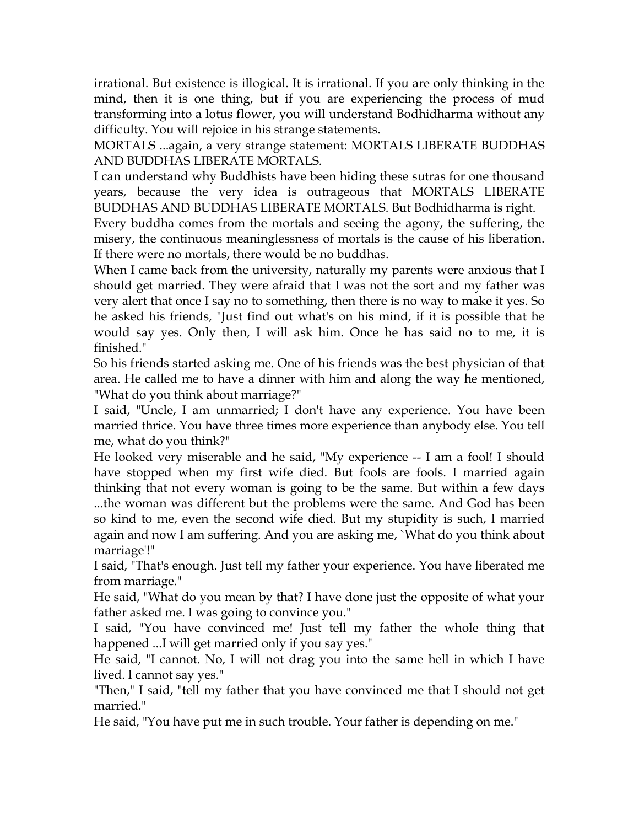irrational. But existence is illogical. It is irrational. If you are only thinking in the mind, then it is one thing, but if you are experiencing the process of mud transforming into a lotus flower, you will understand Bodhidharma without any difficulty. You will rejoice in his strange statements.

MORTALS ...again, a very strange statement: MORTALS LIBERATE BUDDHAS AND BUDDHAS LIBERATE MORTALS.

I can understand why Buddhists have been hiding these sutras for one thousand years, because the very idea is outrageous that MORTALS LIBERATE BUDDHAS AND BUDDHAS LIBERATE MORTALS. But Bodhidharma is right.

Every buddha comes from the mortals and seeing the agony, the suffering, the misery, the continuous meaninglessness of mortals is the cause of his liberation. If there were no mortals, there would be no buddhas.

When I came back from the university, naturally my parents were anxious that I should get married. They were afraid that I was not the sort and my father was very alert that once I say no to something, then there is no way to make it yes. So he asked his friends, "Just find out what's on his mind, if it is possible that he would say yes. Only then, I will ask him. Once he has said no to me, it is finished<sup>"</sup>

So his friends started asking me. One of his friends was the best physician of that area. He called me to have a dinner with him and along the way he mentioned, "What do you think about marriage?"

I said, "Uncle, I am unmarried; I don't have any experience. You have been married thrice. You have three times more experience than anybody else. You tell me, what do you think?"

He looked very miserable and he said, "My experience -- I am a fool! I should have stopped when my first wife died. But fools are fools. I married again thinking that not every woman is going to be the same. But within a few days ...the woman was different but the problems were the same. And God has been so kind to me, even the second wife died. But my stupidity is such, I married again and now I am suffering. And you are asking me, `What do you think about marriage'!"

I said, "That's enough. Just tell my father your experience. You have liberated me from marriage."

He said, "What do you mean by that? I have done just the opposite of what your father asked me. I was going to convince you."

I said, "You have convinced me! Just tell my father the whole thing that happened ...I will get married only if you say yes."

He said, "I cannot. No, I will not drag you into the same hell in which I have lived. I cannot say yes."

"Then," I said, "tell my father that you have convinced me that I should not get married."

He said, "You have put me in such trouble. Your father is depending on me."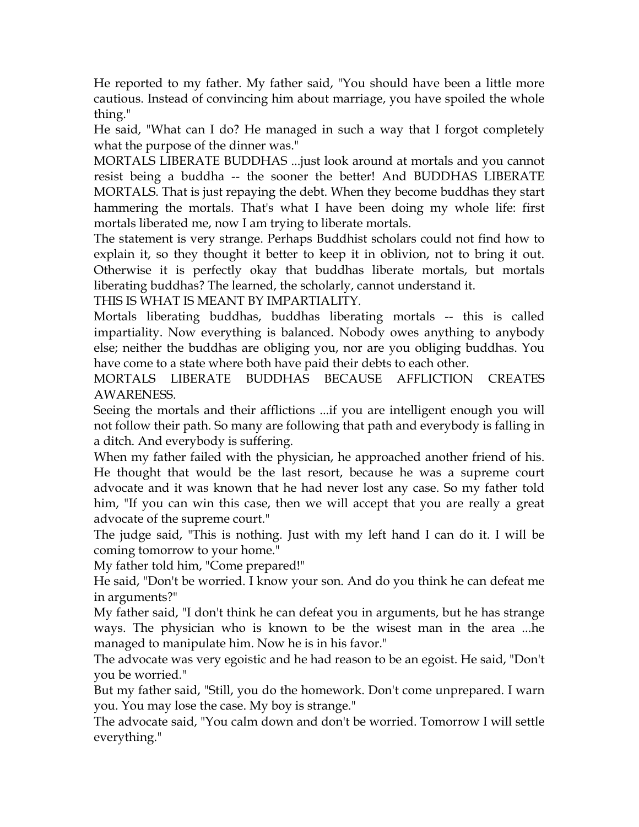He reported to my father. My father said, "You should have been a little more cautious. Instead of convincing him about marriage, you have spoiled the whole thing."

He said, "What can I do? He managed in such a way that I forgot completely what the purpose of the dinner was."

MORTALS LIBERATE BUDDHAS ...just look around at mortals and you cannot resist being a buddha -- the sooner the better! And BUDDHAS LIBERATE MORTALS. That is just repaying the debt. When they become buddhas they start hammering the mortals. That's what I have been doing my whole life: first mortals liberated me, now I am trying to liberate mortals.

The statement is very strange. Perhaps Buddhist scholars could not find how to explain it, so they thought it better to keep it in oblivion, not to bring it out. Otherwise it is perfectly okay that buddhas liberate mortals, but mortals liberating buddhas? The learned, the scholarly, cannot understand it.

THIS IS WHAT IS MEANT BY IMPARTIALITY.

Mortals liberating buddhas, buddhas liberating mortals -- this is called impartiality. Now everything is balanced. Nobody owes anything to anybody else; neither the buddhas are obliging you, nor are you obliging buddhas. You have come to a state where both have paid their debts to each other.

MORTALS LIBERATE BUDDHAS BECAUSE AFFLICTION CREATES AWARENESS.

Seeing the mortals and their afflictions ...if you are intelligent enough you will not follow their path. So many are following that path and everybody is falling in a ditch. And everybody is suffering.

When my father failed with the physician, he approached another friend of his. He thought that would be the last resort, because he was a supreme court advocate and it was known that he had never lost any case. So my father told him, "If you can win this case, then we will accept that you are really a great advocate of the supreme court."

The judge said, "This is nothing. Just with my left hand I can do it. I will be coming tomorrow to your home."

My father told him, "Come prepared!"

He said, "Don't be worried. I know your son. And do you think he can defeat me in arguments?"

My father said, "I don't think he can defeat you in arguments, but he has strange ways. The physician who is known to be the wisest man in the area ...he managed to manipulate him. Now he is in his favor."

The advocate was very egoistic and he had reason to be an egoist. He said, "Don't you be worried."

But my father said, "Still, you do the homework. Don't come unprepared. I warn you. You may lose the case. My boy is strange."

The advocate said, "You calm down and don't be worried. Tomorrow I will settle everything."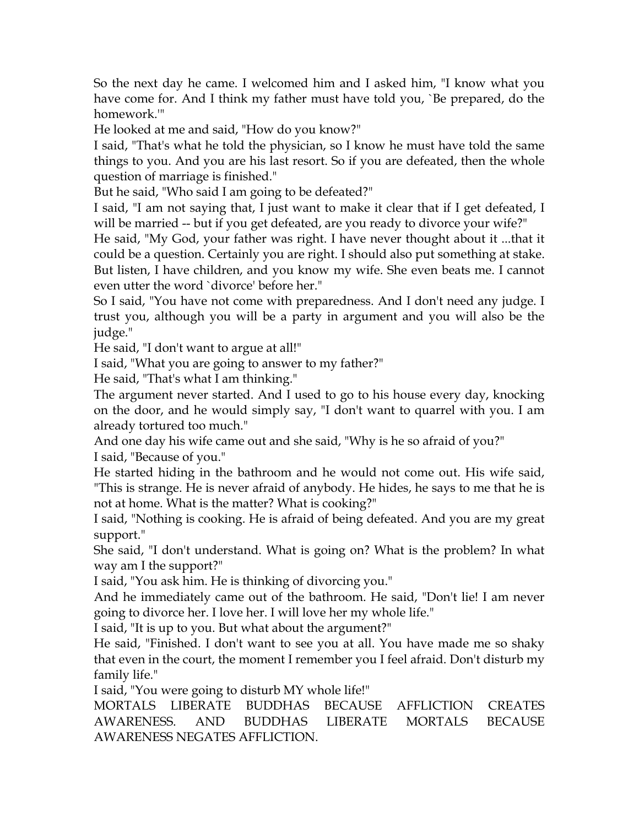So the next day he came. I welcomed him and I asked him, "I know what you have come for. And I think my father must have told you, `Be prepared, do the homework.'"

He looked at me and said, "How do you know?"

I said, "That's what he told the physician, so I know he must have told the same things to you. And you are his last resort. So if you are defeated, then the whole question of marriage is finished."

But he said, "Who said I am going to be defeated?"

I said, "I am not saying that, I just want to make it clear that if I get defeated, I will be married -- but if you get defeated, are you ready to divorce your wife?"

He said, "My God, your father was right. I have never thought about it ...that it could be a question. Certainly you are right. I should also put something at stake. But listen, I have children, and you know my wife. She even beats me. I cannot even utter the word `divorce' before her."

So I said, "You have not come with preparedness. And I don't need any judge. I trust you, although you will be a party in argument and you will also be the judge."

He said, "I don't want to argue at all!"

I said, "What you are going to answer to my father?"

He said, "That's what I am thinking."

The argument never started. And I used to go to his house every day, knocking on the door, and he would simply say, "I don't want to quarrel with you. I am already tortured too much."

And one day his wife came out and she said, "Why is he so afraid of you?" I said, "Because of you."

He started hiding in the bathroom and he would not come out. His wife said, "This is strange. He is never afraid of anybody. He hides, he says to me that he is not at home. What is the matter? What is cooking?"

I said, "Nothing is cooking. He is afraid of being defeated. And you are my great support."

She said, "I don't understand. What is going on? What is the problem? In what way am I the support?"

I said, "You ask him. He is thinking of divorcing you."

And he immediately came out of the bathroom. He said, "Don't lie! I am never going to divorce her. I love her. I will love her my whole life."

I said, "It is up to you. But what about the argument?"

He said, "Finished. I don't want to see you at all. You have made me so shaky that even in the court, the moment I remember you I feel afraid. Don't disturb my family life."

I said, "You were going to disturb MY whole life!"

MORTALS LIBERATE BUDDHAS BECAUSE AFFLICTION CREATES AWARENESS. AND BUDDHAS LIBERATE MORTALS BECAUSE AWARENESS NEGATES AFFLICTION.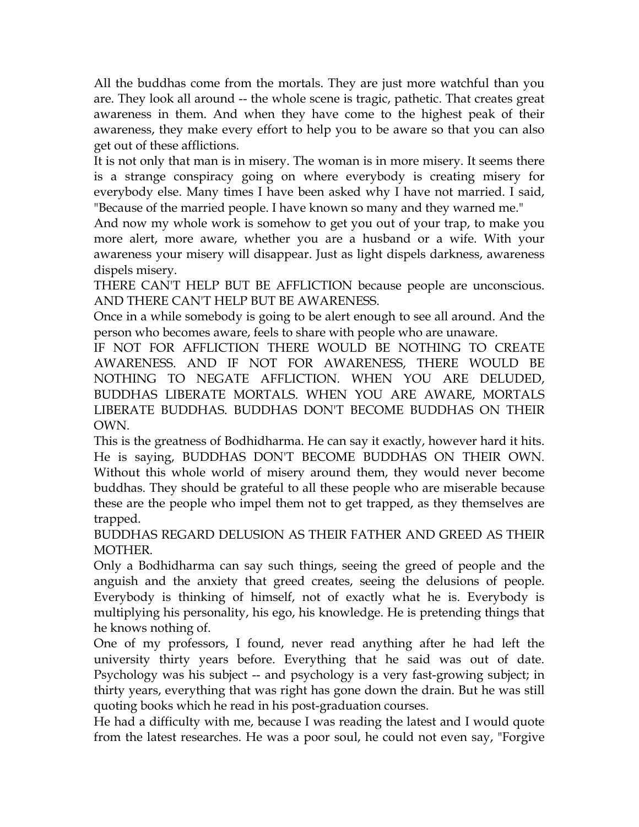All the buddhas come from the mortals. They are just more watchful than you are. They look all around -- the whole scene is tragic, pathetic. That creates great awareness in them. And when they have come to the highest peak of their awareness, they make every effort to help you to be aware so that you can also get out of these afflictions.

It is not only that man is in misery. The woman is in more misery. It seems there is a strange conspiracy going on where everybody is creating misery for everybody else. Many times I have been asked why I have not married. I said, "Because of the married people. I have known so many and they warned me."

And now my whole work is somehow to get you out of your trap, to make you more alert, more aware, whether you are a husband or a wife. With your awareness your misery will disappear. Just as light dispels darkness, awareness dispels misery.

THERE CAN'T HELP BUT BE AFFLICTION because people are unconscious. AND THERE CAN'T HELP BUT BE AWARENESS.

Once in a while somebody is going to be alert enough to see all around. And the person who becomes aware, feels to share with people who are unaware.

IF NOT FOR AFFLICTION THERE WOULD BE NOTHING TO CREATE AWARENESS. AND IF NOT FOR AWARENESS, THERE WOULD BE NOTHING TO NEGATE AFFLICTION. WHEN YOU ARE DELUDED, BUDDHAS LIBERATE MORTALS. WHEN YOU ARE AWARE, MORTALS LIBERATE BUDDHAS. BUDDHAS DON'T BECOME BUDDHAS ON THEIR OWN.

This is the greatness of Bodhidharma. He can say it exactly, however hard it hits. He is saying, BUDDHAS DON'T BECOME BUDDHAS ON THEIR OWN. Without this whole world of misery around them, they would never become buddhas. They should be grateful to all these people who are miserable because these are the people who impel them not to get trapped, as they themselves are trapped.

BUDDHAS REGARD DELUSION AS THEIR FATHER AND GREED AS THEIR MOTHER.

Only a Bodhidharma can say such things, seeing the greed of people and the anguish and the anxiety that greed creates, seeing the delusions of people. Everybody is thinking of himself, not of exactly what he is. Everybody is multiplying his personality, his ego, his knowledge. He is pretending things that he knows nothing of.

One of my professors, I found, never read anything after he had left the university thirty years before. Everything that he said was out of date. Psychology was his subject -- and psychology is a very fast-growing subject; in thirty years, everything that was right has gone down the drain. But he was still quoting books which he read in his post-graduation courses.

He had a difficulty with me, because I was reading the latest and I would quote from the latest researches. He was a poor soul, he could not even say, "Forgive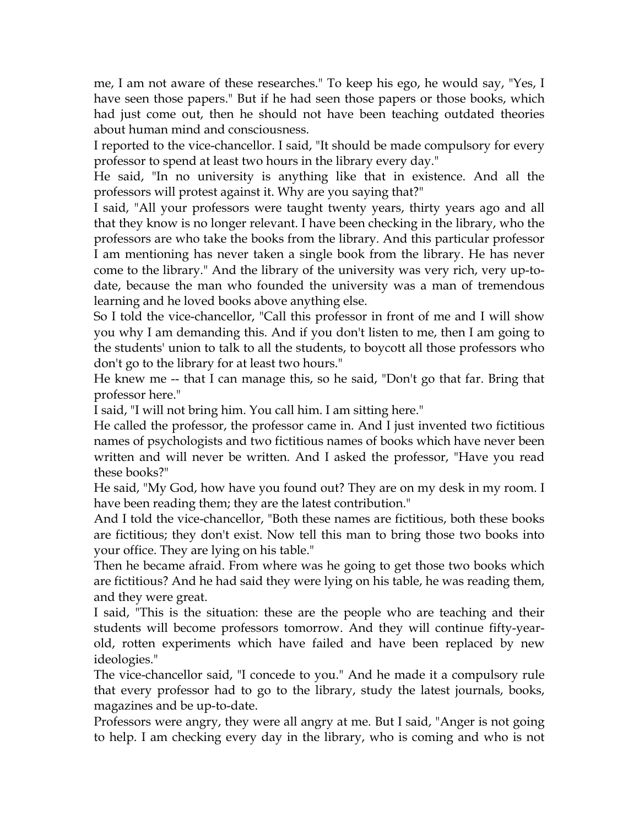me, I am not aware of these researches." To keep his ego, he would say, "Yes, I have seen those papers." But if he had seen those papers or those books, which had just come out, then he should not have been teaching outdated theories about human mind and consciousness.

I reported to the vice-chancellor. I said, "It should be made compulsory for every professor to spend at least two hours in the library every day."

He said, "In no university is anything like that in existence. And all the professors will protest against it. Why are you saying that?"

I said, "All your professors were taught twenty years, thirty years ago and all that they know is no longer relevant. I have been checking in the library, who the professors are who take the books from the library. And this particular professor I am mentioning has never taken a single book from the library. He has never come to the library." And the library of the university was very rich, very up-todate, because the man who founded the university was a man of tremendous learning and he loved books above anything else.

So I told the vice-chancellor, "Call this professor in front of me and I will show you why I am demanding this. And if you don't listen to me, then I am going to the students' union to talk to all the students, to boycott all those professors who don't go to the library for at least two hours."

He knew me -- that I can manage this, so he said, "Don't go that far. Bring that professor here."

I said, "I will not bring him. You call him. I am sitting here."

He called the professor, the professor came in. And I just invented two fictitious names of psychologists and two fictitious names of books which have never been written and will never be written. And I asked the professor, "Have you read these books?"

He said, "My God, how have you found out? They are on my desk in my room. I have been reading them; they are the latest contribution."

And I told the vice-chancellor, "Both these names are fictitious, both these books are fictitious; they don't exist. Now tell this man to bring those two books into your office. They are lying on his table."

Then he became afraid. From where was he going to get those two books which are fictitious? And he had said they were lying on his table, he was reading them, and they were great.

I said, "This is the situation: these are the people who are teaching and their students will become professors tomorrow. And they will continue fifty-yearold, rotten experiments which have failed and have been replaced by new ideologies."

The vice-chancellor said, "I concede to you." And he made it a compulsory rule that every professor had to go to the library, study the latest journals, books, magazines and be up-to-date.

Professors were angry, they were all angry at me. But I said, "Anger is not going to help. I am checking every day in the library, who is coming and who is not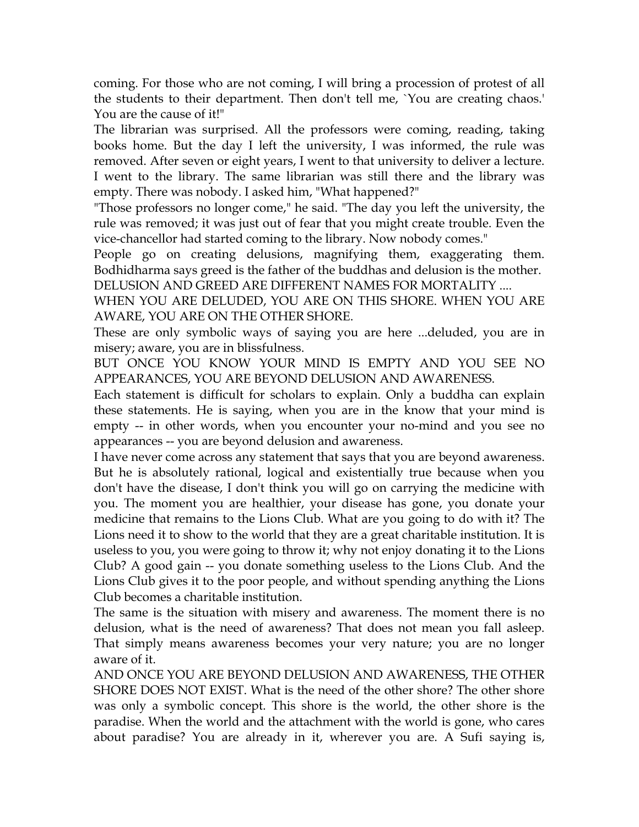coming. For those who are not coming, I will bring a procession of protest of all the students to their department. Then don't tell me, `You are creating chaos.' You are the cause of it!"

The librarian was surprised. All the professors were coming, reading, taking books home. But the day I left the university, I was informed, the rule was removed. After seven or eight years, I went to that university to deliver a lecture. I went to the library. The same librarian was still there and the library was empty. There was nobody. I asked him, "What happened?"

"Those professors no longer come," he said. "The day you left the university, the rule was removed; it was just out of fear that you might create trouble. Even the vice-chancellor had started coming to the library. Now nobody comes."

People go on creating delusions, magnifying them, exaggerating them. Bodhidharma says greed is the father of the buddhas and delusion is the mother.

DELUSION AND GREED ARE DIFFERENT NAMES FOR MORTALITY ....

WHEN YOU ARE DELUDED, YOU ARE ON THIS SHORE. WHEN YOU ARE AWARE, YOU ARE ON THE OTHER SHORE.

These are only symbolic ways of saying you are here ...deluded, you are in misery; aware, you are in blissfulness.

BUT ONCE YOU KNOW YOUR MIND IS EMPTY AND YOU SEE NO APPEARANCES, YOU ARE BEYOND DELUSION AND AWARENESS.

Each statement is difficult for scholars to explain. Only a buddha can explain these statements. He is saying, when you are in the know that your mind is empty -- in other words, when you encounter your no-mind and you see no appearances -- you are beyond delusion and awareness.

I have never come across any statement that says that you are beyond awareness. But he is absolutely rational, logical and existentially true because when you don't have the disease, I don't think you will go on carrying the medicine with you. The moment you are healthier, your disease has gone, you donate your medicine that remains to the Lions Club. What are you going to do with it? The Lions need it to show to the world that they are a great charitable institution. It is useless to you, you were going to throw it; why not enjoy donating it to the Lions Club? A good gain -- you donate something useless to the Lions Club. And the Lions Club gives it to the poor people, and without spending anything the Lions Club becomes a charitable institution.

The same is the situation with misery and awareness. The moment there is no delusion, what is the need of awareness? That does not mean you fall asleep. That simply means awareness becomes your very nature; you are no longer aware of it.

AND ONCE YOU ARE BEYOND DELUSION AND AWARENESS, THE OTHER SHORE DOES NOT EXIST. What is the need of the other shore? The other shore was only a symbolic concept. This shore is the world, the other shore is the paradise. When the world and the attachment with the world is gone, who cares about paradise? You are already in it, wherever you are. A Sufi saying is,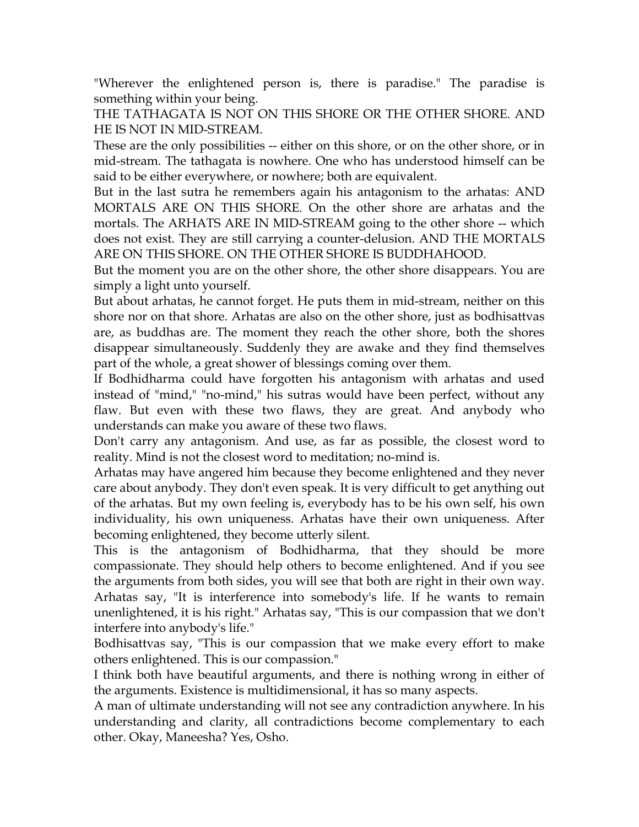"Wherever the enlightened person is, there is paradise." The paradise is something within your being.

THE TATHAGATA IS NOT ON THIS SHORE OR THE OTHER SHORE. AND HE IS NOT IN MID-STREAM.

These are the only possibilities -- either on this shore, or on the other shore, or in mid-stream. The tathagata is nowhere. One who has understood himself can be said to be either everywhere, or nowhere; both are equivalent.

But in the last sutra he remembers again his antagonism to the arhatas: AND MORTALS ARE ON THIS SHORE. On the other shore are arhatas and the mortals. The ARHATS ARE IN MID-STREAM going to the other shore -- which does not exist. They are still carrying a counter-delusion. AND THE MORTALS ARE ON THIS SHORE. ON THE OTHER SHORE IS BUDDHAHOOD.

But the moment you are on the other shore, the other shore disappears. You are simply a light unto yourself.

But about arhatas, he cannot forget. He puts them in mid-stream, neither on this shore nor on that shore. Arhatas are also on the other shore, just as bodhisattvas are, as buddhas are. The moment they reach the other shore, both the shores disappear simultaneously. Suddenly they are awake and they find themselves part of the whole, a great shower of blessings coming over them.

If Bodhidharma could have forgotten his antagonism with arhatas and used instead of "mind," "no-mind," his sutras would have been perfect, without any flaw. But even with these two flaws, they are great. And anybody who understands can make you aware of these two flaws.

Don't carry any antagonism. And use, as far as possible, the closest word to reality. Mind is not the closest word to meditation; no-mind is.

Arhatas may have angered him because they become enlightened and they never care about anybody. They don't even speak. It is very difficult to get anything out of the arhatas. But my own feeling is, everybody has to be his own self, his own individuality, his own uniqueness. Arhatas have their own uniqueness. After becoming enlightened, they become utterly silent.

This is the antagonism of Bodhidharma, that they should be more compassionate. They should help others to become enlightened. And if you see the arguments from both sides, you will see that both are right in their own way. Arhatas say, "It is interference into somebody's life. If he wants to remain unenlightened, it is his right." Arhatas say, "This is our compassion that we don't interfere into anybody's life."

Bodhisattvas say, "This is our compassion that we make every effort to make others enlightened. This is our compassion."

I think both have beautiful arguments, and there is nothing wrong in either of the arguments. Existence is multidimensional, it has so many aspects.

A man of ultimate understanding will not see any contradiction anywhere. In his understanding and clarity, all contradictions become complementary to each other. Okay, Maneesha? Yes, Osho.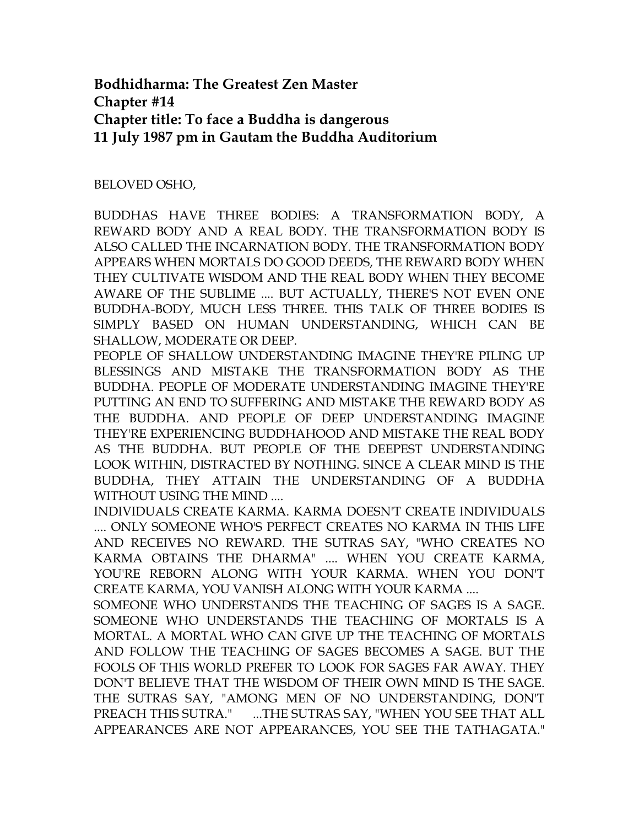# **Bodhidharma: The Greatest Zen Master Chapter #14 Chapter title: To face a Buddha is dangerous 11 July 1987 pm in Gautam the Buddha Auditorium**

#### BELOVED OSHO,

BUDDHAS HAVE THREE BODIES: A TRANSFORMATION BODY, A REWARD BODY AND A REAL BODY. THE TRANSFORMATION BODY IS ALSO CALLED THE INCARNATION BODY. THE TRANSFORMATION BODY APPEARS WHEN MORTALS DO GOOD DEEDS, THE REWARD BODY WHEN THEY CULTIVATE WISDOM AND THE REAL BODY WHEN THEY BECOME AWARE OF THE SUBLIME .... BUT ACTUALLY, THERE'S NOT EVEN ONE BUDDHA-BODY, MUCH LESS THREE. THIS TALK OF THREE BODIES IS SIMPLY BASED ON HUMAN UNDERSTANDING, WHICH CAN BE SHALLOW, MODERATE OR DEEP.

PEOPLE OF SHALLOW UNDERSTANDING IMAGINE THEY'RE PILING UP BLESSINGS AND MISTAKE THE TRANSFORMATION BODY AS THE BUDDHA. PEOPLE OF MODERATE UNDERSTANDING IMAGINE THEY'RE PUTTING AN END TO SUFFERING AND MISTAKE THE REWARD BODY AS THE BUDDHA. AND PEOPLE OF DEEP UNDERSTANDING IMAGINE THEY'RE EXPERIENCING BUDDHAHOOD AND MISTAKE THE REAL BODY AS THE BUDDHA. BUT PEOPLE OF THE DEEPEST UNDERSTANDING LOOK WITHIN, DISTRACTED BY NOTHING. SINCE A CLEAR MIND IS THE BUDDHA, THEY ATTAIN THE UNDERSTANDING OF A BUDDHA WITHOUT USING THE MIND ....

INDIVIDUALS CREATE KARMA. KARMA DOESN'T CREATE INDIVIDUALS .... ONLY SOMEONE WHO'S PERFECT CREATES NO KARMA IN THIS LIFE AND RECEIVES NO REWARD. THE SUTRAS SAY, "WHO CREATES NO KARMA OBTAINS THE DHARMA" .... WHEN YOU CREATE KARMA, YOU'RE REBORN ALONG WITH YOUR KARMA. WHEN YOU DON'T CREATE KARMA, YOU VANISH ALONG WITH YOUR KARMA ....

SOMEONE WHO UNDERSTANDS THE TEACHING OF SAGES IS A SAGE. SOMEONE WHO UNDERSTANDS THE TEACHING OF MORTALS IS A MORTAL. A MORTAL WHO CAN GIVE UP THE TEACHING OF MORTALS AND FOLLOW THE TEACHING OF SAGES BECOMES A SAGE. BUT THE FOOLS OF THIS WORLD PREFER TO LOOK FOR SAGES FAR AWAY. THEY DON'T BELIEVE THAT THE WISDOM OF THEIR OWN MIND IS THE SAGE. THE SUTRAS SAY, "AMONG MEN OF NO UNDERSTANDING, DON'T PREACH THIS SUTRA." ...THE SUTRAS SAY, "WHEN YOU SEE THAT ALL APPEARANCES ARE NOT APPEARANCES, YOU SEE THE TATHAGATA."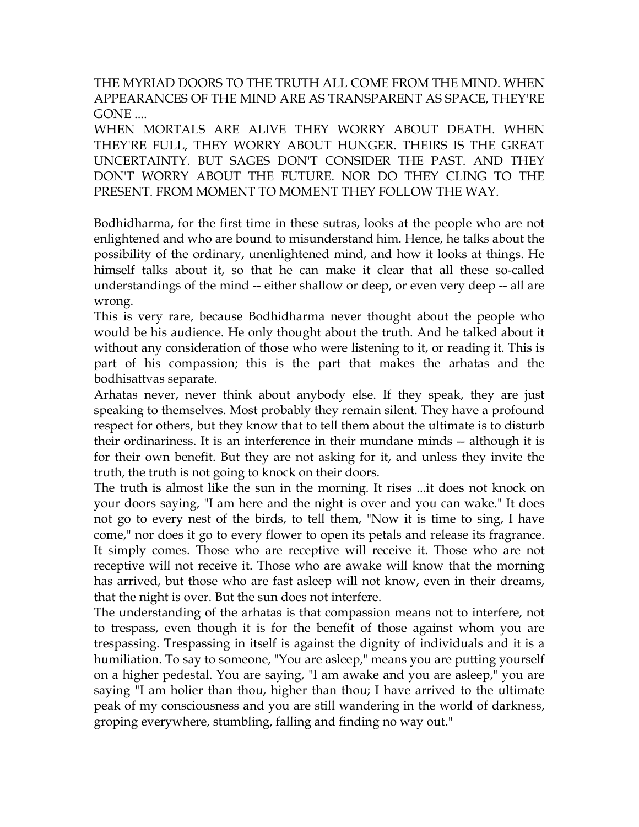## THE MYRIAD DOORS TO THE TRUTH ALL COME FROM THE MIND. WHEN APPEARANCES OF THE MIND ARE AS TRANSPARENT AS SPACE, THEY'RE GONE ....

WHEN MORTALS ARE ALIVE THEY WORRY ABOUT DEATH. WHEN THEY'RE FULL, THEY WORRY ABOUT HUNGER. THEIRS IS THE GREAT UNCERTAINTY. BUT SAGES DON'T CONSIDER THE PAST. AND THEY DON'T WORRY ABOUT THE FUTURE. NOR DO THEY CLING TO THE PRESENT. FROM MOMENT TO MOMENT THEY FOLLOW THE WAY.

Bodhidharma, for the first time in these sutras, looks at the people who are not enlightened and who are bound to misunderstand him. Hence, he talks about the possibility of the ordinary, unenlightened mind, and how it looks at things. He himself talks about it, so that he can make it clear that all these so-called understandings of the mind -- either shallow or deep, or even very deep -- all are wrong.

This is very rare, because Bodhidharma never thought about the people who would be his audience. He only thought about the truth. And he talked about it without any consideration of those who were listening to it, or reading it. This is part of his compassion; this is the part that makes the arhatas and the bodhisattvas separate.

Arhatas never, never think about anybody else. If they speak, they are just speaking to themselves. Most probably they remain silent. They have a profound respect for others, but they know that to tell them about the ultimate is to disturb their ordinariness. It is an interference in their mundane minds -- although it is for their own benefit. But they are not asking for it, and unless they invite the truth, the truth is not going to knock on their doors.

The truth is almost like the sun in the morning. It rises ...it does not knock on your doors saying, "I am here and the night is over and you can wake." It does not go to every nest of the birds, to tell them, "Now it is time to sing, I have come," nor does it go to every flower to open its petals and release its fragrance. It simply comes. Those who are receptive will receive it. Those who are not receptive will not receive it. Those who are awake will know that the morning has arrived, but those who are fast asleep will not know, even in their dreams, that the night is over. But the sun does not interfere.

The understanding of the arhatas is that compassion means not to interfere, not to trespass, even though it is for the benefit of those against whom you are trespassing. Trespassing in itself is against the dignity of individuals and it is a humiliation. To say to someone, "You are asleep," means you are putting yourself on a higher pedestal. You are saying, "I am awake and you are asleep," you are saying "I am holier than thou, higher than thou; I have arrived to the ultimate peak of my consciousness and you are still wandering in the world of darkness, groping everywhere, stumbling, falling and finding no way out."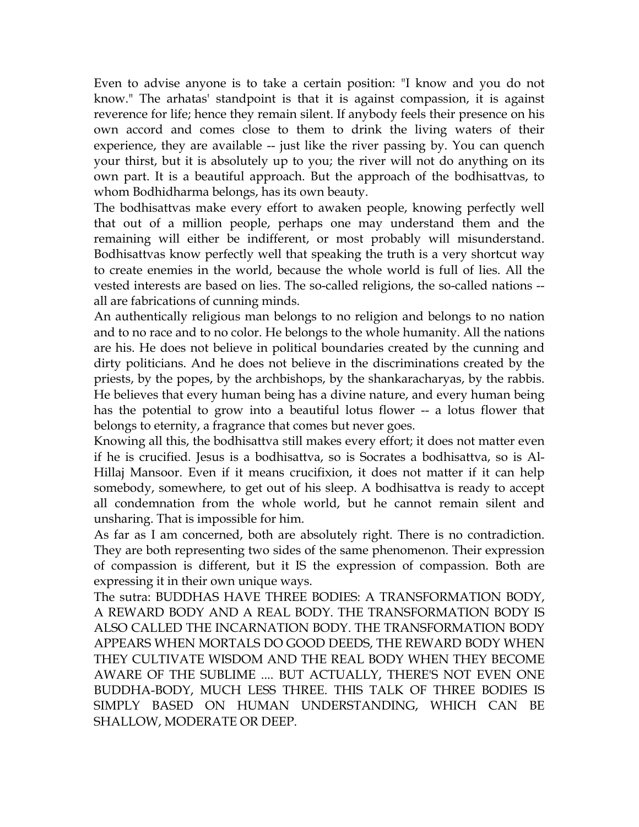Even to advise anyone is to take a certain position: "I know and you do not know." The arhatas' standpoint is that it is against compassion, it is against reverence for life; hence they remain silent. If anybody feels their presence on his own accord and comes close to them to drink the living waters of their experience, they are available -- just like the river passing by. You can quench your thirst, but it is absolutely up to you; the river will not do anything on its own part. It is a beautiful approach. But the approach of the bodhisattvas, to whom Bodhidharma belongs, has its own beauty.

The bodhisattvas make every effort to awaken people, knowing perfectly well that out of a million people, perhaps one may understand them and the remaining will either be indifferent, or most probably will misunderstand. Bodhisattvas know perfectly well that speaking the truth is a very shortcut way to create enemies in the world, because the whole world is full of lies. All the vested interests are based on lies. The so-called religions, the so-called nations - all are fabrications of cunning minds.

An authentically religious man belongs to no religion and belongs to no nation and to no race and to no color. He belongs to the whole humanity. All the nations are his. He does not believe in political boundaries created by the cunning and dirty politicians. And he does not believe in the discriminations created by the priests, by the popes, by the archbishops, by the shankaracharyas, by the rabbis. He believes that every human being has a divine nature, and every human being has the potential to grow into a beautiful lotus flower -- a lotus flower that belongs to eternity, a fragrance that comes but never goes.

Knowing all this, the bodhisattva still makes every effort; it does not matter even if he is crucified. Jesus is a bodhisattva, so is Socrates a bodhisattva, so is Al-Hillaj Mansoor. Even if it means crucifixion, it does not matter if it can help somebody, somewhere, to get out of his sleep. A bodhisattva is ready to accept all condemnation from the whole world, but he cannot remain silent and unsharing. That is impossible for him.

As far as I am concerned, both are absolutely right. There is no contradiction. They are both representing two sides of the same phenomenon. Their expression of compassion is different, but it IS the expression of compassion. Both are expressing it in their own unique ways.

The sutra: BUDDHAS HAVE THREE BODIES: A TRANSFORMATION BODY, A REWARD BODY AND A REAL BODY. THE TRANSFORMATION BODY IS ALSO CALLED THE INCARNATION BODY. THE TRANSFORMATION BODY APPEARS WHEN MORTALS DO GOOD DEEDS, THE REWARD BODY WHEN THEY CULTIVATE WISDOM AND THE REAL BODY WHEN THEY BECOME AWARE OF THE SUBLIME .... BUT ACTUALLY, THERE'S NOT EVEN ONE BUDDHA-BODY, MUCH LESS THREE. THIS TALK OF THREE BODIES IS SIMPLY BASED ON HUMAN UNDERSTANDING, WHICH CAN BE SHALLOW, MODERATE OR DEEP.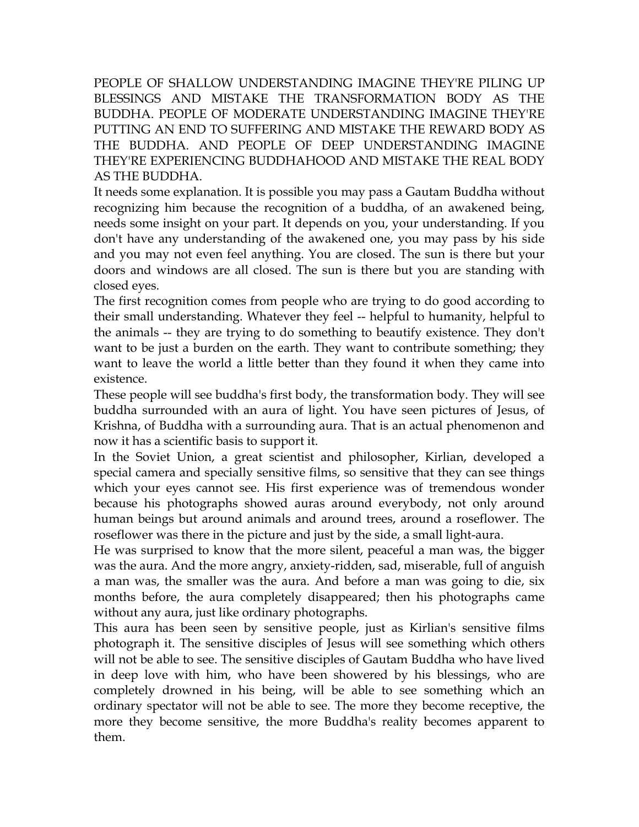PEOPLE OF SHALLOW UNDERSTANDING IMAGINE THEY'RE PILING UP BLESSINGS AND MISTAKE THE TRANSFORMATION BODY AS THE BUDDHA. PEOPLE OF MODERATE UNDERSTANDING IMAGINE THEY'RE PUTTING AN END TO SUFFERING AND MISTAKE THE REWARD BODY AS THE BUDDHA. AND PEOPLE OF DEEP UNDERSTANDING IMAGINE THEY'RE EXPERIENCING BUDDHAHOOD AND MISTAKE THE REAL BODY AS THE BUDDHA.

It needs some explanation. It is possible you may pass a Gautam Buddha without recognizing him because the recognition of a buddha, of an awakened being, needs some insight on your part. It depends on you, your understanding. If you don't have any understanding of the awakened one, you may pass by his side and you may not even feel anything. You are closed. The sun is there but your doors and windows are all closed. The sun is there but you are standing with closed eyes.

The first recognition comes from people who are trying to do good according to their small understanding. Whatever they feel -- helpful to humanity, helpful to the animals -- they are trying to do something to beautify existence. They don't want to be just a burden on the earth. They want to contribute something; they want to leave the world a little better than they found it when they came into existence.

These people will see buddha's first body, the transformation body. They will see buddha surrounded with an aura of light. You have seen pictures of Jesus, of Krishna, of Buddha with a surrounding aura. That is an actual phenomenon and now it has a scientific basis to support it.

In the Soviet Union, a great scientist and philosopher, Kirlian, developed a special camera and specially sensitive films, so sensitive that they can see things which your eyes cannot see. His first experience was of tremendous wonder because his photographs showed auras around everybody, not only around human beings but around animals and around trees, around a roseflower. The roseflower was there in the picture and just by the side, a small light-aura.

He was surprised to know that the more silent, peaceful a man was, the bigger was the aura. And the more angry, anxiety-ridden, sad, miserable, full of anguish a man was, the smaller was the aura. And before a man was going to die, six months before, the aura completely disappeared; then his photographs came without any aura, just like ordinary photographs.

This aura has been seen by sensitive people, just as Kirlian's sensitive films photograph it. The sensitive disciples of Jesus will see something which others will not be able to see. The sensitive disciples of Gautam Buddha who have lived in deep love with him, who have been showered by his blessings, who are completely drowned in his being, will be able to see something which an ordinary spectator will not be able to see. The more they become receptive, the more they become sensitive, the more Buddha's reality becomes apparent to them.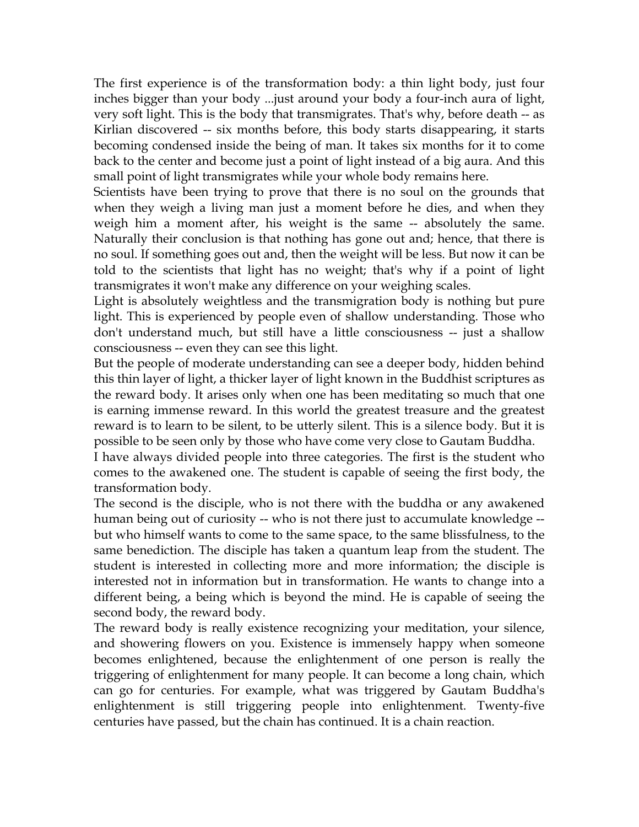The first experience is of the transformation body: a thin light body, just four inches bigger than your body ...just around your body a four-inch aura of light, very soft light. This is the body that transmigrates. That's why, before death -- as Kirlian discovered -- six months before, this body starts disappearing, it starts becoming condensed inside the being of man. It takes six months for it to come back to the center and become just a point of light instead of a big aura. And this small point of light transmigrates while your whole body remains here.

Scientists have been trying to prove that there is no soul on the grounds that when they weigh a living man just a moment before he dies, and when they weigh him a moment after, his weight is the same -- absolutely the same. Naturally their conclusion is that nothing has gone out and; hence, that there is no soul. If something goes out and, then the weight will be less. But now it can be told to the scientists that light has no weight; that's why if a point of light transmigrates it won't make any difference on your weighing scales.

Light is absolutely weightless and the transmigration body is nothing but pure light. This is experienced by people even of shallow understanding. Those who don't understand much, but still have a little consciousness -- just a shallow consciousness -- even they can see this light.

But the people of moderate understanding can see a deeper body, hidden behind this thin layer of light, a thicker layer of light known in the Buddhist scriptures as the reward body. It arises only when one has been meditating so much that one is earning immense reward. In this world the greatest treasure and the greatest reward is to learn to be silent, to be utterly silent. This is a silence body. But it is possible to be seen only by those who have come very close to Gautam Buddha.

I have always divided people into three categories. The first is the student who comes to the awakened one. The student is capable of seeing the first body, the transformation body.

The second is the disciple, who is not there with the buddha or any awakened human being out of curiosity -- who is not there just to accumulate knowledge - but who himself wants to come to the same space, to the same blissfulness, to the same benediction. The disciple has taken a quantum leap from the student. The student is interested in collecting more and more information; the disciple is interested not in information but in transformation. He wants to change into a different being, a being which is beyond the mind. He is capable of seeing the second body, the reward body.

The reward body is really existence recognizing your meditation, your silence, and showering flowers on you. Existence is immensely happy when someone becomes enlightened, because the enlightenment of one person is really the triggering of enlightenment for many people. It can become a long chain, which can go for centuries. For example, what was triggered by Gautam Buddha's enlightenment is still triggering people into enlightenment. Twenty-five centuries have passed, but the chain has continued. It is a chain reaction.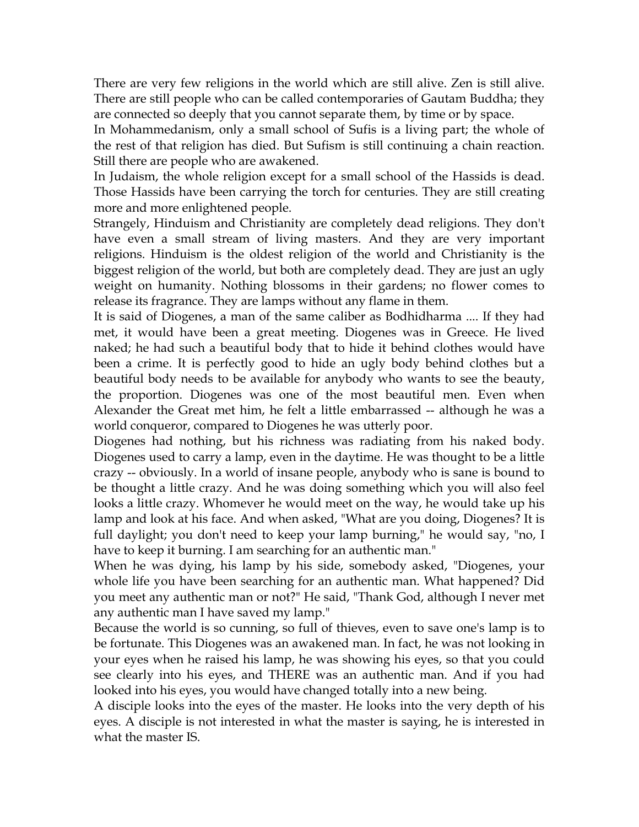There are very few religions in the world which are still alive. Zen is still alive. There are still people who can be called contemporaries of Gautam Buddha; they are connected so deeply that you cannot separate them, by time or by space.

In Mohammedanism, only a small school of Sufis is a living part; the whole of the rest of that religion has died. But Sufism is still continuing a chain reaction. Still there are people who are awakened.

In Judaism, the whole religion except for a small school of the Hassids is dead. Those Hassids have been carrying the torch for centuries. They are still creating more and more enlightened people.

Strangely, Hinduism and Christianity are completely dead religions. They don't have even a small stream of living masters. And they are very important religions. Hinduism is the oldest religion of the world and Christianity is the biggest religion of the world, but both are completely dead. They are just an ugly weight on humanity. Nothing blossoms in their gardens; no flower comes to release its fragrance. They are lamps without any flame in them.

It is said of Diogenes, a man of the same caliber as Bodhidharma .... If they had met, it would have been a great meeting. Diogenes was in Greece. He lived naked; he had such a beautiful body that to hide it behind clothes would have been a crime. It is perfectly good to hide an ugly body behind clothes but a beautiful body needs to be available for anybody who wants to see the beauty, the proportion. Diogenes was one of the most beautiful men. Even when Alexander the Great met him, he felt a little embarrassed -- although he was a world conqueror, compared to Diogenes he was utterly poor.

Diogenes had nothing, but his richness was radiating from his naked body. Diogenes used to carry a lamp, even in the daytime. He was thought to be a little crazy -- obviously. In a world of insane people, anybody who is sane is bound to be thought a little crazy. And he was doing something which you will also feel looks a little crazy. Whomever he would meet on the way, he would take up his lamp and look at his face. And when asked, "What are you doing, Diogenes? It is full daylight; you don't need to keep your lamp burning," he would say, "no, I have to keep it burning. I am searching for an authentic man."

When he was dying, his lamp by his side, somebody asked, "Diogenes, your whole life you have been searching for an authentic man. What happened? Did you meet any authentic man or not?" He said, "Thank God, although I never met any authentic man I have saved my lamp."

Because the world is so cunning, so full of thieves, even to save one's lamp is to be fortunate. This Diogenes was an awakened man. In fact, he was not looking in your eyes when he raised his lamp, he was showing his eyes, so that you could see clearly into his eyes, and THERE was an authentic man. And if you had looked into his eyes, you would have changed totally into a new being.

A disciple looks into the eyes of the master. He looks into the very depth of his eyes. A disciple is not interested in what the master is saying, he is interested in what the master IS.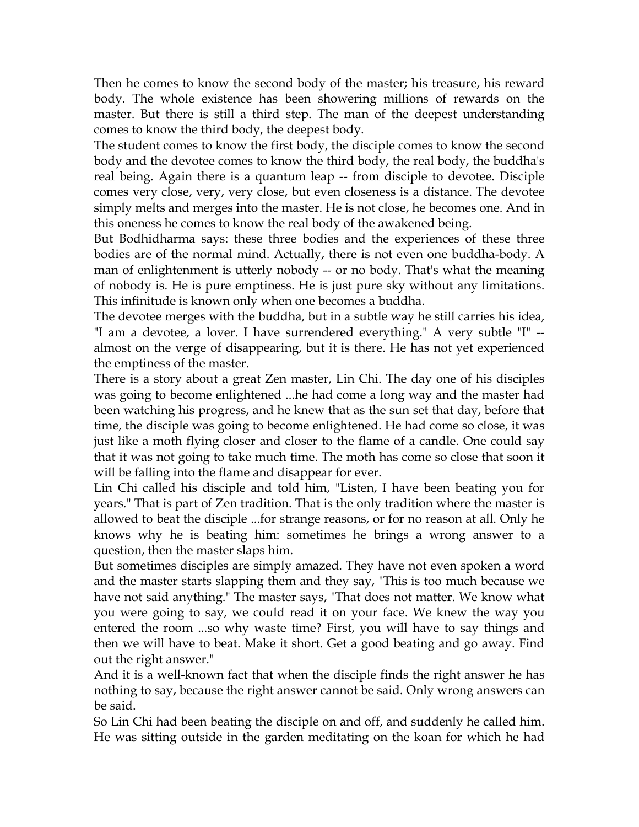Then he comes to know the second body of the master; his treasure, his reward body. The whole existence has been showering millions of rewards on the master. But there is still a third step. The man of the deepest understanding comes to know the third body, the deepest body.

The student comes to know the first body, the disciple comes to know the second body and the devotee comes to know the third body, the real body, the buddha's real being. Again there is a quantum leap -- from disciple to devotee. Disciple comes very close, very, very close, but even closeness is a distance. The devotee simply melts and merges into the master. He is not close, he becomes one. And in this oneness he comes to know the real body of the awakened being.

But Bodhidharma says: these three bodies and the experiences of these three bodies are of the normal mind. Actually, there is not even one buddha-body. A man of enlightenment is utterly nobody -- or no body. That's what the meaning of nobody is. He is pure emptiness. He is just pure sky without any limitations. This infinitude is known only when one becomes a buddha.

The devotee merges with the buddha, but in a subtle way he still carries his idea, "I am a devotee, a lover. I have surrendered everything." A very subtle "I" - almost on the verge of disappearing, but it is there. He has not yet experienced the emptiness of the master.

There is a story about a great Zen master, Lin Chi. The day one of his disciples was going to become enlightened ...he had come a long way and the master had been watching his progress, and he knew that as the sun set that day, before that time, the disciple was going to become enlightened. He had come so close, it was just like a moth flying closer and closer to the flame of a candle. One could say that it was not going to take much time. The moth has come so close that soon it will be falling into the flame and disappear for ever.

Lin Chi called his disciple and told him, "Listen, I have been beating you for years." That is part of Zen tradition. That is the only tradition where the master is allowed to beat the disciple ...for strange reasons, or for no reason at all. Only he knows why he is beating him: sometimes he brings a wrong answer to a question, then the master slaps him.

But sometimes disciples are simply amazed. They have not even spoken a word and the master starts slapping them and they say, "This is too much because we have not said anything." The master says, "That does not matter. We know what you were going to say, we could read it on your face. We knew the way you entered the room ...so why waste time? First, you will have to say things and then we will have to beat. Make it short. Get a good beating and go away. Find out the right answer."

And it is a well-known fact that when the disciple finds the right answer he has nothing to say, because the right answer cannot be said. Only wrong answers can be said.

So Lin Chi had been beating the disciple on and off, and suddenly he called him. He was sitting outside in the garden meditating on the koan for which he had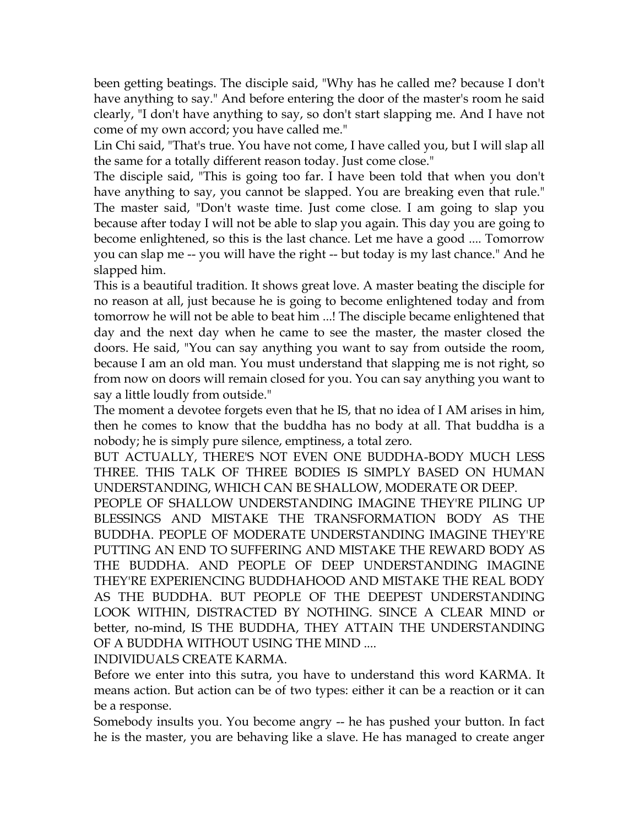been getting beatings. The disciple said, "Why has he called me? because I don't have anything to say." And before entering the door of the master's room he said clearly, "I don't have anything to say, so don't start slapping me. And I have not come of my own accord; you have called me."

Lin Chi said, "That's true. You have not come, I have called you, but I will slap all the same for a totally different reason today. Just come close."

The disciple said, "This is going too far. I have been told that when you don't have anything to say, you cannot be slapped. You are breaking even that rule." The master said, "Don't waste time. Just come close. I am going to slap you because after today I will not be able to slap you again. This day you are going to become enlightened, so this is the last chance. Let me have a good .... Tomorrow you can slap me -- you will have the right -- but today is my last chance." And he slapped him.

This is a beautiful tradition. It shows great love. A master beating the disciple for no reason at all, just because he is going to become enlightened today and from tomorrow he will not be able to beat him ...! The disciple became enlightened that day and the next day when he came to see the master, the master closed the doors. He said, "You can say anything you want to say from outside the room, because I am an old man. You must understand that slapping me is not right, so from now on doors will remain closed for you. You can say anything you want to say a little loudly from outside."

The moment a devotee forgets even that he IS, that no idea of I AM arises in him, then he comes to know that the buddha has no body at all. That buddha is a nobody; he is simply pure silence, emptiness, a total zero.

BUT ACTUALLY, THERE'S NOT EVEN ONE BUDDHA-BODY MUCH LESS THREE. THIS TALK OF THREE BODIES IS SIMPLY BASED ON HUMAN UNDERSTANDING, WHICH CAN BE SHALLOW, MODERATE OR DEEP.

PEOPLE OF SHALLOW UNDERSTANDING IMAGINE THEY'RE PILING UP BLESSINGS AND MISTAKE THE TRANSFORMATION BODY AS THE BUDDHA. PEOPLE OF MODERATE UNDERSTANDING IMAGINE THEY'RE PUTTING AN END TO SUFFERING AND MISTAKE THE REWARD BODY AS THE BUDDHA. AND PEOPLE OF DEEP UNDERSTANDING IMAGINE THEY'RE EXPERIENCING BUDDHAHOOD AND MISTAKE THE REAL BODY AS THE BUDDHA. BUT PEOPLE OF THE DEEPEST UNDERSTANDING LOOK WITHIN, DISTRACTED BY NOTHING. SINCE A CLEAR MIND or better, no-mind, IS THE BUDDHA, THEY ATTAIN THE UNDERSTANDING OF A BUDDHA WITHOUT USING THE MIND ....

INDIVIDUALS CREATE KARMA.

Before we enter into this sutra, you have to understand this word KARMA. It means action. But action can be of two types: either it can be a reaction or it can be a response.

Somebody insults you. You become angry -- he has pushed your button. In fact he is the master, you are behaving like a slave. He has managed to create anger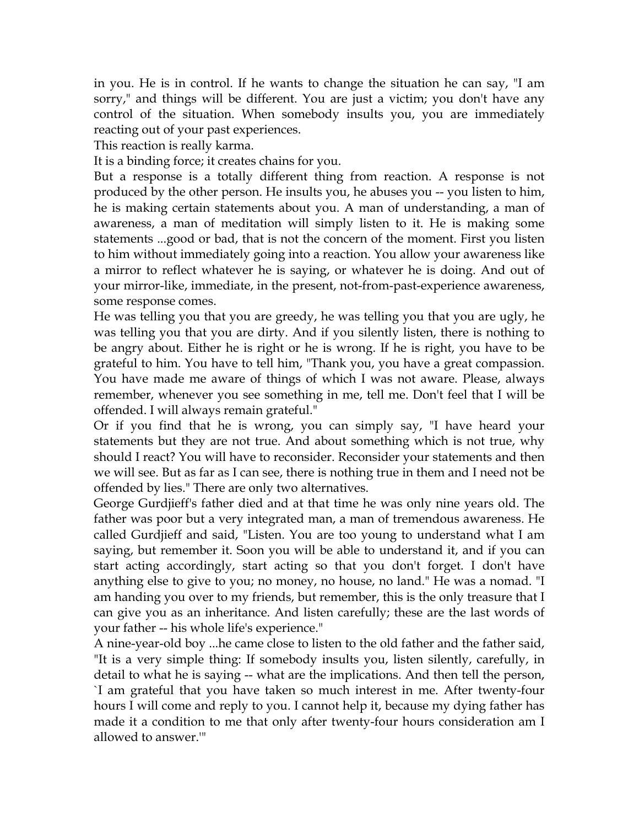in you. He is in control. If he wants to change the situation he can say, "I am sorry," and things will be different. You are just a victim; you don't have any control of the situation. When somebody insults you, you are immediately reacting out of your past experiences.

This reaction is really karma.

It is a binding force; it creates chains for you.

But a response is a totally different thing from reaction. A response is not produced by the other person. He insults you, he abuses you -- you listen to him, he is making certain statements about you. A man of understanding, a man of awareness, a man of meditation will simply listen to it. He is making some statements ...good or bad, that is not the concern of the moment. First you listen to him without immediately going into a reaction. You allow your awareness like a mirror to reflect whatever he is saying, or whatever he is doing. And out of your mirror-like, immediate, in the present, not-from-past-experience awareness, some response comes.

He was telling you that you are greedy, he was telling you that you are ugly, he was telling you that you are dirty. And if you silently listen, there is nothing to be angry about. Either he is right or he is wrong. If he is right, you have to be grateful to him. You have to tell him, "Thank you, you have a great compassion. You have made me aware of things of which I was not aware. Please, always remember, whenever you see something in me, tell me. Don't feel that I will be offended. I will always remain grateful."

Or if you find that he is wrong, you can simply say, "I have heard your statements but they are not true. And about something which is not true, why should I react? You will have to reconsider. Reconsider your statements and then we will see. But as far as I can see, there is nothing true in them and I need not be offended by lies." There are only two alternatives.

George Gurdjieff's father died and at that time he was only nine years old. The father was poor but a very integrated man, a man of tremendous awareness. He called Gurdjieff and said, "Listen. You are too young to understand what I am saying, but remember it. Soon you will be able to understand it, and if you can start acting accordingly, start acting so that you don't forget. I don't have anything else to give to you; no money, no house, no land." He was a nomad. "I am handing you over to my friends, but remember, this is the only treasure that I can give you as an inheritance. And listen carefully; these are the last words of your father -- his whole life's experience."

A nine-year-old boy ...he came close to listen to the old father and the father said, "It is a very simple thing: If somebody insults you, listen silently, carefully, in detail to what he is saying -- what are the implications. And then tell the person, `I am grateful that you have taken so much interest in me. After twenty-four hours I will come and reply to you. I cannot help it, because my dying father has made it a condition to me that only after twenty-four hours consideration am I allowed to answer.'"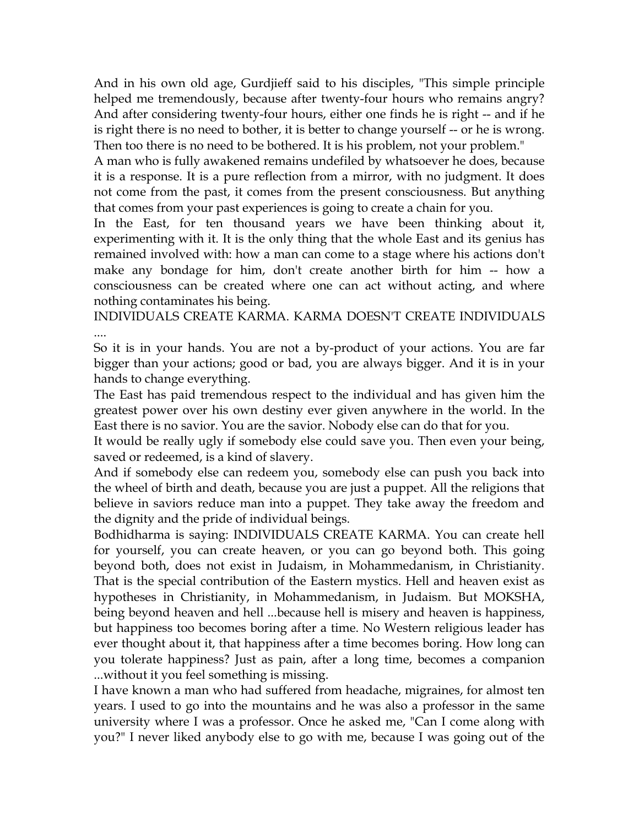And in his own old age, Gurdjieff said to his disciples, "This simple principle helped me tremendously, because after twenty-four hours who remains angry? And after considering twenty-four hours, either one finds he is right -- and if he is right there is no need to bother, it is better to change yourself -- or he is wrong. Then too there is no need to be bothered. It is his problem, not your problem."

A man who is fully awakened remains undefiled by whatsoever he does, because it is a response. It is a pure reflection from a mirror, with no judgment. It does not come from the past, it comes from the present consciousness. But anything that comes from your past experiences is going to create a chain for you.

In the East, for ten thousand years we have been thinking about it, experimenting with it. It is the only thing that the whole East and its genius has remained involved with: how a man can come to a stage where his actions don't make any bondage for him, don't create another birth for him -- how a consciousness can be created where one can act without acting, and where nothing contaminates his being.

INDIVIDUALS CREATE KARMA. KARMA DOESN'T CREATE INDIVIDUALS

.... So it is in your hands. You are not a by-product of your actions. You are far bigger than your actions; good or bad, you are always bigger. And it is in your hands to change everything.

The East has paid tremendous respect to the individual and has given him the greatest power over his own destiny ever given anywhere in the world. In the East there is no savior. You are the savior. Nobody else can do that for you.

It would be really ugly if somebody else could save you. Then even your being, saved or redeemed, is a kind of slavery.

And if somebody else can redeem you, somebody else can push you back into the wheel of birth and death, because you are just a puppet. All the religions that believe in saviors reduce man into a puppet. They take away the freedom and the dignity and the pride of individual beings.

Bodhidharma is saying: INDIVIDUALS CREATE KARMA. You can create hell for yourself, you can create heaven, or you can go beyond both. This going beyond both, does not exist in Judaism, in Mohammedanism, in Christianity. That is the special contribution of the Eastern mystics. Hell and heaven exist as hypotheses in Christianity, in Mohammedanism, in Judaism. But MOKSHA, being beyond heaven and hell ...because hell is misery and heaven is happiness, but happiness too becomes boring after a time. No Western religious leader has ever thought about it, that happiness after a time becomes boring. How long can you tolerate happiness? Just as pain, after a long time, becomes a companion ...without it you feel something is missing.

I have known a man who had suffered from headache, migraines, for almost ten years. I used to go into the mountains and he was also a professor in the same university where I was a professor. Once he asked me, "Can I come along with you?" I never liked anybody else to go with me, because I was going out of the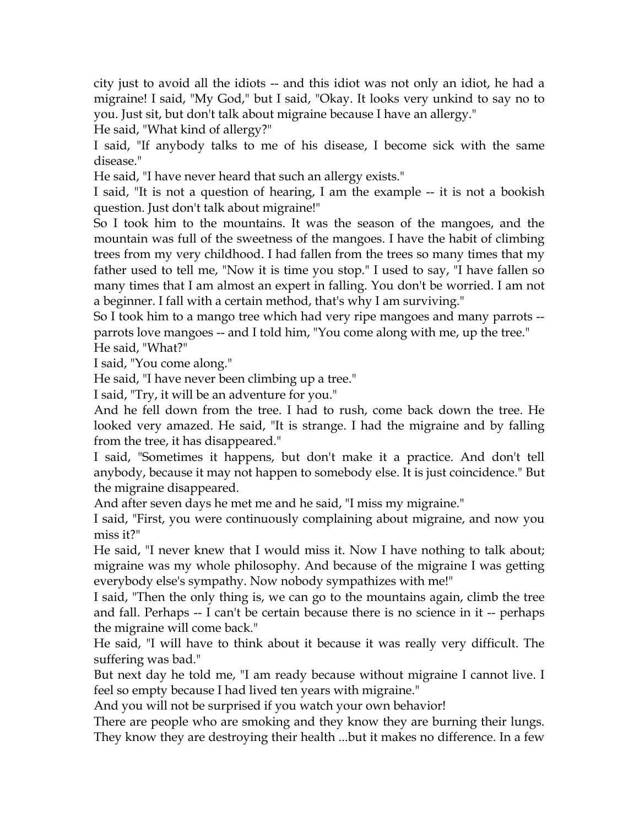city just to avoid all the idiots -- and this idiot was not only an idiot, he had a migraine! I said, "My God," but I said, "Okay. It looks very unkind to say no to you. Just sit, but don't talk about migraine because I have an allergy."

He said, "What kind of allergy?"

I said, "If anybody talks to me of his disease, I become sick with the same disease."

He said, "I have never heard that such an allergy exists."

I said, "It is not a question of hearing, I am the example -- it is not a bookish question. Just don't talk about migraine!"

So I took him to the mountains. It was the season of the mangoes, and the mountain was full of the sweetness of the mangoes. I have the habit of climbing trees from my very childhood. I had fallen from the trees so many times that my father used to tell me, "Now it is time you stop." I used to say, "I have fallen so many times that I am almost an expert in falling. You don't be worried. I am not a beginner. I fall with a certain method, that's why I am surviving."

So I took him to a mango tree which had very ripe mangoes and many parrots - parrots love mangoes -- and I told him, "You come along with me, up the tree." He said, "What?"

I said, "You come along."

He said, "I have never been climbing up a tree."

I said, "Try, it will be an adventure for you."

And he fell down from the tree. I had to rush, come back down the tree. He looked very amazed. He said, "It is strange. I had the migraine and by falling from the tree, it has disappeared."

I said, "Sometimes it happens, but don't make it a practice. And don't tell anybody, because it may not happen to somebody else. It is just coincidence." But the migraine disappeared.

And after seven days he met me and he said, "I miss my migraine."

I said, "First, you were continuously complaining about migraine, and now you miss it?"

He said, "I never knew that I would miss it. Now I have nothing to talk about; migraine was my whole philosophy. And because of the migraine I was getting everybody else's sympathy. Now nobody sympathizes with me!"

I said, "Then the only thing is, we can go to the mountains again, climb the tree and fall. Perhaps -- I can't be certain because there is no science in it -- perhaps the migraine will come back."

He said, "I will have to think about it because it was really very difficult. The suffering was bad."

But next day he told me, "I am ready because without migraine I cannot live. I feel so empty because I had lived ten years with migraine."

And you will not be surprised if you watch your own behavior!

There are people who are smoking and they know they are burning their lungs. They know they are destroying their health ...but it makes no difference. In a few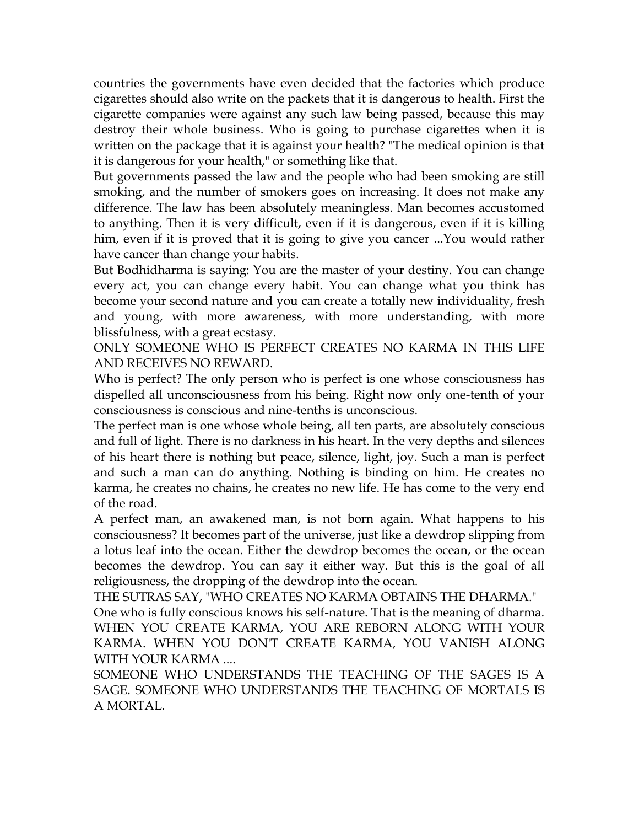countries the governments have even decided that the factories which produce cigarettes should also write on the packets that it is dangerous to health. First the cigarette companies were against any such law being passed, because this may destroy their whole business. Who is going to purchase cigarettes when it is written on the package that it is against your health? "The medical opinion is that it is dangerous for your health," or something like that.

But governments passed the law and the people who had been smoking are still smoking, and the number of smokers goes on increasing. It does not make any difference. The law has been absolutely meaningless. Man becomes accustomed to anything. Then it is very difficult, even if it is dangerous, even if it is killing him, even if it is proved that it is going to give you cancer ...You would rather have cancer than change your habits.

But Bodhidharma is saying: You are the master of your destiny. You can change every act, you can change every habit. You can change what you think has become your second nature and you can create a totally new individuality, fresh and young, with more awareness, with more understanding, with more blissfulness, with a great ecstasy.

ONLY SOMEONE WHO IS PERFECT CREATES NO KARMA IN THIS LIFE AND RECEIVES NO REWARD.

Who is perfect? The only person who is perfect is one whose consciousness has dispelled all unconsciousness from his being. Right now only one-tenth of your consciousness is conscious and nine-tenths is unconscious.

The perfect man is one whose whole being, all ten parts, are absolutely conscious and full of light. There is no darkness in his heart. In the very depths and silences of his heart there is nothing but peace, silence, light, joy. Such a man is perfect and such a man can do anything. Nothing is binding on him. He creates no karma, he creates no chains, he creates no new life. He has come to the very end of the road.

A perfect man, an awakened man, is not born again. What happens to his consciousness? It becomes part of the universe, just like a dewdrop slipping from a lotus leaf into the ocean. Either the dewdrop becomes the ocean, or the ocean becomes the dewdrop. You can say it either way. But this is the goal of all religiousness, the dropping of the dewdrop into the ocean.

THE SUTRAS SAY, "WHO CREATES NO KARMA OBTAINS THE DHARMA." One who is fully conscious knows his self-nature. That is the meaning of dharma. WHEN YOU CREATE KARMA, YOU ARE REBORN ALONG WITH YOUR KARMA. WHEN YOU DON'T CREATE KARMA, YOU VANISH ALONG WITH YOUR KARMA ....

SOMEONE WHO UNDERSTANDS THE TEACHING OF THE SAGES IS A SAGE. SOMEONE WHO UNDERSTANDS THE TEACHING OF MORTALS IS A MORTAL.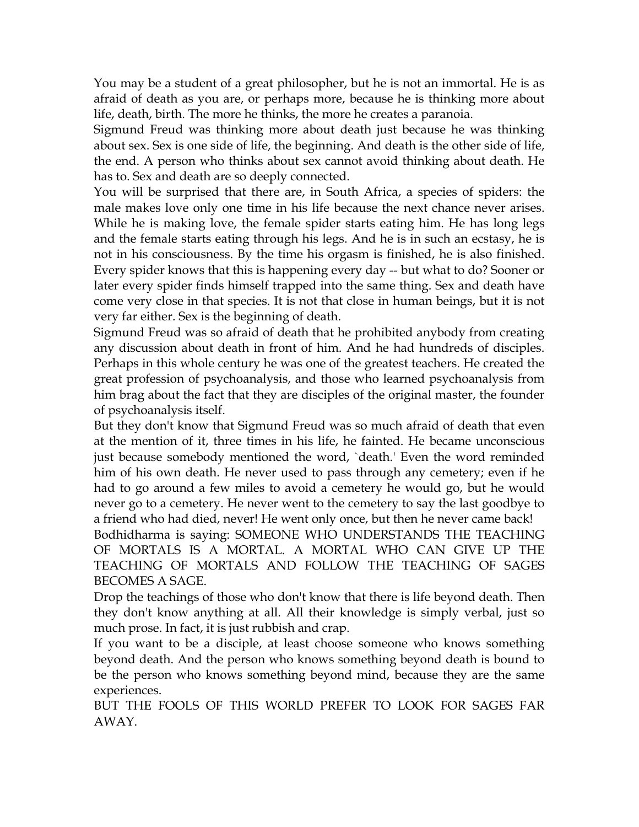You may be a student of a great philosopher, but he is not an immortal. He is as afraid of death as you are, or perhaps more, because he is thinking more about life, death, birth. The more he thinks, the more he creates a paranoia.

Sigmund Freud was thinking more about death just because he was thinking about sex. Sex is one side of life, the beginning. And death is the other side of life, the end. A person who thinks about sex cannot avoid thinking about death. He has to. Sex and death are so deeply connected.

You will be surprised that there are, in South Africa, a species of spiders: the male makes love only one time in his life because the next chance never arises. While he is making love, the female spider starts eating him. He has long legs and the female starts eating through his legs. And he is in such an ecstasy, he is not in his consciousness. By the time his orgasm is finished, he is also finished. Every spider knows that this is happening every day -- but what to do? Sooner or later every spider finds himself trapped into the same thing. Sex and death have come very close in that species. It is not that close in human beings, but it is not very far either. Sex is the beginning of death.

Sigmund Freud was so afraid of death that he prohibited anybody from creating any discussion about death in front of him. And he had hundreds of disciples. Perhaps in this whole century he was one of the greatest teachers. He created the great profession of psychoanalysis, and those who learned psychoanalysis from him brag about the fact that they are disciples of the original master, the founder of psychoanalysis itself.

But they don't know that Sigmund Freud was so much afraid of death that even at the mention of it, three times in his life, he fainted. He became unconscious just because somebody mentioned the word, `death.' Even the word reminded him of his own death. He never used to pass through any cemetery; even if he had to go around a few miles to avoid a cemetery he would go, but he would never go to a cemetery. He never went to the cemetery to say the last goodbye to a friend who had died, never! He went only once, but then he never came back!

Bodhidharma is saying: SOMEONE WHO UNDERSTANDS THE TEACHING OF MORTALS IS A MORTAL. A MORTAL WHO CAN GIVE UP THE TEACHING OF MORTALS AND FOLLOW THE TEACHING OF SAGES BECOMES A SAGE.

Drop the teachings of those who don't know that there is life beyond death. Then they don't know anything at all. All their knowledge is simply verbal, just so much prose. In fact, it is just rubbish and crap.

If you want to be a disciple, at least choose someone who knows something beyond death. And the person who knows something beyond death is bound to be the person who knows something beyond mind, because they are the same experiences.

BUT THE FOOLS OF THIS WORLD PREFER TO LOOK FOR SAGES FAR AWAY.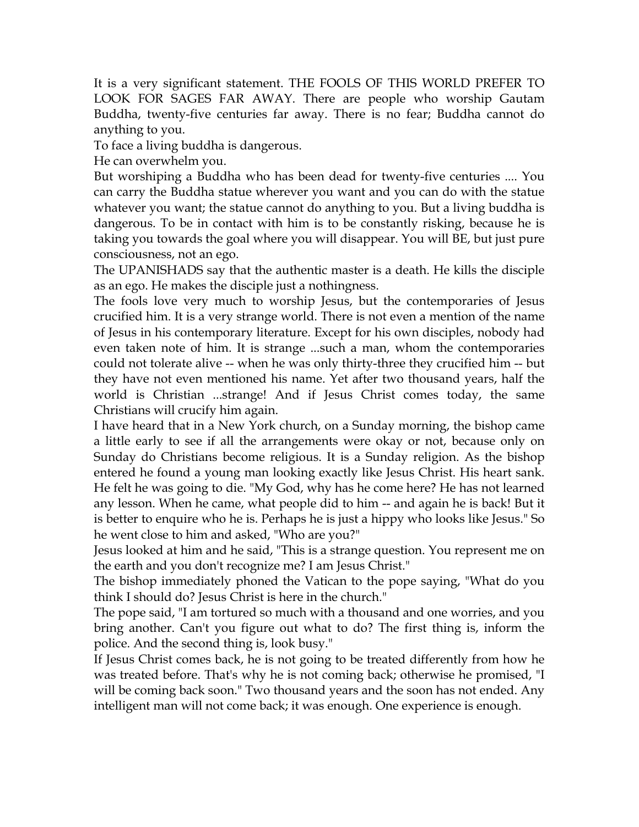It is a very significant statement. THE FOOLS OF THIS WORLD PREFER TO LOOK FOR SAGES FAR AWAY. There are people who worship Gautam Buddha, twenty-five centuries far away. There is no fear; Buddha cannot do anything to you.

To face a living buddha is dangerous.

He can overwhelm you.

But worshiping a Buddha who has been dead for twenty-five centuries .... You can carry the Buddha statue wherever you want and you can do with the statue whatever you want; the statue cannot do anything to you. But a living buddha is dangerous. To be in contact with him is to be constantly risking, because he is taking you towards the goal where you will disappear. You will BE, but just pure consciousness, not an ego.

The UPANISHADS say that the authentic master is a death. He kills the disciple as an ego. He makes the disciple just a nothingness.

The fools love very much to worship Jesus, but the contemporaries of Jesus crucified him. It is a very strange world. There is not even a mention of the name of Jesus in his contemporary literature. Except for his own disciples, nobody had even taken note of him. It is strange ...such a man, whom the contemporaries could not tolerate alive -- when he was only thirty-three they crucified him -- but they have not even mentioned his name. Yet after two thousand years, half the world is Christian ...strange! And if Jesus Christ comes today, the same Christians will crucify him again.

I have heard that in a New York church, on a Sunday morning, the bishop came a little early to see if all the arrangements were okay or not, because only on Sunday do Christians become religious. It is a Sunday religion. As the bishop entered he found a young man looking exactly like Jesus Christ. His heart sank. He felt he was going to die. "My God, why has he come here? He has not learned any lesson. When he came, what people did to him -- and again he is back! But it is better to enquire who he is. Perhaps he is just a hippy who looks like Jesus." So he went close to him and asked, "Who are you?"

Jesus looked at him and he said, "This is a strange question. You represent me on the earth and you don't recognize me? I am Jesus Christ."

The bishop immediately phoned the Vatican to the pope saying, "What do you think I should do? Jesus Christ is here in the church."

The pope said, "I am tortured so much with a thousand and one worries, and you bring another. Can't you figure out what to do? The first thing is, inform the police. And the second thing is, look busy."

If Jesus Christ comes back, he is not going to be treated differently from how he was treated before. That's why he is not coming back; otherwise he promised, "I will be coming back soon." Two thousand years and the soon has not ended. Any intelligent man will not come back; it was enough. One experience is enough.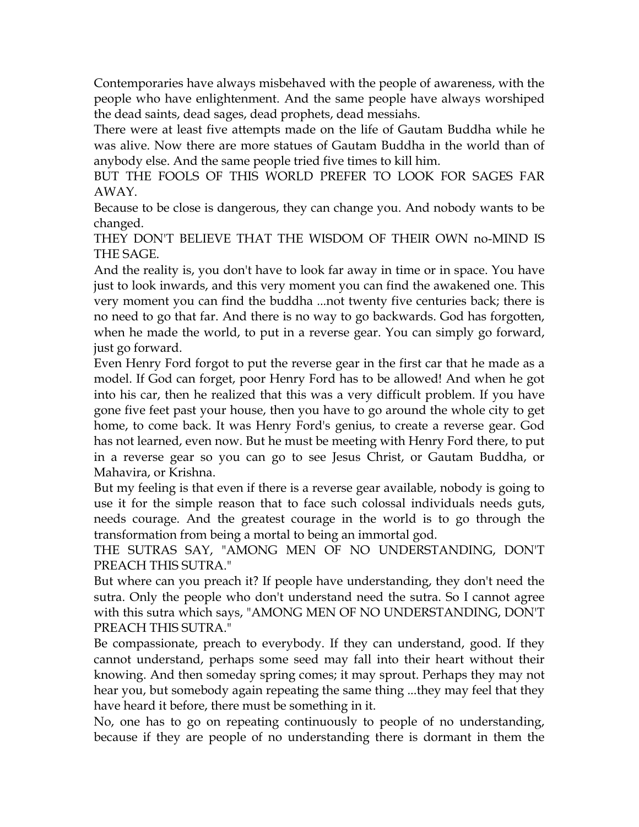Contemporaries have always misbehaved with the people of awareness, with the people who have enlightenment. And the same people have always worshiped the dead saints, dead sages, dead prophets, dead messiahs.

There were at least five attempts made on the life of Gautam Buddha while he was alive. Now there are more statues of Gautam Buddha in the world than of anybody else. And the same people tried five times to kill him.

BUT THE FOOLS OF THIS WORLD PREFER TO LOOK FOR SAGES FAR AWAY.

Because to be close is dangerous, they can change you. And nobody wants to be changed.

THEY DON'T BELIEVE THAT THE WISDOM OF THEIR OWN no-MIND IS THE SAGE.

And the reality is, you don't have to look far away in time or in space. You have just to look inwards, and this very moment you can find the awakened one. This very moment you can find the buddha ...not twenty five centuries back; there is no need to go that far. And there is no way to go backwards. God has forgotten, when he made the world, to put in a reverse gear. You can simply go forward, just go forward.

Even Henry Ford forgot to put the reverse gear in the first car that he made as a model. If God can forget, poor Henry Ford has to be allowed! And when he got into his car, then he realized that this was a very difficult problem. If you have gone five feet past your house, then you have to go around the whole city to get home, to come back. It was Henry Ford's genius, to create a reverse gear. God has not learned, even now. But he must be meeting with Henry Ford there, to put in a reverse gear so you can go to see Jesus Christ, or Gautam Buddha, or Mahavira, or Krishna.

But my feeling is that even if there is a reverse gear available, nobody is going to use it for the simple reason that to face such colossal individuals needs guts, needs courage. And the greatest courage in the world is to go through the transformation from being a mortal to being an immortal god.

THE SUTRAS SAY, "AMONG MEN OF NO UNDERSTANDING, DON'T PREACH THIS SUTRA."

But where can you preach it? If people have understanding, they don't need the sutra. Only the people who don't understand need the sutra. So I cannot agree with this sutra which says, "AMONG MEN OF NO UNDERSTANDING, DON'T PREACH THIS SUTRA."

Be compassionate, preach to everybody. If they can understand, good. If they cannot understand, perhaps some seed may fall into their heart without their knowing. And then someday spring comes; it may sprout. Perhaps they may not hear you, but somebody again repeating the same thing ...they may feel that they have heard it before, there must be something in it.

No, one has to go on repeating continuously to people of no understanding, because if they are people of no understanding there is dormant in them the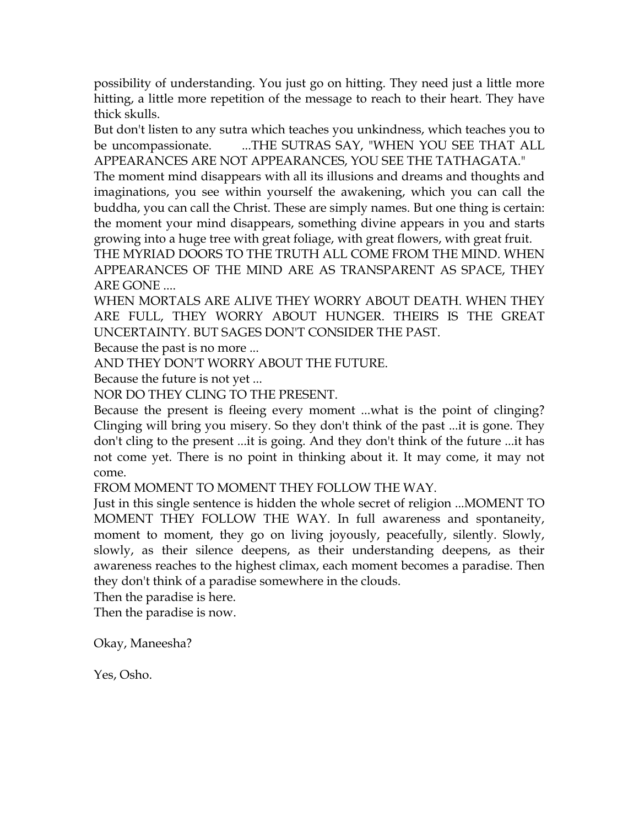possibility of understanding. You just go on hitting. They need just a little more hitting, a little more repetition of the message to reach to their heart. They have thick skulls.

But don't listen to any sutra which teaches you unkindness, which teaches you to be uncompassionate. ...THE SUTRAS SAY, "WHEN YOU SEE THAT ALL APPEARANCES ARE NOT APPEARANCES, YOU SEE THE TATHAGATA."

The moment mind disappears with all its illusions and dreams and thoughts and imaginations, you see within yourself the awakening, which you can call the buddha, you can call the Christ. These are simply names. But one thing is certain: the moment your mind disappears, something divine appears in you and starts growing into a huge tree with great foliage, with great flowers, with great fruit.

THE MYRIAD DOORS TO THE TRUTH ALL COME FROM THE MIND. WHEN APPEARANCES OF THE MIND ARE AS TRANSPARENT AS SPACE, THEY ARE GONE ....

WHEN MORTALS ARE ALIVE THEY WORRY ABOUT DEATH. WHEN THEY ARE FULL, THEY WORRY ABOUT HUNGER. THEIRS IS THE GREAT UNCERTAINTY. BUT SAGES DON'T CONSIDER THE PAST.

Because the past is no more ...

AND THEY DON'T WORRY ABOUT THE FUTURE.

Because the future is not yet ...

NOR DO THEY CLING TO THE PRESENT.

Because the present is fleeing every moment ...what is the point of clinging? Clinging will bring you misery. So they don't think of the past ...it is gone. They don't cling to the present ...it is going. And they don't think of the future ...it has not come yet. There is no point in thinking about it. It may come, it may not come.

FROM MOMENT TO MOMENT THEY FOLLOW THE WAY.

Just in this single sentence is hidden the whole secret of religion ...MOMENT TO MOMENT THEY FOLLOW THE WAY. In full awareness and spontaneity, moment to moment, they go on living joyously, peacefully, silently. Slowly, slowly, as their silence deepens, as their understanding deepens, as their awareness reaches to the highest climax, each moment becomes a paradise. Then they don't think of a paradise somewhere in the clouds.

Then the paradise is here.

Then the paradise is now.

Okay, Maneesha?

Yes, Osho.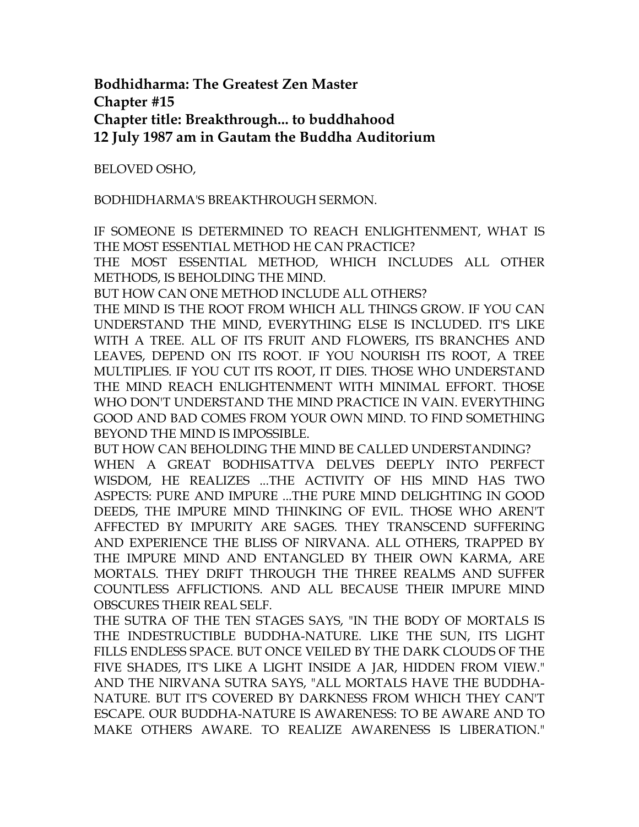## **Bodhidharma: The Greatest Zen Master Chapter #15 Chapter title: Breakthrough... to buddhahood 12 July 1987 am in Gautam the Buddha Auditorium**

BELOVED OSHO,

BODHIDHARMA'S BREAKTHROUGH SERMON.

IF SOMEONE IS DETERMINED TO REACH ENLIGHTENMENT, WHAT IS THE MOST ESSENTIAL METHOD HE CAN PRACTICE?

THE MOST ESSENTIAL METHOD, WHICH INCLUDES ALL OTHER METHODS, IS BEHOLDING THE MIND.

BUT HOW CAN ONE METHOD INCLUDE ALL OTHERS?

THE MIND IS THE ROOT FROM WHICH ALL THINGS GROW. IF YOU CAN UNDERSTAND THE MIND, EVERYTHING ELSE IS INCLUDED. IT'S LIKE WITH A TREE. ALL OF ITS FRUIT AND FLOWERS, ITS BRANCHES AND LEAVES, DEPEND ON ITS ROOT. IF YOU NOURISH ITS ROOT, A TREE MULTIPLIES. IF YOU CUT ITS ROOT, IT DIES. THOSE WHO UNDERSTAND THE MIND REACH ENLIGHTENMENT WITH MINIMAL EFFORT. THOSE WHO DON'T UNDERSTAND THE MIND PRACTICE IN VAIN. EVERYTHING GOOD AND BAD COMES FROM YOUR OWN MIND. TO FIND SOMETHING BEYOND THE MIND IS IMPOSSIBLE.

BUT HOW CAN BEHOLDING THE MIND BE CALLED UNDERSTANDING? WHEN A GREAT BODHISATTVA DELVES DEEPLY INTO PERFECT WISDOM, HE REALIZES ...THE ACTIVITY OF HIS MIND HAS TWO ASPECTS: PURE AND IMPURE ...THE PURE MIND DELIGHTING IN GOOD DEEDS, THE IMPURE MIND THINKING OF EVIL. THOSE WHO AREN'T AFFECTED BY IMPURITY ARE SAGES. THEY TRANSCEND SUFFERING AND EXPERIENCE THE BLISS OF NIRVANA. ALL OTHERS, TRAPPED BY THE IMPURE MIND AND ENTANGLED BY THEIR OWN KARMA, ARE MORTALS. THEY DRIFT THROUGH THE THREE REALMS AND SUFFER COUNTLESS AFFLICTIONS. AND ALL BECAUSE THEIR IMPURE MIND OBSCURES THEIR REAL SELF.

THE SUTRA OF THE TEN STAGES SAYS, "IN THE BODY OF MORTALS IS THE INDESTRUCTIBLE BUDDHA-NATURE. LIKE THE SUN, ITS LIGHT FILLS ENDLESS SPACE. BUT ONCE VEILED BY THE DARK CLOUDS OF THE FIVE SHADES, IT'S LIKE A LIGHT INSIDE A JAR, HIDDEN FROM VIEW." AND THE NIRVANA SUTRA SAYS, "ALL MORTALS HAVE THE BUDDHA-NATURE. BUT IT'S COVERED BY DARKNESS FROM WHICH THEY CAN'T ESCAPE. OUR BUDDHA-NATURE IS AWARENESS: TO BE AWARE AND TO MAKE OTHERS AWARE. TO REALIZE AWARENESS IS LIBERATION."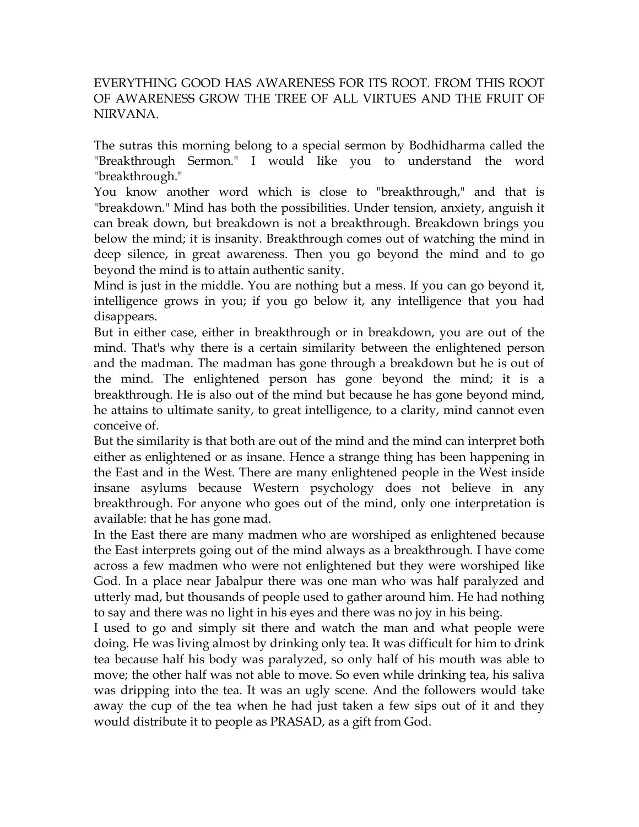## EVERYTHING GOOD HAS AWARENESS FOR ITS ROOT. FROM THIS ROOT OF AWARENESS GROW THE TREE OF ALL VIRTUES AND THE FRUIT OF NIRVANA.

The sutras this morning belong to a special sermon by Bodhidharma called the "Breakthrough Sermon." I would like you to understand the word "breakthrough."

You know another word which is close to "breakthrough," and that is "breakdown." Mind has both the possibilities. Under tension, anxiety, anguish it can break down, but breakdown is not a breakthrough. Breakdown brings you below the mind; it is insanity. Breakthrough comes out of watching the mind in deep silence, in great awareness. Then you go beyond the mind and to go beyond the mind is to attain authentic sanity.

Mind is just in the middle. You are nothing but a mess. If you can go beyond it, intelligence grows in you; if you go below it, any intelligence that you had disappears.

But in either case, either in breakthrough or in breakdown, you are out of the mind. That's why there is a certain similarity between the enlightened person and the madman. The madman has gone through a breakdown but he is out of the mind. The enlightened person has gone beyond the mind; it is a breakthrough. He is also out of the mind but because he has gone beyond mind, he attains to ultimate sanity, to great intelligence, to a clarity, mind cannot even conceive of.

But the similarity is that both are out of the mind and the mind can interpret both either as enlightened or as insane. Hence a strange thing has been happening in the East and in the West. There are many enlightened people in the West inside insane asylums because Western psychology does not believe in any breakthrough. For anyone who goes out of the mind, only one interpretation is available: that he has gone mad.

In the East there are many madmen who are worshiped as enlightened because the East interprets going out of the mind always as a breakthrough. I have come across a few madmen who were not enlightened but they were worshiped like God. In a place near Jabalpur there was one man who was half paralyzed and utterly mad, but thousands of people used to gather around him. He had nothing to say and there was no light in his eyes and there was no joy in his being.

I used to go and simply sit there and watch the man and what people were doing. He was living almost by drinking only tea. It was difficult for him to drink tea because half his body was paralyzed, so only half of his mouth was able to move; the other half was not able to move. So even while drinking tea, his saliva was dripping into the tea. It was an ugly scene. And the followers would take away the cup of the tea when he had just taken a few sips out of it and they would distribute it to people as PRASAD, as a gift from God.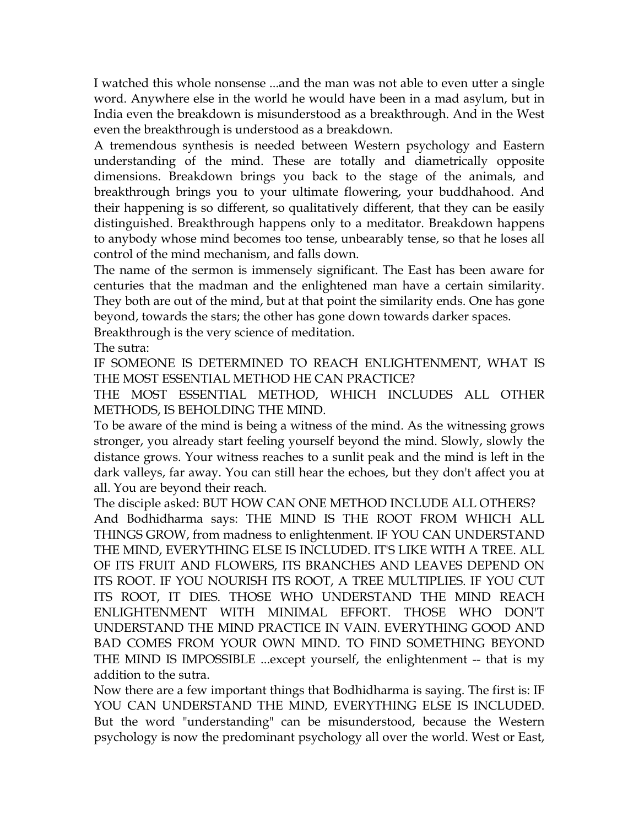I watched this whole nonsense ...and the man was not able to even utter a single word. Anywhere else in the world he would have been in a mad asylum, but in India even the breakdown is misunderstood as a breakthrough. And in the West even the breakthrough is understood as a breakdown.

A tremendous synthesis is needed between Western psychology and Eastern understanding of the mind. These are totally and diametrically opposite dimensions. Breakdown brings you back to the stage of the animals, and breakthrough brings you to your ultimate flowering, your buddhahood. And their happening is so different, so qualitatively different, that they can be easily distinguished. Breakthrough happens only to a meditator. Breakdown happens to anybody whose mind becomes too tense, unbearably tense, so that he loses all control of the mind mechanism, and falls down.

The name of the sermon is immensely significant. The East has been aware for centuries that the madman and the enlightened man have a certain similarity. They both are out of the mind, but at that point the similarity ends. One has gone beyond, towards the stars; the other has gone down towards darker spaces.

Breakthrough is the very science of meditation.

The sutra:

IF SOMEONE IS DETERMINED TO REACH ENLIGHTENMENT, WHAT IS THE MOST ESSENTIAL METHOD HE CAN PRACTICE?

THE MOST ESSENTIAL METHOD, WHICH INCLUDES ALL OTHER METHODS, IS BEHOLDING THE MIND.

To be aware of the mind is being a witness of the mind. As the witnessing grows stronger, you already start feeling yourself beyond the mind. Slowly, slowly the distance grows. Your witness reaches to a sunlit peak and the mind is left in the dark valleys, far away. You can still hear the echoes, but they don't affect you at all. You are beyond their reach.

The disciple asked: BUT HOW CAN ONE METHOD INCLUDE ALL OTHERS? And Bodhidharma says: THE MIND IS THE ROOT FROM WHICH ALL THINGS GROW, from madness to enlightenment. IF YOU CAN UNDERSTAND THE MIND, EVERYTHING ELSE IS INCLUDED. IT'S LIKE WITH A TREE. ALL OF ITS FRUIT AND FLOWERS, ITS BRANCHES AND LEAVES DEPEND ON ITS ROOT. IF YOU NOURISH ITS ROOT, A TREE MULTIPLIES. IF YOU CUT ITS ROOT, IT DIES. THOSE WHO UNDERSTAND THE MIND REACH ENLIGHTENMENT WITH MINIMAL EFFORT. THOSE WHO DON'T UNDERSTAND THE MIND PRACTICE IN VAIN. EVERYTHING GOOD AND BAD COMES FROM YOUR OWN MIND. TO FIND SOMETHING BEYOND THE MIND IS IMPOSSIBLE ...except yourself, the enlightenment -- that is my addition to the sutra.

Now there are a few important things that Bodhidharma is saying. The first is: IF YOU CAN UNDERSTAND THE MIND, EVERYTHING ELSE IS INCLUDED. But the word "understanding" can be misunderstood, because the Western psychology is now the predominant psychology all over the world. West or East,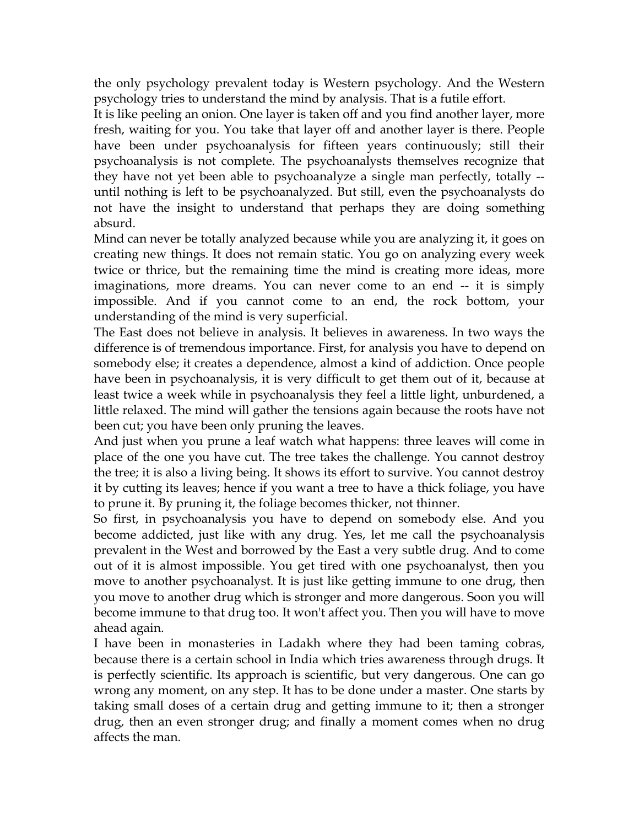the only psychology prevalent today is Western psychology. And the Western psychology tries to understand the mind by analysis. That is a futile effort.

It is like peeling an onion. One layer is taken off and you find another layer, more fresh, waiting for you. You take that layer off and another layer is there. People have been under psychoanalysis for fifteen years continuously; still their psychoanalysis is not complete. The psychoanalysts themselves recognize that they have not yet been able to psychoanalyze a single man perfectly, totally - until nothing is left to be psychoanalyzed. But still, even the psychoanalysts do not have the insight to understand that perhaps they are doing something absurd.

Mind can never be totally analyzed because while you are analyzing it, it goes on creating new things. It does not remain static. You go on analyzing every week twice or thrice, but the remaining time the mind is creating more ideas, more imaginations, more dreams. You can never come to an end -- it is simply impossible. And if you cannot come to an end, the rock bottom, your understanding of the mind is very superficial.

The East does not believe in analysis. It believes in awareness. In two ways the difference is of tremendous importance. First, for analysis you have to depend on somebody else; it creates a dependence, almost a kind of addiction. Once people have been in psychoanalysis, it is very difficult to get them out of it, because at least twice a week while in psychoanalysis they feel a little light, unburdened, a little relaxed. The mind will gather the tensions again because the roots have not been cut; you have been only pruning the leaves.

And just when you prune a leaf watch what happens: three leaves will come in place of the one you have cut. The tree takes the challenge. You cannot destroy the tree; it is also a living being. It shows its effort to survive. You cannot destroy it by cutting its leaves; hence if you want a tree to have a thick foliage, you have to prune it. By pruning it, the foliage becomes thicker, not thinner.

So first, in psychoanalysis you have to depend on somebody else. And you become addicted, just like with any drug. Yes, let me call the psychoanalysis prevalent in the West and borrowed by the East a very subtle drug. And to come out of it is almost impossible. You get tired with one psychoanalyst, then you move to another psychoanalyst. It is just like getting immune to one drug, then you move to another drug which is stronger and more dangerous. Soon you will become immune to that drug too. It won't affect you. Then you will have to move ahead again.

I have been in monasteries in Ladakh where they had been taming cobras, because there is a certain school in India which tries awareness through drugs. It is perfectly scientific. Its approach is scientific, but very dangerous. One can go wrong any moment, on any step. It has to be done under a master. One starts by taking small doses of a certain drug and getting immune to it; then a stronger drug, then an even stronger drug; and finally a moment comes when no drug affects the man.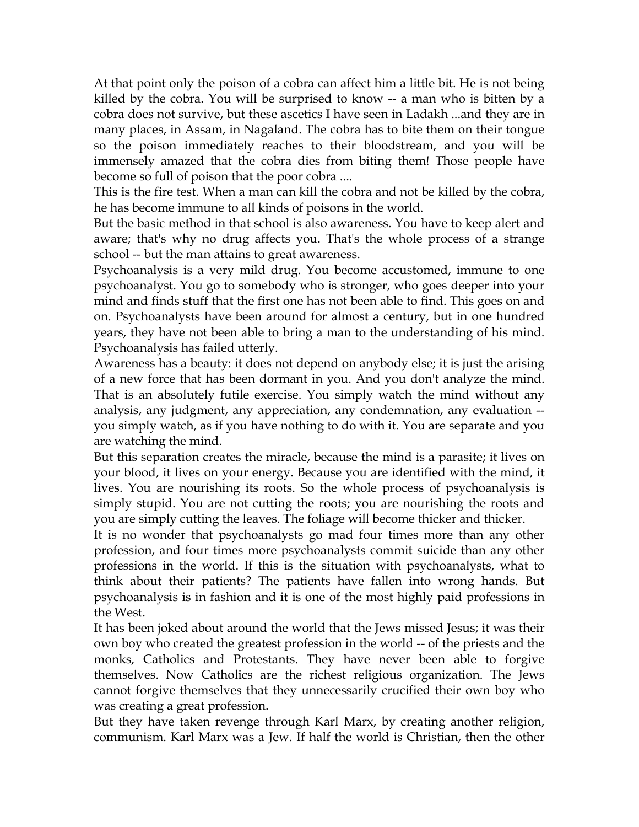At that point only the poison of a cobra can affect him a little bit. He is not being killed by the cobra. You will be surprised to know -- a man who is bitten by a cobra does not survive, but these ascetics I have seen in Ladakh ...and they are in many places, in Assam, in Nagaland. The cobra has to bite them on their tongue so the poison immediately reaches to their bloodstream, and you will be immensely amazed that the cobra dies from biting them! Those people have become so full of poison that the poor cobra ....

This is the fire test. When a man can kill the cobra and not be killed by the cobra, he has become immune to all kinds of poisons in the world.

But the basic method in that school is also awareness. You have to keep alert and aware; that's why no drug affects you. That's the whole process of a strange school -- but the man attains to great awareness.

Psychoanalysis is a very mild drug. You become accustomed, immune to one psychoanalyst. You go to somebody who is stronger, who goes deeper into your mind and finds stuff that the first one has not been able to find. This goes on and on. Psychoanalysts have been around for almost a century, but in one hundred years, they have not been able to bring a man to the understanding of his mind. Psychoanalysis has failed utterly.

Awareness has a beauty: it does not depend on anybody else; it is just the arising of a new force that has been dormant in you. And you don't analyze the mind. That is an absolutely futile exercise. You simply watch the mind without any analysis, any judgment, any appreciation, any condemnation, any evaluation - you simply watch, as if you have nothing to do with it. You are separate and you are watching the mind.

But this separation creates the miracle, because the mind is a parasite; it lives on your blood, it lives on your energy. Because you are identified with the mind, it lives. You are nourishing its roots. So the whole process of psychoanalysis is simply stupid. You are not cutting the roots; you are nourishing the roots and you are simply cutting the leaves. The foliage will become thicker and thicker.

It is no wonder that psychoanalysts go mad four times more than any other profession, and four times more psychoanalysts commit suicide than any other professions in the world. If this is the situation with psychoanalysts, what to think about their patients? The patients have fallen into wrong hands. But psychoanalysis is in fashion and it is one of the most highly paid professions in the West.

It has been joked about around the world that the Jews missed Jesus; it was their own boy who created the greatest profession in the world -- of the priests and the monks, Catholics and Protestants. They have never been able to forgive themselves. Now Catholics are the richest religious organization. The Jews cannot forgive themselves that they unnecessarily crucified their own boy who was creating a great profession.

But they have taken revenge through Karl Marx, by creating another religion, communism. Karl Marx was a Jew. If half the world is Christian, then the other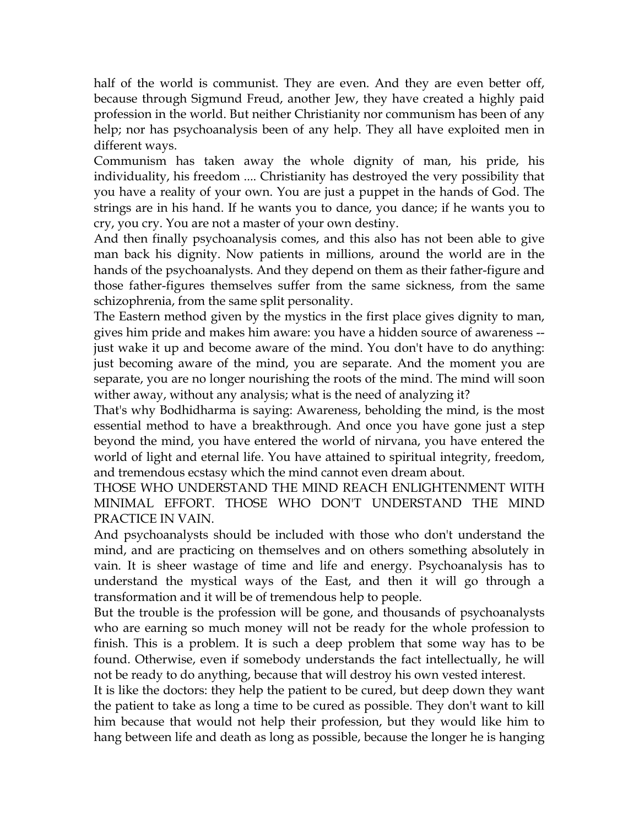half of the world is communist. They are even. And they are even better off, because through Sigmund Freud, another Jew, they have created a highly paid profession in the world. But neither Christianity nor communism has been of any help; nor has psychoanalysis been of any help. They all have exploited men in different ways.

Communism has taken away the whole dignity of man, his pride, his individuality, his freedom .... Christianity has destroyed the very possibility that you have a reality of your own. You are just a puppet in the hands of God. The strings are in his hand. If he wants you to dance, you dance; if he wants you to cry, you cry. You are not a master of your own destiny.

And then finally psychoanalysis comes, and this also has not been able to give man back his dignity. Now patients in millions, around the world are in the hands of the psychoanalysts. And they depend on them as their father-figure and those father-figures themselves suffer from the same sickness, from the same schizophrenia, from the same split personality.

The Eastern method given by the mystics in the first place gives dignity to man, gives him pride and makes him aware: you have a hidden source of awareness - just wake it up and become aware of the mind. You don't have to do anything: just becoming aware of the mind, you are separate. And the moment you are separate, you are no longer nourishing the roots of the mind. The mind will soon wither away, without any analysis; what is the need of analyzing it?

That's why Bodhidharma is saying: Awareness, beholding the mind, is the most essential method to have a breakthrough. And once you have gone just a step beyond the mind, you have entered the world of nirvana, you have entered the world of light and eternal life. You have attained to spiritual integrity, freedom, and tremendous ecstasy which the mind cannot even dream about.

THOSE WHO UNDERSTAND THE MIND REACH ENLIGHTENMENT WITH MINIMAL EFFORT. THOSE WHO DON'T UNDERSTAND THE MIND PRACTICE IN VAIN.

And psychoanalysts should be included with those who don't understand the mind, and are practicing on themselves and on others something absolutely in vain. It is sheer wastage of time and life and energy. Psychoanalysis has to understand the mystical ways of the East, and then it will go through a transformation and it will be of tremendous help to people.

But the trouble is the profession will be gone, and thousands of psychoanalysts who are earning so much money will not be ready for the whole profession to finish. This is a problem. It is such a deep problem that some way has to be found. Otherwise, even if somebody understands the fact intellectually, he will not be ready to do anything, because that will destroy his own vested interest.

It is like the doctors: they help the patient to be cured, but deep down they want the patient to take as long a time to be cured as possible. They don't want to kill him because that would not help their profession, but they would like him to hang between life and death as long as possible, because the longer he is hanging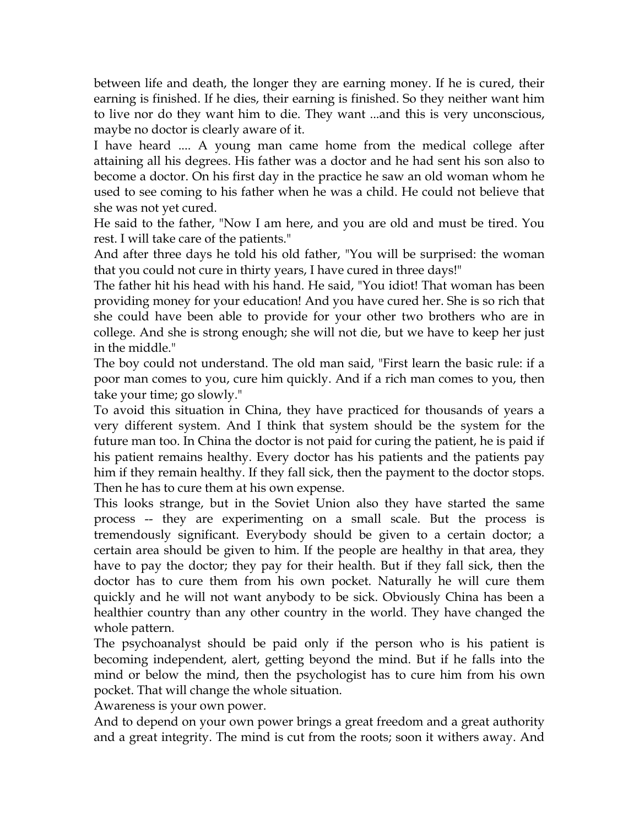between life and death, the longer they are earning money. If he is cured, their earning is finished. If he dies, their earning is finished. So they neither want him to live nor do they want him to die. They want ...and this is very unconscious, maybe no doctor is clearly aware of it.

I have heard .... A young man came home from the medical college after attaining all his degrees. His father was a doctor and he had sent his son also to become a doctor. On his first day in the practice he saw an old woman whom he used to see coming to his father when he was a child. He could not believe that she was not yet cured.

He said to the father, "Now I am here, and you are old and must be tired. You rest. I will take care of the patients."

And after three days he told his old father, "You will be surprised: the woman that you could not cure in thirty years, I have cured in three days!"

The father hit his head with his hand. He said, "You idiot! That woman has been providing money for your education! And you have cured her. She is so rich that she could have been able to provide for your other two brothers who are in college. And she is strong enough; she will not die, but we have to keep her just in the middle."

The boy could not understand. The old man said, "First learn the basic rule: if a poor man comes to you, cure him quickly. And if a rich man comes to you, then take your time; go slowly."

To avoid this situation in China, they have practiced for thousands of years a very different system. And I think that system should be the system for the future man too. In China the doctor is not paid for curing the patient, he is paid if his patient remains healthy. Every doctor has his patients and the patients pay him if they remain healthy. If they fall sick, then the payment to the doctor stops. Then he has to cure them at his own expense.

This looks strange, but in the Soviet Union also they have started the same process -- they are experimenting on a small scale. But the process is tremendously significant. Everybody should be given to a certain doctor; a certain area should be given to him. If the people are healthy in that area, they have to pay the doctor; they pay for their health. But if they fall sick, then the doctor has to cure them from his own pocket. Naturally he will cure them quickly and he will not want anybody to be sick. Obviously China has been a healthier country than any other country in the world. They have changed the whole pattern.

The psychoanalyst should be paid only if the person who is his patient is becoming independent, alert, getting beyond the mind. But if he falls into the mind or below the mind, then the psychologist has to cure him from his own pocket. That will change the whole situation.

Awareness is your own power.

And to depend on your own power brings a great freedom and a great authority and a great integrity. The mind is cut from the roots; soon it withers away. And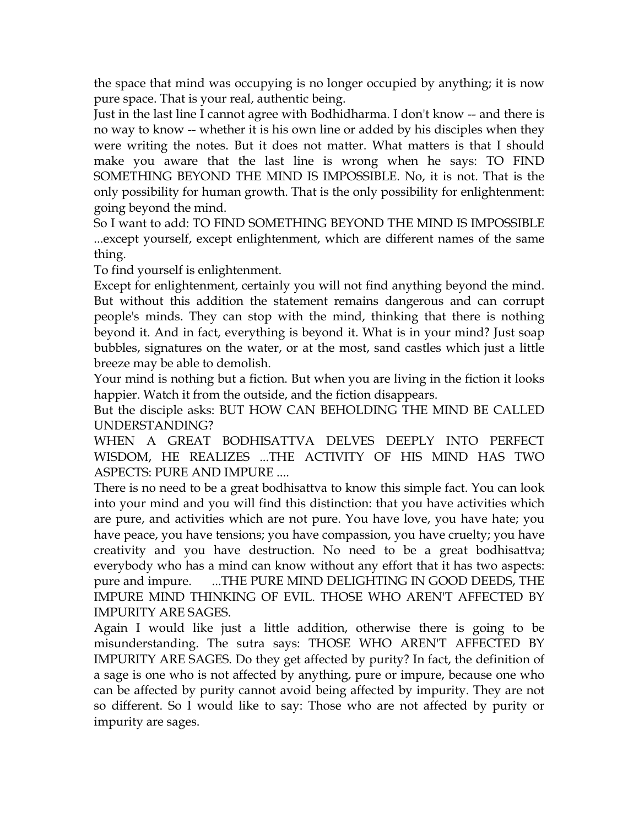the space that mind was occupying is no longer occupied by anything; it is now pure space. That is your real, authentic being.

Just in the last line I cannot agree with Bodhidharma. I don't know -- and there is no way to know -- whether it is his own line or added by his disciples when they were writing the notes. But it does not matter. What matters is that I should make you aware that the last line is wrong when he says: TO FIND SOMETHING BEYOND THE MIND IS IMPOSSIBLE. No, it is not. That is the only possibility for human growth. That is the only possibility for enlightenment: going beyond the mind.

So I want to add: TO FIND SOMETHING BEYOND THE MIND IS IMPOSSIBLE ...except yourself, except enlightenment, which are different names of the same thing.

To find yourself is enlightenment.

Except for enlightenment, certainly you will not find anything beyond the mind. But without this addition the statement remains dangerous and can corrupt people's minds. They can stop with the mind, thinking that there is nothing beyond it. And in fact, everything is beyond it. What is in your mind? Just soap bubbles, signatures on the water, or at the most, sand castles which just a little breeze may be able to demolish.

Your mind is nothing but a fiction. But when you are living in the fiction it looks happier. Watch it from the outside, and the fiction disappears.

But the disciple asks: BUT HOW CAN BEHOLDING THE MIND BE CALLED UNDERSTANDING?

WHEN A GREAT BODHISATTVA DELVES DEEPLY INTO PERFECT WISDOM, HE REALIZES ...THE ACTIVITY OF HIS MIND HAS TWO ASPECTS: PURE AND IMPURE ....

There is no need to be a great bodhisattva to know this simple fact. You can look into your mind and you will find this distinction: that you have activities which are pure, and activities which are not pure. You have love, you have hate; you have peace, you have tensions; you have compassion, you have cruelty; you have creativity and you have destruction. No need to be a great bodhisattva; everybody who has a mind can know without any effort that it has two aspects: pure and impure. ...THE PURE MIND DELIGHTING IN GOOD DEEDS, THE IMPURE MIND THINKING OF EVIL. THOSE WHO AREN'T AFFECTED BY IMPURITY ARE SAGES.

Again I would like just a little addition, otherwise there is going to be misunderstanding. The sutra says: THOSE WHO AREN'T AFFECTED BY IMPURITY ARE SAGES. Do they get affected by purity? In fact, the definition of a sage is one who is not affected by anything, pure or impure, because one who can be affected by purity cannot avoid being affected by impurity. They are not so different. So I would like to say: Those who are not affected by purity or impurity are sages.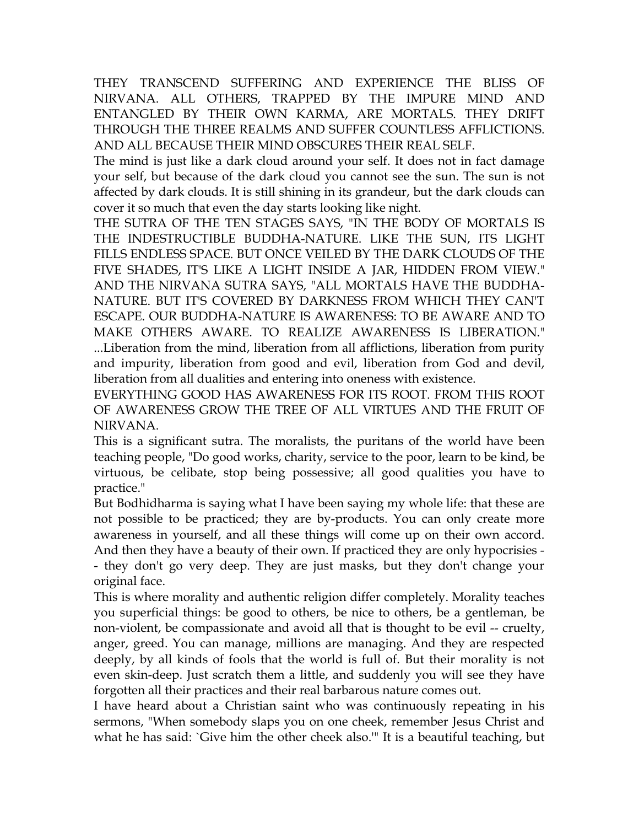THEY TRANSCEND SUFFERING AND EXPERIENCE THE BLISS OF NIRVANA. ALL OTHERS, TRAPPED BY THE IMPURE MIND AND ENTANGLED BY THEIR OWN KARMA, ARE MORTALS. THEY DRIFT THROUGH THE THREE REALMS AND SUFFER COUNTLESS AFFLICTIONS. AND ALL BECAUSE THEIR MIND OBSCURES THEIR REAL SELF.

The mind is just like a dark cloud around your self. It does not in fact damage your self, but because of the dark cloud you cannot see the sun. The sun is not affected by dark clouds. It is still shining in its grandeur, but the dark clouds can cover it so much that even the day starts looking like night.

THE SUTRA OF THE TEN STAGES SAYS, "IN THE BODY OF MORTALS IS THE INDESTRUCTIBLE BUDDHA-NATURE. LIKE THE SUN, ITS LIGHT FILLS ENDLESS SPACE. BUT ONCE VEILED BY THE DARK CLOUDS OF THE FIVE SHADES, IT'S LIKE A LIGHT INSIDE A JAR, HIDDEN FROM VIEW." AND THE NIRVANA SUTRA SAYS, "ALL MORTALS HAVE THE BUDDHA-NATURE. BUT IT'S COVERED BY DARKNESS FROM WHICH THEY CAN'T ESCAPE. OUR BUDDHA-NATURE IS AWARENESS: TO BE AWARE AND TO MAKE OTHERS AWARE. TO REALIZE AWARENESS IS LIBERATION." ...Liberation from the mind, liberation from all afflictions, liberation from purity and impurity, liberation from good and evil, liberation from God and devil, liberation from all dualities and entering into oneness with existence.

EVERYTHING GOOD HAS AWARENESS FOR ITS ROOT. FROM THIS ROOT OF AWARENESS GROW THE TREE OF ALL VIRTUES AND THE FRUIT OF NIRVANA.

This is a significant sutra. The moralists, the puritans of the world have been teaching people, "Do good works, charity, service to the poor, learn to be kind, be virtuous, be celibate, stop being possessive; all good qualities you have to practice."

But Bodhidharma is saying what I have been saying my whole life: that these are not possible to be practiced; they are by-products. You can only create more awareness in yourself, and all these things will come up on their own accord. And then they have a beauty of their own. If practiced they are only hypocrisies - - they don't go very deep. They are just masks, but they don't change your original face.

This is where morality and authentic religion differ completely. Morality teaches you superficial things: be good to others, be nice to others, be a gentleman, be non-violent, be compassionate and avoid all that is thought to be evil -- cruelty, anger, greed. You can manage, millions are managing. And they are respected deeply, by all kinds of fools that the world is full of. But their morality is not even skin-deep. Just scratch them a little, and suddenly you will see they have forgotten all their practices and their real barbarous nature comes out.

I have heard about a Christian saint who was continuously repeating in his sermons, "When somebody slaps you on one cheek, remember Jesus Christ and what he has said: `Give him the other cheek also.'" It is a beautiful teaching, but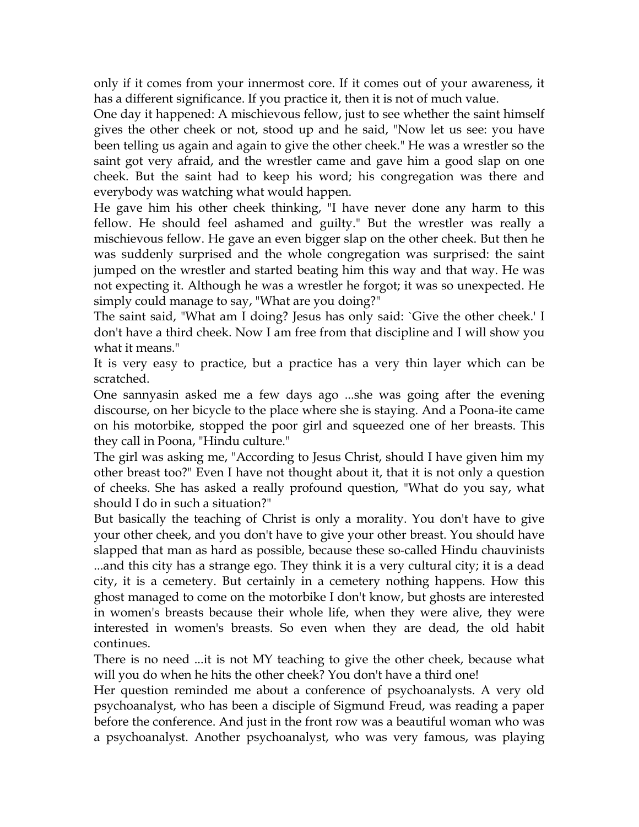only if it comes from your innermost core. If it comes out of your awareness, it has a different significance. If you practice it, then it is not of much value.

One day it happened: A mischievous fellow, just to see whether the saint himself gives the other cheek or not, stood up and he said, "Now let us see: you have been telling us again and again to give the other cheek." He was a wrestler so the saint got very afraid, and the wrestler came and gave him a good slap on one cheek. But the saint had to keep his word; his congregation was there and everybody was watching what would happen.

He gave him his other cheek thinking, "I have never done any harm to this fellow. He should feel ashamed and guilty." But the wrestler was really a mischievous fellow. He gave an even bigger slap on the other cheek. But then he was suddenly surprised and the whole congregation was surprised: the saint jumped on the wrestler and started beating him this way and that way. He was not expecting it. Although he was a wrestler he forgot; it was so unexpected. He simply could manage to say, "What are you doing?"

The saint said, "What am I doing? Jesus has only said: `Give the other cheek.' I don't have a third cheek. Now I am free from that discipline and I will show you what it means."

It is very easy to practice, but a practice has a very thin layer which can be scratched.

One sannyasin asked me a few days ago ...she was going after the evening discourse, on her bicycle to the place where she is staying. And a Poona-ite came on his motorbike, stopped the poor girl and squeezed one of her breasts. This they call in Poona, "Hindu culture."

The girl was asking me, "According to Jesus Christ, should I have given him my other breast too?" Even I have not thought about it, that it is not only a question of cheeks. She has asked a really profound question, "What do you say, what should I do in such a situation?"

But basically the teaching of Christ is only a morality. You don't have to give your other cheek, and you don't have to give your other breast. You should have slapped that man as hard as possible, because these so-called Hindu chauvinists ...and this city has a strange ego. They think it is a very cultural city; it is a dead city, it is a cemetery. But certainly in a cemetery nothing happens. How this ghost managed to come on the motorbike I don't know, but ghosts are interested in women's breasts because their whole life, when they were alive, they were interested in women's breasts. So even when they are dead, the old habit continues.

There is no need ...it is not MY teaching to give the other cheek, because what will you do when he hits the other cheek? You don't have a third one!

Her question reminded me about a conference of psychoanalysts. A very old psychoanalyst, who has been a disciple of Sigmund Freud, was reading a paper before the conference. And just in the front row was a beautiful woman who was a psychoanalyst. Another psychoanalyst, who was very famous, was playing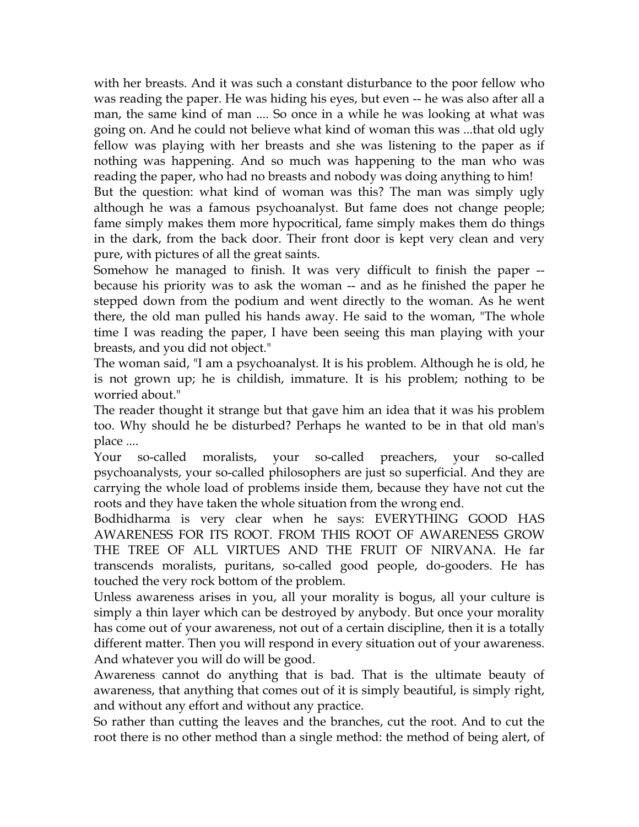with her breasts. And it was such a constant disturbance to the poor fellow who was reading the paper. He was hiding his eyes, but even -- he was also after all a man, the same kind of man .... So once in a while he was looking at what was going on. And he could not believe what kind of woman this was ...that old ugly fellow was playing with her breasts and she was listening to the paper as if nothing was happening. And so much was happening to the man who was reading the paper, who had no breasts and nobody was doing anything to him!

But the question: what kind of woman was this? The man was simply ugly although he was a famous psychoanalyst. But fame does not change people; fame simply makes them more hypocritical, fame simply makes them do things in the dark, from the back door. Their front door is kept very clean and very pure, with pictures of all the great saints.

Somehow he managed to finish. It was very difficult to finish the paper - because his priority was to ask the woman -- and as he finished the paper he stepped down from the podium and went directly to the woman. As he went there, the old man pulled his hands away. He said to the woman, "The whole time I was reading the paper, I have been seeing this man playing with your breasts, and you did not object."

The woman said, "I am a psychoanalyst. It is his problem. Although he is old, he is not grown up; he is childish, immature. It is his problem; nothing to be worried about."

The reader thought it strange but that gave him an idea that it was his problem too. Why should he be disturbed? Perhaps he wanted to be in that old man's place ....

Your so-called moralists, your so-called preachers, your so-called psychoanalysts, your so-called philosophers are just so superficial. And they are carrying the whole load of problems inside them, because they have not cut the roots and they have taken the whole situation from the wrong end.

Bodhidharma is very clear when he says: EVERYTHING GOOD HAS AWARENESS FOR ITS ROOT. FROM THIS ROOT OF AWARENESS GROW THE TREE OF ALL VIRTUES AND THE FRUIT OF NIRVANA. He far transcends moralists, puritans, so-called good people, do-gooders. He has touched the very rock bottom of the problem.

Unless awareness arises in you, all your morality is bogus, all your culture is simply a thin layer which can be destroyed by anybody. But once your morality has come out of your awareness, not out of a certain discipline, then it is a totally different matter. Then you will respond in every situation out of your awareness. And whatever you will do will be good.

Awareness cannot do anything that is bad. That is the ultimate beauty of awareness, that anything that comes out of it is simply beautiful, is simply right, and without any effort and without any practice.

So rather than cutting the leaves and the branches, cut the root. And to cut the root there is no other method than a single method: the method of being alert, of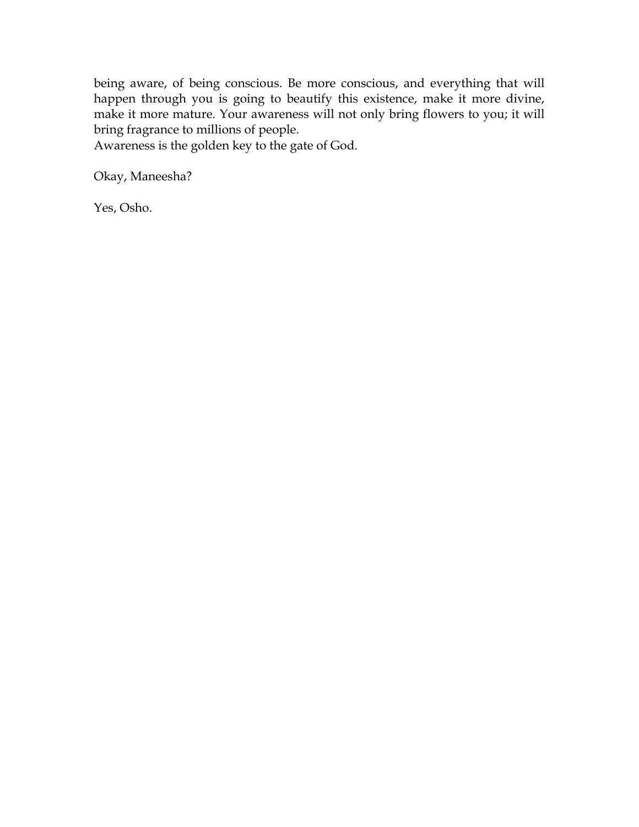being aware, of being conscious. Be more conscious, and everything that will happen through you is going to beautify this existence, make it more divine, make it more mature. Your awareness will not only bring flowers to you; it will bring fragrance to millions of people.

Awareness is the golden key to the gate of God.

Okay, Maneesha?

Yes, Osho.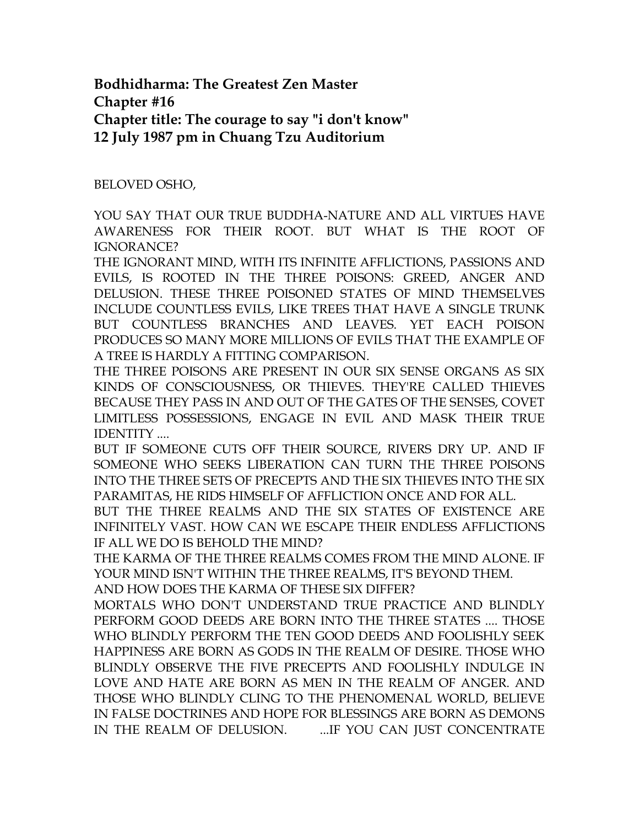**Bodhidharma: The Greatest Zen Master Chapter #16 Chapter title: The courage to say "i don't know" 12 July 1987 pm in Chuang Tzu Auditorium** 

BELOVED OSHO,

YOU SAY THAT OUR TRUE BUDDHA-NATURE AND ALL VIRTUES HAVE AWARENESS FOR THEIR ROOT. BUT WHAT IS THE ROOT OF IGNORANCE?

THE IGNORANT MIND, WITH ITS INFINITE AFFLICTIONS, PASSIONS AND EVILS, IS ROOTED IN THE THREE POISONS: GREED, ANGER AND DELUSION. THESE THREE POISONED STATES OF MIND THEMSELVES INCLUDE COUNTLESS EVILS, LIKE TREES THAT HAVE A SINGLE TRUNK BUT COUNTLESS BRANCHES AND LEAVES. YET EACH POISON PRODUCES SO MANY MORE MILLIONS OF EVILS THAT THE EXAMPLE OF A TREE IS HARDLY A FITTING COMPARISON.

THE THREE POISONS ARE PRESENT IN OUR SIX SENSE ORGANS AS SIX KINDS OF CONSCIOUSNESS, OR THIEVES. THEY'RE CALLED THIEVES BECAUSE THEY PASS IN AND OUT OF THE GATES OF THE SENSES, COVET LIMITLESS POSSESSIONS, ENGAGE IN EVIL AND MASK THEIR TRUE IDENTITY ....

BUT IF SOMEONE CUTS OFF THEIR SOURCE, RIVERS DRY UP. AND IF SOMEONE WHO SEEKS LIBERATION CAN TURN THE THREE POISONS INTO THE THREE SETS OF PRECEPTS AND THE SIX THIEVES INTO THE SIX PARAMITAS, HE RIDS HIMSELF OF AFFLICTION ONCE AND FOR ALL.

BUT THE THREE REALMS AND THE SIX STATES OF EXISTENCE ARE INFINITELY VAST. HOW CAN WE ESCAPE THEIR ENDLESS AFFLICTIONS IF ALL WE DO IS BEHOLD THE MIND?

THE KARMA OF THE THREE REALMS COMES FROM THE MIND ALONE. IF YOUR MIND ISN'T WITHIN THE THREE REALMS, IT'S BEYOND THEM.

AND HOW DOES THE KARMA OF THESE SIX DIFFER?

MORTALS WHO DON'T UNDERSTAND TRUE PRACTICE AND BLINDLY PERFORM GOOD DEEDS ARE BORN INTO THE THREE STATES .... THOSE WHO BLINDLY PERFORM THE TEN GOOD DEEDS AND FOOLISHLY SEEK HAPPINESS ARE BORN AS GODS IN THE REALM OF DESIRE. THOSE WHO BLINDLY OBSERVE THE FIVE PRECEPTS AND FOOLISHLY INDULGE IN LOVE AND HATE ARE BORN AS MEN IN THE REALM OF ANGER. AND THOSE WHO BLINDLY CLING TO THE PHENOMENAL WORLD, BELIEVE IN FALSE DOCTRINES AND HOPE FOR BLESSINGS ARE BORN AS DEMONS IN THE REALM OF DELUSION. ....IF YOU CAN JUST CONCENTRATE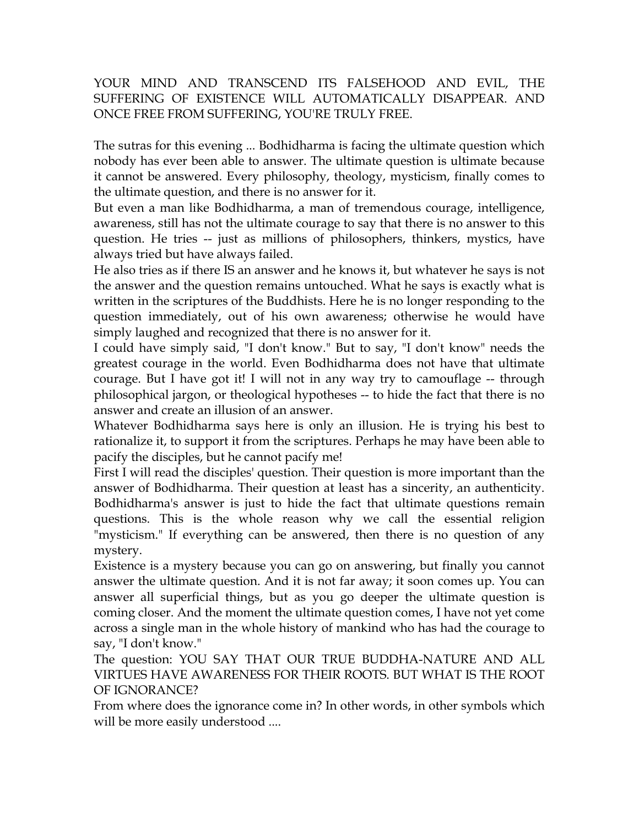YOUR MIND AND TRANSCEND ITS FALSEHOOD AND EVIL, THE SUFFERING OF EXISTENCE WILL AUTOMATICALLY DISAPPEAR. AND ONCE FREE FROM SUFFERING, YOU'RE TRULY FREE.

The sutras for this evening ... Bodhidharma is facing the ultimate question which nobody has ever been able to answer. The ultimate question is ultimate because it cannot be answered. Every philosophy, theology, mysticism, finally comes to the ultimate question, and there is no answer for it.

But even a man like Bodhidharma, a man of tremendous courage, intelligence, awareness, still has not the ultimate courage to say that there is no answer to this question. He tries -- just as millions of philosophers, thinkers, mystics, have always tried but have always failed.

He also tries as if there IS an answer and he knows it, but whatever he says is not the answer and the question remains untouched. What he says is exactly what is written in the scriptures of the Buddhists. Here he is no longer responding to the question immediately, out of his own awareness; otherwise he would have simply laughed and recognized that there is no answer for it.

I could have simply said, "I don't know." But to say, "I don't know" needs the greatest courage in the world. Even Bodhidharma does not have that ultimate courage. But I have got it! I will not in any way try to camouflage -- through philosophical jargon, or theological hypotheses -- to hide the fact that there is no answer and create an illusion of an answer.

Whatever Bodhidharma says here is only an illusion. He is trying his best to rationalize it, to support it from the scriptures. Perhaps he may have been able to pacify the disciples, but he cannot pacify me!

First I will read the disciples' question. Their question is more important than the answer of Bodhidharma. Their question at least has a sincerity, an authenticity. Bodhidharma's answer is just to hide the fact that ultimate questions remain questions. This is the whole reason why we call the essential religion "mysticism." If everything can be answered, then there is no question of any mystery.

Existence is a mystery because you can go on answering, but finally you cannot answer the ultimate question. And it is not far away; it soon comes up. You can answer all superficial things, but as you go deeper the ultimate question is coming closer. And the moment the ultimate question comes, I have not yet come across a single man in the whole history of mankind who has had the courage to say, "I don't know."

The question: YOU SAY THAT OUR TRUE BUDDHA-NATURE AND ALL VIRTUES HAVE AWARENESS FOR THEIR ROOTS. BUT WHAT IS THE ROOT OF IGNORANCE?

From where does the ignorance come in? In other words, in other symbols which will be more easily understood ....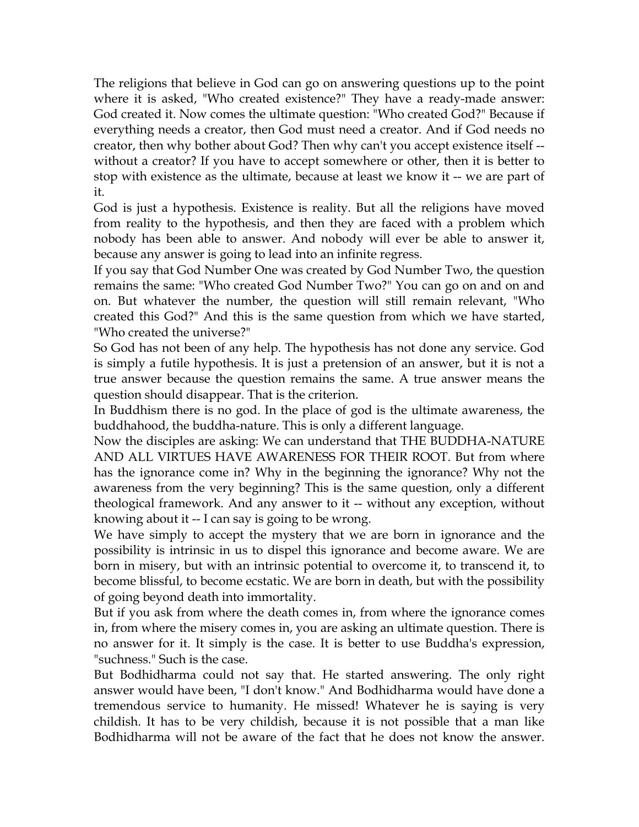The religions that believe in God can go on answering questions up to the point where it is asked, "Who created existence?" They have a ready-made answer: God created it. Now comes the ultimate question: "Who created God?" Because if everything needs a creator, then God must need a creator. And if God needs no creator, then why bother about God? Then why can't you accept existence itself - without a creator? If you have to accept somewhere or other, then it is better to stop with existence as the ultimate, because at least we know it -- we are part of it.

God is just a hypothesis. Existence is reality. But all the religions have moved from reality to the hypothesis, and then they are faced with a problem which nobody has been able to answer. And nobody will ever be able to answer it, because any answer is going to lead into an infinite regress.

If you say that God Number One was created by God Number Two, the question remains the same: "Who created God Number Two?" You can go on and on and on. But whatever the number, the question will still remain relevant, "Who created this God?" And this is the same question from which we have started, "Who created the universe?"

So God has not been of any help. The hypothesis has not done any service. God is simply a futile hypothesis. It is just a pretension of an answer, but it is not a true answer because the question remains the same. A true answer means the question should disappear. That is the criterion.

In Buddhism there is no god. In the place of god is the ultimate awareness, the buddhahood, the buddha-nature. This is only a different language.

Now the disciples are asking: We can understand that THE BUDDHA-NATURE AND ALL VIRTUES HAVE AWARENESS FOR THEIR ROOT. But from where has the ignorance come in? Why in the beginning the ignorance? Why not the awareness from the very beginning? This is the same question, only a different theological framework. And any answer to it -- without any exception, without knowing about it -- I can say is going to be wrong.

We have simply to accept the mystery that we are born in ignorance and the possibility is intrinsic in us to dispel this ignorance and become aware. We are born in misery, but with an intrinsic potential to overcome it, to transcend it, to become blissful, to become ecstatic. We are born in death, but with the possibility of going beyond death into immortality.

But if you ask from where the death comes in, from where the ignorance comes in, from where the misery comes in, you are asking an ultimate question. There is no answer for it. It simply is the case. It is better to use Buddha's expression, "suchness." Such is the case.

But Bodhidharma could not say that. He started answering. The only right answer would have been, "I don't know." And Bodhidharma would have done a tremendous service to humanity. He missed! Whatever he is saying is very childish. It has to be very childish, because it is not possible that a man like Bodhidharma will not be aware of the fact that he does not know the answer.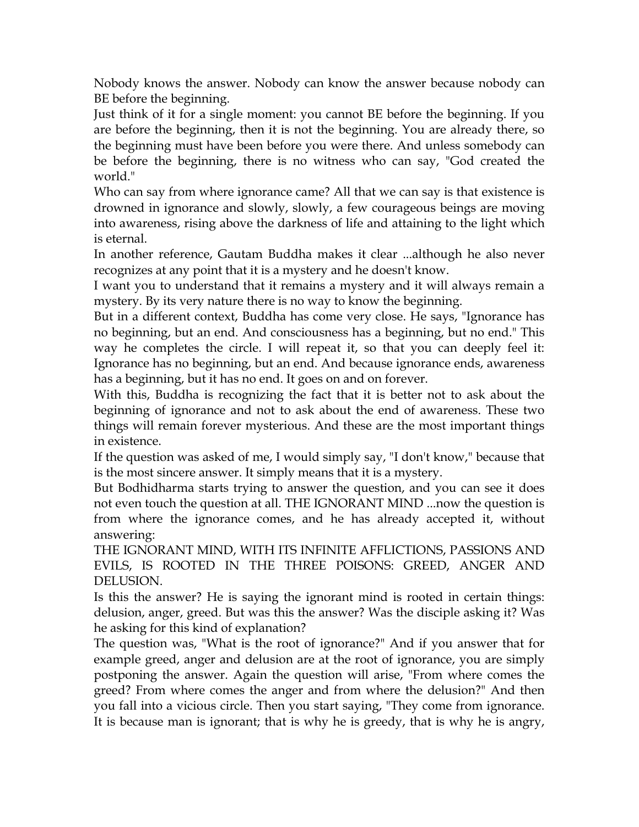Nobody knows the answer. Nobody can know the answer because nobody can BE before the beginning.

Just think of it for a single moment: you cannot BE before the beginning. If you are before the beginning, then it is not the beginning. You are already there, so the beginning must have been before you were there. And unless somebody can be before the beginning, there is no witness who can say, "God created the world."

Who can say from where ignorance came? All that we can say is that existence is drowned in ignorance and slowly, slowly, a few courageous beings are moving into awareness, rising above the darkness of life and attaining to the light which is eternal.

In another reference, Gautam Buddha makes it clear ...although he also never recognizes at any point that it is a mystery and he doesn't know.

I want you to understand that it remains a mystery and it will always remain a mystery. By its very nature there is no way to know the beginning.

But in a different context, Buddha has come very close. He says, "Ignorance has no beginning, but an end. And consciousness has a beginning, but no end." This way he completes the circle. I will repeat it, so that you can deeply feel it: Ignorance has no beginning, but an end. And because ignorance ends, awareness has a beginning, but it has no end. It goes on and on forever.

With this, Buddha is recognizing the fact that it is better not to ask about the beginning of ignorance and not to ask about the end of awareness. These two things will remain forever mysterious. And these are the most important things in existence.

If the question was asked of me, I would simply say, "I don't know," because that is the most sincere answer. It simply means that it is a mystery.

But Bodhidharma starts trying to answer the question, and you can see it does not even touch the question at all. THE IGNORANT MIND ...now the question is from where the ignorance comes, and he has already accepted it, without answering:

THE IGNORANT MIND, WITH ITS INFINITE AFFLICTIONS, PASSIONS AND EVILS, IS ROOTED IN THE THREE POISONS: GREED, ANGER AND DELUSION.

Is this the answer? He is saying the ignorant mind is rooted in certain things: delusion, anger, greed. But was this the answer? Was the disciple asking it? Was he asking for this kind of explanation?

The question was, "What is the root of ignorance?" And if you answer that for example greed, anger and delusion are at the root of ignorance, you are simply postponing the answer. Again the question will arise, "From where comes the greed? From where comes the anger and from where the delusion?" And then you fall into a vicious circle. Then you start saying, "They come from ignorance. It is because man is ignorant; that is why he is greedy, that is why he is angry,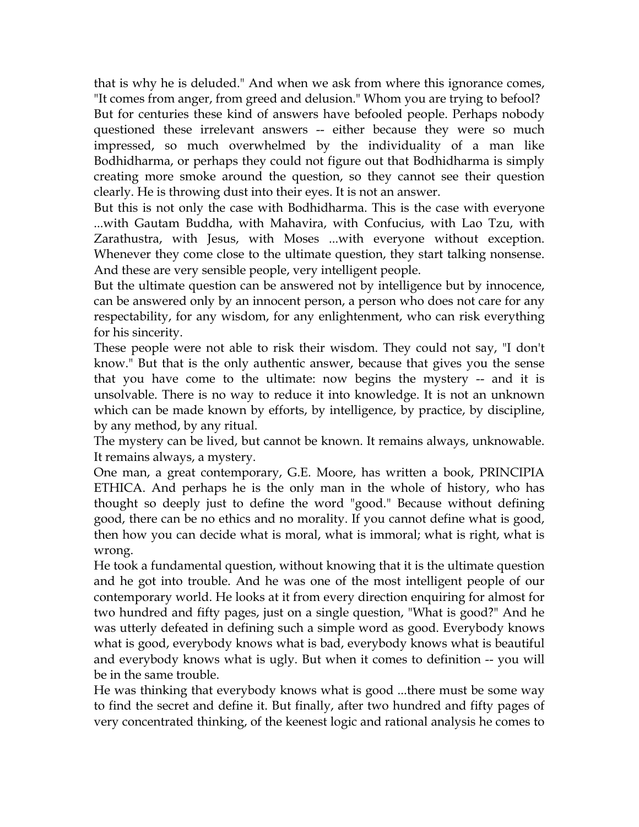that is why he is deluded." And when we ask from where this ignorance comes, "It comes from anger, from greed and delusion." Whom you are trying to befool? But for centuries these kind of answers have befooled people. Perhaps nobody questioned these irrelevant answers -- either because they were so much impressed, so much overwhelmed by the individuality of a man like Bodhidharma, or perhaps they could not figure out that Bodhidharma is simply creating more smoke around the question, so they cannot see their question clearly. He is throwing dust into their eyes. It is not an answer.

But this is not only the case with Bodhidharma. This is the case with everyone ...with Gautam Buddha, with Mahavira, with Confucius, with Lao Tzu, with Zarathustra, with Jesus, with Moses ...with everyone without exception. Whenever they come close to the ultimate question, they start talking nonsense. And these are very sensible people, very intelligent people.

But the ultimate question can be answered not by intelligence but by innocence, can be answered only by an innocent person, a person who does not care for any respectability, for any wisdom, for any enlightenment, who can risk everything for his sincerity.

These people were not able to risk their wisdom. They could not say, "I don't know." But that is the only authentic answer, because that gives you the sense that you have come to the ultimate: now begins the mystery -- and it is unsolvable. There is no way to reduce it into knowledge. It is not an unknown which can be made known by efforts, by intelligence, by practice, by discipline, by any method, by any ritual.

The mystery can be lived, but cannot be known. It remains always, unknowable. It remains always, a mystery.

One man, a great contemporary, G.E. Moore, has written a book, PRINCIPIA ETHICA. And perhaps he is the only man in the whole of history, who has thought so deeply just to define the word "good." Because without defining good, there can be no ethics and no morality. If you cannot define what is good, then how you can decide what is moral, what is immoral; what is right, what is wrong.

He took a fundamental question, without knowing that it is the ultimate question and he got into trouble. And he was one of the most intelligent people of our contemporary world. He looks at it from every direction enquiring for almost for two hundred and fifty pages, just on a single question, "What is good?" And he was utterly defeated in defining such a simple word as good. Everybody knows what is good, everybody knows what is bad, everybody knows what is beautiful and everybody knows what is ugly. But when it comes to definition -- you will be in the same trouble.

He was thinking that everybody knows what is good ...there must be some way to find the secret and define it. But finally, after two hundred and fifty pages of very concentrated thinking, of the keenest logic and rational analysis he comes to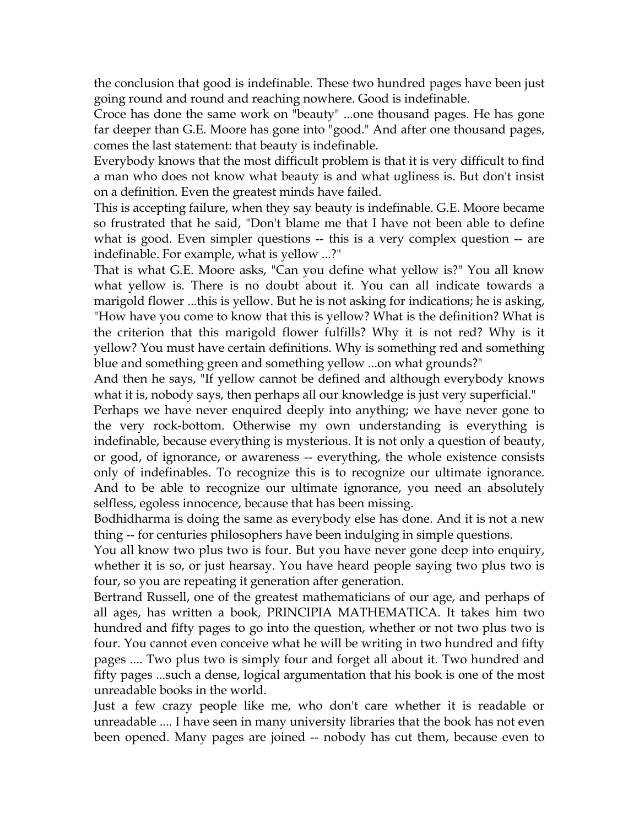the conclusion that good is indefinable. These two hundred pages have been just going round and round and reaching nowhere. Good is indefinable.

Croce has done the same work on "beauty" ...one thousand pages. He has gone far deeper than G.E. Moore has gone into "good." And after one thousand pages, comes the last statement: that beauty is indefinable.

Everybody knows that the most difficult problem is that it is very difficult to find a man who does not know what beauty is and what ugliness is. But don't insist on a definition. Even the greatest minds have failed.

This is accepting failure, when they say beauty is indefinable. G.E. Moore became so frustrated that he said, "Don't blame me that I have not been able to define what is good. Even simpler questions -- this is a very complex question -- are indefinable. For example, what is yellow ...?"

That is what G.E. Moore asks, "Can you define what yellow is?" You all know what yellow is. There is no doubt about it. You can all indicate towards a marigold flower ...this is yellow. But he is not asking for indications; he is asking, "How have you come to know that this is yellow? What is the definition? What is the criterion that this marigold flower fulfills? Why it is not red? Why is it yellow? You must have certain definitions. Why is something red and something blue and something green and something yellow ...on what grounds?"

And then he says, "If yellow cannot be defined and although everybody knows what it is, nobody says, then perhaps all our knowledge is just very superficial."

Perhaps we have never enquired deeply into anything; we have never gone to the very rock-bottom. Otherwise my own understanding is everything is indefinable, because everything is mysterious. It is not only a question of beauty, or good, of ignorance, or awareness -- everything, the whole existence consists only of indefinables. To recognize this is to recognize our ultimate ignorance. And to be able to recognize our ultimate ignorance, you need an absolutely selfless, egoless innocence, because that has been missing.

Bodhidharma is doing the same as everybody else has done. And it is not a new thing -- for centuries philosophers have been indulging in simple questions.

You all know two plus two is four. But you have never gone deep into enquiry, whether it is so, or just hearsay. You have heard people saying two plus two is four, so you are repeating it generation after generation.

Bertrand Russell, one of the greatest mathematicians of our age, and perhaps of all ages, has written a book, PRINCIPIA MATHEMATICA. It takes him two hundred and fifty pages to go into the question, whether or not two plus two is four. You cannot even conceive what he will be writing in two hundred and fifty pages .... Two plus two is simply four and forget all about it. Two hundred and fifty pages ...such a dense, logical argumentation that his book is one of the most unreadable books in the world.

Just a few crazy people like me, who don't care whether it is readable or unreadable .... I have seen in many university libraries that the book has not even been opened. Many pages are joined -- nobody has cut them, because even to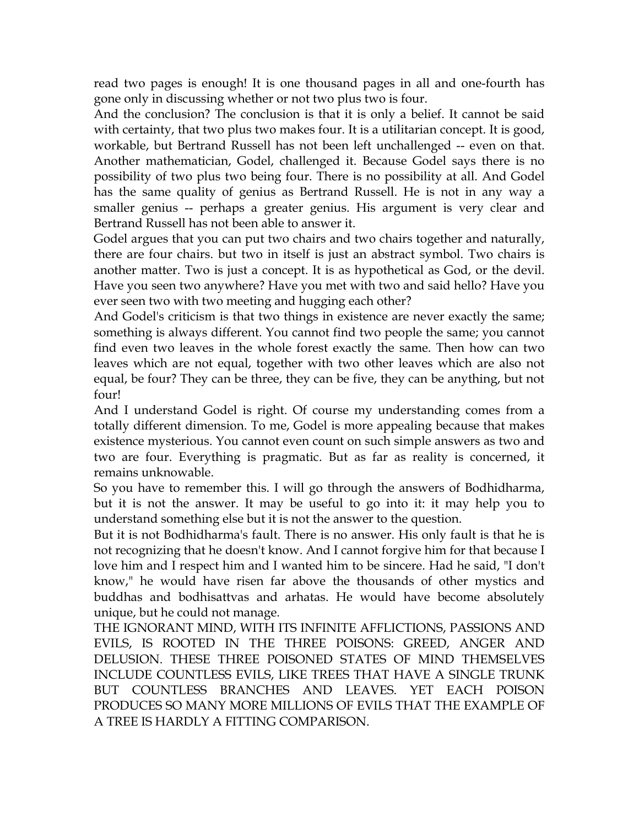read two pages is enough! It is one thousand pages in all and one-fourth has gone only in discussing whether or not two plus two is four.

And the conclusion? The conclusion is that it is only a belief. It cannot be said with certainty, that two plus two makes four. It is a utilitarian concept. It is good, workable, but Bertrand Russell has not been left unchallenged -- even on that. Another mathematician, Godel, challenged it. Because Godel says there is no possibility of two plus two being four. There is no possibility at all. And Godel has the same quality of genius as Bertrand Russell. He is not in any way a smaller genius -- perhaps a greater genius. His argument is very clear and Bertrand Russell has not been able to answer it.

Godel argues that you can put two chairs and two chairs together and naturally, there are four chairs. but two in itself is just an abstract symbol. Two chairs is another matter. Two is just a concept. It is as hypothetical as God, or the devil. Have you seen two anywhere? Have you met with two and said hello? Have you ever seen two with two meeting and hugging each other?

And Godel's criticism is that two things in existence are never exactly the same; something is always different. You cannot find two people the same; you cannot find even two leaves in the whole forest exactly the same. Then how can two leaves which are not equal, together with two other leaves which are also not equal, be four? They can be three, they can be five, they can be anything, but not four!

And I understand Godel is right. Of course my understanding comes from a totally different dimension. To me, Godel is more appealing because that makes existence mysterious. You cannot even count on such simple answers as two and two are four. Everything is pragmatic. But as far as reality is concerned, it remains unknowable.

So you have to remember this. I will go through the answers of Bodhidharma, but it is not the answer. It may be useful to go into it: it may help you to understand something else but it is not the answer to the question.

But it is not Bodhidharma's fault. There is no answer. His only fault is that he is not recognizing that he doesn't know. And I cannot forgive him for that because I love him and I respect him and I wanted him to be sincere. Had he said, "I don't know," he would have risen far above the thousands of other mystics and buddhas and bodhisattvas and arhatas. He would have become absolutely unique, but he could not manage.

THE IGNORANT MIND, WITH ITS INFINITE AFFLICTIONS, PASSIONS AND EVILS, IS ROOTED IN THE THREE POISONS: GREED, ANGER AND DELUSION. THESE THREE POISONED STATES OF MIND THEMSELVES INCLUDE COUNTLESS EVILS, LIKE TREES THAT HAVE A SINGLE TRUNK BUT COUNTLESS BRANCHES AND LEAVES. YET EACH POISON PRODUCES SO MANY MORE MILLIONS OF EVILS THAT THE EXAMPLE OF A TREE IS HARDLY A FITTING COMPARISON.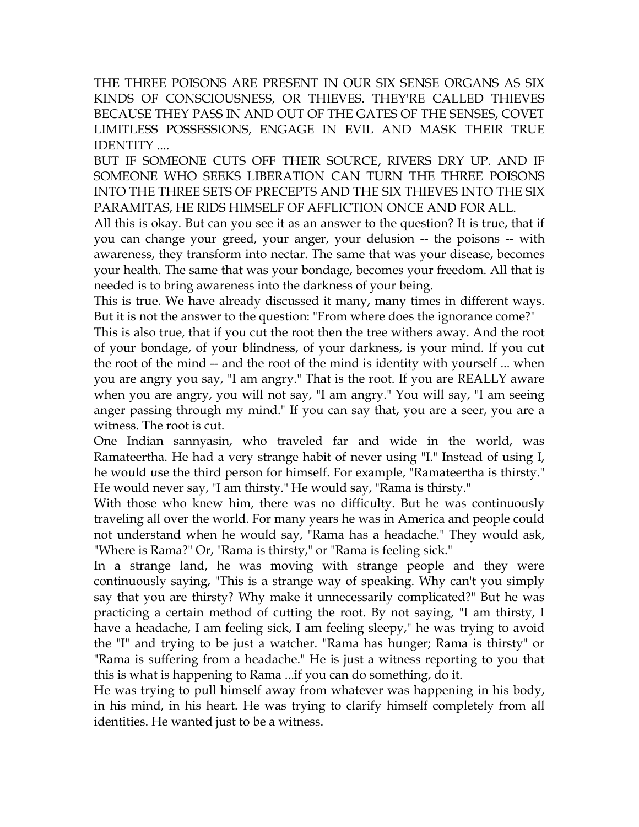THE THREE POISONS ARE PRESENT IN OUR SIX SENSE ORGANS AS SIX KINDS OF CONSCIOUSNESS, OR THIEVES. THEY'RE CALLED THIEVES BECAUSE THEY PASS IN AND OUT OF THE GATES OF THE SENSES, COVET LIMITLESS POSSESSIONS, ENGAGE IN EVIL AND MASK THEIR TRUE IDENTITY ....

BUT IF SOMEONE CUTS OFF THEIR SOURCE, RIVERS DRY UP. AND IF SOMEONE WHO SEEKS LIBERATION CAN TURN THE THREE POISONS INTO THE THREE SETS OF PRECEPTS AND THE SIX THIEVES INTO THE SIX PARAMITAS, HE RIDS HIMSELF OF AFFLICTION ONCE AND FOR ALL.

All this is okay. But can you see it as an answer to the question? It is true, that if you can change your greed, your anger, your delusion -- the poisons -- with awareness, they transform into nectar. The same that was your disease, becomes your health. The same that was your bondage, becomes your freedom. All that is needed is to bring awareness into the darkness of your being.

This is true. We have already discussed it many, many times in different ways. But it is not the answer to the question: "From where does the ignorance come?"

This is also true, that if you cut the root then the tree withers away. And the root of your bondage, of your blindness, of your darkness, is your mind. If you cut the root of the mind -- and the root of the mind is identity with yourself ... when you are angry you say, "I am angry." That is the root. If you are REALLY aware when you are angry, you will not say, "I am angry." You will say, "I am seeing anger passing through my mind." If you can say that, you are a seer, you are a witness. The root is cut.

One Indian sannyasin, who traveled far and wide in the world, was Ramateertha. He had a very strange habit of never using "I." Instead of using I, he would use the third person for himself. For example, "Ramateertha is thirsty." He would never say, "I am thirsty." He would say, "Rama is thirsty."

With those who knew him, there was no difficulty. But he was continuously traveling all over the world. For many years he was in America and people could not understand when he would say, "Rama has a headache." They would ask, "Where is Rama?" Or, "Rama is thirsty," or "Rama is feeling sick."

In a strange land, he was moving with strange people and they were continuously saying, "This is a strange way of speaking. Why can't you simply say that you are thirsty? Why make it unnecessarily complicated?" But he was practicing a certain method of cutting the root. By not saying, "I am thirsty, I have a headache, I am feeling sick, I am feeling sleepy," he was trying to avoid the "I" and trying to be just a watcher. "Rama has hunger; Rama is thirsty" or "Rama is suffering from a headache." He is just a witness reporting to you that this is what is happening to Rama ...if you can do something, do it.

He was trying to pull himself away from whatever was happening in his body, in his mind, in his heart. He was trying to clarify himself completely from all identities. He wanted just to be a witness.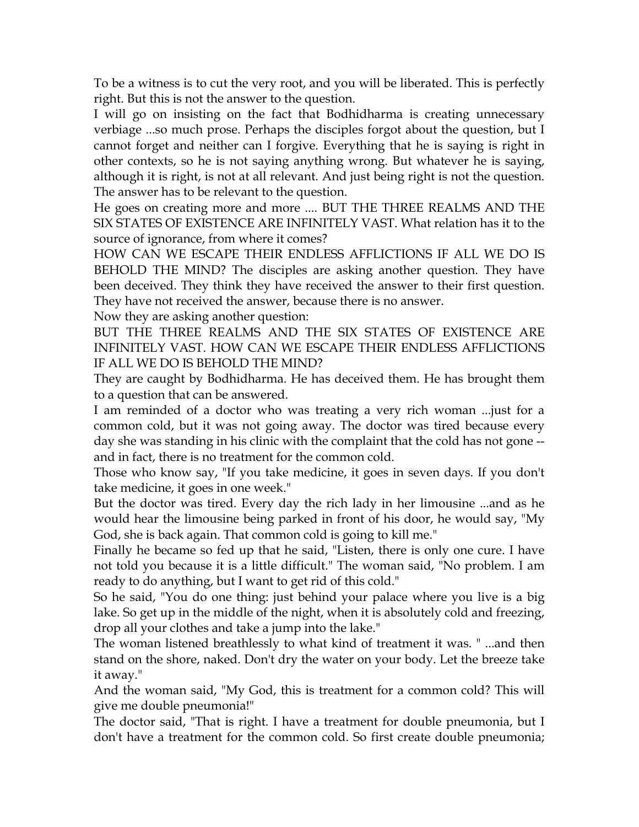To be a witness is to cut the very root, and you will be liberated. This is perfectly right. But this is not the answer to the question.

I will go on insisting on the fact that Bodhidharma is creating unnecessary verbiage ...so much prose. Perhaps the disciples forgot about the question, but I cannot forget and neither can I forgive. Everything that he is saying is right in other contexts, so he is not saying anything wrong. But whatever he is saying, although it is right, is not at all relevant. And just being right is not the question. The answer has to be relevant to the question.

He goes on creating more and more .... BUT THE THREE REALMS AND THE SIX STATES OF EXISTENCE ARE INFINITELY VAST. What relation has it to the source of ignorance, from where it comes?

HOW CAN WE ESCAPE THEIR ENDLESS AFFLICTIONS IF ALL WE DO IS BEHOLD THE MIND? The disciples are asking another question. They have been deceived. They think they have received the answer to their first question. They have not received the answer, because there is no answer.

Now they are asking another question:

BUT THE THREE REALMS AND THE SIX STATES OF EXISTENCE ARE INFINITELY VAST. HOW CAN WE ESCAPE THEIR ENDLESS AFFLICTIONS IF ALL WE DO IS BEHOLD THE MIND?

They are caught by Bodhidharma. He has deceived them. He has brought them to a question that can be answered.

I am reminded of a doctor who was treating a very rich woman ...just for a common cold, but it was not going away. The doctor was tired because every day she was standing in his clinic with the complaint that the cold has not gone - and in fact, there is no treatment for the common cold.

Those who know say, "If you take medicine, it goes in seven days. If you don't take medicine, it goes in one week."

But the doctor was tired. Every day the rich lady in her limousine ...and as he would hear the limousine being parked in front of his door, he would say, "My God, she is back again. That common cold is going to kill me."

Finally he became so fed up that he said, "Listen, there is only one cure. I have not told you because it is a little difficult." The woman said, "No problem. I am ready to do anything, but I want to get rid of this cold."

So he said, "You do one thing: just behind your palace where you live is a big lake. So get up in the middle of the night, when it is absolutely cold and freezing, drop all your clothes and take a jump into the lake."

The woman listened breathlessly to what kind of treatment it was. " ...and then stand on the shore, naked. Don't dry the water on your body. Let the breeze take it away."

And the woman said, "My God, this is treatment for a common cold? This will give me double pneumonia!"

The doctor said, "That is right. I have a treatment for double pneumonia, but I don't have a treatment for the common cold. So first create double pneumonia;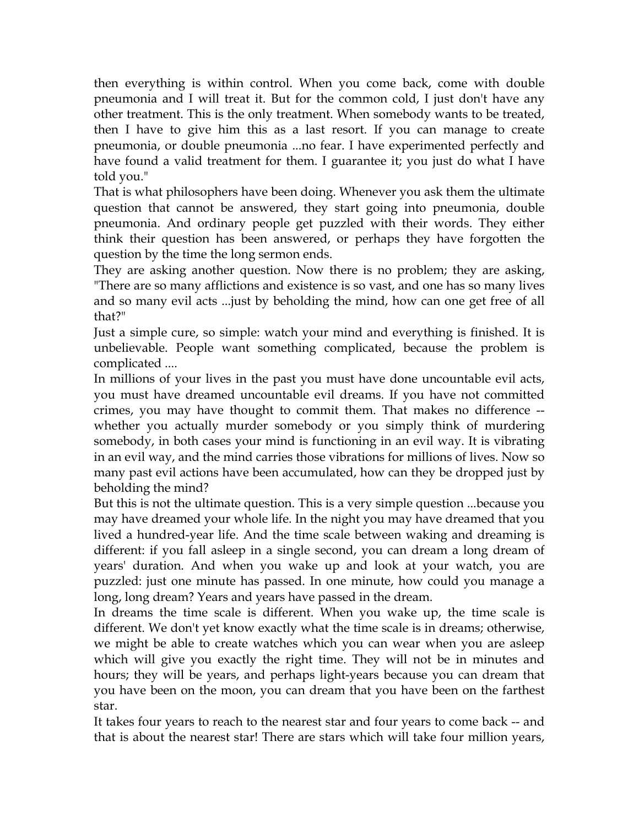then everything is within control. When you come back, come with double pneumonia and I will treat it. But for the common cold, I just don't have any other treatment. This is the only treatment. When somebody wants to be treated, then I have to give him this as a last resort. If you can manage to create pneumonia, or double pneumonia ...no fear. I have experimented perfectly and have found a valid treatment for them. I guarantee it; you just do what I have told you."

That is what philosophers have been doing. Whenever you ask them the ultimate question that cannot be answered, they start going into pneumonia, double pneumonia. And ordinary people get puzzled with their words. They either think their question has been answered, or perhaps they have forgotten the question by the time the long sermon ends.

They are asking another question. Now there is no problem; they are asking, "There are so many afflictions and existence is so vast, and one has so many lives and so many evil acts ...just by beholding the mind, how can one get free of all that?"

Just a simple cure, so simple: watch your mind and everything is finished. It is unbelievable. People want something complicated, because the problem is complicated ....

In millions of your lives in the past you must have done uncountable evil acts, you must have dreamed uncountable evil dreams. If you have not committed crimes, you may have thought to commit them. That makes no difference - whether you actually murder somebody or you simply think of murdering somebody, in both cases your mind is functioning in an evil way. It is vibrating in an evil way, and the mind carries those vibrations for millions of lives. Now so many past evil actions have been accumulated, how can they be dropped just by beholding the mind?

But this is not the ultimate question. This is a very simple question ...because you may have dreamed your whole life. In the night you may have dreamed that you lived a hundred-year life. And the time scale between waking and dreaming is different: if you fall asleep in a single second, you can dream a long dream of years' duration. And when you wake up and look at your watch, you are puzzled: just one minute has passed. In one minute, how could you manage a long, long dream? Years and years have passed in the dream.

In dreams the time scale is different. When you wake up, the time scale is different. We don't yet know exactly what the time scale is in dreams; otherwise, we might be able to create watches which you can wear when you are asleep which will give you exactly the right time. They will not be in minutes and hours; they will be years, and perhaps light-years because you can dream that you have been on the moon, you can dream that you have been on the farthest star.

It takes four years to reach to the nearest star and four years to come back -- and that is about the nearest star! There are stars which will take four million years,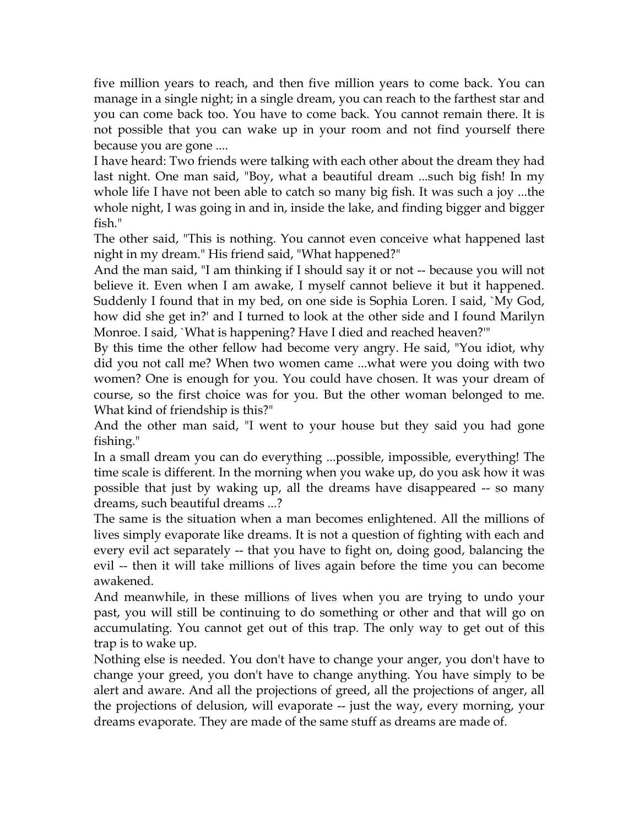five million years to reach, and then five million years to come back. You can manage in a single night; in a single dream, you can reach to the farthest star and you can come back too. You have to come back. You cannot remain there. It is not possible that you can wake up in your room and not find yourself there because you are gone ....

I have heard: Two friends were talking with each other about the dream they had last night. One man said, "Boy, what a beautiful dream ...such big fish! In my whole life I have not been able to catch so many big fish. It was such a joy ...the whole night, I was going in and in, inside the lake, and finding bigger and bigger fish."

The other said, "This is nothing. You cannot even conceive what happened last night in my dream." His friend said, "What happened?"

And the man said, "I am thinking if I should say it or not -- because you will not believe it. Even when I am awake, I myself cannot believe it but it happened. Suddenly I found that in my bed, on one side is Sophia Loren. I said, `My God, how did she get in?' and I turned to look at the other side and I found Marilyn Monroe. I said, `What is happening? Have I died and reached heaven?'"

By this time the other fellow had become very angry. He said, "You idiot, why did you not call me? When two women came ...what were you doing with two women? One is enough for you. You could have chosen. It was your dream of course, so the first choice was for you. But the other woman belonged to me. What kind of friendship is this?"

And the other man said, "I went to your house but they said you had gone fishing."

In a small dream you can do everything ...possible, impossible, everything! The time scale is different. In the morning when you wake up, do you ask how it was possible that just by waking up, all the dreams have disappeared -- so many dreams, such beautiful dreams ...?

The same is the situation when a man becomes enlightened. All the millions of lives simply evaporate like dreams. It is not a question of fighting with each and every evil act separately -- that you have to fight on, doing good, balancing the evil -- then it will take millions of lives again before the time you can become awakened.

And meanwhile, in these millions of lives when you are trying to undo your past, you will still be continuing to do something or other and that will go on accumulating. You cannot get out of this trap. The only way to get out of this trap is to wake up.

Nothing else is needed. You don't have to change your anger, you don't have to change your greed, you don't have to change anything. You have simply to be alert and aware. And all the projections of greed, all the projections of anger, all the projections of delusion, will evaporate -- just the way, every morning, your dreams evaporate. They are made of the same stuff as dreams are made of.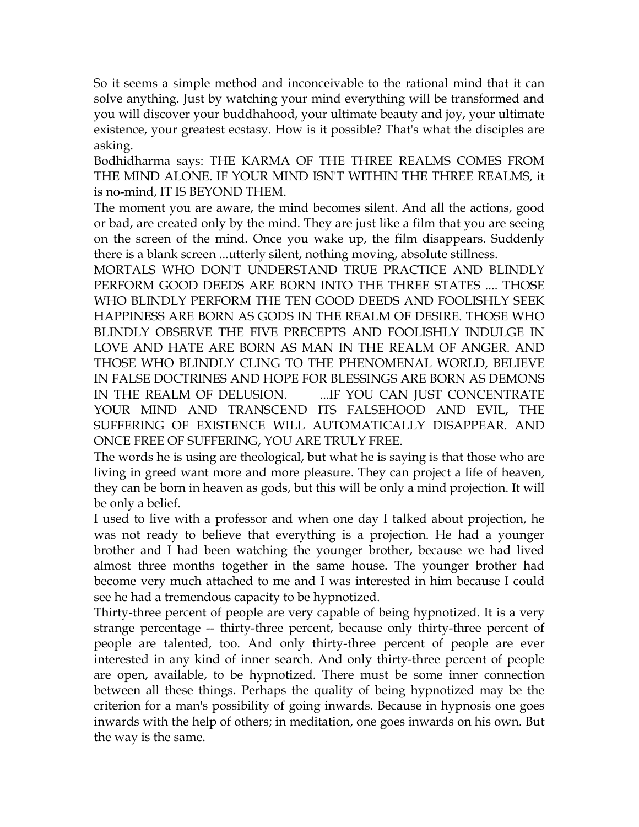So it seems a simple method and inconceivable to the rational mind that it can solve anything. Just by watching your mind everything will be transformed and you will discover your buddhahood, your ultimate beauty and joy, your ultimate existence, your greatest ecstasy. How is it possible? That's what the disciples are asking.

Bodhidharma says: THE KARMA OF THE THREE REALMS COMES FROM THE MIND ALONE. IF YOUR MIND ISN'T WITHIN THE THREE REALMS, it is no-mind, IT IS BEYOND THEM.

The moment you are aware, the mind becomes silent. And all the actions, good or bad, are created only by the mind. They are just like a film that you are seeing on the screen of the mind. Once you wake up, the film disappears. Suddenly there is a blank screen ...utterly silent, nothing moving, absolute stillness.

MORTALS WHO DON'T UNDERSTAND TRUE PRACTICE AND BLINDLY PERFORM GOOD DEEDS ARE BORN INTO THE THREE STATES .... THOSE WHO BLINDLY PERFORM THE TEN GOOD DEEDS AND FOOLISHLY SEEK HAPPINESS ARE BORN AS GODS IN THE REALM OF DESIRE. THOSE WHO BLINDLY OBSERVE THE FIVE PRECEPTS AND FOOLISHLY INDULGE IN LOVE AND HATE ARE BORN AS MAN IN THE REALM OF ANGER. AND THOSE WHO BLINDLY CLING TO THE PHENOMENAL WORLD, BELIEVE IN FALSE DOCTRINES AND HOPE FOR BLESSINGS ARE BORN AS DEMONS IN THE REALM OF DELUSION. ...IF YOU CAN JUST CONCENTRATE YOUR MIND AND TRANSCEND ITS FALSEHOOD AND EVIL, THE SUFFERING OF EXISTENCE WILL AUTOMATICALLY DISAPPEAR. AND ONCE FREE OF SUFFERING, YOU ARE TRULY FREE.

The words he is using are theological, but what he is saying is that those who are living in greed want more and more pleasure. They can project a life of heaven, they can be born in heaven as gods, but this will be only a mind projection. It will be only a belief.

I used to live with a professor and when one day I talked about projection, he was not ready to believe that everything is a projection. He had a younger brother and I had been watching the younger brother, because we had lived almost three months together in the same house. The younger brother had become very much attached to me and I was interested in him because I could see he had a tremendous capacity to be hypnotized.

Thirty-three percent of people are very capable of being hypnotized. It is a very strange percentage -- thirty-three percent, because only thirty-three percent of people are talented, too. And only thirty-three percent of people are ever interested in any kind of inner search. And only thirty-three percent of people are open, available, to be hypnotized. There must be some inner connection between all these things. Perhaps the quality of being hypnotized may be the criterion for a man's possibility of going inwards. Because in hypnosis one goes inwards with the help of others; in meditation, one goes inwards on his own. But the way is the same.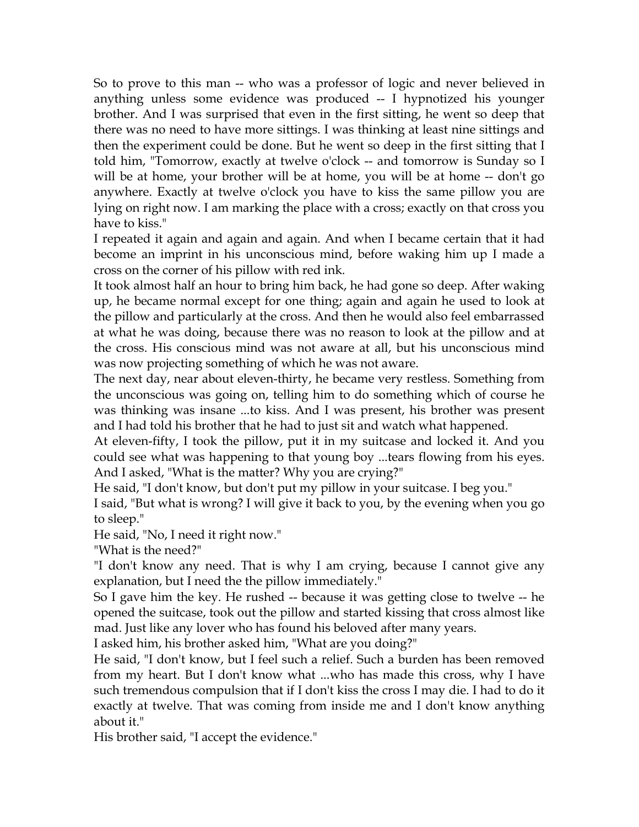So to prove to this man -- who was a professor of logic and never believed in anything unless some evidence was produced -- I hypnotized his younger brother. And I was surprised that even in the first sitting, he went so deep that there was no need to have more sittings. I was thinking at least nine sittings and then the experiment could be done. But he went so deep in the first sitting that I told him, "Tomorrow, exactly at twelve o'clock -- and tomorrow is Sunday so I will be at home, your brother will be at home, you will be at home -- don't go anywhere. Exactly at twelve o'clock you have to kiss the same pillow you are lying on right now. I am marking the place with a cross; exactly on that cross you have to kiss."

I repeated it again and again and again. And when I became certain that it had become an imprint in his unconscious mind, before waking him up I made a cross on the corner of his pillow with red ink.

It took almost half an hour to bring him back, he had gone so deep. After waking up, he became normal except for one thing; again and again he used to look at the pillow and particularly at the cross. And then he would also feel embarrassed at what he was doing, because there was no reason to look at the pillow and at the cross. His conscious mind was not aware at all, but his unconscious mind was now projecting something of which he was not aware.

The next day, near about eleven-thirty, he became very restless. Something from the unconscious was going on, telling him to do something which of course he was thinking was insane ...to kiss. And I was present, his brother was present and I had told his brother that he had to just sit and watch what happened.

At eleven-fifty, I took the pillow, put it in my suitcase and locked it. And you could see what was happening to that young boy ...tears flowing from his eyes. And I asked, "What is the matter? Why you are crying?"

He said, "I don't know, but don't put my pillow in your suitcase. I beg you."

I said, "But what is wrong? I will give it back to you, by the evening when you go to sleep."

He said, "No, I need it right now."

"What is the need?"

"I don't know any need. That is why I am crying, because I cannot give any explanation, but I need the the pillow immediately."

So I gave him the key. He rushed -- because it was getting close to twelve -- he opened the suitcase, took out the pillow and started kissing that cross almost like mad. Just like any lover who has found his beloved after many years.

I asked him, his brother asked him, "What are you doing?"

He said, "I don't know, but I feel such a relief. Such a burden has been removed from my heart. But I don't know what ...who has made this cross, why I have such tremendous compulsion that if I don't kiss the cross I may die. I had to do it exactly at twelve. That was coming from inside me and I don't know anything about it."

His brother said, "I accept the evidence."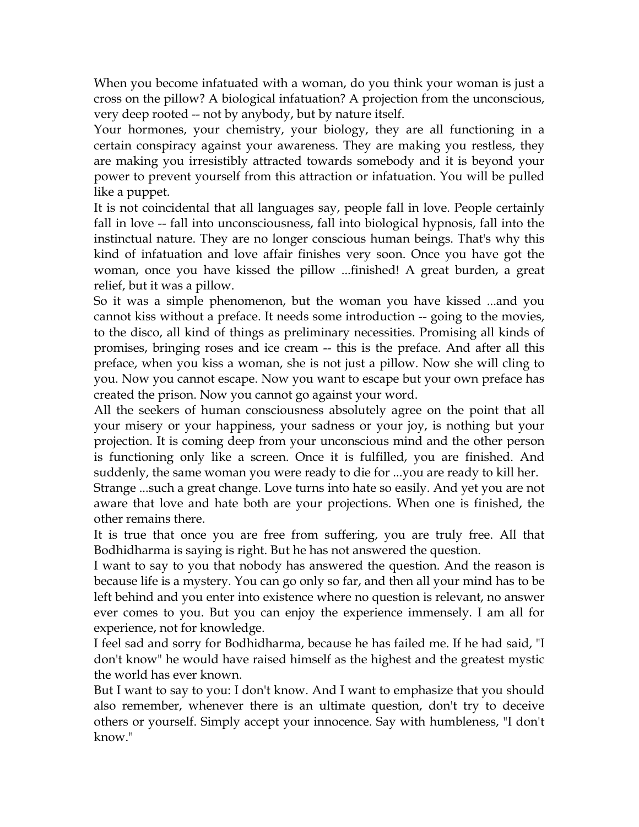When you become infatuated with a woman, do you think your woman is just a cross on the pillow? A biological infatuation? A projection from the unconscious, very deep rooted -- not by anybody, but by nature itself.

Your hormones, your chemistry, your biology, they are all functioning in a certain conspiracy against your awareness. They are making you restless, they are making you irresistibly attracted towards somebody and it is beyond your power to prevent yourself from this attraction or infatuation. You will be pulled like a puppet.

It is not coincidental that all languages say, people fall in love. People certainly fall in love -- fall into unconsciousness, fall into biological hypnosis, fall into the instinctual nature. They are no longer conscious human beings. That's why this kind of infatuation and love affair finishes very soon. Once you have got the woman, once you have kissed the pillow ...finished! A great burden, a great relief, but it was a pillow.

So it was a simple phenomenon, but the woman you have kissed ...and you cannot kiss without a preface. It needs some introduction -- going to the movies, to the disco, all kind of things as preliminary necessities. Promising all kinds of promises, bringing roses and ice cream -- this is the preface. And after all this preface, when you kiss a woman, she is not just a pillow. Now she will cling to you. Now you cannot escape. Now you want to escape but your own preface has created the prison. Now you cannot go against your word.

All the seekers of human consciousness absolutely agree on the point that all your misery or your happiness, your sadness or your joy, is nothing but your projection. It is coming deep from your unconscious mind and the other person is functioning only like a screen. Once it is fulfilled, you are finished. And suddenly, the same woman you were ready to die for ...you are ready to kill her.

Strange ...such a great change. Love turns into hate so easily. And yet you are not aware that love and hate both are your projections. When one is finished, the other remains there.

It is true that once you are free from suffering, you are truly free. All that Bodhidharma is saying is right. But he has not answered the question.

I want to say to you that nobody has answered the question. And the reason is because life is a mystery. You can go only so far, and then all your mind has to be left behind and you enter into existence where no question is relevant, no answer ever comes to you. But you can enjoy the experience immensely. I am all for experience, not for knowledge.

I feel sad and sorry for Bodhidharma, because he has failed me. If he had said, "I don't know" he would have raised himself as the highest and the greatest mystic the world has ever known.

But I want to say to you: I don't know. And I want to emphasize that you should also remember, whenever there is an ultimate question, don't try to deceive others or yourself. Simply accept your innocence. Say with humbleness, "I don't know."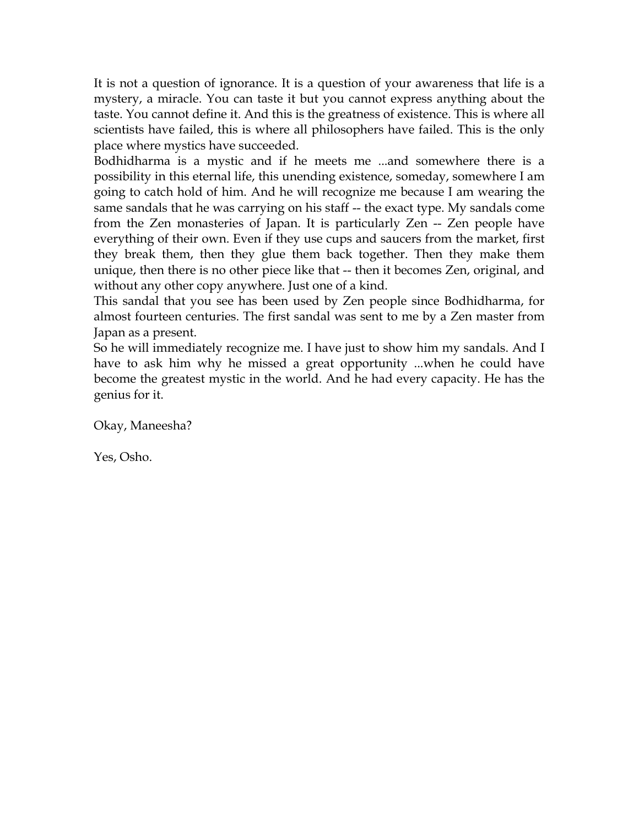It is not a question of ignorance. It is a question of your awareness that life is a mystery, a miracle. You can taste it but you cannot express anything about the taste. You cannot define it. And this is the greatness of existence. This is where all scientists have failed, this is where all philosophers have failed. This is the only place where mystics have succeeded.

Bodhidharma is a mystic and if he meets me ...and somewhere there is a possibility in this eternal life, this unending existence, someday, somewhere I am going to catch hold of him. And he will recognize me because I am wearing the same sandals that he was carrying on his staff -- the exact type. My sandals come from the Zen monasteries of Japan. It is particularly Zen -- Zen people have everything of their own. Even if they use cups and saucers from the market, first they break them, then they glue them back together. Then they make them unique, then there is no other piece like that -- then it becomes Zen, original, and without any other copy anywhere. Just one of a kind.

This sandal that you see has been used by Zen people since Bodhidharma, for almost fourteen centuries. The first sandal was sent to me by a Zen master from Japan as a present.

So he will immediately recognize me. I have just to show him my sandals. And I have to ask him why he missed a great opportunity ...when he could have become the greatest mystic in the world. And he had every capacity. He has the genius for it.

Okay, Maneesha?

Yes, Osho.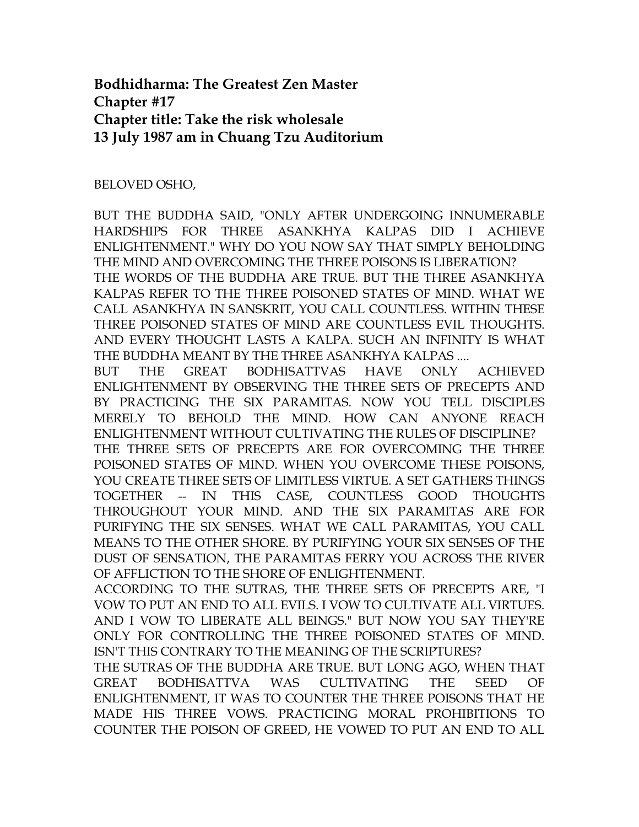## **Bodhidharma: The Greatest Zen Master Chapter #17 Chapter title: Take the risk wholesale 13 July 1987 am in Chuang Tzu Auditorium**

## BELOVED OSHO,

BUT THE BUDDHA SAID, "ONLY AFTER UNDERGOING INNUMERABLE HARDSHIPS FOR THREE ASANKHYA KALPAS DID I ACHIEVE ENLIGHTENMENT." WHY DO YOU NOW SAY THAT SIMPLY BEHOLDING THE MIND AND OVERCOMING THE THREE POISONS IS LIBERATION? THE WORDS OF THE BUDDHA ARE TRUE. BUT THE THREE ASANKHYA KALPAS REFER TO THE THREE POISONED STATES OF MIND. WHAT WE CALL ASANKHYA IN SANSKRIT, YOU CALL COUNTLESS. WITHIN THESE THREE POISONED STATES OF MIND ARE COUNTLESS EVIL THOUGHTS. AND EVERY THOUGHT LASTS A KALPA. SUCH AN INFINITY IS WHAT

THE BUDDHA MEANT BY THE THREE ASANKHYA KALPAS ....

BUT THE GREAT BODHISATTVAS HAVE ONLY ACHIEVED ENLIGHTENMENT BY OBSERVING THE THREE SETS OF PRECEPTS AND BY PRACTICING THE SIX PARAMITAS. NOW YOU TELL DISCIPLES MERELY TO BEHOLD THE MIND. HOW CAN ANYONE REACH ENLIGHTENMENT WITHOUT CULTIVATING THE RULES OF DISCIPLINE? THE THREE SETS OF PRECEPTS ARE FOR OVERCOMING THE THREE POISONED STATES OF MIND. WHEN YOU OVERCOME THESE POISONS, YOU CREATE THREE SETS OF LIMITLESS VIRTUE. A SET GATHERS THINGS TOGETHER -- IN THIS CASE, COUNTLESS GOOD THOUGHTS THROUGHOUT YOUR MIND. AND THE SIX PARAMITAS ARE FOR PURIFYING THE SIX SENSES. WHAT WE CALL PARAMITAS, YOU CALL MEANS TO THE OTHER SHORE. BY PURIFYING YOUR SIX SENSES OF THE DUST OF SENSATION, THE PARAMITAS FERRY YOU ACROSS THE RIVER OF AFFLICTION TO THE SHORE OF ENLIGHTENMENT.

ACCORDING TO THE SUTRAS, THE THREE SETS OF PRECEPTS ARE, "I VOW TO PUT AN END TO ALL EVILS. I VOW TO CULTIVATE ALL VIRTUES. AND I VOW TO LIBERATE ALL BEINGS." BUT NOW YOU SAY THEY'RE ONLY FOR CONTROLLING THE THREE POISONED STATES OF MIND. ISN'T THIS CONTRARY TO THE MEANING OF THE SCRIPTURES?

THE SUTRAS OF THE BUDDHA ARE TRUE. BUT LONG AGO, WHEN THAT GREAT BODHISATTVA WAS CULTIVATING THE SEED OF ENLIGHTENMENT, IT WAS TO COUNTER THE THREE POISONS THAT HE MADE HIS THREE VOWS. PRACTICING MORAL PROHIBITIONS TO COUNTER THE POISON OF GREED, HE VOWED TO PUT AN END TO ALL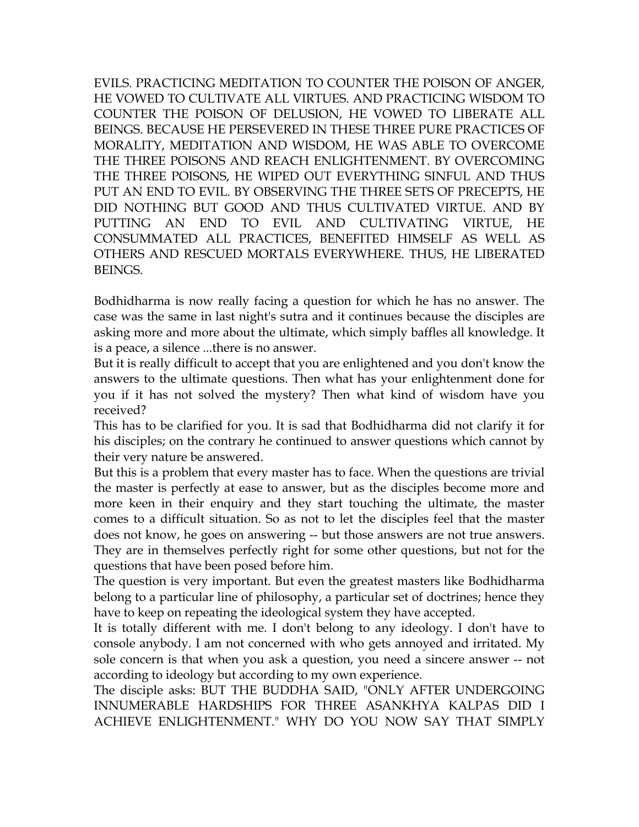EVILS. PRACTICING MEDITATION TO COUNTER THE POISON OF ANGER, HE VOWED TO CULTIVATE ALL VIRTUES. AND PRACTICING WISDOM TO COUNTER THE POISON OF DELUSION, HE VOWED TO LIBERATE ALL BEINGS. BECAUSE HE PERSEVERED IN THESE THREE PURE PRACTICES OF MORALITY, MEDITATION AND WISDOM, HE WAS ABLE TO OVERCOME THE THREE POISONS AND REACH ENLIGHTENMENT. BY OVERCOMING THE THREE POISONS, HE WIPED OUT EVERYTHING SINFUL AND THUS PUT AN END TO EVIL. BY OBSERVING THE THREE SETS OF PRECEPTS, HE DID NOTHING BUT GOOD AND THUS CULTIVATED VIRTUE. AND BY PUTTING AN END TO EVIL AND CULTIVATING VIRTUE, HE CONSUMMATED ALL PRACTICES, BENEFITED HIMSELF AS WELL AS OTHERS AND RESCUED MORTALS EVERYWHERE. THUS, HE LIBERATED BEINGS.

Bodhidharma is now really facing a question for which he has no answer. The case was the same in last night's sutra and it continues because the disciples are asking more and more about the ultimate, which simply baffles all knowledge. It is a peace, a silence ...there is no answer.

But it is really difficult to accept that you are enlightened and you don't know the answers to the ultimate questions. Then what has your enlightenment done for you if it has not solved the mystery? Then what kind of wisdom have you received?

This has to be clarified for you. It is sad that Bodhidharma did not clarify it for his disciples; on the contrary he continued to answer questions which cannot by their very nature be answered.

But this is a problem that every master has to face. When the questions are trivial the master is perfectly at ease to answer, but as the disciples become more and more keen in their enquiry and they start touching the ultimate, the master comes to a difficult situation. So as not to let the disciples feel that the master does not know, he goes on answering -- but those answers are not true answers. They are in themselves perfectly right for some other questions, but not for the questions that have been posed before him.

The question is very important. But even the greatest masters like Bodhidharma belong to a particular line of philosophy, a particular set of doctrines; hence they have to keep on repeating the ideological system they have accepted.

It is totally different with me. I don't belong to any ideology. I don't have to console anybody. I am not concerned with who gets annoyed and irritated. My sole concern is that when you ask a question, you need a sincere answer -- not according to ideology but according to my own experience.

The disciple asks: BUT THE BUDDHA SAID, "ONLY AFTER UNDERGOING INNUMERABLE HARDSHIPS FOR THREE ASANKHYA KALPAS DID I ACHIEVE ENLIGHTENMENT." WHY DO YOU NOW SAY THAT SIMPLY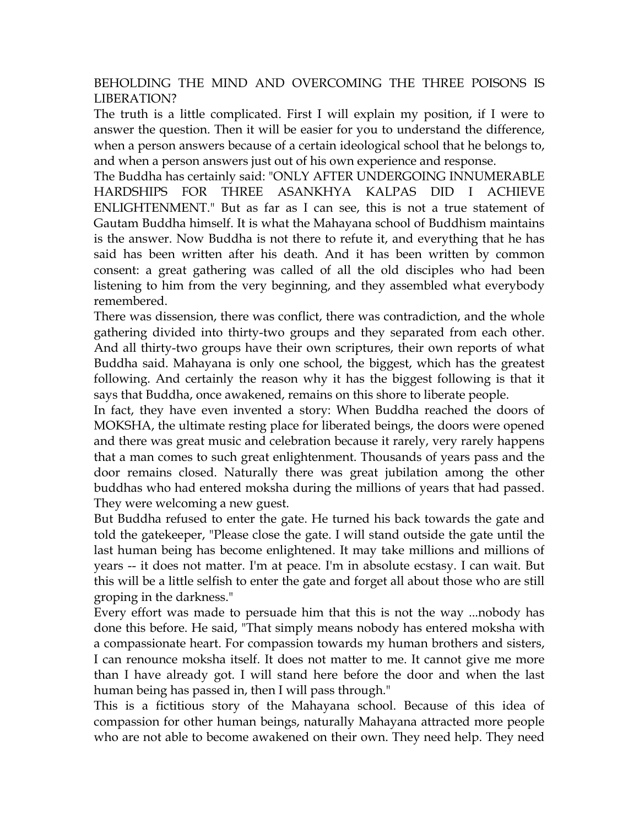BEHOLDING THE MIND AND OVERCOMING THE THREE POISONS IS LIBERATION?

The truth is a little complicated. First I will explain my position, if I were to answer the question. Then it will be easier for you to understand the difference, when a person answers because of a certain ideological school that he belongs to, and when a person answers just out of his own experience and response.

The Buddha has certainly said: "ONLY AFTER UNDERGOING INNUMERABLE HARDSHIPS FOR THREE ASANKHYA KALPAS DID I ACHIEVE ENLIGHTENMENT." But as far as I can see, this is not a true statement of Gautam Buddha himself. It is what the Mahayana school of Buddhism maintains is the answer. Now Buddha is not there to refute it, and everything that he has said has been written after his death. And it has been written by common consent: a great gathering was called of all the old disciples who had been listening to him from the very beginning, and they assembled what everybody remembered.

There was dissension, there was conflict, there was contradiction, and the whole gathering divided into thirty-two groups and they separated from each other. And all thirty-two groups have their own scriptures, their own reports of what Buddha said. Mahayana is only one school, the biggest, which has the greatest following. And certainly the reason why it has the biggest following is that it says that Buddha, once awakened, remains on this shore to liberate people.

In fact, they have even invented a story: When Buddha reached the doors of MOKSHA, the ultimate resting place for liberated beings, the doors were opened and there was great music and celebration because it rarely, very rarely happens that a man comes to such great enlightenment. Thousands of years pass and the door remains closed. Naturally there was great jubilation among the other buddhas who had entered moksha during the millions of years that had passed. They were welcoming a new guest.

But Buddha refused to enter the gate. He turned his back towards the gate and told the gatekeeper, "Please close the gate. I will stand outside the gate until the last human being has become enlightened. It may take millions and millions of years -- it does not matter. I'm at peace. I'm in absolute ecstasy. I can wait. But this will be a little selfish to enter the gate and forget all about those who are still groping in the darkness."

Every effort was made to persuade him that this is not the way ...nobody has done this before. He said, "That simply means nobody has entered moksha with a compassionate heart. For compassion towards my human brothers and sisters, I can renounce moksha itself. It does not matter to me. It cannot give me more than I have already got. I will stand here before the door and when the last human being has passed in, then I will pass through."

This is a fictitious story of the Mahayana school. Because of this idea of compassion for other human beings, naturally Mahayana attracted more people who are not able to become awakened on their own. They need help. They need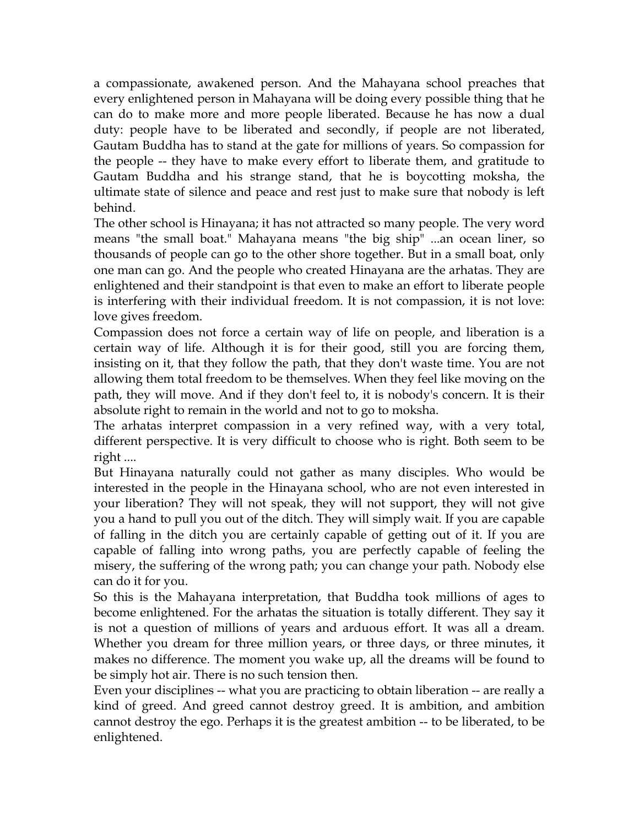a compassionate, awakened person. And the Mahayana school preaches that every enlightened person in Mahayana will be doing every possible thing that he can do to make more and more people liberated. Because he has now a dual duty: people have to be liberated and secondly, if people are not liberated, Gautam Buddha has to stand at the gate for millions of years. So compassion for the people -- they have to make every effort to liberate them, and gratitude to Gautam Buddha and his strange stand, that he is boycotting moksha, the ultimate state of silence and peace and rest just to make sure that nobody is left behind.

The other school is Hinayana; it has not attracted so many people. The very word means "the small boat." Mahayana means "the big ship" ...an ocean liner, so thousands of people can go to the other shore together. But in a small boat, only one man can go. And the people who created Hinayana are the arhatas. They are enlightened and their standpoint is that even to make an effort to liberate people is interfering with their individual freedom. It is not compassion, it is not love: love gives freedom.

Compassion does not force a certain way of life on people, and liberation is a certain way of life. Although it is for their good, still you are forcing them, insisting on it, that they follow the path, that they don't waste time. You are not allowing them total freedom to be themselves. When they feel like moving on the path, they will move. And if they don't feel to, it is nobody's concern. It is their absolute right to remain in the world and not to go to moksha.

The arhatas interpret compassion in a very refined way, with a very total, different perspective. It is very difficult to choose who is right. Both seem to be right ....

But Hinayana naturally could not gather as many disciples. Who would be interested in the people in the Hinayana school, who are not even interested in your liberation? They will not speak, they will not support, they will not give you a hand to pull you out of the ditch. They will simply wait. If you are capable of falling in the ditch you are certainly capable of getting out of it. If you are capable of falling into wrong paths, you are perfectly capable of feeling the misery, the suffering of the wrong path; you can change your path. Nobody else can do it for you.

So this is the Mahayana interpretation, that Buddha took millions of ages to become enlightened. For the arhatas the situation is totally different. They say it is not a question of millions of years and arduous effort. It was all a dream. Whether you dream for three million years, or three days, or three minutes, it makes no difference. The moment you wake up, all the dreams will be found to be simply hot air. There is no such tension then.

Even your disciplines -- what you are practicing to obtain liberation -- are really a kind of greed. And greed cannot destroy greed. It is ambition, and ambition cannot destroy the ego. Perhaps it is the greatest ambition -- to be liberated, to be enlightened.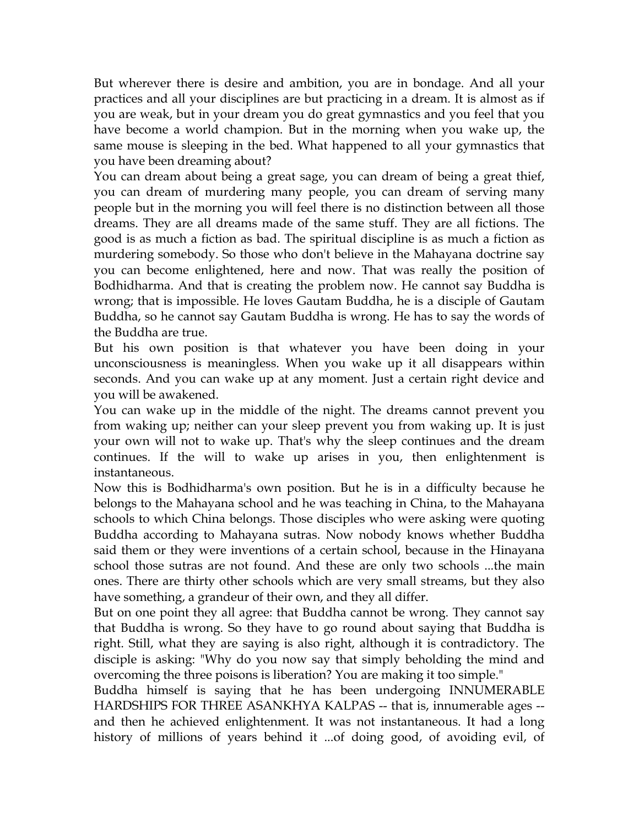But wherever there is desire and ambition, you are in bondage. And all your practices and all your disciplines are but practicing in a dream. It is almost as if you are weak, but in your dream you do great gymnastics and you feel that you have become a world champion. But in the morning when you wake up, the same mouse is sleeping in the bed. What happened to all your gymnastics that you have been dreaming about?

You can dream about being a great sage, you can dream of being a great thief, you can dream of murdering many people, you can dream of serving many people but in the morning you will feel there is no distinction between all those dreams. They are all dreams made of the same stuff. They are all fictions. The good is as much a fiction as bad. The spiritual discipline is as much a fiction as murdering somebody. So those who don't believe in the Mahayana doctrine say you can become enlightened, here and now. That was really the position of Bodhidharma. And that is creating the problem now. He cannot say Buddha is wrong; that is impossible. He loves Gautam Buddha, he is a disciple of Gautam Buddha, so he cannot say Gautam Buddha is wrong. He has to say the words of the Buddha are true.

But his own position is that whatever you have been doing in your unconsciousness is meaningless. When you wake up it all disappears within seconds. And you can wake up at any moment. Just a certain right device and you will be awakened.

You can wake up in the middle of the night. The dreams cannot prevent you from waking up; neither can your sleep prevent you from waking up. It is just your own will not to wake up. That's why the sleep continues and the dream continues. If the will to wake up arises in you, then enlightenment is instantaneous.

Now this is Bodhidharma's own position. But he is in a difficulty because he belongs to the Mahayana school and he was teaching in China, to the Mahayana schools to which China belongs. Those disciples who were asking were quoting Buddha according to Mahayana sutras. Now nobody knows whether Buddha said them or they were inventions of a certain school, because in the Hinayana school those sutras are not found. And these are only two schools ...the main ones. There are thirty other schools which are very small streams, but they also have something, a grandeur of their own, and they all differ.

But on one point they all agree: that Buddha cannot be wrong. They cannot say that Buddha is wrong. So they have to go round about saying that Buddha is right. Still, what they are saying is also right, although it is contradictory. The disciple is asking: "Why do you now say that simply beholding the mind and overcoming the three poisons is liberation? You are making it too simple."

Buddha himself is saying that he has been undergoing INNUMERABLE HARDSHIPS FOR THREE ASANKHYA KALPAS -- that is, innumerable ages - and then he achieved enlightenment. It was not instantaneous. It had a long history of millions of years behind it ...of doing good, of avoiding evil, of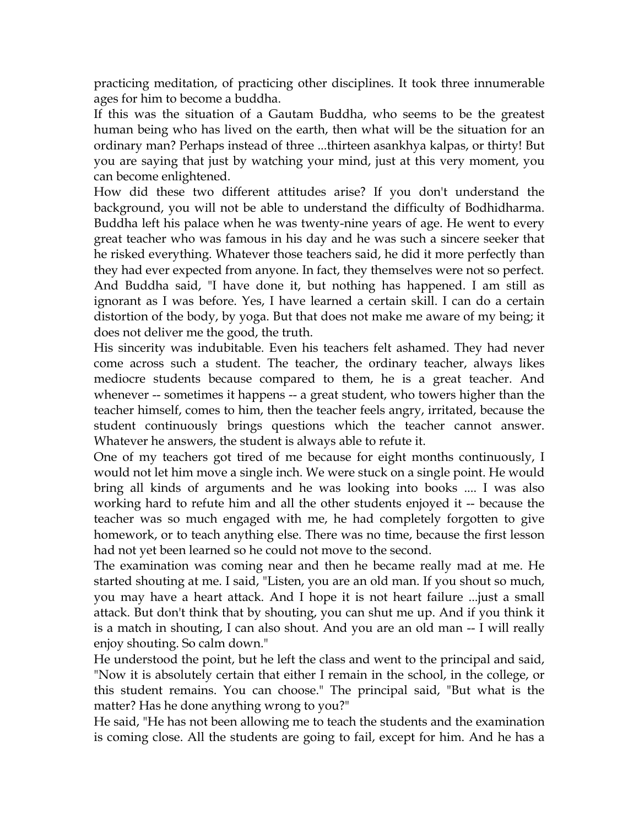practicing meditation, of practicing other disciplines. It took three innumerable ages for him to become a buddha.

If this was the situation of a Gautam Buddha, who seems to be the greatest human being who has lived on the earth, then what will be the situation for an ordinary man? Perhaps instead of three ...thirteen asankhya kalpas, or thirty! But you are saying that just by watching your mind, just at this very moment, you can become enlightened.

How did these two different attitudes arise? If you don't understand the background, you will not be able to understand the difficulty of Bodhidharma. Buddha left his palace when he was twenty-nine years of age. He went to every great teacher who was famous in his day and he was such a sincere seeker that he risked everything. Whatever those teachers said, he did it more perfectly than they had ever expected from anyone. In fact, they themselves were not so perfect. And Buddha said, "I have done it, but nothing has happened. I am still as ignorant as I was before. Yes, I have learned a certain skill. I can do a certain distortion of the body, by yoga. But that does not make me aware of my being; it does not deliver me the good, the truth.

His sincerity was indubitable. Even his teachers felt ashamed. They had never come across such a student. The teacher, the ordinary teacher, always likes mediocre students because compared to them, he is a great teacher. And whenever -- sometimes it happens -- a great student, who towers higher than the teacher himself, comes to him, then the teacher feels angry, irritated, because the student continuously brings questions which the teacher cannot answer. Whatever he answers, the student is always able to refute it.

One of my teachers got tired of me because for eight months continuously, I would not let him move a single inch. We were stuck on a single point. He would bring all kinds of arguments and he was looking into books .... I was also working hard to refute him and all the other students enjoyed it -- because the teacher was so much engaged with me, he had completely forgotten to give homework, or to teach anything else. There was no time, because the first lesson had not yet been learned so he could not move to the second.

The examination was coming near and then he became really mad at me. He started shouting at me. I said, "Listen, you are an old man. If you shout so much, you may have a heart attack. And I hope it is not heart failure ...just a small attack. But don't think that by shouting, you can shut me up. And if you think it is a match in shouting, I can also shout. And you are an old man -- I will really enjoy shouting. So calm down."

He understood the point, but he left the class and went to the principal and said, "Now it is absolutely certain that either I remain in the school, in the college, or this student remains. You can choose." The principal said, "But what is the matter? Has he done anything wrong to you?"

He said, "He has not been allowing me to teach the students and the examination is coming close. All the students are going to fail, except for him. And he has a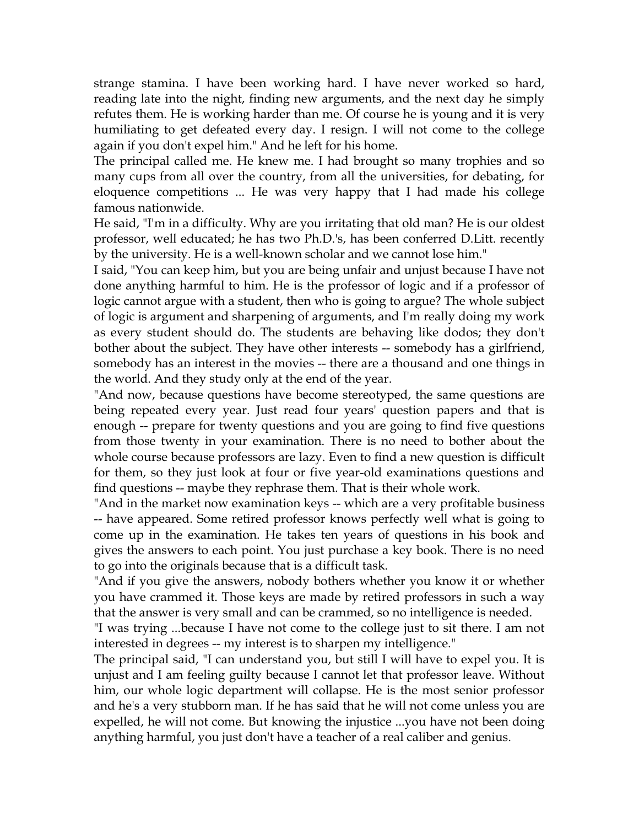strange stamina. I have been working hard. I have never worked so hard, reading late into the night, finding new arguments, and the next day he simply refutes them. He is working harder than me. Of course he is young and it is very humiliating to get defeated every day. I resign. I will not come to the college again if you don't expel him." And he left for his home.

The principal called me. He knew me. I had brought so many trophies and so many cups from all over the country, from all the universities, for debating, for eloquence competitions ... He was very happy that I had made his college famous nationwide.

He said, "I'm in a difficulty. Why are you irritating that old man? He is our oldest professor, well educated; he has two Ph.D.'s, has been conferred D.Litt. recently by the university. He is a well-known scholar and we cannot lose him."

I said, "You can keep him, but you are being unfair and unjust because I have not done anything harmful to him. He is the professor of logic and if a professor of logic cannot argue with a student, then who is going to argue? The whole subject of logic is argument and sharpening of arguments, and I'm really doing my work as every student should do. The students are behaving like dodos; they don't bother about the subject. They have other interests -- somebody has a girlfriend, somebody has an interest in the movies -- there are a thousand and one things in the world. And they study only at the end of the year.

"And now, because questions have become stereotyped, the same questions are being repeated every year. Just read four years' question papers and that is enough -- prepare for twenty questions and you are going to find five questions from those twenty in your examination. There is no need to bother about the whole course because professors are lazy. Even to find a new question is difficult for them, so they just look at four or five year-old examinations questions and find questions -- maybe they rephrase them. That is their whole work.

"And in the market now examination keys -- which are a very profitable business -- have appeared. Some retired professor knows perfectly well what is going to come up in the examination. He takes ten years of questions in his book and gives the answers to each point. You just purchase a key book. There is no need to go into the originals because that is a difficult task.

"And if you give the answers, nobody bothers whether you know it or whether you have crammed it. Those keys are made by retired professors in such a way that the answer is very small and can be crammed, so no intelligence is needed.

"I was trying ...because I have not come to the college just to sit there. I am not interested in degrees -- my interest is to sharpen my intelligence."

The principal said, "I can understand you, but still I will have to expel you. It is unjust and I am feeling guilty because I cannot let that professor leave. Without him, our whole logic department will collapse. He is the most senior professor and he's a very stubborn man. If he has said that he will not come unless you are expelled, he will not come. But knowing the injustice ...you have not been doing anything harmful, you just don't have a teacher of a real caliber and genius.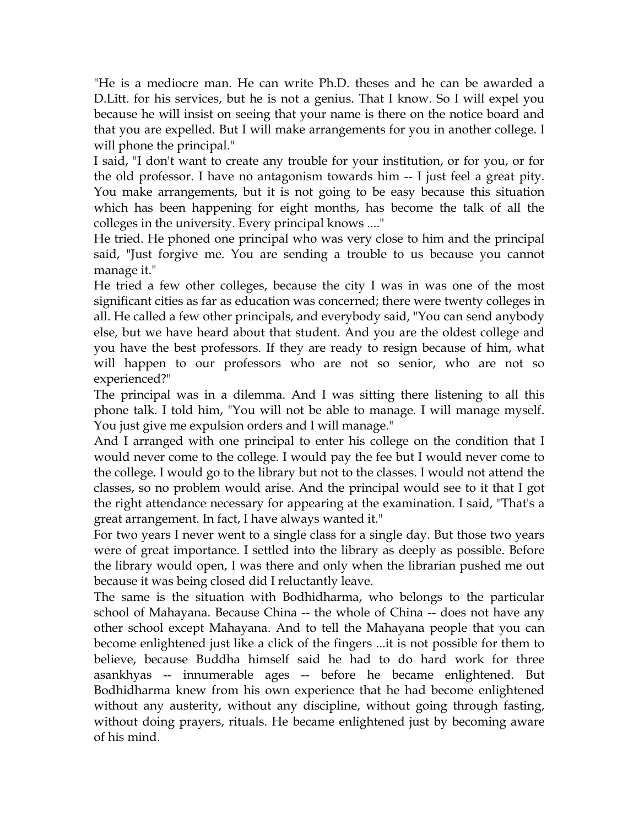"He is a mediocre man. He can write Ph.D. theses and he can be awarded a D.Litt. for his services, but he is not a genius. That I know. So I will expel you because he will insist on seeing that your name is there on the notice board and that you are expelled. But I will make arrangements for you in another college. I will phone the principal."

I said, "I don't want to create any trouble for your institution, or for you, or for the old professor. I have no antagonism towards him -- I just feel a great pity. You make arrangements, but it is not going to be easy because this situation which has been happening for eight months, has become the talk of all the colleges in the university. Every principal knows ...."

He tried. He phoned one principal who was very close to him and the principal said, "Just forgive me. You are sending a trouble to us because you cannot manage it."

He tried a few other colleges, because the city I was in was one of the most significant cities as far as education was concerned; there were twenty colleges in all. He called a few other principals, and everybody said, "You can send anybody else, but we have heard about that student. And you are the oldest college and you have the best professors. If they are ready to resign because of him, what will happen to our professors who are not so senior, who are not so experienced?"

The principal was in a dilemma. And I was sitting there listening to all this phone talk. I told him, "You will not be able to manage. I will manage myself. You just give me expulsion orders and I will manage."

And I arranged with one principal to enter his college on the condition that I would never come to the college. I would pay the fee but I would never come to the college. I would go to the library but not to the classes. I would not attend the classes, so no problem would arise. And the principal would see to it that I got the right attendance necessary for appearing at the examination. I said, "That's a great arrangement. In fact, I have always wanted it."

For two years I never went to a single class for a single day. But those two years were of great importance. I settled into the library as deeply as possible. Before the library would open, I was there and only when the librarian pushed me out because it was being closed did I reluctantly leave.

The same is the situation with Bodhidharma, who belongs to the particular school of Mahayana. Because China -- the whole of China -- does not have any other school except Mahayana. And to tell the Mahayana people that you can become enlightened just like a click of the fingers ...it is not possible for them to believe, because Buddha himself said he had to do hard work for three asankhyas -- innumerable ages -- before he became enlightened. But Bodhidharma knew from his own experience that he had become enlightened without any austerity, without any discipline, without going through fasting, without doing prayers, rituals. He became enlightened just by becoming aware of his mind.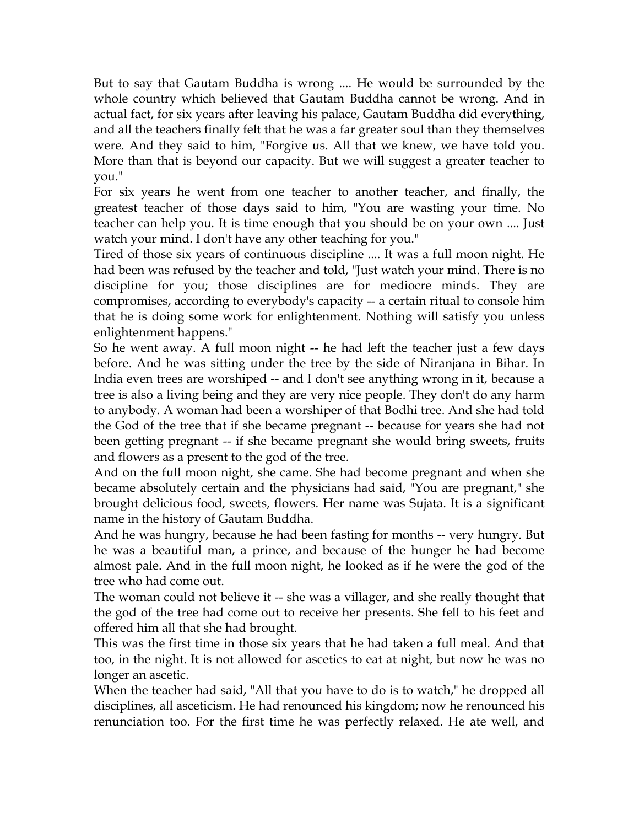But to say that Gautam Buddha is wrong .... He would be surrounded by the whole country which believed that Gautam Buddha cannot be wrong. And in actual fact, for six years after leaving his palace, Gautam Buddha did everything, and all the teachers finally felt that he was a far greater soul than they themselves were. And they said to him, "Forgive us. All that we knew, we have told you. More than that is beyond our capacity. But we will suggest a greater teacher to you."

For six years he went from one teacher to another teacher, and finally, the greatest teacher of those days said to him, "You are wasting your time. No teacher can help you. It is time enough that you should be on your own .... Just watch your mind. I don't have any other teaching for you."

Tired of those six years of continuous discipline .... It was a full moon night. He had been was refused by the teacher and told, "Just watch your mind. There is no discipline for you; those disciplines are for mediocre minds. They are compromises, according to everybody's capacity -- a certain ritual to console him that he is doing some work for enlightenment. Nothing will satisfy you unless enlightenment happens."

So he went away. A full moon night -- he had left the teacher just a few days before. And he was sitting under the tree by the side of Niranjana in Bihar. In India even trees are worshiped -- and I don't see anything wrong in it, because a tree is also a living being and they are very nice people. They don't do any harm to anybody. A woman had been a worshiper of that Bodhi tree. And she had told the God of the tree that if she became pregnant -- because for years she had not been getting pregnant -- if she became pregnant she would bring sweets, fruits and flowers as a present to the god of the tree.

And on the full moon night, she came. She had become pregnant and when she became absolutely certain and the physicians had said, "You are pregnant," she brought delicious food, sweets, flowers. Her name was Sujata. It is a significant name in the history of Gautam Buddha.

And he was hungry, because he had been fasting for months -- very hungry. But he was a beautiful man, a prince, and because of the hunger he had become almost pale. And in the full moon night, he looked as if he were the god of the tree who had come out.

The woman could not believe it -- she was a villager, and she really thought that the god of the tree had come out to receive her presents. She fell to his feet and offered him all that she had brought.

This was the first time in those six years that he had taken a full meal. And that too, in the night. It is not allowed for ascetics to eat at night, but now he was no longer an ascetic.

When the teacher had said, "All that you have to do is to watch," he dropped all disciplines, all asceticism. He had renounced his kingdom; now he renounced his renunciation too. For the first time he was perfectly relaxed. He ate well, and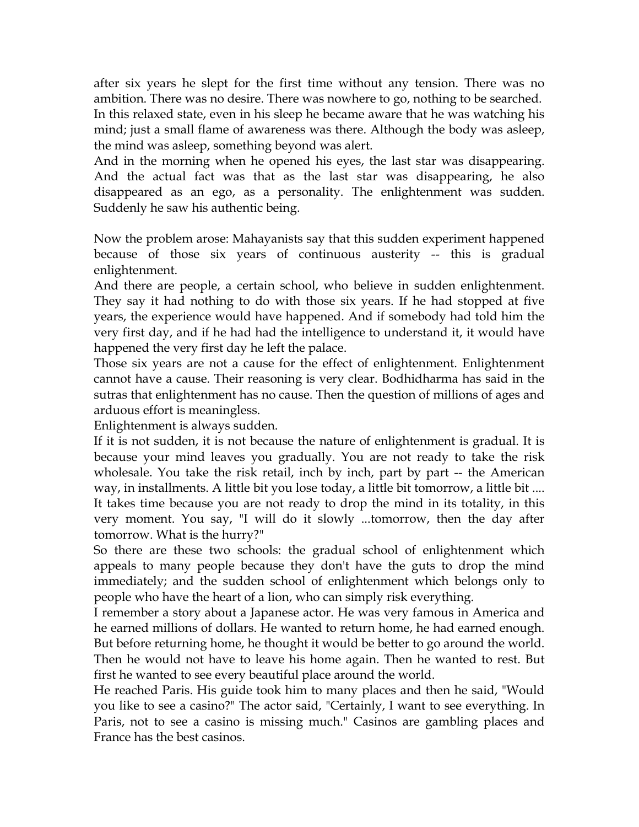after six years he slept for the first time without any tension. There was no ambition. There was no desire. There was nowhere to go, nothing to be searched. In this relaxed state, even in his sleep he became aware that he was watching his mind; just a small flame of awareness was there. Although the body was asleep, the mind was asleep, something beyond was alert.

And in the morning when he opened his eyes, the last star was disappearing. And the actual fact was that as the last star was disappearing, he also disappeared as an ego, as a personality. The enlightenment was sudden. Suddenly he saw his authentic being.

Now the problem arose: Mahayanists say that this sudden experiment happened because of those six years of continuous austerity -- this is gradual enlightenment.

And there are people, a certain school, who believe in sudden enlightenment. They say it had nothing to do with those six years. If he had stopped at five years, the experience would have happened. And if somebody had told him the very first day, and if he had had the intelligence to understand it, it would have happened the very first day he left the palace.

Those six years are not a cause for the effect of enlightenment. Enlightenment cannot have a cause. Their reasoning is very clear. Bodhidharma has said in the sutras that enlightenment has no cause. Then the question of millions of ages and arduous effort is meaningless.

Enlightenment is always sudden.

If it is not sudden, it is not because the nature of enlightenment is gradual. It is because your mind leaves you gradually. You are not ready to take the risk wholesale. You take the risk retail, inch by inch, part by part -- the American way, in installments. A little bit you lose today, a little bit tomorrow, a little bit .... It takes time because you are not ready to drop the mind in its totality, in this very moment. You say, "I will do it slowly ...tomorrow, then the day after tomorrow. What is the hurry?"

So there are these two schools: the gradual school of enlightenment which appeals to many people because they don't have the guts to drop the mind immediately; and the sudden school of enlightenment which belongs only to people who have the heart of a lion, who can simply risk everything.

I remember a story about a Japanese actor. He was very famous in America and he earned millions of dollars. He wanted to return home, he had earned enough. But before returning home, he thought it would be better to go around the world. Then he would not have to leave his home again. Then he wanted to rest. But first he wanted to see every beautiful place around the world.

He reached Paris. His guide took him to many places and then he said, "Would you like to see a casino?" The actor said, "Certainly, I want to see everything. In Paris, not to see a casino is missing much." Casinos are gambling places and France has the best casinos.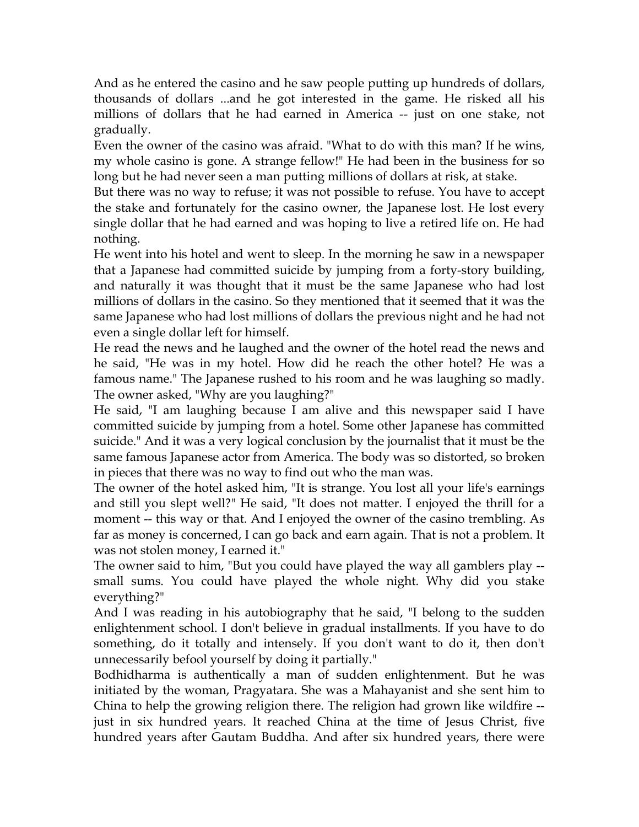And as he entered the casino and he saw people putting up hundreds of dollars, thousands of dollars ...and he got interested in the game. He risked all his millions of dollars that he had earned in America -- just on one stake, not gradually.

Even the owner of the casino was afraid. "What to do with this man? If he wins, my whole casino is gone. A strange fellow!" He had been in the business for so long but he had never seen a man putting millions of dollars at risk, at stake.

But there was no way to refuse; it was not possible to refuse. You have to accept the stake and fortunately for the casino owner, the Japanese lost. He lost every single dollar that he had earned and was hoping to live a retired life on. He had nothing.

He went into his hotel and went to sleep. In the morning he saw in a newspaper that a Japanese had committed suicide by jumping from a forty-story building, and naturally it was thought that it must be the same Japanese who had lost millions of dollars in the casino. So they mentioned that it seemed that it was the same Japanese who had lost millions of dollars the previous night and he had not even a single dollar left for himself.

He read the news and he laughed and the owner of the hotel read the news and he said, "He was in my hotel. How did he reach the other hotel? He was a famous name." The Japanese rushed to his room and he was laughing so madly. The owner asked, "Why are you laughing?"

He said, "I am laughing because I am alive and this newspaper said I have committed suicide by jumping from a hotel. Some other Japanese has committed suicide." And it was a very logical conclusion by the journalist that it must be the same famous Japanese actor from America. The body was so distorted, so broken in pieces that there was no way to find out who the man was.

The owner of the hotel asked him, "It is strange. You lost all your life's earnings and still you slept well?" He said, "It does not matter. I enjoyed the thrill for a moment -- this way or that. And I enjoyed the owner of the casino trembling. As far as money is concerned, I can go back and earn again. That is not a problem. It was not stolen money, I earned it."

The owner said to him, "But you could have played the way all gamblers play - small sums. You could have played the whole night. Why did you stake everything?"

And I was reading in his autobiography that he said, "I belong to the sudden enlightenment school. I don't believe in gradual installments. If you have to do something, do it totally and intensely. If you don't want to do it, then don't unnecessarily befool yourself by doing it partially."

Bodhidharma is authentically a man of sudden enlightenment. But he was initiated by the woman, Pragyatara. She was a Mahayanist and she sent him to China to help the growing religion there. The religion had grown like wildfire - just in six hundred years. It reached China at the time of Jesus Christ, five hundred years after Gautam Buddha. And after six hundred years, there were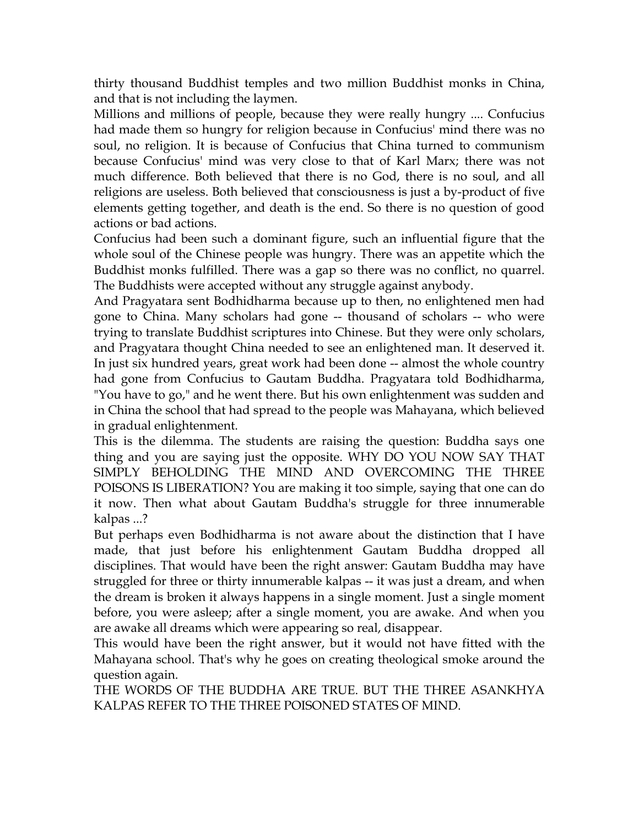thirty thousand Buddhist temples and two million Buddhist monks in China, and that is not including the laymen.

Millions and millions of people, because they were really hungry .... Confucius had made them so hungry for religion because in Confucius' mind there was no soul, no religion. It is because of Confucius that China turned to communism because Confucius' mind was very close to that of Karl Marx; there was not much difference. Both believed that there is no God, there is no soul, and all religions are useless. Both believed that consciousness is just a by-product of five elements getting together, and death is the end. So there is no question of good actions or bad actions.

Confucius had been such a dominant figure, such an influential figure that the whole soul of the Chinese people was hungry. There was an appetite which the Buddhist monks fulfilled. There was a gap so there was no conflict, no quarrel. The Buddhists were accepted without any struggle against anybody.

And Pragyatara sent Bodhidharma because up to then, no enlightened men had gone to China. Many scholars had gone -- thousand of scholars -- who were trying to translate Buddhist scriptures into Chinese. But they were only scholars, and Pragyatara thought China needed to see an enlightened man. It deserved it. In just six hundred years, great work had been done -- almost the whole country had gone from Confucius to Gautam Buddha. Pragyatara told Bodhidharma, "You have to go," and he went there. But his own enlightenment was sudden and in China the school that had spread to the people was Mahayana, which believed in gradual enlightenment.

This is the dilemma. The students are raising the question: Buddha says one thing and you are saying just the opposite. WHY DO YOU NOW SAY THAT SIMPLY BEHOLDING THE MIND AND OVERCOMING THE THREE POISONS IS LIBERATION? You are making it too simple, saying that one can do it now. Then what about Gautam Buddha's struggle for three innumerable kalpas ...?

But perhaps even Bodhidharma is not aware about the distinction that I have made, that just before his enlightenment Gautam Buddha dropped all disciplines. That would have been the right answer: Gautam Buddha may have struggled for three or thirty innumerable kalpas -- it was just a dream, and when the dream is broken it always happens in a single moment. Just a single moment before, you were asleep; after a single moment, you are awake. And when you are awake all dreams which were appearing so real, disappear.

This would have been the right answer, but it would not have fitted with the Mahayana school. That's why he goes on creating theological smoke around the question again.

THE WORDS OF THE BUDDHA ARE TRUE. BUT THE THREE ASANKHYA KALPAS REFER TO THE THREE POISONED STATES OF MIND.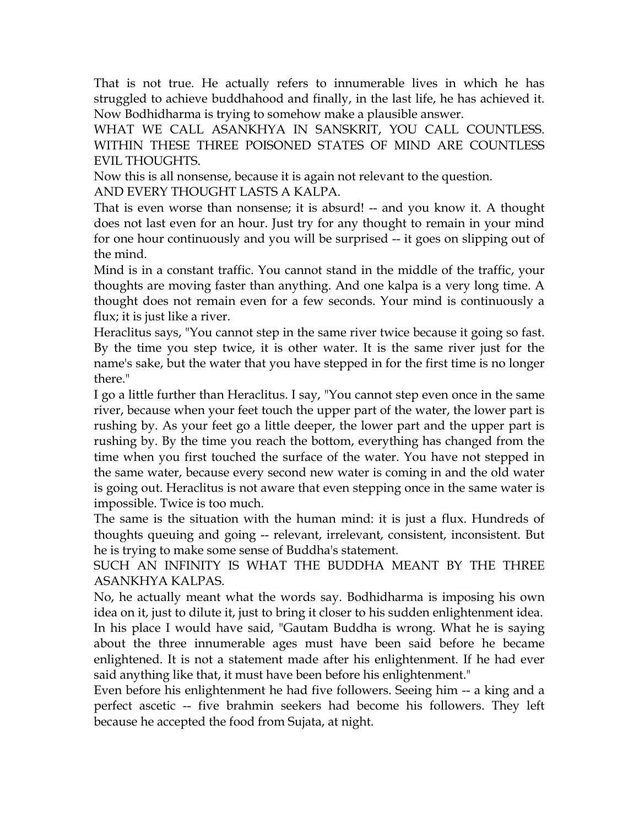That is not true. He actually refers to innumerable lives in which he has struggled to achieve buddhahood and finally, in the last life, he has achieved it. Now Bodhidharma is trying to somehow make a plausible answer.

WHAT WE CALL ASANKHYA IN SANSKRIT, YOU CALL COUNTLESS. WITHIN THESE THREE POISONED STATES OF MIND ARE COUNTLESS EVIL THOUGHTS.

Now this is all nonsense, because it is again not relevant to the question.

AND EVERY THOUGHT LASTS A KALPA.

That is even worse than nonsense; it is absurd! -- and you know it. A thought does not last even for an hour. Just try for any thought to remain in your mind for one hour continuously and you will be surprised -- it goes on slipping out of the mind.

Mind is in a constant traffic. You cannot stand in the middle of the traffic, your thoughts are moving faster than anything. And one kalpa is a very long time. A thought does not remain even for a few seconds. Your mind is continuously a flux; it is just like a river.

Heraclitus says, "You cannot step in the same river twice because it going so fast. By the time you step twice, it is other water. It is the same river just for the name's sake, but the water that you have stepped in for the first time is no longer there."

I go a little further than Heraclitus. I say, "You cannot step even once in the same river, because when your feet touch the upper part of the water, the lower part is rushing by. As your feet go a little deeper, the lower part and the upper part is rushing by. By the time you reach the bottom, everything has changed from the time when you first touched the surface of the water. You have not stepped in the same water, because every second new water is coming in and the old water is going out. Heraclitus is not aware that even stepping once in the same water is impossible. Twice is too much.

The same is the situation with the human mind: it is just a flux. Hundreds of thoughts queuing and going -- relevant, irrelevant, consistent, inconsistent. But he is trying to make some sense of Buddha's statement.

SUCH AN INFINITY IS WHAT THE BUDDHA MEANT BY THE THREE ASANKHYA KALPAS.

No, he actually meant what the words say. Bodhidharma is imposing his own idea on it, just to dilute it, just to bring it closer to his sudden enlightenment idea. In his place I would have said, "Gautam Buddha is wrong. What he is saying about the three innumerable ages must have been said before he became enlightened. It is not a statement made after his enlightenment. If he had ever said anything like that, it must have been before his enlightenment."

Even before his enlightenment he had five followers. Seeing him -- a king and a perfect ascetic -- five brahmin seekers had become his followers. They left because he accepted the food from Sujata, at night.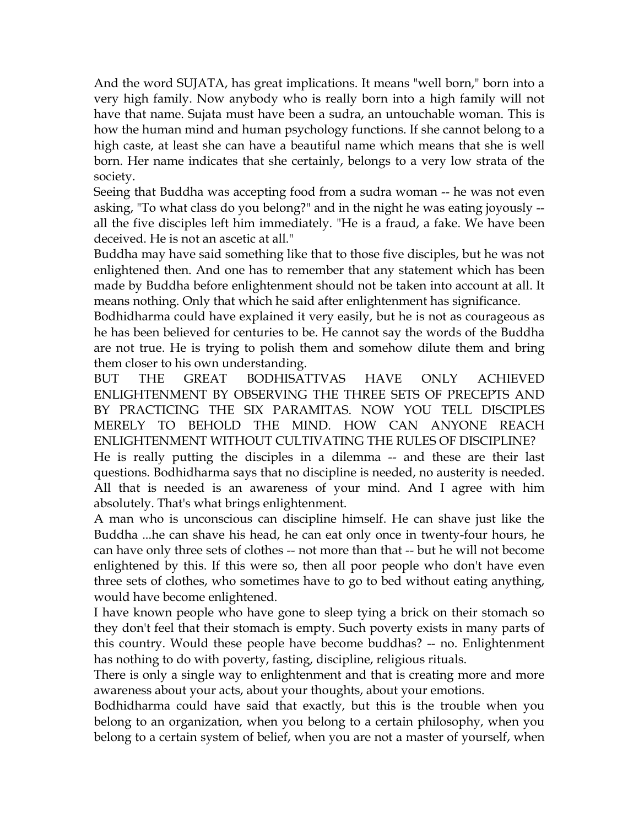And the word SUJATA, has great implications. It means "well born," born into a very high family. Now anybody who is really born into a high family will not have that name. Sujata must have been a sudra, an untouchable woman. This is how the human mind and human psychology functions. If she cannot belong to a high caste, at least she can have a beautiful name which means that she is well born. Her name indicates that she certainly, belongs to a very low strata of the society.

Seeing that Buddha was accepting food from a sudra woman -- he was not even asking, "To what class do you belong?" and in the night he was eating joyously - all the five disciples left him immediately. "He is a fraud, a fake. We have been deceived. He is not an ascetic at all."

Buddha may have said something like that to those five disciples, but he was not enlightened then. And one has to remember that any statement which has been made by Buddha before enlightenment should not be taken into account at all. It means nothing. Only that which he said after enlightenment has significance.

Bodhidharma could have explained it very easily, but he is not as courageous as he has been believed for centuries to be. He cannot say the words of the Buddha are not true. He is trying to polish them and somehow dilute them and bring them closer to his own understanding.

BUT THE GREAT BODHISATTVAS HAVE ONLY ACHIEVED ENLIGHTENMENT BY OBSERVING THE THREE SETS OF PRECEPTS AND BY PRACTICING THE SIX PARAMITAS. NOW YOU TELL DISCIPLES MERELY TO BEHOLD THE MIND. HOW CAN ANYONE REACH ENLIGHTENMENT WITHOUT CULTIVATING THE RULES OF DISCIPLINE? He is really putting the disciples in a dilemma -- and these are their last questions. Bodhidharma says that no discipline is needed, no austerity is needed. All that is needed is an awareness of your mind. And I agree with him absolutely. That's what brings enlightenment.

A man who is unconscious can discipline himself. He can shave just like the Buddha ...he can shave his head, he can eat only once in twenty-four hours, he can have only three sets of clothes -- not more than that -- but he will not become enlightened by this. If this were so, then all poor people who don't have even three sets of clothes, who sometimes have to go to bed without eating anything, would have become enlightened.

I have known people who have gone to sleep tying a brick on their stomach so they don't feel that their stomach is empty. Such poverty exists in many parts of this country. Would these people have become buddhas? -- no. Enlightenment has nothing to do with poverty, fasting, discipline, religious rituals.

There is only a single way to enlightenment and that is creating more and more awareness about your acts, about your thoughts, about your emotions.

Bodhidharma could have said that exactly, but this is the trouble when you belong to an organization, when you belong to a certain philosophy, when you belong to a certain system of belief, when you are not a master of yourself, when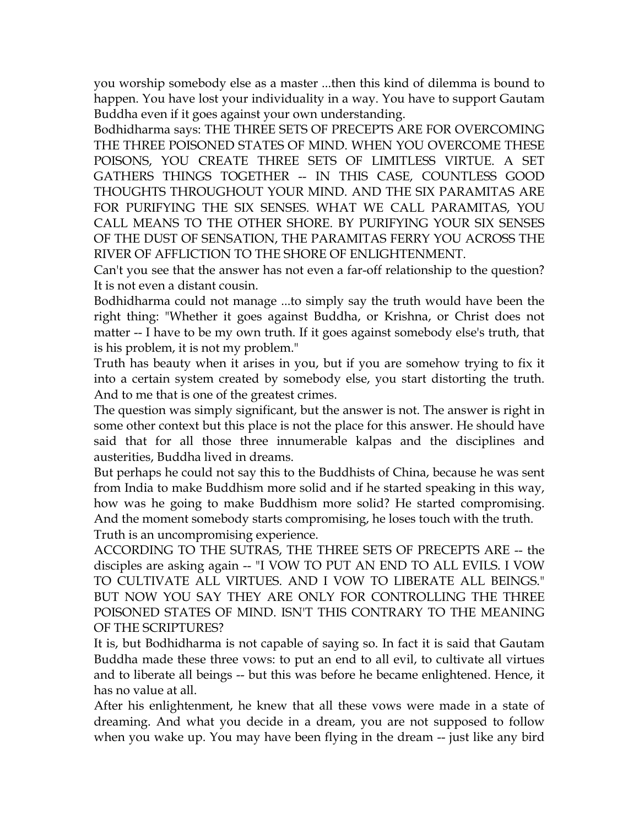you worship somebody else as a master ...then this kind of dilemma is bound to happen. You have lost your individuality in a way. You have to support Gautam Buddha even if it goes against your own understanding.

Bodhidharma says: THE THREE SETS OF PRECEPTS ARE FOR OVERCOMING THE THREE POISONED STATES OF MIND. WHEN YOU OVERCOME THESE POISONS, YOU CREATE THREE SETS OF LIMITLESS VIRTUE. A SET GATHERS THINGS TOGETHER -- IN THIS CASE, COUNTLESS GOOD THOUGHTS THROUGHOUT YOUR MIND. AND THE SIX PARAMITAS ARE FOR PURIFYING THE SIX SENSES. WHAT WE CALL PARAMITAS, YOU CALL MEANS TO THE OTHER SHORE. BY PURIFYING YOUR SIX SENSES OF THE DUST OF SENSATION, THE PARAMITAS FERRY YOU ACROSS THE RIVER OF AFFLICTION TO THE SHORE OF ENLIGHTENMENT.

Can't you see that the answer has not even a far-off relationship to the question? It is not even a distant cousin.

Bodhidharma could not manage ...to simply say the truth would have been the right thing: "Whether it goes against Buddha, or Krishna, or Christ does not matter -- I have to be my own truth. If it goes against somebody else's truth, that is his problem, it is not my problem."

Truth has beauty when it arises in you, but if you are somehow trying to fix it into a certain system created by somebody else, you start distorting the truth. And to me that is one of the greatest crimes.

The question was simply significant, but the answer is not. The answer is right in some other context but this place is not the place for this answer. He should have said that for all those three innumerable kalpas and the disciplines and austerities, Buddha lived in dreams.

But perhaps he could not say this to the Buddhists of China, because he was sent from India to make Buddhism more solid and if he started speaking in this way, how was he going to make Buddhism more solid? He started compromising. And the moment somebody starts compromising, he loses touch with the truth. Truth is an uncompromising experience.

ACCORDING TO THE SUTRAS, THE THREE SETS OF PRECEPTS ARE -- the disciples are asking again -- "I VOW TO PUT AN END TO ALL EVILS. I VOW TO CULTIVATE ALL VIRTUES. AND I VOW TO LIBERATE ALL BEINGS." BUT NOW YOU SAY THEY ARE ONLY FOR CONTROLLING THE THREE POISONED STATES OF MIND. ISN'T THIS CONTRARY TO THE MEANING OF THE SCRIPTURES?

It is, but Bodhidharma is not capable of saying so. In fact it is said that Gautam Buddha made these three vows: to put an end to all evil, to cultivate all virtues and to liberate all beings -- but this was before he became enlightened. Hence, it has no value at all.

After his enlightenment, he knew that all these vows were made in a state of dreaming. And what you decide in a dream, you are not supposed to follow when you wake up. You may have been flying in the dream -- just like any bird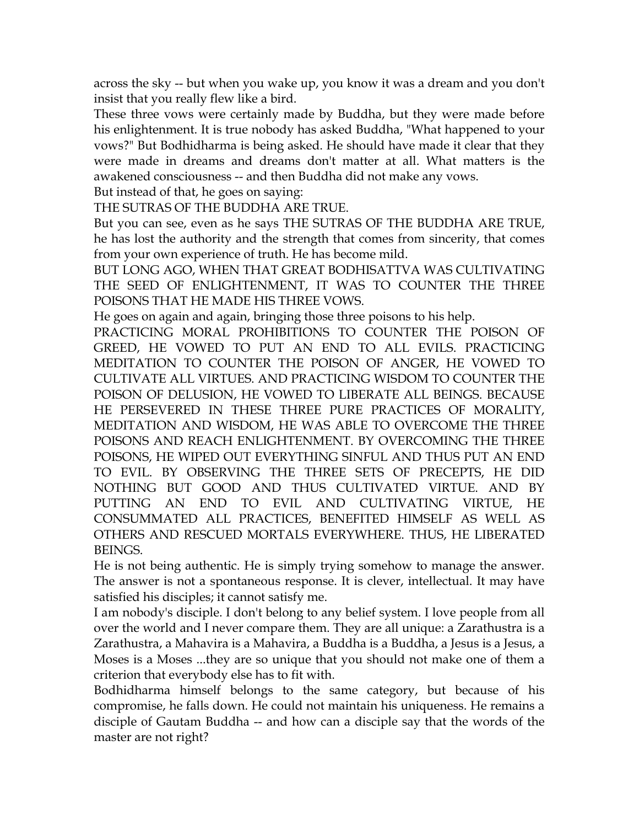across the sky -- but when you wake up, you know it was a dream and you don't insist that you really flew like a bird.

These three vows were certainly made by Buddha, but they were made before his enlightenment. It is true nobody has asked Buddha, "What happened to your vows?" But Bodhidharma is being asked. He should have made it clear that they were made in dreams and dreams don't matter at all. What matters is the awakened consciousness -- and then Buddha did not make any vows.

But instead of that, he goes on saying:

THE SUTRAS OF THE BUDDHA ARE TRUE.

But you can see, even as he says THE SUTRAS OF THE BUDDHA ARE TRUE, he has lost the authority and the strength that comes from sincerity, that comes from your own experience of truth. He has become mild.

BUT LONG AGO, WHEN THAT GREAT BODHISATTVA WAS CULTIVATING THE SEED OF ENLIGHTENMENT, IT WAS TO COUNTER THE THREE POISONS THAT HE MADE HIS THREE VOWS.

He goes on again and again, bringing those three poisons to his help.

PRACTICING MORAL PROHIBITIONS TO COUNTER THE POISON OF GREED, HE VOWED TO PUT AN END TO ALL EVILS. PRACTICING MEDITATION TO COUNTER THE POISON OF ANGER, HE VOWED TO CULTIVATE ALL VIRTUES. AND PRACTICING WISDOM TO COUNTER THE POISON OF DELUSION, HE VOWED TO LIBERATE ALL BEINGS. BECAUSE HE PERSEVERED IN THESE THREE PURE PRACTICES OF MORALITY, MEDITATION AND WISDOM, HE WAS ABLE TO OVERCOME THE THREE POISONS AND REACH ENLIGHTENMENT. BY OVERCOMING THE THREE POISONS, HE WIPED OUT EVERYTHING SINFUL AND THUS PUT AN END TO EVIL. BY OBSERVING THE THREE SETS OF PRECEPTS, HE DID NOTHING BUT GOOD AND THUS CULTIVATED VIRTUE. AND BY PUTTING AN END TO EVIL AND CULTIVATING VIRTUE, HE CONSUMMATED ALL PRACTICES, BENEFITED HIMSELF AS WELL AS OTHERS AND RESCUED MORTALS EVERYWHERE. THUS, HE LIBERATED BEINGS.

He is not being authentic. He is simply trying somehow to manage the answer. The answer is not a spontaneous response. It is clever, intellectual. It may have satisfied his disciples; it cannot satisfy me.

I am nobody's disciple. I don't belong to any belief system. I love people from all over the world and I never compare them. They are all unique: a Zarathustra is a Zarathustra, a Mahavira is a Mahavira, a Buddha is a Buddha, a Jesus is a Jesus, a Moses is a Moses ...they are so unique that you should not make one of them a criterion that everybody else has to fit with.

Bodhidharma himself belongs to the same category, but because of his compromise, he falls down. He could not maintain his uniqueness. He remains a disciple of Gautam Buddha -- and how can a disciple say that the words of the master are not right?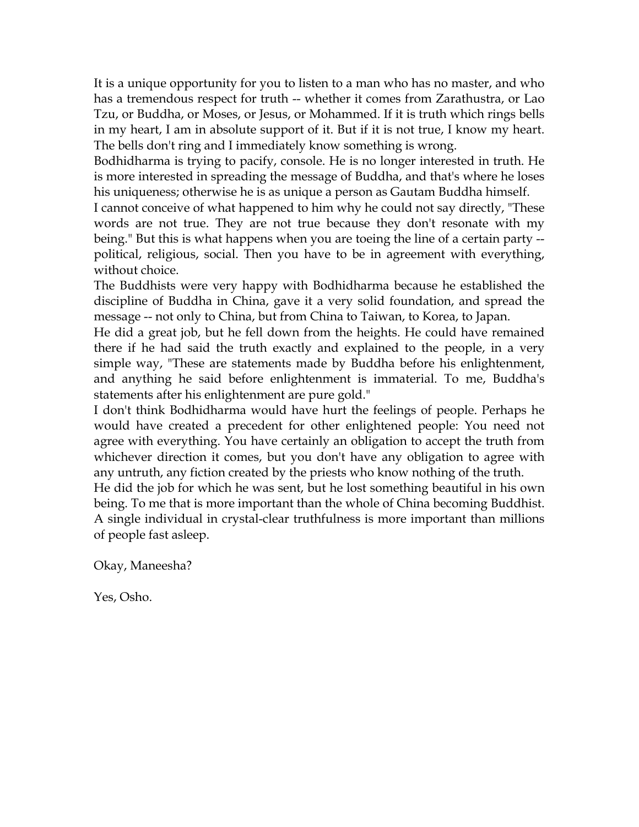It is a unique opportunity for you to listen to a man who has no master, and who has a tremendous respect for truth -- whether it comes from Zarathustra, or Lao Tzu, or Buddha, or Moses, or Jesus, or Mohammed. If it is truth which rings bells in my heart, I am in absolute support of it. But if it is not true, I know my heart. The bells don't ring and I immediately know something is wrong.

Bodhidharma is trying to pacify, console. He is no longer interested in truth. He is more interested in spreading the message of Buddha, and that's where he loses his uniqueness; otherwise he is as unique a person as Gautam Buddha himself.

I cannot conceive of what happened to him why he could not say directly, "These words are not true. They are not true because they don't resonate with my being." But this is what happens when you are toeing the line of a certain party - political, religious, social. Then you have to be in agreement with everything, without choice.

The Buddhists were very happy with Bodhidharma because he established the discipline of Buddha in China, gave it a very solid foundation, and spread the message -- not only to China, but from China to Taiwan, to Korea, to Japan.

He did a great job, but he fell down from the heights. He could have remained there if he had said the truth exactly and explained to the people, in a very simple way, "These are statements made by Buddha before his enlightenment, and anything he said before enlightenment is immaterial. To me, Buddha's statements after his enlightenment are pure gold."

I don't think Bodhidharma would have hurt the feelings of people. Perhaps he would have created a precedent for other enlightened people: You need not agree with everything. You have certainly an obligation to accept the truth from whichever direction it comes, but you don't have any obligation to agree with any untruth, any fiction created by the priests who know nothing of the truth.

He did the job for which he was sent, but he lost something beautiful in his own being. To me that is more important than the whole of China becoming Buddhist. A single individual in crystal-clear truthfulness is more important than millions of people fast asleep.

Okay, Maneesha?

Yes, Osho.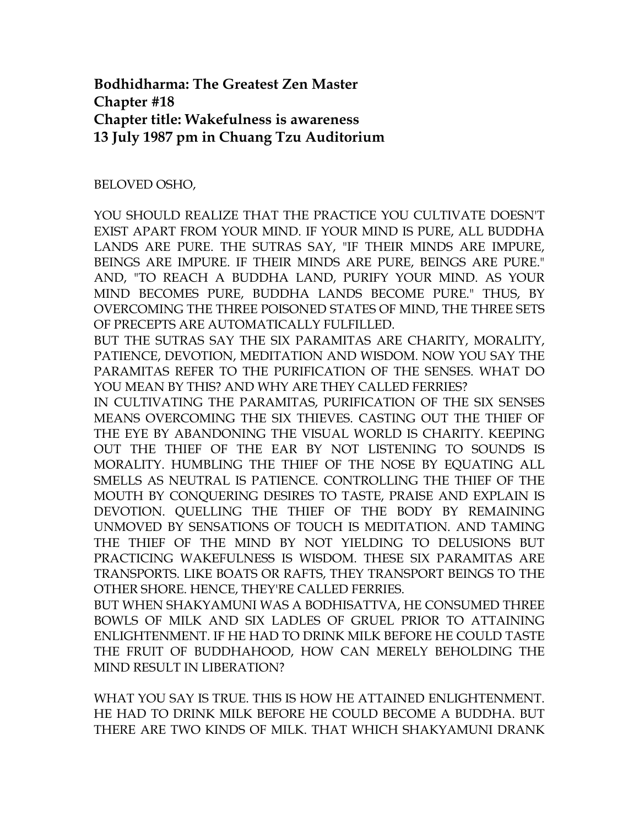## **Bodhidharma: The Greatest Zen Master Chapter #18 Chapter title: Wakefulness is awareness 13 July 1987 pm in Chuang Tzu Auditorium**

## BELOVED OSHO,

YOU SHOULD REALIZE THAT THE PRACTICE YOU CULTIVATE DOESN'T EXIST APART FROM YOUR MIND. IF YOUR MIND IS PURE, ALL BUDDHA LANDS ARE PURE. THE SUTRAS SAY, "IF THEIR MINDS ARE IMPURE, BEINGS ARE IMPURE. IF THEIR MINDS ARE PURE, BEINGS ARE PURE." AND, "TO REACH A BUDDHA LAND, PURIFY YOUR MIND. AS YOUR MIND BECOMES PURE, BUDDHA LANDS BECOME PURE." THUS, BY OVERCOMING THE THREE POISONED STATES OF MIND, THE THREE SETS OF PRECEPTS ARE AUTOMATICALLY FULFILLED.

BUT THE SUTRAS SAY THE SIX PARAMITAS ARE CHARITY, MORALITY, PATIENCE, DEVOTION, MEDITATION AND WISDOM. NOW YOU SAY THE PARAMITAS REFER TO THE PURIFICATION OF THE SENSES. WHAT DO YOU MEAN BY THIS? AND WHY ARE THEY CALLED FERRIES?

IN CULTIVATING THE PARAMITAS, PURIFICATION OF THE SIX SENSES MEANS OVERCOMING THE SIX THIEVES. CASTING OUT THE THIEF OF THE EYE BY ABANDONING THE VISUAL WORLD IS CHARITY. KEEPING OUT THE THIEF OF THE EAR BY NOT LISTENING TO SOUNDS IS MORALITY. HUMBLING THE THIEF OF THE NOSE BY EQUATING ALL SMELLS AS NEUTRAL IS PATIENCE. CONTROLLING THE THIEF OF THE MOUTH BY CONQUERING DESIRES TO TASTE, PRAISE AND EXPLAIN IS DEVOTION. QUELLING THE THIEF OF THE BODY BY REMAINING UNMOVED BY SENSATIONS OF TOUCH IS MEDITATION. AND TAMING THE THIEF OF THE MIND BY NOT YIELDING TO DELUSIONS BUT PRACTICING WAKEFULNESS IS WISDOM. THESE SIX PARAMITAS ARE TRANSPORTS. LIKE BOATS OR RAFTS, THEY TRANSPORT BEINGS TO THE OTHER SHORE. HENCE, THEY'RE CALLED FERRIES.

BUT WHEN SHAKYAMUNI WAS A BODHISATTVA, HE CONSUMED THREE BOWLS OF MILK AND SIX LADLES OF GRUEL PRIOR TO ATTAINING ENLIGHTENMENT. IF HE HAD TO DRINK MILK BEFORE HE COULD TASTE THE FRUIT OF BUDDHAHOOD, HOW CAN MERELY BEHOLDING THE MIND RESULT IN LIBERATION?

WHAT YOU SAY IS TRUE. THIS IS HOW HE ATTAINED ENLIGHTENMENT. HE HAD TO DRINK MILK BEFORE HE COULD BECOME A BUDDHA. BUT THERE ARE TWO KINDS OF MILK. THAT WHICH SHAKYAMUNI DRANK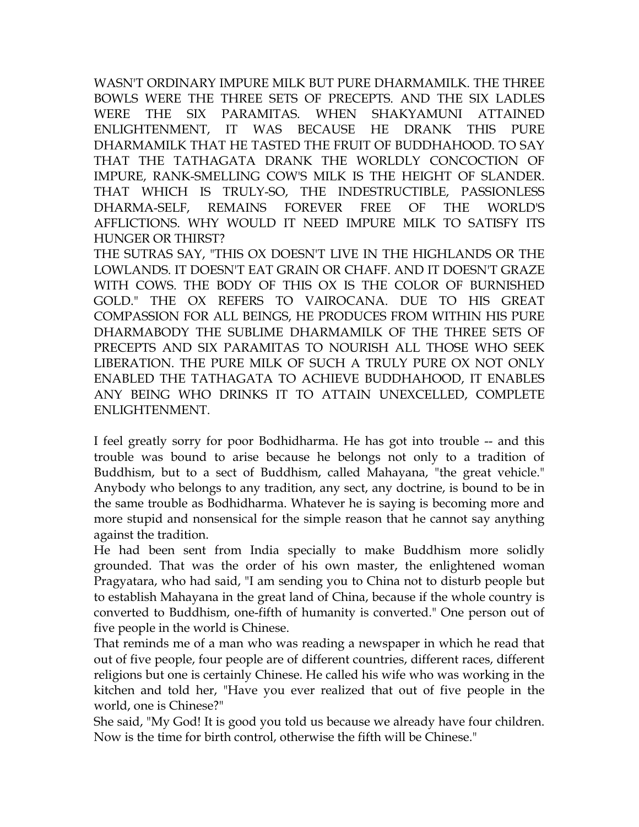WASN'T ORDINARY IMPURE MILK BUT PURE DHARMAMILK. THE THREE BOWLS WERE THE THREE SETS OF PRECEPTS. AND THE SIX LADLES WERE THE SIX PARAMITAS. WHEN SHAKYAMUNI ATTAINED ENLIGHTENMENT, IT WAS BECAUSE HE DRANK THIS PURE DHARMAMILK THAT HE TASTED THE FRUIT OF BUDDHAHOOD. TO SAY THAT THE TATHAGATA DRANK THE WORLDLY CONCOCTION OF IMPURE, RANK-SMELLING COW'S MILK IS THE HEIGHT OF SLANDER. THAT WHICH IS TRULY-SO, THE INDESTRUCTIBLE, PASSIONLESS DHARMA-SELF, REMAINS FOREVER FREE OF THE WORLD'S AFFLICTIONS. WHY WOULD IT NEED IMPURE MILK TO SATISFY ITS HUNGER OR THIRST?

THE SUTRAS SAY, "THIS OX DOESN'T LIVE IN THE HIGHLANDS OR THE LOWLANDS. IT DOESN'T EAT GRAIN OR CHAFF. AND IT DOESN'T GRAZE WITH COWS. THE BODY OF THIS OX IS THE COLOR OF BURNISHED GOLD." THE OX REFERS TO VAIROCANA. DUE TO HIS GREAT COMPASSION FOR ALL BEINGS, HE PRODUCES FROM WITHIN HIS PURE DHARMABODY THE SUBLIME DHARMAMILK OF THE THREE SETS OF PRECEPTS AND SIX PARAMITAS TO NOURISH ALL THOSE WHO SEEK LIBERATION. THE PURE MILK OF SUCH A TRULY PURE OX NOT ONLY ENABLED THE TATHAGATA TO ACHIEVE BUDDHAHOOD, IT ENABLES ANY BEING WHO DRINKS IT TO ATTAIN UNEXCELLED, COMPLETE ENLIGHTENMENT.

I feel greatly sorry for poor Bodhidharma. He has got into trouble -- and this trouble was bound to arise because he belongs not only to a tradition of Buddhism, but to a sect of Buddhism, called Mahayana, "the great vehicle." Anybody who belongs to any tradition, any sect, any doctrine, is bound to be in the same trouble as Bodhidharma. Whatever he is saying is becoming more and more stupid and nonsensical for the simple reason that he cannot say anything against the tradition.

He had been sent from India specially to make Buddhism more solidly grounded. That was the order of his own master, the enlightened woman Pragyatara, who had said, "I am sending you to China not to disturb people but to establish Mahayana in the great land of China, because if the whole country is converted to Buddhism, one-fifth of humanity is converted." One person out of five people in the world is Chinese.

That reminds me of a man who was reading a newspaper in which he read that out of five people, four people are of different countries, different races, different religions but one is certainly Chinese. He called his wife who was working in the kitchen and told her, "Have you ever realized that out of five people in the world, one is Chinese?"

She said, "My God! It is good you told us because we already have four children. Now is the time for birth control, otherwise the fifth will be Chinese."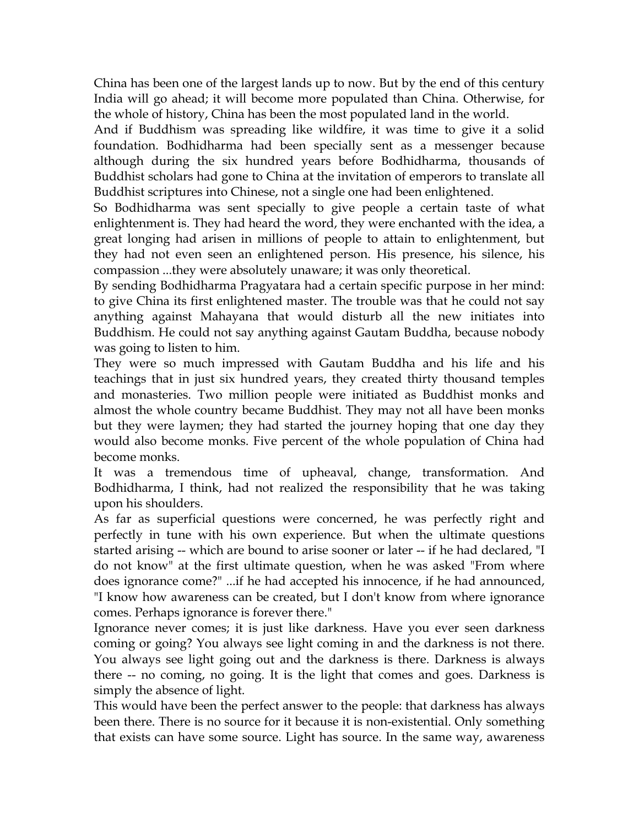China has been one of the largest lands up to now. But by the end of this century India will go ahead; it will become more populated than China. Otherwise, for the whole of history, China has been the most populated land in the world.

And if Buddhism was spreading like wildfire, it was time to give it a solid foundation. Bodhidharma had been specially sent as a messenger because although during the six hundred years before Bodhidharma, thousands of Buddhist scholars had gone to China at the invitation of emperors to translate all Buddhist scriptures into Chinese, not a single one had been enlightened.

So Bodhidharma was sent specially to give people a certain taste of what enlightenment is. They had heard the word, they were enchanted with the idea, a great longing had arisen in millions of people to attain to enlightenment, but they had not even seen an enlightened person. His presence, his silence, his compassion ...they were absolutely unaware; it was only theoretical.

By sending Bodhidharma Pragyatara had a certain specific purpose in her mind: to give China its first enlightened master. The trouble was that he could not say anything against Mahayana that would disturb all the new initiates into Buddhism. He could not say anything against Gautam Buddha, because nobody was going to listen to him.

They were so much impressed with Gautam Buddha and his life and his teachings that in just six hundred years, they created thirty thousand temples and monasteries. Two million people were initiated as Buddhist monks and almost the whole country became Buddhist. They may not all have been monks but they were laymen; they had started the journey hoping that one day they would also become monks. Five percent of the whole population of China had become monks.

It was a tremendous time of upheaval, change, transformation. And Bodhidharma, I think, had not realized the responsibility that he was taking upon his shoulders.

As far as superficial questions were concerned, he was perfectly right and perfectly in tune with his own experience. But when the ultimate questions started arising -- which are bound to arise sooner or later -- if he had declared, "I do not know" at the first ultimate question, when he was asked "From where does ignorance come?" ...if he had accepted his innocence, if he had announced, "I know how awareness can be created, but I don't know from where ignorance comes. Perhaps ignorance is forever there."

Ignorance never comes; it is just like darkness. Have you ever seen darkness coming or going? You always see light coming in and the darkness is not there. You always see light going out and the darkness is there. Darkness is always there -- no coming, no going. It is the light that comes and goes. Darkness is simply the absence of light.

This would have been the perfect answer to the people: that darkness has always been there. There is no source for it because it is non-existential. Only something that exists can have some source. Light has source. In the same way, awareness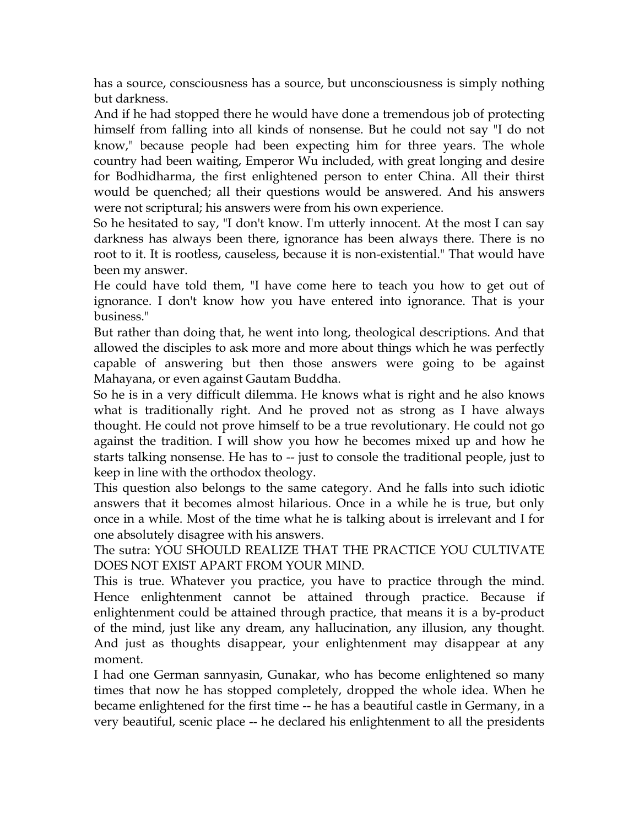has a source, consciousness has a source, but unconsciousness is simply nothing but darkness.

And if he had stopped there he would have done a tremendous job of protecting himself from falling into all kinds of nonsense. But he could not say "I do not know," because people had been expecting him for three years. The whole country had been waiting, Emperor Wu included, with great longing and desire for Bodhidharma, the first enlightened person to enter China. All their thirst would be quenched; all their questions would be answered. And his answers were not scriptural; his answers were from his own experience.

So he hesitated to say, "I don't know. I'm utterly innocent. At the most I can say darkness has always been there, ignorance has been always there. There is no root to it. It is rootless, causeless, because it is non-existential." That would have been my answer.

He could have told them, "I have come here to teach you how to get out of ignorance. I don't know how you have entered into ignorance. That is your business."

But rather than doing that, he went into long, theological descriptions. And that allowed the disciples to ask more and more about things which he was perfectly capable of answering but then those answers were going to be against Mahayana, or even against Gautam Buddha.

So he is in a very difficult dilemma. He knows what is right and he also knows what is traditionally right. And he proved not as strong as I have always thought. He could not prove himself to be a true revolutionary. He could not go against the tradition. I will show you how he becomes mixed up and how he starts talking nonsense. He has to -- just to console the traditional people, just to keep in line with the orthodox theology.

This question also belongs to the same category. And he falls into such idiotic answers that it becomes almost hilarious. Once in a while he is true, but only once in a while. Most of the time what he is talking about is irrelevant and I for one absolutely disagree with his answers.

The sutra: YOU SHOULD REALIZE THAT THE PRACTICE YOU CULTIVATE DOES NOT EXIST APART FROM YOUR MIND.

This is true. Whatever you practice, you have to practice through the mind. Hence enlightenment cannot be attained through practice. Because if enlightenment could be attained through practice, that means it is a by-product of the mind, just like any dream, any hallucination, any illusion, any thought. And just as thoughts disappear, your enlightenment may disappear at any moment.

I had one German sannyasin, Gunakar, who has become enlightened so many times that now he has stopped completely, dropped the whole idea. When he became enlightened for the first time -- he has a beautiful castle in Germany, in a very beautiful, scenic place -- he declared his enlightenment to all the presidents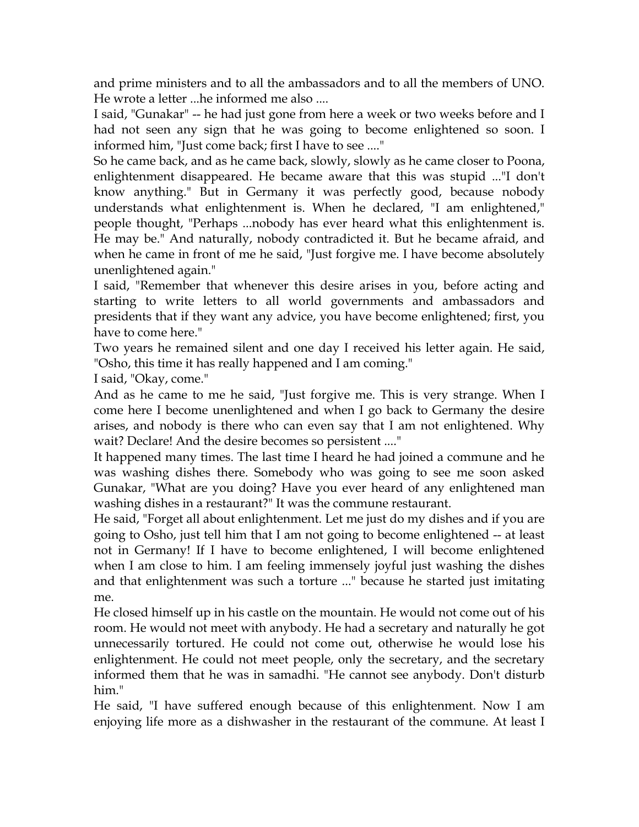and prime ministers and to all the ambassadors and to all the members of UNO. He wrote a letter ...he informed me also ....

I said, "Gunakar" -- he had just gone from here a week or two weeks before and I had not seen any sign that he was going to become enlightened so soon. I informed him, "Just come back; first I have to see ...."

So he came back, and as he came back, slowly, slowly as he came closer to Poona, enlightenment disappeared. He became aware that this was stupid ..."I don't know anything." But in Germany it was perfectly good, because nobody understands what enlightenment is. When he declared, "I am enlightened," people thought, "Perhaps ...nobody has ever heard what this enlightenment is. He may be." And naturally, nobody contradicted it. But he became afraid, and when he came in front of me he said, "Just forgive me. I have become absolutely unenlightened again."

I said, "Remember that whenever this desire arises in you, before acting and starting to write letters to all world governments and ambassadors and presidents that if they want any advice, you have become enlightened; first, you have to come here."

Two years he remained silent and one day I received his letter again. He said, "Osho, this time it has really happened and I am coming."

I said, "Okay, come."

And as he came to me he said, "Just forgive me. This is very strange. When I come here I become unenlightened and when I go back to Germany the desire arises, and nobody is there who can even say that I am not enlightened. Why wait? Declare! And the desire becomes so persistent ...."

It happened many times. The last time I heard he had joined a commune and he was washing dishes there. Somebody who was going to see me soon asked Gunakar, "What are you doing? Have you ever heard of any enlightened man washing dishes in a restaurant?" It was the commune restaurant.

He said, "Forget all about enlightenment. Let me just do my dishes and if you are going to Osho, just tell him that I am not going to become enlightened -- at least not in Germany! If I have to become enlightened, I will become enlightened when I am close to him. I am feeling immensely joyful just washing the dishes and that enlightenment was such a torture ..." because he started just imitating me.

He closed himself up in his castle on the mountain. He would not come out of his room. He would not meet with anybody. He had a secretary and naturally he got unnecessarily tortured. He could not come out, otherwise he would lose his enlightenment. He could not meet people, only the secretary, and the secretary informed them that he was in samadhi. "He cannot see anybody. Don't disturb him."

He said, "I have suffered enough because of this enlightenment. Now I am enjoying life more as a dishwasher in the restaurant of the commune. At least I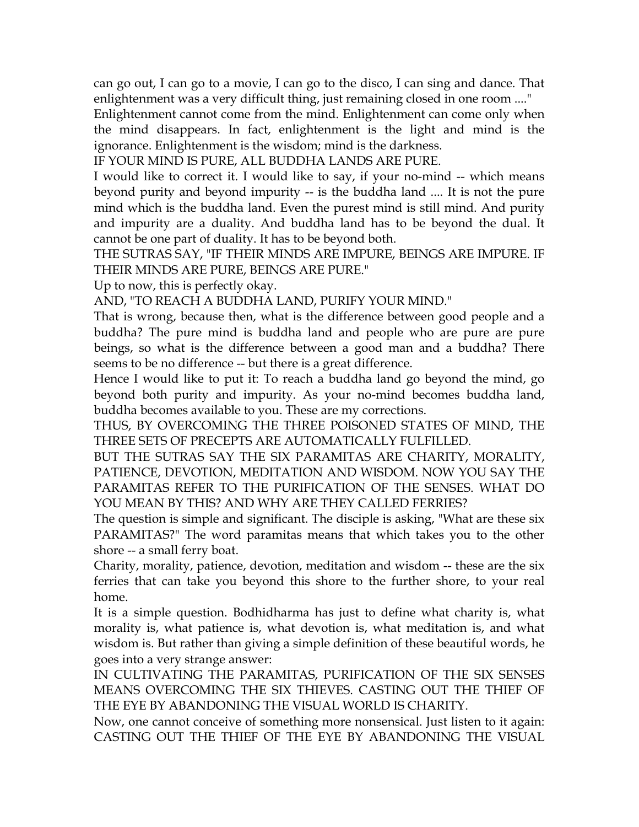can go out, I can go to a movie, I can go to the disco, I can sing and dance. That enlightenment was a very difficult thing, just remaining closed in one room ...."

Enlightenment cannot come from the mind. Enlightenment can come only when the mind disappears. In fact, enlightenment is the light and mind is the ignorance. Enlightenment is the wisdom; mind is the darkness.

IF YOUR MIND IS PURE, ALL BUDDHA LANDS ARE PURE.

I would like to correct it. I would like to say, if your no-mind -- which means beyond purity and beyond impurity -- is the buddha land .... It is not the pure mind which is the buddha land. Even the purest mind is still mind. And purity and impurity are a duality. And buddha land has to be beyond the dual. It cannot be one part of duality. It has to be beyond both.

THE SUTRAS SAY, "IF THEIR MINDS ARE IMPURE, BEINGS ARE IMPURE. IF THEIR MINDS ARE PURE, BEINGS ARE PURE."

Up to now, this is perfectly okay.

AND, "TO REACH A BUDDHA LAND, PURIFY YOUR MIND."

That is wrong, because then, what is the difference between good people and a buddha? The pure mind is buddha land and people who are pure are pure beings, so what is the difference between a good man and a buddha? There seems to be no difference -- but there is a great difference.

Hence I would like to put it: To reach a buddha land go beyond the mind, go beyond both purity and impurity. As your no-mind becomes buddha land, buddha becomes available to you. These are my corrections.

THUS, BY OVERCOMING THE THREE POISONED STATES OF MIND, THE THREE SETS OF PRECEPTS ARE AUTOMATICALLY FULFILLED.

BUT THE SUTRAS SAY THE SIX PARAMITAS ARE CHARITY, MORALITY, PATIENCE, DEVOTION, MEDITATION AND WISDOM. NOW YOU SAY THE PARAMITAS REFER TO THE PURIFICATION OF THE SENSES. WHAT DO YOU MEAN BY THIS? AND WHY ARE THEY CALLED FERRIES?

The question is simple and significant. The disciple is asking, "What are these six PARAMITAS?" The word paramitas means that which takes you to the other shore -- a small ferry boat.

Charity, morality, patience, devotion, meditation and wisdom -- these are the six ferries that can take you beyond this shore to the further shore, to your real home.

It is a simple question. Bodhidharma has just to define what charity is, what morality is, what patience is, what devotion is, what meditation is, and what wisdom is. But rather than giving a simple definition of these beautiful words, he goes into a very strange answer:

IN CULTIVATING THE PARAMITAS, PURIFICATION OF THE SIX SENSES MEANS OVERCOMING THE SIX THIEVES. CASTING OUT THE THIEF OF THE EYE BY ABANDONING THE VISUAL WORLD IS CHARITY.

Now, one cannot conceive of something more nonsensical. Just listen to it again: CASTING OUT THE THIEF OF THE EYE BY ABANDONING THE VISUAL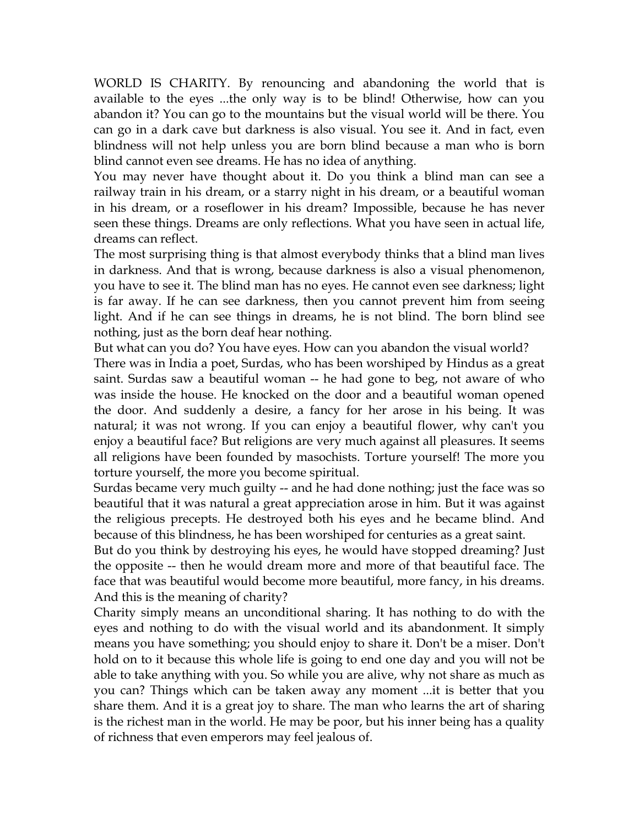WORLD IS CHARITY. By renouncing and abandoning the world that is available to the eyes ...the only way is to be blind! Otherwise, how can you abandon it? You can go to the mountains but the visual world will be there. You can go in a dark cave but darkness is also visual. You see it. And in fact, even blindness will not help unless you are born blind because a man who is born blind cannot even see dreams. He has no idea of anything.

You may never have thought about it. Do you think a blind man can see a railway train in his dream, or a starry night in his dream, or a beautiful woman in his dream, or a roseflower in his dream? Impossible, because he has never seen these things. Dreams are only reflections. What you have seen in actual life, dreams can reflect.

The most surprising thing is that almost everybody thinks that a blind man lives in darkness. And that is wrong, because darkness is also a visual phenomenon, you have to see it. The blind man has no eyes. He cannot even see darkness; light is far away. If he can see darkness, then you cannot prevent him from seeing light. And if he can see things in dreams, he is not blind. The born blind see nothing, just as the born deaf hear nothing.

But what can you do? You have eyes. How can you abandon the visual world? There was in India a poet, Surdas, who has been worshiped by Hindus as a great saint. Surdas saw a beautiful woman -- he had gone to beg, not aware of who was inside the house. He knocked on the door and a beautiful woman opened the door. And suddenly a desire, a fancy for her arose in his being. It was natural; it was not wrong. If you can enjoy a beautiful flower, why can't you enjoy a beautiful face? But religions are very much against all pleasures. It seems all religions have been founded by masochists. Torture yourself! The more you torture yourself, the more you become spiritual.

Surdas became very much guilty -- and he had done nothing; just the face was so beautiful that it was natural a great appreciation arose in him. But it was against the religious precepts. He destroyed both his eyes and he became blind. And because of this blindness, he has been worshiped for centuries as a great saint.

But do you think by destroying his eyes, he would have stopped dreaming? Just the opposite -- then he would dream more and more of that beautiful face. The face that was beautiful would become more beautiful, more fancy, in his dreams. And this is the meaning of charity?

Charity simply means an unconditional sharing. It has nothing to do with the eyes and nothing to do with the visual world and its abandonment. It simply means you have something; you should enjoy to share it. Don't be a miser. Don't hold on to it because this whole life is going to end one day and you will not be able to take anything with you. So while you are alive, why not share as much as you can? Things which can be taken away any moment ...it is better that you share them. And it is a great joy to share. The man who learns the art of sharing is the richest man in the world. He may be poor, but his inner being has a quality of richness that even emperors may feel jealous of.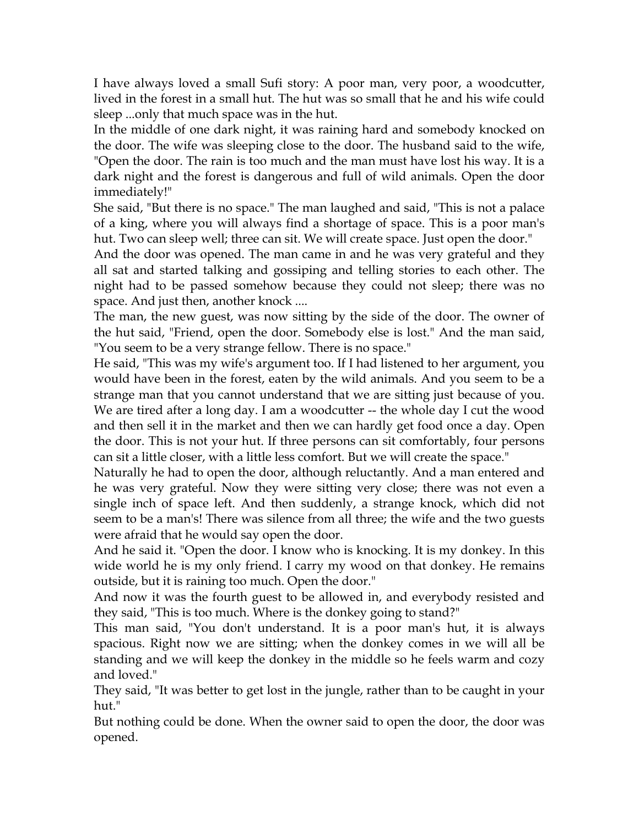I have always loved a small Sufi story: A poor man, very poor, a woodcutter, lived in the forest in a small hut. The hut was so small that he and his wife could sleep ...only that much space was in the hut.

In the middle of one dark night, it was raining hard and somebody knocked on the door. The wife was sleeping close to the door. The husband said to the wife, "Open the door. The rain is too much and the man must have lost his way. It is a dark night and the forest is dangerous and full of wild animals. Open the door immediately!"

She said, "But there is no space." The man laughed and said, "This is not a palace of a king, where you will always find a shortage of space. This is a poor man's hut. Two can sleep well; three can sit. We will create space. Just open the door."

And the door was opened. The man came in and he was very grateful and they all sat and started talking and gossiping and telling stories to each other. The night had to be passed somehow because they could not sleep; there was no space. And just then, another knock ....

The man, the new guest, was now sitting by the side of the door. The owner of the hut said, "Friend, open the door. Somebody else is lost." And the man said, "You seem to be a very strange fellow. There is no space."

He said, "This was my wife's argument too. If I had listened to her argument, you would have been in the forest, eaten by the wild animals. And you seem to be a strange man that you cannot understand that we are sitting just because of you. We are tired after a long day. I am a woodcutter -- the whole day I cut the wood and then sell it in the market and then we can hardly get food once a day. Open the door. This is not your hut. If three persons can sit comfortably, four persons can sit a little closer, with a little less comfort. But we will create the space."

Naturally he had to open the door, although reluctantly. And a man entered and he was very grateful. Now they were sitting very close; there was not even a single inch of space left. And then suddenly, a strange knock, which did not seem to be a man's! There was silence from all three; the wife and the two guests were afraid that he would say open the door.

And he said it. "Open the door. I know who is knocking. It is my donkey. In this wide world he is my only friend. I carry my wood on that donkey. He remains outside, but it is raining too much. Open the door."

And now it was the fourth guest to be allowed in, and everybody resisted and they said, "This is too much. Where is the donkey going to stand?"

This man said, "You don't understand. It is a poor man's hut, it is always spacious. Right now we are sitting; when the donkey comes in we will all be standing and we will keep the donkey in the middle so he feels warm and cozy and loved."

They said, "It was better to get lost in the jungle, rather than to be caught in your hut."

But nothing could be done. When the owner said to open the door, the door was opened.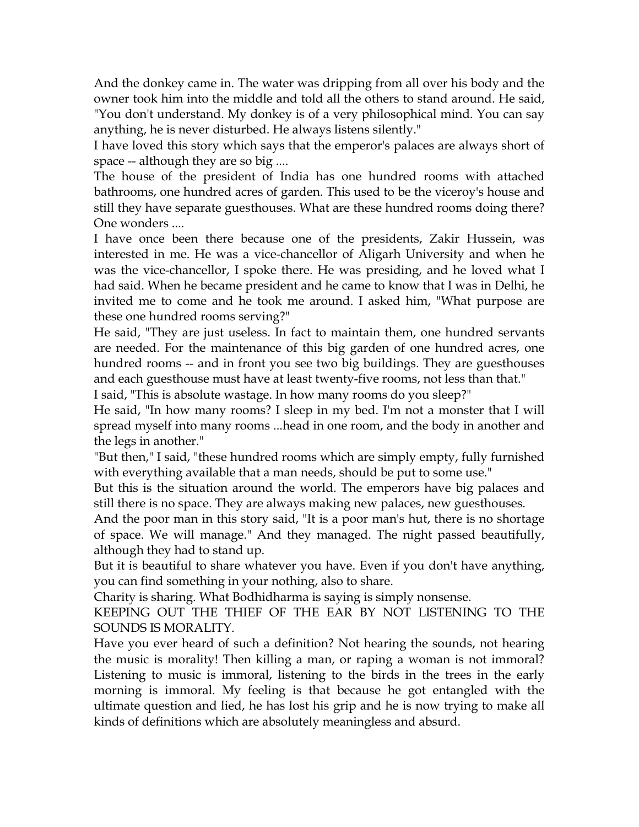And the donkey came in. The water was dripping from all over his body and the owner took him into the middle and told all the others to stand around. He said, "You don't understand. My donkey is of a very philosophical mind. You can say anything, he is never disturbed. He always listens silently."

I have loved this story which says that the emperor's palaces are always short of space -- although they are so big ....

The house of the president of India has one hundred rooms with attached bathrooms, one hundred acres of garden. This used to be the viceroy's house and still they have separate guesthouses. What are these hundred rooms doing there? One wonders ....

I have once been there because one of the presidents, Zakir Hussein, was interested in me. He was a vice-chancellor of Aligarh University and when he was the vice-chancellor, I spoke there. He was presiding, and he loved what I had said. When he became president and he came to know that I was in Delhi, he invited me to come and he took me around. I asked him, "What purpose are these one hundred rooms serving?"

He said, "They are just useless. In fact to maintain them, one hundred servants are needed. For the maintenance of this big garden of one hundred acres, one hundred rooms -- and in front you see two big buildings. They are guesthouses and each guesthouse must have at least twenty-five rooms, not less than that."

I said, "This is absolute wastage. In how many rooms do you sleep?"

He said, "In how many rooms? I sleep in my bed. I'm not a monster that I will spread myself into many rooms ...head in one room, and the body in another and the legs in another."

"But then," I said, "these hundred rooms which are simply empty, fully furnished with everything available that a man needs, should be put to some use."

But this is the situation around the world. The emperors have big palaces and still there is no space. They are always making new palaces, new guesthouses.

And the poor man in this story said, "It is a poor man's hut, there is no shortage of space. We will manage." And they managed. The night passed beautifully, although they had to stand up.

But it is beautiful to share whatever you have. Even if you don't have anything, you can find something in your nothing, also to share.

Charity is sharing. What Bodhidharma is saying is simply nonsense.

KEEPING OUT THE THIEF OF THE EAR BY NOT LISTENING TO THE SOUNDS IS MORALITY.

Have you ever heard of such a definition? Not hearing the sounds, not hearing the music is morality! Then killing a man, or raping a woman is not immoral? Listening to music is immoral, listening to the birds in the trees in the early morning is immoral. My feeling is that because he got entangled with the ultimate question and lied, he has lost his grip and he is now trying to make all kinds of definitions which are absolutely meaningless and absurd.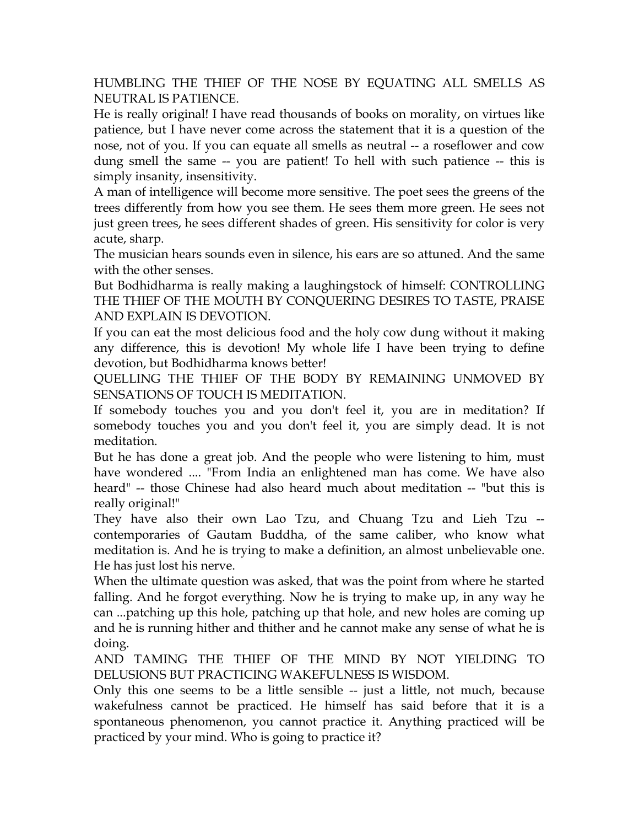HUMBLING THE THIEF OF THE NOSE BY EQUATING ALL SMELLS AS NEUTRAL IS PATIENCE.

He is really original! I have read thousands of books on morality, on virtues like patience, but I have never come across the statement that it is a question of the nose, not of you. If you can equate all smells as neutral -- a roseflower and cow dung smell the same -- you are patient! To hell with such patience -- this is simply insanity, insensitivity.

A man of intelligence will become more sensitive. The poet sees the greens of the trees differently from how you see them. He sees them more green. He sees not just green trees, he sees different shades of green. His sensitivity for color is very acute, sharp.

The musician hears sounds even in silence, his ears are so attuned. And the same with the other senses.

But Bodhidharma is really making a laughingstock of himself: CONTROLLING THE THIEF OF THE MOUTH BY CONQUERING DESIRES TO TASTE, PRAISE AND EXPLAIN IS DEVOTION.

If you can eat the most delicious food and the holy cow dung without it making any difference, this is devotion! My whole life I have been trying to define devotion, but Bodhidharma knows better!

QUELLING THE THIEF OF THE BODY BY REMAINING UNMOVED BY SENSATIONS OF TOUCH IS MEDITATION.

If somebody touches you and you don't feel it, you are in meditation? If somebody touches you and you don't feel it, you are simply dead. It is not meditation.

But he has done a great job. And the people who were listening to him, must have wondered .... "From India an enlightened man has come. We have also heard" -- those Chinese had also heard much about meditation -- "but this is really original!"

They have also their own Lao Tzu, and Chuang Tzu and Lieh Tzu - contemporaries of Gautam Buddha, of the same caliber, who know what meditation is. And he is trying to make a definition, an almost unbelievable one. He has just lost his nerve.

When the ultimate question was asked, that was the point from where he started falling. And he forgot everything. Now he is trying to make up, in any way he can ...patching up this hole, patching up that hole, and new holes are coming up and he is running hither and thither and he cannot make any sense of what he is doing.

AND TAMING THE THIEF OF THE MIND BY NOT YIELDING TO DELUSIONS BUT PRACTICING WAKEFULNESS IS WISDOM.

Only this one seems to be a little sensible -- just a little, not much, because wakefulness cannot be practiced. He himself has said before that it is a spontaneous phenomenon, you cannot practice it. Anything practiced will be practiced by your mind. Who is going to practice it?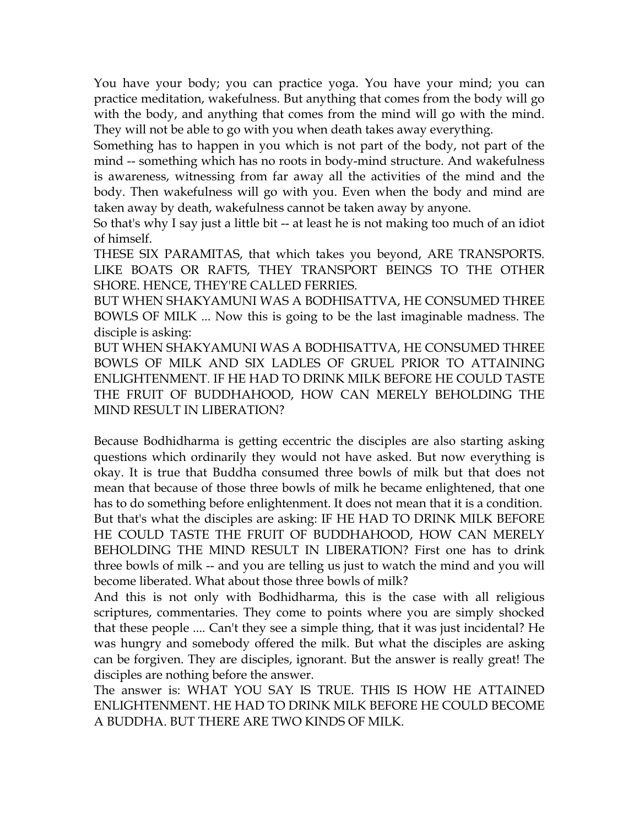You have your body; you can practice yoga. You have your mind; you can practice meditation, wakefulness. But anything that comes from the body will go with the body, and anything that comes from the mind will go with the mind. They will not be able to go with you when death takes away everything.

Something has to happen in you which is not part of the body, not part of the mind -- something which has no roots in body-mind structure. And wakefulness is awareness, witnessing from far away all the activities of the mind and the body. Then wakefulness will go with you. Even when the body and mind are taken away by death, wakefulness cannot be taken away by anyone.

So that's why I say just a little bit -- at least he is not making too much of an idiot of himself.

THESE SIX PARAMITAS, that which takes you beyond, ARE TRANSPORTS. LIKE BOATS OR RAFTS, THEY TRANSPORT BEINGS TO THE OTHER SHORE. HENCE, THEY'RE CALLED FERRIES.

BUT WHEN SHAKYAMUNI WAS A BODHISATTVA, HE CONSUMED THREE BOWLS OF MILK ... Now this is going to be the last imaginable madness. The disciple is asking:

BUT WHEN SHAKYAMUNI WAS A BODHISATTVA, HE CONSUMED THREE BOWLS OF MILK AND SIX LADLES OF GRUEL PRIOR TO ATTAINING ENLIGHTENMENT. IF HE HAD TO DRINK MILK BEFORE HE COULD TASTE THE FRUIT OF BUDDHAHOOD, HOW CAN MERELY BEHOLDING THE MIND RESULT IN LIBERATION?

Because Bodhidharma is getting eccentric the disciples are also starting asking questions which ordinarily they would not have asked. But now everything is okay. It is true that Buddha consumed three bowls of milk but that does not mean that because of those three bowls of milk he became enlightened, that one has to do something before enlightenment. It does not mean that it is a condition. But that's what the disciples are asking: IF HE HAD TO DRINK MILK BEFORE HE COULD TASTE THE FRUIT OF BUDDHAHOOD, HOW CAN MERELY BEHOLDING THE MIND RESULT IN LIBERATION? First one has to drink three bowls of milk -- and you are telling us just to watch the mind and you will become liberated. What about those three bowls of milk?

And this is not only with Bodhidharma, this is the case with all religious scriptures, commentaries. They come to points where you are simply shocked that these people .... Can't they see a simple thing, that it was just incidental? He was hungry and somebody offered the milk. But what the disciples are asking can be forgiven. They are disciples, ignorant. But the answer is really great! The disciples are nothing before the answer.

The answer is: WHAT YOU SAY IS TRUE. THIS IS HOW HE ATTAINED ENLIGHTENMENT. HE HAD TO DRINK MILK BEFORE HE COULD BECOME A BUDDHA. BUT THERE ARE TWO KINDS OF MILK.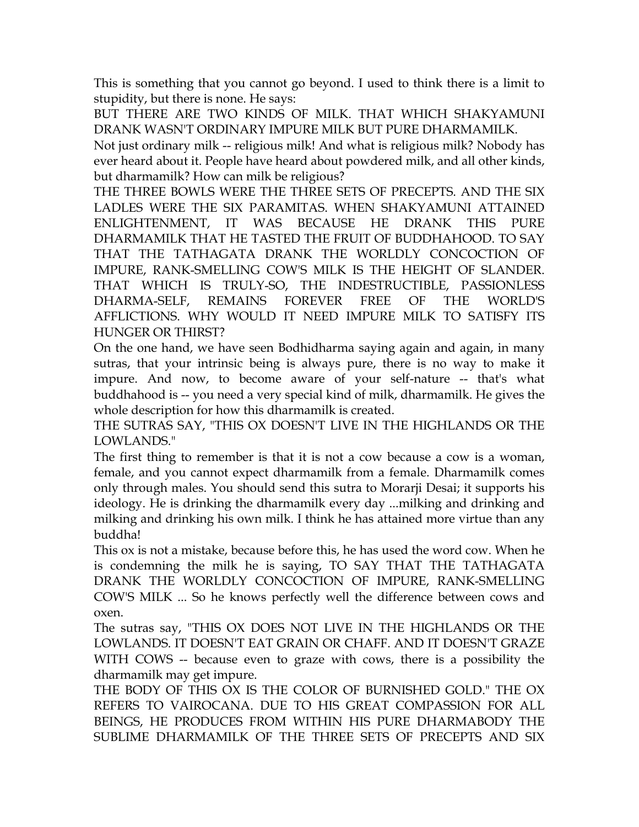This is something that you cannot go beyond. I used to think there is a limit to stupidity, but there is none. He says:

BUT THERE ARE TWO KINDS OF MILK. THAT WHICH SHAKYAMUNI DRANK WASN'T ORDINARY IMPURE MILK BUT PURE DHARMAMILK.

Not just ordinary milk -- religious milk! And what is religious milk? Nobody has ever heard about it. People have heard about powdered milk, and all other kinds, but dharmamilk? How can milk be religious?

THE THREE BOWLS WERE THE THREE SETS OF PRECEPTS. AND THE SIX LADLES WERE THE SIX PARAMITAS. WHEN SHAKYAMUNI ATTAINED ENLIGHTENMENT, IT WAS BECAUSE HE DRANK THIS PURE DHARMAMILK THAT HE TASTED THE FRUIT OF BUDDHAHOOD. TO SAY THAT THE TATHAGATA DRANK THE WORLDLY CONCOCTION OF IMPURE, RANK-SMELLING COW'S MILK IS THE HEIGHT OF SLANDER. THAT WHICH IS TRULY-SO, THE INDESTRUCTIBLE, PASSIONLESS DHARMA-SELF, REMAINS FOREVER FREE OF THE WORLD'S AFFLICTIONS. WHY WOULD IT NEED IMPURE MILK TO SATISFY ITS HUNGER OR THIRST?

On the one hand, we have seen Bodhidharma saying again and again, in many sutras, that your intrinsic being is always pure, there is no way to make it impure. And now, to become aware of your self-nature -- that's what buddhahood is -- you need a very special kind of milk, dharmamilk. He gives the whole description for how this dharmamilk is created.

THE SUTRAS SAY, "THIS OX DOESN'T LIVE IN THE HIGHLANDS OR THE LOWLANDS."

The first thing to remember is that it is not a cow because a cow is a woman, female, and you cannot expect dharmamilk from a female. Dharmamilk comes only through males. You should send this sutra to Morarji Desai; it supports his ideology. He is drinking the dharmamilk every day ...milking and drinking and milking and drinking his own milk. I think he has attained more virtue than any buddha!

This ox is not a mistake, because before this, he has used the word cow. When he is condemning the milk he is saying, TO SAY THAT THE TATHAGATA DRANK THE WORLDLY CONCOCTION OF IMPURE, RANK-SMELLING COW'S MILK ... So he knows perfectly well the difference between cows and oxen.

The sutras say, "THIS OX DOES NOT LIVE IN THE HIGHLANDS OR THE LOWLANDS. IT DOESN'T EAT GRAIN OR CHAFF. AND IT DOESN'T GRAZE WITH COWS -- because even to graze with cows, there is a possibility the dharmamilk may get impure.

THE BODY OF THIS OX IS THE COLOR OF BURNISHED GOLD." THE OX REFERS TO VAIROCANA. DUE TO HIS GREAT COMPASSION FOR ALL BEINGS, HE PRODUCES FROM WITHIN HIS PURE DHARMABODY THE SUBLIME DHARMAMILK OF THE THREE SETS OF PRECEPTS AND SIX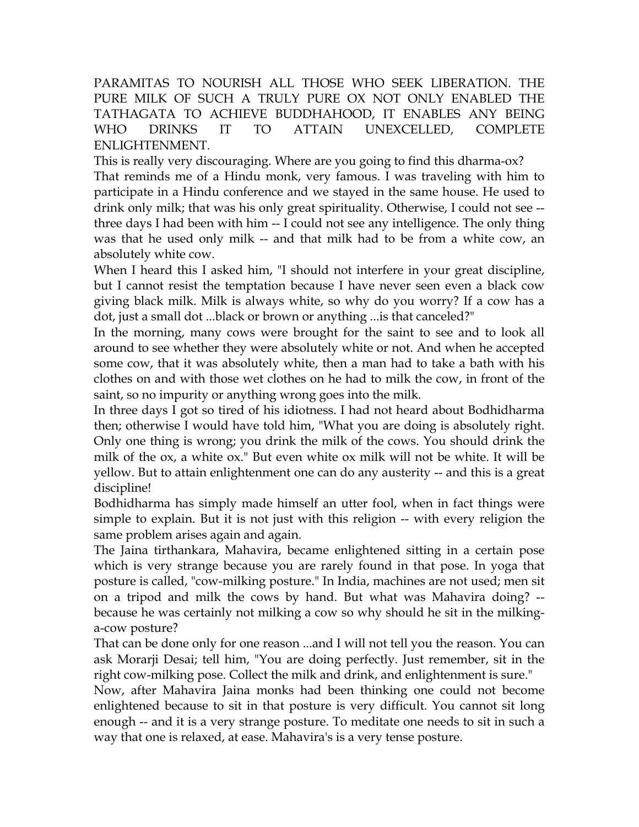PARAMITAS TO NOURISH ALL THOSE WHO SEEK LIBERATION. THE PURE MILK OF SUCH A TRULY PURE OX NOT ONLY ENABLED THE TATHAGATA TO ACHIEVE BUDDHAHOOD, IT ENABLES ANY BEING WHO DRINKS IT TO ATTAIN UNEXCELLED, COMPLETE ENLIGHTENMENT.

This is really very discouraging. Where are you going to find this dharma-ox? That reminds me of a Hindu monk, very famous. I was traveling with him to participate in a Hindu conference and we stayed in the same house. He used to drink only milk; that was his only great spirituality. Otherwise, I could not see - three days I had been with him -- I could not see any intelligence. The only thing was that he used only milk -- and that milk had to be from a white cow, an absolutely white cow.

When I heard this I asked him, "I should not interfere in your great discipline, but I cannot resist the temptation because I have never seen even a black cow giving black milk. Milk is always white, so why do you worry? If a cow has a dot, just a small dot ...black or brown or anything ...is that canceled?"

In the morning, many cows were brought for the saint to see and to look all around to see whether they were absolutely white or not. And when he accepted some cow, that it was absolutely white, then a man had to take a bath with his clothes on and with those wet clothes on he had to milk the cow, in front of the saint, so no impurity or anything wrong goes into the milk.

In three days I got so tired of his idiotness. I had not heard about Bodhidharma then; otherwise I would have told him, "What you are doing is absolutely right. Only one thing is wrong; you drink the milk of the cows. You should drink the milk of the ox, a white ox." But even white ox milk will not be white. It will be yellow. But to attain enlightenment one can do any austerity -- and this is a great discipline!

Bodhidharma has simply made himself an utter fool, when in fact things were simple to explain. But it is not just with this religion -- with every religion the same problem arises again and again.

The Jaina tirthankara, Mahavira, became enlightened sitting in a certain pose which is very strange because you are rarely found in that pose. In yoga that posture is called, "cow-milking posture." In India, machines are not used; men sit on a tripod and milk the cows by hand. But what was Mahavira doing? - because he was certainly not milking a cow so why should he sit in the milkinga-cow posture?

That can be done only for one reason ...and I will not tell you the reason. You can ask Morarji Desai; tell him, "You are doing perfectly. Just remember, sit in the right cow-milking pose. Collect the milk and drink, and enlightenment is sure."

Now, after Mahavira Jaina monks had been thinking one could not become enlightened because to sit in that posture is very difficult. You cannot sit long enough -- and it is a very strange posture. To meditate one needs to sit in such a way that one is relaxed, at ease. Mahavira's is a very tense posture.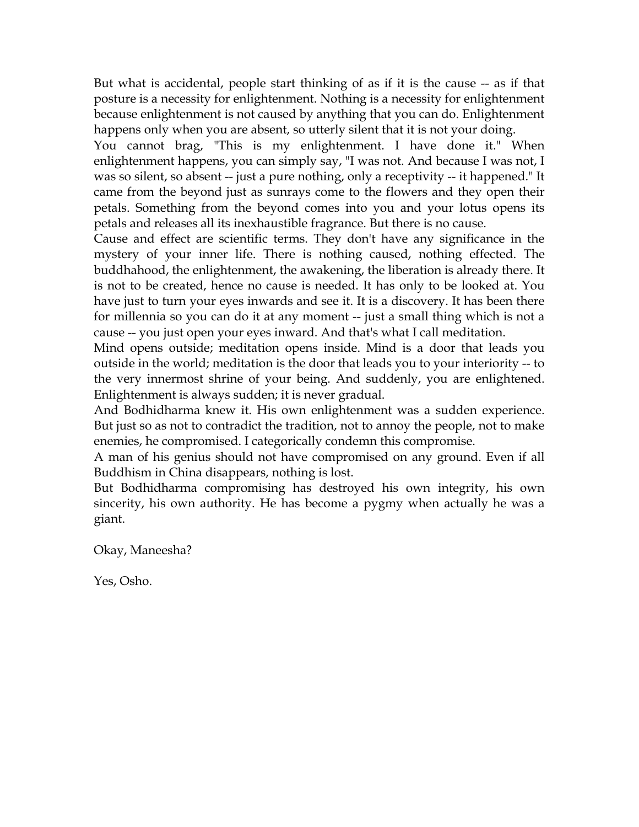But what is accidental, people start thinking of as if it is the cause -- as if that posture is a necessity for enlightenment. Nothing is a necessity for enlightenment because enlightenment is not caused by anything that you can do. Enlightenment happens only when you are absent, so utterly silent that it is not your doing.

You cannot brag, "This is my enlightenment. I have done it." When enlightenment happens, you can simply say, "I was not. And because I was not, I was so silent, so absent -- just a pure nothing, only a receptivity -- it happened." It came from the beyond just as sunrays come to the flowers and they open their petals. Something from the beyond comes into you and your lotus opens its petals and releases all its inexhaustible fragrance. But there is no cause.

Cause and effect are scientific terms. They don't have any significance in the mystery of your inner life. There is nothing caused, nothing effected. The buddhahood, the enlightenment, the awakening, the liberation is already there. It is not to be created, hence no cause is needed. It has only to be looked at. You have just to turn your eyes inwards and see it. It is a discovery. It has been there for millennia so you can do it at any moment -- just a small thing which is not a cause -- you just open your eyes inward. And that's what I call meditation.

Mind opens outside; meditation opens inside. Mind is a door that leads you outside in the world; meditation is the door that leads you to your interiority -- to the very innermost shrine of your being. And suddenly, you are enlightened. Enlightenment is always sudden; it is never gradual.

And Bodhidharma knew it. His own enlightenment was a sudden experience. But just so as not to contradict the tradition, not to annoy the people, not to make enemies, he compromised. I categorically condemn this compromise.

A man of his genius should not have compromised on any ground. Even if all Buddhism in China disappears, nothing is lost.

But Bodhidharma compromising has destroyed his own integrity, his own sincerity, his own authority. He has become a pygmy when actually he was a giant.

Okay, Maneesha?

Yes, Osho.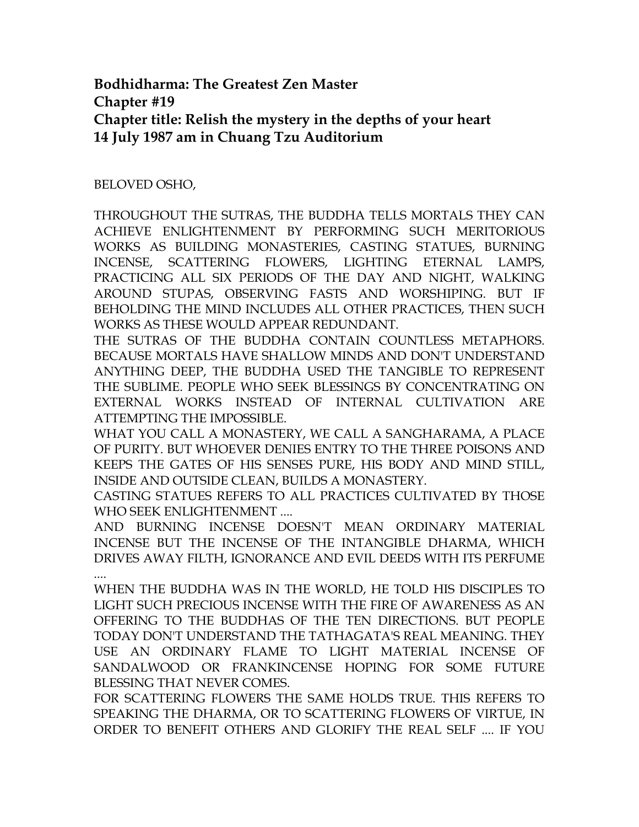## **Bodhidharma: The Greatest Zen Master Chapter #19 Chapter title: Relish the mystery in the depths of your heart 14 July 1987 am in Chuang Tzu Auditorium**

BELOVED OSHO,

THROUGHOUT THE SUTRAS, THE BUDDHA TELLS MORTALS THEY CAN ACHIEVE ENLIGHTENMENT BY PERFORMING SUCH MERITORIOUS WORKS AS BUILDING MONASTERIES, CASTING STATUES, BURNING INCENSE, SCATTERING FLOWERS, LIGHTING ETERNAL LAMPS, PRACTICING ALL SIX PERIODS OF THE DAY AND NIGHT, WALKING AROUND STUPAS, OBSERVING FASTS AND WORSHIPING. BUT IF BEHOLDING THE MIND INCLUDES ALL OTHER PRACTICES, THEN SUCH WORKS AS THESE WOULD APPEAR REDUNDANT.

THE SUTRAS OF THE BUDDHA CONTAIN COUNTLESS METAPHORS. BECAUSE MORTALS HAVE SHALLOW MINDS AND DON'T UNDERSTAND ANYTHING DEEP, THE BUDDHA USED THE TANGIBLE TO REPRESENT THE SUBLIME. PEOPLE WHO SEEK BLESSINGS BY CONCENTRATING ON EXTERNAL WORKS INSTEAD OF INTERNAL CULTIVATION ARE ATTEMPTING THE IMPOSSIBLE.

WHAT YOU CALL A MONASTERY, WE CALL A SANGHARAMA, A PLACE OF PURITY. BUT WHOEVER DENIES ENTRY TO THE THREE POISONS AND KEEPS THE GATES OF HIS SENSES PURE, HIS BODY AND MIND STILL, INSIDE AND OUTSIDE CLEAN, BUILDS A MONASTERY.

CASTING STATUES REFERS TO ALL PRACTICES CULTIVATED BY THOSE WHO SEEK ENLIGHTENMENT ....

AND BURNING INCENSE DOESN'T MEAN ORDINARY MATERIAL INCENSE BUT THE INCENSE OF THE INTANGIBLE DHARMA, WHICH DRIVES AWAY FILTH, IGNORANCE AND EVIL DEEDS WITH ITS PERFUME ....

WHEN THE BUDDHA WAS IN THE WORLD, HE TOLD HIS DISCIPLES TO LIGHT SUCH PRECIOUS INCENSE WITH THE FIRE OF AWARENESS AS AN OFFERING TO THE BUDDHAS OF THE TEN DIRECTIONS. BUT PEOPLE TODAY DON'T UNDERSTAND THE TATHAGATA'S REAL MEANING. THEY USE AN ORDINARY FLAME TO LIGHT MATERIAL INCENSE OF SANDALWOOD OR FRANKINCENSE HOPING FOR SOME FUTURE BLESSING THAT NEVER COMES.

FOR SCATTERING FLOWERS THE SAME HOLDS TRUE. THIS REFERS TO SPEAKING THE DHARMA, OR TO SCATTERING FLOWERS OF VIRTUE, IN ORDER TO BENEFIT OTHERS AND GLORIFY THE REAL SELF .... IF YOU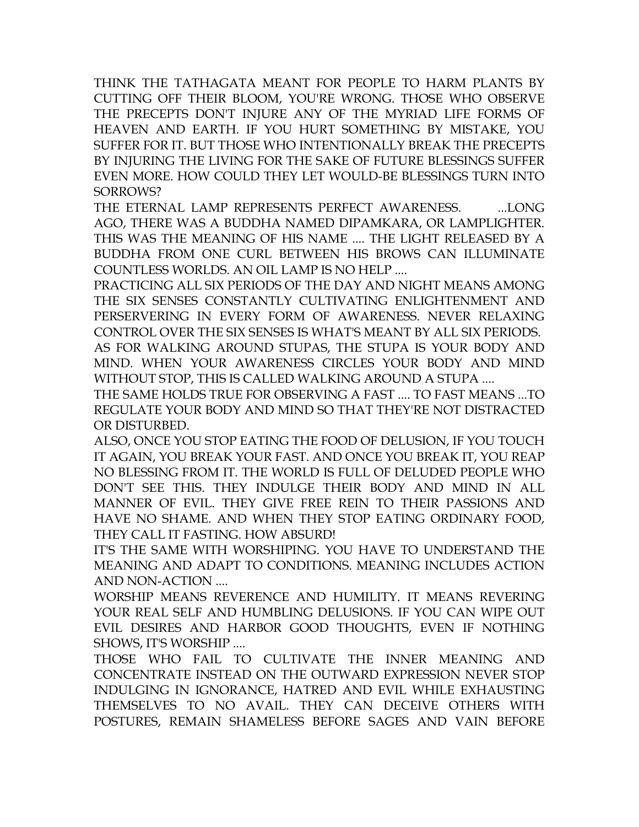THINK THE TATHAGATA MEANT FOR PEOPLE TO HARM PLANTS BY CUTTING OFF THEIR BLOOM, YOU'RE WRONG. THOSE WHO OBSERVE THE PRECEPTS DON'T INJURE ANY OF THE MYRIAD LIFE FORMS OF HEAVEN AND EARTH. IF YOU HURT SOMETHING BY MISTAKE, YOU SUFFER FOR IT. BUT THOSE WHO INTENTIONALLY BREAK THE PRECEPTS BY INJURING THE LIVING FOR THE SAKE OF FUTURE BLESSINGS SUFFER EVEN MORE. HOW COULD THEY LET WOULD-BE BLESSINGS TURN INTO SORROWS?

THE ETERNAL LAMP REPRESENTS PERFECT AWARENESS. ...LONG AGO, THERE WAS A BUDDHA NAMED DIPAMKARA, OR LAMPLIGHTER. THIS WAS THE MEANING OF HIS NAME .... THE LIGHT RELEASED BY A BUDDHA FROM ONE CURL BETWEEN HIS BROWS CAN ILLUMINATE COUNTLESS WORLDS. AN OIL LAMP IS NO HELP ....

PRACTICING ALL SIX PERIODS OF THE DAY AND NIGHT MEANS AMONG THE SIX SENSES CONSTANTLY CULTIVATING ENLIGHTENMENT AND PERSERVERING IN EVERY FORM OF AWARENESS. NEVER RELAXING CONTROL OVER THE SIX SENSES IS WHAT'S MEANT BY ALL SIX PERIODS. AS FOR WALKING AROUND STUPAS, THE STUPA IS YOUR BODY AND MIND. WHEN YOUR AWARENESS CIRCLES YOUR BODY AND MIND WITHOUT STOP, THIS IS CALLED WALKING AROUND A STUPA ....

THE SAME HOLDS TRUE FOR OBSERVING A FAST .... TO FAST MEANS ...TO REGULATE YOUR BODY AND MIND SO THAT THEY'RE NOT DISTRACTED OR DISTURBED.

ALSO, ONCE YOU STOP EATING THE FOOD OF DELUSION, IF YOU TOUCH IT AGAIN, YOU BREAK YOUR FAST. AND ONCE YOU BREAK IT, YOU REAP NO BLESSING FROM IT. THE WORLD IS FULL OF DELUDED PEOPLE WHO DON'T SEE THIS. THEY INDULGE THEIR BODY AND MIND IN ALL MANNER OF EVIL. THEY GIVE FREE REIN TO THEIR PASSIONS AND HAVE NO SHAME. AND WHEN THEY STOP EATING ORDINARY FOOD, THEY CALL IT FASTING. HOW ABSURD!

IT'S THE SAME WITH WORSHIPING. YOU HAVE TO UNDERSTAND THE MEANING AND ADAPT TO CONDITIONS. MEANING INCLUDES ACTION AND NON-ACTION ....

WORSHIP MEANS REVERENCE AND HUMILITY. IT MEANS REVERING YOUR REAL SELF AND HUMBLING DELUSIONS. IF YOU CAN WIPE OUT EVIL DESIRES AND HARBOR GOOD THOUGHTS, EVEN IF NOTHING SHOWS, IT'S WORSHIP ....

THOSE WHO FAIL TO CULTIVATE THE INNER MEANING AND CONCENTRATE INSTEAD ON THE OUTWARD EXPRESSION NEVER STOP INDULGING IN IGNORANCE, HATRED AND EVIL WHILE EXHAUSTING THEMSELVES TO NO AVAIL. THEY CAN DECEIVE OTHERS WITH POSTURES, REMAIN SHAMELESS BEFORE SAGES AND VAIN BEFORE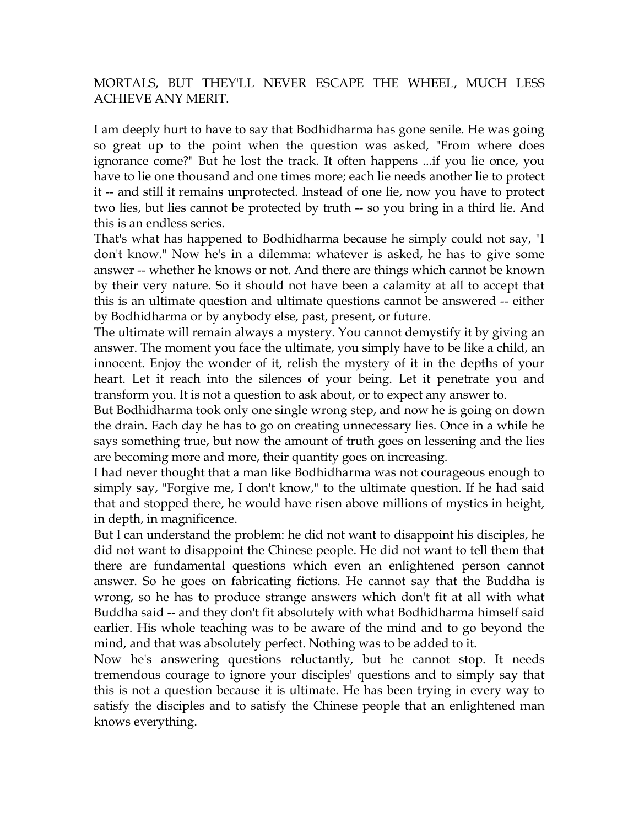## MORTALS, BUT THEY'LL NEVER ESCAPE THE WHEEL, MUCH LESS ACHIEVE ANY MERIT.

I am deeply hurt to have to say that Bodhidharma has gone senile. He was going so great up to the point when the question was asked, "From where does ignorance come?" But he lost the track. It often happens ...if you lie once, you have to lie one thousand and one times more; each lie needs another lie to protect it -- and still it remains unprotected. Instead of one lie, now you have to protect two lies, but lies cannot be protected by truth -- so you bring in a third lie. And this is an endless series.

That's what has happened to Bodhidharma because he simply could not say, "I don't know." Now he's in a dilemma: whatever is asked, he has to give some answer -- whether he knows or not. And there are things which cannot be known by their very nature. So it should not have been a calamity at all to accept that this is an ultimate question and ultimate questions cannot be answered -- either by Bodhidharma or by anybody else, past, present, or future.

The ultimate will remain always a mystery. You cannot demystify it by giving an answer. The moment you face the ultimate, you simply have to be like a child, an innocent. Enjoy the wonder of it, relish the mystery of it in the depths of your heart. Let it reach into the silences of your being. Let it penetrate you and transform you. It is not a question to ask about, or to expect any answer to.

But Bodhidharma took only one single wrong step, and now he is going on down the drain. Each day he has to go on creating unnecessary lies. Once in a while he says something true, but now the amount of truth goes on lessening and the lies are becoming more and more, their quantity goes on increasing.

I had never thought that a man like Bodhidharma was not courageous enough to simply say, "Forgive me, I don't know," to the ultimate question. If he had said that and stopped there, he would have risen above millions of mystics in height, in depth, in magnificence.

But I can understand the problem: he did not want to disappoint his disciples, he did not want to disappoint the Chinese people. He did not want to tell them that there are fundamental questions which even an enlightened person cannot answer. So he goes on fabricating fictions. He cannot say that the Buddha is wrong, so he has to produce strange answers which don't fit at all with what Buddha said -- and they don't fit absolutely with what Bodhidharma himself said earlier. His whole teaching was to be aware of the mind and to go beyond the mind, and that was absolutely perfect. Nothing was to be added to it.

Now he's answering questions reluctantly, but he cannot stop. It needs tremendous courage to ignore your disciples' questions and to simply say that this is not a question because it is ultimate. He has been trying in every way to satisfy the disciples and to satisfy the Chinese people that an enlightened man knows everything.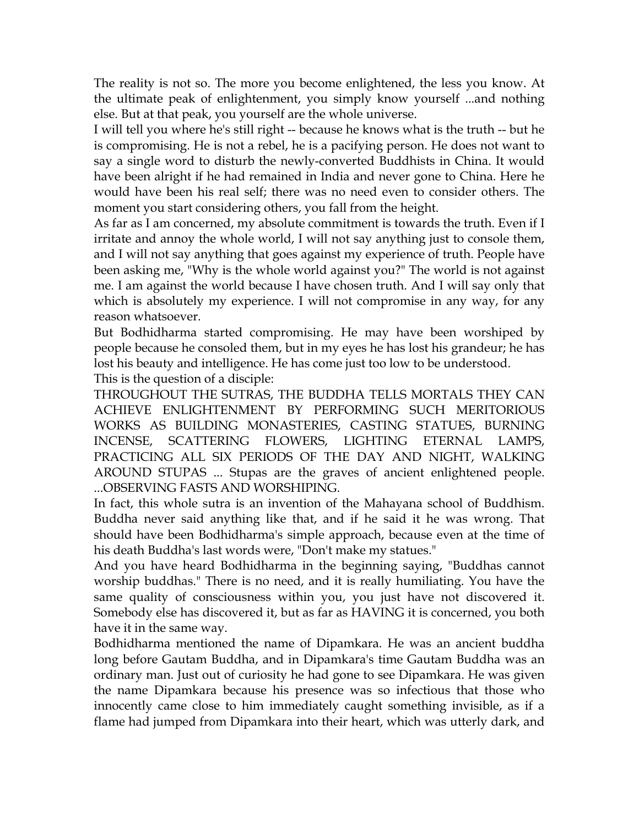The reality is not so. The more you become enlightened, the less you know. At the ultimate peak of enlightenment, you simply know yourself ...and nothing else. But at that peak, you yourself are the whole universe.

I will tell you where he's still right -- because he knows what is the truth -- but he is compromising. He is not a rebel, he is a pacifying person. He does not want to say a single word to disturb the newly-converted Buddhists in China. It would have been alright if he had remained in India and never gone to China. Here he would have been his real self; there was no need even to consider others. The moment you start considering others, you fall from the height.

As far as I am concerned, my absolute commitment is towards the truth. Even if I irritate and annoy the whole world, I will not say anything just to console them, and I will not say anything that goes against my experience of truth. People have been asking me, "Why is the whole world against you?" The world is not against me. I am against the world because I have chosen truth. And I will say only that which is absolutely my experience. I will not compromise in any way, for any reason whatsoever.

But Bodhidharma started compromising. He may have been worshiped by people because he consoled them, but in my eyes he has lost his grandeur; he has lost his beauty and intelligence. He has come just too low to be understood. This is the question of a disciple:

THROUGHOUT THE SUTRAS, THE BUDDHA TELLS MORTALS THEY CAN ACHIEVE ENLIGHTENMENT BY PERFORMING SUCH MERITORIOUS WORKS AS BUILDING MONASTERIES, CASTING STATUES, BURNING INCENSE, SCATTERING FLOWERS, LIGHTING ETERNAL LAMPS, PRACTICING ALL SIX PERIODS OF THE DAY AND NIGHT, WALKING AROUND STUPAS ... Stupas are the graves of ancient enlightened people. ...OBSERVING FASTS AND WORSHIPING.

In fact, this whole sutra is an invention of the Mahayana school of Buddhism. Buddha never said anything like that, and if he said it he was wrong. That should have been Bodhidharma's simple approach, because even at the time of his death Buddha's last words were, "Don't make my statues."

And you have heard Bodhidharma in the beginning saying, "Buddhas cannot worship buddhas." There is no need, and it is really humiliating. You have the same quality of consciousness within you, you just have not discovered it. Somebody else has discovered it, but as far as HAVING it is concerned, you both have it in the same way.

Bodhidharma mentioned the name of Dipamkara. He was an ancient buddha long before Gautam Buddha, and in Dipamkara's time Gautam Buddha was an ordinary man. Just out of curiosity he had gone to see Dipamkara. He was given the name Dipamkara because his presence was so infectious that those who innocently came close to him immediately caught something invisible, as if a flame had jumped from Dipamkara into their heart, which was utterly dark, and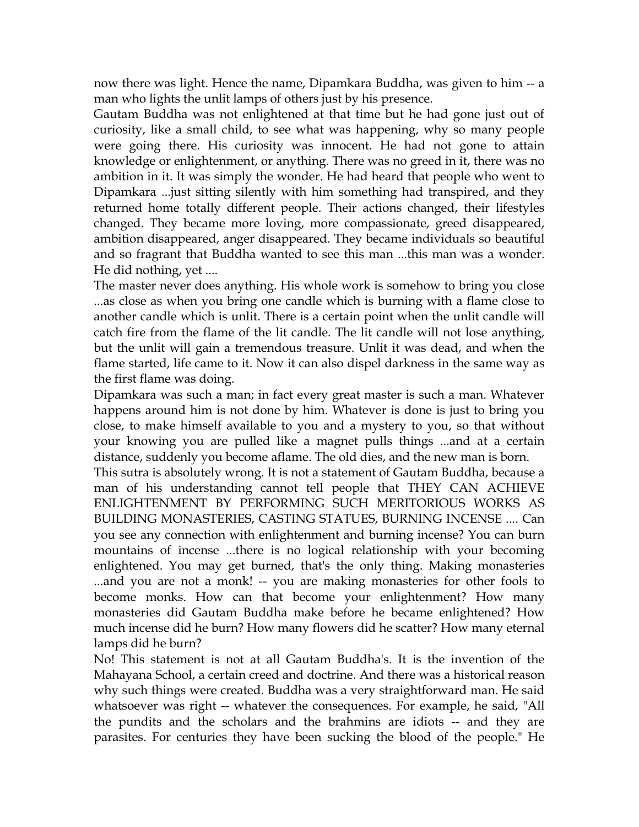now there was light. Hence the name, Dipamkara Buddha, was given to him -- a man who lights the unlit lamps of others just by his presence.

Gautam Buddha was not enlightened at that time but he had gone just out of curiosity, like a small child, to see what was happening, why so many people were going there. His curiosity was innocent. He had not gone to attain knowledge or enlightenment, or anything. There was no greed in it, there was no ambition in it. It was simply the wonder. He had heard that people who went to Dipamkara ...just sitting silently with him something had transpired, and they returned home totally different people. Their actions changed, their lifestyles changed. They became more loving, more compassionate, greed disappeared, ambition disappeared, anger disappeared. They became individuals so beautiful and so fragrant that Buddha wanted to see this man ...this man was a wonder. He did nothing, yet ....

The master never does anything. His whole work is somehow to bring you close ...as close as when you bring one candle which is burning with a flame close to another candle which is unlit. There is a certain point when the unlit candle will catch fire from the flame of the lit candle. The lit candle will not lose anything, but the unlit will gain a tremendous treasure. Unlit it was dead, and when the flame started, life came to it. Now it can also dispel darkness in the same way as the first flame was doing.

Dipamkara was such a man; in fact every great master is such a man. Whatever happens around him is not done by him. Whatever is done is just to bring you close, to make himself available to you and a mystery to you, so that without your knowing you are pulled like a magnet pulls things ...and at a certain distance, suddenly you become aflame. The old dies, and the new man is born.

This sutra is absolutely wrong. It is not a statement of Gautam Buddha, because a man of his understanding cannot tell people that THEY CAN ACHIEVE ENLIGHTENMENT BY PERFORMING SUCH MERITORIOUS WORKS AS BUILDING MONASTERIES, CASTING STATUES, BURNING INCENSE .... Can you see any connection with enlightenment and burning incense? You can burn mountains of incense ...there is no logical relationship with your becoming enlightened. You may get burned, that's the only thing. Making monasteries ...and you are not a monk! -- you are making monasteries for other fools to become monks. How can that become your enlightenment? How many monasteries did Gautam Buddha make before he became enlightened? How much incense did he burn? How many flowers did he scatter? How many eternal lamps did he burn?

No! This statement is not at all Gautam Buddha's. It is the invention of the Mahayana School, a certain creed and doctrine. And there was a historical reason why such things were created. Buddha was a very straightforward man. He said whatsoever was right -- whatever the consequences. For example, he said, "All the pundits and the scholars and the brahmins are idiots -- and they are parasites. For centuries they have been sucking the blood of the people." He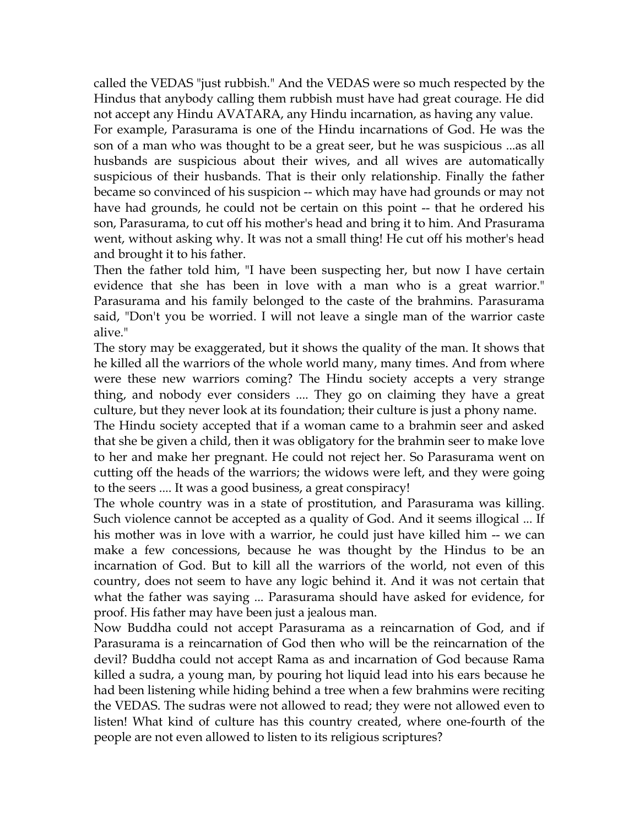called the VEDAS "just rubbish." And the VEDAS were so much respected by the Hindus that anybody calling them rubbish must have had great courage. He did not accept any Hindu AVATARA, any Hindu incarnation, as having any value.

For example, Parasurama is one of the Hindu incarnations of God. He was the son of a man who was thought to be a great seer, but he was suspicious ...as all husbands are suspicious about their wives, and all wives are automatically suspicious of their husbands. That is their only relationship. Finally the father became so convinced of his suspicion -- which may have had grounds or may not have had grounds, he could not be certain on this point -- that he ordered his son, Parasurama, to cut off his mother's head and bring it to him. And Prasurama went, without asking why. It was not a small thing! He cut off his mother's head and brought it to his father.

Then the father told him, "I have been suspecting her, but now I have certain evidence that she has been in love with a man who is a great warrior." Parasurama and his family belonged to the caste of the brahmins. Parasurama said, "Don't you be worried. I will not leave a single man of the warrior caste alive."

The story may be exaggerated, but it shows the quality of the man. It shows that he killed all the warriors of the whole world many, many times. And from where were these new warriors coming? The Hindu society accepts a very strange thing, and nobody ever considers .... They go on claiming they have a great culture, but they never look at its foundation; their culture is just a phony name.

The Hindu society accepted that if a woman came to a brahmin seer and asked that she be given a child, then it was obligatory for the brahmin seer to make love to her and make her pregnant. He could not reject her. So Parasurama went on cutting off the heads of the warriors; the widows were left, and they were going to the seers .... It was a good business, a great conspiracy!

The whole country was in a state of prostitution, and Parasurama was killing. Such violence cannot be accepted as a quality of God. And it seems illogical ... If his mother was in love with a warrior, he could just have killed him -- we can make a few concessions, because he was thought by the Hindus to be an incarnation of God. But to kill all the warriors of the world, not even of this country, does not seem to have any logic behind it. And it was not certain that what the father was saying ... Parasurama should have asked for evidence, for proof. His father may have been just a jealous man.

Now Buddha could not accept Parasurama as a reincarnation of God, and if Parasurama is a reincarnation of God then who will be the reincarnation of the devil? Buddha could not accept Rama as and incarnation of God because Rama killed a sudra, a young man, by pouring hot liquid lead into his ears because he had been listening while hiding behind a tree when a few brahmins were reciting the VEDAS. The sudras were not allowed to read; they were not allowed even to listen! What kind of culture has this country created, where one-fourth of the people are not even allowed to listen to its religious scriptures?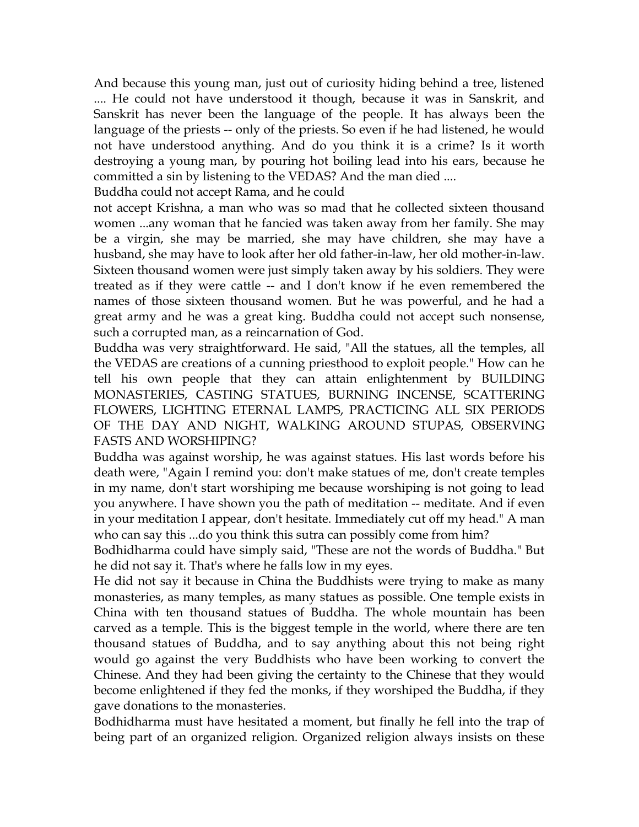And because this young man, just out of curiosity hiding behind a tree, listened .... He could not have understood it though, because it was in Sanskrit, and Sanskrit has never been the language of the people. It has always been the language of the priests -- only of the priests. So even if he had listened, he would not have understood anything. And do you think it is a crime? Is it worth destroying a young man, by pouring hot boiling lead into his ears, because he committed a sin by listening to the VEDAS? And the man died ....

Buddha could not accept Rama, and he could

not accept Krishna, a man who was so mad that he collected sixteen thousand women ...any woman that he fancied was taken away from her family. She may be a virgin, she may be married, she may have children, she may have a husband, she may have to look after her old father-in-law, her old mother-in-law. Sixteen thousand women were just simply taken away by his soldiers. They were treated as if they were cattle -- and I don't know if he even remembered the names of those sixteen thousand women. But he was powerful, and he had a great army and he was a great king. Buddha could not accept such nonsense, such a corrupted man, as a reincarnation of God.

Buddha was very straightforward. He said, "All the statues, all the temples, all the VEDAS are creations of a cunning priesthood to exploit people." How can he tell his own people that they can attain enlightenment by BUILDING MONASTERIES, CASTING STATUES, BURNING INCENSE, SCATTERING FLOWERS, LIGHTING ETERNAL LAMPS, PRACTICING ALL SIX PERIODS OF THE DAY AND NIGHT, WALKING AROUND STUPAS, OBSERVING FASTS AND WORSHIPING?

Buddha was against worship, he was against statues. His last words before his death were, "Again I remind you: don't make statues of me, don't create temples in my name, don't start worshiping me because worshiping is not going to lead you anywhere. I have shown you the path of meditation -- meditate. And if even in your meditation I appear, don't hesitate. Immediately cut off my head." A man who can say this ...do you think this sutra can possibly come from him?

Bodhidharma could have simply said, "These are not the words of Buddha." But he did not say it. That's where he falls low in my eyes.

He did not say it because in China the Buddhists were trying to make as many monasteries, as many temples, as many statues as possible. One temple exists in China with ten thousand statues of Buddha. The whole mountain has been carved as a temple. This is the biggest temple in the world, where there are ten thousand statues of Buddha, and to say anything about this not being right would go against the very Buddhists who have been working to convert the Chinese. And they had been giving the certainty to the Chinese that they would become enlightened if they fed the monks, if they worshiped the Buddha, if they gave donations to the monasteries.

Bodhidharma must have hesitated a moment, but finally he fell into the trap of being part of an organized religion. Organized religion always insists on these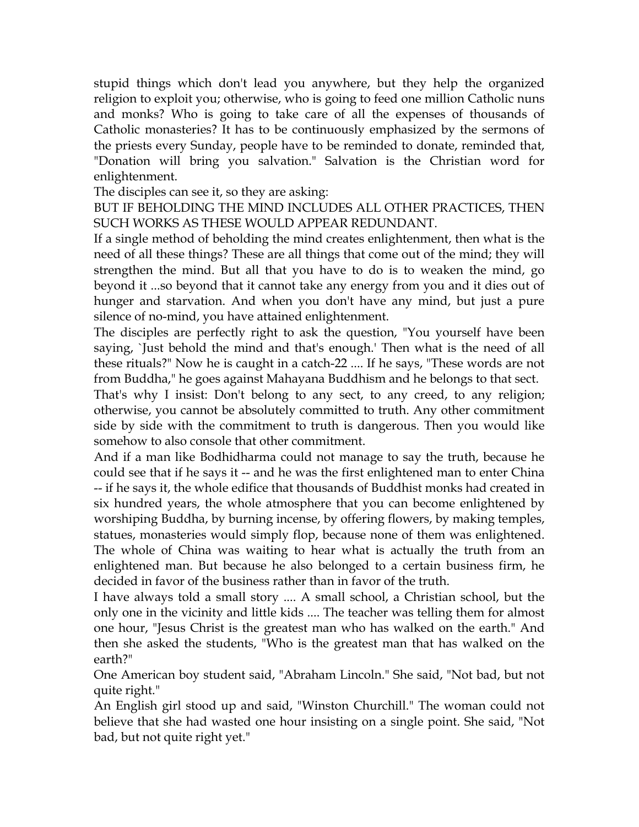stupid things which don't lead you anywhere, but they help the organized religion to exploit you; otherwise, who is going to feed one million Catholic nuns and monks? Who is going to take care of all the expenses of thousands of Catholic monasteries? It has to be continuously emphasized by the sermons of the priests every Sunday, people have to be reminded to donate, reminded that, "Donation will bring you salvation." Salvation is the Christian word for enlightenment.

The disciples can see it, so they are asking:

BUT IF BEHOLDING THE MIND INCLUDES ALL OTHER PRACTICES, THEN SUCH WORKS AS THESE WOULD APPEAR REDUNDANT.

If a single method of beholding the mind creates enlightenment, then what is the need of all these things? These are all things that come out of the mind; they will strengthen the mind. But all that you have to do is to weaken the mind, go beyond it ...so beyond that it cannot take any energy from you and it dies out of hunger and starvation. And when you don't have any mind, but just a pure silence of no-mind, you have attained enlightenment.

The disciples are perfectly right to ask the question, "You yourself have been saying, `Just behold the mind and that's enough.' Then what is the need of all these rituals?" Now he is caught in a catch-22 .... If he says, "These words are not from Buddha," he goes against Mahayana Buddhism and he belongs to that sect.

That's why I insist: Don't belong to any sect, to any creed, to any religion; otherwise, you cannot be absolutely committed to truth. Any other commitment side by side with the commitment to truth is dangerous. Then you would like somehow to also console that other commitment.

And if a man like Bodhidharma could not manage to say the truth, because he could see that if he says it -- and he was the first enlightened man to enter China -- if he says it, the whole edifice that thousands of Buddhist monks had created in six hundred years, the whole atmosphere that you can become enlightened by worshiping Buddha, by burning incense, by offering flowers, by making temples, statues, monasteries would simply flop, because none of them was enlightened. The whole of China was waiting to hear what is actually the truth from an enlightened man. But because he also belonged to a certain business firm, he decided in favor of the business rather than in favor of the truth.

I have always told a small story .... A small school, a Christian school, but the only one in the vicinity and little kids .... The teacher was telling them for almost one hour, "Jesus Christ is the greatest man who has walked on the earth." And then she asked the students, "Who is the greatest man that has walked on the earth?"

One American boy student said, "Abraham Lincoln." She said, "Not bad, but not quite right."

An English girl stood up and said, "Winston Churchill." The woman could not believe that she had wasted one hour insisting on a single point. She said, "Not bad, but not quite right yet."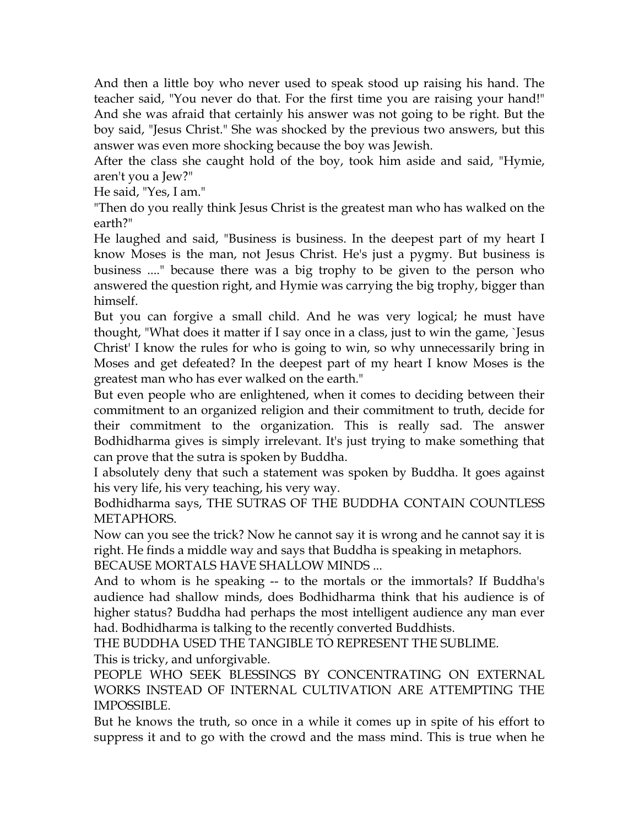And then a little boy who never used to speak stood up raising his hand. The teacher said, "You never do that. For the first time you are raising your hand!" And she was afraid that certainly his answer was not going to be right. But the boy said, "Jesus Christ." She was shocked by the previous two answers, but this answer was even more shocking because the boy was Jewish.

After the class she caught hold of the boy, took him aside and said, "Hymie, aren't you a Jew?"

He said, "Yes, I am."

"Then do you really think Jesus Christ is the greatest man who has walked on the earth?"

He laughed and said, "Business is business. In the deepest part of my heart I know Moses is the man, not Jesus Christ. He's just a pygmy. But business is business ...." because there was a big trophy to be given to the person who answered the question right, and Hymie was carrying the big trophy, bigger than himself.

But you can forgive a small child. And he was very logical; he must have thought, "What does it matter if I say once in a class, just to win the game, `Jesus Christ' I know the rules for who is going to win, so why unnecessarily bring in Moses and get defeated? In the deepest part of my heart I know Moses is the greatest man who has ever walked on the earth."

But even people who are enlightened, when it comes to deciding between their commitment to an organized religion and their commitment to truth, decide for their commitment to the organization. This is really sad. The answer Bodhidharma gives is simply irrelevant. It's just trying to make something that can prove that the sutra is spoken by Buddha.

I absolutely deny that such a statement was spoken by Buddha. It goes against his very life, his very teaching, his very way.

Bodhidharma says, THE SUTRAS OF THE BUDDHA CONTAIN COUNTLESS METAPHORS.

Now can you see the trick? Now he cannot say it is wrong and he cannot say it is right. He finds a middle way and says that Buddha is speaking in metaphors.

BECAUSE MORTALS HAVE SHALLOW MINDS ...

And to whom is he speaking -- to the mortals or the immortals? If Buddha's audience had shallow minds, does Bodhidharma think that his audience is of higher status? Buddha had perhaps the most intelligent audience any man ever had. Bodhidharma is talking to the recently converted Buddhists.

THE BUDDHA USED THE TANGIBLE TO REPRESENT THE SUBLIME. This is tricky, and unforgivable.

PEOPLE WHO SEEK BLESSINGS BY CONCENTRATING ON EXTERNAL WORKS INSTEAD OF INTERNAL CULTIVATION ARE ATTEMPTING THE IMPOSSIBLE.

But he knows the truth, so once in a while it comes up in spite of his effort to suppress it and to go with the crowd and the mass mind. This is true when he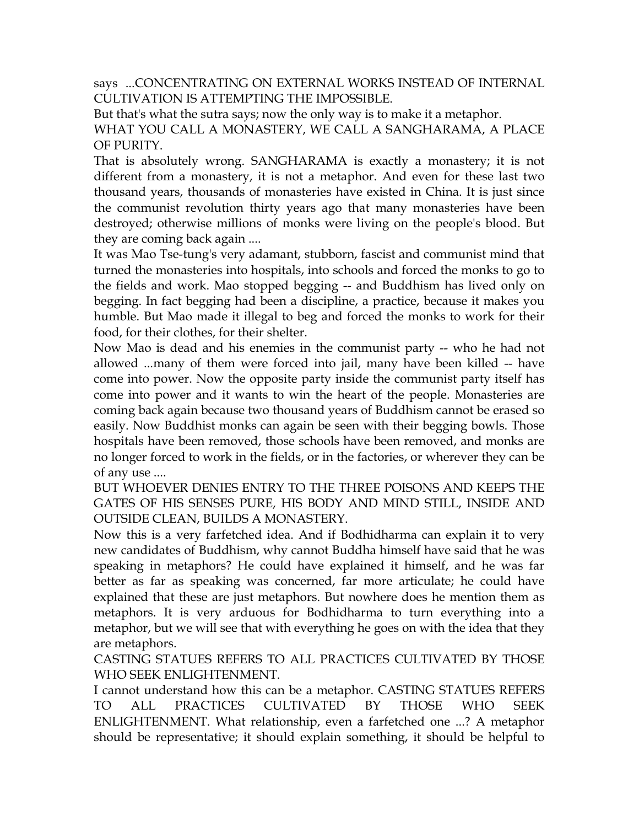says ...CONCENTRATING ON EXTERNAL WORKS INSTEAD OF INTERNAL CULTIVATION IS ATTEMPTING THE IMPOSSIBLE.

But that's what the sutra says; now the only way is to make it a metaphor.

WHAT YOU CALL A MONASTERY, WE CALL A SANGHARAMA, A PLACE OF PURITY.

That is absolutely wrong. SANGHARAMA is exactly a monastery; it is not different from a monastery, it is not a metaphor. And even for these last two thousand years, thousands of monasteries have existed in China. It is just since the communist revolution thirty years ago that many monasteries have been destroyed; otherwise millions of monks were living on the people's blood. But they are coming back again ....

It was Mao Tse-tung's very adamant, stubborn, fascist and communist mind that turned the monasteries into hospitals, into schools and forced the monks to go to the fields and work. Mao stopped begging -- and Buddhism has lived only on begging. In fact begging had been a discipline, a practice, because it makes you humble. But Mao made it illegal to beg and forced the monks to work for their food, for their clothes, for their shelter.

Now Mao is dead and his enemies in the communist party -- who he had not allowed ...many of them were forced into jail, many have been killed -- have come into power. Now the opposite party inside the communist party itself has come into power and it wants to win the heart of the people. Monasteries are coming back again because two thousand years of Buddhism cannot be erased so easily. Now Buddhist monks can again be seen with their begging bowls. Those hospitals have been removed, those schools have been removed, and monks are no longer forced to work in the fields, or in the factories, or wherever they can be of any use ....

BUT WHOEVER DENIES ENTRY TO THE THREE POISONS AND KEEPS THE GATES OF HIS SENSES PURE, HIS BODY AND MIND STILL, INSIDE AND OUTSIDE CLEAN, BUILDS A MONASTERY.

Now this is a very farfetched idea. And if Bodhidharma can explain it to very new candidates of Buddhism, why cannot Buddha himself have said that he was speaking in metaphors? He could have explained it himself, and he was far better as far as speaking was concerned, far more articulate; he could have explained that these are just metaphors. But nowhere does he mention them as metaphors. It is very arduous for Bodhidharma to turn everything into a metaphor, but we will see that with everything he goes on with the idea that they are metaphors.

CASTING STATUES REFERS TO ALL PRACTICES CULTIVATED BY THOSE WHO SEEK ENLIGHTENMENT.

I cannot understand how this can be a metaphor. CASTING STATUES REFERS TO ALL PRACTICES CULTIVATED BY THOSE WHO SEEK ENLIGHTENMENT. What relationship, even a farfetched one ...? A metaphor should be representative; it should explain something, it should be helpful to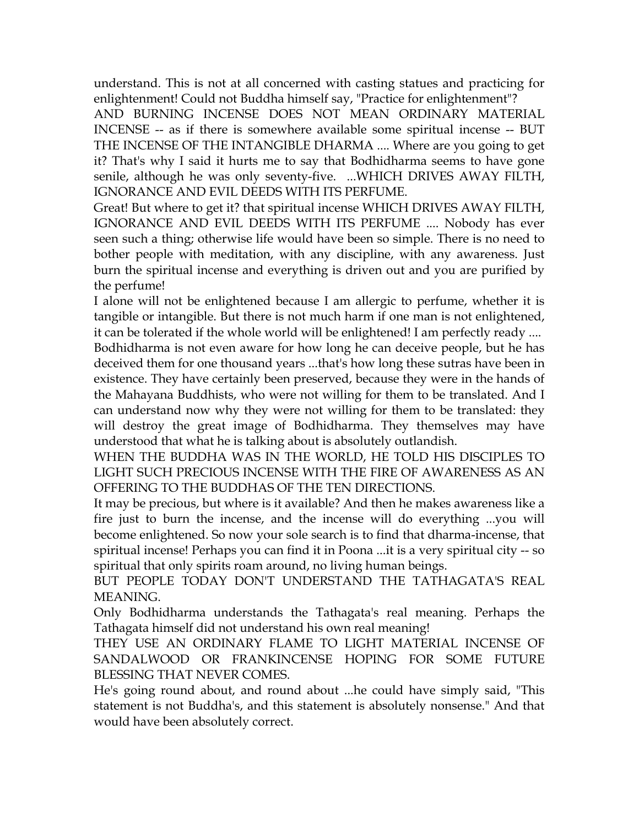understand. This is not at all concerned with casting statues and practicing for enlightenment! Could not Buddha himself say, "Practice for enlightenment"?

AND BURNING INCENSE DOES NOT MEAN ORDINARY MATERIAL INCENSE -- as if there is somewhere available some spiritual incense -- BUT THE INCENSE OF THE INTANGIBLE DHARMA .... Where are you going to get it? That's why I said it hurts me to say that Bodhidharma seems to have gone senile, although he was only seventy-five. ...WHICH DRIVES AWAY FILTH, IGNORANCE AND EVIL DEEDS WITH ITS PERFUME.

Great! But where to get it? that spiritual incense WHICH DRIVES AWAY FILTH, IGNORANCE AND EVIL DEEDS WITH ITS PERFUME .... Nobody has ever seen such a thing; otherwise life would have been so simple. There is no need to bother people with meditation, with any discipline, with any awareness. Just burn the spiritual incense and everything is driven out and you are purified by the perfume!

I alone will not be enlightened because I am allergic to perfume, whether it is tangible or intangible. But there is not much harm if one man is not enlightened, it can be tolerated if the whole world will be enlightened! I am perfectly ready .... Bodhidharma is not even aware for how long he can deceive people, but he has deceived them for one thousand years ...that's how long these sutras have been in existence. They have certainly been preserved, because they were in the hands of the Mahayana Buddhists, who were not willing for them to be translated. And I can understand now why they were not willing for them to be translated: they will destroy the great image of Bodhidharma. They themselves may have understood that what he is talking about is absolutely outlandish.

WHEN THE BUDDHA WAS IN THE WORLD, HE TOLD HIS DISCIPLES TO LIGHT SUCH PRECIOUS INCENSE WITH THE FIRE OF AWARENESS AS AN OFFERING TO THE BUDDHAS OF THE TEN DIRECTIONS.

It may be precious, but where is it available? And then he makes awareness like a fire just to burn the incense, and the incense will do everything ...you will become enlightened. So now your sole search is to find that dharma-incense, that spiritual incense! Perhaps you can find it in Poona ...it is a very spiritual city -- so spiritual that only spirits roam around, no living human beings.

BUT PEOPLE TODAY DON'T UNDERSTAND THE TATHAGATA'S REAL MEANING.

Only Bodhidharma understands the Tathagata's real meaning. Perhaps the Tathagata himself did not understand his own real meaning!

THEY USE AN ORDINARY FLAME TO LIGHT MATERIAL INCENSE OF SANDALWOOD OR FRANKINCENSE HOPING FOR SOME FUTURE BLESSING THAT NEVER COMES.

He's going round about, and round about ...he could have simply said, "This statement is not Buddha's, and this statement is absolutely nonsense." And that would have been absolutely correct.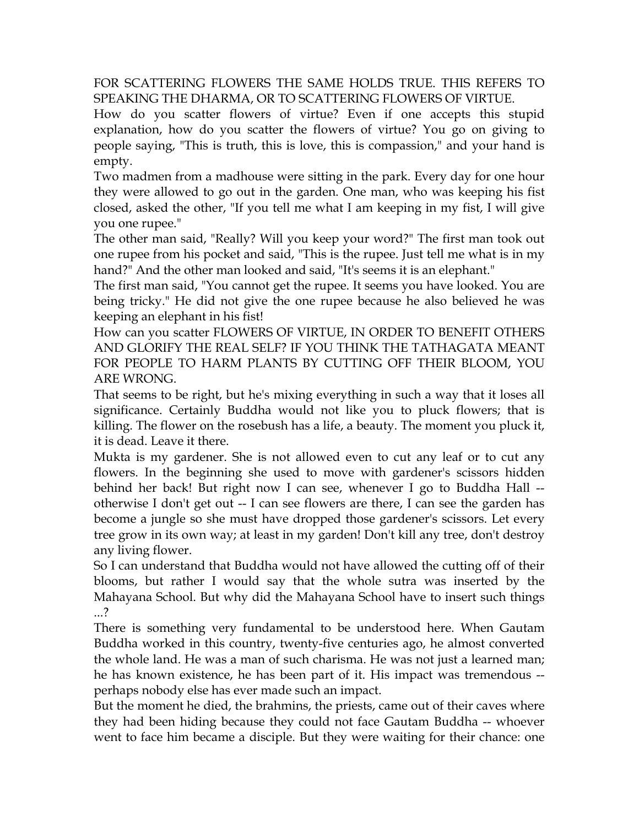FOR SCATTERING FLOWERS THE SAME HOLDS TRUE. THIS REFERS TO SPEAKING THE DHARMA, OR TO SCATTERING FLOWERS OF VIRTUE.

How do you scatter flowers of virtue? Even if one accepts this stupid explanation, how do you scatter the flowers of virtue? You go on giving to people saying, "This is truth, this is love, this is compassion," and your hand is empty.

Two madmen from a madhouse were sitting in the park. Every day for one hour they were allowed to go out in the garden. One man, who was keeping his fist closed, asked the other, "If you tell me what I am keeping in my fist, I will give you one rupee."

The other man said, "Really? Will you keep your word?" The first man took out one rupee from his pocket and said, "This is the rupee. Just tell me what is in my hand?" And the other man looked and said, "It's seems it is an elephant."

The first man said, "You cannot get the rupee. It seems you have looked. You are being tricky." He did not give the one rupee because he also believed he was keeping an elephant in his fist!

How can you scatter FLOWERS OF VIRTUE, IN ORDER TO BENEFIT OTHERS AND GLORIFY THE REAL SELF? IF YOU THINK THE TATHAGATA MEANT FOR PEOPLE TO HARM PLANTS BY CUTTING OFF THEIR BLOOM, YOU ARE WRONG.

That seems to be right, but he's mixing everything in such a way that it loses all significance. Certainly Buddha would not like you to pluck flowers; that is killing. The flower on the rosebush has a life, a beauty. The moment you pluck it, it is dead. Leave it there.

Mukta is my gardener. She is not allowed even to cut any leaf or to cut any flowers. In the beginning she used to move with gardener's scissors hidden behind her back! But right now I can see, whenever I go to Buddha Hall - otherwise I don't get out -- I can see flowers are there, I can see the garden has become a jungle so she must have dropped those gardener's scissors. Let every tree grow in its own way; at least in my garden! Don't kill any tree, don't destroy any living flower.

So I can understand that Buddha would not have allowed the cutting off of their blooms, but rather I would say that the whole sutra was inserted by the Mahayana School. But why did the Mahayana School have to insert such things ...?

There is something very fundamental to be understood here. When Gautam Buddha worked in this country, twenty-five centuries ago, he almost converted the whole land. He was a man of such charisma. He was not just a learned man; he has known existence, he has been part of it. His impact was tremendous - perhaps nobody else has ever made such an impact.

But the moment he died, the brahmins, the priests, came out of their caves where they had been hiding because they could not face Gautam Buddha -- whoever went to face him became a disciple. But they were waiting for their chance: one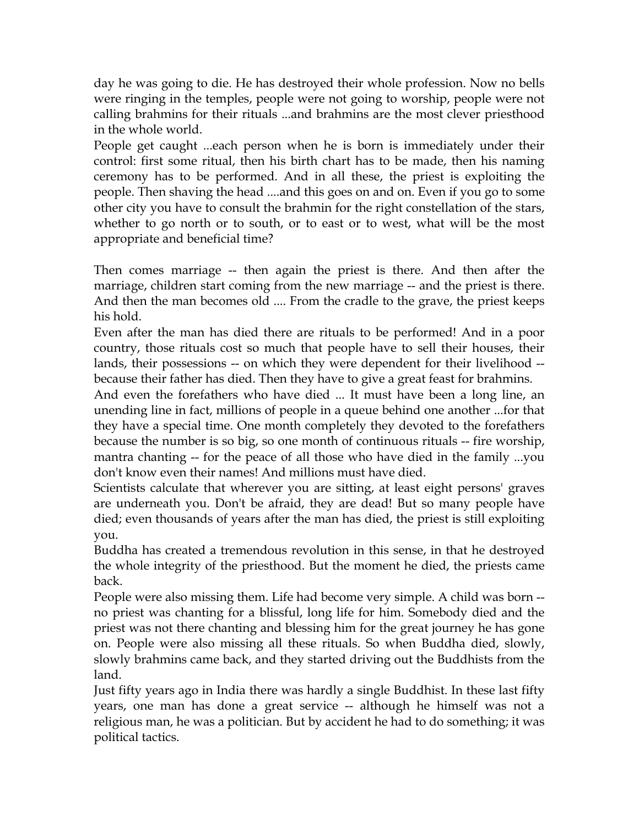day he was going to die. He has destroyed their whole profession. Now no bells were ringing in the temples, people were not going to worship, people were not calling brahmins for their rituals ...and brahmins are the most clever priesthood in the whole world.

People get caught ...each person when he is born is immediately under their control: first some ritual, then his birth chart has to be made, then his naming ceremony has to be performed. And in all these, the priest is exploiting the people. Then shaving the head ....and this goes on and on. Even if you go to some other city you have to consult the brahmin for the right constellation of the stars, whether to go north or to south, or to east or to west, what will be the most appropriate and beneficial time?

Then comes marriage -- then again the priest is there. And then after the marriage, children start coming from the new marriage -- and the priest is there. And then the man becomes old .... From the cradle to the grave, the priest keeps his hold.

Even after the man has died there are rituals to be performed! And in a poor country, those rituals cost so much that people have to sell their houses, their lands, their possessions -- on which they were dependent for their livelihood - because their father has died. Then they have to give a great feast for brahmins.

And even the forefathers who have died ... It must have been a long line, an unending line in fact, millions of people in a queue behind one another ...for that they have a special time. One month completely they devoted to the forefathers because the number is so big, so one month of continuous rituals -- fire worship, mantra chanting -- for the peace of all those who have died in the family ...you don't know even their names! And millions must have died.

Scientists calculate that wherever you are sitting, at least eight persons' graves are underneath you. Don't be afraid, they are dead! But so many people have died; even thousands of years after the man has died, the priest is still exploiting you.

Buddha has created a tremendous revolution in this sense, in that he destroyed the whole integrity of the priesthood. But the moment he died, the priests came back.

People were also missing them. Life had become very simple. A child was born - no priest was chanting for a blissful, long life for him. Somebody died and the priest was not there chanting and blessing him for the great journey he has gone on. People were also missing all these rituals. So when Buddha died, slowly, slowly brahmins came back, and they started driving out the Buddhists from the land.

Just fifty years ago in India there was hardly a single Buddhist. In these last fifty years, one man has done a great service -- although he himself was not a religious man, he was a politician. But by accident he had to do something; it was political tactics.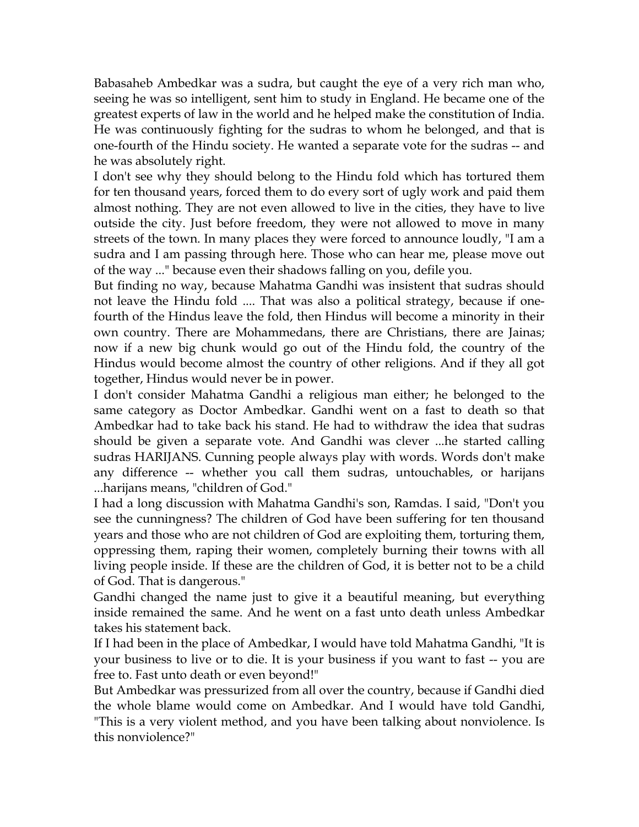Babasaheb Ambedkar was a sudra, but caught the eye of a very rich man who, seeing he was so intelligent, sent him to study in England. He became one of the greatest experts of law in the world and he helped make the constitution of India. He was continuously fighting for the sudras to whom he belonged, and that is one-fourth of the Hindu society. He wanted a separate vote for the sudras -- and he was absolutely right.

I don't see why they should belong to the Hindu fold which has tortured them for ten thousand years, forced them to do every sort of ugly work and paid them almost nothing. They are not even allowed to live in the cities, they have to live outside the city. Just before freedom, they were not allowed to move in many streets of the town. In many places they were forced to announce loudly, "I am a sudra and I am passing through here. Those who can hear me, please move out of the way ..." because even their shadows falling on you, defile you.

But finding no way, because Mahatma Gandhi was insistent that sudras should not leave the Hindu fold .... That was also a political strategy, because if onefourth of the Hindus leave the fold, then Hindus will become a minority in their own country. There are Mohammedans, there are Christians, there are Jainas; now if a new big chunk would go out of the Hindu fold, the country of the Hindus would become almost the country of other religions. And if they all got together, Hindus would never be in power.

I don't consider Mahatma Gandhi a religious man either; he belonged to the same category as Doctor Ambedkar. Gandhi went on a fast to death so that Ambedkar had to take back his stand. He had to withdraw the idea that sudras should be given a separate vote. And Gandhi was clever ...he started calling sudras HARIJANS. Cunning people always play with words. Words don't make any difference -- whether you call them sudras, untouchables, or harijans ...harijans means, "children of God."

I had a long discussion with Mahatma Gandhi's son, Ramdas. I said, "Don't you see the cunningness? The children of God have been suffering for ten thousand years and those who are not children of God are exploiting them, torturing them, oppressing them, raping their women, completely burning their towns with all living people inside. If these are the children of God, it is better not to be a child of God. That is dangerous."

Gandhi changed the name just to give it a beautiful meaning, but everything inside remained the same. And he went on a fast unto death unless Ambedkar takes his statement back.

If I had been in the place of Ambedkar, I would have told Mahatma Gandhi, "It is your business to live or to die. It is your business if you want to fast -- you are free to. Fast unto death or even beyond!"

But Ambedkar was pressurized from all over the country, because if Gandhi died the whole blame would come on Ambedkar. And I would have told Gandhi, "This is a very violent method, and you have been talking about nonviolence. Is this nonviolence?"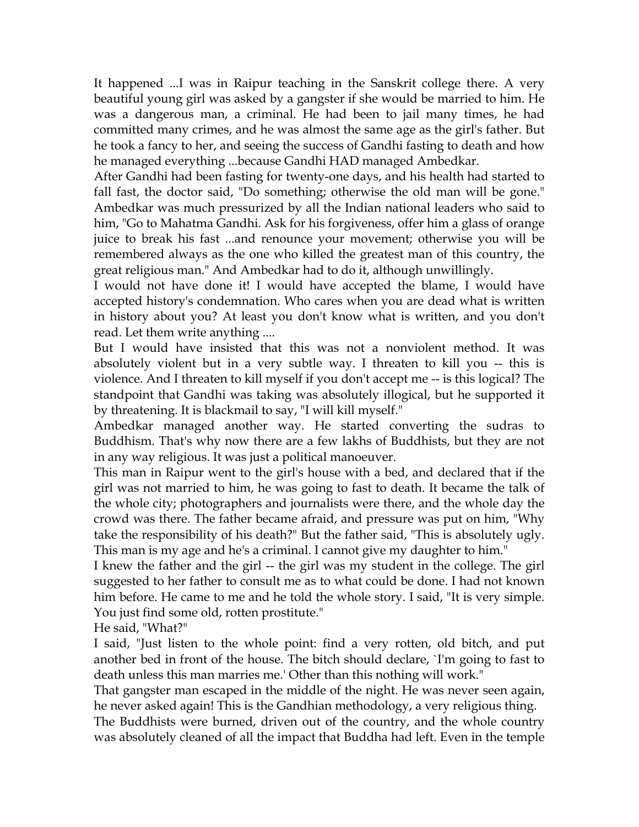It happened ...I was in Raipur teaching in the Sanskrit college there. A very beautiful young girl was asked by a gangster if she would be married to him. He was a dangerous man, a criminal. He had been to jail many times, he had committed many crimes, and he was almost the same age as the girl's father. But he took a fancy to her, and seeing the success of Gandhi fasting to death and how he managed everything ...because Gandhi HAD managed Ambedkar.

After Gandhi had been fasting for twenty-one days, and his health had started to fall fast, the doctor said, "Do something; otherwise the old man will be gone." Ambedkar was much pressurized by all the Indian national leaders who said to him, "Go to Mahatma Gandhi. Ask for his forgiveness, offer him a glass of orange juice to break his fast ...and renounce your movement; otherwise you will be remembered always as the one who killed the greatest man of this country, the great religious man." And Ambedkar had to do it, although unwillingly.

I would not have done it! I would have accepted the blame, I would have accepted history's condemnation. Who cares when you are dead what is written in history about you? At least you don't know what is written, and you don't read. Let them write anything ....

But I would have insisted that this was not a nonviolent method. It was absolutely violent but in a very subtle way. I threaten to kill you -- this is violence. And I threaten to kill myself if you don't accept me -- is this logical? The standpoint that Gandhi was taking was absolutely illogical, but he supported it by threatening. It is blackmail to say, "I will kill myself."

Ambedkar managed another way. He started converting the sudras to Buddhism. That's why now there are a few lakhs of Buddhists, but they are not in any way religious. It was just a political manoeuver.

This man in Raipur went to the girl's house with a bed, and declared that if the girl was not married to him, he was going to fast to death. It became the talk of the whole city; photographers and journalists were there, and the whole day the crowd was there. The father became afraid, and pressure was put on him, "Why take the responsibility of his death?" But the father said, "This is absolutely ugly. This man is my age and he's a criminal. I cannot give my daughter to him."

I knew the father and the girl -- the girl was my student in the college. The girl suggested to her father to consult me as to what could be done. I had not known him before. He came to me and he told the whole story. I said, "It is very simple. You just find some old, rotten prostitute."

He said, "What?"

I said, "Just listen to the whole point: find a very rotten, old bitch, and put another bed in front of the house. The bitch should declare, `I'm going to fast to death unless this man marries me.' Other than this nothing will work."

That gangster man escaped in the middle of the night. He was never seen again, he never asked again! This is the Gandhian methodology, a very religious thing.

The Buddhists were burned, driven out of the country, and the whole country was absolutely cleaned of all the impact that Buddha had left. Even in the temple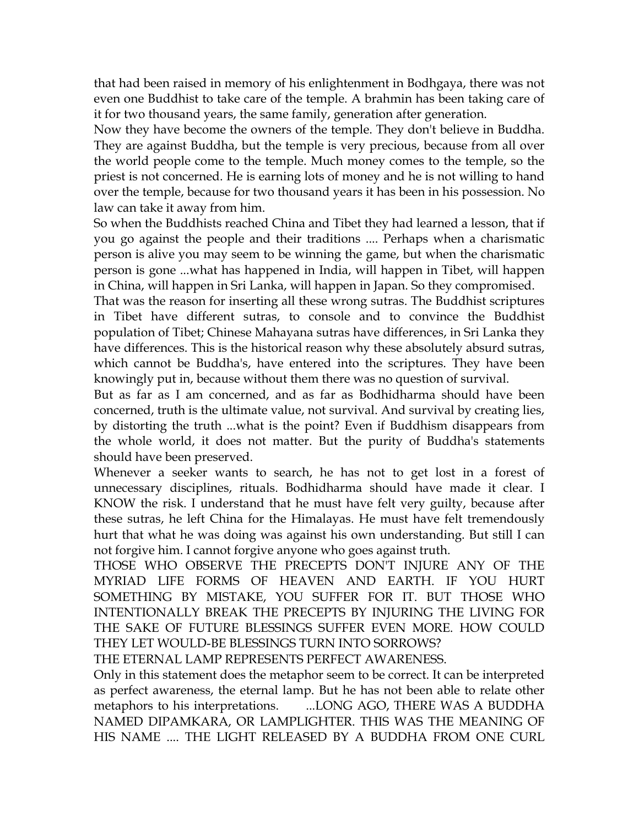that had been raised in memory of his enlightenment in Bodhgaya, there was not even one Buddhist to take care of the temple. A brahmin has been taking care of it for two thousand years, the same family, generation after generation.

Now they have become the owners of the temple. They don't believe in Buddha. They are against Buddha, but the temple is very precious, because from all over the world people come to the temple. Much money comes to the temple, so the priest is not concerned. He is earning lots of money and he is not willing to hand over the temple, because for two thousand years it has been in his possession. No law can take it away from him.

So when the Buddhists reached China and Tibet they had learned a lesson, that if you go against the people and their traditions .... Perhaps when a charismatic person is alive you may seem to be winning the game, but when the charismatic person is gone ...what has happened in India, will happen in Tibet, will happen in China, will happen in Sri Lanka, will happen in Japan. So they compromised.

That was the reason for inserting all these wrong sutras. The Buddhist scriptures in Tibet have different sutras, to console and to convince the Buddhist population of Tibet; Chinese Mahayana sutras have differences, in Sri Lanka they have differences. This is the historical reason why these absolutely absurd sutras, which cannot be Buddha's, have entered into the scriptures. They have been knowingly put in, because without them there was no question of survival.

But as far as I am concerned, and as far as Bodhidharma should have been concerned, truth is the ultimate value, not survival. And survival by creating lies, by distorting the truth ...what is the point? Even if Buddhism disappears from the whole world, it does not matter. But the purity of Buddha's statements should have been preserved.

Whenever a seeker wants to search, he has not to get lost in a forest of unnecessary disciplines, rituals. Bodhidharma should have made it clear. I KNOW the risk. I understand that he must have felt very guilty, because after these sutras, he left China for the Himalayas. He must have felt tremendously hurt that what he was doing was against his own understanding. But still I can not forgive him. I cannot forgive anyone who goes against truth.

THOSE WHO OBSERVE THE PRECEPTS DON'T INJURE ANY OF THE MYRIAD LIFE FORMS OF HEAVEN AND EARTH. IF YOU HURT SOMETHING BY MISTAKE, YOU SUFFER FOR IT. BUT THOSE WHO INTENTIONALLY BREAK THE PRECEPTS BY INJURING THE LIVING FOR THE SAKE OF FUTURE BLESSINGS SUFFER EVEN MORE. HOW COULD THEY LET WOULD-BE BLESSINGS TURN INTO SORROWS?

THE ETERNAL LAMP REPRESENTS PERFECT AWARENESS.

Only in this statement does the metaphor seem to be correct. It can be interpreted as perfect awareness, the eternal lamp. But he has not been able to relate other metaphors to his interpretations. ...LONG AGO, THERE WAS A BUDDHA NAMED DIPAMKARA, OR LAMPLIGHTER. THIS WAS THE MEANING OF HIS NAME .... THE LIGHT RELEASED BY A BUDDHA FROM ONE CURL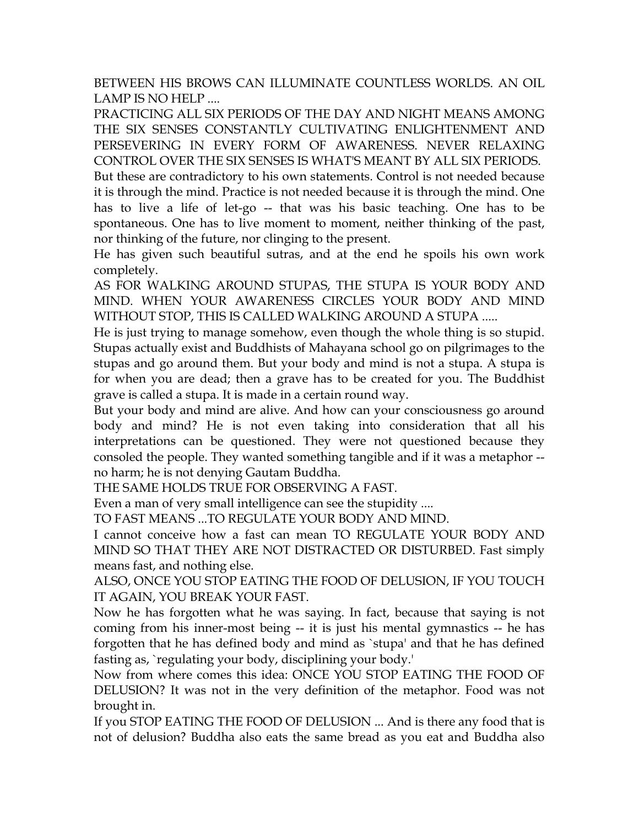BETWEEN HIS BROWS CAN ILLUMINATE COUNTLESS WORLDS. AN OIL LAMP IS NO HELP ....

PRACTICING ALL SIX PERIODS OF THE DAY AND NIGHT MEANS AMONG THE SIX SENSES CONSTANTLY CULTIVATING ENLIGHTENMENT AND PERSEVERING IN EVERY FORM OF AWARENESS. NEVER RELAXING CONTROL OVER THE SIX SENSES IS WHAT'S MEANT BY ALL SIX PERIODS. But these are contradictory to his own statements. Control is not needed because it is through the mind. Practice is not needed because it is through the mind. One has to live a life of let-go -- that was his basic teaching. One has to be spontaneous. One has to live moment to moment, neither thinking of the past, nor thinking of the future, nor clinging to the present.

He has given such beautiful sutras, and at the end he spoils his own work completely.

AS FOR WALKING AROUND STUPAS, THE STUPA IS YOUR BODY AND MIND. WHEN YOUR AWARENESS CIRCLES YOUR BODY AND MIND WITHOUT STOP, THIS IS CALLED WALKING AROUND A STUPA .....

He is just trying to manage somehow, even though the whole thing is so stupid. Stupas actually exist and Buddhists of Mahayana school go on pilgrimages to the stupas and go around them. But your body and mind is not a stupa. A stupa is for when you are dead; then a grave has to be created for you. The Buddhist grave is called a stupa. It is made in a certain round way.

But your body and mind are alive. And how can your consciousness go around body and mind? He is not even taking into consideration that all his interpretations can be questioned. They were not questioned because they consoled the people. They wanted something tangible and if it was a metaphor - no harm; he is not denying Gautam Buddha.

THE SAME HOLDS TRUE FOR OBSERVING A FAST.

Even a man of very small intelligence can see the stupidity ....

TO FAST MEANS ...TO REGULATE YOUR BODY AND MIND.

I cannot conceive how a fast can mean TO REGULATE YOUR BODY AND MIND SO THAT THEY ARE NOT DISTRACTED OR DISTURBED. Fast simply means fast, and nothing else.

ALSO, ONCE YOU STOP EATING THE FOOD OF DELUSION, IF YOU TOUCH IT AGAIN, YOU BREAK YOUR FAST.

Now he has forgotten what he was saying. In fact, because that saying is not coming from his inner-most being -- it is just his mental gymnastics -- he has forgotten that he has defined body and mind as `stupa' and that he has defined fasting as, `regulating your body, disciplining your body.'

Now from where comes this idea: ONCE YOU STOP EATING THE FOOD OF DELUSION? It was not in the very definition of the metaphor. Food was not brought in.

If you STOP EATING THE FOOD OF DELUSION ... And is there any food that is not of delusion? Buddha also eats the same bread as you eat and Buddha also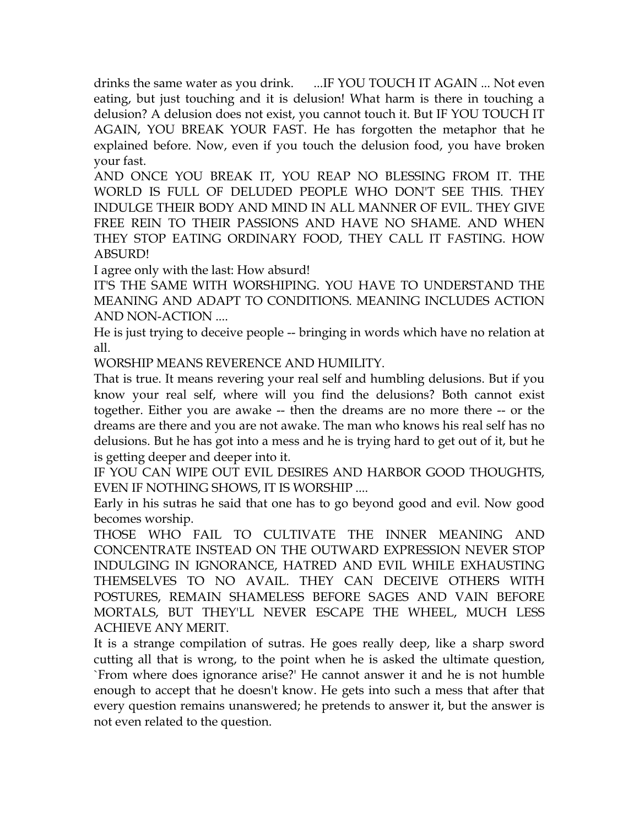drinks the same water as you drink. ...IF YOU TOUCH IT AGAIN ... Not even eating, but just touching and it is delusion! What harm is there in touching a delusion? A delusion does not exist, you cannot touch it. But IF YOU TOUCH IT AGAIN, YOU BREAK YOUR FAST. He has forgotten the metaphor that he explained before. Now, even if you touch the delusion food, you have broken your fast.

AND ONCE YOU BREAK IT, YOU REAP NO BLESSING FROM IT. THE WORLD IS FULL OF DELUDED PEOPLE WHO DON'T SEE THIS. THEY INDULGE THEIR BODY AND MIND IN ALL MANNER OF EVIL. THEY GIVE FREE REIN TO THEIR PASSIONS AND HAVE NO SHAME. AND WHEN THEY STOP EATING ORDINARY FOOD, THEY CALL IT FASTING. HOW ABSURD!

I agree only with the last: How absurd!

IT'S THE SAME WITH WORSHIPING. YOU HAVE TO UNDERSTAND THE MEANING AND ADAPT TO CONDITIONS. MEANING INCLUDES ACTION AND NON-ACTION ....

He is just trying to deceive people -- bringing in words which have no relation at all.

WORSHIP MEANS REVERENCE AND HUMILITY.

That is true. It means revering your real self and humbling delusions. But if you know your real self, where will you find the delusions? Both cannot exist together. Either you are awake -- then the dreams are no more there -- or the dreams are there and you are not awake. The man who knows his real self has no delusions. But he has got into a mess and he is trying hard to get out of it, but he is getting deeper and deeper into it.

IF YOU CAN WIPE OUT EVIL DESIRES AND HARBOR GOOD THOUGHTS, EVEN IF NOTHING SHOWS, IT IS WORSHIP ....

Early in his sutras he said that one has to go beyond good and evil. Now good becomes worship.

THOSE WHO FAIL TO CULTIVATE THE INNER MEANING AND CONCENTRATE INSTEAD ON THE OUTWARD EXPRESSION NEVER STOP INDULGING IN IGNORANCE, HATRED AND EVIL WHILE EXHAUSTING THEMSELVES TO NO AVAIL. THEY CAN DECEIVE OTHERS WITH POSTURES, REMAIN SHAMELESS BEFORE SAGES AND VAIN BEFORE MORTALS, BUT THEY'LL NEVER ESCAPE THE WHEEL, MUCH LESS ACHIEVE ANY MERIT.

It is a strange compilation of sutras. He goes really deep, like a sharp sword cutting all that is wrong, to the point when he is asked the ultimate question, `From where does ignorance arise?' He cannot answer it and he is not humble enough to accept that he doesn't know. He gets into such a mess that after that every question remains unanswered; he pretends to answer it, but the answer is not even related to the question.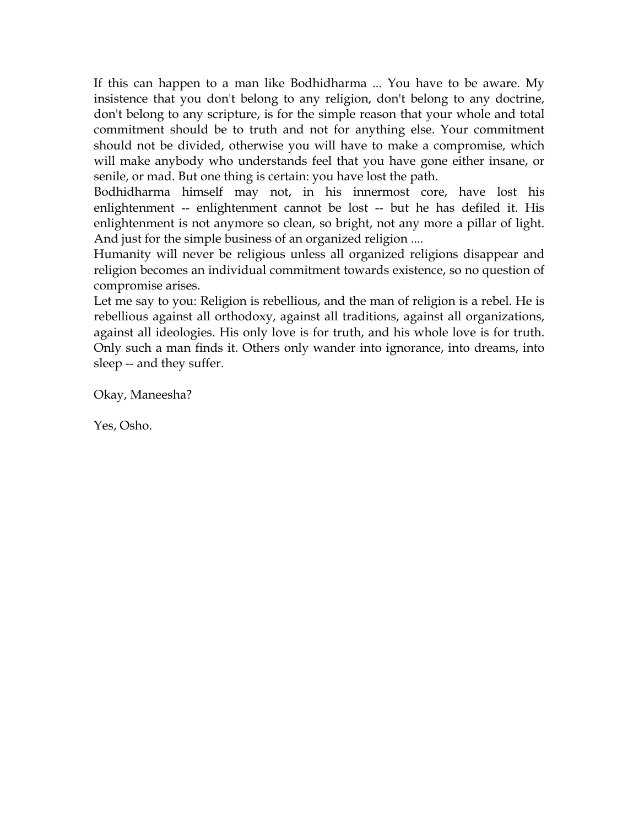If this can happen to a man like Bodhidharma ... You have to be aware. My insistence that you don't belong to any religion, don't belong to any doctrine, don't belong to any scripture, is for the simple reason that your whole and total commitment should be to truth and not for anything else. Your commitment should not be divided, otherwise you will have to make a compromise, which will make anybody who understands feel that you have gone either insane, or senile, or mad. But one thing is certain: you have lost the path.

Bodhidharma himself may not, in his innermost core, have lost his enlightenment -- enlightenment cannot be lost -- but he has defiled it. His enlightenment is not anymore so clean, so bright, not any more a pillar of light. And just for the simple business of an organized religion ....

Humanity will never be religious unless all organized religions disappear and religion becomes an individual commitment towards existence, so no question of compromise arises.

Let me say to you: Religion is rebellious, and the man of religion is a rebel. He is rebellious against all orthodoxy, against all traditions, against all organizations, against all ideologies. His only love is for truth, and his whole love is for truth. Only such a man finds it. Others only wander into ignorance, into dreams, into sleep -- and they suffer.

Okay, Maneesha?

Yes, Osho.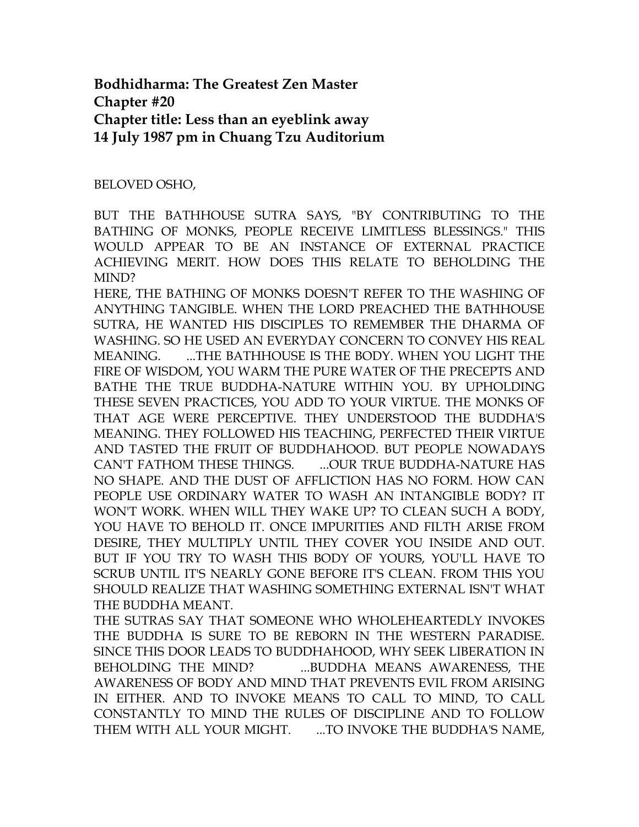**Bodhidharma: The Greatest Zen Master Chapter #20 Chapter title: Less than an eyeblink away 14 July 1987 pm in Chuang Tzu Auditorium** 

BELOVED OSHO,

BUT THE BATHHOUSE SUTRA SAYS, "BY CONTRIBUTING TO THE BATHING OF MONKS, PEOPLE RECEIVE LIMITLESS BLESSINGS." THIS WOULD APPEAR TO BE AN INSTANCE OF EXTERNAL PRACTICE ACHIEVING MERIT. HOW DOES THIS RELATE TO BEHOLDING THE MIND?

HERE, THE BATHING OF MONKS DOESN'T REFER TO THE WASHING OF ANYTHING TANGIBLE. WHEN THE LORD PREACHED THE BATHHOUSE SUTRA, HE WANTED HIS DISCIPLES TO REMEMBER THE DHARMA OF WASHING. SO HE USED AN EVERYDAY CONCERN TO CONVEY HIS REAL MEANING. ...THE BATHHOUSE IS THE BODY. WHEN YOU LIGHT THE FIRE OF WISDOM, YOU WARM THE PURE WATER OF THE PRECEPTS AND BATHE THE TRUE BUDDHA-NATURE WITHIN YOU. BY UPHOLDING THESE SEVEN PRACTICES, YOU ADD TO YOUR VIRTUE. THE MONKS OF THAT AGE WERE PERCEPTIVE. THEY UNDERSTOOD THE BUDDHA'S MEANING. THEY FOLLOWED HIS TEACHING, PERFECTED THEIR VIRTUE AND TASTED THE FRUIT OF BUDDHAHOOD. BUT PEOPLE NOWADAYS CAN'T FATHOM THESE THINGS. ... OUR TRUE BUDDHA-NATURE HAS NO SHAPE. AND THE DUST OF AFFLICTION HAS NO FORM. HOW CAN PEOPLE USE ORDINARY WATER TO WASH AN INTANGIBLE BODY? IT WON'T WORK. WHEN WILL THEY WAKE UP? TO CLEAN SUCH A BODY, YOU HAVE TO BEHOLD IT. ONCE IMPURITIES AND FILTH ARISE FROM DESIRE, THEY MULTIPLY UNTIL THEY COVER YOU INSIDE AND OUT. BUT IF YOU TRY TO WASH THIS BODY OF YOURS, YOU'LL HAVE TO SCRUB UNTIL IT'S NEARLY GONE BEFORE IT'S CLEAN. FROM THIS YOU SHOULD REALIZE THAT WASHING SOMETHING EXTERNAL ISN'T WHAT THE BUDDHA MEANT.

THE SUTRAS SAY THAT SOMEONE WHO WHOLEHEARTEDLY INVOKES THE BUDDHA IS SURE TO BE REBORN IN THE WESTERN PARADISE. SINCE THIS DOOR LEADS TO BUDDHAHOOD, WHY SEEK LIBERATION IN BEHOLDING THE MIND? ...BUDDHA MEANS AWARENESS, THE AWARENESS OF BODY AND MIND THAT PREVENTS EVIL FROM ARISING IN EITHER. AND TO INVOKE MEANS TO CALL TO MIND, TO CALL CONSTANTLY TO MIND THE RULES OF DISCIPLINE AND TO FOLLOW THEM WITH ALL YOUR MIGHT. ...TO INVOKE THE BUDDHA'S NAME,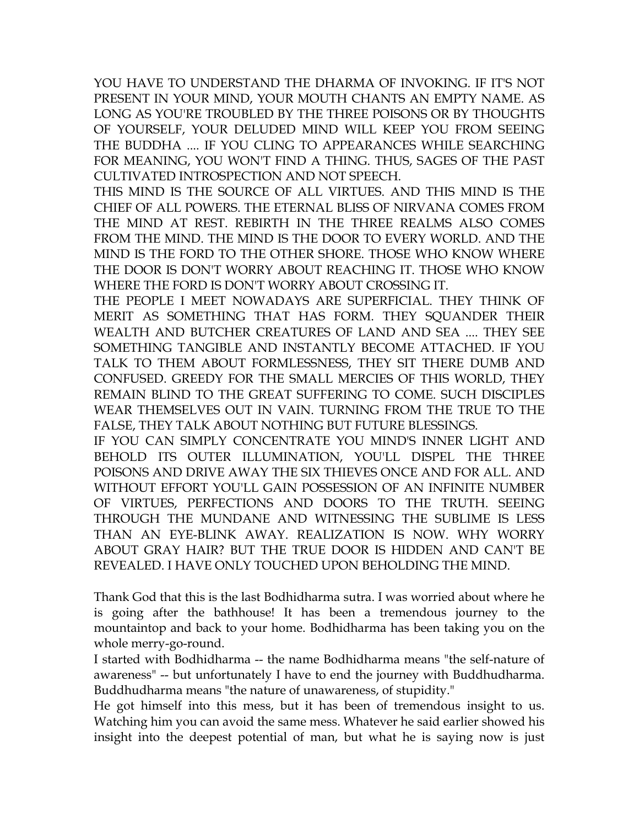YOU HAVE TO UNDERSTAND THE DHARMA OF INVOKING. IF IT'S NOT PRESENT IN YOUR MIND, YOUR MOUTH CHANTS AN EMPTY NAME. AS LONG AS YOU'RE TROUBLED BY THE THREE POISONS OR BY THOUGHTS OF YOURSELF, YOUR DELUDED MIND WILL KEEP YOU FROM SEEING THE BUDDHA .... IF YOU CLING TO APPEARANCES WHILE SEARCHING FOR MEANING, YOU WON'T FIND A THING. THUS, SAGES OF THE PAST CULTIVATED INTROSPECTION AND NOT SPEECH.

THIS MIND IS THE SOURCE OF ALL VIRTUES. AND THIS MIND IS THE CHIEF OF ALL POWERS. THE ETERNAL BLISS OF NIRVANA COMES FROM THE MIND AT REST. REBIRTH IN THE THREE REALMS ALSO COMES FROM THE MIND. THE MIND IS THE DOOR TO EVERY WORLD. AND THE MIND IS THE FORD TO THE OTHER SHORE. THOSE WHO KNOW WHERE THE DOOR IS DON'T WORRY ABOUT REACHING IT. THOSE WHO KNOW WHERE THE FORD IS DON'T WORRY ABOUT CROSSING IT.

THE PEOPLE I MEET NOWADAYS ARE SUPERFICIAL. THEY THINK OF MERIT AS SOMETHING THAT HAS FORM. THEY SQUANDER THEIR WEALTH AND BUTCHER CREATURES OF LAND AND SEA .... THEY SEE SOMETHING TANGIBLE AND INSTANTLY BECOME ATTACHED. IF YOU TALK TO THEM ABOUT FORMLESSNESS, THEY SIT THERE DUMB AND CONFUSED. GREEDY FOR THE SMALL MERCIES OF THIS WORLD, THEY REMAIN BLIND TO THE GREAT SUFFERING TO COME. SUCH DISCIPLES WEAR THEMSELVES OUT IN VAIN. TURNING FROM THE TRUE TO THE FALSE, THEY TALK ABOUT NOTHING BUT FUTURE BLESSINGS.

IF YOU CAN SIMPLY CONCENTRATE YOU MIND'S INNER LIGHT AND BEHOLD ITS OUTER ILLUMINATION, YOU'LL DISPEL THE THREE POISONS AND DRIVE AWAY THE SIX THIEVES ONCE AND FOR ALL. AND WITHOUT EFFORT YOU'LL GAIN POSSESSION OF AN INFINITE NUMBER OF VIRTUES, PERFECTIONS AND DOORS TO THE TRUTH. SEEING THROUGH THE MUNDANE AND WITNESSING THE SUBLIME IS LESS THAN AN EYE-BLINK AWAY. REALIZATION IS NOW. WHY WORRY ABOUT GRAY HAIR? BUT THE TRUE DOOR IS HIDDEN AND CAN'T BE REVEALED. I HAVE ONLY TOUCHED UPON BEHOLDING THE MIND.

Thank God that this is the last Bodhidharma sutra. I was worried about where he is going after the bathhouse! It has been a tremendous journey to the mountaintop and back to your home. Bodhidharma has been taking you on the whole merry-go-round.

I started with Bodhidharma -- the name Bodhidharma means "the self-nature of awareness" -- but unfortunately I have to end the journey with Buddhudharma. Buddhudharma means "the nature of unawareness, of stupidity."

He got himself into this mess, but it has been of tremendous insight to us. Watching him you can avoid the same mess. Whatever he said earlier showed his insight into the deepest potential of man, but what he is saying now is just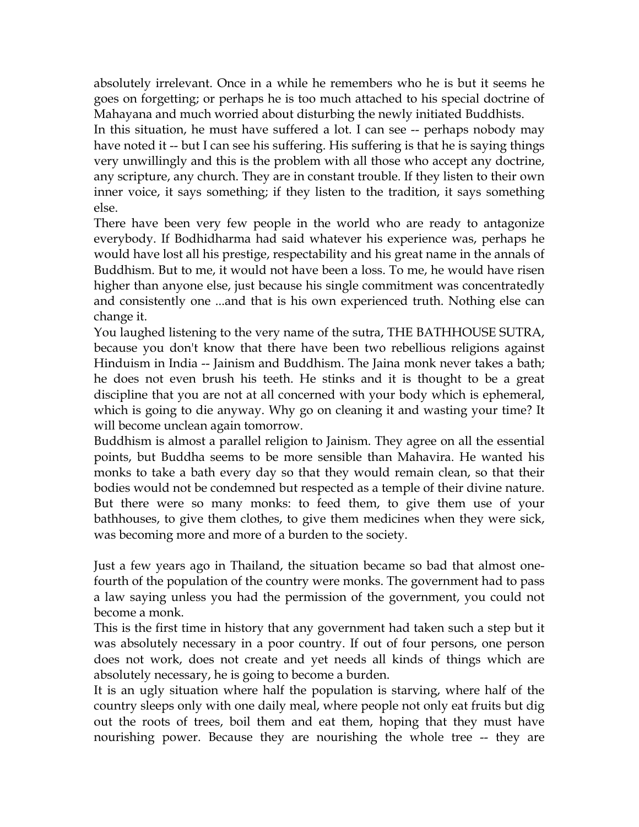absolutely irrelevant. Once in a while he remembers who he is but it seems he goes on forgetting; or perhaps he is too much attached to his special doctrine of Mahayana and much worried about disturbing the newly initiated Buddhists.

In this situation, he must have suffered a lot. I can see -- perhaps nobody may have noted it -- but I can see his suffering. His suffering is that he is saying things very unwillingly and this is the problem with all those who accept any doctrine, any scripture, any church. They are in constant trouble. If they listen to their own inner voice, it says something; if they listen to the tradition, it says something else.

There have been very few people in the world who are ready to antagonize everybody. If Bodhidharma had said whatever his experience was, perhaps he would have lost all his prestige, respectability and his great name in the annals of Buddhism. But to me, it would not have been a loss. To me, he would have risen higher than anyone else, just because his single commitment was concentratedly and consistently one ...and that is his own experienced truth. Nothing else can change it.

You laughed listening to the very name of the sutra, THE BATHHOUSE SUTRA, because you don't know that there have been two rebellious religions against Hinduism in India -- Jainism and Buddhism. The Jaina monk never takes a bath; he does not even brush his teeth. He stinks and it is thought to be a great discipline that you are not at all concerned with your body which is ephemeral, which is going to die anyway. Why go on cleaning it and wasting your time? It will become unclean again tomorrow.

Buddhism is almost a parallel religion to Jainism. They agree on all the essential points, but Buddha seems to be more sensible than Mahavira. He wanted his monks to take a bath every day so that they would remain clean, so that their bodies would not be condemned but respected as a temple of their divine nature. But there were so many monks: to feed them, to give them use of your bathhouses, to give them clothes, to give them medicines when they were sick, was becoming more and more of a burden to the society.

Just a few years ago in Thailand, the situation became so bad that almost onefourth of the population of the country were monks. The government had to pass a law saying unless you had the permission of the government, you could not become a monk.

This is the first time in history that any government had taken such a step but it was absolutely necessary in a poor country. If out of four persons, one person does not work, does not create and yet needs all kinds of things which are absolutely necessary, he is going to become a burden.

It is an ugly situation where half the population is starving, where half of the country sleeps only with one daily meal, where people not only eat fruits but dig out the roots of trees, boil them and eat them, hoping that they must have nourishing power. Because they are nourishing the whole tree -- they are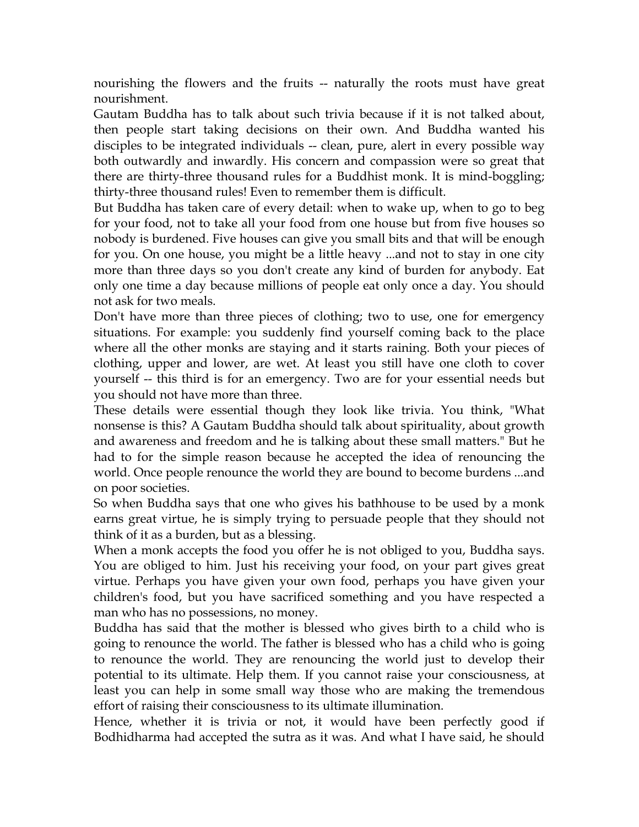nourishing the flowers and the fruits -- naturally the roots must have great nourishment.

Gautam Buddha has to talk about such trivia because if it is not talked about, then people start taking decisions on their own. And Buddha wanted his disciples to be integrated individuals -- clean, pure, alert in every possible way both outwardly and inwardly. His concern and compassion were so great that there are thirty-three thousand rules for a Buddhist monk. It is mind-boggling; thirty-three thousand rules! Even to remember them is difficult.

But Buddha has taken care of every detail: when to wake up, when to go to beg for your food, not to take all your food from one house but from five houses so nobody is burdened. Five houses can give you small bits and that will be enough for you. On one house, you might be a little heavy ...and not to stay in one city more than three days so you don't create any kind of burden for anybody. Eat only one time a day because millions of people eat only once a day. You should not ask for two meals.

Don't have more than three pieces of clothing; two to use, one for emergency situations. For example: you suddenly find yourself coming back to the place where all the other monks are staying and it starts raining. Both your pieces of clothing, upper and lower, are wet. At least you still have one cloth to cover yourself -- this third is for an emergency. Two are for your essential needs but you should not have more than three.

These details were essential though they look like trivia. You think, "What nonsense is this? A Gautam Buddha should talk about spirituality, about growth and awareness and freedom and he is talking about these small matters." But he had to for the simple reason because he accepted the idea of renouncing the world. Once people renounce the world they are bound to become burdens ...and on poor societies.

So when Buddha says that one who gives his bathhouse to be used by a monk earns great virtue, he is simply trying to persuade people that they should not think of it as a burden, but as a blessing.

When a monk accepts the food you offer he is not obliged to you, Buddha says. You are obliged to him. Just his receiving your food, on your part gives great virtue. Perhaps you have given your own food, perhaps you have given your children's food, but you have sacrificed something and you have respected a man who has no possessions, no money.

Buddha has said that the mother is blessed who gives birth to a child who is going to renounce the world. The father is blessed who has a child who is going to renounce the world. They are renouncing the world just to develop their potential to its ultimate. Help them. If you cannot raise your consciousness, at least you can help in some small way those who are making the tremendous effort of raising their consciousness to its ultimate illumination.

Hence, whether it is trivia or not, it would have been perfectly good if Bodhidharma had accepted the sutra as it was. And what I have said, he should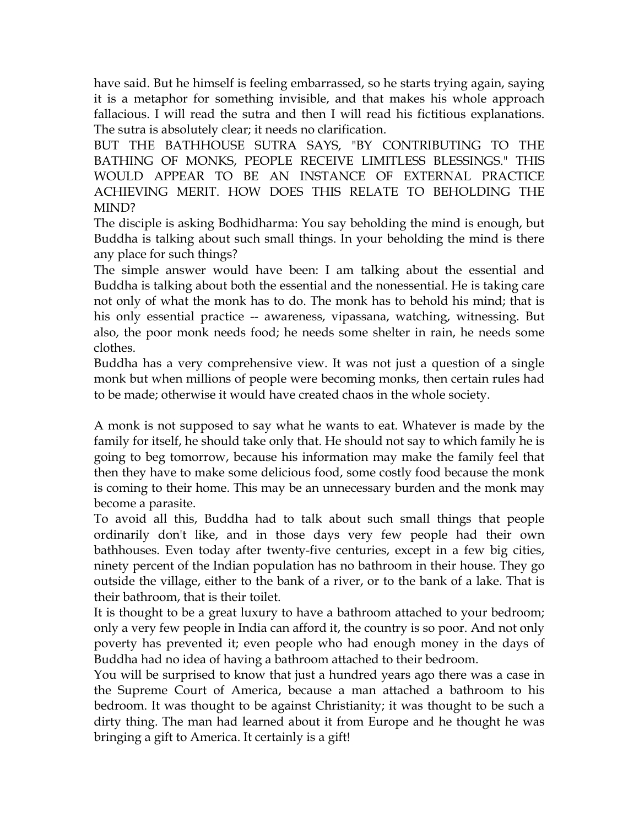have said. But he himself is feeling embarrassed, so he starts trying again, saying it is a metaphor for something invisible, and that makes his whole approach fallacious. I will read the sutra and then I will read his fictitious explanations. The sutra is absolutely clear; it needs no clarification.

BUT THE BATHHOUSE SUTRA SAYS, "BY CONTRIBUTING TO THE BATHING OF MONKS, PEOPLE RECEIVE LIMITLESS BLESSINGS." THIS WOULD APPEAR TO BE AN INSTANCE OF EXTERNAL PRACTICE ACHIEVING MERIT. HOW DOES THIS RELATE TO BEHOLDING THE MIND?

The disciple is asking Bodhidharma: You say beholding the mind is enough, but Buddha is talking about such small things. In your beholding the mind is there any place for such things?

The simple answer would have been: I am talking about the essential and Buddha is talking about both the essential and the nonessential. He is taking care not only of what the monk has to do. The monk has to behold his mind; that is his only essential practice -- awareness, vipassana, watching, witnessing. But also, the poor monk needs food; he needs some shelter in rain, he needs some clothes.

Buddha has a very comprehensive view. It was not just a question of a single monk but when millions of people were becoming monks, then certain rules had to be made; otherwise it would have created chaos in the whole society.

A monk is not supposed to say what he wants to eat. Whatever is made by the family for itself, he should take only that. He should not say to which family he is going to beg tomorrow, because his information may make the family feel that then they have to make some delicious food, some costly food because the monk is coming to their home. This may be an unnecessary burden and the monk may become a parasite.

To avoid all this, Buddha had to talk about such small things that people ordinarily don't like, and in those days very few people had their own bathhouses. Even today after twenty-five centuries, except in a few big cities, ninety percent of the Indian population has no bathroom in their house. They go outside the village, either to the bank of a river, or to the bank of a lake. That is their bathroom, that is their toilet.

It is thought to be a great luxury to have a bathroom attached to your bedroom; only a very few people in India can afford it, the country is so poor. And not only poverty has prevented it; even people who had enough money in the days of Buddha had no idea of having a bathroom attached to their bedroom.

You will be surprised to know that just a hundred years ago there was a case in the Supreme Court of America, because a man attached a bathroom to his bedroom. It was thought to be against Christianity; it was thought to be such a dirty thing. The man had learned about it from Europe and he thought he was bringing a gift to America. It certainly is a gift!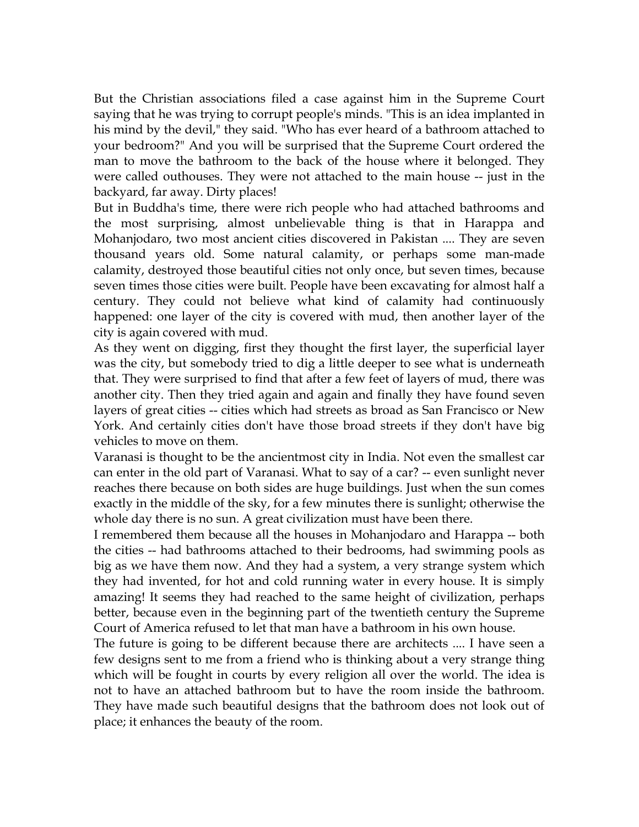But the Christian associations filed a case against him in the Supreme Court saying that he was trying to corrupt people's minds. "This is an idea implanted in his mind by the devil," they said. "Who has ever heard of a bathroom attached to your bedroom?" And you will be surprised that the Supreme Court ordered the man to move the bathroom to the back of the house where it belonged. They were called outhouses. They were not attached to the main house -- just in the backyard, far away. Dirty places!

But in Buddha's time, there were rich people who had attached bathrooms and the most surprising, almost unbelievable thing is that in Harappa and Mohanjodaro, two most ancient cities discovered in Pakistan .... They are seven thousand years old. Some natural calamity, or perhaps some man-made calamity, destroyed those beautiful cities not only once, but seven times, because seven times those cities were built. People have been excavating for almost half a century. They could not believe what kind of calamity had continuously happened: one layer of the city is covered with mud, then another layer of the city is again covered with mud.

As they went on digging, first they thought the first layer, the superficial layer was the city, but somebody tried to dig a little deeper to see what is underneath that. They were surprised to find that after a few feet of layers of mud, there was another city. Then they tried again and again and finally they have found seven layers of great cities -- cities which had streets as broad as San Francisco or New York. And certainly cities don't have those broad streets if they don't have big vehicles to move on them.

Varanasi is thought to be the ancientmost city in India. Not even the smallest car can enter in the old part of Varanasi. What to say of a car? -- even sunlight never reaches there because on both sides are huge buildings. Just when the sun comes exactly in the middle of the sky, for a few minutes there is sunlight; otherwise the whole day there is no sun. A great civilization must have been there.

I remembered them because all the houses in Mohanjodaro and Harappa -- both the cities -- had bathrooms attached to their bedrooms, had swimming pools as big as we have them now. And they had a system, a very strange system which they had invented, for hot and cold running water in every house. It is simply amazing! It seems they had reached to the same height of civilization, perhaps better, because even in the beginning part of the twentieth century the Supreme Court of America refused to let that man have a bathroom in his own house.

The future is going to be different because there are architects .... I have seen a few designs sent to me from a friend who is thinking about a very strange thing which will be fought in courts by every religion all over the world. The idea is not to have an attached bathroom but to have the room inside the bathroom. They have made such beautiful designs that the bathroom does not look out of place; it enhances the beauty of the room.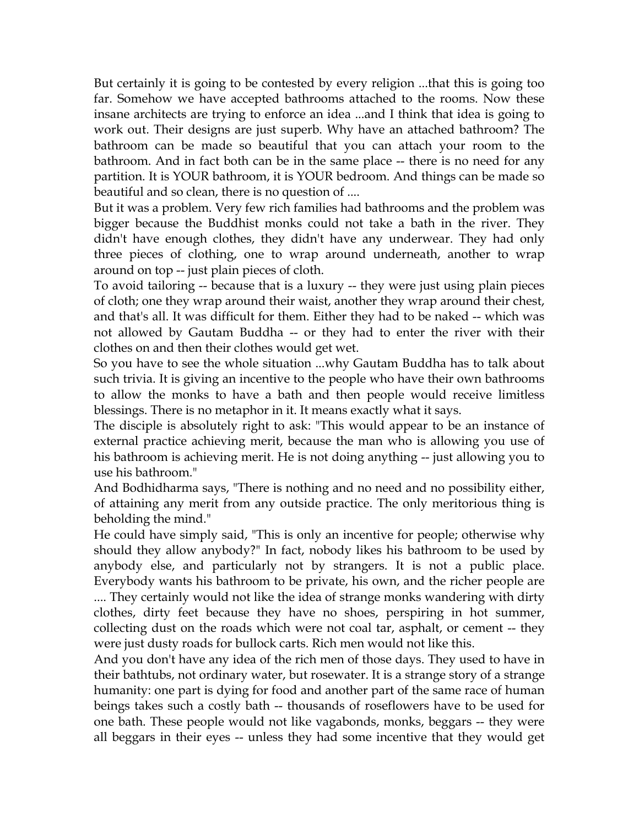But certainly it is going to be contested by every religion ...that this is going too far. Somehow we have accepted bathrooms attached to the rooms. Now these insane architects are trying to enforce an idea ...and I think that idea is going to work out. Their designs are just superb. Why have an attached bathroom? The bathroom can be made so beautiful that you can attach your room to the bathroom. And in fact both can be in the same place -- there is no need for any partition. It is YOUR bathroom, it is YOUR bedroom. And things can be made so beautiful and so clean, there is no question of ....

But it was a problem. Very few rich families had bathrooms and the problem was bigger because the Buddhist monks could not take a bath in the river. They didn't have enough clothes, they didn't have any underwear. They had only three pieces of clothing, one to wrap around underneath, another to wrap around on top -- just plain pieces of cloth.

To avoid tailoring -- because that is a luxury -- they were just using plain pieces of cloth; one they wrap around their waist, another they wrap around their chest, and that's all. It was difficult for them. Either they had to be naked -- which was not allowed by Gautam Buddha -- or they had to enter the river with their clothes on and then their clothes would get wet.

So you have to see the whole situation ...why Gautam Buddha has to talk about such trivia. It is giving an incentive to the people who have their own bathrooms to allow the monks to have a bath and then people would receive limitless blessings. There is no metaphor in it. It means exactly what it says.

The disciple is absolutely right to ask: "This would appear to be an instance of external practice achieving merit, because the man who is allowing you use of his bathroom is achieving merit. He is not doing anything -- just allowing you to use his bathroom."

And Bodhidharma says, "There is nothing and no need and no possibility either, of attaining any merit from any outside practice. The only meritorious thing is beholding the mind."

He could have simply said, "This is only an incentive for people; otherwise why should they allow anybody?" In fact, nobody likes his bathroom to be used by anybody else, and particularly not by strangers. It is not a public place. Everybody wants his bathroom to be private, his own, and the richer people are .... They certainly would not like the idea of strange monks wandering with dirty clothes, dirty feet because they have no shoes, perspiring in hot summer, collecting dust on the roads which were not coal tar, asphalt, or cement -- they were just dusty roads for bullock carts. Rich men would not like this.

And you don't have any idea of the rich men of those days. They used to have in their bathtubs, not ordinary water, but rosewater. It is a strange story of a strange humanity: one part is dying for food and another part of the same race of human beings takes such a costly bath -- thousands of roseflowers have to be used for one bath. These people would not like vagabonds, monks, beggars -- they were all beggars in their eyes -- unless they had some incentive that they would get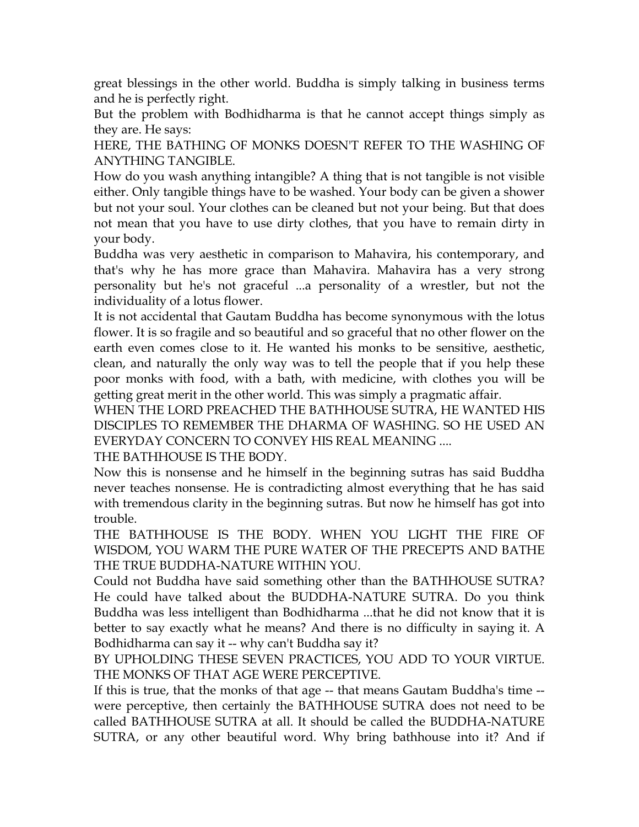great blessings in the other world. Buddha is simply talking in business terms and he is perfectly right.

But the problem with Bodhidharma is that he cannot accept things simply as they are. He says:

HERE, THE BATHING OF MONKS DOESN'T REFER TO THE WASHING OF ANYTHING TANGIBLE.

How do you wash anything intangible? A thing that is not tangible is not visible either. Only tangible things have to be washed. Your body can be given a shower but not your soul. Your clothes can be cleaned but not your being. But that does not mean that you have to use dirty clothes, that you have to remain dirty in your body.

Buddha was very aesthetic in comparison to Mahavira, his contemporary, and that's why he has more grace than Mahavira. Mahavira has a very strong personality but he's not graceful ...a personality of a wrestler, but not the individuality of a lotus flower.

It is not accidental that Gautam Buddha has become synonymous with the lotus flower. It is so fragile and so beautiful and so graceful that no other flower on the earth even comes close to it. He wanted his monks to be sensitive, aesthetic, clean, and naturally the only way was to tell the people that if you help these poor monks with food, with a bath, with medicine, with clothes you will be getting great merit in the other world. This was simply a pragmatic affair.

WHEN THE LORD PREACHED THE BATHHOUSE SUTRA, HE WANTED HIS DISCIPLES TO REMEMBER THE DHARMA OF WASHING. SO HE USED AN EVERYDAY CONCERN TO CONVEY HIS REAL MEANING ....

THE BATHHOUSE IS THE BODY.

Now this is nonsense and he himself in the beginning sutras has said Buddha never teaches nonsense. He is contradicting almost everything that he has said with tremendous clarity in the beginning sutras. But now he himself has got into trouble.

THE BATHHOUSE IS THE BODY. WHEN YOU LIGHT THE FIRE OF WISDOM, YOU WARM THE PURE WATER OF THE PRECEPTS AND BATHE THE TRUE BUDDHA-NATURE WITHIN YOU.

Could not Buddha have said something other than the BATHHOUSE SUTRA? He could have talked about the BUDDHA-NATURE SUTRA. Do you think Buddha was less intelligent than Bodhidharma ...that he did not know that it is better to say exactly what he means? And there is no difficulty in saying it. A Bodhidharma can say it -- why can't Buddha say it?

BY UPHOLDING THESE SEVEN PRACTICES, YOU ADD TO YOUR VIRTUE. THE MONKS OF THAT AGE WERE PERCEPTIVE.

If this is true, that the monks of that age -- that means Gautam Buddha's time - were perceptive, then certainly the BATHHOUSE SUTRA does not need to be called BATHHOUSE SUTRA at all. It should be called the BUDDHA-NATURE SUTRA, or any other beautiful word. Why bring bathhouse into it? And if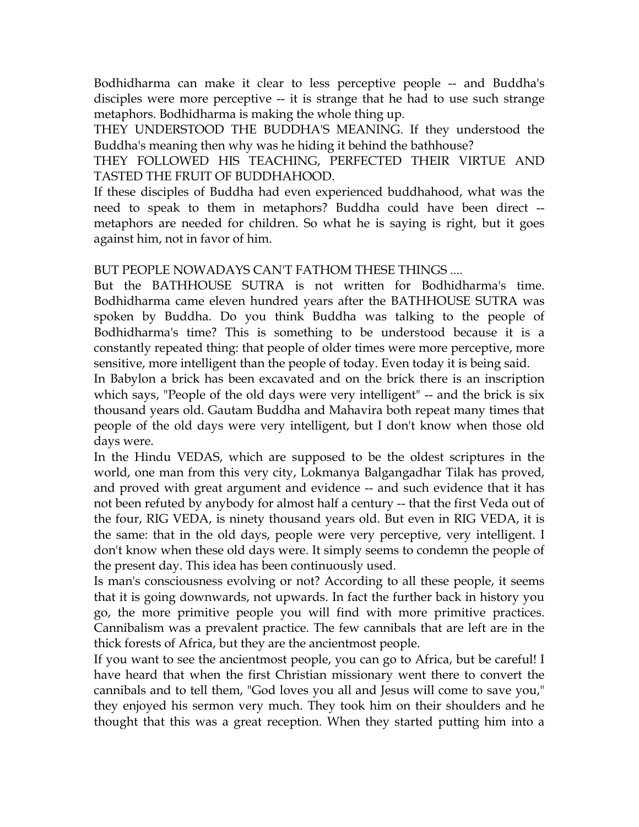Bodhidharma can make it clear to less perceptive people -- and Buddha's disciples were more perceptive -- it is strange that he had to use such strange metaphors. Bodhidharma is making the whole thing up.

THEY UNDERSTOOD THE BUDDHA'S MEANING. If they understood the Buddha's meaning then why was he hiding it behind the bathhouse?

THEY FOLLOWED HIS TEACHING, PERFECTED THEIR VIRTUE AND TASTED THE FRUIT OF BUDDHAHOOD.

If these disciples of Buddha had even experienced buddhahood, what was the need to speak to them in metaphors? Buddha could have been direct - metaphors are needed for children. So what he is saying is right, but it goes against him, not in favor of him.

BUT PEOPLE NOWADAYS CAN'T FATHOM THESE THINGS ....

But the BATHHOUSE SUTRA is not written for Bodhidharma's time. Bodhidharma came eleven hundred years after the BATHHOUSE SUTRA was spoken by Buddha. Do you think Buddha was talking to the people of Bodhidharma's time? This is something to be understood because it is a constantly repeated thing: that people of older times were more perceptive, more sensitive, more intelligent than the people of today. Even today it is being said.

In Babylon a brick has been excavated and on the brick there is an inscription which says, "People of the old days were very intelligent" -- and the brick is six thousand years old. Gautam Buddha and Mahavira both repeat many times that people of the old days were very intelligent, but I don't know when those old days were.

In the Hindu VEDAS, which are supposed to be the oldest scriptures in the world, one man from this very city, Lokmanya Balgangadhar Tilak has proved, and proved with great argument and evidence -- and such evidence that it has not been refuted by anybody for almost half a century -- that the first Veda out of the four, RIG VEDA, is ninety thousand years old. But even in RIG VEDA, it is the same: that in the old days, people were very perceptive, very intelligent. I don't know when these old days were. It simply seems to condemn the people of the present day. This idea has been continuously used.

Is man's consciousness evolving or not? According to all these people, it seems that it is going downwards, not upwards. In fact the further back in history you go, the more primitive people you will find with more primitive practices. Cannibalism was a prevalent practice. The few cannibals that are left are in the thick forests of Africa, but they are the ancientmost people.

If you want to see the ancientmost people, you can go to Africa, but be careful! I have heard that when the first Christian missionary went there to convert the cannibals and to tell them, "God loves you all and Jesus will come to save you," they enjoyed his sermon very much. They took him on their shoulders and he thought that this was a great reception. When they started putting him into a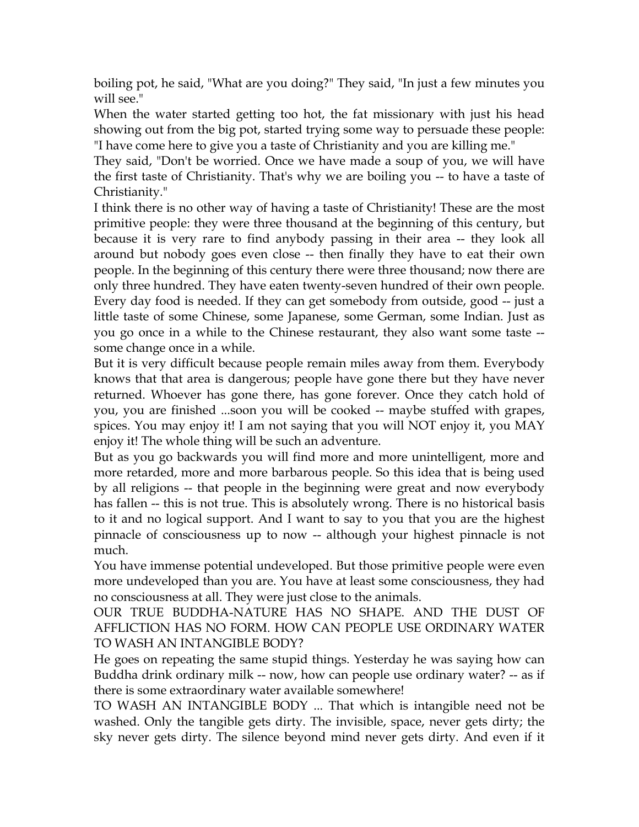boiling pot, he said, "What are you doing?" They said, "In just a few minutes you will see."

When the water started getting too hot, the fat missionary with just his head showing out from the big pot, started trying some way to persuade these people: "I have come here to give you a taste of Christianity and you are killing me."

They said, "Don't be worried. Once we have made a soup of you, we will have the first taste of Christianity. That's why we are boiling you -- to have a taste of Christianity."

I think there is no other way of having a taste of Christianity! These are the most primitive people: they were three thousand at the beginning of this century, but because it is very rare to find anybody passing in their area -- they look all around but nobody goes even close -- then finally they have to eat their own people. In the beginning of this century there were three thousand; now there are only three hundred. They have eaten twenty-seven hundred of their own people. Every day food is needed. If they can get somebody from outside, good -- just a little taste of some Chinese, some Japanese, some German, some Indian. Just as you go once in a while to the Chinese restaurant, they also want some taste - some change once in a while.

But it is very difficult because people remain miles away from them. Everybody knows that that area is dangerous; people have gone there but they have never returned. Whoever has gone there, has gone forever. Once they catch hold of you, you are finished ...soon you will be cooked -- maybe stuffed with grapes, spices. You may enjoy it! I am not saying that you will NOT enjoy it, you MAY enjoy it! The whole thing will be such an adventure.

But as you go backwards you will find more and more unintelligent, more and more retarded, more and more barbarous people. So this idea that is being used by all religions -- that people in the beginning were great and now everybody has fallen -- this is not true. This is absolutely wrong. There is no historical basis to it and no logical support. And I want to say to you that you are the highest pinnacle of consciousness up to now -- although your highest pinnacle is not much.

You have immense potential undeveloped. But those primitive people were even more undeveloped than you are. You have at least some consciousness, they had no consciousness at all. They were just close to the animals.

OUR TRUE BUDDHA-NATURE HAS NO SHAPE. AND THE DUST OF AFFLICTION HAS NO FORM. HOW CAN PEOPLE USE ORDINARY WATER TO WASH AN INTANGIBLE BODY?

He goes on repeating the same stupid things. Yesterday he was saying how can Buddha drink ordinary milk -- now, how can people use ordinary water? -- as if there is some extraordinary water available somewhere!

TO WASH AN INTANGIBLE BODY ... That which is intangible need not be washed. Only the tangible gets dirty. The invisible, space, never gets dirty; the sky never gets dirty. The silence beyond mind never gets dirty. And even if it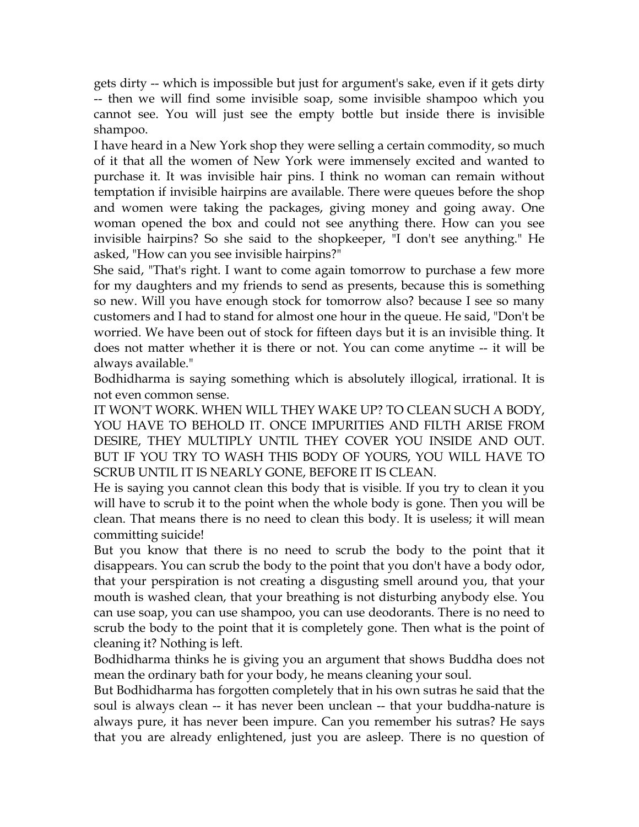gets dirty -- which is impossible but just for argument's sake, even if it gets dirty -- then we will find some invisible soap, some invisible shampoo which you cannot see. You will just see the empty bottle but inside there is invisible shampoo.

I have heard in a New York shop they were selling a certain commodity, so much of it that all the women of New York were immensely excited and wanted to purchase it. It was invisible hair pins. I think no woman can remain without temptation if invisible hairpins are available. There were queues before the shop and women were taking the packages, giving money and going away. One woman opened the box and could not see anything there. How can you see invisible hairpins? So she said to the shopkeeper, "I don't see anything." He asked, "How can you see invisible hairpins?"

She said, "That's right. I want to come again tomorrow to purchase a few more for my daughters and my friends to send as presents, because this is something so new. Will you have enough stock for tomorrow also? because I see so many customers and I had to stand for almost one hour in the queue. He said, "Don't be worried. We have been out of stock for fifteen days but it is an invisible thing. It does not matter whether it is there or not. You can come anytime -- it will be always available."

Bodhidharma is saying something which is absolutely illogical, irrational. It is not even common sense.

IT WON'T WORK. WHEN WILL THEY WAKE UP? TO CLEAN SUCH A BODY, YOU HAVE TO BEHOLD IT. ONCE IMPURITIES AND FILTH ARISE FROM DESIRE, THEY MULTIPLY UNTIL THEY COVER YOU INSIDE AND OUT. BUT IF YOU TRY TO WASH THIS BODY OF YOURS, YOU WILL HAVE TO SCRUB UNTIL IT IS NEARLY GONE, BEFORE IT IS CLEAN.

He is saying you cannot clean this body that is visible. If you try to clean it you will have to scrub it to the point when the whole body is gone. Then you will be clean. That means there is no need to clean this body. It is useless; it will mean committing suicide!

But you know that there is no need to scrub the body to the point that it disappears. You can scrub the body to the point that you don't have a body odor, that your perspiration is not creating a disgusting smell around you, that your mouth is washed clean, that your breathing is not disturbing anybody else. You can use soap, you can use shampoo, you can use deodorants. There is no need to scrub the body to the point that it is completely gone. Then what is the point of cleaning it? Nothing is left.

Bodhidharma thinks he is giving you an argument that shows Buddha does not mean the ordinary bath for your body, he means cleaning your soul.

But Bodhidharma has forgotten completely that in his own sutras he said that the soul is always clean -- it has never been unclean -- that your buddha-nature is always pure, it has never been impure. Can you remember his sutras? He says that you are already enlightened, just you are asleep. There is no question of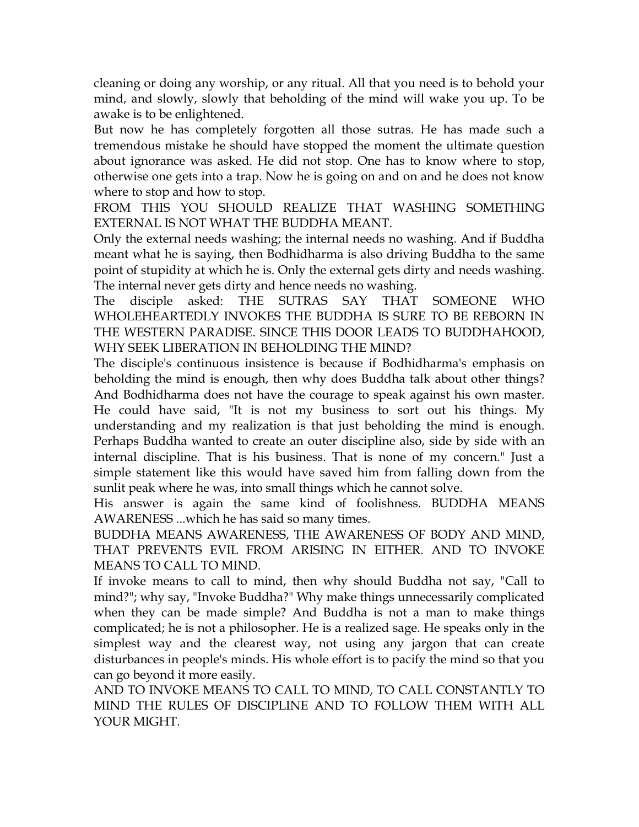cleaning or doing any worship, or any ritual. All that you need is to behold your mind, and slowly, slowly that beholding of the mind will wake you up. To be awake is to be enlightened.

But now he has completely forgotten all those sutras. He has made such a tremendous mistake he should have stopped the moment the ultimate question about ignorance was asked. He did not stop. One has to know where to stop, otherwise one gets into a trap. Now he is going on and on and he does not know where to stop and how to stop.

FROM THIS YOU SHOULD REALIZE THAT WASHING SOMETHING EXTERNAL IS NOT WHAT THE BUDDHA MEANT.

Only the external needs washing; the internal needs no washing. And if Buddha meant what he is saying, then Bodhidharma is also driving Buddha to the same point of stupidity at which he is. Only the external gets dirty and needs washing. The internal never gets dirty and hence needs no washing.

The disciple asked: THE SUTRAS SAY THAT SOMEONE WHO WHOLEHEARTEDLY INVOKES THE BUDDHA IS SURE TO BE REBORN IN THE WESTERN PARADISE. SINCE THIS DOOR LEADS TO BUDDHAHOOD, WHY SEEK LIBERATION IN BEHOLDING THE MIND?

The disciple's continuous insistence is because if Bodhidharma's emphasis on beholding the mind is enough, then why does Buddha talk about other things? And Bodhidharma does not have the courage to speak against his own master. He could have said, "It is not my business to sort out his things. My understanding and my realization is that just beholding the mind is enough. Perhaps Buddha wanted to create an outer discipline also, side by side with an internal discipline. That is his business. That is none of my concern." Just a simple statement like this would have saved him from falling down from the sunlit peak where he was, into small things which he cannot solve.

His answer is again the same kind of foolishness. BUDDHA MEANS AWARENESS ...which he has said so many times.

BUDDHA MEANS AWARENESS, THE AWARENESS OF BODY AND MIND, THAT PREVENTS EVIL FROM ARISING IN EITHER. AND TO INVOKE MEANS TO CALL TO MIND.

If invoke means to call to mind, then why should Buddha not say, "Call to mind?"; why say, "Invoke Buddha?" Why make things unnecessarily complicated when they can be made simple? And Buddha is not a man to make things complicated; he is not a philosopher. He is a realized sage. He speaks only in the simplest way and the clearest way, not using any jargon that can create disturbances in people's minds. His whole effort is to pacify the mind so that you can go beyond it more easily.

AND TO INVOKE MEANS TO CALL TO MIND, TO CALL CONSTANTLY TO MIND THE RULES OF DISCIPLINE AND TO FOLLOW THEM WITH ALL YOUR MIGHT.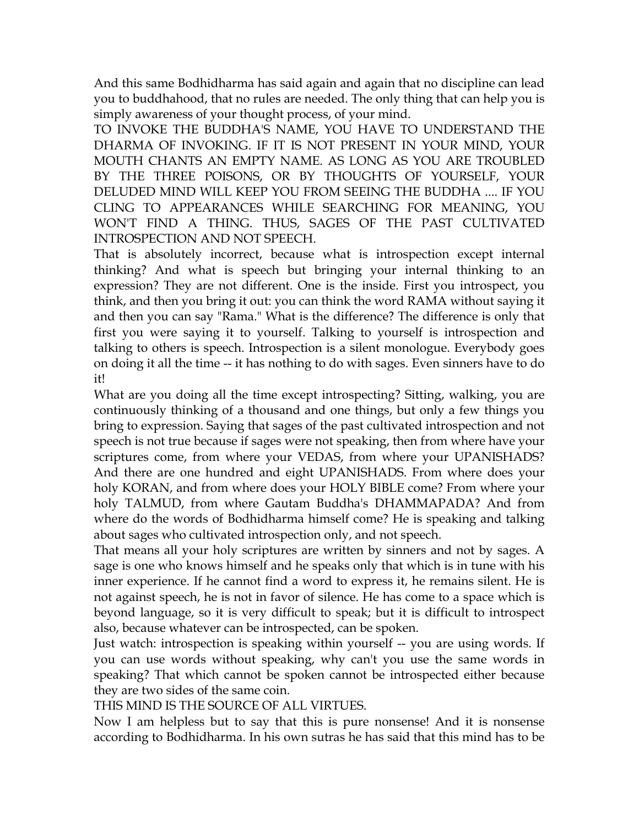And this same Bodhidharma has said again and again that no discipline can lead you to buddhahood, that no rules are needed. The only thing that can help you is simply awareness of your thought process, of your mind.

TO INVOKE THE BUDDHA'S NAME, YOU HAVE TO UNDERSTAND THE DHARMA OF INVOKING. IF IT IS NOT PRESENT IN YOUR MIND, YOUR MOUTH CHANTS AN EMPTY NAME. AS LONG AS YOU ARE TROUBLED BY THE THREE POISONS, OR BY THOUGHTS OF YOURSELF, YOUR DELUDED MIND WILL KEEP YOU FROM SEEING THE BUDDHA .... IF YOU CLING TO APPEARANCES WHILE SEARCHING FOR MEANING, YOU WON'T FIND A THING. THUS, SAGES OF THE PAST CULTIVATED INTROSPECTION AND NOT SPEECH.

That is absolutely incorrect, because what is introspection except internal thinking? And what is speech but bringing your internal thinking to an expression? They are not different. One is the inside. First you introspect, you think, and then you bring it out: you can think the word RAMA without saying it and then you can say "Rama." What is the difference? The difference is only that first you were saying it to yourself. Talking to yourself is introspection and talking to others is speech. Introspection is a silent monologue. Everybody goes on doing it all the time -- it has nothing to do with sages. Even sinners have to do it!

What are you doing all the time except introspecting? Sitting, walking, you are continuously thinking of a thousand and one things, but only a few things you bring to expression. Saying that sages of the past cultivated introspection and not speech is not true because if sages were not speaking, then from where have your scriptures come, from where your VEDAS, from where your UPANISHADS? And there are one hundred and eight UPANISHADS. From where does your holy KORAN, and from where does your HOLY BIBLE come? From where your holy TALMUD, from where Gautam Buddha's DHAMMAPADA? And from where do the words of Bodhidharma himself come? He is speaking and talking about sages who cultivated introspection only, and not speech.

That means all your holy scriptures are written by sinners and not by sages. A sage is one who knows himself and he speaks only that which is in tune with his inner experience. If he cannot find a word to express it, he remains silent. He is not against speech, he is not in favor of silence. He has come to a space which is beyond language, so it is very difficult to speak; but it is difficult to introspect also, because whatever can be introspected, can be spoken.

Just watch: introspection is speaking within yourself -- you are using words. If you can use words without speaking, why can't you use the same words in speaking? That which cannot be spoken cannot be introspected either because they are two sides of the same coin.

THIS MIND IS THE SOURCE OF ALL VIRTUES.

Now I am helpless but to say that this is pure nonsense! And it is nonsense according to Bodhidharma. In his own sutras he has said that this mind has to be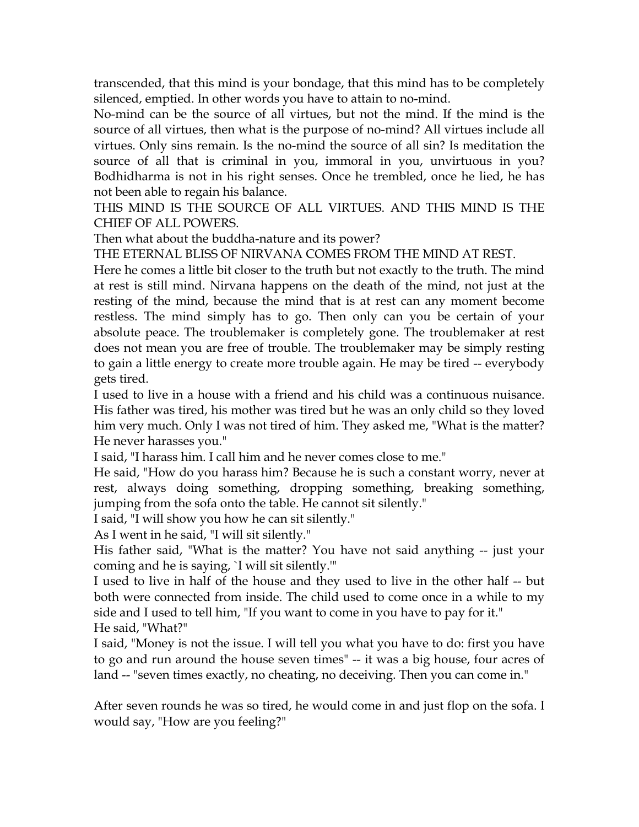transcended, that this mind is your bondage, that this mind has to be completely silenced, emptied. In other words you have to attain to no-mind.

No-mind can be the source of all virtues, but not the mind. If the mind is the source of all virtues, then what is the purpose of no-mind? All virtues include all virtues. Only sins remain. Is the no-mind the source of all sin? Is meditation the source of all that is criminal in you, immoral in you, unvirtuous in you? Bodhidharma is not in his right senses. Once he trembled, once he lied, he has not been able to regain his balance.

THIS MIND IS THE SOURCE OF ALL VIRTUES. AND THIS MIND IS THE CHIEF OF ALL POWERS.

Then what about the buddha-nature and its power?

THE ETERNAL BLISS OF NIRVANA COMES FROM THE MIND AT REST.

Here he comes a little bit closer to the truth but not exactly to the truth. The mind at rest is still mind. Nirvana happens on the death of the mind, not just at the resting of the mind, because the mind that is at rest can any moment become restless. The mind simply has to go. Then only can you be certain of your absolute peace. The troublemaker is completely gone. The troublemaker at rest does not mean you are free of trouble. The troublemaker may be simply resting to gain a little energy to create more trouble again. He may be tired -- everybody gets tired.

I used to live in a house with a friend and his child was a continuous nuisance. His father was tired, his mother was tired but he was an only child so they loved him very much. Only I was not tired of him. They asked me, "What is the matter? He never harasses you."

I said, "I harass him. I call him and he never comes close to me."

He said, "How do you harass him? Because he is such a constant worry, never at rest, always doing something, dropping something, breaking something, jumping from the sofa onto the table. He cannot sit silently."

I said, "I will show you how he can sit silently."

As I went in he said, "I will sit silently."

His father said, "What is the matter? You have not said anything -- just your coming and he is saying, `I will sit silently.'"

I used to live in half of the house and they used to live in the other half -- but both were connected from inside. The child used to come once in a while to my side and I used to tell him, "If you want to come in you have to pay for it." He said, "What?"

I said, "Money is not the issue. I will tell you what you have to do: first you have to go and run around the house seven times" -- it was a big house, four acres of land -- "seven times exactly, no cheating, no deceiving. Then you can come in."

After seven rounds he was so tired, he would come in and just flop on the sofa. I would say, "How are you feeling?"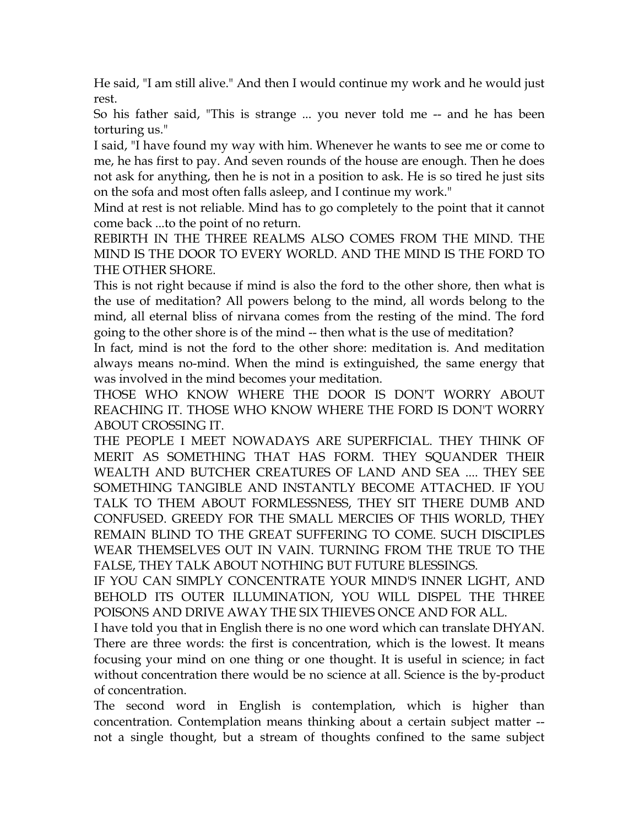He said, "I am still alive." And then I would continue my work and he would just rest.

So his father said, "This is strange ... you never told me -- and he has been torturing us."

I said, "I have found my way with him. Whenever he wants to see me or come to me, he has first to pay. And seven rounds of the house are enough. Then he does not ask for anything, then he is not in a position to ask. He is so tired he just sits on the sofa and most often falls asleep, and I continue my work."

Mind at rest is not reliable. Mind has to go completely to the point that it cannot come back ...to the point of no return.

REBIRTH IN THE THREE REALMS ALSO COMES FROM THE MIND. THE MIND IS THE DOOR TO EVERY WORLD. AND THE MIND IS THE FORD TO THE OTHER SHORE.

This is not right because if mind is also the ford to the other shore, then what is the use of meditation? All powers belong to the mind, all words belong to the mind, all eternal bliss of nirvana comes from the resting of the mind. The ford going to the other shore is of the mind -- then what is the use of meditation?

In fact, mind is not the ford to the other shore: meditation is. And meditation always means no-mind. When the mind is extinguished, the same energy that was involved in the mind becomes your meditation.

THOSE WHO KNOW WHERE THE DOOR IS DON'T WORRY ABOUT REACHING IT. THOSE WHO KNOW WHERE THE FORD IS DON'T WORRY ABOUT CROSSING IT.

THE PEOPLE I MEET NOWADAYS ARE SUPERFICIAL. THEY THINK OF MERIT AS SOMETHING THAT HAS FORM. THEY SQUANDER THEIR WEALTH AND BUTCHER CREATURES OF LAND AND SEA .... THEY SEE SOMETHING TANGIBLE AND INSTANTLY BECOME ATTACHED. IF YOU TALK TO THEM ABOUT FORMLESSNESS, THEY SIT THERE DUMB AND CONFUSED. GREEDY FOR THE SMALL MERCIES OF THIS WORLD, THEY REMAIN BLIND TO THE GREAT SUFFERING TO COME. SUCH DISCIPLES WEAR THEMSELVES OUT IN VAIN. TURNING FROM THE TRUE TO THE FALSE, THEY TALK ABOUT NOTHING BUT FUTURE BLESSINGS.

IF YOU CAN SIMPLY CONCENTRATE YOUR MIND'S INNER LIGHT, AND BEHOLD ITS OUTER ILLUMINATION, YOU WILL DISPEL THE THREE POISONS AND DRIVE AWAY THE SIX THIEVES ONCE AND FOR ALL.

I have told you that in English there is no one word which can translate DHYAN. There are three words: the first is concentration, which is the lowest. It means focusing your mind on one thing or one thought. It is useful in science; in fact without concentration there would be no science at all. Science is the by-product of concentration.

The second word in English is contemplation, which is higher than concentration. Contemplation means thinking about a certain subject matter - not a single thought, but a stream of thoughts confined to the same subject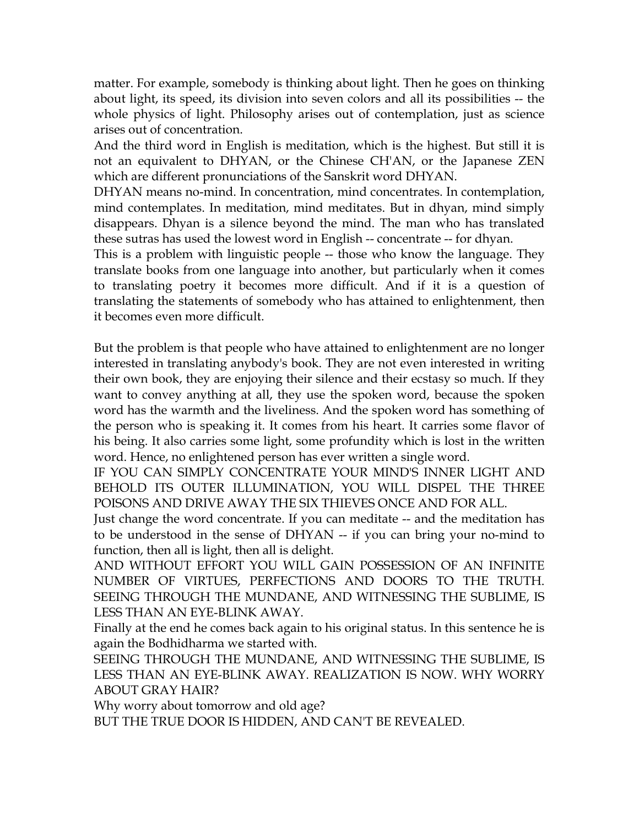matter. For example, somebody is thinking about light. Then he goes on thinking about light, its speed, its division into seven colors and all its possibilities -- the whole physics of light. Philosophy arises out of contemplation, just as science arises out of concentration.

And the third word in English is meditation, which is the highest. But still it is not an equivalent to DHYAN, or the Chinese CH'AN, or the Japanese ZEN which are different pronunciations of the Sanskrit word DHYAN.

DHYAN means no-mind. In concentration, mind concentrates. In contemplation, mind contemplates. In meditation, mind meditates. But in dhyan, mind simply disappears. Dhyan is a silence beyond the mind. The man who has translated these sutras has used the lowest word in English -- concentrate -- for dhyan.

This is a problem with linguistic people -- those who know the language. They translate books from one language into another, but particularly when it comes to translating poetry it becomes more difficult. And if it is a question of translating the statements of somebody who has attained to enlightenment, then it becomes even more difficult.

But the problem is that people who have attained to enlightenment are no longer interested in translating anybody's book. They are not even interested in writing their own book, they are enjoying their silence and their ecstasy so much. If they want to convey anything at all, they use the spoken word, because the spoken word has the warmth and the liveliness. And the spoken word has something of the person who is speaking it. It comes from his heart. It carries some flavor of his being. It also carries some light, some profundity which is lost in the written word. Hence, no enlightened person has ever written a single word.

IF YOU CAN SIMPLY CONCENTRATE YOUR MIND'S INNER LIGHT AND BEHOLD ITS OUTER ILLUMINATION, YOU WILL DISPEL THE THREE POISONS AND DRIVE AWAY THE SIX THIEVES ONCE AND FOR ALL.

Just change the word concentrate. If you can meditate -- and the meditation has to be understood in the sense of DHYAN -- if you can bring your no-mind to function, then all is light, then all is delight.

AND WITHOUT EFFORT YOU WILL GAIN POSSESSION OF AN INFINITE NUMBER OF VIRTUES, PERFECTIONS AND DOORS TO THE TRUTH. SEEING THROUGH THE MUNDANE, AND WITNESSING THE SUBLIME, IS LESS THAN AN EYE-BLINK AWAY.

Finally at the end he comes back again to his original status. In this sentence he is again the Bodhidharma we started with.

SEEING THROUGH THE MUNDANE, AND WITNESSING THE SUBLIME, IS LESS THAN AN EYE-BLINK AWAY. REALIZATION IS NOW. WHY WORRY ABOUT GRAY HAIR?

Why worry about tomorrow and old age?

BUT THE TRUE DOOR IS HIDDEN, AND CAN'T BE REVEALED.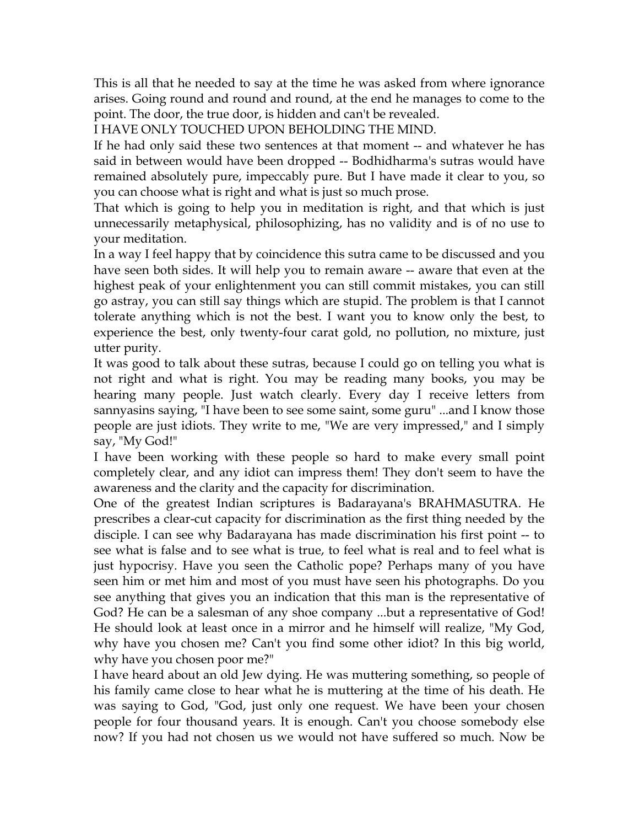This is all that he needed to say at the time he was asked from where ignorance arises. Going round and round and round, at the end he manages to come to the point. The door, the true door, is hidden and can't be revealed.

I HAVE ONLY TOUCHED UPON BEHOLDING THE MIND.

If he had only said these two sentences at that moment -- and whatever he has said in between would have been dropped -- Bodhidharma's sutras would have remained absolutely pure, impeccably pure. But I have made it clear to you, so you can choose what is right and what is just so much prose.

That which is going to help you in meditation is right, and that which is just unnecessarily metaphysical, philosophizing, has no validity and is of no use to your meditation.

In a way I feel happy that by coincidence this sutra came to be discussed and you have seen both sides. It will help you to remain aware -- aware that even at the highest peak of your enlightenment you can still commit mistakes, you can still go astray, you can still say things which are stupid. The problem is that I cannot tolerate anything which is not the best. I want you to know only the best, to experience the best, only twenty-four carat gold, no pollution, no mixture, just utter purity.

It was good to talk about these sutras, because I could go on telling you what is not right and what is right. You may be reading many books, you may be hearing many people. Just watch clearly. Every day I receive letters from sannyasins saying, "I have been to see some saint, some guru" ...and I know those people are just idiots. They write to me, "We are very impressed," and I simply say, "My God!"

I have been working with these people so hard to make every small point completely clear, and any idiot can impress them! They don't seem to have the awareness and the clarity and the capacity for discrimination.

One of the greatest Indian scriptures is Badarayana's BRAHMASUTRA. He prescribes a clear-cut capacity for discrimination as the first thing needed by the disciple. I can see why Badarayana has made discrimination his first point -- to see what is false and to see what is true, to feel what is real and to feel what is just hypocrisy. Have you seen the Catholic pope? Perhaps many of you have seen him or met him and most of you must have seen his photographs. Do you see anything that gives you an indication that this man is the representative of God? He can be a salesman of any shoe company ...but a representative of God! He should look at least once in a mirror and he himself will realize, "My God, why have you chosen me? Can't you find some other idiot? In this big world, why have you chosen poor me?"

I have heard about an old Jew dying. He was muttering something, so people of his family came close to hear what he is muttering at the time of his death. He was saying to God, "God, just only one request. We have been your chosen people for four thousand years. It is enough. Can't you choose somebody else now? If you had not chosen us we would not have suffered so much. Now be